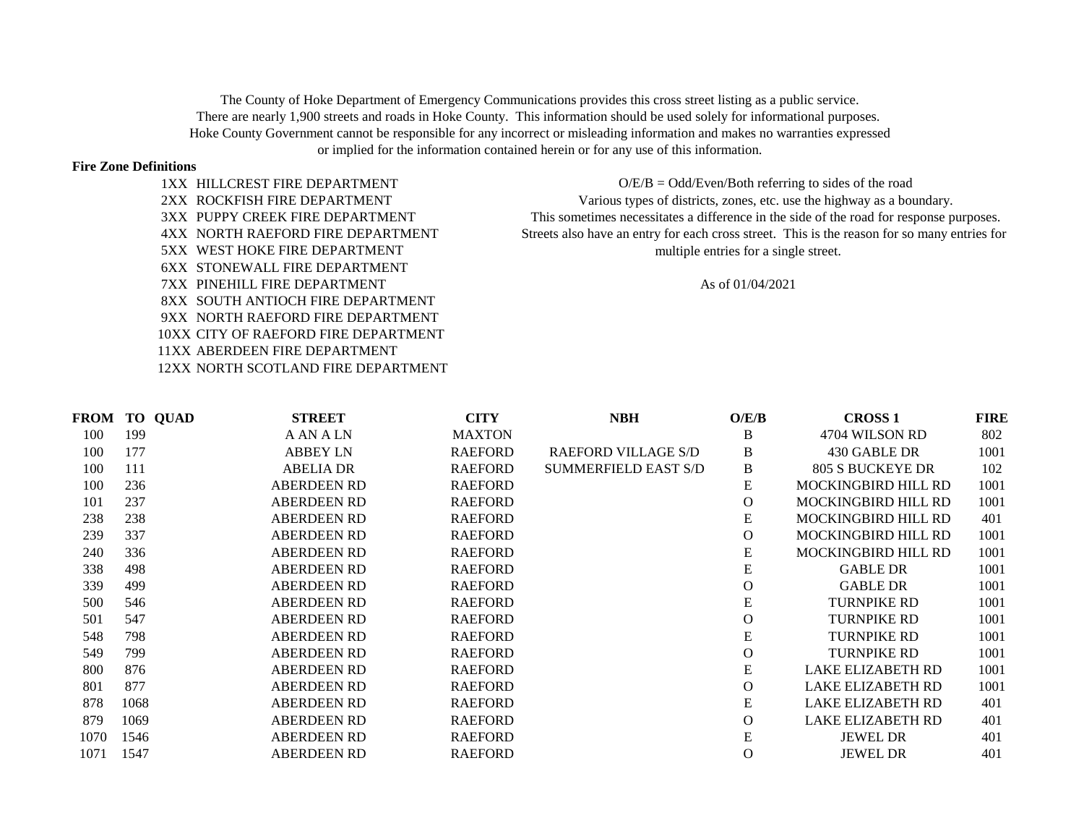The County of Hoke Department of Emergency Communications provides this cross street listing as a public service. There are nearly 1,900 streets and roads in Hoke County. This information should be used solely for informational purposes. Hoke County Government cannot be responsible for any incorrect or misleading information and makes no warranties expressed or implied for the information contained herein or for any use of this information.

## **Fire Zone Definitions**

1XX HILLCREST FIRE DEPARTMENT 2XX ROCKFISH FIRE DEPARTMENT 3XX PUPPY CREEK FIRE DEPARTMENT 4XX NORTH RAEFORD FIRE DEPARTMENT 6XX STONEWALL FIRE DEPARTMENT 7XX PINEHILL FIRE DEPARTMENT As of 01/04/2021 8XX SOUTH ANTIOCH FIRE DEPARTMENT 9XX NORTH RAEFORD FIRE DEPARTMENT 10XX CITY OF RAEFORD FIRE DEPARTMENT 11XX ABERDEEN FIRE DEPARTMENT 12XX NORTH SCOTLAND FIRE DEPARTMENT

5XX WEST HOKE FIRE DEPARTMENT multiple entries for a single street. This sometimes necessitates a difference in the side of the road for response purposes. Streets also have an entry for each cross street. This is the reason for so many entries for  $O/E/B = Odd/Even/Both$  referring to sides of the road Various types of districts, zones, etc. use the highway as a boundary.

|      | <b>FROM TO QUAD</b> | <b>STREET</b>      | <b>CITY</b>    | <b>NBH</b>                  | O/E/B          | <b>CROSS 1</b>             | <b>FIRE</b> |
|------|---------------------|--------------------|----------------|-----------------------------|----------------|----------------------------|-------------|
| 100  | 199                 | A AN A LN          | <b>MAXTON</b>  |                             | B              | 4704 WILSON RD             | 802         |
| 100  | 177                 | <b>ABBEY LN</b>    | <b>RAEFORD</b> | <b>RAEFORD VILLAGE S/D</b>  | B              | 430 GABLE DR               | 1001        |
| 100  | 111                 | <b>ABELIA DR</b>   | <b>RAEFORD</b> | <b>SUMMERFIELD EAST S/D</b> | B              | 805 S BUCKEYE DR           | 102         |
| 100  | 236                 | <b>ABERDEEN RD</b> | <b>RAEFORD</b> |                             | Ε              | <b>MOCKINGBIRD HILL RD</b> | 1001        |
| 101  | 237                 | <b>ABERDEEN RD</b> | <b>RAEFORD</b> |                             | $\mathbf{O}$   | <b>MOCKINGBIRD HILL RD</b> | 1001        |
| 238  | 238                 | <b>ABERDEEN RD</b> | <b>RAEFORD</b> |                             | ${\bf E}$      | <b>MOCKINGBIRD HILL RD</b> | 401         |
| 239  | 337                 | <b>ABERDEEN RD</b> | <b>RAEFORD</b> |                             | $\mathbf{O}$   | <b>MOCKINGBIRD HILL RD</b> | 1001        |
| 240  | 336                 | <b>ABERDEEN RD</b> | <b>RAEFORD</b> |                             | ${\bf E}$      | <b>MOCKINGBIRD HILL RD</b> | 1001        |
| 338  | 498                 | <b>ABERDEEN RD</b> | <b>RAEFORD</b> |                             | ${\bf E}$      | <b>GABLE DR</b>            | 1001        |
| 339  | 499                 | <b>ABERDEEN RD</b> | <b>RAEFORD</b> |                             | O              | <b>GABLE DR</b>            | 1001        |
| 500  | 546                 | <b>ABERDEEN RD</b> | <b>RAEFORD</b> |                             | ${\bf E}$      | <b>TURNPIKE RD</b>         | 1001        |
| 501  | 547                 | <b>ABERDEEN RD</b> | <b>RAEFORD</b> |                             | $\Omega$       | <b>TURNPIKE RD</b>         | 1001        |
| 548  | 798                 | <b>ABERDEEN RD</b> | <b>RAEFORD</b> |                             | E              | <b>TURNPIKE RD</b>         | 1001        |
| 549  | 799                 | <b>ABERDEEN RD</b> | <b>RAEFORD</b> |                             | $\mathbf{O}$   | <b>TURNPIKE RD</b>         | 1001        |
| 800  | 876                 | <b>ABERDEEN RD</b> | <b>RAEFORD</b> |                             | E              | <b>LAKE ELIZABETH RD</b>   | 1001        |
| 801  | 877                 | <b>ABERDEEN RD</b> | <b>RAEFORD</b> |                             | $\Omega$       | <b>LAKE ELIZABETH RD</b>   | 1001        |
| 878  | 1068                | <b>ABERDEEN RD</b> | <b>RAEFORD</b> |                             | ${\bf E}$      | LAKE ELIZABETH RD          | 401         |
| 879  | 1069                | <b>ABERDEEN RD</b> | <b>RAEFORD</b> |                             | $\overline{O}$ | <b>LAKE ELIZABETH RD</b>   | 401         |
| 1070 | 1546                | <b>ABERDEEN RD</b> | <b>RAEFORD</b> |                             | ${\bf E}$      | <b>JEWEL DR</b>            | 401         |
| 1071 | 1547                | <b>ABERDEEN RD</b> | <b>RAEFORD</b> |                             | $\Omega$       | <b>JEWEL DR</b>            | 401         |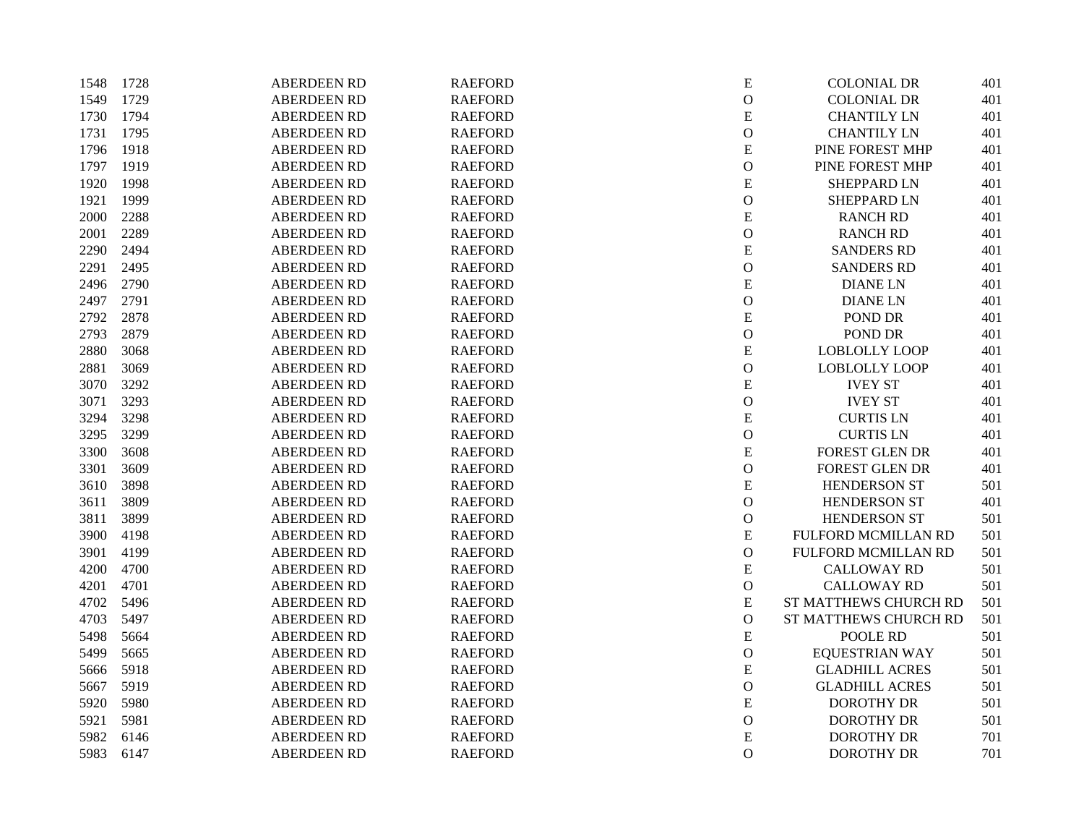| 1548 | 1728 | <b>ABERDEEN RD</b> | <b>RAEFORD</b> | ${\bf E}$      | <b>COLONIAL DR</b>    | 401 |
|------|------|--------------------|----------------|----------------|-----------------------|-----|
| 1549 | 1729 | <b>ABERDEEN RD</b> | <b>RAEFORD</b> | $\mathbf O$    | <b>COLONIAL DR</b>    | 401 |
| 1730 | 1794 | <b>ABERDEEN RD</b> | <b>RAEFORD</b> | ${\bf E}$      | <b>CHANTILY LN</b>    | 401 |
| 1731 | 1795 | <b>ABERDEEN RD</b> | <b>RAEFORD</b> | $\mathbf{O}$   | <b>CHANTILY LN</b>    | 401 |
| 1796 | 1918 | <b>ABERDEEN RD</b> | <b>RAEFORD</b> | ${\bf E}$      | PINE FOREST MHP       | 401 |
| 1797 | 1919 | <b>ABERDEEN RD</b> | <b>RAEFORD</b> | ${\bf O}$      | PINE FOREST MHP       | 401 |
| 1920 | 1998 | <b>ABERDEEN RD</b> | <b>RAEFORD</b> | ${\bf E}$      | SHEPPARD LN           | 401 |
| 1921 | 1999 | <b>ABERDEEN RD</b> | <b>RAEFORD</b> | $\mathcal{O}$  | <b>SHEPPARD LN</b>    | 401 |
| 2000 | 2288 | <b>ABERDEEN RD</b> | <b>RAEFORD</b> | ${\bf E}$      | <b>RANCH RD</b>       | 401 |
| 2001 | 2289 | <b>ABERDEEN RD</b> | <b>RAEFORD</b> | $\mathbf{O}$   | <b>RANCH RD</b>       | 401 |
| 2290 | 2494 | <b>ABERDEEN RD</b> | <b>RAEFORD</b> | ${\bf E}$      | <b>SANDERS RD</b>     | 401 |
| 2291 | 2495 | <b>ABERDEEN RD</b> | <b>RAEFORD</b> | ${\mathcal O}$ | <b>SANDERS RD</b>     | 401 |
| 2496 | 2790 | <b>ABERDEEN RD</b> | <b>RAEFORD</b> | ${\bf E}$      | <b>DIANE LN</b>       | 401 |
| 2497 | 2791 | <b>ABERDEEN RD</b> | <b>RAEFORD</b> | $\mathbf{O}$   | <b>DIANELN</b>        | 401 |
| 2792 | 2878 | <b>ABERDEEN RD</b> | <b>RAEFORD</b> | ${\bf E}$      | POND DR               | 401 |
| 2793 | 2879 | <b>ABERDEEN RD</b> | <b>RAEFORD</b> | $\mathbf{O}$   | POND DR               | 401 |
| 2880 | 3068 | <b>ABERDEEN RD</b> | <b>RAEFORD</b> | ${\bf E}$      | <b>LOBLOLLY LOOP</b>  | 401 |
| 2881 | 3069 | <b>ABERDEEN RD</b> | <b>RAEFORD</b> | $\mathcal O$   | <b>LOBLOLLY LOOP</b>  | 401 |
| 3070 | 3292 | <b>ABERDEEN RD</b> | <b>RAEFORD</b> | ${\bf E}$      | <b>IVEY ST</b>        | 401 |
| 3071 | 3293 | <b>ABERDEEN RD</b> | <b>RAEFORD</b> | $\mathcal{O}$  | <b>IVEY ST</b>        | 401 |
| 3294 | 3298 | <b>ABERDEEN RD</b> | <b>RAEFORD</b> | ${\bf E}$      | <b>CURTIS LN</b>      | 401 |
| 3295 | 3299 | <b>ABERDEEN RD</b> | <b>RAEFORD</b> | $\mathcal{O}$  | <b>CURTIS LN</b>      | 401 |
| 3300 | 3608 | <b>ABERDEEN RD</b> | <b>RAEFORD</b> | ${\bf E}$      | FOREST GLEN DR        | 401 |
| 3301 | 3609 | <b>ABERDEEN RD</b> | <b>RAEFORD</b> | ${\mathcal O}$ | FOREST GLEN DR        | 401 |
| 3610 | 3898 | <b>ABERDEEN RD</b> | <b>RAEFORD</b> | ${\bf E}$      | <b>HENDERSON ST</b>   | 501 |
| 3611 | 3809 | <b>ABERDEEN RD</b> | <b>RAEFORD</b> | $\mathbf{O}$   | HENDERSON ST          | 401 |
| 3811 | 3899 | <b>ABERDEEN RD</b> | <b>RAEFORD</b> | $\mathcal{O}$  | HENDERSON ST          | 501 |
| 3900 | 4198 | <b>ABERDEEN RD</b> | <b>RAEFORD</b> | ${\bf E}$      | FULFORD MCMILLAN RD   | 501 |
| 3901 | 4199 | <b>ABERDEEN RD</b> | <b>RAEFORD</b> | $\mathcal O$   | FULFORD MCMILLAN RD   | 501 |
| 4200 | 4700 | <b>ABERDEEN RD</b> | <b>RAEFORD</b> | ${\bf E}$      | <b>CALLOWAY RD</b>    | 501 |
| 4201 | 4701 | <b>ABERDEEN RD</b> | <b>RAEFORD</b> | ${\mathcal O}$ | <b>CALLOWAY RD</b>    | 501 |
| 4702 | 5496 | <b>ABERDEEN RD</b> | <b>RAEFORD</b> | ${\bf E}$      | ST MATTHEWS CHURCH RD | 501 |
| 4703 | 5497 | <b>ABERDEEN RD</b> | <b>RAEFORD</b> | $\mathcal{O}$  | ST MATTHEWS CHURCH RD | 501 |
| 5498 | 5664 | <b>ABERDEEN RD</b> | <b>RAEFORD</b> | ${\bf E}$      | POOLE RD              | 501 |
| 5499 | 5665 | <b>ABERDEEN RD</b> | <b>RAEFORD</b> | $\mathcal O$   | <b>EQUESTRIAN WAY</b> | 501 |
| 5666 | 5918 | <b>ABERDEEN RD</b> | <b>RAEFORD</b> | ${\bf E}$      | <b>GLADHILL ACRES</b> | 501 |
| 5667 | 5919 | <b>ABERDEEN RD</b> | <b>RAEFORD</b> | $\mathbf{O}$   | <b>GLADHILL ACRES</b> | 501 |
| 5920 | 5980 | <b>ABERDEEN RD</b> | <b>RAEFORD</b> | ${\bf E}$      | <b>DOROTHY DR</b>     | 501 |
| 5921 | 5981 | <b>ABERDEEN RD</b> | <b>RAEFORD</b> | $\mathcal{O}$  | <b>DOROTHY DR</b>     | 501 |
| 5982 | 6146 | <b>ABERDEEN RD</b> | <b>RAEFORD</b> | ${\bf E}$      | <b>DOROTHY DR</b>     | 701 |
| 5983 | 6147 | <b>ABERDEEN RD</b> | <b>RAEFORD</b> | $\overline{O}$ | <b>DOROTHY DR</b>     | 701 |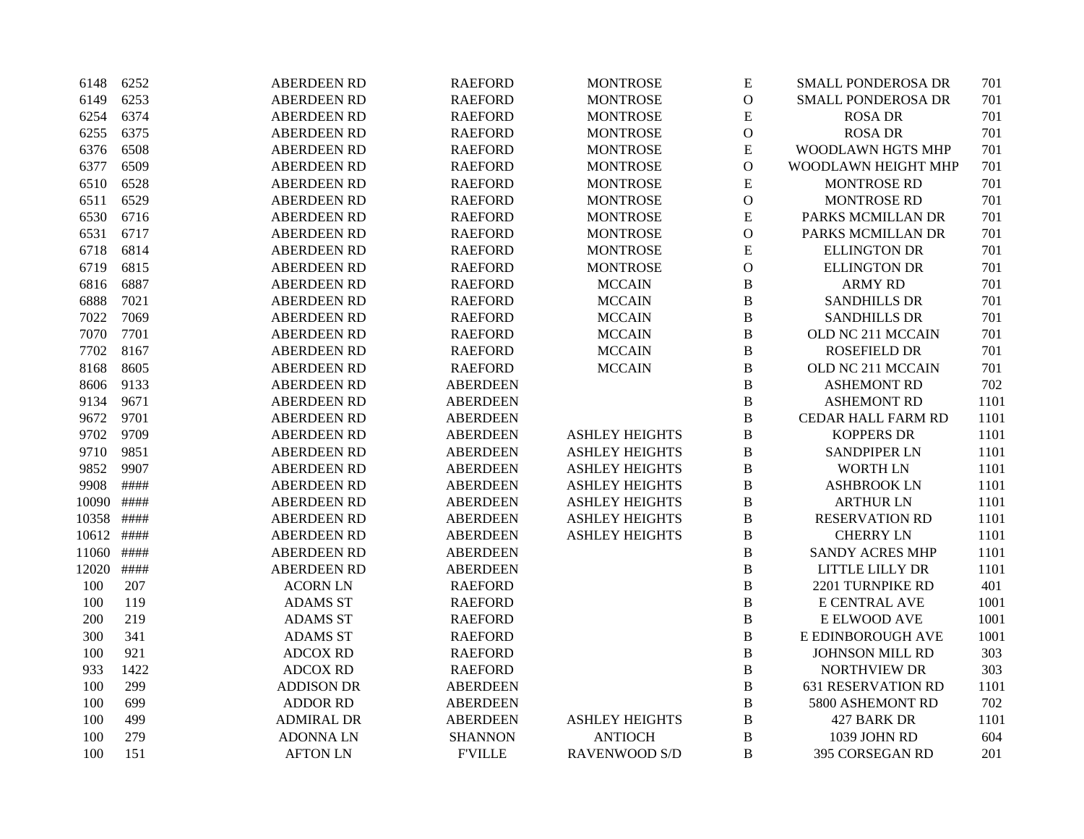| 6148  | 6252 | <b>ABERDEEN RD</b> | <b>RAEFORD</b>  | <b>MONTROSE</b>       | ${\bf E}$      | <b>SMALL PONDEROSA DR</b> | 701  |
|-------|------|--------------------|-----------------|-----------------------|----------------|---------------------------|------|
| 6149  | 6253 | <b>ABERDEEN RD</b> | <b>RAEFORD</b>  | <b>MONTROSE</b>       | $\mathcal{O}$  | <b>SMALL PONDEROSA DR</b> | 701  |
| 6254  | 6374 | <b>ABERDEEN RD</b> | <b>RAEFORD</b>  | <b>MONTROSE</b>       | ${\bf E}$      | <b>ROSA DR</b>            | 701  |
| 6255  | 6375 | <b>ABERDEEN RD</b> | <b>RAEFORD</b>  | <b>MONTROSE</b>       | $\mathcal{O}$  | <b>ROSA DR</b>            | 701  |
| 6376  | 6508 | <b>ABERDEEN RD</b> | <b>RAEFORD</b>  | <b>MONTROSE</b>       | ${\bf E}$      | WOODLAWN HGTS MHP         | 701  |
| 6377  | 6509 | <b>ABERDEEN RD</b> | <b>RAEFORD</b>  | <b>MONTROSE</b>       | $\mathbf{O}$   | WOODLAWN HEIGHT MHP       | 701  |
| 6510  | 6528 | <b>ABERDEEN RD</b> | <b>RAEFORD</b>  | <b>MONTROSE</b>       | ${\bf E}$      | <b>MONTROSE RD</b>        | 701  |
| 6511  | 6529 | <b>ABERDEEN RD</b> | <b>RAEFORD</b>  | <b>MONTROSE</b>       | $\mathbf{O}$   | <b>MONTROSE RD</b>        | 701  |
| 6530  | 6716 | <b>ABERDEEN RD</b> | <b>RAEFORD</b>  | <b>MONTROSE</b>       | ${\bf E}$      | PARKS MCMILLAN DR         | 701  |
| 6531  | 6717 | <b>ABERDEEN RD</b> | <b>RAEFORD</b>  | <b>MONTROSE</b>       | $\overline{O}$ | PARKS MCMILLAN DR         | 701  |
| 6718  | 6814 | <b>ABERDEEN RD</b> | <b>RAEFORD</b>  | <b>MONTROSE</b>       | ${\bf E}$      | <b>ELLINGTON DR</b>       | 701  |
| 6719  | 6815 | <b>ABERDEEN RD</b> | <b>RAEFORD</b>  | <b>MONTROSE</b>       | $\mathbf{O}$   | <b>ELLINGTON DR</b>       | 701  |
| 6816  | 6887 | <b>ABERDEEN RD</b> | <b>RAEFORD</b>  | <b>MCCAIN</b>         | $\, {\bf B}$   | <b>ARMY RD</b>            | 701  |
| 6888  | 7021 | <b>ABERDEEN RD</b> | <b>RAEFORD</b>  | <b>MCCAIN</b>         | B              | <b>SANDHILLS DR</b>       | 701  |
| 7022  | 7069 | <b>ABERDEEN RD</b> | <b>RAEFORD</b>  | <b>MCCAIN</b>         | $\, {\bf B}$   | <b>SANDHILLS DR</b>       | 701  |
| 7070  | 7701 | <b>ABERDEEN RD</b> | <b>RAEFORD</b>  | <b>MCCAIN</b>         | $\, {\bf B}$   | OLD NC 211 MCCAIN         | 701  |
| 7702  | 8167 | <b>ABERDEEN RD</b> | <b>RAEFORD</b>  | <b>MCCAIN</b>         | B              | <b>ROSEFIELD DR</b>       | 701  |
| 8168  | 8605 | <b>ABERDEEN RD</b> | <b>RAEFORD</b>  | <b>MCCAIN</b>         | $\, {\bf B}$   | OLD NC 211 MCCAIN         | 701  |
| 8606  | 9133 | <b>ABERDEEN RD</b> | <b>ABERDEEN</b> |                       | $\, {\bf B}$   | <b>ASHEMONT RD</b>        | 702  |
| 9134  | 9671 | <b>ABERDEEN RD</b> | <b>ABERDEEN</b> |                       | B              | <b>ASHEMONT RD</b>        | 1101 |
| 9672  | 9701 | <b>ABERDEEN RD</b> | <b>ABERDEEN</b> |                       | B              | CEDAR HALL FARM RD        | 1101 |
| 9702  | 9709 | <b>ABERDEEN RD</b> | <b>ABERDEEN</b> | <b>ASHLEY HEIGHTS</b> | $\, {\bf B}$   | <b>KOPPERS DR</b>         | 1101 |
| 9710  | 9851 | <b>ABERDEEN RD</b> | <b>ABERDEEN</b> | <b>ASHLEY HEIGHTS</b> | B              | <b>SANDPIPER LN</b>       | 1101 |
| 9852  | 9907 | <b>ABERDEEN RD</b> | <b>ABERDEEN</b> | <b>ASHLEY HEIGHTS</b> | $\, {\bf B}$   | <b>WORTH LN</b>           | 1101 |
| 9908  | #### | <b>ABERDEEN RD</b> | <b>ABERDEEN</b> | <b>ASHLEY HEIGHTS</b> | $\, {\bf B}$   | <b>ASHBROOK LN</b>        | 1101 |
| 10090 | #### | <b>ABERDEEN RD</b> | <b>ABERDEEN</b> | <b>ASHLEY HEIGHTS</b> | $\, {\bf B}$   | <b>ARTHUR LN</b>          | 1101 |
| 10358 | #### | <b>ABERDEEN RD</b> | <b>ABERDEEN</b> | <b>ASHLEY HEIGHTS</b> | $\, {\bf B}$   | <b>RESERVATION RD</b>     | 1101 |
| 10612 | #### | <b>ABERDEEN RD</b> | <b>ABERDEEN</b> | <b>ASHLEY HEIGHTS</b> | $\, {\bf B}$   | <b>CHERRY LN</b>          | 1101 |
| 11060 | #### | <b>ABERDEEN RD</b> | <b>ABERDEEN</b> |                       | $\, {\bf B}$   | SANDY ACRES MHP           | 1101 |
| 12020 | #### | <b>ABERDEEN RD</b> | <b>ABERDEEN</b> |                       | $\, {\bf B}$   | LITTLE LILLY DR           | 1101 |
| 100   | 207  | <b>ACORN LN</b>    | <b>RAEFORD</b>  |                       | $\, {\bf B}$   | 2201 TURNPIKE RD          | 401  |
| 100   | 119  | <b>ADAMS ST</b>    | <b>RAEFORD</b>  |                       | B              | E CENTRAL AVE             | 1001 |
| 200   | 219  | <b>ADAMS ST</b>    | <b>RAEFORD</b>  |                       | $\, {\bf B}$   | E ELWOOD AVE              | 1001 |
| 300   | 341  | <b>ADAMS ST</b>    | <b>RAEFORD</b>  |                       | $\, {\bf B}$   | E EDINBOROUGH AVE         | 1001 |
| 100   | 921  | <b>ADCOX RD</b>    | <b>RAEFORD</b>  |                       | $\, {\bf B}$   | <b>JOHNSON MILL RD</b>    | 303  |
| 933   | 1422 | <b>ADCOX RD</b>    | <b>RAEFORD</b>  |                       | $\, {\bf B}$   | <b>NORTHVIEW DR</b>       | 303  |
| 100   | 299  | <b>ADDISON DR</b>  | <b>ABERDEEN</b> |                       | B              | <b>631 RESERVATION RD</b> | 1101 |
| 100   | 699  | <b>ADDOR RD</b>    | <b>ABERDEEN</b> |                       | B              | 5800 ASHEMONT RD          | 702  |
| 100   | 499  | <b>ADMIRAL DR</b>  | <b>ABERDEEN</b> | <b>ASHLEY HEIGHTS</b> | $\, {\bf B}$   | 427 BARK DR               | 1101 |
| 100   | 279  | <b>ADONNALN</b>    | <b>SHANNON</b>  | <b>ANTIOCH</b>        | $\bf{B}$       | 1039 JOHN RD              | 604  |
| 100   | 151  | <b>AFTON LN</b>    | <b>F'VILLE</b>  | <b>RAVENWOOD S/D</b>  | B              | 395 CORSEGAN RD           | 201  |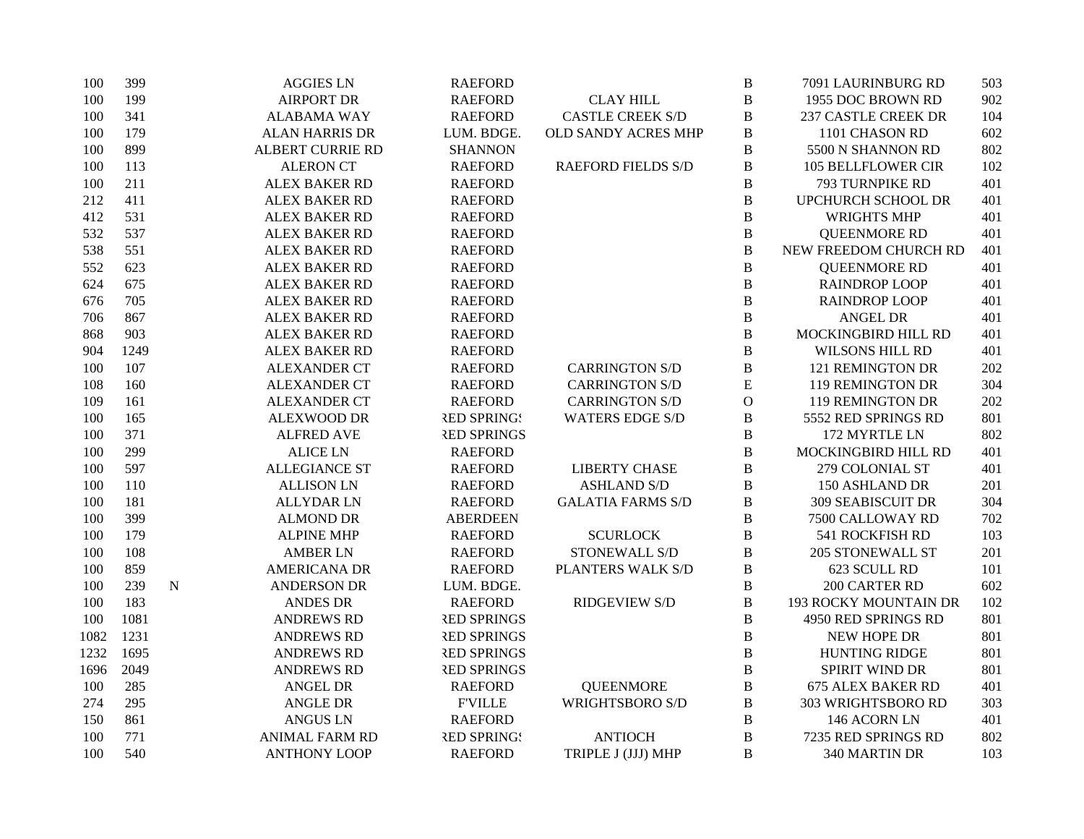| 100  | 399  |           | <b>AGGIES LN</b>        | <b>RAEFORD</b>     |                           | $\, {\bf B}$ | 7091 LAURINBURG RD           | 503 |
|------|------|-----------|-------------------------|--------------------|---------------------------|--------------|------------------------------|-----|
| 100  | 199  |           | <b>AIRPORT DR</b>       | <b>RAEFORD</b>     | <b>CLAY HILL</b>          | $\, {\bf B}$ | 1955 DOC BROWN RD            | 902 |
| 100  | 341  |           | <b>ALABAMA WAY</b>      | <b>RAEFORD</b>     | <b>CASTLE CREEK S/D</b>   | $\, {\bf B}$ | <b>237 CASTLE CREEK DR</b>   | 104 |
| 100  | 179  |           | <b>ALAN HARRIS DR</b>   | LUM. BDGE.         | OLD SANDY ACRES MHP       | $\, {\bf B}$ | 1101 CHASON RD               | 602 |
| 100  | 899  |           | <b>ALBERT CURRIE RD</b> | <b>SHANNON</b>     |                           | $\, {\bf B}$ | 5500 N SHANNON RD            | 802 |
| 100  | 113  |           | <b>ALERON CT</b>        | <b>RAEFORD</b>     | <b>RAEFORD FIELDS S/D</b> | $\, {\bf B}$ | <b>105 BELLFLOWER CIR</b>    | 102 |
| 100  | 211  |           | <b>ALEX BAKER RD</b>    | <b>RAEFORD</b>     |                           | B            | 793 TURNPIKE RD              | 401 |
| 212  | 411  |           | <b>ALEX BAKER RD</b>    | <b>RAEFORD</b>     |                           | B            | UPCHURCH SCHOOL DR           | 401 |
| 412  | 531  |           | <b>ALEX BAKER RD</b>    | <b>RAEFORD</b>     |                           | $\bf{B}$     | <b>WRIGHTS MHP</b>           | 401 |
| 532  | 537  |           | <b>ALEX BAKER RD</b>    | <b>RAEFORD</b>     |                           | $\bf{B}$     | <b>QUEENMORE RD</b>          | 401 |
| 538  | 551  |           | <b>ALEX BAKER RD</b>    | <b>RAEFORD</b>     |                           | $\, {\bf B}$ | NEW FREEDOM CHURCH RD        | 401 |
| 552  | 623  |           | <b>ALEX BAKER RD</b>    | <b>RAEFORD</b>     |                           | $\bf{B}$     | <b>QUEENMORE RD</b>          | 401 |
| 624  | 675  |           | <b>ALEX BAKER RD</b>    | <b>RAEFORD</b>     |                           | $\bf{B}$     | <b>RAINDROP LOOP</b>         | 401 |
| 676  | 705  |           | <b>ALEX BAKER RD</b>    | <b>RAEFORD</b>     |                           | $\, {\bf B}$ | <b>RAINDROP LOOP</b>         | 401 |
| 706  | 867  |           | <b>ALEX BAKER RD</b>    | <b>RAEFORD</b>     |                           | $\, {\bf B}$ | <b>ANGEL DR</b>              | 401 |
| 868  | 903  |           | <b>ALEX BAKER RD</b>    | <b>RAEFORD</b>     |                           | $\, {\bf B}$ | MOCKINGBIRD HILL RD          | 401 |
| 904  | 1249 |           | <b>ALEX BAKER RD</b>    | <b>RAEFORD</b>     |                           | $\, {\bf B}$ | WILSONS HILL RD              | 401 |
| 100  | 107  |           | <b>ALEXANDER CT</b>     | <b>RAEFORD</b>     | <b>CARRINGTON S/D</b>     | $\, {\bf B}$ | 121 REMINGTON DR             | 202 |
| 108  | 160  |           | <b>ALEXANDER CT</b>     | <b>RAEFORD</b>     | <b>CARRINGTON S/D</b>     | ${\bf E}$    | <b>119 REMINGTON DR</b>      | 304 |
| 109  | 161  |           | <b>ALEXANDER CT</b>     | <b>RAEFORD</b>     | <b>CARRINGTON S/D</b>     | $\mathbf O$  | 119 REMINGTON DR             | 202 |
| 100  | 165  |           | <b>ALEXWOOD DR</b>      | <b>RED SPRING!</b> | <b>WATERS EDGE S/D</b>    | B            | 5552 RED SPRINGS RD          | 801 |
| 100  | 371  |           | <b>ALFRED AVE</b>       | <b>RED SPRINGS</b> |                           | $\, {\bf B}$ | 172 MYRTLE LN                | 802 |
| 100  | 299  |           | <b>ALICE LN</b>         | <b>RAEFORD</b>     |                           | B            | MOCKINGBIRD HILL RD          | 401 |
| 100  | 597  |           | <b>ALLEGIANCE ST</b>    | <b>RAEFORD</b>     | <b>LIBERTY CHASE</b>      | B            | 279 COLONIAL ST              | 401 |
| 100  | 110  |           | <b>ALLISON LN</b>       | <b>RAEFORD</b>     | <b>ASHLAND S/D</b>        | $\bf{B}$     | 150 ASHLAND DR               | 201 |
| 100  | 181  |           | <b>ALLYDAR LN</b>       | <b>RAEFORD</b>     | <b>GALATIA FARMS S/D</b>  | $\, {\bf B}$ | <b>309 SEABISCUIT DR</b>     | 304 |
| 100  | 399  |           | <b>ALMOND DR</b>        | <b>ABERDEEN</b>    |                           | $\, {\bf B}$ | 7500 CALLOWAY RD             | 702 |
| 100  | 179  |           | <b>ALPINE MHP</b>       | <b>RAEFORD</b>     | <b>SCURLOCK</b>           | $\, {\bf B}$ | 541 ROCKFISH RD              | 103 |
| 100  | 108  |           | <b>AMBER LN</b>         | <b>RAEFORD</b>     | STONEWALL S/D             | $\, {\bf B}$ | 205 STONEWALL ST             | 201 |
| 100  | 859  |           | <b>AMERICANA DR</b>     | <b>RAEFORD</b>     | PLANTERS WALK S/D         | B            | 623 SCULL RD                 | 101 |
| 100  | 239  | ${\bf N}$ | <b>ANDERSON DR</b>      | LUM. BDGE.         |                           | $\, {\bf B}$ | 200 CARTER RD                | 602 |
| 100  | 183  |           | <b>ANDES DR</b>         | <b>RAEFORD</b>     | <b>RIDGEVIEW S/D</b>      | $\, {\bf B}$ | <b>193 ROCKY MOUNTAIN DR</b> | 102 |
| 100  | 1081 |           | <b>ANDREWS RD</b>       | <b>RED SPRINGS</b> |                           | $\, {\bf B}$ | 4950 RED SPRINGS RD          | 801 |
| 1082 | 1231 |           | <b>ANDREWS RD</b>       | <b>RED SPRINGS</b> |                           | $\, {\bf B}$ | NEW HOPE DR                  | 801 |
| 1232 | 1695 |           | <b>ANDREWS RD</b>       | <b>RED SPRINGS</b> |                           | $\, {\bf B}$ | <b>HUNTING RIDGE</b>         | 801 |
| 1696 | 2049 |           | <b>ANDREWS RD</b>       | <b>RED SPRINGS</b> |                           | $\, {\bf B}$ | SPIRIT WIND DR               | 801 |
| 100  | 285  |           | <b>ANGEL DR</b>         | <b>RAEFORD</b>     | <b>QUEENMORE</b>          | B            | <b>675 ALEX BAKER RD</b>     | 401 |
| 274  | 295  |           | <b>ANGLE DR</b>         | <b>FVILLE</b>      | <b>WRIGHTSBORO S/D</b>    | B            | 303 WRIGHTSBORO RD           | 303 |
| 150  | 861  |           | <b>ANGUS LN</b>         | <b>RAEFORD</b>     |                           | $\, {\bf B}$ | 146 ACORN LN                 | 401 |
| 100  | 771  |           | <b>ANIMAL FARM RD</b>   | <b>RED SPRINGS</b> | <b>ANTIOCH</b>            | $\, {\bf B}$ | 7235 RED SPRINGS RD          | 802 |
| 100  | 540  |           | <b>ANTHONY LOOP</b>     | <b>RAEFORD</b>     | TRIPLE J (JJJ) MHP        | $\mathbf B$  | 340 MARTIN DR                | 103 |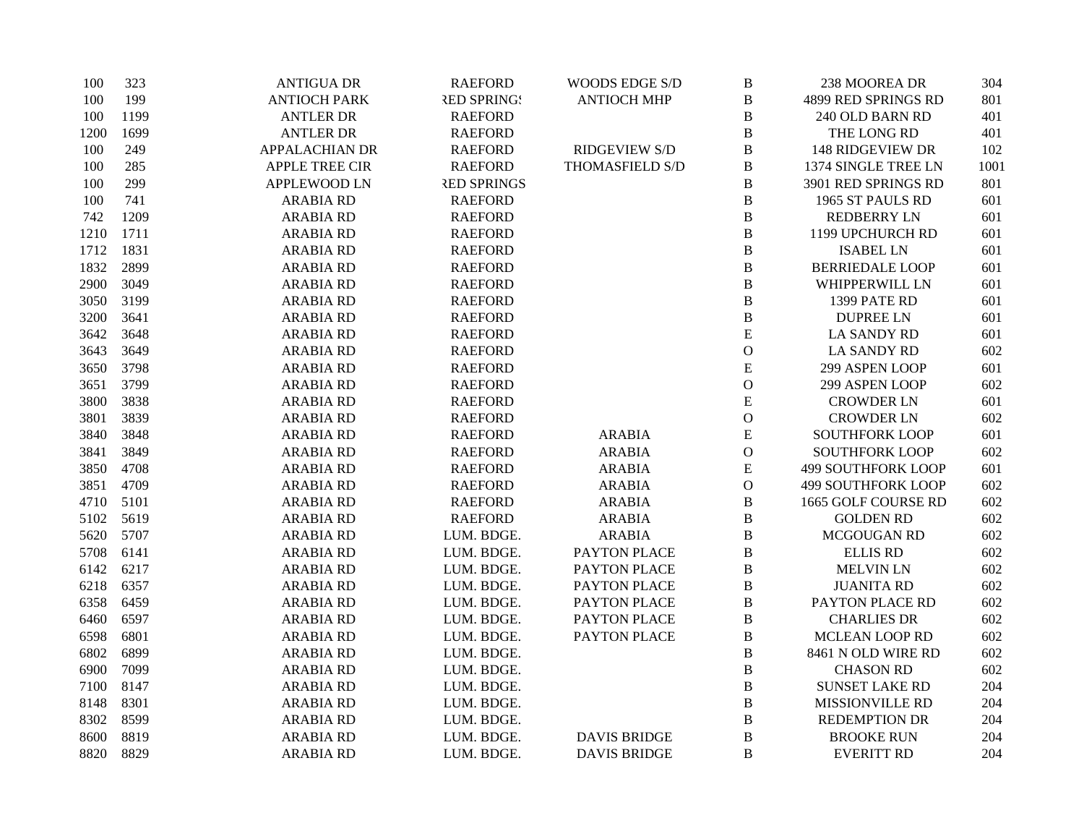| 100  | 323  | <b>ANTIGUA DR</b>     | <b>RAEFORD</b>     | WOODS EDGE S/D      | $\, {\bf B}$  | 238 MOOREA DR             | 304  |
|------|------|-----------------------|--------------------|---------------------|---------------|---------------------------|------|
| 100  | 199  | <b>ANTIOCH PARK</b>   | <b>RED SPRING!</b> | <b>ANTIOCH MHP</b>  | $\bf{B}$      | 4899 RED SPRINGS RD       | 801  |
| 100  | 1199 | <b>ANTLER DR</b>      | <b>RAEFORD</b>     |                     | B             | 240 OLD BARN RD           | 401  |
| 1200 | 1699 | <b>ANTLER DR</b>      | <b>RAEFORD</b>     |                     | $\, {\bf B}$  | THE LONG RD               | 401  |
| 100  | 249  | <b>APPALACHIAN DR</b> | <b>RAEFORD</b>     | RIDGEVIEW S/D       | $\, {\bf B}$  | <b>148 RIDGEVIEW DR</b>   | 102  |
| 100  | 285  | <b>APPLE TREE CIR</b> | <b>RAEFORD</b>     | THOMASFIELD S/D     | $\, {\bf B}$  | 1374 SINGLE TREE LN       | 1001 |
| 100  | 299  | <b>APPLEWOOD LN</b>   | <b>RED SPRINGS</b> |                     | $\bf{B}$      | 3901 RED SPRINGS RD       | 801  |
| 100  | 741  | <b>ARABIA RD</b>      | <b>RAEFORD</b>     |                     | $\bf{B}$      | 1965 ST PAULS RD          | 601  |
| 742  | 1209 | <b>ARABIA RD</b>      | <b>RAEFORD</b>     |                     | B             | <b>REDBERRY LN</b>        | 601  |
| 1210 | 1711 | <b>ARABIA RD</b>      | <b>RAEFORD</b>     |                     | B             | 1199 UPCHURCH RD          | 601  |
| 1712 | 1831 | <b>ARABIA RD</b>      | <b>RAEFORD</b>     |                     | B             | <b>ISABEL LN</b>          | 601  |
| 1832 | 2899 | <b>ARABIA RD</b>      | <b>RAEFORD</b>     |                     | $\, {\bf B}$  | <b>BERRIEDALE LOOP</b>    | 601  |
| 2900 | 3049 | <b>ARABIA RD</b>      | <b>RAEFORD</b>     |                     | $\, {\bf B}$  | WHIPPERWILL LN            | 601  |
| 3050 | 3199 | <b>ARABIA RD</b>      | <b>RAEFORD</b>     |                     | B             | 1399 PATE RD              | 601  |
| 3200 | 3641 | <b>ARABIA RD</b>      | <b>RAEFORD</b>     |                     | $\bf{B}$      | <b>DUPREE LN</b>          | 601  |
| 3642 | 3648 | <b>ARABIA RD</b>      | <b>RAEFORD</b>     |                     | ${\bf E}$     | <b>LA SANDY RD</b>        | 601  |
| 3643 | 3649 | <b>ARABIA RD</b>      | <b>RAEFORD</b>     |                     | $\mathcal{O}$ | <b>LA SANDY RD</b>        | 602  |
| 3650 | 3798 | <b>ARABIA RD</b>      | <b>RAEFORD</b>     |                     | ${\bf E}$     | 299 ASPEN LOOP            | 601  |
| 3651 | 3799 | <b>ARABIA RD</b>      | <b>RAEFORD</b>     |                     | $\mathbf{O}$  | 299 ASPEN LOOP            | 602  |
| 3800 | 3838 | <b>ARABIA RD</b>      | <b>RAEFORD</b>     |                     | E             | <b>CROWDER LN</b>         | 601  |
| 3801 | 3839 | <b>ARABIA RD</b>      | <b>RAEFORD</b>     |                     | $\mathcal{O}$ | <b>CROWDER LN</b>         | 602  |
| 3840 | 3848 | <b>ARABIA RD</b>      | <b>RAEFORD</b>     | <b>ARABIA</b>       | ${\bf E}$     | <b>SOUTHFORK LOOP</b>     | 601  |
| 3841 | 3849 | <b>ARABIA RD</b>      | <b>RAEFORD</b>     | <b>ARABIA</b>       | $\mathcal{O}$ | <b>SOUTHFORK LOOP</b>     | 602  |
| 3850 | 4708 | <b>ARABIA RD</b>      | <b>RAEFORD</b>     | <b>ARABIA</b>       | E             | <b>499 SOUTHFORK LOOP</b> | 601  |
| 3851 | 4709 | <b>ARABIA RD</b>      | <b>RAEFORD</b>     | <b>ARABIA</b>       | $\mathbf{O}$  | <b>499 SOUTHFORK LOOP</b> | 602  |
| 4710 | 5101 | <b>ARABIA RD</b>      | <b>RAEFORD</b>     | <b>ARABIA</b>       | $\, {\bf B}$  | 1665 GOLF COURSE RD       | 602  |
| 5102 | 5619 | <b>ARABIA RD</b>      | <b>RAEFORD</b>     | <b>ARABIA</b>       | B             | <b>GOLDEN RD</b>          | 602  |
| 5620 | 5707 | <b>ARABIA RD</b>      | LUM. BDGE.         | <b>ARABIA</b>       | $\, {\bf B}$  | MCGOUGAN RD               | 602  |
| 5708 | 6141 | <b>ARABIA RD</b>      | LUM. BDGE.         | PAYTON PLACE        | $\, {\bf B}$  | <b>ELLIS RD</b>           | 602  |
| 6142 | 6217 | <b>ARABIA RD</b>      | LUM. BDGE.         | PAYTON PLACE        | $\bf{B}$      | <b>MELVIN LN</b>          | 602  |
| 6218 | 6357 | <b>ARABIA RD</b>      | LUM. BDGE.         | PAYTON PLACE        | $\bf{B}$      | <b>JUANITA RD</b>         | 602  |
| 6358 | 6459 | <b>ARABIA RD</b>      | LUM. BDGE.         | PAYTON PLACE        | B             | PAYTON PLACE RD           | 602  |
| 6460 | 6597 | <b>ARABIA RD</b>      | LUM. BDGE.         | PAYTON PLACE        | B             | <b>CHARLIES DR</b>        | 602  |
| 6598 | 6801 | <b>ARABIA RD</b>      | LUM. BDGE.         | PAYTON PLACE        | $\, {\bf B}$  | <b>MCLEAN LOOP RD</b>     | 602  |
| 6802 | 6899 | <b>ARABIA RD</b>      | LUM. BDGE.         |                     | $\bf{B}$      | 8461 N OLD WIRE RD        | 602  |
| 6900 | 7099 | <b>ARABIA RD</b>      | LUM. BDGE.         |                     | $\bf{B}$      | <b>CHASON RD</b>          | 602  |
| 7100 | 8147 | <b>ARABIA RD</b>      | LUM. BDGE.         |                     | B             | <b>SUNSET LAKE RD</b>     | 204  |
| 8148 | 8301 | <b>ARABIA RD</b>      | LUM. BDGE.         |                     | B             | MISSIONVILLE RD           | 204  |
| 8302 | 8599 | <b>ARABIA RD</b>      | LUM. BDGE.         |                     | B             | <b>REDEMPTION DR</b>      | 204  |
| 8600 | 8819 | <b>ARABIA RD</b>      | LUM. BDGE.         | <b>DAVIS BRIDGE</b> | $\, {\bf B}$  | <b>BROOKE RUN</b>         | 204  |
| 8820 | 8829 | <b>ARABIA RD</b>      | LUM. BDGE.         | <b>DAVIS BRIDGE</b> | B             | <b>EVERITT RD</b>         | 204  |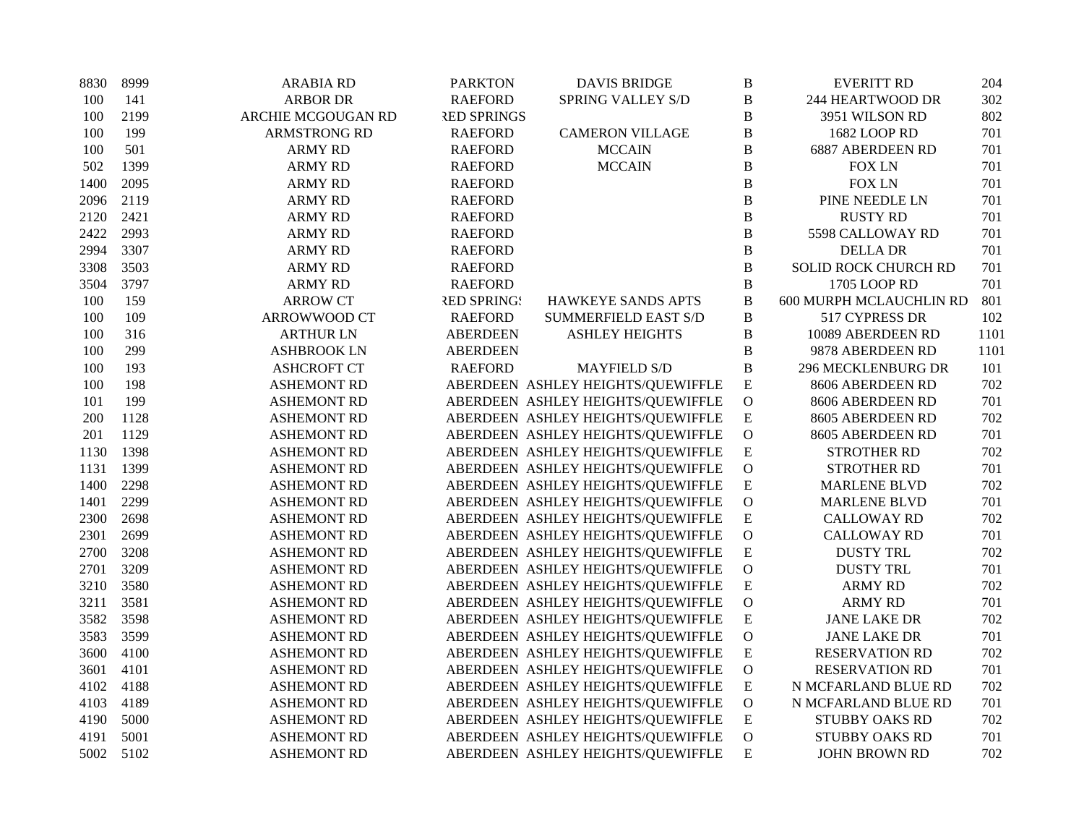| 8830 | 8999 | <b>ARABIA RD</b>    | <b>PARKTON</b>     | <b>DAVIS BRIDGE</b>               | $\, {\bf B}$   | <b>EVERITT RD</b>           | 204  |
|------|------|---------------------|--------------------|-----------------------------------|----------------|-----------------------------|------|
| 100  | 141  | <b>ARBOR DR</b>     | <b>RAEFORD</b>     | SPRING VALLEY S/D                 | $\bf{B}$       | 244 HEARTWOOD DR            | 302  |
| 100  | 2199 | ARCHIE MCGOUGAN RD  | <b>RED SPRINGS</b> |                                   | $\bf{B}$       | 3951 WILSON RD              | 802  |
| 100  | 199  | <b>ARMSTRONG RD</b> | <b>RAEFORD</b>     | <b>CAMERON VILLAGE</b>            | $\, {\bf B}$   | 1682 LOOP RD                | 701  |
| 100  | 501  | <b>ARMY RD</b>      | <b>RAEFORD</b>     | <b>MCCAIN</b>                     | $\bf{B}$       | 6887 ABERDEEN RD            | 701  |
| 502  | 1399 | <b>ARMY RD</b>      | <b>RAEFORD</b>     | <b>MCCAIN</b>                     | $\, {\bf B}$   | <b>FOX LN</b>               | 701  |
| 1400 | 2095 | <b>ARMY RD</b>      | <b>RAEFORD</b>     |                                   | $\bf{B}$       | <b>FOX LN</b>               | 701  |
| 2096 | 2119 | <b>ARMY RD</b>      | <b>RAEFORD</b>     |                                   | $\bf{B}$       | PINE NEEDLE LN              | 701  |
| 2120 | 2421 | <b>ARMY RD</b>      | <b>RAEFORD</b>     |                                   | $\, {\bf B}$   | <b>RUSTY RD</b>             | 701  |
| 2422 | 2993 | <b>ARMY RD</b>      | <b>RAEFORD</b>     |                                   | $\, {\bf B}$   | 5598 CALLOWAY RD            | 701  |
| 2994 | 3307 | <b>ARMY RD</b>      | <b>RAEFORD</b>     |                                   | $\bf{B}$       | <b>DELLA DR</b>             | 701  |
| 3308 | 3503 | <b>ARMY RD</b>      | <b>RAEFORD</b>     |                                   | $\, {\bf B}$   | <b>SOLID ROCK CHURCH RD</b> | 701  |
| 3504 | 3797 | <b>ARMY RD</b>      | <b>RAEFORD</b>     |                                   | $\bf{B}$       | 1705 LOOP RD                | 701  |
| 100  | 159  | <b>ARROW CT</b>     | <b>RED SPRING!</b> | HAWKEYE SANDS APTS                | $\bf{B}$       | 600 MURPH MCLAUCHLIN RD     | 801  |
| 100  | 109  | ARROWWOOD CT        | <b>RAEFORD</b>     | <b>SUMMERFIELD EAST S/D</b>       | $\, {\bf B}$   | 517 CYPRESS DR              | 102  |
| 100  | 316  | <b>ARTHUR LN</b>    | <b>ABERDEEN</b>    | <b>ASHLEY HEIGHTS</b>             | $\, {\bf B}$   | 10089 ABERDEEN RD           | 1101 |
| 100  | 299  | <b>ASHBROOK LN</b>  | <b>ABERDEEN</b>    |                                   | $\, {\bf B}$   | 9878 ABERDEEN RD            | 1101 |
| 100  | 193  | <b>ASHCROFT CT</b>  | <b>RAEFORD</b>     | <b>MAYFIELD S/D</b>               | $\, {\bf B}$   | <b>296 MECKLENBURG DR</b>   | 101  |
| 100  | 198  | <b>ASHEMONT RD</b>  |                    | ABERDEEN ASHLEY HEIGHTS/QUEWIFFLE | ${\bf E}$      | 8606 ABERDEEN RD            | 702  |
| 101  | 199  | <b>ASHEMONT RD</b>  |                    | ABERDEEN ASHLEY HEIGHTS/QUEWIFFLE | $\mathbf 0$    | 8606 ABERDEEN RD            | 701  |
| 200  | 1128 | <b>ASHEMONT RD</b>  |                    | ABERDEEN ASHLEY HEIGHTS/QUEWIFFLE | ${\bf E}$      | 8605 ABERDEEN RD            | 702  |
| 201  | 1129 | <b>ASHEMONT RD</b>  |                    | ABERDEEN ASHLEY HEIGHTS/QUEWIFFLE | ${\mathcal O}$ | 8605 ABERDEEN RD            | 701  |
| 1130 | 1398 | <b>ASHEMONT RD</b>  |                    | ABERDEEN ASHLEY HEIGHTS/QUEWIFFLE | ${\bf E}$      | <b>STROTHER RD</b>          | 702  |
| 1131 | 1399 | <b>ASHEMONT RD</b>  |                    | ABERDEEN ASHLEY HEIGHTS/QUEWIFFLE | $\mathbf O$    | <b>STROTHER RD</b>          | 701  |
| 1400 | 2298 | <b>ASHEMONT RD</b>  |                    | ABERDEEN ASHLEY HEIGHTS/QUEWIFFLE | ${\bf E}$      | <b>MARLENE BLVD</b>         | 702  |
| 1401 | 2299 | <b>ASHEMONT RD</b>  |                    | ABERDEEN ASHLEY HEIGHTS/QUEWIFFLE | $\mathbf 0$    | <b>MARLENE BLVD</b>         | 701  |
| 2300 | 2698 | <b>ASHEMONT RD</b>  |                    | ABERDEEN ASHLEY HEIGHTS/QUEWIFFLE | ${\bf E}$      | <b>CALLOWAY RD</b>          | 702  |
| 2301 | 2699 | <b>ASHEMONT RD</b>  |                    | ABERDEEN ASHLEY HEIGHTS/QUEWIFFLE | $\mathcal O$   | <b>CALLOWAY RD</b>          | 701  |
| 2700 | 3208 | <b>ASHEMONT RD</b>  |                    | ABERDEEN ASHLEY HEIGHTS/QUEWIFFLE | ${\bf E}$      | <b>DUSTY TRL</b>            | 702  |
| 2701 | 3209 | <b>ASHEMONT RD</b>  |                    | ABERDEEN ASHLEY HEIGHTS/QUEWIFFLE | $\mathbf{O}$   | <b>DUSTY TRL</b>            | 701  |
| 3210 | 3580 | <b>ASHEMONT RD</b>  |                    | ABERDEEN ASHLEY HEIGHTS/QUEWIFFLE | ${\bf E}$      | <b>ARMY RD</b>              | 702  |
| 3211 | 3581 | <b>ASHEMONT RD</b>  |                    | ABERDEEN ASHLEY HEIGHTS/QUEWIFFLE | ${\rm O}$      | <b>ARMY RD</b>              | 701  |
| 3582 | 3598 | <b>ASHEMONT RD</b>  |                    | ABERDEEN ASHLEY HEIGHTS/QUEWIFFLE | ${\bf E}$      | <b>JANE LAKE DR</b>         | 702  |
| 3583 | 3599 | <b>ASHEMONT RD</b>  |                    | ABERDEEN ASHLEY HEIGHTS/QUEWIFFLE | $\mathcal O$   | <b>JANE LAKE DR</b>         | 701  |
| 3600 | 4100 | <b>ASHEMONT RD</b>  |                    | ABERDEEN ASHLEY HEIGHTS/QUEWIFFLE | ${\bf E}$      | <b>RESERVATION RD</b>       | 702  |
| 3601 | 4101 | <b>ASHEMONT RD</b>  |                    | ABERDEEN ASHLEY HEIGHTS/QUEWIFFLE | ${\rm O}$      | <b>RESERVATION RD</b>       | 701  |
| 4102 | 4188 | <b>ASHEMONT RD</b>  |                    | ABERDEEN ASHLEY HEIGHTS/QUEWIFFLE | ${\bf E}$      | N MCFARLAND BLUE RD         | 702  |
| 4103 | 4189 | <b>ASHEMONT RD</b>  |                    | ABERDEEN ASHLEY HEIGHTS/QUEWIFFLE | ${\cal O}$     | N MCFARLAND BLUE RD         | 701  |
| 4190 | 5000 | <b>ASHEMONT RD</b>  |                    | ABERDEEN ASHLEY HEIGHTS/QUEWIFFLE | ${\bf E}$      | <b>STUBBY OAKS RD</b>       | 702  |
| 4191 | 5001 | <b>ASHEMONT RD</b>  |                    | ABERDEEN ASHLEY HEIGHTS/QUEWIFFLE | $\mathcal O$   | <b>STUBBY OAKS RD</b>       | 701  |
| 5002 | 5102 | <b>ASHEMONT RD</b>  |                    | ABERDEEN ASHLEY HEIGHTS/QUEWIFFLE | E              | <b>JOHN BROWN RD</b>        | 702  |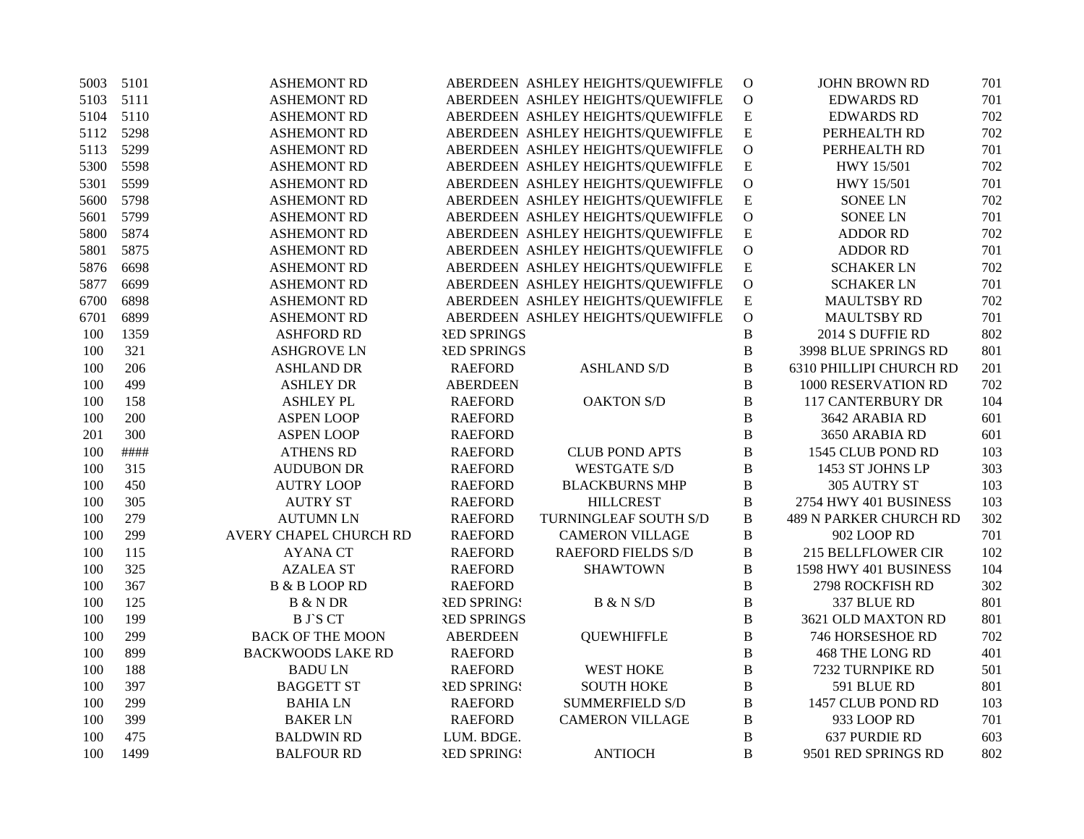| 5003    | 5101 | <b>ASHEMONT RD</b>       |                    | ABERDEEN ASHLEY HEIGHTS/QUEWIFFLE | $\mathbf{O}$   | <b>JOHN BROWN RD</b>          | 701 |
|---------|------|--------------------------|--------------------|-----------------------------------|----------------|-------------------------------|-----|
| 5103    | 5111 | <b>ASHEMONT RD</b>       |                    | ABERDEEN ASHLEY HEIGHTS/QUEWIFFLE | $\mathbf O$    | <b>EDWARDS RD</b>             | 701 |
| 5104    | 5110 | <b>ASHEMONT RD</b>       |                    | ABERDEEN ASHLEY HEIGHTS/QUEWIFFLE | ${\bf E}$      | <b>EDWARDS RD</b>             | 702 |
| 5112    | 5298 | <b>ASHEMONT RD</b>       |                    | ABERDEEN ASHLEY HEIGHTS/QUEWIFFLE | ${\bf E}$      | PERHEALTH RD                  | 702 |
| 5113    | 5299 | <b>ASHEMONT RD</b>       |                    | ABERDEEN ASHLEY HEIGHTS/QUEWIFFLE | $\overline{O}$ | PERHEALTH RD                  | 701 |
| 5300    | 5598 | <b>ASHEMONT RD</b>       |                    | ABERDEEN ASHLEY HEIGHTS/QUEWIFFLE | ${\bf E}$      | HWY 15/501                    | 702 |
| 5301    | 5599 | <b>ASHEMONT RD</b>       |                    | ABERDEEN ASHLEY HEIGHTS/QUEWIFFLE | $\mathbf{O}$   | HWY 15/501                    | 701 |
| 5600    | 5798 | <b>ASHEMONT RD</b>       |                    | ABERDEEN ASHLEY HEIGHTS/QUEWIFFLE | ${\bf E}$      | <b>SONEE LN</b>               | 702 |
| 5601    | 5799 | <b>ASHEMONT RD</b>       |                    | ABERDEEN ASHLEY HEIGHTS/QUEWIFFLE | $\overline{O}$ | <b>SONEE LN</b>               | 701 |
| 5800    | 5874 | <b>ASHEMONT RD</b>       |                    | ABERDEEN ASHLEY HEIGHTS/QUEWIFFLE | $\mathbf E$    | <b>ADDOR RD</b>               | 702 |
| 5801    | 5875 | <b>ASHEMONT RD</b>       |                    | ABERDEEN ASHLEY HEIGHTS/QUEWIFFLE | ${\mathcal O}$ | <b>ADDOR RD</b>               | 701 |
| 5876    | 6698 | <b>ASHEMONT RD</b>       |                    | ABERDEEN ASHLEY HEIGHTS/QUEWIFFLE | $\overline{E}$ | <b>SCHAKER LN</b>             | 702 |
| 5877    | 6699 | <b>ASHEMONT RD</b>       |                    | ABERDEEN ASHLEY HEIGHTS/QUEWIFFLE | $\mathbf O$    | <b>SCHAKER LN</b>             | 701 |
| 6700    | 6898 | <b>ASHEMONT RD</b>       |                    | ABERDEEN ASHLEY HEIGHTS/QUEWIFFLE | ${\bf E}$      | MAULTSBY RD                   | 702 |
| 6701    | 6899 | <b>ASHEMONT RD</b>       |                    | ABERDEEN ASHLEY HEIGHTS/QUEWIFFLE | $\mathbf O$    | <b>MAULTSBY RD</b>            | 701 |
| 100     | 1359 | <b>ASHFORD RD</b>        | <b>RED SPRINGS</b> |                                   | $\, {\bf B}$   | 2014 S DUFFIE RD              | 802 |
| 100     | 321  | <b>ASHGROVE LN</b>       | <b>RED SPRINGS</b> |                                   | $\, {\bf B}$   | 3998 BLUE SPRINGS RD          | 801 |
| 100     | 206  | <b>ASHLAND DR</b>        | <b>RAEFORD</b>     | <b>ASHLAND S/D</b>                | $\, {\bf B}$   | 6310 PHILLIPI CHURCH RD       | 201 |
| 100     | 499  | <b>ASHLEY DR</b>         | <b>ABERDEEN</b>    |                                   | B              | 1000 RESERVATION RD           | 702 |
| 100     | 158  | <b>ASHLEY PL</b>         | <b>RAEFORD</b>     | <b>OAKTON S/D</b>                 | $\, {\bf B}$   | <b>117 CANTERBURY DR</b>      | 104 |
| 100     | 200  | <b>ASPEN LOOP</b>        | <b>RAEFORD</b>     |                                   | $\, {\bf B}$   | 3642 ARABIA RD                | 601 |
| 201     | 300  | <b>ASPEN LOOP</b>        | <b>RAEFORD</b>     |                                   | $\, {\bf B}$   | 3650 ARABIA RD                | 601 |
| 100     | #### | <b>ATHENS RD</b>         | <b>RAEFORD</b>     | <b>CLUB POND APTS</b>             | $\, {\bf B}$   | 1545 CLUB POND RD             | 103 |
| 100     | 315  | <b>AUDUBON DR</b>        | <b>RAEFORD</b>     | <b>WESTGATE S/D</b>               | $\, {\bf B}$   | 1453 ST JOHNS LP              | 303 |
| 100     | 450  | <b>AUTRY LOOP</b>        | <b>RAEFORD</b>     | <b>BLACKBURNS MHP</b>             | $\, {\bf B}$   | 305 AUTRY ST                  | 103 |
| 100     | 305  | <b>AUTRY ST</b>          | <b>RAEFORD</b>     | <b>HILLCREST</b>                  | $\, {\bf B}$   | 2754 HWY 401 BUSINESS         | 103 |
| 100     | 279  | <b>AUTUMN LN</b>         | <b>RAEFORD</b>     | TURNINGLEAF SOUTH S/D             | $\, {\bf B}$   | <b>489 N PARKER CHURCH RD</b> | 302 |
| 100     | 299  | AVERY CHAPEL CHURCH RD   | <b>RAEFORD</b>     | <b>CAMERON VILLAGE</b>            | $\, {\bf B}$   | 902 LOOP RD                   | 701 |
| 100     | 115  | <b>AYANA CT</b>          | <b>RAEFORD</b>     | <b>RAEFORD FIELDS S/D</b>         | $\, {\bf B}$   | <b>215 BELLFLOWER CIR</b>     | 102 |
| 100     | 325  | <b>AZALEA ST</b>         | <b>RAEFORD</b>     | <b>SHAWTOWN</b>                   | $\, {\bf B}$   | 1598 HWY 401 BUSINESS         | 104 |
| 100     | 367  | <b>B &amp; B LOOP RD</b> | <b>RAEFORD</b>     |                                   | $\bf{B}$       | 2798 ROCKFISH RD              | 302 |
| $100\,$ | 125  | <b>B</b> & N DR          | <b>RED SPRINGS</b> | B & N S/D                         | $\, {\bf B}$   | 337 BLUE RD                   | 801 |
| 100     | 199  | <b>B</b> J`S CT          | <b>RED SPRINGS</b> |                                   | B              | 3621 OLD MAXTON RD            | 801 |
| 100     | 299  | <b>BACK OF THE MOON</b>  | <b>ABERDEEN</b>    | <b>QUEWHIFFLE</b>                 | $\, {\bf B}$   | 746 HORSESHOE RD              | 702 |
| 100     | 899  | <b>BACKWOODS LAKE RD</b> | <b>RAEFORD</b>     |                                   | $\, {\bf B}$   | <b>468 THE LONG RD</b>        | 401 |
| 100     | 188  | <b>BADULN</b>            | <b>RAEFORD</b>     | <b>WEST HOKE</b>                  | B              | 7232 TURNPIKE RD              | 501 |
| 100     | 397  | <b>BAGGETT ST</b>        | <b>RED SPRINGS</b> | <b>SOUTH HOKE</b>                 | $\, {\bf B}$   | 591 BLUE RD                   | 801 |
| 100     | 299  | <b>BAHIALN</b>           | <b>RAEFORD</b>     | <b>SUMMERFIELD S/D</b>            | $\, {\bf B}$   | 1457 CLUB POND RD             | 103 |
| 100     | 399  | <b>BAKER LN</b>          | <b>RAEFORD</b>     | <b>CAMERON VILLAGE</b>            | $\, {\bf B}$   | 933 LOOP RD                   | 701 |
| 100     | 475  | <b>BALDWIN RD</b>        | LUM. BDGE.         |                                   | $\, {\bf B}$   | 637 PURDIE RD                 | 603 |
| 100     | 1499 | <b>BALFOUR RD</b>        | <b>RED SPRING!</b> | <b>ANTIOCH</b>                    | B              | 9501 RED SPRINGS RD           | 802 |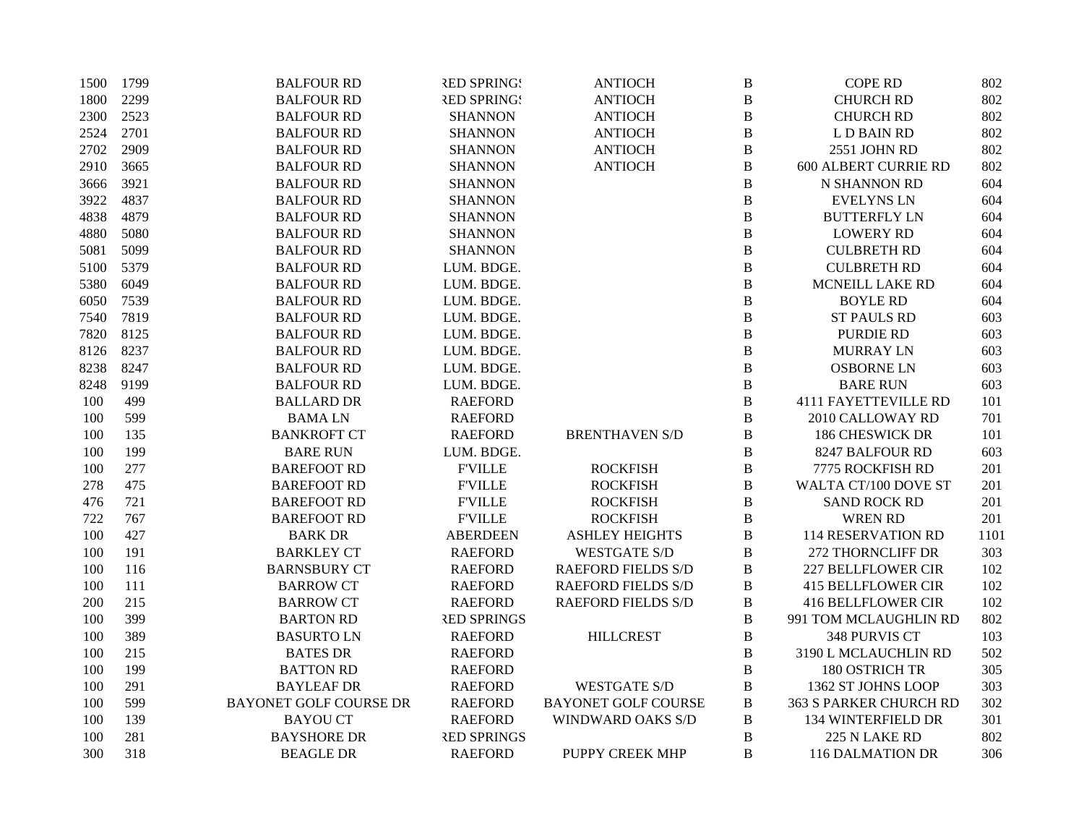| 1500 | 1799 | <b>BALFOUR RD</b>             | <b>RED SPRING!</b> | <b>ANTIOCH</b>             | B                | <b>COPE RD</b>              | 802  |
|------|------|-------------------------------|--------------------|----------------------------|------------------|-----------------------------|------|
| 1800 | 2299 | <b>BALFOUR RD</b>             | <b>RED SPRING!</b> | <b>ANTIOCH</b>             | $\, {\bf B}$     | <b>CHURCH RD</b>            | 802  |
| 2300 | 2523 | <b>BALFOUR RD</b>             | <b>SHANNON</b>     | <b>ANTIOCH</b>             | $\, {\bf B}$     | <b>CHURCH RD</b>            | 802  |
| 2524 | 2701 | <b>BALFOUR RD</b>             | <b>SHANNON</b>     | <b>ANTIOCH</b>             | $\bf{B}$         | L D BAIN RD                 | 802  |
| 2702 | 2909 | <b>BALFOUR RD</b>             | <b>SHANNON</b>     | <b>ANTIOCH</b>             | $\, {\bf B}$     | 2551 JOHN RD                | 802  |
| 2910 | 3665 | <b>BALFOUR RD</b>             | <b>SHANNON</b>     | <b>ANTIOCH</b>             | $\boldsymbol{B}$ | <b>600 ALBERT CURRIE RD</b> | 802  |
| 3666 | 3921 | <b>BALFOUR RD</b>             | <b>SHANNON</b>     |                            | B                | N SHANNON RD                | 604  |
| 3922 | 4837 | <b>BALFOUR RD</b>             | <b>SHANNON</b>     |                            | B                | <b>EVELYNS LN</b>           | 604  |
| 4838 | 4879 | <b>BALFOUR RD</b>             | <b>SHANNON</b>     |                            | B                | <b>BUTTERFLY LN</b>         | 604  |
| 4880 | 5080 | <b>BALFOUR RD</b>             | <b>SHANNON</b>     |                            | $\, {\bf B}$     | <b>LOWERY RD</b>            | 604  |
| 5081 | 5099 | <b>BALFOUR RD</b>             | <b>SHANNON</b>     |                            | $\bf{B}$         | <b>CULBRETH RD</b>          | 604  |
| 5100 | 5379 | <b>BALFOUR RD</b>             | LUM. BDGE.         |                            | B                | <b>CULBRETH RD</b>          | 604  |
| 5380 | 6049 | <b>BALFOUR RD</b>             | LUM. BDGE.         |                            | $\bf{B}$         | MCNEILL LAKE RD             | 604  |
| 6050 | 7539 | <b>BALFOUR RD</b>             | LUM. BDGE.         |                            | $\, {\bf B}$     | <b>BOYLE RD</b>             | 604  |
| 7540 | 7819 | <b>BALFOUR RD</b>             | LUM. BDGE.         |                            | $\, {\bf B}$     | <b>ST PAULS RD</b>          | 603  |
| 7820 | 8125 | <b>BALFOUR RD</b>             | LUM. BDGE.         |                            | $\, {\bf B}$     | PURDIE RD                   | 603  |
| 8126 | 8237 | <b>BALFOUR RD</b>             | LUM. BDGE.         |                            | $\, {\bf B}$     | <b>MURRAY LN</b>            | 603  |
| 8238 | 8247 | <b>BALFOUR RD</b>             | LUM. BDGE.         |                            | $\bf{B}$         | <b>OSBORNE LN</b>           | 603  |
| 8248 | 9199 | <b>BALFOUR RD</b>             | LUM. BDGE.         |                            | B                | <b>BARE RUN</b>             | 603  |
| 100  | 499  | <b>BALLARD DR</b>             | <b>RAEFORD</b>     |                            | $\, {\bf B}$     | <b>4111 FAYETTEVILLE RD</b> | 101  |
| 100  | 599  | <b>BAMALN</b>                 | <b>RAEFORD</b>     |                            | B                | 2010 CALLOWAY RD            | 701  |
| 100  | 135  | <b>BANKROFT CT</b>            | <b>RAEFORD</b>     | <b>BRENTHAVEN S/D</b>      | B                | <b>186 CHESWICK DR</b>      | 101  |
| 100  | 199  | <b>BARE RUN</b>               | LUM. BDGE.         |                            | $\bf{B}$         | 8247 BALFOUR RD             | 603  |
| 100  | 277  | <b>BAREFOOT RD</b>            | <b>F'VILLE</b>     | <b>ROCKFISH</b>            | $\bf{B}$         | 7775 ROCKFISH RD            | 201  |
| 278  | 475  | <b>BAREFOOT RD</b>            | <b>F'VILLE</b>     | <b>ROCKFISH</b>            | $\, {\bf B}$     | WALTA CT/100 DOVE ST        | 201  |
| 476  | 721  | <b>BAREFOOT RD</b>            | <b>F'VILLE</b>     | <b>ROCKFISH</b>            | B                | <b>SAND ROCK RD</b>         | 201  |
| 722  | 767  | <b>BAREFOOT RD</b>            | <b>FVILLE</b>      | <b>ROCKFISH</b>            | $\, {\bf B}$     | <b>WREN RD</b>              | 201  |
| 100  | 427  | <b>BARK DR</b>                | <b>ABERDEEN</b>    | <b>ASHLEY HEIGHTS</b>      | $\, {\bf B}$     | <b>114 RESERVATION RD</b>   | 1101 |
| 100  | 191  | <b>BARKLEY CT</b>             | <b>RAEFORD</b>     | <b>WESTGATE S/D</b>        | $\, {\bf B}$     | 272 THORNCLIFF DR           | 303  |
| 100  | 116  | <b>BARNSBURY CT</b>           | <b>RAEFORD</b>     | <b>RAEFORD FIELDS S/D</b>  | B                | <b>227 BELLFLOWER CIR</b>   | 102  |
| 100  | 111  | <b>BARROW CT</b>              | <b>RAEFORD</b>     | <b>RAEFORD FIELDS S/D</b>  | B                | <b>415 BELLFLOWER CIR</b>   | 102  |
| 200  | 215  | <b>BARROW CT</b>              | <b>RAEFORD</b>     | <b>RAEFORD FIELDS S/D</b>  | B                | <b>416 BELLFLOWER CIR</b>   | 102  |
| 100  | 399  | <b>BARTON RD</b>              | <b>RED SPRINGS</b> |                            | B                | 991 TOM MCLAUGHLIN RD       | 802  |
| 100  | 389  | <b>BASURTO LN</b>             | <b>RAEFORD</b>     | <b>HILLCREST</b>           | $\bf{B}$         | 348 PURVIS CT               | 103  |
| 100  | 215  | <b>BATES DR</b>               | <b>RAEFORD</b>     |                            | $\, {\bf B}$     | 3190 L MCLAUCHLIN RD        | 502  |
| 100  | 199  | <b>BATTON RD</b>              | <b>RAEFORD</b>     |                            | B                | 180 OSTRICH TR              | 305  |
| 100  | 291  | <b>BAYLEAF DR</b>             | <b>RAEFORD</b>     | <b>WESTGATE S/D</b>        | B                | 1362 ST JOHNS LOOP          | 303  |
| 100  | 599  | <b>BAYONET GOLF COURSE DR</b> | <b>RAEFORD</b>     | <b>BAYONET GOLF COURSE</b> | B                | 363 S PARKER CHURCH RD      | 302  |
| 100  | 139  | <b>BAYOU CT</b>               | <b>RAEFORD</b>     | <b>WINDWARD OAKS S/D</b>   | B                | 134 WINTERFIELD DR          | 301  |
| 100  | 281  | <b>BAYSHORE DR</b>            | <b>RED SPRINGS</b> |                            | B                | 225 N LAKE RD               | 802  |
| 300  | 318  | <b>BEAGLE DR</b>              | <b>RAEFORD</b>     | PUPPY CREEK MHP            | B                | 116 DALMATION DR            | 306  |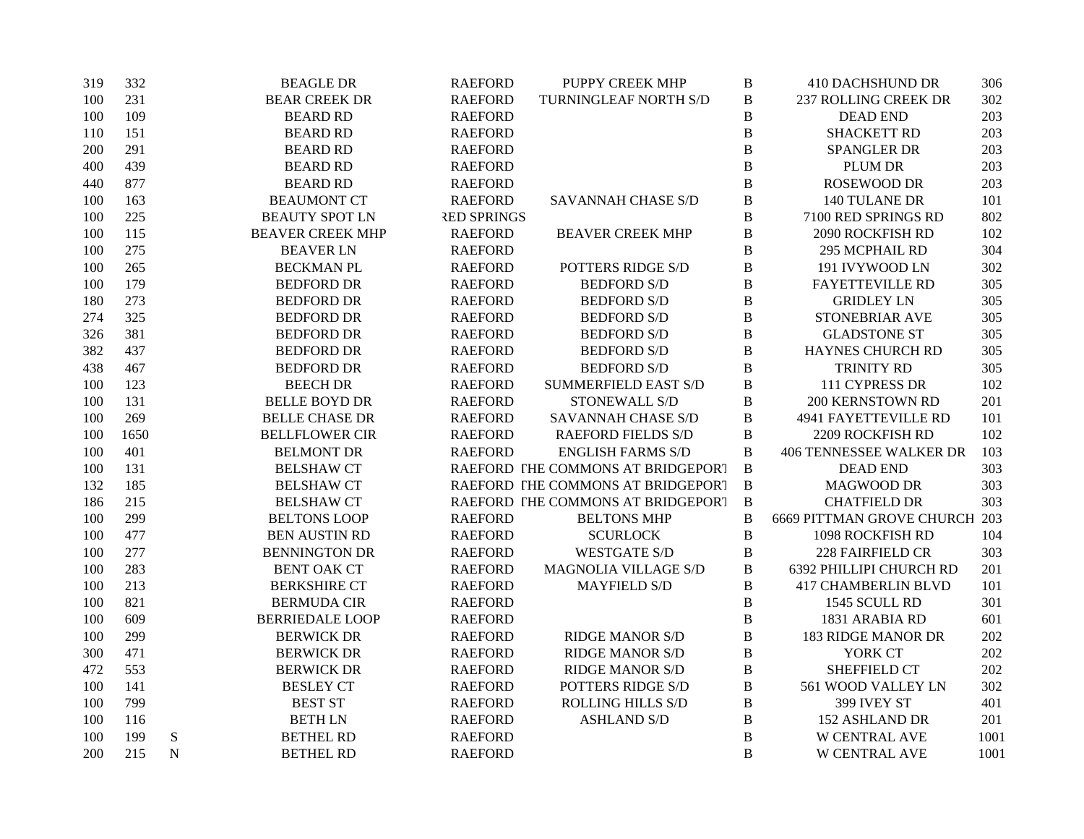| 319 | 332  |   | <b>BEAGLE DR</b>        | <b>RAEFORD</b>     | PUPPY CREEK MHP                   | $\, {\bf B}$   | <b>410 DACHSHUND DR</b>        | 306  |
|-----|------|---|-------------------------|--------------------|-----------------------------------|----------------|--------------------------------|------|
| 100 | 231  |   | <b>BEAR CREEK DR</b>    | <b>RAEFORD</b>     | TURNINGLEAF NORTH S/D             | $\, {\bf B}$   | <b>237 ROLLING CREEK DR</b>    | 302  |
| 100 | 109  |   | <b>BEARD RD</b>         | <b>RAEFORD</b>     |                                   | $\, {\bf B}$   | <b>DEAD END</b>                | 203  |
| 110 | 151  |   | <b>BEARD RD</b>         | <b>RAEFORD</b>     |                                   | $\bf{B}$       | <b>SHACKETT RD</b>             | 203  |
| 200 | 291  |   | <b>BEARD RD</b>         | <b>RAEFORD</b>     |                                   | $\bf{B}$       | SPANGLER DR                    | 203  |
| 400 | 439  |   | <b>BEARD RD</b>         | <b>RAEFORD</b>     |                                   | $\, {\bf B}$   | <b>PLUM DR</b>                 | 203  |
| 440 | 877  |   | <b>BEARD RD</b>         | <b>RAEFORD</b>     |                                   | $\bf{B}$       | <b>ROSEWOOD DR</b>             | 203  |
| 100 | 163  |   | <b>BEAUMONT CT</b>      | <b>RAEFORD</b>     | SAVANNAH CHASE S/D                | $\, {\bf B}$   | 140 TULANE DR                  | 101  |
| 100 | 225  |   | <b>BEAUTY SPOT LN</b>   | <b>RED SPRINGS</b> |                                   | $\, {\bf B}$   | 7100 RED SPRINGS RD            | 802  |
| 100 | 115  |   | <b>BEAVER CREEK MHP</b> | <b>RAEFORD</b>     | <b>BEAVER CREEK MHP</b>           | $\, {\bf B}$   | <b>2090 ROCKFISH RD</b>        | 102  |
| 100 | 275  |   | <b>BEAVER LN</b>        | <b>RAEFORD</b>     |                                   | $\bf{B}$       | 295 MCPHAIL RD                 | 304  |
| 100 | 265  |   | <b>BECKMAN PL</b>       | <b>RAEFORD</b>     | POTTERS RIDGE S/D                 | $\, {\bf B}$   | 191 IVYWOOD LN                 | 302  |
| 100 | 179  |   | <b>BEDFORD DR</b>       | <b>RAEFORD</b>     | <b>BEDFORD S/D</b>                | $\, {\bf B}$   | <b>FAYETTEVILLE RD</b>         | 305  |
| 180 | 273  |   | <b>BEDFORD DR</b>       | <b>RAEFORD</b>     | <b>BEDFORD S/D</b>                | $\bf{B}$       | <b>GRIDLEY LN</b>              | 305  |
| 274 | 325  |   | <b>BEDFORD DR</b>       | <b>RAEFORD</b>     | <b>BEDFORD S/D</b>                | $\, {\bf B}$   | STONEBRIAR AVE                 | 305  |
| 326 | 381  |   | <b>BEDFORD DR</b>       | <b>RAEFORD</b>     | <b>BEDFORD S/D</b>                | $\, {\bf B}$   | <b>GLADSTONE ST</b>            | 305  |
| 382 | 437  |   | <b>BEDFORD DR</b>       | <b>RAEFORD</b>     | <b>BEDFORD S/D</b>                | $\, {\bf B}$   | HAYNES CHURCH RD               | 305  |
| 438 | 467  |   | <b>BEDFORD DR</b>       | <b>RAEFORD</b>     | <b>BEDFORD S/D</b>                | $\, {\bf B}$   | TRINITY RD                     | 305  |
| 100 | 123  |   | <b>BEECH DR</b>         | <b>RAEFORD</b>     | <b>SUMMERFIELD EAST S/D</b>       | $\, {\bf B}$   | 111 CYPRESS DR                 | 102  |
| 100 | 131  |   | <b>BELLE BOYD DR</b>    | <b>RAEFORD</b>     | STONEWALL S/D                     | $\, {\bf B}$   | 200 KERNSTOWN RD               | 201  |
| 100 | 269  |   | <b>BELLE CHASE DR</b>   | <b>RAEFORD</b>     | SAVANNAH CHASE S/D                | $\, {\bf B}$   | 4941 FAYETTEVILLE RD           | 101  |
| 100 | 1650 |   | <b>BELLFLOWER CIR</b>   | <b>RAEFORD</b>     | <b>RAEFORD FIELDS S/D</b>         | $\, {\bf B}$   | 2209 ROCKFISH RD               | 102  |
| 100 | 401  |   | <b>BELMONT DR</b>       | <b>RAEFORD</b>     | <b>ENGLISH FARMS S/D</b>          | $\, {\bf B}$   | <b>406 TENNESSEE WALKER DR</b> | 103  |
| 100 | 131  |   | <b>BELSHAW CT</b>       |                    | RAEFORD THE COMMONS AT BRIDGEPORT | $\, {\bf B}$   | <b>DEAD END</b>                | 303  |
| 132 | 185  |   | <b>BELSHAW CT</b>       |                    | RAEFORD THE COMMONS AT BRIDGEPORT | $\overline{B}$ | <b>MAGWOOD DR</b>              | 303  |
| 186 | 215  |   | <b>BELSHAW CT</b>       |                    | RAEFORD THE COMMONS AT BRIDGEPORT | $\, {\bf B}$   | <b>CHATFIELD DR</b>            | 303  |
| 100 | 299  |   | <b>BELTONS LOOP</b>     | <b>RAEFORD</b>     | <b>BELTONS MHP</b>                | $\, {\bf B}$   | 6669 PITTMAN GROVE CHURCH 203  |      |
| 100 | 477  |   | <b>BEN AUSTIN RD</b>    | <b>RAEFORD</b>     | <b>SCURLOCK</b>                   | $\, {\bf B}$   | 1098 ROCKFISH RD               | 104  |
| 100 | 277  |   | <b>BENNINGTON DR</b>    | <b>RAEFORD</b>     | <b>WESTGATE S/D</b>               | $\, {\bf B}$   | 228 FAIRFIELD CR               | 303  |
| 100 | 283  |   | <b>BENT OAK CT</b>      | <b>RAEFORD</b>     | MAGNOLIA VILLAGE S/D              | $\, {\bf B}$   | 6392 PHILLIPI CHURCH RD        | 201  |
| 100 | 213  |   | <b>BERKSHIRE CT</b>     | <b>RAEFORD</b>     | <b>MAYFIELD S/D</b>               | $\, {\bf B}$   | <b>417 CHAMBERLIN BLVD</b>     | 101  |
| 100 | 821  |   | <b>BERMUDA CIR</b>      | <b>RAEFORD</b>     |                                   | $\, {\bf B}$   | 1545 SCULL RD                  | 301  |
| 100 | 609  |   | <b>BERRIEDALE LOOP</b>  | <b>RAEFORD</b>     |                                   | $\bf{B}$       | 1831 ARABIA RD                 | 601  |
| 100 | 299  |   | <b>BERWICK DR</b>       | <b>RAEFORD</b>     | <b>RIDGE MANOR S/D</b>            | $\, {\bf B}$   | <b>183 RIDGE MANOR DR</b>      | 202  |
| 300 | 471  |   | <b>BERWICK DR</b>       | <b>RAEFORD</b>     | <b>RIDGE MANOR S/D</b>            | $\, {\bf B}$   | YORK CT                        | 202  |
| 472 | 553  |   | <b>BERWICK DR</b>       | <b>RAEFORD</b>     | <b>RIDGE MANOR S/D</b>            | $\, {\bf B}$   | <b>SHEFFIELD CT</b>            | 202  |
| 100 | 141  |   | <b>BESLEY CT</b>        | <b>RAEFORD</b>     | POTTERS RIDGE S/D                 | B              | 561 WOOD VALLEY LN             | 302  |
| 100 | 799  |   | <b>BEST ST</b>          | <b>RAEFORD</b>     | <b>ROLLING HILLS S/D</b>          | $\, {\bf B}$   | 399 IVEY ST                    | 401  |
| 100 | 116  |   | <b>BETHLN</b>           | <b>RAEFORD</b>     | <b>ASHLAND S/D</b>                | $\, {\bf B}$   | 152 ASHLAND DR                 | 201  |
| 100 | 199  | S | <b>BETHEL RD</b>        | <b>RAEFORD</b>     |                                   | $\, {\bf B}$   | W CENTRAL AVE                  | 1001 |
| 200 | 215  | N | <b>BETHEL RD</b>        | <b>RAEFORD</b>     |                                   | $\overline{B}$ | W CENTRAL AVE                  | 1001 |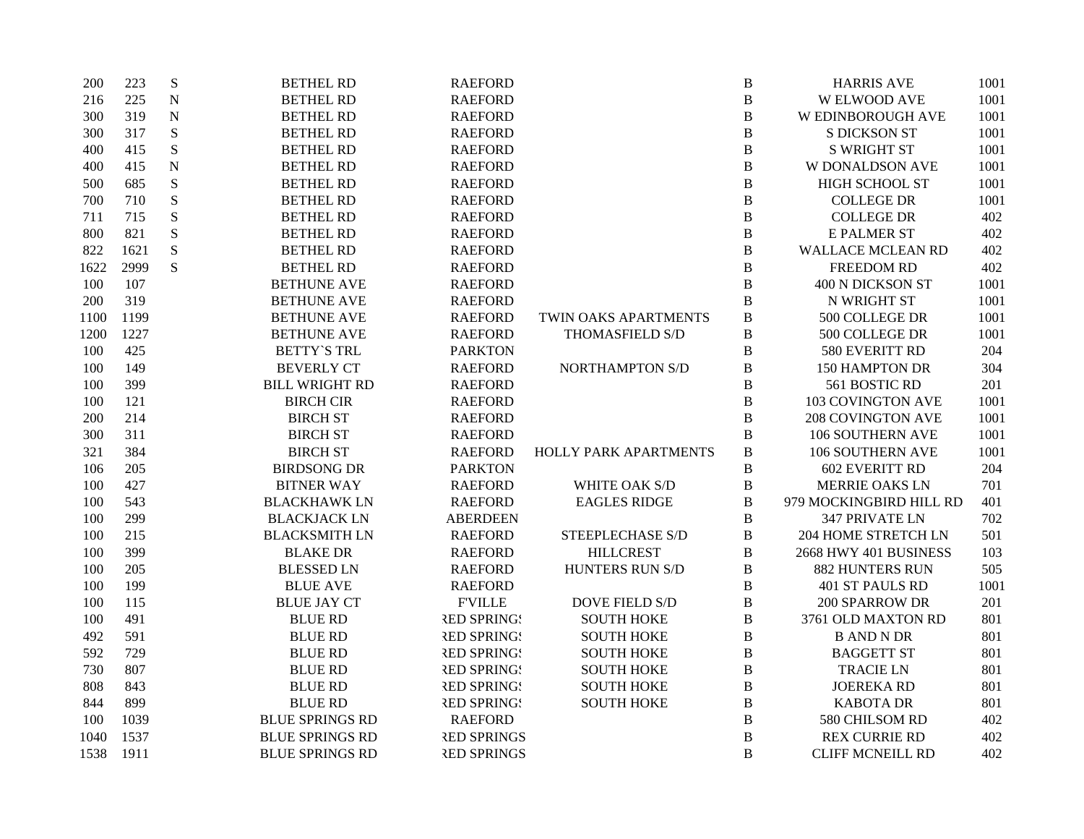| 200  | 223  | ${\bf S}$   | <b>BETHEL RD</b>       | <b>RAEFORD</b>     |                        | $\, {\bf B}$ | <b>HARRIS AVE</b>        | 1001 |
|------|------|-------------|------------------------|--------------------|------------------------|--------------|--------------------------|------|
| 216  | 225  | $\mathbf N$ | <b>BETHEL RD</b>       | <b>RAEFORD</b>     |                        | $\, {\bf B}$ | <b>W ELWOOD AVE</b>      | 1001 |
| 300  | 319  | ${\bf N}$   | <b>BETHEL RD</b>       | <b>RAEFORD</b>     |                        | $\, {\bf B}$ | W EDINBOROUGH AVE        | 1001 |
| 300  | 317  | ${\bf S}$   | <b>BETHEL RD</b>       | <b>RAEFORD</b>     |                        | $\, {\bf B}$ | <b>S DICKSON ST</b>      | 1001 |
| 400  | 415  | ${\bf S}$   | <b>BETHEL RD</b>       | <b>RAEFORD</b>     |                        | $\, {\bf B}$ | <b>S WRIGHT ST</b>       | 1001 |
| 400  | 415  | $\mathbf N$ | <b>BETHEL RD</b>       | <b>RAEFORD</b>     |                        | $\, {\bf B}$ | <b>W DONALDSON AVE</b>   | 1001 |
| 500  | 685  | ${\bf S}$   | <b>BETHEL RD</b>       | <b>RAEFORD</b>     |                        | $\, {\bf B}$ | HIGH SCHOOL ST           | 1001 |
| 700  | 710  | ${\bf S}$   | <b>BETHEL RD</b>       | <b>RAEFORD</b>     |                        | $\, {\bf B}$ | <b>COLLEGE DR</b>        | 1001 |
| 711  | 715  | ${\bf S}$   | <b>BETHEL RD</b>       | <b>RAEFORD</b>     |                        | $\, {\bf B}$ | <b>COLLEGE DR</b>        | 402  |
| 800  | 821  | ${\bf S}$   | <b>BETHEL RD</b>       | <b>RAEFORD</b>     |                        | $\, {\bf B}$ | <b>E PALMER ST</b>       | 402  |
| 822  | 1621 | ${\bf S}$   | <b>BETHEL RD</b>       | <b>RAEFORD</b>     |                        | $\, {\bf B}$ | WALLACE MCLEAN RD        | 402  |
| 1622 | 2999 | S           | <b>BETHEL RD</b>       | <b>RAEFORD</b>     |                        | $\, {\bf B}$ | <b>FREEDOM RD</b>        | 402  |
| 100  | 107  |             | <b>BETHUNE AVE</b>     | <b>RAEFORD</b>     |                        | $\, {\bf B}$ | <b>400 N DICKSON ST</b>  | 1001 |
| 200  | 319  |             | <b>BETHUNE AVE</b>     | <b>RAEFORD</b>     |                        | $\, {\bf B}$ | N WRIGHT ST              | 1001 |
| 1100 | 1199 |             | <b>BETHUNE AVE</b>     | <b>RAEFORD</b>     | TWIN OAKS APARTMENTS   | $\, {\bf B}$ | 500 COLLEGE DR           | 1001 |
| 1200 | 1227 |             | <b>BETHUNE AVE</b>     | <b>RAEFORD</b>     | THOMASFIELD S/D        | $\, {\bf B}$ | 500 COLLEGE DR           | 1001 |
| 100  | 425  |             | <b>BETTY'S TRL</b>     | <b>PARKTON</b>     |                        | $\, {\bf B}$ | 580 EVERITT RD           | 204  |
| 100  | 149  |             | <b>BEVERLY CT</b>      | <b>RAEFORD</b>     | <b>NORTHAMPTON S/D</b> | $\, {\bf B}$ | 150 HAMPTON DR           | 304  |
| 100  | 399  |             | <b>BILL WRIGHT RD</b>  | <b>RAEFORD</b>     |                        | $\, {\bf B}$ | 561 BOSTIC RD            | 201  |
| 100  | 121  |             | <b>BIRCH CIR</b>       | <b>RAEFORD</b>     |                        | $\, {\bf B}$ | <b>103 COVINGTON AVE</b> | 1001 |
| 200  | 214  |             | <b>BIRCH ST</b>        | <b>RAEFORD</b>     |                        | $\, {\bf B}$ | <b>208 COVINGTON AVE</b> | 1001 |
| 300  | 311  |             | <b>BIRCH ST</b>        | <b>RAEFORD</b>     |                        | $\, {\bf B}$ | <b>106 SOUTHERN AVE</b>  | 1001 |
| 321  | 384  |             | <b>BIRCH ST</b>        | <b>RAEFORD</b>     | HOLLY PARK APARTMENTS  | $\, {\bf B}$ | <b>106 SOUTHERN AVE</b>  | 1001 |
| 106  | 205  |             | <b>BIRDSONG DR</b>     | <b>PARKTON</b>     |                        | $\, {\bf B}$ | <b>602 EVERITT RD</b>    | 204  |
| 100  | 427  |             | <b>BITNER WAY</b>      | <b>RAEFORD</b>     | WHITE OAK S/D          | $\, {\bf B}$ | <b>MERRIE OAKS LN</b>    | 701  |
| 100  | 543  |             | <b>BLACKHAWK LN</b>    | <b>RAEFORD</b>     | <b>EAGLES RIDGE</b>    | $\, {\bf B}$ | 979 MOCKINGBIRD HILL RD  | 401  |
| 100  | 299  |             | <b>BLACKJACK LN</b>    | <b>ABERDEEN</b>    |                        | $\, {\bf B}$ | 347 PRIVATE LN           | 702  |
| 100  | 215  |             | <b>BLACKSMITH LN</b>   | <b>RAEFORD</b>     | STEEPLECHASE S/D       | $\, {\bf B}$ | 204 HOME STRETCH LN      | 501  |
| 100  | 399  |             | <b>BLAKE DR</b>        | <b>RAEFORD</b>     | <b>HILLCREST</b>       | $\, {\bf B}$ | 2668 HWY 401 BUSINESS    | 103  |
| 100  | 205  |             | <b>BLESSED LN</b>      | <b>RAEFORD</b>     | HUNTERS RUN S/D        | $\, {\bf B}$ | 882 HUNTERS RUN          | 505  |
| 100  | 199  |             | <b>BLUE AVE</b>        | <b>RAEFORD</b>     |                        | B            | 401 ST PAULS RD          | 1001 |
| 100  | 115  |             | <b>BLUE JAY CT</b>     | <b>F'VILLE</b>     | DOVE FIELD S/D         | $\, {\bf B}$ | <b>200 SPARROW DR</b>    | 201  |
| 100  | 491  |             | <b>BLUE RD</b>         | <b>RED SPRING!</b> | <b>SOUTH HOKE</b>      | $\, {\bf B}$ | 3761 OLD MAXTON RD       | 801  |
| 492  | 591  |             | <b>BLUE RD</b>         | <b>RED SPRING!</b> | <b>SOUTH HOKE</b>      | $\, {\bf B}$ | <b>B AND N DR</b>        | 801  |
| 592  | 729  |             | <b>BLUE RD</b>         | <b>RED SPRING!</b> | <b>SOUTH HOKE</b>      | $\, {\bf B}$ | <b>BAGGETT ST</b>        | 801  |
| 730  | 807  |             | <b>BLUE RD</b>         | <b>RED SPRING!</b> | <b>SOUTH HOKE</b>      | $\, {\bf B}$ | <b>TRACIE LN</b>         | 801  |
| 808  | 843  |             | <b>BLUE RD</b>         | <b>RED SPRING!</b> | <b>SOUTH HOKE</b>      | $\, {\bf B}$ | <b>JOEREKA RD</b>        | 801  |
| 844  | 899  |             | <b>BLUE RD</b>         | <b>RED SPRING!</b> | <b>SOUTH HOKE</b>      | $\, {\bf B}$ | <b>KABOTA DR</b>         | 801  |
| 100  | 1039 |             | <b>BLUE SPRINGS RD</b> | <b>RAEFORD</b>     |                        | $\, {\bf B}$ | 580 CHILSOM RD           | 402  |
| 1040 | 1537 |             | <b>BLUE SPRINGS RD</b> | <b>RED SPRINGS</b> |                        | $\, {\bf B}$ | <b>REX CURRIE RD</b>     | 402  |
| 1538 | 1911 |             | <b>BLUE SPRINGS RD</b> | <b>RED SPRINGS</b> |                        | B            | <b>CLIFF MCNEILL RD</b>  | 402  |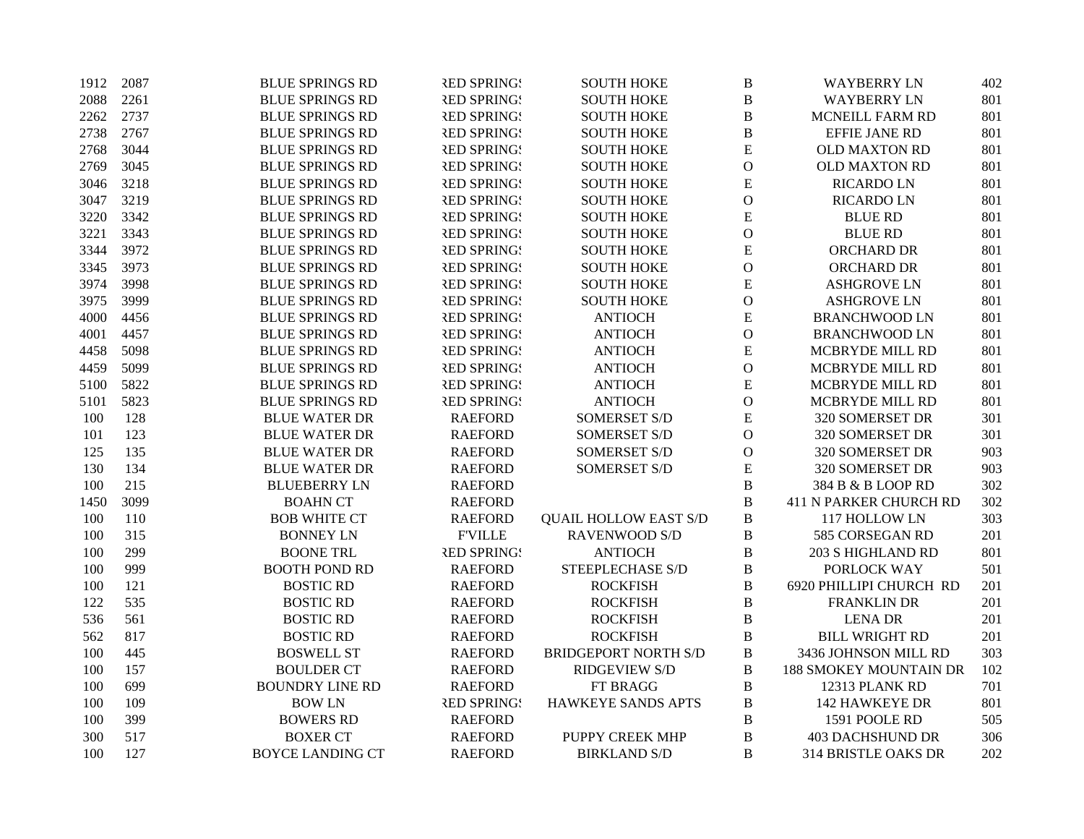| 1912 | 2087 | <b>BLUE SPRINGS RD</b>  | <b>RED SPRING!</b> | <b>SOUTH HOKE</b>            | B             | <b>WAYBERRY LN</b>            | 402 |
|------|------|-------------------------|--------------------|------------------------------|---------------|-------------------------------|-----|
| 2088 | 2261 | <b>BLUE SPRINGS RD</b>  | <b>RED SPRINGS</b> | <b>SOUTH HOKE</b>            | $\, {\bf B}$  | <b>WAYBERRY LN</b>            | 801 |
| 2262 | 2737 | <b>BLUE SPRINGS RD</b>  | <b>RED SPRINGS</b> | <b>SOUTH HOKE</b>            | $\, {\bf B}$  | MCNEILL FARM RD               | 801 |
| 2738 | 2767 | <b>BLUE SPRINGS RD</b>  | <b>RED SPRINGS</b> | <b>SOUTH HOKE</b>            | $\, {\bf B}$  | EFFIE JANE RD                 | 801 |
| 2768 | 3044 | <b>BLUE SPRINGS RD</b>  | <b>RED SPRINGS</b> | <b>SOUTH HOKE</b>            | ${\bf E}$     | OLD MAXTON RD                 | 801 |
| 2769 | 3045 | <b>BLUE SPRINGS RD</b>  | <b>RED SPRINGS</b> | <b>SOUTH HOKE</b>            | $\mathbf O$   | <b>OLD MAXTON RD</b>          | 801 |
| 3046 | 3218 | <b>BLUE SPRINGS RD</b>  | <b>RED SPRINGS</b> | <b>SOUTH HOKE</b>            | ${\bf E}$     | <b>RICARDO LN</b>             | 801 |
| 3047 | 3219 | <b>BLUE SPRINGS RD</b>  | <b>RED SPRINGS</b> | <b>SOUTH HOKE</b>            | $\mathbf{O}$  | <b>RICARDO LN</b>             | 801 |
| 3220 | 3342 | <b>BLUE SPRINGS RD</b>  | <b>RED SPRINGS</b> | <b>SOUTH HOKE</b>            | ${\bf E}$     | <b>BLUE RD</b>                | 801 |
| 3221 | 3343 | <b>BLUE SPRINGS RD</b>  | <b>RED SPRING!</b> | <b>SOUTH HOKE</b>            | $\mathcal{O}$ | <b>BLUE RD</b>                | 801 |
| 3344 | 3972 | <b>BLUE SPRINGS RD</b>  | <b>RED SPRING!</b> | <b>SOUTH HOKE</b>            | ${\bf E}$     | ORCHARD DR                    | 801 |
| 3345 | 3973 | <b>BLUE SPRINGS RD</b>  | <b>RED SPRINGS</b> | <b>SOUTH HOKE</b>            | $\mathcal{O}$ | ORCHARD DR                    | 801 |
| 3974 | 3998 | <b>BLUE SPRINGS RD</b>  | <b>RED SPRINGS</b> | <b>SOUTH HOKE</b>            | ${\bf E}$     | <b>ASHGROVE LN</b>            | 801 |
| 3975 | 3999 | <b>BLUE SPRINGS RD</b>  | <b>RED SPRING!</b> | <b>SOUTH HOKE</b>            | $\mathcal{O}$ | <b>ASHGROVE LN</b>            | 801 |
| 4000 | 4456 | <b>BLUE SPRINGS RD</b>  | <b>RED SPRINGS</b> | <b>ANTIOCH</b>               | ${\bf E}$     | <b>BRANCHWOOD LN</b>          | 801 |
| 4001 | 4457 | <b>BLUE SPRINGS RD</b>  | <b>RED SPRING!</b> | <b>ANTIOCH</b>               | $\mathcal{O}$ | <b>BRANCHWOOD LN</b>          | 801 |
| 4458 | 5098 | <b>BLUE SPRINGS RD</b>  | <b>RED SPRINGS</b> | <b>ANTIOCH</b>               | ${\bf E}$     | MCBRYDE MILL RD               | 801 |
| 4459 | 5099 | <b>BLUE SPRINGS RD</b>  | <b>RED SPRINGS</b> | <b>ANTIOCH</b>               | $\mathbf O$   | MCBRYDE MILL RD               | 801 |
| 5100 | 5822 | <b>BLUE SPRINGS RD</b>  | <b>RED SPRING!</b> | <b>ANTIOCH</b>               | ${\bf E}$     | MCBRYDE MILL RD               | 801 |
| 5101 | 5823 | <b>BLUE SPRINGS RD</b>  | <b>RED SPRING!</b> | <b>ANTIOCH</b>               | $\mathbf{O}$  | MCBRYDE MILL RD               | 801 |
| 100  | 128  | <b>BLUE WATER DR</b>    | <b>RAEFORD</b>     | <b>SOMERSET S/D</b>          | ${\bf E}$     | 320 SOMERSET DR               | 301 |
| 101  | 123  | <b>BLUE WATER DR</b>    | <b>RAEFORD</b>     | <b>SOMERSET S/D</b>          | $\mathbf{O}$  | 320 SOMERSET DR               | 301 |
| 125  | 135  | <b>BLUE WATER DR</b>    | <b>RAEFORD</b>     | <b>SOMERSET S/D</b>          | $\mathbf{O}$  | 320 SOMERSET DR               | 903 |
| 130  | 134  | <b>BLUE WATER DR</b>    | <b>RAEFORD</b>     | <b>SOMERSET S/D</b>          | ${\bf E}$     | 320 SOMERSET DR               | 903 |
| 100  | 215  | <b>BLUEBERRY LN</b>     | <b>RAEFORD</b>     |                              | $\, {\bf B}$  | 384 B & B LOOP RD             | 302 |
| 1450 | 3099 | <b>BOAHN CT</b>         | <b>RAEFORD</b>     |                              | $\, {\bf B}$  | <b>411 N PARKER CHURCH RD</b> | 302 |
| 100  | 110  | <b>BOB WHITE CT</b>     | <b>RAEFORD</b>     | <b>QUAIL HOLLOW EAST S/D</b> | $\, {\bf B}$  | 117 HOLLOW LN                 | 303 |
| 100  | 315  | <b>BONNEY LN</b>        | <b>F'VILLE</b>     | <b>RAVENWOOD S/D</b>         | $\, {\bf B}$  | 585 CORSEGAN RD               | 201 |
| 100  | 299  | <b>BOONE TRL</b>        | <b>RED SPRINGS</b> | <b>ANTIOCH</b>               | $\, {\bf B}$  | 203 S HIGHLAND RD             | 801 |
| 100  | 999  | <b>BOOTH POND RD</b>    | <b>RAEFORD</b>     | STEEPLECHASE S/D             | $\, {\bf B}$  | PORLOCK WAY                   | 501 |
| 100  | 121  | <b>BOSTIC RD</b>        | <b>RAEFORD</b>     | <b>ROCKFISH</b>              | $\, {\bf B}$  | 6920 PHILLIPI CHURCH RD       | 201 |
| 122  | 535  | <b>BOSTIC RD</b>        | <b>RAEFORD</b>     | <b>ROCKFISH</b>              | $\, {\bf B}$  | <b>FRANKLIN DR</b>            | 201 |
| 536  | 561  | <b>BOSTIC RD</b>        | <b>RAEFORD</b>     | <b>ROCKFISH</b>              | $\, {\bf B}$  | <b>LENA DR</b>                | 201 |
| 562  | 817  | <b>BOSTIC RD</b>        | <b>RAEFORD</b>     | <b>ROCKFISH</b>              | B             | <b>BILL WRIGHT RD</b>         | 201 |
| 100  | 445  | <b>BOSWELL ST</b>       | <b>RAEFORD</b>     | <b>BRIDGEPORT NORTH S/D</b>  | $\, {\bf B}$  | 3436 JOHNSON MILL RD          | 303 |
| 100  | 157  | <b>BOULDER CT</b>       | <b>RAEFORD</b>     | <b>RIDGEVIEW S/D</b>         | $\, {\bf B}$  | <b>188 SMOKEY MOUNTAIN DR</b> | 102 |
| 100  | 699  | <b>BOUNDRY LINE RD</b>  | <b>RAEFORD</b>     | FT BRAGG                     | $\, {\bf B}$  | 12313 PLANK RD                | 701 |
| 100  | 109  | <b>BOW LN</b>           | <b>RED SPRINGS</b> | HAWKEYE SANDS APTS           | $\, {\bf B}$  | <b>142 HAWKEYE DR</b>         | 801 |
| 100  | 399  | <b>BOWERS RD</b>        | <b>RAEFORD</b>     |                              | $\, {\bf B}$  | 1591 POOLE RD                 | 505 |
| 300  | 517  | <b>BOXER CT</b>         | <b>RAEFORD</b>     | PUPPY CREEK MHP              | $\, {\bf B}$  | <b>403 DACHSHUND DR</b>       | 306 |
| 100  | 127  | <b>BOYCE LANDING CT</b> | <b>RAEFORD</b>     | <b>BIRKLAND S/D</b>          | B             | 314 BRISTLE OAKS DR           | 202 |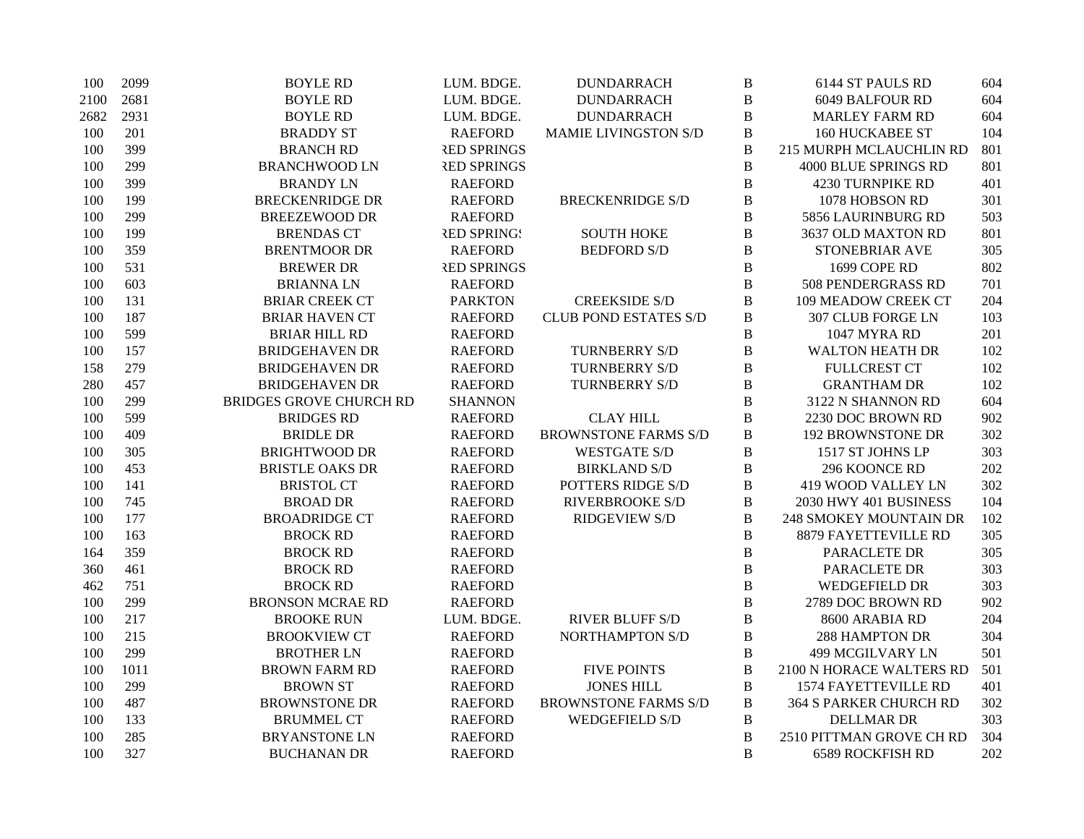| 100  | 2099 | <b>BOYLE RD</b>                | LUM. BDGE.         | <b>DUNDARRACH</b>            | $\, {\bf B}$ | 6144 ST PAULS RD              | 604 |
|------|------|--------------------------------|--------------------|------------------------------|--------------|-------------------------------|-----|
| 2100 | 2681 | <b>BOYLE RD</b>                | LUM. BDGE.         | <b>DUNDARRACH</b>            | $\, {\bf B}$ | 6049 BALFOUR RD               | 604 |
| 2682 | 2931 | <b>BOYLE RD</b>                | LUM. BDGE.         | <b>DUNDARRACH</b>            | $\, {\bf B}$ | <b>MARLEY FARM RD</b>         | 604 |
| 100  | 201  | <b>BRADDY ST</b>               | <b>RAEFORD</b>     | MAMIE LIVINGSTON S/D         | $\, {\bf B}$ | <b>160 HUCKABEE ST</b>        | 104 |
| 100  | 399  | <b>BRANCH RD</b>               | <b>RED SPRINGS</b> |                              | $\, {\bf B}$ | 215 MURPH MCLAUCHLIN RD       | 801 |
| 100  | 299  | <b>BRANCHWOOD LN</b>           | <b>RED SPRINGS</b> |                              | $\, {\bf B}$ | 4000 BLUE SPRINGS RD          | 801 |
| 100  | 399  | <b>BRANDY LN</b>               | <b>RAEFORD</b>     |                              | $\, {\bf B}$ | 4230 TURNPIKE RD              | 401 |
| 100  | 199  | <b>BRECKENRIDGE DR</b>         | <b>RAEFORD</b>     | <b>BRECKENRIDGE S/D</b>      | $\, {\bf B}$ | 1078 HOBSON RD                | 301 |
| 100  | 299  | <b>BREEZEWOOD DR</b>           | <b>RAEFORD</b>     |                              | $\, {\bf B}$ | 5856 LAURINBURG RD            | 503 |
| 100  | 199  | <b>BRENDAS CT</b>              | <b>RED SPRING!</b> | <b>SOUTH HOKE</b>            | $\, {\bf B}$ | 3637 OLD MAXTON RD            | 801 |
| 100  | 359  | <b>BRENTMOOR DR</b>            | <b>RAEFORD</b>     | <b>BEDFORD S/D</b>           | $\, {\bf B}$ | STONEBRIAR AVE                | 305 |
| 100  | 531  | <b>BREWER DR</b>               | <b>RED SPRINGS</b> |                              | $\, {\bf B}$ | 1699 COPE RD                  | 802 |
| 100  | 603  | <b>BRIANNALN</b>               | <b>RAEFORD</b>     |                              | $\, {\bf B}$ | 508 PENDERGRASS RD            | 701 |
| 100  | 131  | <b>BRIAR CREEK CT</b>          | <b>PARKTON</b>     | <b>CREEKSIDE S/D</b>         | $\, {\bf B}$ | 109 MEADOW CREEK CT           | 204 |
| 100  | 187  | <b>BRIAR HAVEN CT</b>          | <b>RAEFORD</b>     | <b>CLUB POND ESTATES S/D</b> | $\, {\bf B}$ | 307 CLUB FORGE LN             | 103 |
| 100  | 599  | <b>BRIAR HILL RD</b>           | <b>RAEFORD</b>     |                              | $\, {\bf B}$ | 1047 MYRA RD                  | 201 |
| 100  | 157  | <b>BRIDGEHAVEN DR</b>          | <b>RAEFORD</b>     | <b>TURNBERRY S/D</b>         | $\, {\bf B}$ | <b>WALTON HEATH DR</b>        | 102 |
| 158  | 279  | <b>BRIDGEHAVEN DR</b>          | <b>RAEFORD</b>     | <b>TURNBERRY S/D</b>         | $\, {\bf B}$ | <b>FULLCREST CT</b>           | 102 |
| 280  | 457  | <b>BRIDGEHAVEN DR</b>          | <b>RAEFORD</b>     | <b>TURNBERRY S/D</b>         | $\, {\bf B}$ | <b>GRANTHAM DR</b>            | 102 |
| 100  | 299  | <b>BRIDGES GROVE CHURCH RD</b> | <b>SHANNON</b>     |                              | $\, {\bf B}$ | 3122 N SHANNON RD             | 604 |
| 100  | 599  | <b>BRIDGES RD</b>              | <b>RAEFORD</b>     | <b>CLAY HILL</b>             | $\, {\bf B}$ | 2230 DOC BROWN RD             | 902 |
| 100  | 409  | <b>BRIDLE DR</b>               | <b>RAEFORD</b>     | <b>BROWNSTONE FARMS S/D</b>  | $\, {\bf B}$ | <b>192 BROWNSTONE DR</b>      | 302 |
| 100  | 305  | <b>BRIGHTWOOD DR</b>           | <b>RAEFORD</b>     | <b>WESTGATE S/D</b>          | $\, {\bf B}$ | 1517 ST JOHNS LP              | 303 |
| 100  | 453  | <b>BRISTLE OAKS DR</b>         | <b>RAEFORD</b>     | <b>BIRKLAND S/D</b>          | $\, {\bf B}$ | 296 KOONCE RD                 | 202 |
| 100  | 141  | <b>BRISTOL CT</b>              | <b>RAEFORD</b>     | POTTERS RIDGE S/D            | $\, {\bf B}$ | 419 WOOD VALLEY LN            | 302 |
| 100  | 745  | <b>BROAD DR</b>                | <b>RAEFORD</b>     | RIVERBROOKE S/D              | $\, {\bf B}$ | 2030 HWY 401 BUSINESS         | 104 |
| 100  | 177  | <b>BROADRIDGE CT</b>           | <b>RAEFORD</b>     | <b>RIDGEVIEW S/D</b>         | $\, {\bf B}$ | <b>248 SMOKEY MOUNTAIN DR</b> | 102 |
| 100  | 163  | <b>BROCK RD</b>                | <b>RAEFORD</b>     |                              | $\, {\bf B}$ | 8879 FAYETTEVILLE RD          | 305 |
| 164  | 359  | <b>BROCK RD</b>                | <b>RAEFORD</b>     |                              | $\, {\bf B}$ | PARACLETE DR                  | 305 |
| 360  | 461  | <b>BROCK RD</b>                | <b>RAEFORD</b>     |                              | $\, {\bf B}$ | PARACLETE DR                  | 303 |
| 462  | 751  | <b>BROCK RD</b>                | <b>RAEFORD</b>     |                              | $\, {\bf B}$ | <b>WEDGEFIELD DR</b>          | 303 |
| 100  | 299  | <b>BRONSON MCRAE RD</b>        | <b>RAEFORD</b>     |                              | $\, {\bf B}$ | 2789 DOC BROWN RD             | 902 |
| 100  | 217  | <b>BROOKE RUN</b>              | LUM. BDGE.         | <b>RIVER BLUFF S/D</b>       | $\, {\bf B}$ | 8600 ARABIA RD                | 204 |
| 100  | 215  | <b>BROOKVIEW CT</b>            | <b>RAEFORD</b>     | <b>NORTHAMPTON S/D</b>       | $\, {\bf B}$ | 288 HAMPTON DR                | 304 |
| 100  | 299  | <b>BROTHER LN</b>              | <b>RAEFORD</b>     |                              | $\, {\bf B}$ | <b>499 MCGILVARY LN</b>       | 501 |
| 100  | 1011 | <b>BROWN FARM RD</b>           | <b>RAEFORD</b>     | <b>FIVE POINTS</b>           | $\, {\bf B}$ | 2100 N HORACE WALTERS RD      | 501 |
| 100  | 299  | <b>BROWN ST</b>                | <b>RAEFORD</b>     | <b>JONES HILL</b>            | $\, {\bf B}$ | 1574 FAYETTEVILLE RD          | 401 |
| 100  | 487  | <b>BROWNSTONE DR</b>           | <b>RAEFORD</b>     | <b>BROWNSTONE FARMS S/D</b>  | $\, {\bf B}$ | <b>364 S PARKER CHURCH RD</b> | 302 |
| 100  | 133  | <b>BRUMMEL CT</b>              | <b>RAEFORD</b>     | WEDGEFIELD S/D               | $\, {\bf B}$ | <b>DELLMAR DR</b>             | 303 |
| 100  | 285  | <b>BRYANSTONE LN</b>           | <b>RAEFORD</b>     |                              | $\, {\bf B}$ | 2510 PITTMAN GROVE CH RD      | 304 |
| 100  | 327  | <b>BUCHANAN DR</b>             | <b>RAEFORD</b>     |                              | B            | <b>6589 ROCKFISH RD</b>       | 202 |
|      |      |                                |                    |                              |              |                               |     |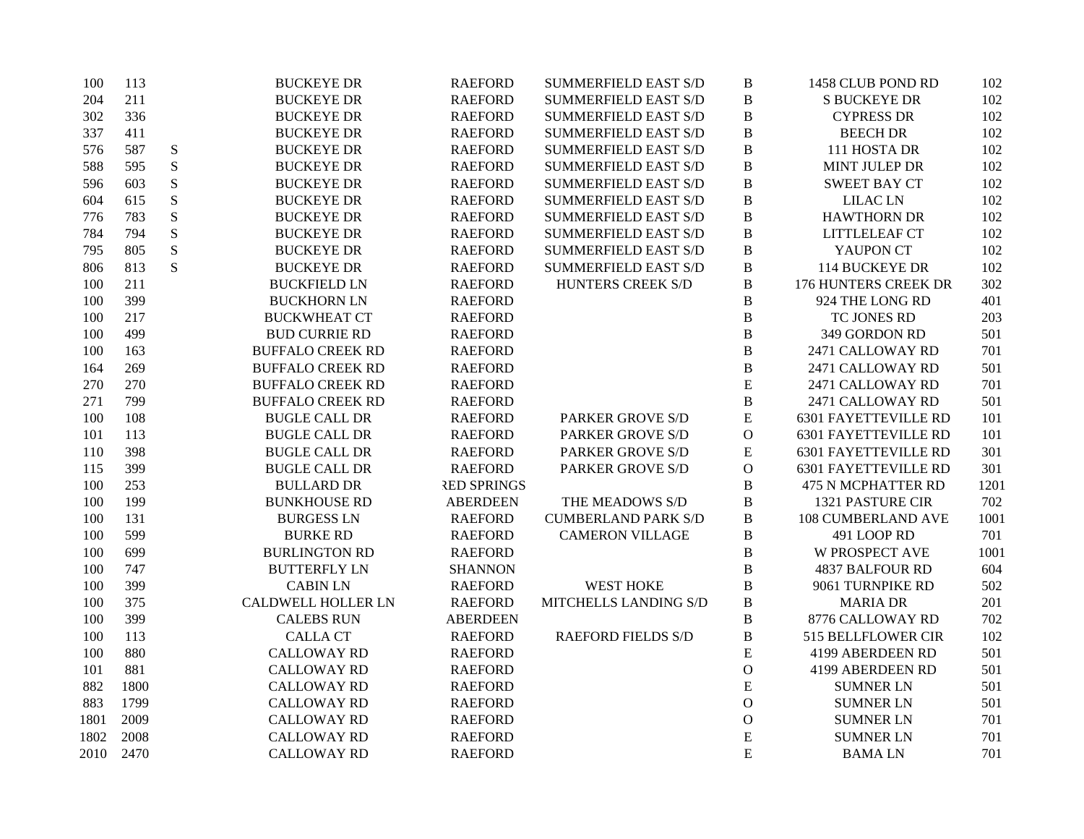| 100  | 113  |           | <b>BUCKEYE DR</b>         | <b>RAEFORD</b>     | <b>SUMMERFIELD EAST S/D</b> | $\, {\bf B}$  | 1458 CLUB POND RD           | 102  |
|------|------|-----------|---------------------------|--------------------|-----------------------------|---------------|-----------------------------|------|
| 204  | 211  |           | <b>BUCKEYE DR</b>         | <b>RAEFORD</b>     | <b>SUMMERFIELD EAST S/D</b> | $\, {\bf B}$  | <b>S BUCKEYE DR</b>         | 102  |
| 302  | 336  |           | <b>BUCKEYE DR</b>         | <b>RAEFORD</b>     | <b>SUMMERFIELD EAST S/D</b> | B             | <b>CYPRESS DR</b>           | 102  |
| 337  | 411  |           | <b>BUCKEYE DR</b>         | <b>RAEFORD</b>     | <b>SUMMERFIELD EAST S/D</b> | $\, {\bf B}$  | <b>BEECH DR</b>             | 102  |
| 576  | 587  | ${\bf S}$ | <b>BUCKEYE DR</b>         | <b>RAEFORD</b>     | <b>SUMMERFIELD EAST S/D</b> | $\, {\bf B}$  | 111 HOSTA DR                | 102  |
| 588  | 595  | S         | <b>BUCKEYE DR</b>         | <b>RAEFORD</b>     | <b>SUMMERFIELD EAST S/D</b> | $\, {\bf B}$  | MINT JULEP DR               | 102  |
| 596  | 603  | ${\bf S}$ | <b>BUCKEYE DR</b>         | <b>RAEFORD</b>     | <b>SUMMERFIELD EAST S/D</b> | $\, {\bf B}$  | <b>SWEET BAY CT</b>         | 102  |
| 604  | 615  | ${\bf S}$ | <b>BUCKEYE DR</b>         | <b>RAEFORD</b>     | <b>SUMMERFIELD EAST S/D</b> | B             | <b>LILAC LN</b>             | 102  |
| 776  | 783  | ${\bf S}$ | <b>BUCKEYE DR</b>         | <b>RAEFORD</b>     | <b>SUMMERFIELD EAST S/D</b> | $\, {\bf B}$  | <b>HAWTHORN DR</b>          | 102  |
| 784  | 794  | ${\bf S}$ | <b>BUCKEYE DR</b>         | <b>RAEFORD</b>     | <b>SUMMERFIELD EAST S/D</b> | $\, {\bf B}$  | LITTLELEAF CT               | 102  |
| 795  | 805  | ${\bf S}$ | <b>BUCKEYE DR</b>         | <b>RAEFORD</b>     | <b>SUMMERFIELD EAST S/D</b> | $\, {\bf B}$  | YAUPON CT                   | 102  |
| 806  | 813  | S         | <b>BUCKEYE DR</b>         | <b>RAEFORD</b>     | <b>SUMMERFIELD EAST S/D</b> | $\, {\bf B}$  | 114 BUCKEYE DR              | 102  |
| 100  | 211  |           | <b>BUCKFIELD LN</b>       | <b>RAEFORD</b>     | HUNTERS CREEK S/D           | $\, {\bf B}$  | 176 HUNTERS CREEK DR        | 302  |
| 100  | 399  |           | <b>BUCKHORN LN</b>        | <b>RAEFORD</b>     |                             | $\, {\bf B}$  | 924 THE LONG RD             | 401  |
| 100  | 217  |           | <b>BUCKWHEAT CT</b>       | <b>RAEFORD</b>     |                             | $\, {\bf B}$  | TC JONES RD                 | 203  |
| 100  | 499  |           | <b>BUD CURRIE RD</b>      | <b>RAEFORD</b>     |                             | $\, {\bf B}$  | 349 GORDON RD               | 501  |
| 100  | 163  |           | <b>BUFFALO CREEK RD</b>   | <b>RAEFORD</b>     |                             | $\, {\bf B}$  | 2471 CALLOWAY RD            | 701  |
| 164  | 269  |           | <b>BUFFALO CREEK RD</b>   | <b>RAEFORD</b>     |                             | $\, {\bf B}$  | 2471 CALLOWAY RD            | 501  |
| 270  | 270  |           | <b>BUFFALO CREEK RD</b>   | <b>RAEFORD</b>     |                             | E             | 2471 CALLOWAY RD            | 701  |
| 271  | 799  |           | <b>BUFFALO CREEK RD</b>   | <b>RAEFORD</b>     |                             | $\, {\bf B}$  | 2471 CALLOWAY RD            | 501  |
| 100  | 108  |           | <b>BUGLE CALL DR</b>      | <b>RAEFORD</b>     | <b>PARKER GROVE S/D</b>     | ${\bf E}$     | <b>6301 FAYETTEVILLE RD</b> | 101  |
| 101  | 113  |           | <b>BUGLE CALL DR</b>      | <b>RAEFORD</b>     | <b>PARKER GROVE S/D</b>     | $\mathcal O$  | <b>6301 FAYETTEVILLE RD</b> | 101  |
| 110  | 398  |           | <b>BUGLE CALL DR</b>      | <b>RAEFORD</b>     | <b>PARKER GROVE S/D</b>     | ${\bf E}$     | <b>6301 FAYETTEVILLE RD</b> | 301  |
| 115  | 399  |           | <b>BUGLE CALL DR</b>      | <b>RAEFORD</b>     | PARKER GROVE S/D            | $\mathcal{O}$ | <b>6301 FAYETTEVILLE RD</b> | 301  |
| 100  | 253  |           | <b>BULLARD DR</b>         | <b>RED SPRINGS</b> |                             | $\bf{B}$      | <b>475 N MCPHATTER RD</b>   | 1201 |
| 100  | 199  |           | <b>BUNKHOUSE RD</b>       | <b>ABERDEEN</b>    | THE MEADOWS S/D             | $\, {\bf B}$  | 1321 PASTURE CIR            | 702  |
| 100  | 131  |           | <b>BURGESS LN</b>         | <b>RAEFORD</b>     | <b>CUMBERLAND PARK S/D</b>  | $\, {\bf B}$  | <b>108 CUMBERLAND AVE</b>   | 1001 |
| 100  | 599  |           | <b>BURKE RD</b>           | <b>RAEFORD</b>     | <b>CAMERON VILLAGE</b>      | $\bf{B}$      | 491 LOOP RD                 | 701  |
| 100  | 699  |           | <b>BURLINGTON RD</b>      | <b>RAEFORD</b>     |                             | $\bf{B}$      | <b>W PROSPECT AVE</b>       | 1001 |
| 100  | 747  |           | <b>BUTTERFLY LN</b>       | <b>SHANNON</b>     |                             | $\bf{B}$      | <b>4837 BALFOUR RD</b>      | 604  |
| 100  | 399  |           | <b>CABIN LN</b>           | <b>RAEFORD</b>     | <b>WEST HOKE</b>            | $\bf{B}$      | 9061 TURNPIKE RD            | 502  |
| 100  | 375  |           | <b>CALDWELL HOLLER LN</b> | <b>RAEFORD</b>     | MITCHELLS LANDING S/D       | $\, {\bf B}$  | <b>MARIA DR</b>             | 201  |
| 100  | 399  |           | <b>CALEBS RUN</b>         | <b>ABERDEEN</b>    |                             | $\, {\bf B}$  | 8776 CALLOWAY RD            | 702  |
| 100  | 113  |           | <b>CALLA CT</b>           | <b>RAEFORD</b>     | <b>RAEFORD FIELDS S/D</b>   | $\, {\bf B}$  | 515 BELLFLOWER CIR          | 102  |
| 100  | 880  |           | <b>CALLOWAY RD</b>        | <b>RAEFORD</b>     |                             | ${\bf E}$     | 4199 ABERDEEN RD            | 501  |
| 101  | 881  |           | <b>CALLOWAY RD</b>        | <b>RAEFORD</b>     |                             | $\mathcal O$  | 4199 ABERDEEN RD            | 501  |
| 882  | 1800 |           | <b>CALLOWAY RD</b>        | <b>RAEFORD</b>     |                             | E             | <b>SUMNER LN</b>            | 501  |
| 883  | 1799 |           | <b>CALLOWAY RD</b>        | <b>RAEFORD</b>     |                             | $\mathcal{O}$ | <b>SUMNER LN</b>            | 501  |
| 1801 | 2009 |           | <b>CALLOWAY RD</b>        | <b>RAEFORD</b>     |                             | $\mathbf{O}$  | <b>SUMNER LN</b>            | 701  |
| 1802 | 2008 |           | <b>CALLOWAY RD</b>        | <b>RAEFORD</b>     |                             | $\mathbf E$   | <b>SUMNER LN</b>            | 701  |
| 2010 | 2470 |           | <b>CALLOWAY RD</b>        | <b>RAEFORD</b>     |                             | E             | <b>BAMALN</b>               | 701  |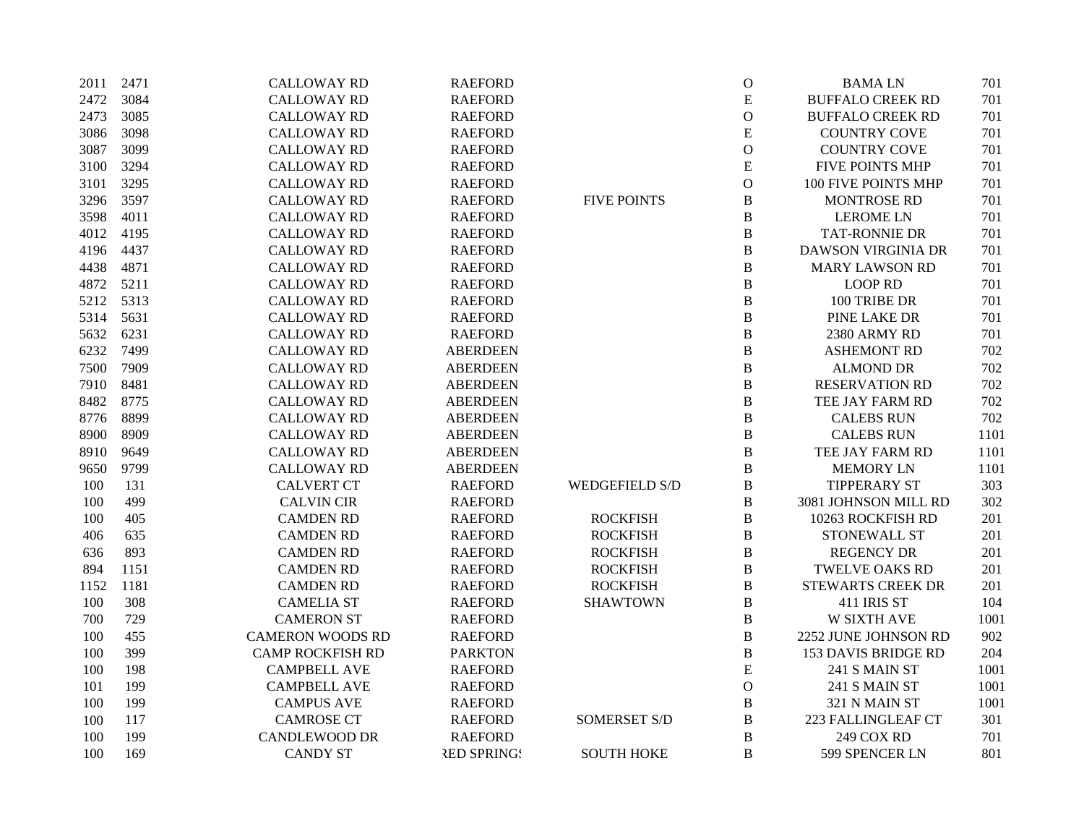| 2011 | 2471 | <b>CALLOWAY RD</b>      | <b>RAEFORD</b>     |                       | $\mathbf O$    | <b>BAMALN</b>              | 701  |
|------|------|-------------------------|--------------------|-----------------------|----------------|----------------------------|------|
| 2472 | 3084 | <b>CALLOWAY RD</b>      | <b>RAEFORD</b>     |                       | ${\bf E}$      | <b>BUFFALO CREEK RD</b>    | 701  |
| 2473 | 3085 | <b>CALLOWAY RD</b>      | <b>RAEFORD</b>     |                       | $\mathcal O$   | <b>BUFFALO CREEK RD</b>    | 701  |
| 3086 | 3098 | <b>CALLOWAY RD</b>      | <b>RAEFORD</b>     |                       | ${\bf E}$      | <b>COUNTRY COVE</b>        | 701  |
| 3087 | 3099 | <b>CALLOWAY RD</b>      | <b>RAEFORD</b>     |                       | $\mathcal{O}$  | <b>COUNTRY COVE</b>        | 701  |
| 3100 | 3294 | <b>CALLOWAY RD</b>      | <b>RAEFORD</b>     |                       | ${\bf E}$      | <b>FIVE POINTS MHP</b>     | 701  |
| 3101 | 3295 | <b>CALLOWAY RD</b>      | <b>RAEFORD</b>     |                       | $\mathbf O$    | 100 FIVE POINTS MHP        | 701  |
| 3296 | 3597 | <b>CALLOWAY RD</b>      | <b>RAEFORD</b>     | <b>FIVE POINTS</b>    | $\, {\bf B}$   | <b>MONTROSE RD</b>         | 701  |
| 3598 | 4011 | <b>CALLOWAY RD</b>      | <b>RAEFORD</b>     |                       | B              | <b>LEROME LN</b>           | 701  |
| 4012 | 4195 | <b>CALLOWAY RD</b>      | <b>RAEFORD</b>     |                       | $\, {\bf B}$   | <b>TAT-RONNIE DR</b>       | 701  |
| 4196 | 4437 | <b>CALLOWAY RD</b>      | <b>RAEFORD</b>     |                       | $\, {\bf B}$   | <b>DAWSON VIRGINIA DR</b>  | 701  |
| 4438 | 4871 | <b>CALLOWAY RD</b>      | <b>RAEFORD</b>     |                       | $\, {\bf B}$   | <b>MARY LAWSON RD</b>      | 701  |
| 4872 | 5211 | <b>CALLOWAY RD</b>      | <b>RAEFORD</b>     |                       | $\, {\bf B}$   | <b>LOOP RD</b>             | 701  |
| 5212 | 5313 | <b>CALLOWAY RD</b>      | <b>RAEFORD</b>     |                       | $\, {\bf B}$   | 100 TRIBE DR               | 701  |
| 5314 | 5631 | <b>CALLOWAY RD</b>      | <b>RAEFORD</b>     |                       | $\, {\bf B}$   | PINE LAKE DR               | 701  |
| 5632 | 6231 | <b>CALLOWAY RD</b>      | <b>RAEFORD</b>     |                       | $\, {\bf B}$   | 2380 ARMY RD               | 701  |
| 6232 | 7499 | <b>CALLOWAY RD</b>      | <b>ABERDEEN</b>    |                       | $\, {\bf B}$   | <b>ASHEMONT RD</b>         | 702  |
| 7500 | 7909 | <b>CALLOWAY RD</b>      | <b>ABERDEEN</b>    |                       | $\, {\bf B}$   | <b>ALMOND DR</b>           | 702  |
| 7910 | 8481 | <b>CALLOWAY RD</b>      | <b>ABERDEEN</b>    |                       | $\bf{B}$       | <b>RESERVATION RD</b>      | 702  |
| 8482 | 8775 | <b>CALLOWAY RD</b>      | <b>ABERDEEN</b>    |                       | $\, {\bf B}$   | TEE JAY FARM RD            | 702  |
| 8776 | 8899 | <b>CALLOWAY RD</b>      | <b>ABERDEEN</b>    |                       | $\, {\bf B}$   | <b>CALEBS RUN</b>          | 702  |
| 8900 | 8909 | <b>CALLOWAY RD</b>      | <b>ABERDEEN</b>    |                       | $\, {\bf B}$   | <b>CALEBS RUN</b>          | 1101 |
| 8910 | 9649 | <b>CALLOWAY RD</b>      | <b>ABERDEEN</b>    |                       | $\, {\bf B}$   | TEE JAY FARM RD            | 1101 |
| 9650 | 9799 | <b>CALLOWAY RD</b>      | <b>ABERDEEN</b>    |                       | $\, {\bf B}$   | <b>MEMORY LN</b>           | 1101 |
| 100  | 131  | <b>CALVERT CT</b>       | <b>RAEFORD</b>     | <b>WEDGEFIELD S/D</b> | $\, {\bf B}$   | <b>TIPPERARY ST</b>        | 303  |
| 100  | 499  | <b>CALVIN CIR</b>       | <b>RAEFORD</b>     |                       | $\, {\bf B}$   | 3081 JOHNSON MILL RD       | 302  |
| 100  | 405  | <b>CAMDEN RD</b>        | <b>RAEFORD</b>     | <b>ROCKFISH</b>       | $\, {\bf B}$   | 10263 ROCKFISH RD          | 201  |
| 406  | 635  | <b>CAMDEN RD</b>        | <b>RAEFORD</b>     | <b>ROCKFISH</b>       | $\, {\bf B}$   | STONEWALL ST               | 201  |
| 636  | 893  | <b>CAMDEN RD</b>        | <b>RAEFORD</b>     | <b>ROCKFISH</b>       | $\, {\bf B}$   | <b>REGENCY DR</b>          | 201  |
| 894  | 1151 | <b>CAMDEN RD</b>        | <b>RAEFORD</b>     | <b>ROCKFISH</b>       | $\, {\bf B}$   | <b>TWELVE OAKS RD</b>      | 201  |
| 1152 | 1181 | <b>CAMDEN RD</b>        | <b>RAEFORD</b>     | <b>ROCKFISH</b>       | $\, {\bf B}$   | <b>STEWARTS CREEK DR</b>   | 201  |
| 100  | 308  | <b>CAMELIA ST</b>       | <b>RAEFORD</b>     | <b>SHAWTOWN</b>       | $\, {\bf B}$   | 411 IRIS ST                | 104  |
| 700  | 729  | <b>CAMERON ST</b>       | <b>RAEFORD</b>     |                       | $\, {\bf B}$   | <b>W SIXTH AVE</b>         | 1001 |
| 100  | 455  | <b>CAMERON WOODS RD</b> | <b>RAEFORD</b>     |                       | $\, {\bf B}$   | 2252 JUNE JOHNSON RD       | 902  |
| 100  | 399  | <b>CAMP ROCKFISH RD</b> | <b>PARKTON</b>     |                       | $\, {\bf B}$   | <b>153 DAVIS BRIDGE RD</b> | 204  |
| 100  | 198  | <b>CAMPBELL AVE</b>     | <b>RAEFORD</b>     |                       | ${\bf E}$      | 241 S MAIN ST              | 1001 |
| 101  | 199  | <b>CAMPBELL AVE</b>     | <b>RAEFORD</b>     |                       | $\mathcal O$   | 241 S MAIN ST              | 1001 |
| 100  | 199  | <b>CAMPUS AVE</b>       | <b>RAEFORD</b>     |                       | $\, {\bf B}$   | 321 N MAIN ST              | 1001 |
| 100  | 117  | <b>CAMROSE CT</b>       | <b>RAEFORD</b>     | <b>SOMERSET S/D</b>   | $\, {\bf B}$   | 223 FALLINGLEAF CT         | 301  |
| 100  | 199  | <b>CANDLEWOOD DR</b>    | <b>RAEFORD</b>     |                       | $\, {\bf B}$   | 249 COX RD                 | 701  |
| 100  | 169  | <b>CANDY ST</b>         | <b>RED SPRINGS</b> | <b>SOUTH HOKE</b>     | $\overline{B}$ | 599 SPENCER LN             | 801  |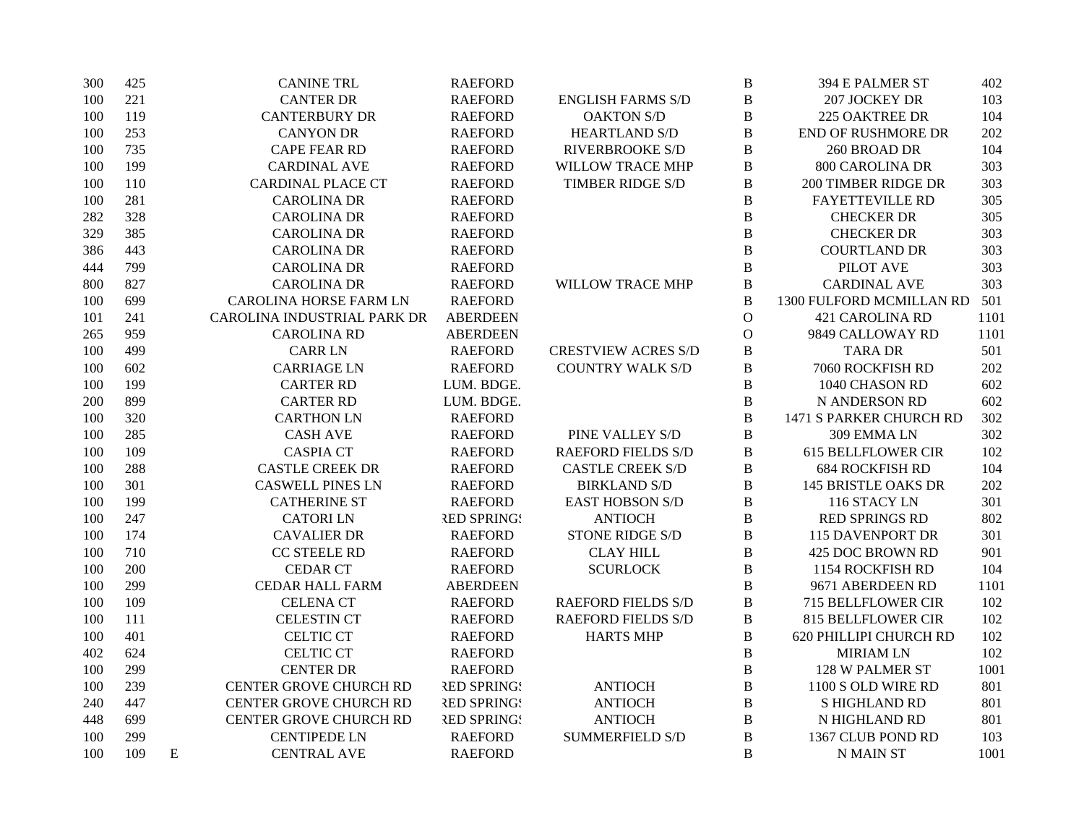| 300 | 425 | <b>CANINE TRL</b>             | <b>RAEFORD</b>     |                            | $\, {\bf B}$   | 394 E PALMER ST            | 402  |
|-----|-----|-------------------------------|--------------------|----------------------------|----------------|----------------------------|------|
| 100 | 221 | <b>CANTER DR</b>              | <b>RAEFORD</b>     | <b>ENGLISH FARMS S/D</b>   | $\, {\bf B}$   | 207 JOCKEY DR              | 103  |
| 100 | 119 | <b>CANTERBURY DR</b>          | <b>RAEFORD</b>     | <b>OAKTON S/D</b>          | $\, {\bf B}$   | <b>225 OAKTREE DR</b>      | 104  |
| 100 | 253 | <b>CANYON DR</b>              | <b>RAEFORD</b>     | <b>HEARTLAND S/D</b>       | $\bf{B}$       | <b>END OF RUSHMORE DR</b>  | 202  |
| 100 | 735 | <b>CAPE FEAR RD</b>           | <b>RAEFORD</b>     | <b>RIVERBROOKE S/D</b>     | $\, {\bf B}$   | 260 BROAD DR               | 104  |
| 100 | 199 | <b>CARDINAL AVE</b>           | <b>RAEFORD</b>     | WILLOW TRACE MHP           | $\, {\bf B}$   | <b>800 CAROLINA DR</b>     | 303  |
| 100 | 110 | <b>CARDINAL PLACE CT</b>      | <b>RAEFORD</b>     | <b>TIMBER RIDGE S/D</b>    | $\bf{B}$       | <b>200 TIMBER RIDGE DR</b> | 303  |
| 100 | 281 | <b>CAROLINA DR</b>            | <b>RAEFORD</b>     |                            | $\, {\bf B}$   | <b>FAYETTEVILLE RD</b>     | 305  |
| 282 | 328 | <b>CAROLINA DR</b>            | <b>RAEFORD</b>     |                            | $\, {\bf B}$   | <b>CHECKER DR</b>          | 305  |
| 329 | 385 | <b>CAROLINA DR</b>            | <b>RAEFORD</b>     |                            | $\bf{B}$       | <b>CHECKER DR</b>          | 303  |
| 386 | 443 | <b>CAROLINA DR</b>            | <b>RAEFORD</b>     |                            | $\overline{B}$ | <b>COURTLAND DR</b>        | 303  |
| 444 | 799 | <b>CAROLINA DR</b>            | <b>RAEFORD</b>     |                            | $\, {\bf B}$   | PILOT AVE                  | 303  |
| 800 | 827 | <b>CAROLINA DR</b>            | <b>RAEFORD</b>     | <b>WILLOW TRACE MHP</b>    | $\, {\bf B}$   | <b>CARDINAL AVE</b>        | 303  |
| 100 | 699 | <b>CAROLINA HORSE FARM LN</b> | <b>RAEFORD</b>     |                            | $\, {\bf B}$   | 1300 FULFORD MCMILLAN RD   | 501  |
| 101 | 241 | CAROLINA INDUSTRIAL PARK DR   | <b>ABERDEEN</b>    |                            | $\mathcal{O}$  | <b>421 CAROLINA RD</b>     | 1101 |
| 265 | 959 | <b>CAROLINA RD</b>            | <b>ABERDEEN</b>    |                            | $\mathbf O$    | 9849 CALLOWAY RD           | 1101 |
| 100 | 499 | <b>CARR LN</b>                | <b>RAEFORD</b>     | <b>CRESTVIEW ACRES S/D</b> | $\, {\bf B}$   | <b>TARA DR</b>             | 501  |
| 100 | 602 | <b>CARRIAGE LN</b>            | <b>RAEFORD</b>     | <b>COUNTRY WALK S/D</b>    | $\, {\bf B}$   | 7060 ROCKFISH RD           | 202  |
| 100 | 199 | <b>CARTER RD</b>              | LUM. BDGE.         |                            | $\, {\bf B}$   | 1040 CHASON RD             | 602  |
| 200 | 899 | <b>CARTER RD</b>              | LUM. BDGE.         |                            | $\, {\bf B}$   | N ANDERSON RD              | 602  |
| 100 | 320 | <b>CARTHON LN</b>             | <b>RAEFORD</b>     |                            | $\bf{B}$       | 1471 S PARKER CHURCH RD    | 302  |
| 100 | 285 | <b>CASH AVE</b>               | <b>RAEFORD</b>     | PINE VALLEY S/D            | $\, {\bf B}$   | 309 EMMA LN                | 302  |
| 100 | 109 | <b>CASPIA CT</b>              | <b>RAEFORD</b>     | <b>RAEFORD FIELDS S/D</b>  | $\, {\bf B}$   | <b>615 BELLFLOWER CIR</b>  | 102  |
| 100 | 288 | <b>CASTLE CREEK DR</b>        | <b>RAEFORD</b>     | <b>CASTLE CREEK S/D</b>    | $\, {\bf B}$   | <b>684 ROCKFISH RD</b>     | 104  |
| 100 | 301 | <b>CASWELL PINES LN</b>       | <b>RAEFORD</b>     | <b>BIRKLAND S/D</b>        | $\, {\bf B}$   | <b>145 BRISTLE OAKS DR</b> | 202  |
| 100 | 199 | <b>CATHERINE ST</b>           | <b>RAEFORD</b>     | <b>EAST HOBSON S/D</b>     | $\, {\bf B}$   | 116 STACY LN               | 301  |
| 100 | 247 | <b>CATORILN</b>               | <b>RED SPRING!</b> | <b>ANTIOCH</b>             | $\, {\bf B}$   | RED SPRINGS RD             | 802  |
| 100 | 174 | <b>CAVALIER DR</b>            | <b>RAEFORD</b>     | <b>STONE RIDGE S/D</b>     | $\bf{B}$       | <b>115 DAVENPORT DR</b>    | 301  |
| 100 | 710 | <b>CC STEELE RD</b>           | <b>RAEFORD</b>     | <b>CLAY HILL</b>           | $\, {\bf B}$   | 425 DOC BROWN RD           | 901  |
| 100 | 200 | <b>CEDAR CT</b>               | <b>RAEFORD</b>     | <b>SCURLOCK</b>            | $\, {\bf B}$   | 1154 ROCKFISH RD           | 104  |
| 100 | 299 | <b>CEDAR HALL FARM</b>        | <b>ABERDEEN</b>    |                            | $\bf{B}$       | 9671 ABERDEEN RD           | 1101 |
| 100 | 109 | <b>CELENA CT</b>              | <b>RAEFORD</b>     | <b>RAEFORD FIELDS S/D</b>  | $\, {\bf B}$   | <b>715 BELLFLOWER CIR</b>  | 102  |
| 100 | 111 | <b>CELESTIN CT</b>            | <b>RAEFORD</b>     | <b>RAEFORD FIELDS S/D</b>  | $\, {\bf B}$   | <b>815 BELLFLOWER CIR</b>  | 102  |
| 100 | 401 | <b>CELTIC CT</b>              | <b>RAEFORD</b>     | <b>HARTS MHP</b>           | $\, {\bf B}$   | 620 PHILLIPI CHURCH RD     | 102  |
| 402 | 624 | <b>CELTIC CT</b>              | <b>RAEFORD</b>     |                            | $\, {\bf B}$   | <b>MIRIAM LN</b>           | 102  |
| 100 | 299 | <b>CENTER DR</b>              | <b>RAEFORD</b>     |                            | $\, {\bf B}$   | 128 W PALMER ST            | 1001 |
| 100 | 239 | CENTER GROVE CHURCH RD        | <b>RED SPRINGS</b> | <b>ANTIOCH</b>             | $\, {\bf B}$   | 1100 S OLD WIRE RD         | 801  |
| 240 | 447 | CENTER GROVE CHURCH RD        | <b>RED SPRING!</b> | <b>ANTIOCH</b>             | $\, {\bf B}$   | S HIGHLAND RD              | 801  |
| 448 | 699 | CENTER GROVE CHURCH RD        | <b>RED SPRING!</b> | <b>ANTIOCH</b>             | $\, {\bf B}$   | N HIGHLAND RD              | 801  |
| 100 | 299 | <b>CENTIPEDE LN</b>           | <b>RAEFORD</b>     | <b>SUMMERFIELD S/D</b>     | $\bf{B}$       | 1367 CLUB POND RD          | 103  |
| 100 | 109 | E<br><b>CENTRAL AVE</b>       | <b>RAEFORD</b>     |                            | $\bf{B}$       | <b>N MAIN ST</b>           | 1001 |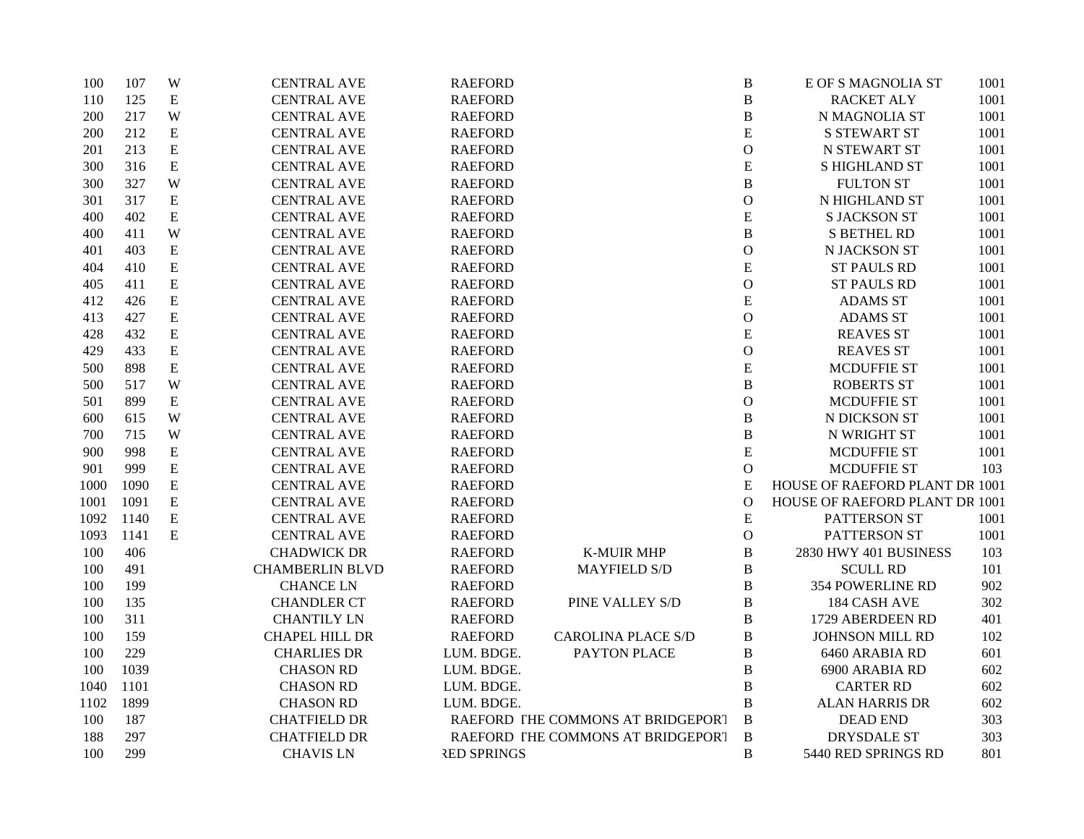| 100  | 107  | W         | <b>CENTRAL AVE</b>     | <b>RAEFORD</b>     |                                   | $\, {\bf B}$ | E OF S MAGNOLIA ST             | 1001 |
|------|------|-----------|------------------------|--------------------|-----------------------------------|--------------|--------------------------------|------|
| 110  | 125  | ${\bf E}$ | <b>CENTRAL AVE</b>     | <b>RAEFORD</b>     |                                   | $\, {\bf B}$ | <b>RACKET ALY</b>              | 1001 |
| 200  | 217  | W         | <b>CENTRAL AVE</b>     | <b>RAEFORD</b>     |                                   | $\, {\bf B}$ | N MAGNOLIA ST                  | 1001 |
| 200  | 212  | ${\bf E}$ | <b>CENTRAL AVE</b>     | <b>RAEFORD</b>     |                                   | $\mathbf E$  | <b>S STEWART ST</b>            | 1001 |
| 201  | 213  | ${\bf E}$ | <b>CENTRAL AVE</b>     | <b>RAEFORD</b>     |                                   | $\mathbf O$  | N STEWART ST                   | 1001 |
| 300  | 316  | ${\bf E}$ | <b>CENTRAL AVE</b>     | <b>RAEFORD</b>     |                                   | ${\bf E}$    | <b>S HIGHLAND ST</b>           | 1001 |
| 300  | 327  | W         | <b>CENTRAL AVE</b>     | <b>RAEFORD</b>     |                                   | $\, {\bf B}$ | <b>FULTON ST</b>               | 1001 |
| 301  | 317  | E         | <b>CENTRAL AVE</b>     | <b>RAEFORD</b>     |                                   | $\mathbf O$  | N HIGHLAND ST                  | 1001 |
| 400  | 402  | ${\bf E}$ | <b>CENTRAL AVE</b>     | <b>RAEFORD</b>     |                                   | ${\bf E}$    | <b>S JACKSON ST</b>            | 1001 |
| 400  | 411  | W         | <b>CENTRAL AVE</b>     | <b>RAEFORD</b>     |                                   | $\, {\bf B}$ | <b>S BETHEL RD</b>             | 1001 |
| 401  | 403  | ${\bf E}$ | <b>CENTRAL AVE</b>     | <b>RAEFORD</b>     |                                   | $\mathbf O$  | N JACKSON ST                   | 1001 |
| 404  | 410  | ${\bf E}$ | <b>CENTRAL AVE</b>     | <b>RAEFORD</b>     |                                   | ${\bf E}$    | <b>ST PAULS RD</b>             | 1001 |
| 405  | 411  | ${\bf E}$ | <b>CENTRAL AVE</b>     | <b>RAEFORD</b>     |                                   | $\mathcal O$ | <b>ST PAULS RD</b>             | 1001 |
| 412  | 426  | ${\bf E}$ | <b>CENTRAL AVE</b>     | <b>RAEFORD</b>     |                                   | ${\bf E}$    | <b>ADAMS ST</b>                | 1001 |
| 413  | 427  | ${\bf E}$ | <b>CENTRAL AVE</b>     | <b>RAEFORD</b>     |                                   | $\mathbf O$  | <b>ADAMS ST</b>                | 1001 |
| 428  | 432  | ${\bf E}$ | <b>CENTRAL AVE</b>     | <b>RAEFORD</b>     |                                   | ${\bf E}$    | <b>REAVES ST</b>               | 1001 |
| 429  | 433  | ${\bf E}$ | <b>CENTRAL AVE</b>     | <b>RAEFORD</b>     |                                   | $\mathcal O$ | <b>REAVES ST</b>               | 1001 |
| 500  | 898  | ${\bf E}$ | <b>CENTRAL AVE</b>     | <b>RAEFORD</b>     |                                   | ${\bf E}$    | <b>MCDUFFIE ST</b>             | 1001 |
| 500  | 517  | W         | <b>CENTRAL AVE</b>     | <b>RAEFORD</b>     |                                   | B            | <b>ROBERTS ST</b>              | 1001 |
| 501  | 899  | ${\bf E}$ | <b>CENTRAL AVE</b>     | <b>RAEFORD</b>     |                                   | $\mathbf O$  | <b>MCDUFFIE ST</b>             | 1001 |
| 600  | 615  | W         | <b>CENTRAL AVE</b>     | <b>RAEFORD</b>     |                                   | $\, {\bf B}$ | N DICKSON ST                   | 1001 |
| 700  | 715  | W         | <b>CENTRAL AVE</b>     | <b>RAEFORD</b>     |                                   | $\, {\bf B}$ | N WRIGHT ST                    | 1001 |
| 900  | 998  | ${\bf E}$ | <b>CENTRAL AVE</b>     | <b>RAEFORD</b>     |                                   | $\mathbf E$  | <b>MCDUFFIE ST</b>             | 1001 |
| 901  | 999  | ${\bf E}$ | <b>CENTRAL AVE</b>     | <b>RAEFORD</b>     |                                   | $\mathbf{O}$ | <b>MCDUFFIE ST</b>             | 103  |
| 1000 | 1090 | ${\bf E}$ | <b>CENTRAL AVE</b>     | <b>RAEFORD</b>     |                                   | ${\bf E}$    | HOUSE OF RAEFORD PLANT DR 1001 |      |
| 1001 | 1091 | ${\bf E}$ | <b>CENTRAL AVE</b>     | <b>RAEFORD</b>     |                                   | $\mathbf O$  | HOUSE OF RAEFORD PLANT DR 1001 |      |
| 1092 | 1140 | ${\bf E}$ | <b>CENTRAL AVE</b>     | <b>RAEFORD</b>     |                                   | ${\bf E}$    | PATTERSON ST                   | 1001 |
| 1093 | 1141 | E         | <b>CENTRAL AVE</b>     | <b>RAEFORD</b>     |                                   | $\mathbf O$  | PATTERSON ST                   | 1001 |
| 100  | 406  |           | <b>CHADWICK DR</b>     | <b>RAEFORD</b>     | <b>K-MUIR MHP</b>                 | $\, {\bf B}$ | 2830 HWY 401 BUSINESS          | 103  |
| 100  | 491  |           | <b>CHAMBERLIN BLVD</b> | <b>RAEFORD</b>     | <b>MAYFIELD S/D</b>               | B            | <b>SCULL RD</b>                | 101  |
| 100  | 199  |           | <b>CHANCE LN</b>       | <b>RAEFORD</b>     |                                   | $\, {\bf B}$ | <b>354 POWERLINE RD</b>        | 902  |
| 100  | 135  |           | <b>CHANDLER CT</b>     | <b>RAEFORD</b>     | PINE VALLEY S/D                   | B            | 184 CASH AVE                   | 302  |
| 100  | 311  |           | <b>CHANTILY LN</b>     | <b>RAEFORD</b>     |                                   | $\, {\bf B}$ | 1729 ABERDEEN RD               | 401  |
| 100  | 159  |           | <b>CHAPEL HILL DR</b>  | <b>RAEFORD</b>     | <b>CAROLINA PLACE S/D</b>         | $\, {\bf B}$ | <b>JOHNSON MILL RD</b>         | 102  |
| 100  | 229  |           | <b>CHARLIES DR</b>     | LUM. BDGE.         | PAYTON PLACE                      | $\, {\bf B}$ | 6460 ARABIA RD                 | 601  |
| 100  | 1039 |           | <b>CHASON RD</b>       | LUM. BDGE.         |                                   | B            | 6900 ARABIA RD                 | 602  |
| 1040 | 1101 |           | <b>CHASON RD</b>       | LUM. BDGE.         |                                   | B            | <b>CARTER RD</b>               | 602  |
| 1102 | 1899 |           | <b>CHASON RD</b>       | LUM. BDGE.         |                                   | $\, {\bf B}$ | <b>ALAN HARRIS DR</b>          | 602  |
| 100  | 187  |           | <b>CHATFIELD DR</b>    |                    | RAEFORD THE COMMONS AT BRIDGEPORT | $\bf{B}$     | <b>DEAD END</b>                | 303  |
| 188  | 297  |           | <b>CHATFIELD DR</b>    |                    | RAEFORD THE COMMONS AT BRIDGEPORT | $\mathbf B$  | <b>DRYSDALE ST</b>             | 303  |
| 100  | 299  |           | <b>CHAVIS LN</b>       | <b>RED SPRINGS</b> |                                   | B            | 5440 RED SPRINGS RD            | 801  |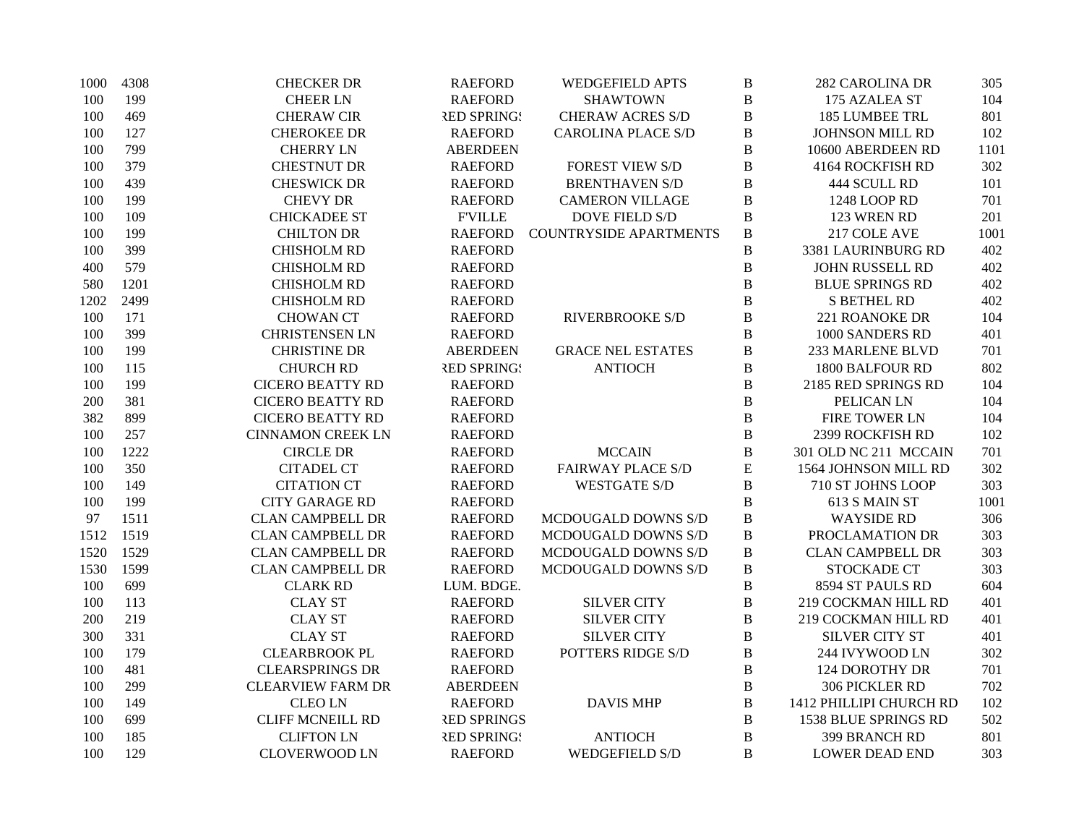| 1000 | 4308 | <b>CHECKER DR</b>        | <b>RAEFORD</b>     | <b>WEDGEFIELD APTS</b>        | $\, {\bf B}$ | <b>282 CAROLINA DR</b>  | 305  |
|------|------|--------------------------|--------------------|-------------------------------|--------------|-------------------------|------|
| 100  | 199  | <b>CHEER LN</b>          | <b>RAEFORD</b>     | <b>SHAWTOWN</b>               | $\, {\bf B}$ | 175 AZALEA ST           | 104  |
| 100  | 469  | <b>CHERAW CIR</b>        | <b>RED SPRING!</b> | <b>CHERAW ACRES S/D</b>       | $\, {\bf B}$ | 185 LUMBEE TRL          | 801  |
| 100  | 127  | <b>CHEROKEE DR</b>       | <b>RAEFORD</b>     | <b>CAROLINA PLACE S/D</b>     | $\, {\bf B}$ | JOHNSON MILL RD         | 102  |
| 100  | 799  | <b>CHERRY LN</b>         | <b>ABERDEEN</b>    |                               | $\, {\bf B}$ | 10600 ABERDEEN RD       | 1101 |
| 100  | 379  | <b>CHESTNUT DR</b>       | <b>RAEFORD</b>     | <b>FOREST VIEW S/D</b>        | $\, {\bf B}$ | 4164 ROCKFISH RD        | 302  |
| 100  | 439  | <b>CHESWICK DR</b>       | <b>RAEFORD</b>     | <b>BRENTHAVEN S/D</b>         | $\bf{B}$     | 444 SCULL RD            | 101  |
| 100  | 199  | <b>CHEVY DR</b>          | <b>RAEFORD</b>     | <b>CAMERON VILLAGE</b>        | $\bf{B}$     | 1248 LOOP RD            | 701  |
| 100  | 109  | <b>CHICKADEE ST</b>      | <b>F'VILLE</b>     | <b>DOVE FIELD S/D</b>         | $\bf{B}$     | 123 WREN RD             | 201  |
| 100  | 199  | <b>CHILTON DR</b>        | <b>RAEFORD</b>     | <b>COUNTRYSIDE APARTMENTS</b> | $\, {\bf B}$ | 217 COLE AVE            | 1001 |
| 100  | 399  | <b>CHISHOLM RD</b>       | <b>RAEFORD</b>     |                               | $\, {\bf B}$ | 3381 LAURINBURG RD      | 402  |
| 400  | 579  | <b>CHISHOLM RD</b>       | <b>RAEFORD</b>     |                               | $\, {\bf B}$ | JOHN RUSSELL RD         | 402  |
| 580  | 1201 | <b>CHISHOLM RD</b>       | <b>RAEFORD</b>     |                               | $\bf{B}$     | <b>BLUE SPRINGS RD</b>  | 402  |
| 1202 | 2499 | <b>CHISHOLM RD</b>       | <b>RAEFORD</b>     |                               | $\bf{B}$     | <b>S BETHEL RD</b>      | 402  |
| 100  | 171  | <b>CHOWAN CT</b>         | <b>RAEFORD</b>     | <b>RIVERBROOKE S/D</b>        | $\bf{B}$     | 221 ROANOKE DR          | 104  |
| 100  | 399  | <b>CHRISTENSEN LN</b>    | <b>RAEFORD</b>     |                               | $\bf{B}$     | 1000 SANDERS RD         | 401  |
| 100  | 199  | <b>CHRISTINE DR</b>      | <b>ABERDEEN</b>    | <b>GRACE NEL ESTATES</b>      | $\, {\bf B}$ | 233 MARLENE BLVD        | 701  |
| 100  | 115  | <b>CHURCH RD</b>         | <b>RED SPRING!</b> | <b>ANTIOCH</b>                | $\, {\bf B}$ | 1800 BALFOUR RD         | 802  |
| 100  | 199  | <b>CICERO BEATTY RD</b>  | <b>RAEFORD</b>     |                               | $\bf{B}$     | 2185 RED SPRINGS RD     | 104  |
| 200  | 381  | <b>CICERO BEATTY RD</b>  | <b>RAEFORD</b>     |                               | $\bf{B}$     | PELICAN LN              | 104  |
| 382  | 899  | <b>CICERO BEATTY RD</b>  | <b>RAEFORD</b>     |                               | $\bf{B}$     | FIRE TOWER LN           | 104  |
| 100  | 257  | <b>CINNAMON CREEK LN</b> | <b>RAEFORD</b>     |                               | $\, {\bf B}$ | 2399 ROCKFISH RD        | 102  |
| 100  | 1222 | <b>CIRCLE DR</b>         | <b>RAEFORD</b>     | <b>MCCAIN</b>                 | $\, {\bf B}$ | 301 OLD NC 211 MCCAIN   | 701  |
| 100  | 350  | <b>CITADEL CT</b>        | <b>RAEFORD</b>     | <b>FAIRWAY PLACE S/D</b>      | ${\bf E}$    | 1564 JOHNSON MILL RD    | 302  |
| 100  | 149  | <b>CITATION CT</b>       | <b>RAEFORD</b>     | <b>WESTGATE S/D</b>           | $\bf{B}$     | 710 ST JOHNS LOOP       | 303  |
| 100  | 199  | <b>CITY GARAGE RD</b>    | <b>RAEFORD</b>     |                               | $\bf{B}$     | 613 S MAIN ST           | 1001 |
| 97   | 1511 | <b>CLAN CAMPBELL DR</b>  | <b>RAEFORD</b>     | MCDOUGALD DOWNS S/D           | $\bf{B}$     | <b>WAYSIDE RD</b>       | 306  |
| 1512 | 1519 | <b>CLAN CAMPBELL DR</b>  | <b>RAEFORD</b>     | MCDOUGALD DOWNS S/D           | $\, {\bf B}$ | PROCLAMATION DR         | 303  |
| 1520 | 1529 | <b>CLAN CAMPBELL DR</b>  | <b>RAEFORD</b>     | MCDOUGALD DOWNS S/D           | $\, {\bf B}$ | <b>CLAN CAMPBELL DR</b> | 303  |
| 1530 | 1599 | <b>CLAN CAMPBELL DR</b>  | <b>RAEFORD</b>     | MCDOUGALD DOWNS S/D           | $\, {\bf B}$ | <b>STOCKADE CT</b>      | 303  |
| 100  | 699  | <b>CLARK RD</b>          | LUM. BDGE.         |                               | $\, {\bf B}$ | 8594 ST PAULS RD        | 604  |
| 100  | 113  | <b>CLAY ST</b>           | <b>RAEFORD</b>     | <b>SILVER CITY</b>            | $\bf{B}$     | 219 COCKMAN HILL RD     | 401  |
| 200  | 219  | <b>CLAY ST</b>           | <b>RAEFORD</b>     | <b>SILVER CITY</b>            | $\bf{B}$     | 219 COCKMAN HILL RD     | 401  |
| 300  | 331  | <b>CLAY ST</b>           | <b>RAEFORD</b>     | <b>SILVER CITY</b>            | $\, {\bf B}$ | <b>SILVER CITY ST</b>   | 401  |
| 100  | 179  | <b>CLEARBROOK PL</b>     | <b>RAEFORD</b>     | POTTERS RIDGE S/D             | $\, {\bf B}$ | 244 IVYWOOD LN          | 302  |
| 100  | 481  | <b>CLEARSPRINGS DR</b>   | <b>RAEFORD</b>     |                               | $\, {\bf B}$ | 124 DOROTHY DR          | 701  |
| 100  | 299  | <b>CLEARVIEW FARM DR</b> | <b>ABERDEEN</b>    |                               | $\, {\bf B}$ | 306 PICKLER RD          | 702  |
| 100  | 149  | <b>CLEOLN</b>            | <b>RAEFORD</b>     | <b>DAVIS MHP</b>              | $\, {\bf B}$ | 1412 PHILLIPI CHURCH RD | 102  |
| 100  | 699  | <b>CLIFF MCNEILL RD</b>  | <b>RED SPRINGS</b> |                               | $\, {\bf B}$ | 1538 BLUE SPRINGS RD    | 502  |
| 100  | 185  | <b>CLIFTON LN</b>        | <b>RED SPRING!</b> | <b>ANTIOCH</b>                | $\, {\bf B}$ | 399 BRANCH RD           | 801  |
| 100  | 129  | <b>CLOVERWOOD LN</b>     | <b>RAEFORD</b>     | <b>WEDGEFIELD S/D</b>         | B            | <b>LOWER DEAD END</b>   | 303  |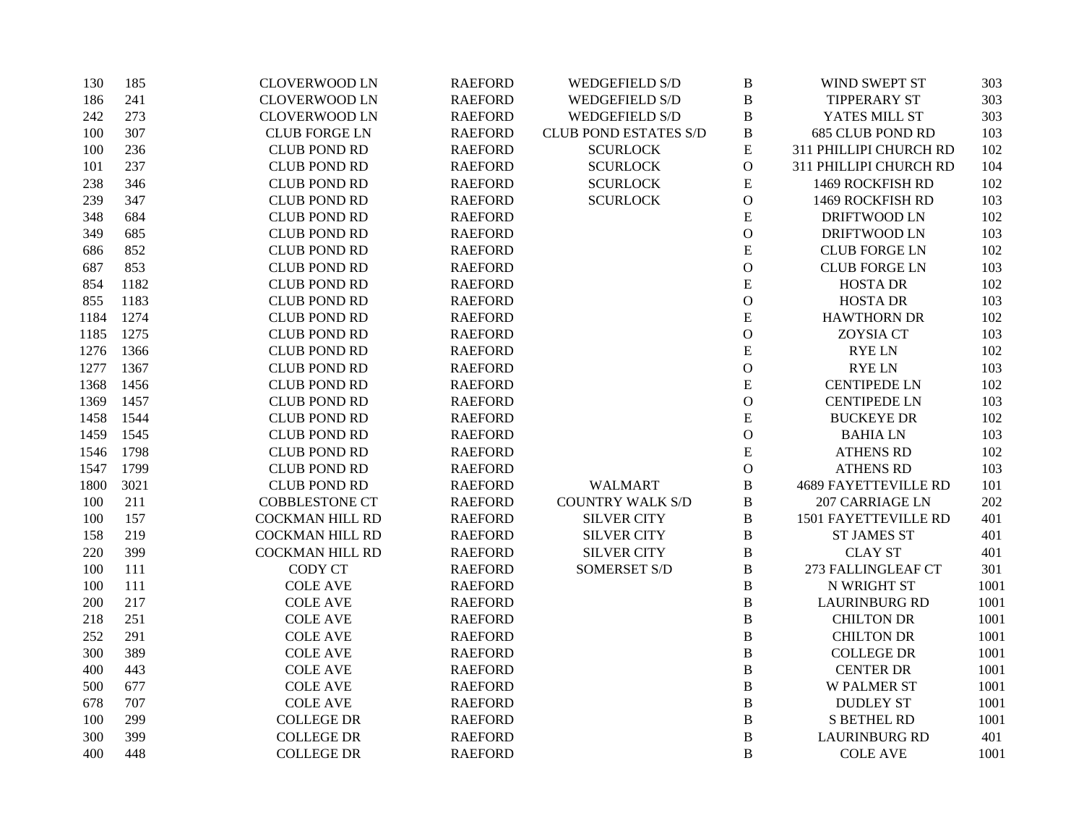| 130  | 185  | <b>CLOVERWOOD LN</b>   | <b>RAEFORD</b> | <b>WEDGEFIELD S/D</b>        | $\, {\bf B}$   | WIND SWEPT ST               | 303  |
|------|------|------------------------|----------------|------------------------------|----------------|-----------------------------|------|
| 186  | 241  | <b>CLOVERWOOD LN</b>   | <b>RAEFORD</b> | WEDGEFIELD S/D               | $\, {\bf B}$   | TIPPERARY ST                | 303  |
| 242  | 273  | <b>CLOVERWOOD LN</b>   | <b>RAEFORD</b> | <b>WEDGEFIELD S/D</b>        | B              | YATES MILL ST               | 303  |
| 100  | 307  | <b>CLUB FORGE LN</b>   | <b>RAEFORD</b> | <b>CLUB POND ESTATES S/D</b> | $\, {\bf B}$   | <b>685 CLUB POND RD</b>     | 103  |
| 100  | 236  | <b>CLUB POND RD</b>    | <b>RAEFORD</b> | <b>SCURLOCK</b>              | ${\bf E}$      | 311 PHILLIPI CHURCH RD      | 102  |
| 101  | 237  | <b>CLUB POND RD</b>    | <b>RAEFORD</b> | <b>SCURLOCK</b>              | ${\cal O}$     | 311 PHILLIPI CHURCH RD      | 104  |
| 238  | 346  | <b>CLUB POND RD</b>    | <b>RAEFORD</b> | <b>SCURLOCK</b>              | ${\bf E}$      | 1469 ROCKFISH RD            | 102  |
| 239  | 347  | <b>CLUB POND RD</b>    | <b>RAEFORD</b> | <b>SCURLOCK</b>              | $\mathcal{O}$  | 1469 ROCKFISH RD            | 103  |
| 348  | 684  | <b>CLUB POND RD</b>    | <b>RAEFORD</b> |                              | $\mathbf E$    | DRIFTWOOD LN                | 102  |
| 349  | 685  | <b>CLUB POND RD</b>    | <b>RAEFORD</b> |                              | $\mathbf O$    | DRIFTWOOD LN                | 103  |
| 686  | 852  | <b>CLUB POND RD</b>    | <b>RAEFORD</b> |                              | $\mathbf E$    | <b>CLUB FORGE LN</b>        | 102  |
| 687  | 853  | <b>CLUB POND RD</b>    | <b>RAEFORD</b> |                              | $\mathcal O$   | <b>CLUB FORGE LN</b>        | 103  |
| 854  | 1182 | <b>CLUB POND RD</b>    | <b>RAEFORD</b> |                              | ${\bf E}$      | <b>HOSTA DR</b>             | 102  |
| 855  | 1183 | <b>CLUB POND RD</b>    | <b>RAEFORD</b> |                              | $\mathbf{O}$   | <b>HOSTA DR</b>             | 103  |
| 1184 | 1274 | <b>CLUB POND RD</b>    | <b>RAEFORD</b> |                              | ${\bf E}$      | <b>HAWTHORN DR</b>          | 102  |
| 1185 | 1275 | <b>CLUB POND RD</b>    | <b>RAEFORD</b> |                              | $\mathcal O$   | <b>ZOYSIA CT</b>            | 103  |
| 1276 | 1366 | <b>CLUB POND RD</b>    | <b>RAEFORD</b> |                              | ${\bf E}$      | <b>RYELN</b>                | 102  |
| 1277 | 1367 | <b>CLUB POND RD</b>    | <b>RAEFORD</b> |                              | $\mathcal O$   | <b>RYELN</b>                | 103  |
| 1368 | 1456 | <b>CLUB POND RD</b>    | <b>RAEFORD</b> |                              | ${\bf E}$      | <b>CENTIPEDE LN</b>         | 102  |
| 1369 | 1457 | <b>CLUB POND RD</b>    | <b>RAEFORD</b> |                              | $\mathbf{O}$   | <b>CENTIPEDE LN</b>         | 103  |
| 1458 | 1544 | <b>CLUB POND RD</b>    | <b>RAEFORD</b> |                              | E              | <b>BUCKEYE DR</b>           | 102  |
| 1459 | 1545 | <b>CLUB POND RD</b>    | <b>RAEFORD</b> |                              | $\mathcal{O}$  | <b>BAHIALN</b>              | 103  |
| 1546 | 1798 | <b>CLUB POND RD</b>    | <b>RAEFORD</b> |                              | ${\bf E}$      | <b>ATHENS RD</b>            | 102  |
| 1547 | 1799 | <b>CLUB POND RD</b>    | <b>RAEFORD</b> |                              | ${\cal O}$     | <b>ATHENS RD</b>            | 103  |
| 1800 | 3021 | <b>CLUB POND RD</b>    | <b>RAEFORD</b> | <b>WALMART</b>               | $\, {\bf B}$   | <b>4689 FAYETTEVILLE RD</b> | 101  |
| 100  | 211  | <b>COBBLESTONE CT</b>  | <b>RAEFORD</b> | <b>COUNTRY WALK S/D</b>      | $\bf{B}$       | 207 CARRIAGE LN             | 202  |
| 100  | 157  | <b>COCKMAN HILL RD</b> | <b>RAEFORD</b> | <b>SILVER CITY</b>           | $\, {\bf B}$   | 1501 FAYETTEVILLE RD        | 401  |
| 158  | 219  | <b>COCKMAN HILL RD</b> | <b>RAEFORD</b> | <b>SILVER CITY</b>           | $\, {\bf B}$   | <b>ST JAMES ST</b>          | 401  |
| 220  | 399  | <b>COCKMAN HILL RD</b> | <b>RAEFORD</b> | <b>SILVER CITY</b>           | $\, {\bf B}$   | <b>CLAY ST</b>              | 401  |
| 100  | 111  | <b>CODY CT</b>         | <b>RAEFORD</b> | <b>SOMERSET S/D</b>          | $\, {\bf B}$   | 273 FALLINGLEAF CT          | 301  |
| 100  | 111  | <b>COLE AVE</b>        | <b>RAEFORD</b> |                              | B              | N WRIGHT ST                 | 1001 |
| 200  | 217  | <b>COLE AVE</b>        | <b>RAEFORD</b> |                              | $\, {\bf B}$   | <b>LAURINBURG RD</b>        | 1001 |
| 218  | 251  | <b>COLE AVE</b>        | <b>RAEFORD</b> |                              | B              | <b>CHILTON DR</b>           | 1001 |
| 252  | 291  | <b>COLE AVE</b>        | <b>RAEFORD</b> |                              | $\, {\bf B}$   | <b>CHILTON DR</b>           | 1001 |
| 300  | 389  | <b>COLE AVE</b>        | <b>RAEFORD</b> |                              | $\, {\bf B}$   | <b>COLLEGE DR</b>           | 1001 |
| 400  | 443  | <b>COLE AVE</b>        | <b>RAEFORD</b> |                              | $\bf{B}$       | <b>CENTER DR</b>            | 1001 |
| 500  | 677  | <b>COLE AVE</b>        | <b>RAEFORD</b> |                              | B              | <b>W PALMER ST</b>          | 1001 |
| 678  | 707  | <b>COLE AVE</b>        | <b>RAEFORD</b> |                              | $\, {\bf B}$   | <b>DUDLEY ST</b>            | 1001 |
| 100  | 299  | <b>COLLEGE DR</b>      | <b>RAEFORD</b> |                              | $\, {\bf B}$   | <b>S BETHEL RD</b>          | 1001 |
| 300  | 399  | <b>COLLEGE DR</b>      | <b>RAEFORD</b> |                              | $\, {\bf B}$   | <b>LAURINBURG RD</b>        | 401  |
| 400  | 448  | <b>COLLEGE DR</b>      | <b>RAEFORD</b> |                              | $\overline{B}$ | <b>COLE AVE</b>             | 1001 |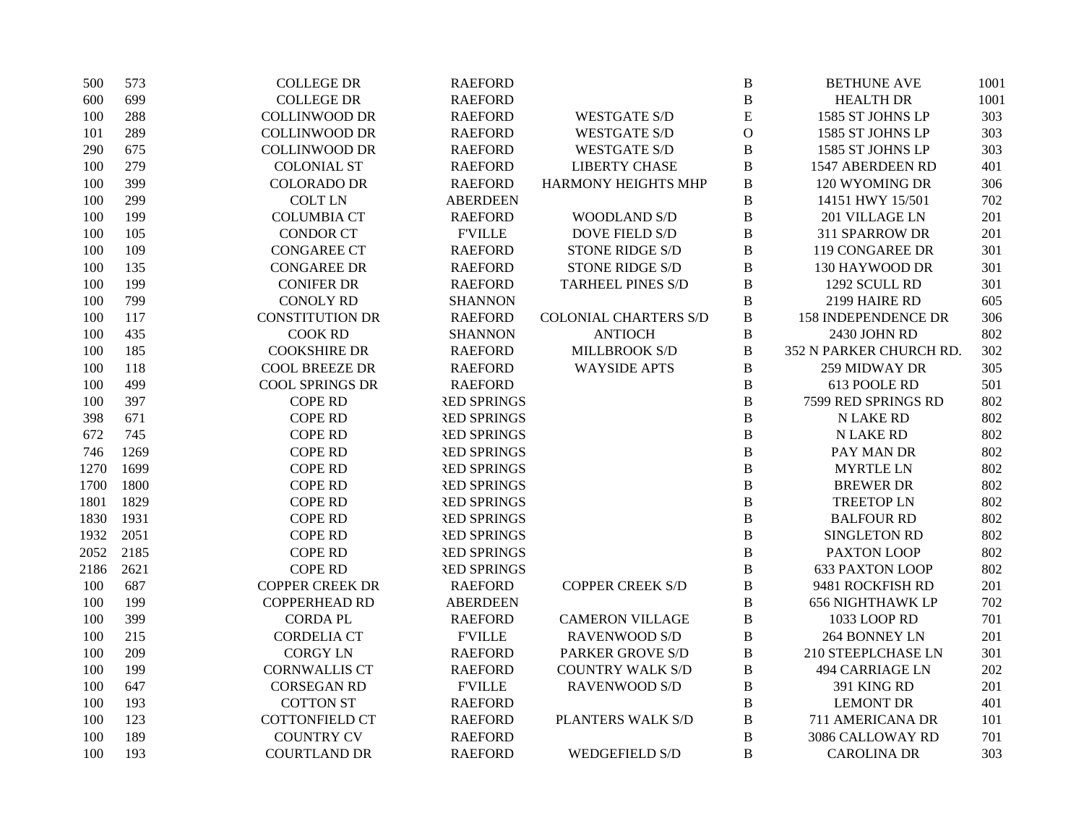| 500  | 573  | <b>COLLEGE DR</b>      | <b>RAEFORD</b>     |                              | $\bf{B}$       | <b>BETHUNE AVE</b>      | 1001 |
|------|------|------------------------|--------------------|------------------------------|----------------|-------------------------|------|
| 600  | 699  | <b>COLLEGE DR</b>      | <b>RAEFORD</b>     |                              | $\bf{B}$       | <b>HEALTH DR</b>        | 1001 |
| 100  | 288  | <b>COLLINWOOD DR</b>   | <b>RAEFORD</b>     | <b>WESTGATE S/D</b>          | E              | 1585 ST JOHNS LP        | 303  |
| 101  | 289  | <b>COLLINWOOD DR</b>   | <b>RAEFORD</b>     | <b>WESTGATE S/D</b>          | $\overline{O}$ | 1585 ST JOHNS LP        | 303  |
| 290  | 675  | <b>COLLINWOOD DR</b>   | <b>RAEFORD</b>     | <b>WESTGATE S/D</b>          | $\, {\bf B}$   | 1585 ST JOHNS LP        | 303  |
| 100  | 279  | <b>COLONIAL ST</b>     | <b>RAEFORD</b>     | <b>LIBERTY CHASE</b>         | $\bf{B}$       | 1547 ABERDEEN RD        | 401  |
| 100  | 399  | <b>COLORADO DR</b>     | <b>RAEFORD</b>     | HARMONY HEIGHTS MHP          | $\bf{B}$       | 120 WYOMING DR          | 306  |
| 100  | 299  | <b>COLT LN</b>         | <b>ABERDEEN</b>    |                              | $\, {\bf B}$   | 14151 HWY 15/501        | 702  |
| 100  | 199  | <b>COLUMBIA CT</b>     | <b>RAEFORD</b>     | <b>WOODLAND S/D</b>          | $\, {\bf B}$   | 201 VILLAGE LN          | 201  |
| 100  | 105  | <b>CONDOR CT</b>       | <b>FVILLE</b>      | <b>DOVE FIELD S/D</b>        | $\bf{B}$       | 311 SPARROW DR          | 201  |
| 100  | 109  | <b>CONGAREE CT</b>     | <b>RAEFORD</b>     | <b>STONE RIDGE S/D</b>       | $\, {\bf B}$   | 119 CONGAREE DR         | 301  |
| 100  | 135  | <b>CONGAREE DR</b>     | <b>RAEFORD</b>     | <b>STONE RIDGE S/D</b>       | $\, {\bf B}$   | 130 HAYWOOD DR          | 301  |
| 100  | 199  | <b>CONIFER DR</b>      | <b>RAEFORD</b>     | <b>TARHEEL PINES S/D</b>     | $\bf{B}$       | 1292 SCULL RD           | 301  |
| 100  | 799  | <b>CONOLY RD</b>       | <b>SHANNON</b>     |                              | $\, {\bf B}$   | 2199 HAIRE RD           | 605  |
| 100  | 117  | <b>CONSTITUTION DR</b> | <b>RAEFORD</b>     | <b>COLONIAL CHARTERS S/D</b> | $\, {\bf B}$   | 158 INDEPENDENCE DR     | 306  |
| 100  | 435  | <b>COOK RD</b>         | <b>SHANNON</b>     | <b>ANTIOCH</b>               | $\, {\bf B}$   | 2430 JOHN RD            | 802  |
| 100  | 185  | <b>COOKSHIRE DR</b>    | <b>RAEFORD</b>     | <b>MILLBROOK S/D</b>         | $\, {\bf B}$   | 352 N PARKER CHURCH RD. | 302  |
| 100  | 118  | <b>COOL BREEZE DR</b>  | <b>RAEFORD</b>     | <b>WAYSIDE APTS</b>          | $\bf{B}$       | 259 MIDWAY DR           | 305  |
| 100  | 499  | <b>COOL SPRINGS DR</b> | <b>RAEFORD</b>     |                              | $\bf{B}$       | 613 POOLE RD            | 501  |
| 100  | 397  | <b>COPE RD</b>         | <b>RED SPRINGS</b> |                              | $\, {\bf B}$   | 7599 RED SPRINGS RD     | 802  |
| 398  | 671  | <b>COPE RD</b>         | <b>RED SPRINGS</b> |                              | $\, {\bf B}$   | <b>N LAKE RD</b>        | 802  |
| 672  | 745  | <b>COPE RD</b>         | <b>RED SPRINGS</b> |                              | $\bf{B}$       | <b>N LAKE RD</b>        | 802  |
| 746  | 1269 | <b>COPE RD</b>         | <b>RED SPRINGS</b> |                              | $\, {\bf B}$   | PAY MAN DR              | 802  |
| 1270 | 1699 | <b>COPE RD</b>         | <b>RED SPRINGS</b> |                              | $\bf{B}$       | <b>MYRTLE LN</b>        | 802  |
| 1700 | 1800 | <b>COPE RD</b>         | <b>RED SPRINGS</b> |                              | $\bf{B}$       | <b>BREWER DR</b>        | 802  |
| 1801 | 1829 | <b>COPE RD</b>         | <b>RED SPRINGS</b> |                              | $\bf{B}$       | <b>TREETOP LN</b>       | 802  |
| 1830 | 1931 | <b>COPE RD</b>         | <b>RED SPRINGS</b> |                              | $\bf{B}$       | <b>BALFOUR RD</b>       | 802  |
| 1932 | 2051 | <b>COPE RD</b>         | <b>RED SPRINGS</b> |                              | $\bf{B}$       | SINGLETON RD            | 802  |
| 2052 | 2185 | <b>COPE RD</b>         | <b>RED SPRINGS</b> |                              | $\bf{B}$       | PAXTON LOOP             | 802  |
| 2186 | 2621 | <b>COPE RD</b>         | <b>RED SPRINGS</b> |                              | $\bf{B}$       | <b>633 PAXTON LOOP</b>  | 802  |
| 100  | 687  | <b>COPPER CREEK DR</b> | <b>RAEFORD</b>     | <b>COPPER CREEK S/D</b>      | $\bf{B}$       | 9481 ROCKFISH RD        | 201  |
| 100  | 199  | <b>COPPERHEAD RD</b>   | <b>ABERDEEN</b>    |                              | $\bf{B}$       | <b>656 NIGHTHAWK LP</b> | 702  |
| 100  | 399  | <b>CORDA PL</b>        | <b>RAEFORD</b>     | <b>CAMERON VILLAGE</b>       | $\bf{B}$       | 1033 LOOP RD            | 701  |
| 100  | 215  | <b>CORDELIA CT</b>     | <b>FVILLE</b>      | <b>RAVENWOOD S/D</b>         | $\, {\bf B}$   | 264 BONNEY LN           | 201  |
| 100  | 209  | <b>CORGY LN</b>        | <b>RAEFORD</b>     | <b>PARKER GROVE S/D</b>      | $\, {\bf B}$   | 210 STEEPLCHASE LN      | 301  |
| 100  | 199  | <b>CORNWALLIS CT</b>   | <b>RAEFORD</b>     | <b>COUNTRY WALK S/D</b>      | $\, {\bf B}$   | <b>494 CARRIAGE LN</b>  | 202  |
| 100  | 647  | <b>CORSEGAN RD</b>     | <b>FVILLE</b>      | RAVENWOOD S/D                | $\, {\bf B}$   | 391 KING RD             | 201  |
| 100  | 193  | <b>COTTON ST</b>       | <b>RAEFORD</b>     |                              | $\, {\bf B}$   | <b>LEMONT DR</b>        | 401  |
| 100  | 123  | COTTONFIELD CT         | <b>RAEFORD</b>     | PLANTERS WALK S/D            | $\, {\bf B}$   | 711 AMERICANA DR        | 101  |
| 100  | 189  | <b>COUNTRY CV</b>      | <b>RAEFORD</b>     |                              | $\overline{B}$ | 3086 CALLOWAY RD        | 701  |
| 100  | 193  | <b>COURTLAND DR</b>    | <b>RAEFORD</b>     | <b>WEDGEFIELD S/D</b>        | $\overline{B}$ | <b>CAROLINA DR</b>      | 303  |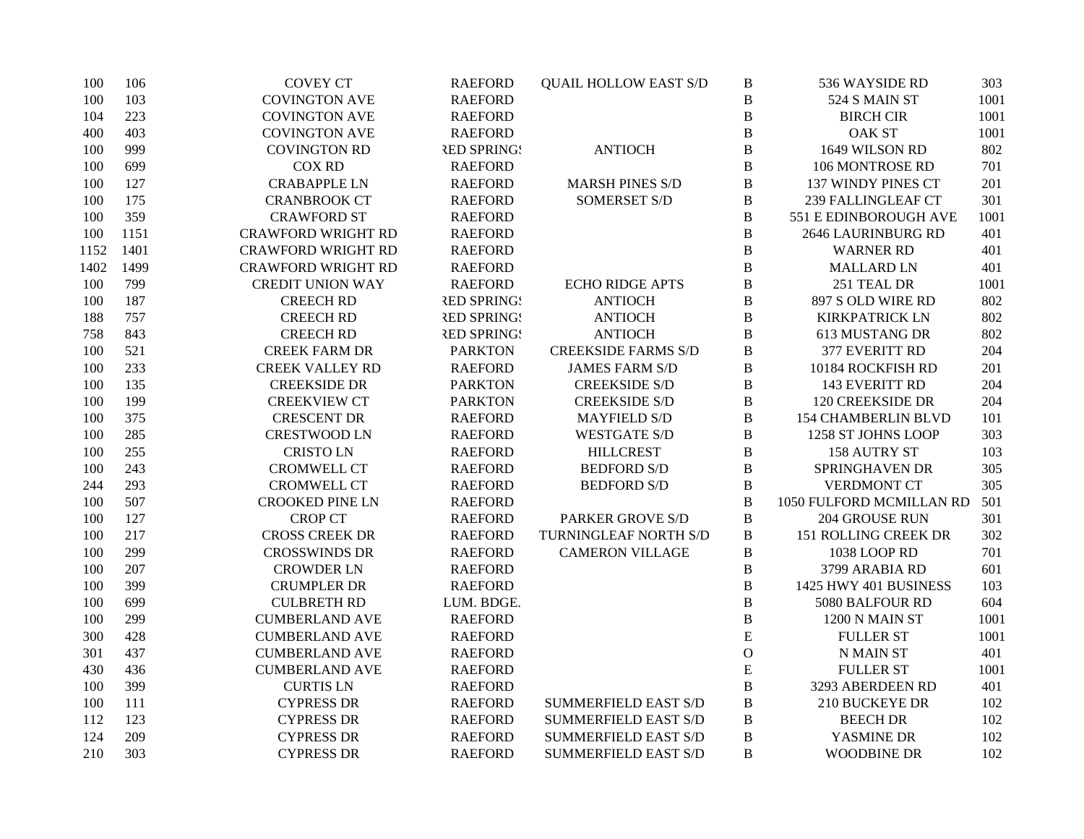| 100  | 106  | <b>COVEY CT</b>           | <b>RAEFORD</b>     | <b>QUAIL HOLLOW EAST S/D</b> | $\, {\bf B}$ | 536 WAYSIDE RD             | 303  |
|------|------|---------------------------|--------------------|------------------------------|--------------|----------------------------|------|
| 100  | 103  | <b>COVINGTON AVE</b>      | <b>RAEFORD</b>     |                              | $\bf{B}$     | 524 S MAIN ST              | 1001 |
| 104  | 223  | <b>COVINGTON AVE</b>      | <b>RAEFORD</b>     |                              | $\, {\bf B}$ | <b>BIRCH CIR</b>           | 1001 |
| 400  | 403  | <b>COVINGTON AVE</b>      | <b>RAEFORD</b>     |                              | $\bf{B}$     | <b>OAK ST</b>              | 1001 |
| 100  | 999  | <b>COVINGTON RD</b>       | <b>RED SPRING!</b> | <b>ANTIOCH</b>               | $\bf{B}$     | 1649 WILSON RD             | 802  |
| 100  | 699  | <b>COX RD</b>             | <b>RAEFORD</b>     |                              | $\bf{B}$     | 106 MONTROSE RD            | 701  |
| 100  | 127  | <b>CRABAPPLE LN</b>       | <b>RAEFORD</b>     | <b>MARSH PINES S/D</b>       | $\bf{B}$     | 137 WINDY PINES CT         | 201  |
| 100  | 175  | <b>CRANBROOK CT</b>       | <b>RAEFORD</b>     | <b>SOMERSET S/D</b>          | $\, {\bf B}$ | 239 FALLINGLEAF CT         | 301  |
| 100  | 359  | <b>CRAWFORD ST</b>        | <b>RAEFORD</b>     |                              | $\bf{B}$     | 551 E EDINBOROUGH AVE      | 1001 |
| 100  | 1151 | <b>CRAWFORD WRIGHT RD</b> | <b>RAEFORD</b>     |                              | $\bf{B}$     | 2646 LAURINBURG RD         | 401  |
| 1152 | 1401 | <b>CRAWFORD WRIGHT RD</b> | <b>RAEFORD</b>     |                              | $\bf{B}$     | <b>WARNER RD</b>           | 401  |
| 1402 | 1499 | <b>CRAWFORD WRIGHT RD</b> | <b>RAEFORD</b>     |                              | $\bf{B}$     | <b>MALLARD LN</b>          | 401  |
| 100  | 799  | <b>CREDIT UNION WAY</b>   | <b>RAEFORD</b>     | <b>ECHO RIDGE APTS</b>       | $\, {\bf B}$ | 251 TEAL DR                | 1001 |
| 100  | 187  | <b>CREECH RD</b>          | <b>RED SPRING!</b> | <b>ANTIOCH</b>               | $\bf{B}$     | 897 S OLD WIRE RD          | 802  |
| 188  | 757  | <b>CREECH RD</b>          | <b>RED SPRING!</b> | <b>ANTIOCH</b>               | $\, {\bf B}$ | <b>KIRKPATRICK LN</b>      | 802  |
| 758  | 843  | <b>CREECH RD</b>          | <b>RED SPRING!</b> | <b>ANTIOCH</b>               | $\bf{B}$     | 613 MUSTANG DR             | 802  |
| 100  | 521  | <b>CREEK FARM DR</b>      | <b>PARKTON</b>     | <b>CREEKSIDE FARMS S/D</b>   | $\bf{B}$     | 377 EVERITT RD             | 204  |
| 100  | 233  | <b>CREEK VALLEY RD</b>    | <b>RAEFORD</b>     | <b>JAMES FARM S/D</b>        | $\bf{B}$     | 10184 ROCKFISH RD          | 201  |
| 100  | 135  | <b>CREEKSIDE DR</b>       | <b>PARKTON</b>     | <b>CREEKSIDE S/D</b>         | $\bf{B}$     | 143 EVERITT RD             | 204  |
| 100  | 199  | <b>CREEKVIEW CT</b>       | <b>PARKTON</b>     | <b>CREEKSIDE S/D</b>         | B            | 120 CREEKSIDE DR           | 204  |
| 100  | 375  | <b>CRESCENT DR</b>        | <b>RAEFORD</b>     | <b>MAYFIELD S/D</b>          | B            | <b>154 CHAMBERLIN BLVD</b> | 101  |
| 100  | 285  | <b>CRESTWOOD LN</b>       | <b>RAEFORD</b>     | <b>WESTGATE S/D</b>          | $\, {\bf B}$ | 1258 ST JOHNS LOOP         | 303  |
| 100  | 255  | <b>CRISTOLN</b>           | <b>RAEFORD</b>     | <b>HILLCREST</b>             | $\, {\bf B}$ | 158 AUTRY ST               | 103  |
| 100  | 243  | <b>CROMWELL CT</b>        | <b>RAEFORD</b>     | <b>BEDFORD S/D</b>           | $\, {\bf B}$ | SPRINGHAVEN DR             | 305  |
| 244  | 293  | <b>CROMWELL CT</b>        | <b>RAEFORD</b>     | <b>BEDFORD S/D</b>           | $\, {\bf B}$ | <b>VERDMONT CT</b>         | 305  |
| 100  | 507  | <b>CROOKED PINE LN</b>    | <b>RAEFORD</b>     |                              | $\, {\bf B}$ | 1050 FULFORD MCMILLAN RD   | 501  |
| 100  | 127  | <b>CROP CT</b>            | <b>RAEFORD</b>     | PARKER GROVE S/D             | $\, {\bf B}$ | 204 GROUSE RUN             | 301  |
| 100  | 217  | <b>CROSS CREEK DR</b>     | <b>RAEFORD</b>     | TURNINGLEAF NORTH S/D        | $\, {\bf B}$ | 151 ROLLING CREEK DR       | 302  |
| 100  | 299  | <b>CROSSWINDS DR</b>      | <b>RAEFORD</b>     | <b>CAMERON VILLAGE</b>       | B            | 1038 LOOP RD               | 701  |
| 100  | 207  | <b>CROWDER LN</b>         | <b>RAEFORD</b>     |                              | $\bf{B}$     | 3799 ARABIA RD             | 601  |
| 100  | 399  | <b>CRUMPLER DR</b>        | <b>RAEFORD</b>     |                              | $\bf{B}$     | 1425 HWY 401 BUSINESS      | 103  |
| 100  | 699  | <b>CULBRETH RD</b>        | LUM. BDGE.         |                              | B            | 5080 BALFOUR RD            | 604  |
| 100  | 299  | <b>CUMBERLAND AVE</b>     | <b>RAEFORD</b>     |                              | $\bf{B}$     | 1200 N MAIN ST             | 1001 |
| 300  | 428  | <b>CUMBERLAND AVE</b>     | <b>RAEFORD</b>     |                              | $\mathbf E$  | <b>FULLER ST</b>           | 1001 |
| 301  | 437  | <b>CUMBERLAND AVE</b>     | <b>RAEFORD</b>     |                              | $\mathcal O$ | N MAIN ST                  | 401  |
| 430  | 436  | <b>CUMBERLAND AVE</b>     | <b>RAEFORD</b>     |                              | ${\bf E}$    | <b>FULLER ST</b>           | 1001 |
| 100  | 399  | <b>CURTIS LN</b>          | <b>RAEFORD</b>     |                              | $\, {\bf B}$ | 3293 ABERDEEN RD           | 401  |
| 100  | 111  | <b>CYPRESS DR</b>         | <b>RAEFORD</b>     | <b>SUMMERFIELD EAST S/D</b>  | $\, {\bf B}$ | <b>210 BUCKEYE DR</b>      | 102  |
| 112  | 123  | <b>CYPRESS DR</b>         | <b>RAEFORD</b>     | <b>SUMMERFIELD EAST S/D</b>  | B            | <b>BEECH DR</b>            | 102  |
| 124  | 209  | <b>CYPRESS DR</b>         | <b>RAEFORD</b>     | <b>SUMMERFIELD EAST S/D</b>  | $\bf{B}$     | YASMINE DR                 | 102  |
| 210  | 303  | <b>CYPRESS DR</b>         | <b>RAEFORD</b>     | <b>SUMMERFIELD EAST S/D</b>  | B            | <b>WOODBINE DR</b>         | 102  |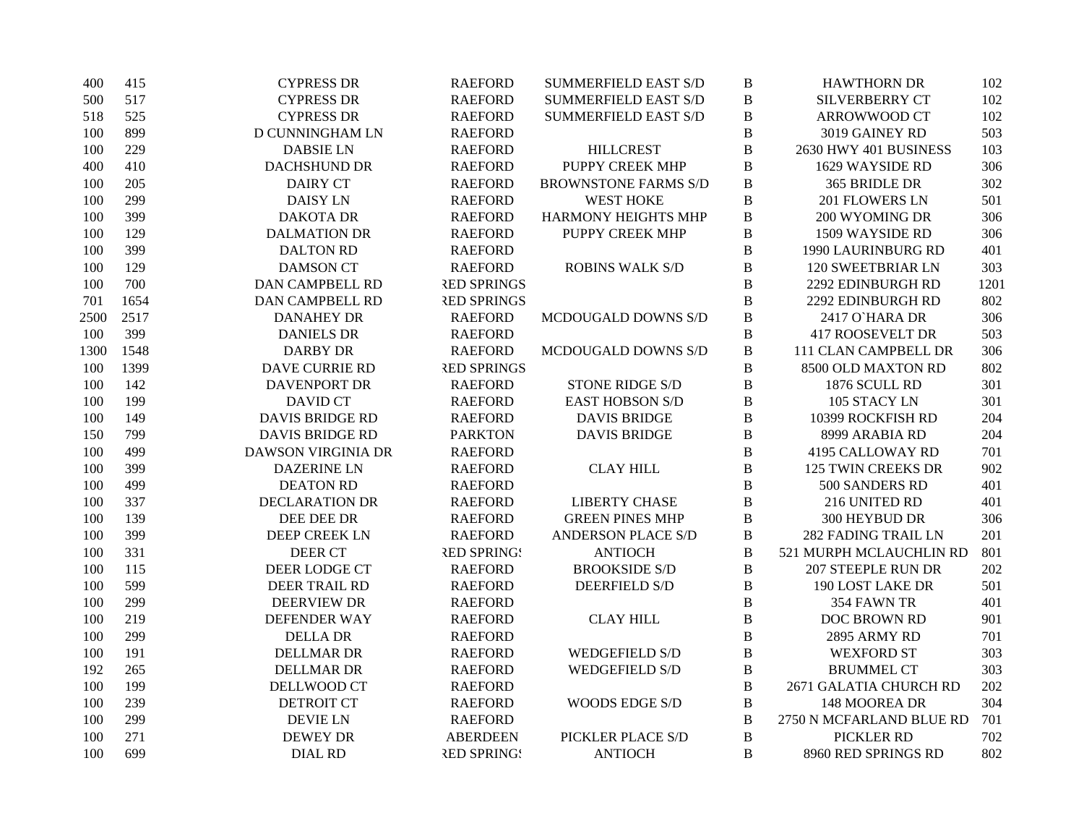| 400  | 415  | <b>CYPRESS DR</b>         | <b>RAEFORD</b>     | <b>SUMMERFIELD EAST S/D</b> | B            | <b>HAWTHORN DR</b>         | 102  |
|------|------|---------------------------|--------------------|-----------------------------|--------------|----------------------------|------|
| 500  | 517  | <b>CYPRESS DR</b>         | <b>RAEFORD</b>     | <b>SUMMERFIELD EAST S/D</b> | $\bf{B}$     | <b>SILVERBERRY CT</b>      | 102  |
| 518  | 525  | <b>CYPRESS DR</b>         | <b>RAEFORD</b>     | <b>SUMMERFIELD EAST S/D</b> | $\, {\bf B}$ | <b>ARROWWOOD CT</b>        | 102  |
| 100  | 899  | D CUNNINGHAM LN           | <b>RAEFORD</b>     |                             | $\bf{B}$     | 3019 GAINEY RD             | 503  |
| 100  | 229  | <b>DABSIE LN</b>          | <b>RAEFORD</b>     | <b>HILLCREST</b>            | $\bf{B}$     | 2630 HWY 401 BUSINESS      | 103  |
| 400  | 410  | DACHSHUND DR              | <b>RAEFORD</b>     | <b>PUPPY CREEK MHP</b>      | $\bf{B}$     | 1629 WAYSIDE RD            | 306  |
| 100  | 205  | <b>DAIRY CT</b>           | <b>RAEFORD</b>     | <b>BROWNSTONE FARMS S/D</b> | $\bf{B}$     | 365 BRIDLE DR              | 302  |
| 100  | 299  | <b>DAISY LN</b>           | <b>RAEFORD</b>     | <b>WEST HOKE</b>            | $\, {\bf B}$ | 201 FLOWERS LN             | 501  |
| 100  | 399  | <b>DAKOTA DR</b>          | <b>RAEFORD</b>     | HARMONY HEIGHTS MHP         | $\bf{B}$     | 200 WYOMING DR             | 306  |
| 100  | 129  | <b>DALMATION DR</b>       | <b>RAEFORD</b>     | PUPPY CREEK MHP             | $\bf{B}$     | 1509 WAYSIDE RD            | 306  |
| 100  | 399  | <b>DALTON RD</b>          | <b>RAEFORD</b>     |                             | B            | 1990 LAURINBURG RD         | 401  |
| 100  | 129  | <b>DAMSON CT</b>          | <b>RAEFORD</b>     | <b>ROBINS WALK S/D</b>      | $\bf{B}$     | <b>120 SWEETBRIAR LN</b>   | 303  |
| 100  | 700  | DAN CAMPBELL RD           | <b>RED SPRINGS</b> |                             | $\, {\bf B}$ | 2292 EDINBURGH RD          | 1201 |
| 701  | 1654 | <b>DAN CAMPBELL RD</b>    | <b>RED SPRINGS</b> |                             | $\bf{B}$     | 2292 EDINBURGH RD          | 802  |
| 2500 | 2517 | <b>DANAHEY DR</b>         | <b>RAEFORD</b>     | MCDOUGALD DOWNS S/D         | $\, {\bf B}$ | 2417 O'HARA DR             | 306  |
| 100  | 399  | <b>DANIELS DR</b>         | <b>RAEFORD</b>     |                             | $\bf{B}$     | <b>417 ROOSEVELT DR</b>    | 503  |
| 1300 | 1548 | <b>DARBY DR</b>           | <b>RAEFORD</b>     | MCDOUGALD DOWNS S/D         | $\, {\bf B}$ | 111 CLAN CAMPBELL DR       | 306  |
| 100  | 1399 | <b>DAVE CURRIE RD</b>     | <b>RED SPRINGS</b> |                             | $\bf{B}$     | 8500 OLD MAXTON RD         | 802  |
| 100  | 142  | <b>DAVENPORT DR</b>       | <b>RAEFORD</b>     | <b>STONE RIDGE S/D</b>      | $\, {\bf B}$ | 1876 SCULL RD              | 301  |
| 100  | 199  | <b>DAVID CT</b>           | <b>RAEFORD</b>     | <b>EAST HOBSON S/D</b>      | B            | 105 STACY LN               | 301  |
| 100  | 149  | <b>DAVIS BRIDGE RD</b>    | <b>RAEFORD</b>     | <b>DAVIS BRIDGE</b>         | $\bf{B}$     | 10399 ROCKFISH RD          | 204  |
| 150  | 799  | <b>DAVIS BRIDGE RD</b>    | <b>PARKTON</b>     | <b>DAVIS BRIDGE</b>         | $\, {\bf B}$ | 8999 ARABIA RD             | 204  |
| 100  | 499  | <b>DAWSON VIRGINIA DR</b> | <b>RAEFORD</b>     |                             | $\, {\bf B}$ | 4195 CALLOWAY RD           | 701  |
| 100  | 399  | <b>DAZERINE LN</b>        | <b>RAEFORD</b>     | <b>CLAY HILL</b>            | $\, {\bf B}$ | 125 TWIN CREEKS DR         | 902  |
| 100  | 499  | <b>DEATON RD</b>          | <b>RAEFORD</b>     |                             | $\bf{B}$     | 500 SANDERS RD             | 401  |
| 100  | 337  | <b>DECLARATION DR</b>     | <b>RAEFORD</b>     | <b>LIBERTY CHASE</b>        | $\, {\bf B}$ | 216 UNITED RD              | 401  |
| 100  | 139  | DEE DEE DR                | <b>RAEFORD</b>     | <b>GREEN PINES MHP</b>      | $\bf{B}$     | 300 HEYBUD DR              | 306  |
| 100  | 399  | <b>DEEP CREEK LN</b>      | <b>RAEFORD</b>     | <b>ANDERSON PLACE S/D</b>   | $\, {\bf B}$ | <b>282 FADING TRAIL LN</b> | 201  |
| 100  | 331  | <b>DEER CT</b>            | <b>RED SPRING!</b> | <b>ANTIOCH</b>              | $\, {\bf B}$ | 521 MURPH MCLAUCHLIN RD    | 801  |
| 100  | 115  | DEER LODGE CT             | <b>RAEFORD</b>     | <b>BROOKSIDE S/D</b>        | $\, {\bf B}$ | 207 STEEPLE RUN DR         | 202  |
| 100  | 599  | DEER TRAIL RD             | <b>RAEFORD</b>     | <b>DEERFIELD S/D</b>        | $\bf{B}$     | <b>190 LOST LAKE DR</b>    | 501  |
| 100  | 299  | <b>DEERVIEW DR</b>        | <b>RAEFORD</b>     |                             | B            | 354 FAWN TR                | 401  |
| 100  | 219  | <b>DEFENDER WAY</b>       | <b>RAEFORD</b>     | <b>CLAY HILL</b>            | $\bf{B}$     | DOC BROWN RD               | 901  |
| 100  | 299  | <b>DELLA DR</b>           | <b>RAEFORD</b>     |                             | $\bf{B}$     | 2895 ARMY RD               | 701  |
| 100  | 191  | <b>DELLMAR DR</b>         | <b>RAEFORD</b>     | <b>WEDGEFIELD S/D</b>       | $\, {\bf B}$ | <b>WEXFORD ST</b>          | 303  |
| 192  | 265  | <b>DELLMAR DR</b>         | <b>RAEFORD</b>     | <b>WEDGEFIELD S/D</b>       | $\, {\bf B}$ | <b>BRUMMEL CT</b>          | 303  |
| 100  | 199  | DELLWOOD CT               | <b>RAEFORD</b>     |                             | $\, {\bf B}$ | 2671 GALATIA CHURCH RD     | 202  |
| 100  | 239  | <b>DETROIT CT</b>         | <b>RAEFORD</b>     | WOODS EDGE S/D              | $\, {\bf B}$ | 148 MOOREA DR              | 304  |
| 100  | 299  | <b>DEVIE LN</b>           | <b>RAEFORD</b>     |                             | $\, {\bf B}$ | 2750 N MCFARLAND BLUE RD   | 701  |
| 100  | 271  | <b>DEWEY DR</b>           | <b>ABERDEEN</b>    | PICKLER PLACE S/D           | $\, {\bf B}$ | PICKLER RD                 | 702  |
| 100  | 699  | <b>DIAL RD</b>            | <b>RED SPRING!</b> | <b>ANTIOCH</b>              | B            | 8960 RED SPRINGS RD        | 802  |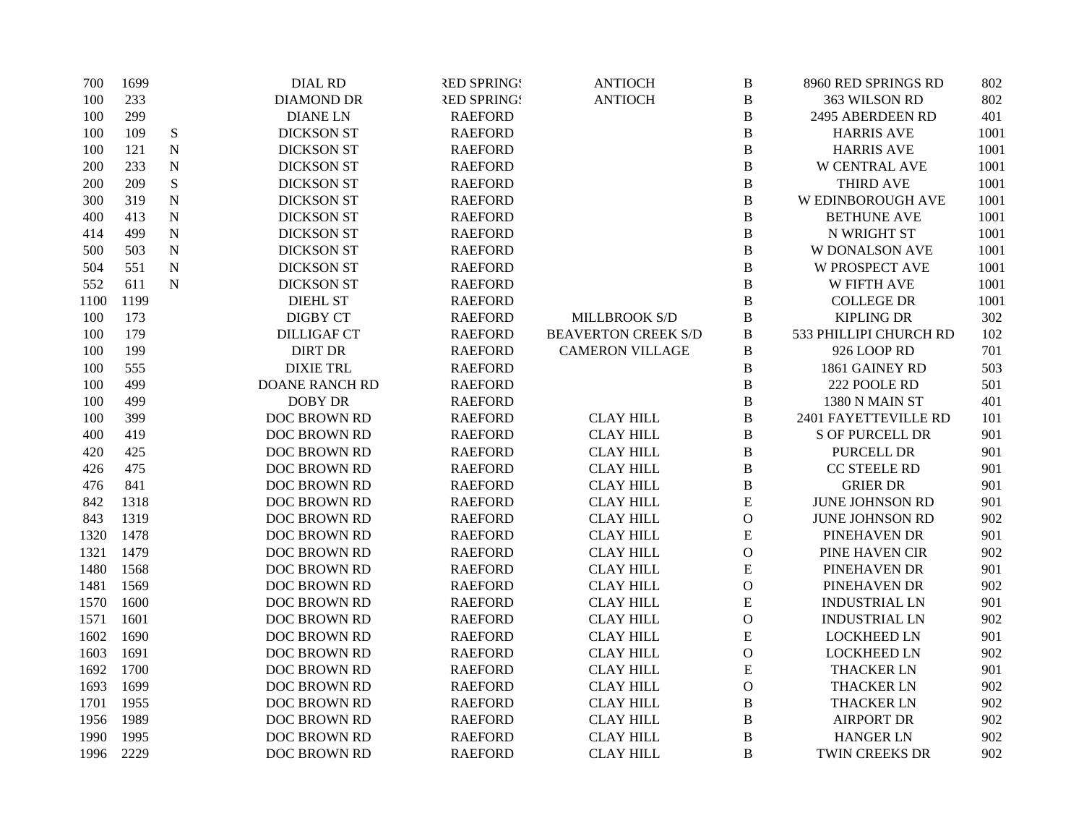| 700  | 1699 |             | <b>DIAL RD</b>        | <b>RED SPRING!</b> | <b>ANTIOCH</b>             | $\, {\bf B}$   | 8960 RED SPRINGS RD    | 802  |
|------|------|-------------|-----------------------|--------------------|----------------------------|----------------|------------------------|------|
| 100  | 233  |             | <b>DIAMOND DR</b>     | <b>RED SPRING!</b> | <b>ANTIOCH</b>             | B              | 363 WILSON RD          | 802  |
| 100  | 299  |             | <b>DIANELN</b>        | <b>RAEFORD</b>     |                            | $\, {\bf B}$   | 2495 ABERDEEN RD       | 401  |
| 100  | 109  | ${\bf S}$   | <b>DICKSON ST</b>     | <b>RAEFORD</b>     |                            | $\, {\bf B}$   | <b>HARRIS AVE</b>      | 1001 |
| 100  | 121  | $\mathbf N$ | <b>DICKSON ST</b>     | <b>RAEFORD</b>     |                            | $\, {\bf B}$   | <b>HARRIS AVE</b>      | 1001 |
| 200  | 233  | $\mathbf N$ | <b>DICKSON ST</b>     | <b>RAEFORD</b>     |                            | $\, {\bf B}$   | <b>W CENTRAL AVE</b>   | 1001 |
| 200  | 209  | ${\bf S}$   | <b>DICKSON ST</b>     | <b>RAEFORD</b>     |                            | $\, {\bf B}$   | <b>THIRD AVE</b>       | 1001 |
| 300  | 319  | ${\bf N}$   | <b>DICKSON ST</b>     | <b>RAEFORD</b>     |                            | $\, {\bf B}$   | W EDINBOROUGH AVE      | 1001 |
| 400  | 413  | ${\bf N}$   | <b>DICKSON ST</b>     | <b>RAEFORD</b>     |                            | $\, {\bf B}$   | <b>BETHUNE AVE</b>     | 1001 |
| 414  | 499  | ${\bf N}$   | <b>DICKSON ST</b>     | <b>RAEFORD</b>     |                            | $\, {\bf B}$   | N WRIGHT ST            | 1001 |
| 500  | 503  | ${\bf N}$   | <b>DICKSON ST</b>     | <b>RAEFORD</b>     |                            | $\, {\bf B}$   | <b>W DONALSON AVE</b>  | 1001 |
| 504  | 551  | ${\bf N}$   | <b>DICKSON ST</b>     | <b>RAEFORD</b>     |                            | $\, {\bf B}$   | <b>W PROSPECT AVE</b>  | 1001 |
| 552  | 611  | ${\bf N}$   | <b>DICKSON ST</b>     | <b>RAEFORD</b>     |                            | $\, {\bf B}$   | <b>W FIFTH AVE</b>     | 1001 |
| 1100 | 1199 |             | <b>DIEHL ST</b>       | <b>RAEFORD</b>     |                            | B              | <b>COLLEGE DR</b>      | 1001 |
| 100  | 173  |             | <b>DIGBY CT</b>       | <b>RAEFORD</b>     | MILLBROOK S/D              | $\, {\bf B}$   | <b>KIPLING DR</b>      | 302  |
| 100  | 179  |             | <b>DILLIGAF CT</b>    | <b>RAEFORD</b>     | <b>BEAVERTON CREEK S/D</b> | $\, {\bf B}$   | 533 PHILLIPI CHURCH RD | 102  |
| 100  | 199  |             | <b>DIRT DR</b>        | <b>RAEFORD</b>     | <b>CAMERON VILLAGE</b>     | $\, {\bf B}$   | 926 LOOP RD            | 701  |
| 100  | 555  |             | <b>DIXIE TRL</b>      | <b>RAEFORD</b>     |                            | $\, {\bf B}$   | 1861 GAINEY RD         | 503  |
| 100  | 499  |             | <b>DOANE RANCH RD</b> | <b>RAEFORD</b>     |                            | B              | 222 POOLE RD           | 501  |
| 100  | 499  |             | <b>DOBY DR</b>        | <b>RAEFORD</b>     |                            | $\bf{B}$       | 1380 N MAIN ST         | 401  |
| 100  | 399  |             | DOC BROWN RD          | <b>RAEFORD</b>     | <b>CLAY HILL</b>           | B              | 2401 FAYETTEVILLE RD   | 101  |
| 400  | 419  |             | DOC BROWN RD          | <b>RAEFORD</b>     | <b>CLAY HILL</b>           | $\, {\bf B}$   | <b>S OF PURCELL DR</b> | 901  |
| 420  | 425  |             | DOC BROWN RD          | <b>RAEFORD</b>     | <b>CLAY HILL</b>           | $\, {\bf B}$   | PURCELL DR             | 901  |
| 426  | 475  |             | DOC BROWN RD          | <b>RAEFORD</b>     | <b>CLAY HILL</b>           | $\, {\bf B}$   | CC STEELE RD           | 901  |
| 476  | 841  |             | DOC BROWN RD          | <b>RAEFORD</b>     | <b>CLAY HILL</b>           | $\, {\bf B}$   | <b>GRIER DR</b>        | 901  |
| 842  | 1318 |             | DOC BROWN RD          | <b>RAEFORD</b>     | <b>CLAY HILL</b>           | ${\bf E}$      | JUNE JOHNSON RD        | 901  |
| 843  | 1319 |             | DOC BROWN RD          | <b>RAEFORD</b>     | <b>CLAY HILL</b>           | $\mathcal{O}$  | <b>JUNE JOHNSON RD</b> | 902  |
| 1320 | 1478 |             | DOC BROWN RD          | <b>RAEFORD</b>     | <b>CLAY HILL</b>           | ${\bf E}$      | PINEHAVEN DR           | 901  |
| 1321 | 1479 |             | DOC BROWN RD          | <b>RAEFORD</b>     | <b>CLAY HILL</b>           | $\overline{O}$ | PINE HAVEN CIR         | 902  |
| 1480 | 1568 |             | DOC BROWN RD          | <b>RAEFORD</b>     | <b>CLAY HILL</b>           | E              | PINEHAVEN DR           | 901  |
| 1481 | 1569 |             | DOC BROWN RD          | <b>RAEFORD</b>     | <b>CLAY HILL</b>           | $\mathbf{O}$   | PINEHAVEN DR           | 902  |
| 1570 | 1600 |             | DOC BROWN RD          | <b>RAEFORD</b>     | <b>CLAY HILL</b>           | E              | <b>INDUSTRIAL LN</b>   | 901  |
| 1571 | 1601 |             | DOC BROWN RD          | <b>RAEFORD</b>     | <b>CLAY HILL</b>           | $\mathbf 0$    | <b>INDUSTRIAL LN</b>   | 902  |
| 1602 | 1690 |             | <b>DOC BROWN RD</b>   | <b>RAEFORD</b>     | <b>CLAY HILL</b>           | E              | <b>LOCKHEED LN</b>     | 901  |
| 1603 | 1691 |             | DOC BROWN RD          | <b>RAEFORD</b>     | <b>CLAY HILL</b>           | $\mathbf 0$    | <b>LOCKHEED LN</b>     | 902  |
| 1692 | 1700 |             | DOC BROWN RD          | <b>RAEFORD</b>     | <b>CLAY HILL</b>           | ${\bf E}$      | <b>THACKER LN</b>      | 901  |
| 1693 | 1699 |             | DOC BROWN RD          | <b>RAEFORD</b>     | <b>CLAY HILL</b>           | $\mathbf{O}$   | <b>THACKER LN</b>      | 902  |
| 1701 | 1955 |             | DOC BROWN RD          | <b>RAEFORD</b>     | <b>CLAY HILL</b>           | $\, {\bf B}$   | <b>THACKER LN</b>      | 902  |
| 1956 | 1989 |             | DOC BROWN RD          | <b>RAEFORD</b>     | <b>CLAY HILL</b>           | $\, {\bf B}$   | <b>AIRPORT DR</b>      | 902  |
| 1990 | 1995 |             | DOC BROWN RD          | <b>RAEFORD</b>     | <b>CLAY HILL</b>           | $\bf{B}$       | <b>HANGER LN</b>       | 902  |
| 1996 | 2229 |             | DOC BROWN RD          | <b>RAEFORD</b>     | <b>CLAY HILL</b>           | B              | TWIN CREEKS DR         | 902  |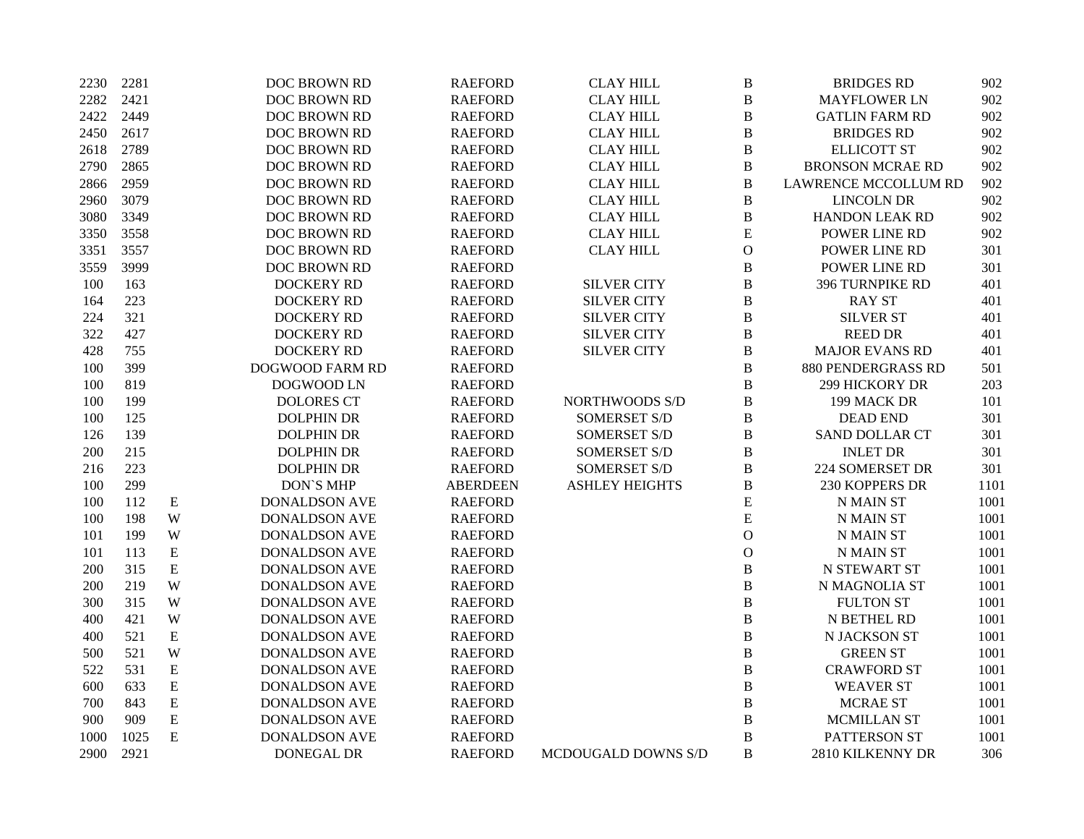| 2230 | 2281 |             | DOC BROWN RD           | <b>RAEFORD</b>  | <b>CLAY HILL</b>      | $\boldsymbol{B}$ | <b>BRIDGES RD</b>       | 902  |
|------|------|-------------|------------------------|-----------------|-----------------------|------------------|-------------------------|------|
| 2282 | 2421 |             | DOC BROWN RD           | <b>RAEFORD</b>  | <b>CLAY HILL</b>      | $\, {\bf B}$     | <b>MAYFLOWER LN</b>     | 902  |
| 2422 | 2449 |             | DOC BROWN RD           | <b>RAEFORD</b>  | <b>CLAY HILL</b>      | $\, {\bf B}$     | <b>GATLIN FARM RD</b>   | 902  |
| 2450 | 2617 |             | DOC BROWN RD           | <b>RAEFORD</b>  | <b>CLAY HILL</b>      | $\, {\bf B}$     | <b>BRIDGES RD</b>       | 902  |
| 2618 | 2789 |             | DOC BROWN RD           | <b>RAEFORD</b>  | <b>CLAY HILL</b>      | $\, {\bf B}$     | <b>ELLICOTT ST</b>      | 902  |
| 2790 | 2865 |             | <b>DOC BROWN RD</b>    | <b>RAEFORD</b>  | <b>CLAY HILL</b>      | $\, {\bf B}$     | <b>BRONSON MCRAE RD</b> | 902  |
| 2866 | 2959 |             | DOC BROWN RD           | <b>RAEFORD</b>  | <b>CLAY HILL</b>      | $\, {\bf B}$     | LAWRENCE MCCOLLUM RD    | 902  |
| 2960 | 3079 |             | DOC BROWN RD           | <b>RAEFORD</b>  | <b>CLAY HILL</b>      | $\, {\bf B}$     | <b>LINCOLN DR</b>       | 902  |
| 3080 | 3349 |             | DOC BROWN RD           | <b>RAEFORD</b>  | <b>CLAY HILL</b>      | $\, {\bf B}$     | <b>HANDON LEAK RD</b>   | 902  |
| 3350 | 3558 |             | DOC BROWN RD           | <b>RAEFORD</b>  | <b>CLAY HILL</b>      | $\mathbf E$      | POWER LINE RD           | 902  |
| 3351 | 3557 |             | DOC BROWN RD           | <b>RAEFORD</b>  | <b>CLAY HILL</b>      | $\mathbf O$      | POWER LINE RD           | 301  |
| 3559 | 3999 |             | DOC BROWN RD           | <b>RAEFORD</b>  |                       | $\, {\bf B}$     | POWER LINE RD           | 301  |
| 100  | 163  |             | <b>DOCKERY RD</b>      | <b>RAEFORD</b>  | <b>SILVER CITY</b>    | $\, {\bf B}$     | 396 TURNPIKE RD         | 401  |
| 164  | 223  |             | <b>DOCKERY RD</b>      | <b>RAEFORD</b>  | <b>SILVER CITY</b>    | $\, {\bf B}$     | <b>RAY ST</b>           | 401  |
| 224  | 321  |             | <b>DOCKERY RD</b>      | <b>RAEFORD</b>  | <b>SILVER CITY</b>    | $\, {\bf B}$     | <b>SILVER ST</b>        | 401  |
| 322  | 427  |             | <b>DOCKERY RD</b>      | <b>RAEFORD</b>  | <b>SILVER CITY</b>    | $\, {\bf B}$     | <b>REED DR</b>          | 401  |
| 428  | 755  |             | <b>DOCKERY RD</b>      | <b>RAEFORD</b>  | <b>SILVER CITY</b>    | $\, {\bf B}$     | <b>MAJOR EVANS RD</b>   | 401  |
| 100  | 399  |             | <b>DOGWOOD FARM RD</b> | <b>RAEFORD</b>  |                       | $\, {\bf B}$     | 880 PENDERGRASS RD      | 501  |
| 100  | 819  |             | DOGWOOD LN             | <b>RAEFORD</b>  |                       | $\mathbf B$      | 299 HICKORY DR          | 203  |
| 100  | 199  |             | <b>DOLORES CT</b>      | <b>RAEFORD</b>  | <b>NORTHWOODS S/D</b> | $\, {\bf B}$     | 199 MACK DR             | 101  |
| 100  | 125  |             | <b>DOLPHIN DR</b>      | <b>RAEFORD</b>  | <b>SOMERSET S/D</b>   | $\, {\bf B}$     | <b>DEAD END</b>         | 301  |
| 126  | 139  |             | <b>DOLPHIN DR</b>      | <b>RAEFORD</b>  | <b>SOMERSET S/D</b>   | $\, {\bf B}$     | <b>SAND DOLLAR CT</b>   | 301  |
| 200  | 215  |             | <b>DOLPHIN DR</b>      | <b>RAEFORD</b>  | <b>SOMERSET S/D</b>   | $\, {\bf B}$     | <b>INLET DR</b>         | 301  |
| 216  | 223  |             | <b>DOLPHIN DR</b>      | <b>RAEFORD</b>  | <b>SOMERSET S/D</b>   | $\, {\bf B}$     | 224 SOMERSET DR         | 301  |
| 100  | 299  |             | <b>DON'S MHP</b>       | <b>ABERDEEN</b> | <b>ASHLEY HEIGHTS</b> | $\bf{B}$         | 230 KOPPERS DR          | 1101 |
| 100  | 112  | E           | <b>DONALDSON AVE</b>   | <b>RAEFORD</b>  |                       | ${\bf E}$        | N MAIN ST               | 1001 |
| 100  | 198  | W           | <b>DONALDSON AVE</b>   | <b>RAEFORD</b>  |                       | E                | <b>N MAIN ST</b>        | 1001 |
| 101  | 199  | W           | <b>DONALDSON AVE</b>   | <b>RAEFORD</b>  |                       | $\mathbf{O}$     | N MAIN ST               | 1001 |
| 101  | 113  | E           | <b>DONALDSON AVE</b>   | <b>RAEFORD</b>  |                       | $\mathbf O$      | <b>N MAIN ST</b>        | 1001 |
| 200  | 315  | $\mathbf E$ | <b>DONALDSON AVE</b>   | <b>RAEFORD</b>  |                       | $\, {\bf B}$     | <b>N STEWART ST</b>     | 1001 |
| 200  | 219  | W           | <b>DONALDSON AVE</b>   | <b>RAEFORD</b>  |                       | $\bf{B}$         | N MAGNOLIA ST           | 1001 |
| 300  | 315  | W           | <b>DONALDSON AVE</b>   | <b>RAEFORD</b>  |                       | $\, {\bf B}$     | <b>FULTON ST</b>        | 1001 |
| 400  | 421  | W           | <b>DONALDSON AVE</b>   | <b>RAEFORD</b>  |                       | $\, {\bf B}$     | N BETHEL RD             | 1001 |
| 400  | 521  | ${\bf E}$   | <b>DONALDSON AVE</b>   | <b>RAEFORD</b>  |                       | $\overline{B}$   | N JACKSON ST            | 1001 |
| 500  | 521  | W           | <b>DONALDSON AVE</b>   | <b>RAEFORD</b>  |                       | $\, {\bf B}$     | <b>GREEN ST</b>         | 1001 |
| 522  | 531  | ${\bf E}$   | <b>DONALDSON AVE</b>   | <b>RAEFORD</b>  |                       | $\, {\bf B}$     | <b>CRAWFORD ST</b>      | 1001 |
| 600  | 633  | ${\bf E}$   | <b>DONALDSON AVE</b>   | <b>RAEFORD</b>  |                       | $\, {\bf B}$     | <b>WEAVER ST</b>        | 1001 |
| 700  | 843  | ${\bf E}$   | <b>DONALDSON AVE</b>   | <b>RAEFORD</b>  |                       | $\, {\bf B}$     | <b>MCRAE ST</b>         | 1001 |
| 900  | 909  | ${\bf E}$   | <b>DONALDSON AVE</b>   | <b>RAEFORD</b>  |                       | $\, {\bf B}$     | MCMILLAN ST             | 1001 |
| 1000 | 1025 | ${\bf E}$   | <b>DONALDSON AVE</b>   | <b>RAEFORD</b>  |                       | $\overline{B}$   | PATTERSON ST            | 1001 |
| 2900 | 2921 |             | DONEGAL DR             | <b>RAEFORD</b>  | MCDOUGALD DOWNS S/D   | B                | 2810 KILKENNY DR        | 306  |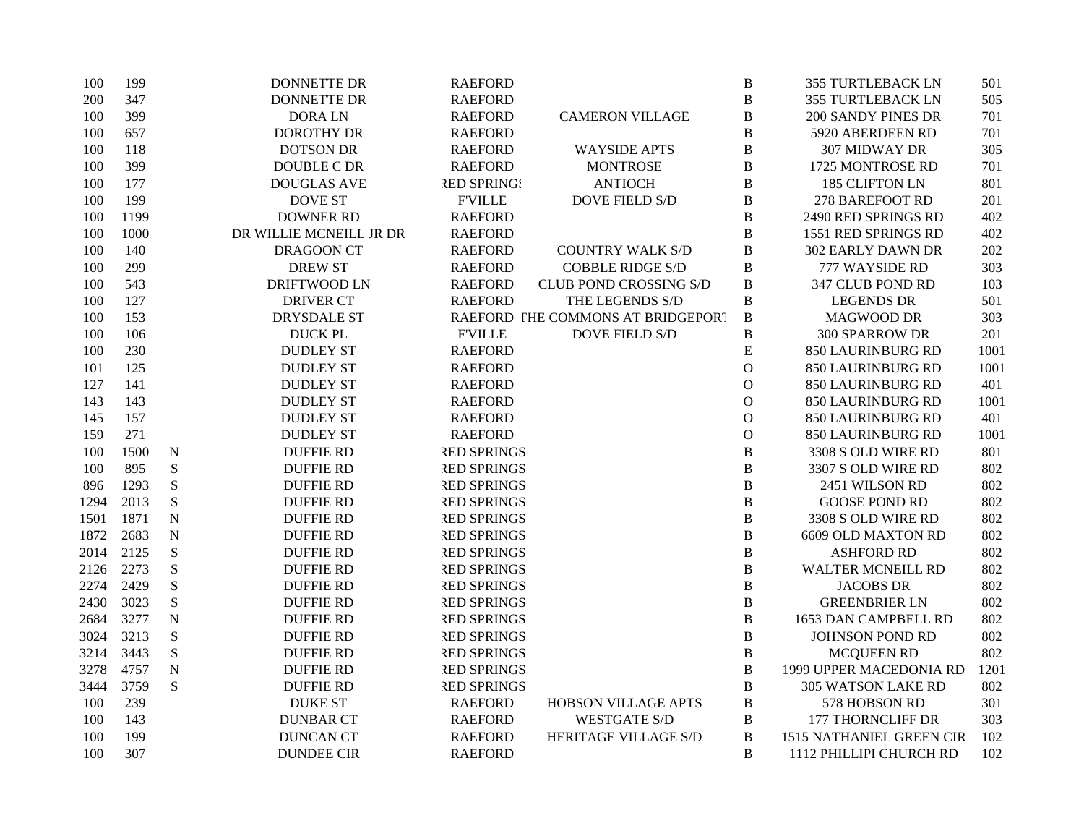| 100  | 199  |             | DONNETTE DR             | <b>RAEFORD</b>     |                                   | $\, {\bf B}$ | <b>355 TURTLEBACK LN</b>  | 501  |
|------|------|-------------|-------------------------|--------------------|-----------------------------------|--------------|---------------------------|------|
| 200  | 347  |             | <b>DONNETTE DR</b>      | <b>RAEFORD</b>     |                                   | $\, {\bf B}$ | <b>355 TURTLEBACK LN</b>  | 505  |
| 100  | 399  |             | <b>DORALN</b>           | <b>RAEFORD</b>     | <b>CAMERON VILLAGE</b>            | $\, {\bf B}$ | 200 SANDY PINES DR        | 701  |
| 100  | 657  |             | <b>DOROTHY DR</b>       | <b>RAEFORD</b>     |                                   | $\, {\bf B}$ | 5920 ABERDEEN RD          | 701  |
| 100  | 118  |             | <b>DOTSON DR</b>        | <b>RAEFORD</b>     | <b>WAYSIDE APTS</b>               | $\, {\bf B}$ | 307 MIDWAY DR             | 305  |
| 100  | 399  |             | DOUBLE C DR             | <b>RAEFORD</b>     | <b>MONTROSE</b>                   | $\, {\bf B}$ | 1725 MONTROSE RD          | 701  |
| 100  | 177  |             | <b>DOUGLAS AVE</b>      | <b>RED SPRINGS</b> | <b>ANTIOCH</b>                    | $\bf{B}$     | 185 CLIFTON LN            | 801  |
| 100  | 199  |             | <b>DOVE ST</b>          | <b>F'VILLE</b>     | <b>DOVE FIELD S/D</b>             | $\, {\bf B}$ | 278 BAREFOOT RD           | 201  |
| 100  | 1199 |             | <b>DOWNER RD</b>        | <b>RAEFORD</b>     |                                   | $\, {\bf B}$ | 2490 RED SPRINGS RD       | 402  |
| 100  | 1000 |             | DR WILLIE MCNEILL JR DR | <b>RAEFORD</b>     |                                   | $\bf{B}$     | 1551 RED SPRINGS RD       | 402  |
| 100  | 140  |             | <b>DRAGOON CT</b>       | <b>RAEFORD</b>     | <b>COUNTRY WALK S/D</b>           | $\, {\bf B}$ | <b>302 EARLY DAWN DR</b>  | 202  |
| 100  | 299  |             | <b>DREW ST</b>          | <b>RAEFORD</b>     | <b>COBBLE RIDGE S/D</b>           | $\, {\bf B}$ | 777 WAYSIDE RD            | 303  |
| 100  | 543  |             | DRIFTWOOD LN            | <b>RAEFORD</b>     | <b>CLUB POND CROSSING S/D</b>     | $\bf{B}$     | 347 CLUB POND RD          | 103  |
| 100  | 127  |             | <b>DRIVER CT</b>        | <b>RAEFORD</b>     | THE LEGENDS S/D                   | $\, {\bf B}$ | <b>LEGENDS DR</b>         | 501  |
| 100  | 153  |             | DRYSDALE ST             |                    | RAEFORD THE COMMONS AT BRIDGEPORT | $\, {\bf B}$ | <b>MAGWOOD DR</b>         | 303  |
| 100  | 106  |             | <b>DUCK PL</b>          | <b>F'VILLE</b>     | DOVE FIELD S/D                    | $\, {\bf B}$ | 300 SPARROW DR            | 201  |
| 100  | 230  |             | <b>DUDLEY ST</b>        | <b>RAEFORD</b>     |                                   | ${\bf E}$    | 850 LAURINBURG RD         | 1001 |
| 101  | 125  |             | <b>DUDLEY ST</b>        | <b>RAEFORD</b>     |                                   | $\mathbf O$  | 850 LAURINBURG RD         | 1001 |
| 127  | 141  |             | <b>DUDLEY ST</b>        | <b>RAEFORD</b>     |                                   | $\mathbf{O}$ | <b>850 LAURINBURG RD</b>  | 401  |
| 143  | 143  |             | <b>DUDLEY ST</b>        | <b>RAEFORD</b>     |                                   | $\mathbf O$  | 850 LAURINBURG RD         | 1001 |
| 145  | 157  |             | <b>DUDLEY ST</b>        | <b>RAEFORD</b>     |                                   | $\mathbf O$  | 850 LAURINBURG RD         | 401  |
| 159  | 271  |             | <b>DUDLEY ST</b>        | <b>RAEFORD</b>     |                                   | $\mathbf{O}$ | 850 LAURINBURG RD         | 1001 |
| 100  | 1500 | ${\bf N}$   | <b>DUFFIE RD</b>        | <b>RED SPRINGS</b> |                                   | $\bf{B}$     | 3308 S OLD WIRE RD        | 801  |
| 100  | 895  | ${\bf S}$   | <b>DUFFIE RD</b>        | <b>RED SPRINGS</b> |                                   | $\, {\bf B}$ | 3307 S OLD WIRE RD        | 802  |
| 896  | 1293 | ${\bf S}$   | <b>DUFFIE RD</b>        | <b>RED SPRINGS</b> |                                   | $\bf{B}$     | 2451 WILSON RD            | 802  |
| 1294 | 2013 | ${\bf S}$   | <b>DUFFIE RD</b>        | <b>RED SPRINGS</b> |                                   | $\, {\bf B}$ | <b>GOOSE POND RD</b>      | 802  |
| 1501 | 1871 | ${\bf N}$   | <b>DUFFIE RD</b>        | <b>RED SPRINGS</b> |                                   | $\, {\bf B}$ | 3308 S OLD WIRE RD        | 802  |
| 1872 | 2683 | $\mathbf N$ | <b>DUFFIE RD</b>        | <b>RED SPRINGS</b> |                                   | $\, {\bf B}$ | <b>6609 OLD MAXTON RD</b> | 802  |
| 2014 | 2125 | $\mathbf S$ | <b>DUFFIE RD</b>        | <b>RED SPRINGS</b> |                                   | $\, {\bf B}$ | <b>ASHFORD RD</b>         | 802  |
| 2126 | 2273 | ${\bf S}$   | <b>DUFFIE RD</b>        | <b>RED SPRINGS</b> |                                   | $\, {\bf B}$ | <b>WALTER MCNEILL RD</b>  | 802  |
| 2274 | 2429 | ${\bf S}$   | <b>DUFFIE RD</b>        | <b>RED SPRINGS</b> |                                   | $\bf{B}$     | <b>JACOBS DR</b>          | 802  |
| 2430 | 3023 | ${\bf S}$   | <b>DUFFIE RD</b>        | <b>RED SPRINGS</b> |                                   | $\, {\bf B}$ | <b>GREENBRIER LN</b>      | 802  |
| 2684 | 3277 | ${\bf N}$   | <b>DUFFIE RD</b>        | <b>RED SPRINGS</b> |                                   | $\, {\bf B}$ | 1653 DAN CAMPBELL RD      | 802  |
| 3024 | 3213 | S           | <b>DUFFIE RD</b>        | <b>RED SPRINGS</b> |                                   | $\, {\bf B}$ | JOHNSON POND RD           | 802  |
| 3214 | 3443 | ${\bf S}$   | <b>DUFFIE RD</b>        | <b>RED SPRINGS</b> |                                   | $\, {\bf B}$ | <b>MCQUEEN RD</b>         | 802  |
| 3278 | 4757 | ${\bf N}$   | <b>DUFFIE RD</b>        | <b>RED SPRINGS</b> |                                   | $\bf{B}$     | 1999 UPPER MACEDONIA RD   | 1201 |
| 3444 | 3759 | ${\bf S}$   | <b>DUFFIE RD</b>        | <b>RED SPRINGS</b> |                                   | $\bf{B}$     | 305 WATSON LAKE RD        | 802  |
| 100  | 239  |             | <b>DUKE ST</b>          | <b>RAEFORD</b>     | <b>HOBSON VILLAGE APTS</b>        | $\, {\bf B}$ | 578 HOBSON RD             | 301  |
| 100  | 143  |             | <b>DUNBAR CT</b>        | <b>RAEFORD</b>     | <b>WESTGATE S/D</b>               | $\, {\bf B}$ | <b>177 THORNCLIFF DR</b>  | 303  |
| 100  | 199  |             | <b>DUNCAN CT</b>        | <b>RAEFORD</b>     | HERITAGE VILLAGE S/D              | $\bf{B}$     | 1515 NATHANIEL GREEN CIR  | 102  |
| 100  | 307  |             | <b>DUNDEE CIR</b>       | <b>RAEFORD</b>     |                                   | B            | 1112 PHILLIPI CHURCH RD   | 102  |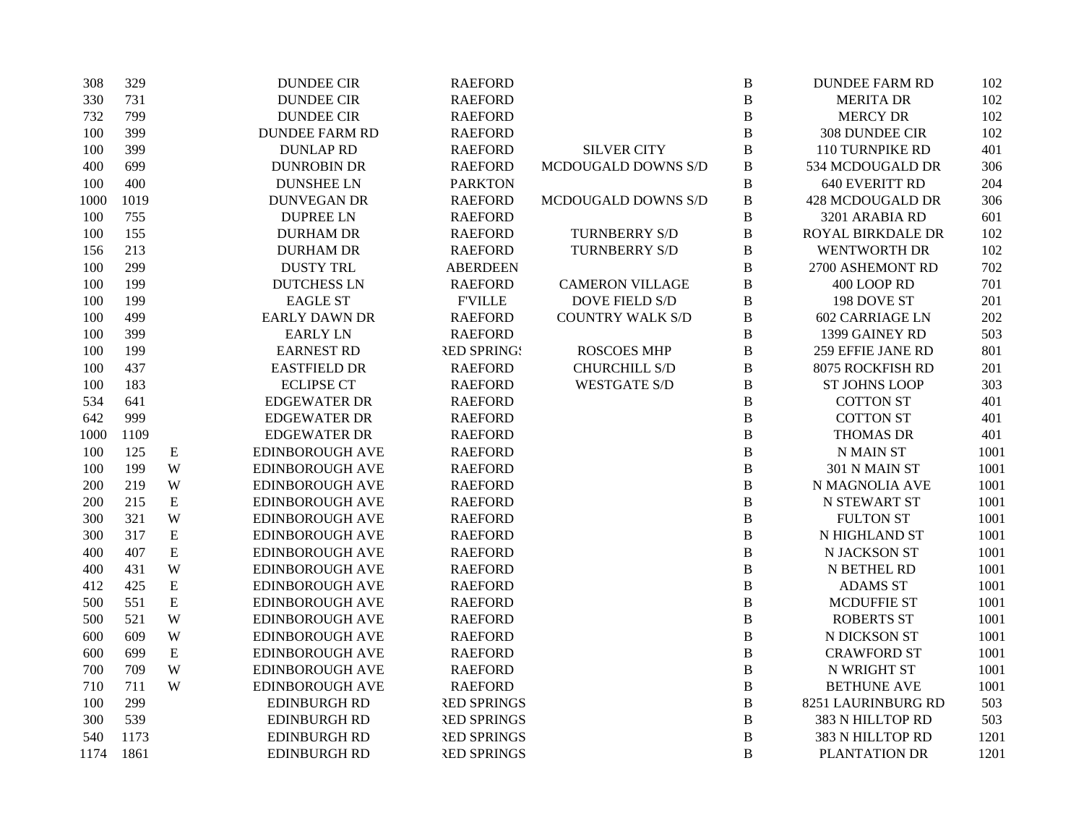| 308  | 329  |             | <b>DUNDEE CIR</b>      | <b>RAEFORD</b>     |                         | $\, {\bf B}$   | <b>DUNDEE FARM RD</b>  | 102  |
|------|------|-------------|------------------------|--------------------|-------------------------|----------------|------------------------|------|
| 330  | 731  |             | <b>DUNDEE CIR</b>      | <b>RAEFORD</b>     |                         | $\bf{B}$       | <b>MERITA DR</b>       | 102  |
| 732  | 799  |             | <b>DUNDEE CIR</b>      | <b>RAEFORD</b>     |                         | $\, {\bf B}$   | <b>MERCY DR</b>        | 102  |
| 100  | 399  |             | <b>DUNDEE FARM RD</b>  | <b>RAEFORD</b>     |                         | $\, {\bf B}$   | 308 DUNDEE CIR         | 102  |
| 100  | 399  |             | <b>DUNLAP RD</b>       | <b>RAEFORD</b>     | <b>SILVER CITY</b>      | $\, {\bf B}$   | 110 TURNPIKE RD        | 401  |
| 400  | 699  |             | <b>DUNROBIN DR</b>     | <b>RAEFORD</b>     | MCDOUGALD DOWNS S/D     | $\, {\bf B}$   | 534 MCDOUGALD DR       | 306  |
| 100  | 400  |             | <b>DUNSHEE LN</b>      | <b>PARKTON</b>     |                         | $\, {\bf B}$   | 640 EVERITT RD         | 204  |
| 1000 | 1019 |             | <b>DUNVEGAN DR</b>     | <b>RAEFORD</b>     | MCDOUGALD DOWNS S/D     | $\, {\bf B}$   | 428 MCDOUGALD DR       | 306  |
| 100  | 755  |             | <b>DUPREE LN</b>       | <b>RAEFORD</b>     |                         | $\, {\bf B}$   | 3201 ARABIA RD         | 601  |
| 100  | 155  |             | <b>DURHAM DR</b>       | <b>RAEFORD</b>     | TURNBERRY S/D           | $\, {\bf B}$   | ROYAL BIRKDALE DR      | 102  |
| 156  | 213  |             | <b>DURHAM DR</b>       | <b>RAEFORD</b>     | <b>TURNBERRY S/D</b>    | $\, {\bf B}$   | <b>WENTWORTH DR</b>    | 102  |
| 100  | 299  |             | <b>DUSTY TRL</b>       | <b>ABERDEEN</b>    |                         | $\, {\bf B}$   | 2700 ASHEMONT RD       | 702  |
| 100  | 199  |             | <b>DUTCHESS LN</b>     | <b>RAEFORD</b>     | <b>CAMERON VILLAGE</b>  | $\, {\bf B}$   | 400 LOOP RD            | 701  |
| 100  | 199  |             | <b>EAGLE ST</b>        | <b>F'VILLE</b>     | <b>DOVE FIELD S/D</b>   | $\bf{B}$       | 198 DOVE ST            | 201  |
| 100  | 499  |             | <b>EARLY DAWN DR</b>   | <b>RAEFORD</b>     | <b>COUNTRY WALK S/D</b> | $\, {\bf B}$   | <b>602 CARRIAGE LN</b> | 202  |
| 100  | 399  |             | <b>EARLY LN</b>        | <b>RAEFORD</b>     |                         | $\, {\bf B}$   | 1399 GAINEY RD         | 503  |
| 100  | 199  |             | <b>EARNEST RD</b>      | <b>RED SPRING!</b> | <b>ROSCOES MHP</b>      | $\, {\bf B}$   | 259 EFFIE JANE RD      | 801  |
| 100  | 437  |             | <b>EASTFIELD DR</b>    | <b>RAEFORD</b>     | CHURCHILL S/D           | $\, {\bf B}$   | 8075 ROCKFISH RD       | 201  |
| 100  | 183  |             | <b>ECLIPSE CT</b>      | <b>RAEFORD</b>     | <b>WESTGATE S/D</b>     | $\, {\bf B}$   | <b>ST JOHNS LOOP</b>   | 303  |
| 534  | 641  |             | <b>EDGEWATER DR</b>    | <b>RAEFORD</b>     |                         | $\bf{B}$       | <b>COTTON ST</b>       | 401  |
| 642  | 999  |             | <b>EDGEWATER DR</b>    | <b>RAEFORD</b>     |                         | $\, {\bf B}$   | <b>COTTON ST</b>       | 401  |
| 1000 | 1109 |             | <b>EDGEWATER DR</b>    | <b>RAEFORD</b>     |                         | $\, {\bf B}$   | <b>THOMAS DR</b>       | 401  |
| 100  | 125  | E           | EDINBOROUGH AVE        | <b>RAEFORD</b>     |                         | $\, {\bf B}$   | N MAIN ST              | 1001 |
| 100  | 199  | W           | <b>EDINBOROUGH AVE</b> | <b>RAEFORD</b>     |                         | $\, {\bf B}$   | 301 N MAIN ST          | 1001 |
| 200  | 219  | W           | <b>EDINBOROUGH AVE</b> | <b>RAEFORD</b>     |                         | $\, {\bf B}$   | N MAGNOLIA AVE         | 1001 |
| 200  | 215  | ${\bf E}$   | EDINBOROUGH AVE        | <b>RAEFORD</b>     |                         | $\, {\bf B}$   | N STEWART ST           | 1001 |
| 300  | 321  | W           | <b>EDINBOROUGH AVE</b> | <b>RAEFORD</b>     |                         | $\, {\bf B}$   | <b>FULTON ST</b>       | 1001 |
| 300  | 317  | ${\bf E}$   | EDINBOROUGH AVE        | <b>RAEFORD</b>     |                         | $\, {\bf B}$   | N HIGHLAND ST          | 1001 |
| 400  | 407  | $\mathbf E$ | <b>EDINBOROUGH AVE</b> | <b>RAEFORD</b>     |                         | $\, {\bf B}$   | N JACKSON ST           | 1001 |
| 400  | 431  | W           | <b>EDINBOROUGH AVE</b> | <b>RAEFORD</b>     |                         | $\, {\bf B}$   | N BETHEL RD            | 1001 |
| 412  | 425  | $\mathbf E$ | <b>EDINBOROUGH AVE</b> | <b>RAEFORD</b>     |                         | $\, {\bf B}$   | <b>ADAMS ST</b>        | 1001 |
| 500  | 551  | ${\bf E}$   | EDINBOROUGH AVE        | <b>RAEFORD</b>     |                         | $\bf{B}$       | <b>MCDUFFIE ST</b>     | 1001 |
| 500  | 521  | W           | <b>EDINBOROUGH AVE</b> | <b>RAEFORD</b>     |                         | $\bf{B}$       | <b>ROBERTS ST</b>      | 1001 |
| 600  | 609  | W           | <b>EDINBOROUGH AVE</b> | <b>RAEFORD</b>     |                         | $\, {\bf B}$   | N DICKSON ST           | 1001 |
| 600  | 699  | ${\bf E}$   | EDINBOROUGH AVE        | <b>RAEFORD</b>     |                         | $\, {\bf B}$   | <b>CRAWFORD ST</b>     | 1001 |
| 700  | 709  | W           | <b>EDINBOROUGH AVE</b> | <b>RAEFORD</b>     |                         | $\, {\bf B}$   | N WRIGHT ST            | 1001 |
| 710  | 711  | W           | <b>EDINBOROUGH AVE</b> | <b>RAEFORD</b>     |                         | $\, {\bf B}$   | <b>BETHUNE AVE</b>     | 1001 |
| 100  | 299  |             | <b>EDINBURGH RD</b>    | <b>RED SPRINGS</b> |                         | $\, {\bf B}$   | 8251 LAURINBURG RD     | 503  |
| 300  | 539  |             | <b>EDINBURGH RD</b>    | <b>RED SPRINGS</b> |                         | $\, {\bf B}$   | 383 N HILLTOP RD       | 503  |
| 540  | 1173 |             | EDINBURGH RD           | <b>RED SPRINGS</b> |                         | $\, {\bf B}$   | 383 N HILLTOP RD       | 1201 |
| 1174 | 1861 |             | EDINBURGH RD           | <b>RED SPRINGS</b> |                         | $\overline{B}$ | PLANTATION DR          | 1201 |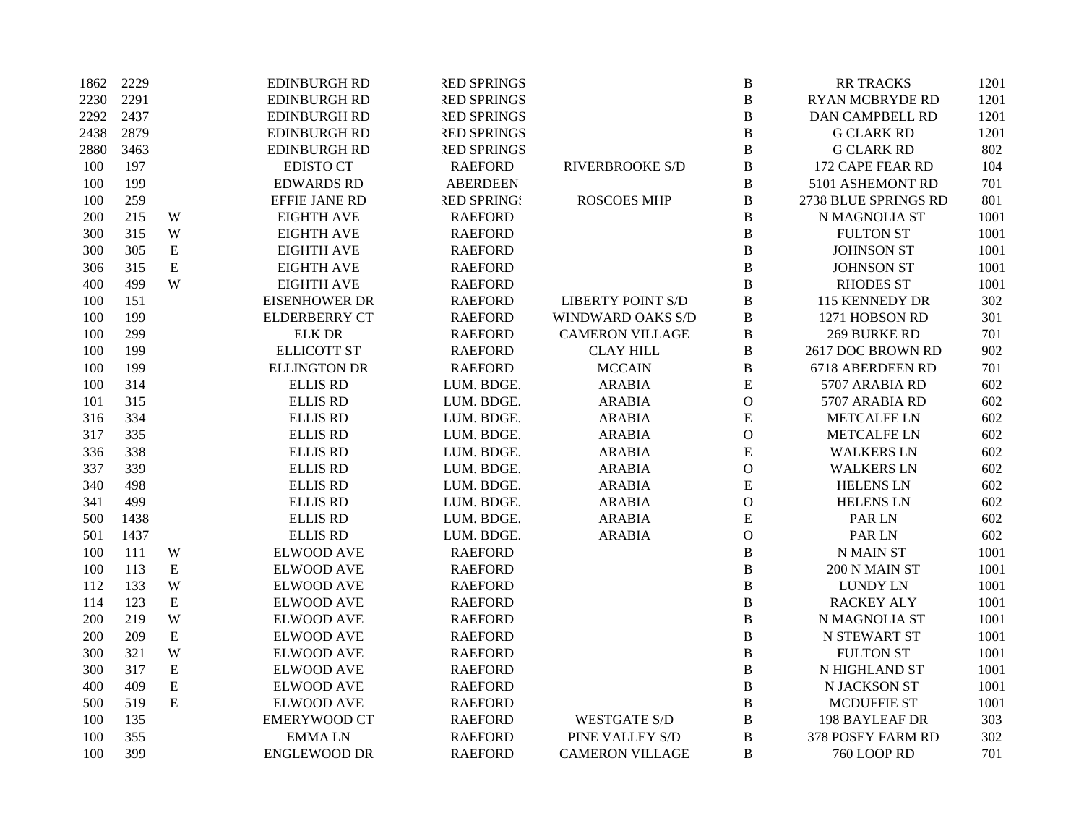| 1862 | 2229 |             | <b>EDINBURGH RD</b>  | <b>RED SPRINGS</b> |                          | $\bf{B}$       | <b>RR TRACKS</b>       | 1201 |
|------|------|-------------|----------------------|--------------------|--------------------------|----------------|------------------------|------|
| 2230 | 2291 |             | <b>EDINBURGH RD</b>  | <b>RED SPRINGS</b> |                          | $\bf{B}$       | <b>RYAN MCBRYDE RD</b> | 1201 |
| 2292 | 2437 |             | <b>EDINBURGH RD</b>  | <b>RED SPRINGS</b> |                          | $\bf{B}$       | <b>DAN CAMPBELL RD</b> | 1201 |
| 2438 | 2879 |             | <b>EDINBURGH RD</b>  | <b>RED SPRINGS</b> |                          | $\bf{B}$       | <b>G CLARK RD</b>      | 1201 |
| 2880 | 3463 |             | <b>EDINBURGH RD</b>  | <b>RED SPRINGS</b> |                          | $\bf{B}$       | <b>G CLARK RD</b>      | 802  |
| 100  | 197  |             | <b>EDISTO CT</b>     | <b>RAEFORD</b>     | <b>RIVERBROOKE S/D</b>   | $\bf{B}$       | 172 CAPE FEAR RD       | 104  |
| 100  | 199  |             | <b>EDWARDS RD</b>    | <b>ABERDEEN</b>    |                          | $\bf{B}$       | 5101 ASHEMONT RD       | 701  |
| 100  | 259  |             | EFFIE JANE RD        | <b>RED SPRINGS</b> | <b>ROSCOES MHP</b>       | $\bf{B}$       | 2738 BLUE SPRINGS RD   | 801  |
| 200  | 215  | W           | <b>EIGHTH AVE</b>    | <b>RAEFORD</b>     |                          | $\bf{B}$       | N MAGNOLIA ST          | 1001 |
| 300  | 315  | W           | <b>EIGHTH AVE</b>    | <b>RAEFORD</b>     |                          | $\, {\bf B}$   | <b>FULTON ST</b>       | 1001 |
| 300  | 305  | ${\bf E}$   | <b>EIGHTH AVE</b>    | <b>RAEFORD</b>     |                          | $\bf{B}$       | <b>JOHNSON ST</b>      | 1001 |
| 306  | 315  | ${\bf E}$   | <b>EIGHTH AVE</b>    | <b>RAEFORD</b>     |                          | $\bf{B}$       | <b>JOHNSON ST</b>      | 1001 |
| 400  | 499  | W           | <b>EIGHTH AVE</b>    | <b>RAEFORD</b>     |                          | $\bf{B}$       | <b>RHODES ST</b>       | 1001 |
| 100  | 151  |             | <b>EISENHOWER DR</b> | <b>RAEFORD</b>     | <b>LIBERTY POINT S/D</b> | $\bf{B}$       | 115 KENNEDY DR         | 302  |
| 100  | 199  |             | <b>ELDERBERRY CT</b> | <b>RAEFORD</b>     | WINDWARD OAKS S/D        | $\bf{B}$       | 1271 HOBSON RD         | 301  |
| 100  | 299  |             | <b>ELK DR</b>        | <b>RAEFORD</b>     | <b>CAMERON VILLAGE</b>   | $\, {\bf B}$   | <b>269 BURKE RD</b>    | 701  |
| 100  | 199  |             | <b>ELLICOTT ST</b>   | <b>RAEFORD</b>     | <b>CLAY HILL</b>         | $\bf{B}$       | 2617 DOC BROWN RD      | 902  |
| 100  | 199  |             | <b>ELLINGTON DR</b>  | <b>RAEFORD</b>     | <b>MCCAIN</b>            | $\, {\bf B}$   | 6718 ABERDEEN RD       | 701  |
| 100  | 314  |             | <b>ELLIS RD</b>      | LUM. BDGE.         | <b>ARABIA</b>            | E              | 5707 ARABIA RD         | 602  |
| 101  | 315  |             | <b>ELLIS RD</b>      | LUM. BDGE.         | <b>ARABIA</b>            | $\mathcal{O}$  | 5707 ARABIA RD         | 602  |
| 316  | 334  |             | <b>ELLIS RD</b>      | LUM. BDGE.         | <b>ARABIA</b>            | ${\bf E}$      | <b>METCALFE LN</b>     | 602  |
| 317  | 335  |             | <b>ELLIS RD</b>      | LUM. BDGE.         | <b>ARABIA</b>            | $\mathbf{O}$   | <b>METCALFE LN</b>     | 602  |
| 336  | 338  |             | <b>ELLIS RD</b>      | LUM. BDGE.         | <b>ARABIA</b>            | ${\bf E}$      | <b>WALKERS LN</b>      | 602  |
| 337  | 339  |             | <b>ELLIS RD</b>      | LUM. BDGE.         | <b>ARABIA</b>            | ${\mathcal O}$ | <b>WALKERS LN</b>      | 602  |
| 340  | 498  |             | <b>ELLIS RD</b>      | LUM. BDGE.         | <b>ARABIA</b>            | ${\bf E}$      | <b>HELENS LN</b>       | 602  |
| 341  | 499  |             | <b>ELLIS RD</b>      | LUM. BDGE.         | <b>ARABIA</b>            | $\mathbf{O}$   | <b>HELENS LN</b>       | 602  |
| 500  | 1438 |             | <b>ELLIS RD</b>      | LUM. BDGE.         | <b>ARABIA</b>            | ${\bf E}$      | PAR LN                 | 602  |
| 501  | 1437 |             | <b>ELLIS RD</b>      | LUM. BDGE.         | <b>ARABIA</b>            | $\mathbf{O}$   | PAR LN                 | 602  |
| 100  | 111  | W           | <b>ELWOOD AVE</b>    | <b>RAEFORD</b>     |                          | $\, {\bf B}$   | <b>N MAIN ST</b>       | 1001 |
| 100  | 113  | ${\bf E}$   | <b>ELWOOD AVE</b>    | <b>RAEFORD</b>     |                          | $\bf{B}$       | 200 N MAIN ST          | 1001 |
| 112  | 133  | W           | <b>ELWOOD AVE</b>    | <b>RAEFORD</b>     |                          | $\bf{B}$       | <b>LUNDY LN</b>        | 1001 |
| 114  | 123  | $\mathbf E$ | <b>ELWOOD AVE</b>    | <b>RAEFORD</b>     |                          | $\bf{B}$       | <b>RACKEY ALY</b>      | 1001 |
| 200  | 219  | W           | <b>ELWOOD AVE</b>    | <b>RAEFORD</b>     |                          | $\bf{B}$       | N MAGNOLIA ST          | 1001 |
| 200  | 209  | ${\bf E}$   | <b>ELWOOD AVE</b>    | <b>RAEFORD</b>     |                          | $\bf{B}$       | <b>N STEWART ST</b>    | 1001 |
| 300  | 321  | W           | <b>ELWOOD AVE</b>    | <b>RAEFORD</b>     |                          | $\bf{B}$       | <b>FULTON ST</b>       | 1001 |
| 300  | 317  | ${\bf E}$   | <b>ELWOOD AVE</b>    | <b>RAEFORD</b>     |                          | $\bf{B}$       | N HIGHLAND ST          | 1001 |
| 400  | 409  | ${\bf E}$   | <b>ELWOOD AVE</b>    | <b>RAEFORD</b>     |                          | $\bf{B}$       | N JACKSON ST           | 1001 |
| 500  | 519  | ${\bf E}$   | <b>ELWOOD AVE</b>    | <b>RAEFORD</b>     |                          | B              | <b>MCDUFFIE ST</b>     | 1001 |
| 100  | 135  |             | <b>EMERYWOOD CT</b>  | <b>RAEFORD</b>     | <b>WESTGATE S/D</b>      | B              | <b>198 BAYLEAF DR</b>  | 303  |
| 100  | 355  |             | <b>EMMALN</b>        | <b>RAEFORD</b>     | PINE VALLEY S/D          | $\bf{B}$       | 378 POSEY FARM RD      | 302  |
| 100  | 399  |             | <b>ENGLEWOOD DR</b>  | <b>RAEFORD</b>     | <b>CAMERON VILLAGE</b>   | B              | <b>760 LOOP RD</b>     | 701  |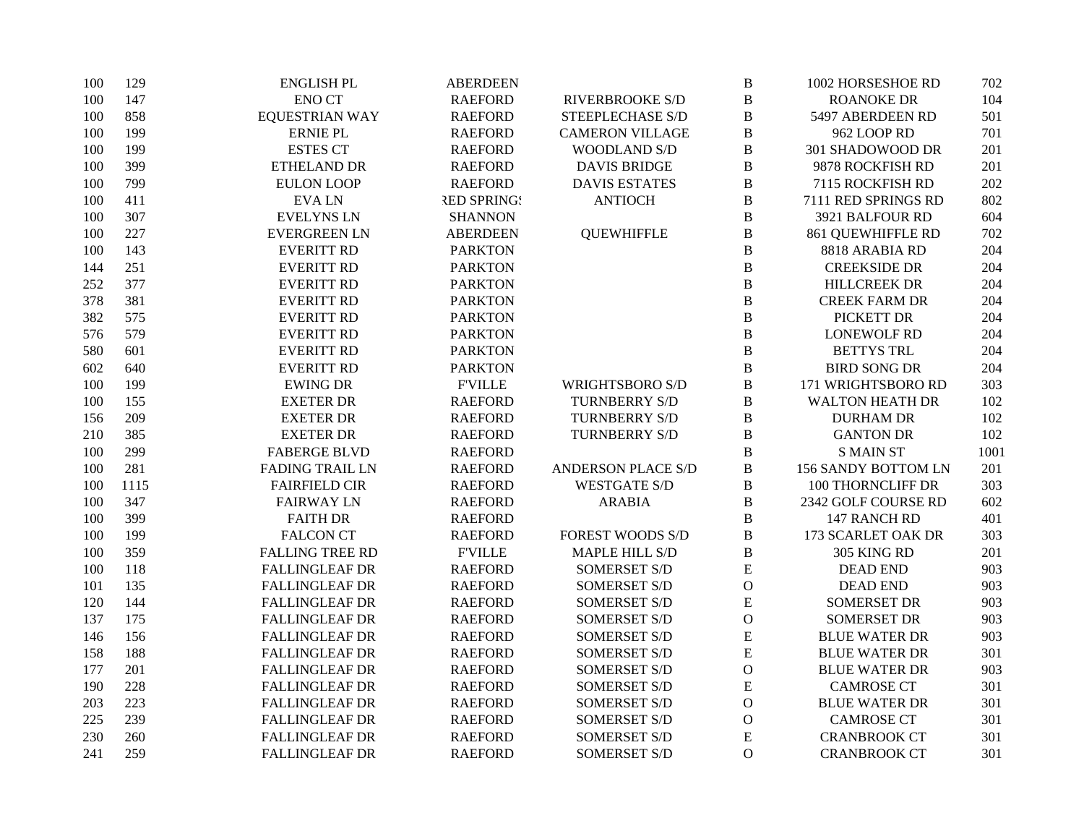| 100 | 129  | <b>ENGLISH PL</b>      | <b>ABERDEEN</b>    |                           | $\, {\bf B}$  | 1002 HORSESHOE RD        | 702  |
|-----|------|------------------------|--------------------|---------------------------|---------------|--------------------------|------|
| 100 | 147  | <b>ENO CT</b>          | <b>RAEFORD</b>     | <b>RIVERBROOKE S/D</b>    | $\, {\bf B}$  | <b>ROANOKE DR</b>        | 104  |
| 100 | 858  | <b>EQUESTRIAN WAY</b>  | <b>RAEFORD</b>     | STEEPLECHASE S/D          | $\, {\bf B}$  | 5497 ABERDEEN RD         | 501  |
| 100 | 199  | <b>ERNIE PL</b>        | <b>RAEFORD</b>     | <b>CAMERON VILLAGE</b>    | $\, {\bf B}$  | 962 LOOP RD              | 701  |
| 100 | 199  | <b>ESTES CT</b>        | <b>RAEFORD</b>     | WOODLAND S/D              | $\, {\bf B}$  | 301 SHADOWOOD DR         | 201  |
| 100 | 399  | ETHELAND DR            | <b>RAEFORD</b>     | <b>DAVIS BRIDGE</b>       | $\, {\bf B}$  | 9878 ROCKFISH RD         | 201  |
| 100 | 799  | <b>EULON LOOP</b>      | <b>RAEFORD</b>     | <b>DAVIS ESTATES</b>      | $\, {\bf B}$  | 7115 ROCKFISH RD         | 202  |
| 100 | 411  | <b>EVALN</b>           | <b>RED SPRING!</b> | <b>ANTIOCH</b>            | $\, {\bf B}$  | 7111 RED SPRINGS RD      | 802  |
| 100 | 307  | <b>EVELYNS LN</b>      | <b>SHANNON</b>     |                           | $\, {\bf B}$  | 3921 BALFOUR RD          | 604  |
| 100 | 227  | <b>EVERGREEN LN</b>    | <b>ABERDEEN</b>    | <b>QUEWHIFFLE</b>         | $\, {\bf B}$  | 861 QUEWHIFFLE RD        | 702  |
| 100 | 143  | <b>EVERITT RD</b>      | <b>PARKTON</b>     |                           | $\, {\bf B}$  | 8818 ARABIA RD           | 204  |
| 144 | 251  | <b>EVERITT RD</b>      | <b>PARKTON</b>     |                           | $\, {\bf B}$  | <b>CREEKSIDE DR</b>      | 204  |
| 252 | 377  | <b>EVERITT RD</b>      | <b>PARKTON</b>     |                           | $\bf{B}$      | <b>HILLCREEK DR</b>      | 204  |
| 378 | 381  | <b>EVERITT RD</b>      | <b>PARKTON</b>     |                           | $\, {\bf B}$  | <b>CREEK FARM DR</b>     | 204  |
| 382 | 575  | <b>EVERITT RD</b>      | <b>PARKTON</b>     |                           | $\, {\bf B}$  | PICKETT DR               | 204  |
| 576 | 579  | <b>EVERITT RD</b>      | <b>PARKTON</b>     |                           | $\bf{B}$      | <b>LONEWOLF RD</b>       | 204  |
| 580 | 601  | <b>EVERITT RD</b>      | <b>PARKTON</b>     |                           | $\, {\bf B}$  | <b>BETTYS TRL</b>        | 204  |
| 602 | 640  | <b>EVERITT RD</b>      | <b>PARKTON</b>     |                           | $\, {\bf B}$  | <b>BIRD SONG DR</b>      | 204  |
| 100 | 199  | <b>EWING DR</b>        | <b>FVILLE</b>      | <b>WRIGHTSBORO S/D</b>    | $\bf{B}$      | 171 WRIGHTSBORO RD       | 303  |
| 100 | 155  | <b>EXETER DR</b>       | <b>RAEFORD</b>     | <b>TURNBERRY S/D</b>      | $\, {\bf B}$  | <b>WALTON HEATH DR</b>   | 102  |
| 156 | 209  | <b>EXETER DR</b>       | <b>RAEFORD</b>     | <b>TURNBERRY S/D</b>      | $\, {\bf B}$  | <b>DURHAM DR</b>         | 102  |
| 210 | 385  | <b>EXETER DR</b>       | <b>RAEFORD</b>     | <b>TURNBERRY S/D</b>      | $\, {\bf B}$  | <b>GANTON DR</b>         | 102  |
| 100 | 299  | <b>FABERGE BLVD</b>    | <b>RAEFORD</b>     |                           | $\, {\bf B}$  | <b>S MAIN ST</b>         | 1001 |
| 100 | 281  | <b>FADING TRAIL LN</b> | <b>RAEFORD</b>     | <b>ANDERSON PLACE S/D</b> | $\, {\bf B}$  | 156 SANDY BOTTOM LN      | 201  |
| 100 | 1115 | <b>FAIRFIELD CIR</b>   | <b>RAEFORD</b>     | <b>WESTGATE S/D</b>       | $\, {\bf B}$  | <b>100 THORNCLIFF DR</b> | 303  |
| 100 | 347  | <b>FAIRWAY LN</b>      | <b>RAEFORD</b>     | <b>ARABIA</b>             | $\, {\bf B}$  | 2342 GOLF COURSE RD      | 602  |
| 100 | 399  | <b>FAITH DR</b>        | <b>RAEFORD</b>     |                           | $\, {\bf B}$  | 147 RANCH RD             | 401  |
| 100 | 199  | <b>FALCON CT</b>       | <b>RAEFORD</b>     | <b>FOREST WOODS S/D</b>   | $\bf{B}$      | 173 SCARLET OAK DR       | 303  |
| 100 | 359  | <b>FALLING TREE RD</b> | <b>F'VILLE</b>     | <b>MAPLE HILL S/D</b>     | $\, {\bf B}$  | 305 KING RD              | 201  |
| 100 | 118  | <b>FALLINGLEAF DR</b>  | <b>RAEFORD</b>     | <b>SOMERSET S/D</b>       | E             | <b>DEAD END</b>          | 903  |
| 101 | 135  | <b>FALLINGLEAF DR</b>  | <b>RAEFORD</b>     | <b>SOMERSET S/D</b>       | $\mathcal{O}$ | <b>DEAD END</b>          | 903  |
| 120 | 144  | <b>FALLINGLEAF DR</b>  | <b>RAEFORD</b>     | <b>SOMERSET S/D</b>       | ${\bf E}$     | <b>SOMERSET DR</b>       | 903  |
| 137 | 175  | <b>FALLINGLEAF DR</b>  | <b>RAEFORD</b>     | SOMERSET S/D              | $\mathcal O$  | <b>SOMERSET DR</b>       | 903  |
| 146 | 156  | <b>FALLINGLEAF DR</b>  | <b>RAEFORD</b>     | <b>SOMERSET S/D</b>       | ${\bf E}$     | <b>BLUE WATER DR</b>     | 903  |
| 158 | 188  | <b>FALLINGLEAF DR</b>  | <b>RAEFORD</b>     | <b>SOMERSET S/D</b>       | ${\bf E}$     | <b>BLUE WATER DR</b>     | 301  |
| 177 | 201  | <b>FALLINGLEAF DR</b>  | <b>RAEFORD</b>     | <b>SOMERSET S/D</b>       | ${\rm O}$     | <b>BLUE WATER DR</b>     | 903  |
| 190 | 228  | <b>FALLINGLEAF DR</b>  | <b>RAEFORD</b>     | <b>SOMERSET S/D</b>       | ${\bf E}$     | <b>CAMROSE CT</b>        | 301  |
| 203 | 223  | <b>FALLINGLEAF DR</b>  | <b>RAEFORD</b>     | <b>SOMERSET S/D</b>       | $\mathbf{O}$  | <b>BLUE WATER DR</b>     | 301  |
| 225 | 239  | <b>FALLINGLEAF DR</b>  | <b>RAEFORD</b>     | SOMERSET S/D              | $\mathbf{O}$  | <b>CAMROSE CT</b>        | 301  |
| 230 | 260  | <b>FALLINGLEAF DR</b>  | <b>RAEFORD</b>     | SOMERSET S/D              | E             | <b>CRANBROOK CT</b>      | 301  |
| 241 | 259  | <b>FALLINGLEAF DR</b>  | <b>RAEFORD</b>     | <b>SOMERSET S/D</b>       | $\mathbf{O}$  | <b>CRANBROOK CT</b>      | 301  |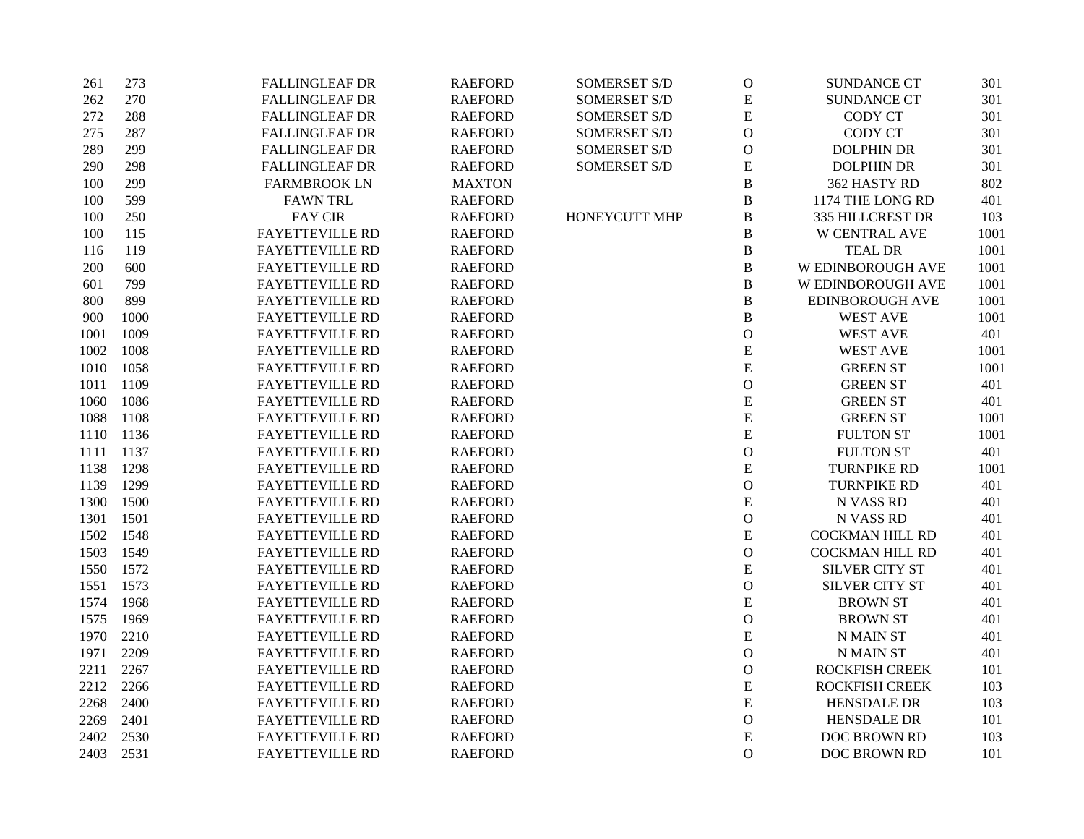| 261  | 273  | <b>FALLINGLEAF DR</b>  | <b>RAEFORD</b> | <b>SOMERSET S/D</b> | $\mathcal O$  | <b>SUNDANCE CT</b>     | 301  |
|------|------|------------------------|----------------|---------------------|---------------|------------------------|------|
| 262  | 270  | <b>FALLINGLEAF DR</b>  | <b>RAEFORD</b> | <b>SOMERSET S/D</b> | ${\bf E}$     | <b>SUNDANCE CT</b>     | 301  |
| 272  | 288  | <b>FALLINGLEAF DR</b>  | <b>RAEFORD</b> | <b>SOMERSET S/D</b> | ${\bf E}$     | <b>CODY CT</b>         | 301  |
| 275  | 287  | <b>FALLINGLEAF DR</b>  | <b>RAEFORD</b> | <b>SOMERSET S/D</b> | $\mathcal{O}$ | CODY CT                | 301  |
| 289  | 299  | <b>FALLINGLEAF DR</b>  | <b>RAEFORD</b> | SOMERSET S/D        | $\mathcal O$  | <b>DOLPHIN DR</b>      | 301  |
| 290  | 298  | <b>FALLINGLEAF DR</b>  | <b>RAEFORD</b> | <b>SOMERSET S/D</b> | ${\bf E}$     | <b>DOLPHIN DR</b>      | 301  |
| 100  | 299  | <b>FARMBROOK LN</b>    | <b>MAXTON</b>  |                     | $\, {\bf B}$  | 362 HASTY RD           | 802  |
| 100  | 599  | <b>FAWN TRL</b>        | <b>RAEFORD</b> |                     | $\, {\bf B}$  | 1174 THE LONG RD       | 401  |
| 100  | 250  | <b>FAY CIR</b>         | <b>RAEFORD</b> | HONEYCUTT MHP       | $\, {\bf B}$  | 335 HILLCREST DR       | 103  |
| 100  | 115  | <b>FAYETTEVILLE RD</b> | <b>RAEFORD</b> |                     | $\, {\bf B}$  | <b>W CENTRAL AVE</b>   | 1001 |
| 116  | 119  | <b>FAYETTEVILLE RD</b> | <b>RAEFORD</b> |                     | $\, {\bf B}$  | <b>TEAL DR</b>         | 1001 |
| 200  | 600  | <b>FAYETTEVILLE RD</b> | <b>RAEFORD</b> |                     | $\, {\bf B}$  | W EDINBOROUGH AVE      | 1001 |
| 601  | 799  | <b>FAYETTEVILLE RD</b> | <b>RAEFORD</b> |                     | $\, {\bf B}$  | W EDINBOROUGH AVE      | 1001 |
| 800  | 899  | <b>FAYETTEVILLE RD</b> | <b>RAEFORD</b> |                     | $\, {\bf B}$  | EDINBOROUGH AVE        | 1001 |
| 900  | 1000 | <b>FAYETTEVILLE RD</b> | <b>RAEFORD</b> |                     | $\, {\bf B}$  | <b>WEST AVE</b>        | 1001 |
| 1001 | 1009 | <b>FAYETTEVILLE RD</b> | <b>RAEFORD</b> |                     | $\mathcal O$  | <b>WEST AVE</b>        | 401  |
| 1002 | 1008 | <b>FAYETTEVILLE RD</b> | <b>RAEFORD</b> |                     | ${\bf E}$     | <b>WEST AVE</b>        | 1001 |
| 1010 | 1058 | <b>FAYETTEVILLE RD</b> | <b>RAEFORD</b> |                     | ${\bf E}$     | <b>GREEN ST</b>        | 1001 |
| 1011 | 1109 | <b>FAYETTEVILLE RD</b> | <b>RAEFORD</b> |                     | $\mathcal O$  | <b>GREEN ST</b>        | 401  |
| 1060 | 1086 | <b>FAYETTEVILLE RD</b> | <b>RAEFORD</b> |                     | ${\bf E}$     | <b>GREEN ST</b>        | 401  |
| 1088 | 1108 | <b>FAYETTEVILLE RD</b> | <b>RAEFORD</b> |                     | ${\bf E}$     | <b>GREEN ST</b>        | 1001 |
| 1110 | 1136 | <b>FAYETTEVILLE RD</b> | <b>RAEFORD</b> |                     | ${\bf E}$     | <b>FULTON ST</b>       | 1001 |
| 1111 | 1137 | <b>FAYETTEVILLE RD</b> | <b>RAEFORD</b> |                     | $\mathcal O$  | <b>FULTON ST</b>       | 401  |
| 1138 | 1298 | <b>FAYETTEVILLE RD</b> | <b>RAEFORD</b> |                     | ${\bf E}$     | <b>TURNPIKE RD</b>     | 1001 |
| 1139 | 1299 | FAYETTEVILLE RD        | <b>RAEFORD</b> |                     | $\mathcal O$  | <b>TURNPIKE RD</b>     | 401  |
| 1300 | 1500 | <b>FAYETTEVILLE RD</b> | <b>RAEFORD</b> |                     | ${\bf E}$     | N VASS RD              | 401  |
| 1301 | 1501 | <b>FAYETTEVILLE RD</b> | <b>RAEFORD</b> |                     | $\mathbf O$   | N VASS RD              | 401  |
| 1502 | 1548 | <b>FAYETTEVILLE RD</b> | <b>RAEFORD</b> |                     | ${\bf E}$     | <b>COCKMAN HILL RD</b> | 401  |
| 1503 | 1549 | <b>FAYETTEVILLE RD</b> | <b>RAEFORD</b> |                     | $\mathbf O$   | <b>COCKMAN HILL RD</b> | 401  |
| 1550 | 1572 | <b>FAYETTEVILLE RD</b> | <b>RAEFORD</b> |                     | ${\bf E}$     | <b>SILVER CITY ST</b>  | 401  |
| 1551 | 1573 | FAYETTEVILLE RD        | <b>RAEFORD</b> |                     | $\mathcal O$  | <b>SILVER CITY ST</b>  | 401  |
| 1574 | 1968 | <b>FAYETTEVILLE RD</b> | <b>RAEFORD</b> |                     | E             | <b>BROWN ST</b>        | 401  |
| 1575 | 1969 | <b>FAYETTEVILLE RD</b> | <b>RAEFORD</b> |                     | $\mathbf O$   | <b>BROWN ST</b>        | 401  |
| 1970 | 2210 | <b>FAYETTEVILLE RD</b> | <b>RAEFORD</b> |                     | ${\bf E}$     | <b>N MAIN ST</b>       | 401  |
| 1971 | 2209 | <b>FAYETTEVILLE RD</b> | <b>RAEFORD</b> |                     | $\mathcal{O}$ | <b>N MAIN ST</b>       | 401  |
| 2211 | 2267 | <b>FAYETTEVILLE RD</b> | <b>RAEFORD</b> |                     | $\mathcal O$  | <b>ROCKFISH CREEK</b>  | 101  |
| 2212 | 2266 | <b>FAYETTEVILLE RD</b> | <b>RAEFORD</b> |                     | ${\bf E}$     | <b>ROCKFISH CREEK</b>  | 103  |
| 2268 | 2400 | <b>FAYETTEVILLE RD</b> | <b>RAEFORD</b> |                     | ${\bf E}$     | HENSDALE DR            | 103  |
| 2269 | 2401 | <b>FAYETTEVILLE RD</b> | <b>RAEFORD</b> |                     | $\mathcal O$  | <b>HENSDALE DR</b>     | 101  |
| 2402 | 2530 | <b>FAYETTEVILLE RD</b> | <b>RAEFORD</b> |                     | ${\bf E}$     | DOC BROWN RD           | 103  |
| 2403 | 2531 | <b>FAYETTEVILLE RD</b> | <b>RAEFORD</b> |                     | $\mathbf O$   | DOC BROWN RD           | 101  |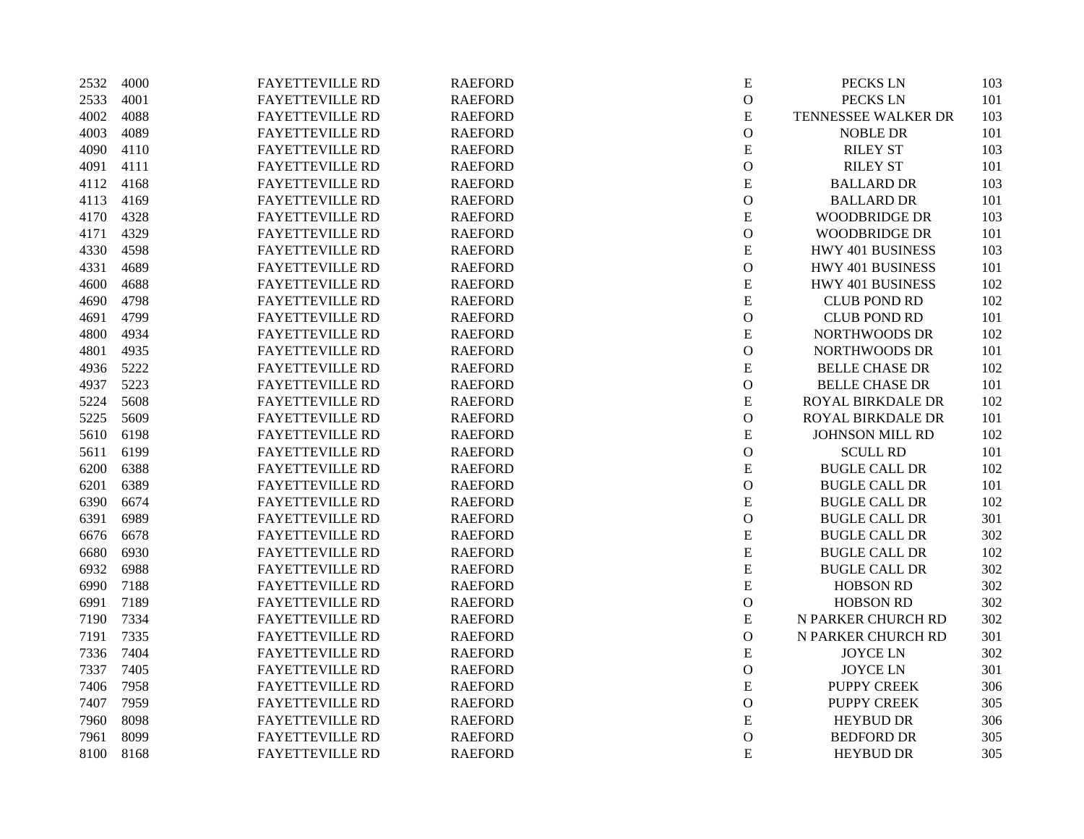| 2532 | 4000 | <b>FAYETTEVILLE RD</b> | <b>RAEFORD</b> | ${\bf E}$     | PECKS LN               | 103 |
|------|------|------------------------|----------------|---------------|------------------------|-----|
| 2533 | 4001 | <b>FAYETTEVILLE RD</b> | <b>RAEFORD</b> | $\mathcal O$  | PECKS LN               | 101 |
| 4002 | 4088 | <b>FAYETTEVILLE RD</b> | <b>RAEFORD</b> | ${\bf E}$     | TENNESSEE WALKER DR    | 103 |
| 4003 | 4089 | <b>FAYETTEVILLE RD</b> | <b>RAEFORD</b> | $\mathcal O$  | <b>NOBLE DR</b>        | 101 |
| 4090 | 4110 | <b>FAYETTEVILLE RD</b> | <b>RAEFORD</b> | ${\bf E}$     | <b>RILEY ST</b>        | 103 |
| 4091 | 4111 | <b>FAYETTEVILLE RD</b> | <b>RAEFORD</b> | $\mathcal{O}$ | <b>RILEY ST</b>        | 101 |
| 4112 | 4168 | <b>FAYETTEVILLE RD</b> | <b>RAEFORD</b> | ${\bf E}$     | <b>BALLARD DR</b>      | 103 |
| 4113 | 4169 | FAYETTEVILLE RD        | <b>RAEFORD</b> | $\mathcal{O}$ | <b>BALLARD DR</b>      | 101 |
| 4170 | 4328 | <b>FAYETTEVILLE RD</b> | <b>RAEFORD</b> | ${\bf E}$     | <b>WOODBRIDGE DR</b>   | 103 |
| 4171 | 4329 | <b>FAYETTEVILLE RD</b> | <b>RAEFORD</b> | $\mathcal{O}$ | <b>WOODBRIDGE DR</b>   | 101 |
| 4330 | 4598 | <b>FAYETTEVILLE RD</b> | <b>RAEFORD</b> | ${\bf E}$     | HWY 401 BUSINESS       | 103 |
| 4331 | 4689 | <b>FAYETTEVILLE RD</b> | <b>RAEFORD</b> | ${\rm O}$     | HWY 401 BUSINESS       | 101 |
| 4600 | 4688 | <b>FAYETTEVILLE RD</b> | <b>RAEFORD</b> | ${\bf E}$     | HWY 401 BUSINESS       | 102 |
| 4690 | 4798 | <b>FAYETTEVILLE RD</b> | <b>RAEFORD</b> | E             | <b>CLUB POND RD</b>    | 102 |
| 4691 | 4799 | <b>FAYETTEVILLE RD</b> | <b>RAEFORD</b> | $\mathcal O$  | <b>CLUB POND RD</b>    | 101 |
| 4800 | 4934 | <b>FAYETTEVILLE RD</b> | <b>RAEFORD</b> | ${\bf E}$     | NORTHWOODS DR          | 102 |
| 4801 | 4935 | <b>FAYETTEVILLE RD</b> | <b>RAEFORD</b> | $\mathcal{O}$ | NORTHWOODS DR          | 101 |
| 4936 | 5222 | <b>FAYETTEVILLE RD</b> | <b>RAEFORD</b> | ${\bf E}$     | <b>BELLE CHASE DR</b>  | 102 |
| 4937 | 5223 | <b>FAYETTEVILLE RD</b> | <b>RAEFORD</b> | $\mathbf O$   | <b>BELLE CHASE DR</b>  | 101 |
| 5224 | 5608 | <b>FAYETTEVILLE RD</b> | <b>RAEFORD</b> | ${\bf E}$     | ROYAL BIRKDALE DR      | 102 |
| 5225 | 5609 | <b>FAYETTEVILLE RD</b> | <b>RAEFORD</b> | $\mathcal{O}$ | ROYAL BIRKDALE DR      | 101 |
| 5610 | 6198 | <b>FAYETTEVILLE RD</b> | <b>RAEFORD</b> | ${\bf E}$     | <b>JOHNSON MILL RD</b> | 102 |
| 5611 | 6199 | <b>FAYETTEVILLE RD</b> | <b>RAEFORD</b> | $\mathbf{O}$  | <b>SCULL RD</b>        | 101 |
| 6200 | 6388 | <b>FAYETTEVILLE RD</b> | <b>RAEFORD</b> | ${\bf E}$     | <b>BUGLE CALL DR</b>   | 102 |
| 6201 | 6389 | <b>FAYETTEVILLE RD</b> | <b>RAEFORD</b> | $\mathcal{O}$ | <b>BUGLE CALL DR</b>   | 101 |
| 6390 | 6674 | <b>FAYETTEVILLE RD</b> | <b>RAEFORD</b> | ${\bf E}$     | <b>BUGLE CALL DR</b>   | 102 |
| 6391 | 6989 | <b>FAYETTEVILLE RD</b> | <b>RAEFORD</b> | $\mathbf O$   | <b>BUGLE CALL DR</b>   | 301 |
| 6676 | 6678 | <b>FAYETTEVILLE RD</b> | <b>RAEFORD</b> | ${\bf E}$     | <b>BUGLE CALL DR</b>   | 302 |
| 6680 | 6930 | <b>FAYETTEVILLE RD</b> | <b>RAEFORD</b> | ${\bf E}$     | <b>BUGLE CALL DR</b>   | 102 |
| 6932 | 6988 | <b>FAYETTEVILLE RD</b> | <b>RAEFORD</b> | ${\bf E}$     | <b>BUGLE CALL DR</b>   | 302 |
| 6990 | 7188 | <b>FAYETTEVILLE RD</b> | <b>RAEFORD</b> | E             | <b>HOBSON RD</b>       | 302 |
| 6991 | 7189 | <b>FAYETTEVILLE RD</b> | <b>RAEFORD</b> | $\mathcal O$  | <b>HOBSON RD</b>       | 302 |
| 7190 | 7334 | <b>FAYETTEVILLE RD</b> | <b>RAEFORD</b> | ${\bf E}$     | N PARKER CHURCH RD     | 302 |
| 7191 | 7335 | <b>FAYETTEVILLE RD</b> | <b>RAEFORD</b> | $\mathbf O$   | N PARKER CHURCH RD     | 301 |
| 7336 | 7404 | <b>FAYETTEVILLE RD</b> | <b>RAEFORD</b> | $\mathbf E$   | <b>JOYCE LN</b>        | 302 |
| 7337 | 7405 | <b>FAYETTEVILLE RD</b> | <b>RAEFORD</b> | $\mathcal O$  | <b>JOYCE LN</b>        | 301 |
| 7406 | 7958 | FAYETTEVILLE RD        | <b>RAEFORD</b> | E             | PUPPY CREEK            | 306 |
| 7407 | 7959 | <b>FAYETTEVILLE RD</b> | <b>RAEFORD</b> | $\mathcal O$  | <b>PUPPY CREEK</b>     | 305 |
| 7960 | 8098 | <b>FAYETTEVILLE RD</b> | <b>RAEFORD</b> | E             | <b>HEYBUD DR</b>       | 306 |
| 7961 | 8099 | <b>FAYETTEVILLE RD</b> | <b>RAEFORD</b> | $\mathcal{O}$ | <b>BEDFORD DR</b>      | 305 |
| 8100 | 8168 | <b>FAYETTEVILLE RD</b> | <b>RAEFORD</b> | E             | <b>HEYBUD DR</b>       | 305 |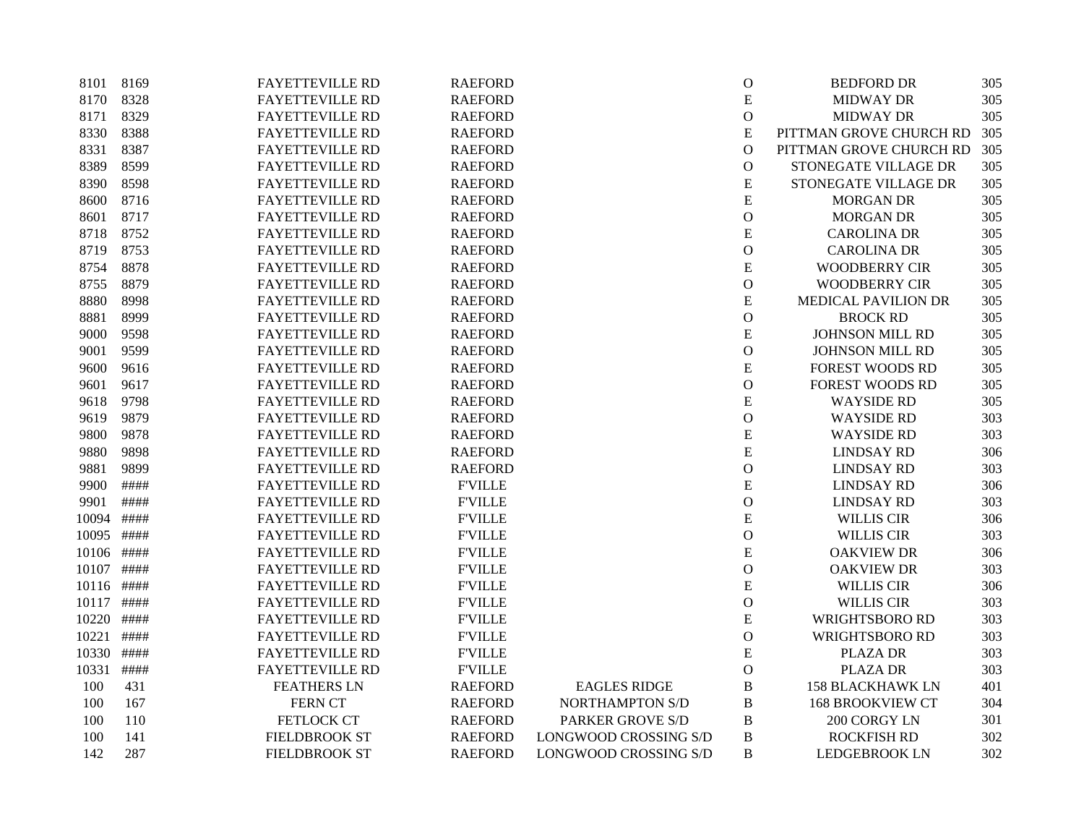| 8101  | 8169 | <b>FAYETTEVILLE RD</b> | <b>RAEFORD</b> |                         | $\mathbf{O}$   | <b>BEDFORD DR</b>       | 305 |
|-------|------|------------------------|----------------|-------------------------|----------------|-------------------------|-----|
| 8170  | 8328 | <b>FAYETTEVILLE RD</b> | <b>RAEFORD</b> |                         | ${\bf E}$      | <b>MIDWAY DR</b>        | 305 |
| 8171  | 8329 | <b>FAYETTEVILLE RD</b> | <b>RAEFORD</b> |                         | $\overline{O}$ | <b>MIDWAY DR</b>        | 305 |
| 8330  | 8388 | <b>FAYETTEVILLE RD</b> | <b>RAEFORD</b> |                         | ${\bf E}$      | PITTMAN GROVE CHURCH RD | 305 |
| 8331  | 8387 | <b>FAYETTEVILLE RD</b> | <b>RAEFORD</b> |                         | $\mathbf O$    | PITTMAN GROVE CHURCH RD | 305 |
| 8389  | 8599 | <b>FAYETTEVILLE RD</b> | <b>RAEFORD</b> |                         | $\mathbf{O}$   | STONEGATE VILLAGE DR    | 305 |
| 8390  | 8598 | <b>FAYETTEVILLE RD</b> | <b>RAEFORD</b> |                         | $\mathbf E$    | STONEGATE VILLAGE DR    | 305 |
| 8600  | 8716 | <b>FAYETTEVILLE RD</b> | <b>RAEFORD</b> |                         | ${\bf E}$      | <b>MORGAN DR</b>        | 305 |
| 8601  | 8717 | <b>FAYETTEVILLE RD</b> | <b>RAEFORD</b> |                         | $\mathbf O$    | <b>MORGAN DR</b>        | 305 |
| 8718  | 8752 | <b>FAYETTEVILLE RD</b> | <b>RAEFORD</b> |                         | ${\bf E}$      | <b>CAROLINA DR</b>      | 305 |
| 8719  | 8753 | <b>FAYETTEVILLE RD</b> | <b>RAEFORD</b> |                         | $\mathbf{O}$   | <b>CAROLINA DR</b>      | 305 |
| 8754  | 8878 | <b>FAYETTEVILLE RD</b> | <b>RAEFORD</b> |                         | ${\bf E}$      | <b>WOODBERRY CIR</b>    | 305 |
| 8755  | 8879 | <b>FAYETTEVILLE RD</b> | <b>RAEFORD</b> |                         | $\mathcal{O}$  | <b>WOODBERRY CIR</b>    | 305 |
| 8880  | 8998 | <b>FAYETTEVILLE RD</b> | <b>RAEFORD</b> |                         | ${\bf E}$      | MEDICAL PAVILION DR     | 305 |
| 8881  | 8999 | <b>FAYETTEVILLE RD</b> | <b>RAEFORD</b> |                         | $\mathbf O$    | <b>BROCK RD</b>         | 305 |
| 9000  | 9598 | <b>FAYETTEVILLE RD</b> | <b>RAEFORD</b> |                         | ${\bf E}$      | JOHNSON MILL RD         | 305 |
| 9001  | 9599 | <b>FAYETTEVILLE RD</b> | <b>RAEFORD</b> |                         | $\mathbf{O}$   | JOHNSON MILL RD         | 305 |
| 9600  | 9616 | <b>FAYETTEVILLE RD</b> | <b>RAEFORD</b> |                         | ${\bf E}$      | <b>FOREST WOODS RD</b>  | 305 |
| 9601  | 9617 | <b>FAYETTEVILLE RD</b> | <b>RAEFORD</b> |                         | $\mathbf{O}$   | <b>FOREST WOODS RD</b>  | 305 |
| 9618  | 9798 | <b>FAYETTEVILLE RD</b> | <b>RAEFORD</b> |                         | E              | <b>WAYSIDE RD</b>       | 305 |
| 9619  | 9879 | <b>FAYETTEVILLE RD</b> | <b>RAEFORD</b> |                         | $\mathbf O$    | <b>WAYSIDE RD</b>       | 303 |
| 9800  | 9878 | <b>FAYETTEVILLE RD</b> | <b>RAEFORD</b> |                         | ${\bf E}$      | <b>WAYSIDE RD</b>       | 303 |
| 9880  | 9898 | <b>FAYETTEVILLE RD</b> | <b>RAEFORD</b> |                         | ${\bf E}$      | <b>LINDSAY RD</b>       | 306 |
| 9881  | 9899 | <b>FAYETTEVILLE RD</b> | <b>RAEFORD</b> |                         | $\mathcal{O}$  | <b>LINDSAY RD</b>       | 303 |
| 9900  | #### | <b>FAYETTEVILLE RD</b> | <b>F'VILLE</b> |                         | E              | <b>LINDSAY RD</b>       | 306 |
| 9901  | #### | <b>FAYETTEVILLE RD</b> | <b>F'VILLE</b> |                         | $\mathbf{O}$   | <b>LINDSAY RD</b>       | 303 |
| 10094 | #### | <b>FAYETTEVILLE RD</b> | <b>F'VILLE</b> |                         | ${\bf E}$      | <b>WILLIS CIR</b>       | 306 |
| 10095 | #### | <b>FAYETTEVILLE RD</b> | <b>F'VILLE</b> |                         | $\mathcal{O}$  | <b>WILLIS CIR</b>       | 303 |
| 10106 | #### | <b>FAYETTEVILLE RD</b> | <b>FVILLE</b>  |                         | ${\bf E}$      | <b>OAKVIEW DR</b>       | 306 |
| 10107 | #### | <b>FAYETTEVILLE RD</b> | <b>FVILLE</b>  |                         | $\mathbf{O}$   | <b>OAKVIEW DR</b>       | 303 |
| 10116 | #### | <b>FAYETTEVILLE RD</b> | <b>F'VILLE</b> |                         | E              | <b>WILLIS CIR</b>       | 306 |
| 10117 | #### | <b>FAYETTEVILLE RD</b> | <b>F'VILLE</b> |                         | $\mathcal{O}$  | <b>WILLIS CIR</b>       | 303 |
| 10220 | #### | <b>FAYETTEVILLE RD</b> | <b>FVILLE</b>  |                         | ${\bf E}$      | <b>WRIGHTSBORO RD</b>   | 303 |
| 10221 | #### | <b>FAYETTEVILLE RD</b> | <b>FVILLE</b>  |                         | $\mathbf O$    | <b>WRIGHTSBORO RD</b>   | 303 |
| 10330 | #### | <b>FAYETTEVILLE RD</b> | <b>F'VILLE</b> |                         | ${\bf E}$      | PLAZA DR                | 303 |
| 10331 | #### | <b>FAYETTEVILLE RD</b> | <b>F'VILLE</b> |                         | $\mathcal{O}$  | <b>PLAZA DR</b>         | 303 |
| 100   | 431  | <b>FEATHERS LN</b>     | <b>RAEFORD</b> | <b>EAGLES RIDGE</b>     | $\bf{B}$       | <b>158 BLACKHAWK LN</b> | 401 |
| 100   | 167  | <b>FERN CT</b>         | <b>RAEFORD</b> | <b>NORTHAMPTON S/D</b>  | B              | <b>168 BROOKVIEW CT</b> | 304 |
| 100   | 110  | FETLOCK CT             | <b>RAEFORD</b> | <b>PARKER GROVE S/D</b> | B              | 200 CORGY LN            | 301 |
| 100   | 141  | <b>FIELDBROOK ST</b>   | <b>RAEFORD</b> | LONGWOOD CROSSING S/D   | $\bf{B}$       | <b>ROCKFISH RD</b>      | 302 |
| 142   | 287  | <b>FIELDBROOK ST</b>   | <b>RAEFORD</b> | LONGWOOD CROSSING S/D   | B              | <b>LEDGEBROOK LN</b>    | 302 |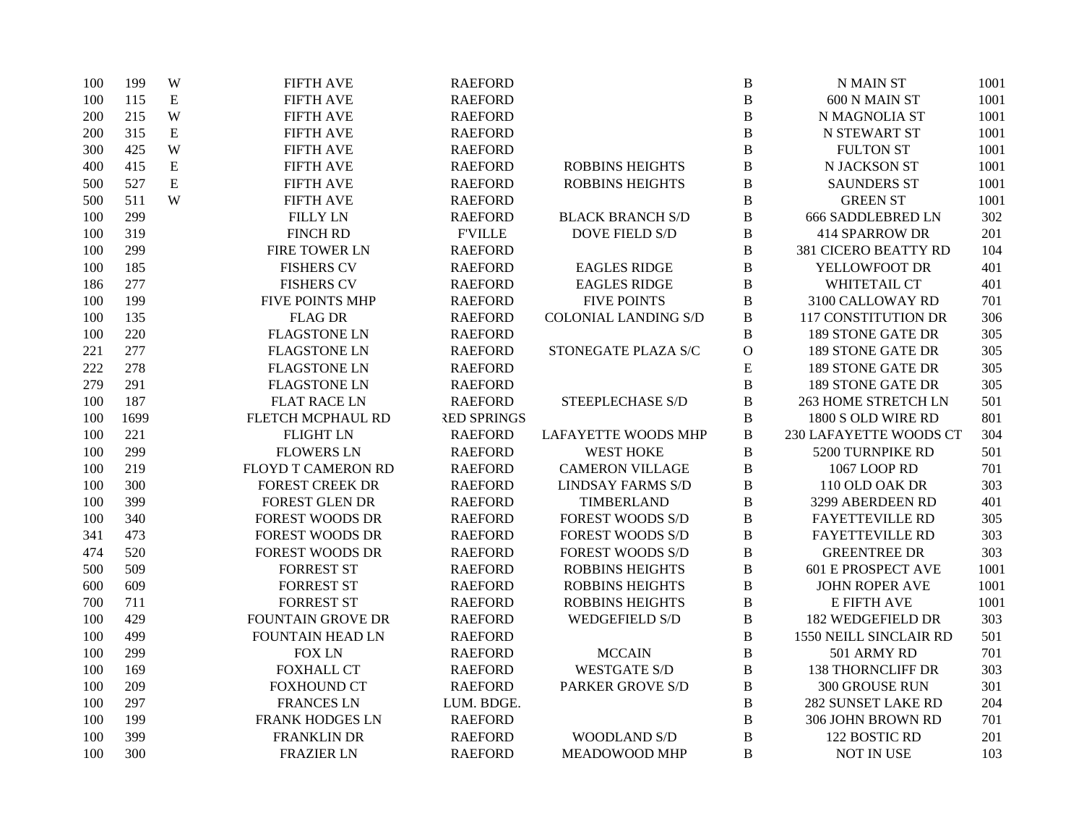| 100 | 199  | W           | <b>FIFTH AVE</b>         | <b>RAEFORD</b>     |                             | $\, {\bf B}$   | <b>N MAIN ST</b>            | 1001 |
|-----|------|-------------|--------------------------|--------------------|-----------------------------|----------------|-----------------------------|------|
| 100 | 115  | ${\bf E}$   | <b>FIFTH AVE</b>         | <b>RAEFORD</b>     |                             | B              | 600 N MAIN ST               | 1001 |
| 200 | 215  | W           | <b>FIFTH AVE</b>         | <b>RAEFORD</b>     |                             | $\, {\bf B}$   | N MAGNOLIA ST               | 1001 |
| 200 | 315  | ${\bf E}$   | <b>FIFTH AVE</b>         | <b>RAEFORD</b>     |                             | $\, {\bf B}$   | N STEWART ST                | 1001 |
| 300 | 425  | W           | <b>FIFTH AVE</b>         | <b>RAEFORD</b>     |                             | $\, {\bf B}$   | <b>FULTON ST</b>            | 1001 |
| 400 | 415  | ${\bf E}$   | <b>FIFTH AVE</b>         | <b>RAEFORD</b>     | <b>ROBBINS HEIGHTS</b>      | $\, {\bf B}$   | N JACKSON ST                | 1001 |
| 500 | 527  | $\mathbf E$ | <b>FIFTH AVE</b>         | <b>RAEFORD</b>     | <b>ROBBINS HEIGHTS</b>      | $\, {\bf B}$   | <b>SAUNDERS ST</b>          | 1001 |
| 500 | 511  | W           | <b>FIFTH AVE</b>         | <b>RAEFORD</b>     |                             | $\bf{B}$       | <b>GREEN ST</b>             | 1001 |
| 100 | 299  |             | <b>FILLY LN</b>          | <b>RAEFORD</b>     | <b>BLACK BRANCH S/D</b>     | $\, {\bf B}$   | <b>666 SADDLEBRED LN</b>    | 302  |
| 100 | 319  |             | <b>FINCH RD</b>          | <b>F'VILLE</b>     | DOVE FIELD S/D              | B              | <b>414 SPARROW DR</b>       | 201  |
| 100 | 299  |             | FIRE TOWER LN            | <b>RAEFORD</b>     |                             | $\, {\bf B}$   | <b>381 CICERO BEATTY RD</b> | 104  |
| 100 | 185  |             | <b>FISHERS CV</b>        | <b>RAEFORD</b>     | <b>EAGLES RIDGE</b>         | $\, {\bf B}$   | YELLOWFOOT DR               | 401  |
| 186 | 277  |             | <b>FISHERS CV</b>        | <b>RAEFORD</b>     | <b>EAGLES RIDGE</b>         | $\, {\bf B}$   | WHITETAIL CT                | 401  |
| 100 | 199  |             | FIVE POINTS MHP          | <b>RAEFORD</b>     | <b>FIVE POINTS</b>          | $\, {\bf B}$   | 3100 CALLOWAY RD            | 701  |
| 100 | 135  |             | <b>FLAG DR</b>           | <b>RAEFORD</b>     | <b>COLONIAL LANDING S/D</b> | $\, {\bf B}$   | 117 CONSTITUTION DR         | 306  |
| 100 | 220  |             | <b>FLAGSTONE LN</b>      | <b>RAEFORD</b>     |                             | $\, {\bf B}$   | <b>189 STONE GATE DR</b>    | 305  |
| 221 | 277  |             | <b>FLAGSTONE LN</b>      | <b>RAEFORD</b>     | STONEGATE PLAZA S/C         | $\mathbf O$    | <b>189 STONE GATE DR</b>    | 305  |
| 222 | 278  |             | <b>FLAGSTONE LN</b>      | <b>RAEFORD</b>     |                             | ${\bf E}$      | <b>189 STONE GATE DR</b>    | 305  |
| 279 | 291  |             | <b>FLAGSTONE LN</b>      | <b>RAEFORD</b>     |                             | $\, {\bf B}$   | <b>189 STONE GATE DR</b>    | 305  |
| 100 | 187  |             | <b>FLAT RACE LN</b>      | <b>RAEFORD</b>     | STEEPLECHASE S/D            | B              | <b>263 HOME STRETCH LN</b>  | 501  |
| 100 | 1699 |             | FLETCH MCPHAUL RD        | <b>RED SPRINGS</b> |                             | $\, {\bf B}$   | 1800 S OLD WIRE RD          | 801  |
| 100 | 221  |             | <b>FLIGHT LN</b>         | <b>RAEFORD</b>     | LAFAYETTE WOODS MHP         | $\, {\bf B}$   | 230 LAFAYETTE WOODS CT      | 304  |
| 100 | 299  |             | <b>FLOWERS LN</b>        | <b>RAEFORD</b>     | <b>WEST HOKE</b>            | $\bf{B}$       | 5200 TURNPIKE RD            | 501  |
| 100 | 219  |             | FLOYD T CAMERON RD       | <b>RAEFORD</b>     | <b>CAMERON VILLAGE</b>      | $\, {\bf B}$   | 1067 LOOP RD                | 701  |
| 100 | 300  |             | <b>FOREST CREEK DR</b>   | <b>RAEFORD</b>     | <b>LINDSAY FARMS S/D</b>    | $\, {\bf B}$   | 110 OLD OAK DR              | 303  |
| 100 | 399  |             | <b>FOREST GLEN DR</b>    | <b>RAEFORD</b>     | TIMBERLAND                  | $\, {\bf B}$   | 3299 ABERDEEN RD            | 401  |
| 100 | 340  |             | <b>FOREST WOODS DR</b>   | <b>RAEFORD</b>     | <b>FOREST WOODS S/D</b>     | $\, {\bf B}$   | <b>FAYETTEVILLE RD</b>      | 305  |
| 341 | 473  |             | <b>FOREST WOODS DR</b>   | <b>RAEFORD</b>     | <b>FOREST WOODS S/D</b>     | $\, {\bf B}$   | <b>FAYETTEVILLE RD</b>      | 303  |
| 474 | 520  |             | <b>FOREST WOODS DR</b>   | <b>RAEFORD</b>     | <b>FOREST WOODS S/D</b>     | $\, {\bf B}$   | <b>GREENTREE DR</b>         | 303  |
| 500 | 509  |             | <b>FORREST ST</b>        | <b>RAEFORD</b>     | <b>ROBBINS HEIGHTS</b>      | $\, {\bf B}$   | <b>601 E PROSPECT AVE</b>   | 1001 |
| 600 | 609  |             | <b>FORREST ST</b>        | <b>RAEFORD</b>     | <b>ROBBINS HEIGHTS</b>      | $\mathbf B$    | <b>JOHN ROPER AVE</b>       | 1001 |
| 700 | 711  |             | <b>FORREST ST</b>        | <b>RAEFORD</b>     | <b>ROBBINS HEIGHTS</b>      | $\, {\bf B}$   | E FIFTH AVE                 | 1001 |
| 100 | 429  |             | <b>FOUNTAIN GROVE DR</b> | <b>RAEFORD</b>     | <b>WEDGEFIELD S/D</b>       | B              | <b>182 WEDGEFIELD DR</b>    | 303  |
| 100 | 499  |             | <b>FOUNTAIN HEAD LN</b>  | <b>RAEFORD</b>     |                             | $\, {\bf B}$   | 1550 NEILL SINCLAIR RD      | 501  |
| 100 | 299  |             | <b>FOX LN</b>            | <b>RAEFORD</b>     | <b>MCCAIN</b>               | $\, {\bf B}$   | 501 ARMY RD                 | 701  |
| 100 | 169  |             | <b>FOXHALL CT</b>        | <b>RAEFORD</b>     | <b>WESTGATE S/D</b>         | $\, {\bf B}$   | <b>138 THORNCLIFF DR</b>    | 303  |
| 100 | 209  |             | <b>FOXHOUND CT</b>       | <b>RAEFORD</b>     | <b>PARKER GROVE S/D</b>     | $\, {\bf B}$   | <b>300 GROUSE RUN</b>       | 301  |
| 100 | 297  |             | <b>FRANCES LN</b>        | LUM. BDGE.         |                             | $\, {\bf B}$   | 282 SUNSET LAKE RD          | 204  |
| 100 | 199  |             | <b>FRANK HODGES LN</b>   | <b>RAEFORD</b>     |                             | $\, {\bf B}$   | 306 JOHN BROWN RD           | 701  |
| 100 | 399  |             | <b>FRANKLIN DR</b>       | <b>RAEFORD</b>     | <b>WOODLAND S/D</b>         | $\bf{B}$       | 122 BOSTIC RD               | 201  |
| 100 | 300  |             | <b>FRAZIER LN</b>        | <b>RAEFORD</b>     | MEADOWOOD MHP               | $\overline{B}$ | <b>NOT IN USE</b>           | 103  |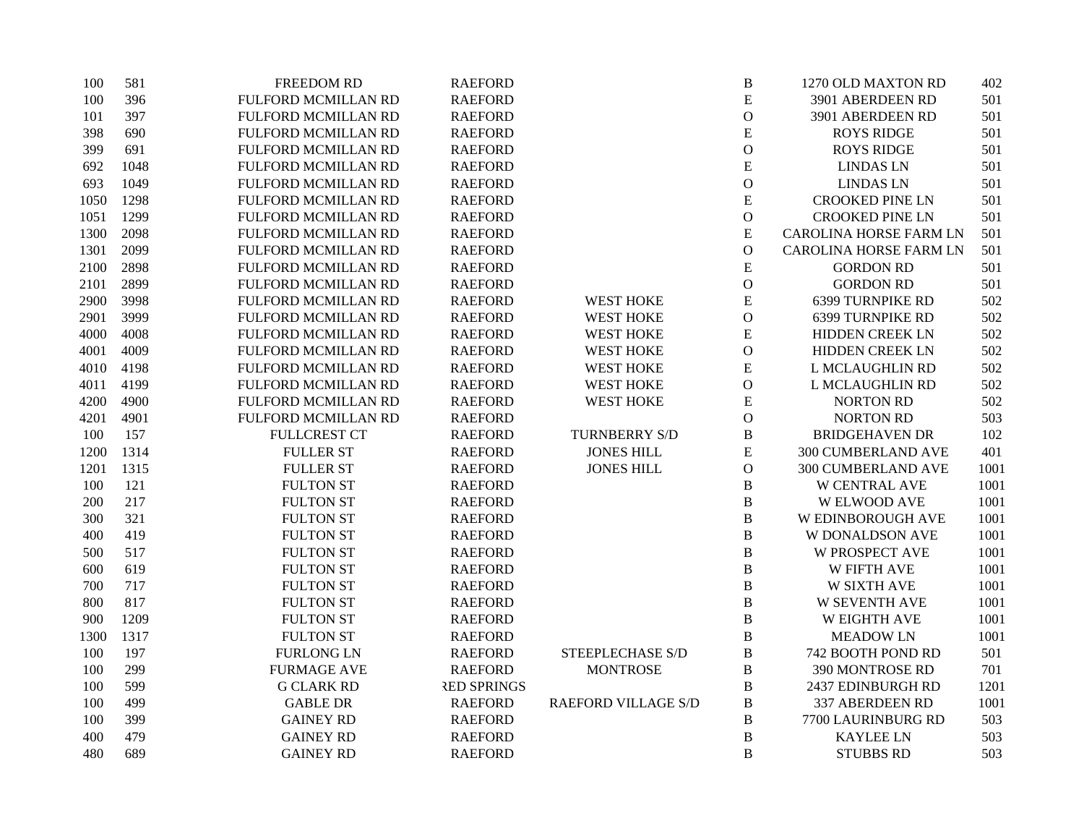| 100  | 581  | <b>FREEDOM RD</b>   | <b>RAEFORD</b>     |                            | $\, {\bf B}$   | 1270 OLD MAXTON RD            | 402  |
|------|------|---------------------|--------------------|----------------------------|----------------|-------------------------------|------|
| 100  | 396  | FULFORD MCMILLAN RD | <b>RAEFORD</b>     |                            | ${\bf E}$      | 3901 ABERDEEN RD              | 501  |
| 101  | 397  | FULFORD MCMILLAN RD | <b>RAEFORD</b>     |                            | $\mathcal{O}$  | 3901 ABERDEEN RD              | 501  |
| 398  | 690  | FULFORD MCMILLAN RD | <b>RAEFORD</b>     |                            | ${\bf E}$      | <b>ROYS RIDGE</b>             | 501  |
| 399  | 691  | FULFORD MCMILLAN RD | <b>RAEFORD</b>     |                            | $\mathcal O$   | <b>ROYS RIDGE</b>             | 501  |
| 692  | 1048 | FULFORD MCMILLAN RD | <b>RAEFORD</b>     |                            | ${\bf E}$      | <b>LINDAS LN</b>              | 501  |
| 693  | 1049 | FULFORD MCMILLAN RD | <b>RAEFORD</b>     |                            | $\mathbf{O}$   | <b>LINDAS LN</b>              | 501  |
| 1050 | 1298 | FULFORD MCMILLAN RD | <b>RAEFORD</b>     |                            | ${\bf E}$      | <b>CROOKED PINE LN</b>        | 501  |
| 1051 | 1299 | FULFORD MCMILLAN RD | <b>RAEFORD</b>     |                            | $\mathbf O$    | <b>CROOKED PINE LN</b>        | 501  |
| 1300 | 2098 | FULFORD MCMILLAN RD | <b>RAEFORD</b>     |                            | ${\bf E}$      | <b>CAROLINA HORSE FARM LN</b> | 501  |
| 1301 | 2099 | FULFORD MCMILLAN RD | <b>RAEFORD</b>     |                            | $\mathcal O$   | <b>CAROLINA HORSE FARM LN</b> | 501  |
| 2100 | 2898 | FULFORD MCMILLAN RD | <b>RAEFORD</b>     |                            | ${\bf E}$      | <b>GORDON RD</b>              | 501  |
| 2101 | 2899 | FULFORD MCMILLAN RD | <b>RAEFORD</b>     |                            | $\mathbf{O}$   | <b>GORDON RD</b>              | 501  |
| 2900 | 3998 | FULFORD MCMILLAN RD | <b>RAEFORD</b>     | <b>WEST HOKE</b>           | ${\bf E}$      | <b>6399 TURNPIKE RD</b>       | 502  |
| 2901 | 3999 | FULFORD MCMILLAN RD | <b>RAEFORD</b>     | <b>WEST HOKE</b>           | $\mathbf{O}$   | 6399 TURNPIKE RD              | 502  |
| 4000 | 4008 | FULFORD MCMILLAN RD | <b>RAEFORD</b>     | <b>WEST HOKE</b>           | ${\bf E}$      | HIDDEN CREEK LN               | 502  |
| 4001 | 4009 | FULFORD MCMILLAN RD | <b>RAEFORD</b>     | <b>WEST HOKE</b>           | $\mathcal O$   | HIDDEN CREEK LN               | 502  |
| 4010 | 4198 | FULFORD MCMILLAN RD | <b>RAEFORD</b>     | <b>WEST HOKE</b>           | ${\bf E}$      | L MCLAUGHLIN RD               | 502  |
| 4011 | 4199 | FULFORD MCMILLAN RD | <b>RAEFORD</b>     | <b>WEST HOKE</b>           | $\mathbf{O}$   | L MCLAUGHLIN RD               | 502  |
| 4200 | 4900 | FULFORD MCMILLAN RD | <b>RAEFORD</b>     | <b>WEST HOKE</b>           | ${\bf E}$      | <b>NORTON RD</b>              | 502  |
| 4201 | 4901 | FULFORD MCMILLAN RD | <b>RAEFORD</b>     |                            | $\mathbf{O}$   | <b>NORTON RD</b>              | 503  |
| 100  | 157  | <b>FULLCREST CT</b> | <b>RAEFORD</b>     | <b>TURNBERRY S/D</b>       | $\, {\bf B}$   | <b>BRIDGEHAVEN DR</b>         | 102  |
| 1200 | 1314 | <b>FULLER ST</b>    | <b>RAEFORD</b>     | <b>JONES HILL</b>          | ${\bf E}$      | <b>300 CUMBERLAND AVE</b>     | 401  |
| 1201 | 1315 | <b>FULLER ST</b>    | <b>RAEFORD</b>     | <b>JONES HILL</b>          | $\mathcal{O}$  | 300 CUMBERLAND AVE            | 1001 |
| 100  | 121  | <b>FULTON ST</b>    | <b>RAEFORD</b>     |                            | $\, {\bf B}$   | W CENTRAL AVE                 | 1001 |
| 200  | 217  | <b>FULTON ST</b>    | <b>RAEFORD</b>     |                            | $\, {\bf B}$   | <b>W ELWOOD AVE</b>           | 1001 |
| 300  | 321  | <b>FULTON ST</b>    | <b>RAEFORD</b>     |                            | $\, {\bf B}$   | W EDINBOROUGH AVE             | 1001 |
| 400  | 419  | <b>FULTON ST</b>    | <b>RAEFORD</b>     |                            | $\, {\bf B}$   | <b>W DONALDSON AVE</b>        | 1001 |
| 500  | 517  | <b>FULTON ST</b>    | <b>RAEFORD</b>     |                            | $\, {\bf B}$   | <b>W PROSPECT AVE</b>         | 1001 |
| 600  | 619  | <b>FULTON ST</b>    | <b>RAEFORD</b>     |                            | $\, {\bf B}$   | W FIFTH AVE                   | 1001 |
| 700  | 717  | <b>FULTON ST</b>    | <b>RAEFORD</b>     |                            | $\, {\bf B}$   | W SIXTH AVE                   | 1001 |
| 800  | 817  | <b>FULTON ST</b>    | <b>RAEFORD</b>     |                            | $\, {\bf B}$   | <b>W SEVENTH AVE</b>          | 1001 |
| 900  | 1209 | <b>FULTON ST</b>    | <b>RAEFORD</b>     |                            | $\, {\bf B}$   | <b>W EIGHTH AVE</b>           | 1001 |
| 1300 | 1317 | <b>FULTON ST</b>    | <b>RAEFORD</b>     |                            | $\, {\bf B}$   | <b>MEADOW LN</b>              | 1001 |
| 100  | 197  | <b>FURLONG LN</b>   | <b>RAEFORD</b>     | <b>STEEPLECHASE S/D</b>    | $\, {\bf B}$   | 742 BOOTH POND RD             | 501  |
| 100  | 299  | <b>FURMAGE AVE</b>  | <b>RAEFORD</b>     | <b>MONTROSE</b>            | $\, {\bf B}$   | 390 MONTROSE RD               | 701  |
| 100  | 599  | <b>G CLARK RD</b>   | <b>RED SPRINGS</b> |                            | $\, {\bf B}$   | 2437 EDINBURGH RD             | 1201 |
| 100  | 499  | <b>GABLE DR</b>     | <b>RAEFORD</b>     | <b>RAEFORD VILLAGE S/D</b> | $\, {\bf B}$   | 337 ABERDEEN RD               | 1001 |
| 100  | 399  | <b>GAINEY RD</b>    | <b>RAEFORD</b>     |                            | B              | 7700 LAURINBURG RD            | 503  |
| 400  | 479  | <b>GAINEY RD</b>    | <b>RAEFORD</b>     |                            | $\, {\bf B}$   | <b>KAYLEE LN</b>              | 503  |
| 480  | 689  | <b>GAINEY RD</b>    | <b>RAEFORD</b>     |                            | $\overline{B}$ | <b>STUBBS RD</b>              | 503  |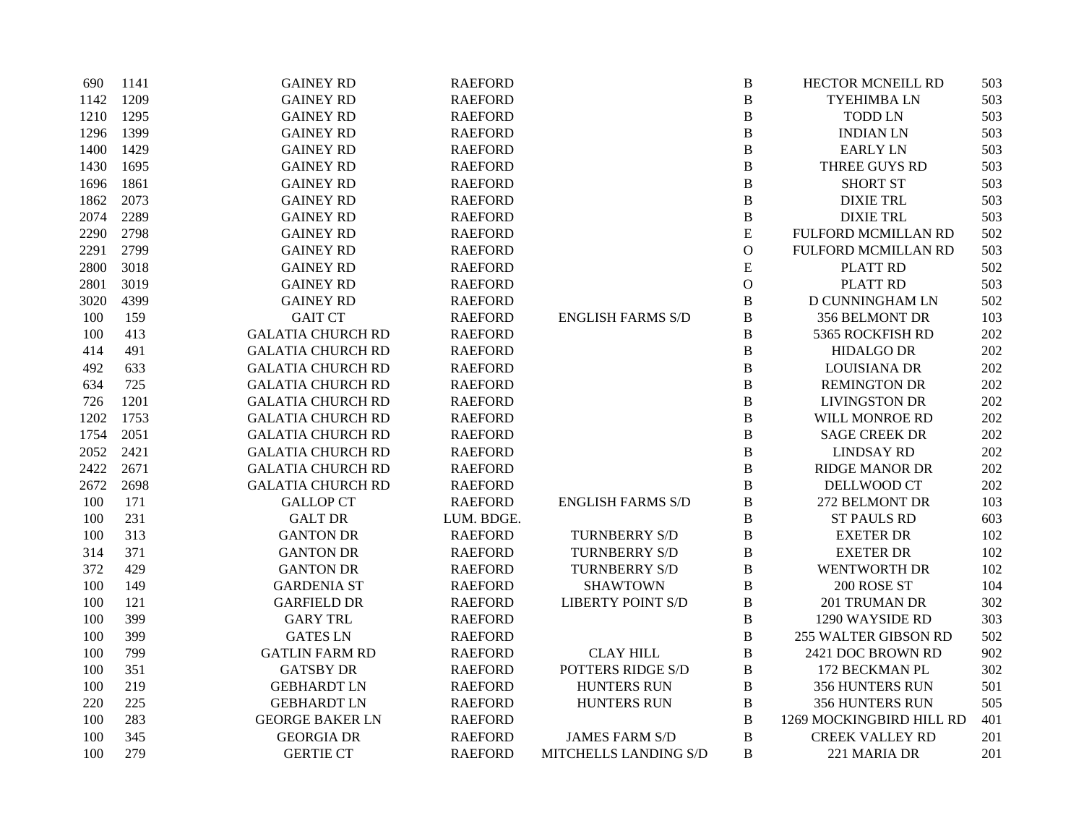| 690  | 1141 | <b>GAINEY RD</b>         | <b>RAEFORD</b> |                          | $\, {\bf B}$  | HECTOR MCNEILL RD           | 503 |
|------|------|--------------------------|----------------|--------------------------|---------------|-----------------------------|-----|
| 1142 | 1209 | <b>GAINEY RD</b>         | <b>RAEFORD</b> |                          | $\, {\bf B}$  | <b>TYEHIMBALN</b>           | 503 |
| 1210 | 1295 | <b>GAINEY RD</b>         | <b>RAEFORD</b> |                          | $\, {\bf B}$  | <b>TODD LN</b>              | 503 |
| 1296 | 1399 | <b>GAINEY RD</b>         | <b>RAEFORD</b> |                          | $\, {\bf B}$  | <b>INDIAN LN</b>            | 503 |
| 1400 | 1429 | <b>GAINEY RD</b>         | <b>RAEFORD</b> |                          | $\, {\bf B}$  | <b>EARLY LN</b>             | 503 |
| 1430 | 1695 | <b>GAINEY RD</b>         | <b>RAEFORD</b> |                          | $\, {\bf B}$  | THREE GUYS RD               | 503 |
| 1696 | 1861 | <b>GAINEY RD</b>         | <b>RAEFORD</b> |                          | $\, {\bf B}$  | <b>SHORT ST</b>             | 503 |
| 1862 | 2073 | <b>GAINEY RD</b>         | <b>RAEFORD</b> |                          | $\, {\bf B}$  | <b>DIXIE TRL</b>            | 503 |
| 2074 | 2289 | <b>GAINEY RD</b>         | <b>RAEFORD</b> |                          | $\, {\bf B}$  | <b>DIXIE TRL</b>            | 503 |
| 2290 | 2798 | <b>GAINEY RD</b>         | <b>RAEFORD</b> |                          | ${\bf E}$     | FULFORD MCMILLAN RD         | 502 |
| 2291 | 2799 | <b>GAINEY RD</b>         | <b>RAEFORD</b> |                          | $\mathcal O$  | FULFORD MCMILLAN RD         | 503 |
| 2800 | 3018 | <b>GAINEY RD</b>         | <b>RAEFORD</b> |                          | ${\bf E}$     | <b>PLATT RD</b>             | 502 |
| 2801 | 3019 | <b>GAINEY RD</b>         | <b>RAEFORD</b> |                          | $\mathcal{O}$ | <b>PLATT RD</b>             | 503 |
| 3020 | 4399 | <b>GAINEY RD</b>         | <b>RAEFORD</b> |                          | $\, {\bf B}$  | D CUNNINGHAM LN             | 502 |
| 100  | 159  | <b>GAIT CT</b>           | <b>RAEFORD</b> | <b>ENGLISH FARMS S/D</b> | $\, {\bf B}$  | 356 BELMONT DR              | 103 |
| 100  | 413  | <b>GALATIA CHURCH RD</b> | <b>RAEFORD</b> |                          | $\, {\bf B}$  | 5365 ROCKFISH RD            | 202 |
| 414  | 491  | <b>GALATIA CHURCH RD</b> | <b>RAEFORD</b> |                          | $\, {\bf B}$  | <b>HIDALGO DR</b>           | 202 |
| 492  | 633  | <b>GALATIA CHURCH RD</b> | <b>RAEFORD</b> |                          | $\, {\bf B}$  | <b>LOUISIANA DR</b>         | 202 |
| 634  | 725  | <b>GALATIA CHURCH RD</b> | <b>RAEFORD</b> |                          | $\, {\bf B}$  | <b>REMINGTON DR</b>         | 202 |
| 726  | 1201 | <b>GALATIA CHURCH RD</b> | <b>RAEFORD</b> |                          | $\, {\bf B}$  | <b>LIVINGSTON DR</b>        | 202 |
| 1202 | 1753 | <b>GALATIA CHURCH RD</b> | <b>RAEFORD</b> |                          | $\, {\bf B}$  | WILL MONROE RD              | 202 |
| 1754 | 2051 | <b>GALATIA CHURCH RD</b> | <b>RAEFORD</b> |                          | $\, {\bf B}$  | <b>SAGE CREEK DR</b>        | 202 |
| 2052 | 2421 | <b>GALATIA CHURCH RD</b> | <b>RAEFORD</b> |                          | $\, {\bf B}$  | <b>LINDSAY RD</b>           | 202 |
| 2422 | 2671 | <b>GALATIA CHURCH RD</b> | <b>RAEFORD</b> |                          | $\, {\bf B}$  | <b>RIDGE MANOR DR</b>       | 202 |
| 2672 | 2698 | <b>GALATIA CHURCH RD</b> | <b>RAEFORD</b> |                          | $\, {\bf B}$  | DELLWOOD CT                 | 202 |
| 100  | 171  | <b>GALLOP CT</b>         | <b>RAEFORD</b> | <b>ENGLISH FARMS S/D</b> | $\, {\bf B}$  | 272 BELMONT DR              | 103 |
| 100  | 231  | <b>GALT DR</b>           | LUM. BDGE.     |                          | $\, {\bf B}$  | <b>ST PAULS RD</b>          | 603 |
| 100  | 313  | <b>GANTON DR</b>         | <b>RAEFORD</b> | <b>TURNBERRY S/D</b>     | $\, {\bf B}$  | <b>EXETER DR</b>            | 102 |
| 314  | 371  | <b>GANTON DR</b>         | <b>RAEFORD</b> | <b>TURNBERRY S/D</b>     | $\, {\bf B}$  | <b>EXETER DR</b>            | 102 |
| 372  | 429  | <b>GANTON DR</b>         | <b>RAEFORD</b> | <b>TURNBERRY S/D</b>     | $\, {\bf B}$  | <b>WENTWORTH DR</b>         | 102 |
| 100  | 149  | <b>GARDENIA ST</b>       | <b>RAEFORD</b> | <b>SHAWTOWN</b>          | $\, {\bf B}$  | 200 ROSE ST                 | 104 |
| 100  | 121  | <b>GARFIELD DR</b>       | <b>RAEFORD</b> | <b>LIBERTY POINT S/D</b> | $\, {\bf B}$  | 201 TRUMAN DR               | 302 |
| 100  | 399  | <b>GARY TRL</b>          | <b>RAEFORD</b> |                          | B             | 1290 WAYSIDE RD             | 303 |
| 100  | 399  | <b>GATES LN</b>          | <b>RAEFORD</b> |                          | $\, {\bf B}$  | <b>255 WALTER GIBSON RD</b> | 502 |
| 100  | 799  | <b>GATLIN FARM RD</b>    | <b>RAEFORD</b> | <b>CLAY HILL</b>         | $\, {\bf B}$  | 2421 DOC BROWN RD           | 902 |
| 100  | 351  | <b>GATSBY DR</b>         | <b>RAEFORD</b> | POTTERS RIDGE S/D        | $\, {\bf B}$  | 172 BECKMAN PL              | 302 |
| 100  | 219  | <b>GEBHARDT LN</b>       | <b>RAEFORD</b> | <b>HUNTERS RUN</b>       | $\, {\bf B}$  | 356 HUNTERS RUN             | 501 |
| 220  | 225  | <b>GEBHARDT LN</b>       | <b>RAEFORD</b> | <b>HUNTERS RUN</b>       | $\, {\bf B}$  | 356 HUNTERS RUN             | 505 |
| 100  | 283  | <b>GEORGE BAKER LN</b>   | <b>RAEFORD</b> |                          | $\, {\bf B}$  | 1269 MOCKINGBIRD HILL RD    | 401 |
| 100  | 345  | <b>GEORGIA DR</b>        | <b>RAEFORD</b> | <b>JAMES FARM S/D</b>    | $\, {\bf B}$  | <b>CREEK VALLEY RD</b>      | 201 |
| 100  | 279  | <b>GERTIE CT</b>         | <b>RAEFORD</b> | MITCHELLS LANDING S/D    | B             | 221 MARIA DR                | 201 |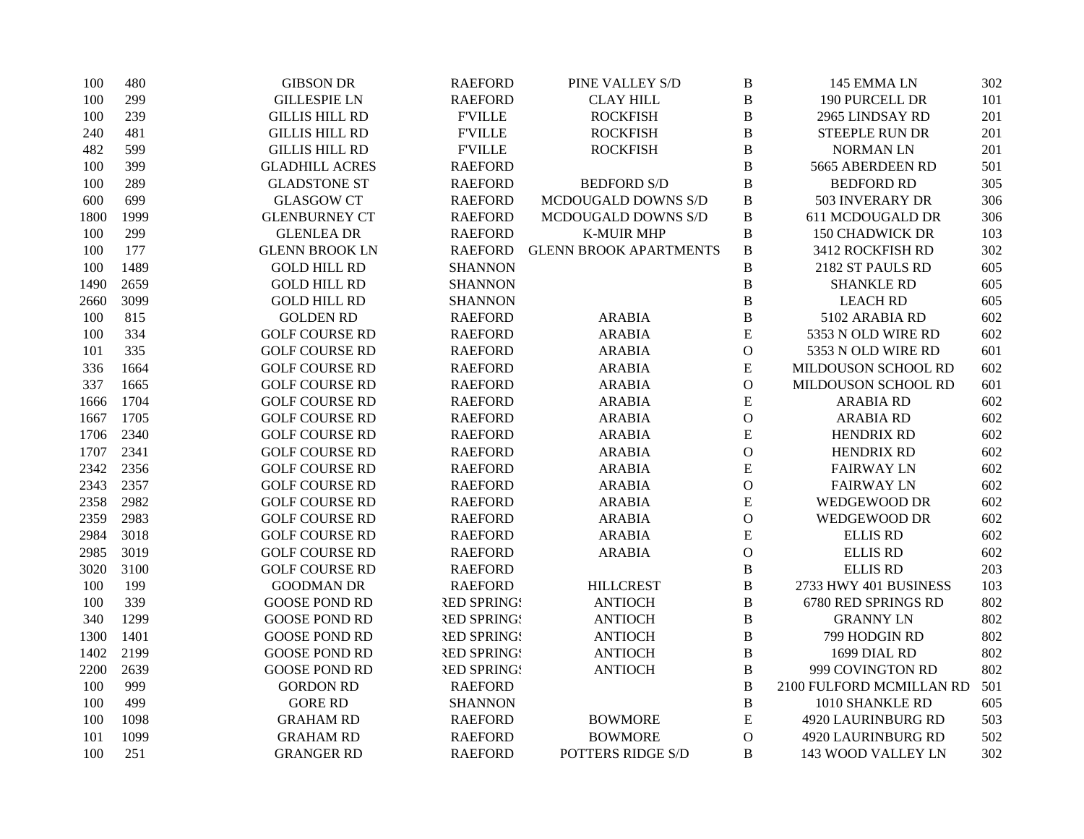| 100  | 480  | <b>GIBSON DR</b>      | <b>RAEFORD</b>     | PINE VALLEY S/D               | $\, {\bf B}$  | 145 EMMA LN              | 302 |
|------|------|-----------------------|--------------------|-------------------------------|---------------|--------------------------|-----|
| 100  | 299  | <b>GILLESPIE LN</b>   | <b>RAEFORD</b>     | <b>CLAY HILL</b>              | $\, {\bf B}$  | 190 PURCELL DR           | 101 |
| 100  | 239  | <b>GILLIS HILL RD</b> | <b>FVILLE</b>      | <b>ROCKFISH</b>               | $\bf{B}$      | 2965 LINDSAY RD          | 201 |
| 240  | 481  | <b>GILLIS HILL RD</b> | <b>F'VILLE</b>     | <b>ROCKFISH</b>               | $\, {\bf B}$  | <b>STEEPLE RUN DR</b>    | 201 |
| 482  | 599  | <b>GILLIS HILL RD</b> | <b>FVILLE</b>      | <b>ROCKFISH</b>               | $\bf{B}$      | <b>NORMAN LN</b>         | 201 |
| 100  | 399  | <b>GLADHILL ACRES</b> | <b>RAEFORD</b>     |                               | $\bf{B}$      | 5665 ABERDEEN RD         | 501 |
| 100  | 289  | <b>GLADSTONE ST</b>   | <b>RAEFORD</b>     | <b>BEDFORD S/D</b>            | $\bf{B}$      | <b>BEDFORD RD</b>        | 305 |
| 600  | 699  | <b>GLASGOW CT</b>     | <b>RAEFORD</b>     | MCDOUGALD DOWNS S/D           | $\, {\bf B}$  | 503 INVERARY DR          | 306 |
| 1800 | 1999 | <b>GLENBURNEY CT</b>  | <b>RAEFORD</b>     | MCDOUGALD DOWNS S/D           | $\, {\bf B}$  | 611 MCDOUGALD DR         | 306 |
| 100  | 299  | <b>GLENLEA DR</b>     | <b>RAEFORD</b>     | <b>K-MUIR MHP</b>             | $\, {\bf B}$  | <b>150 CHADWICK DR</b>   | 103 |
| 100  | 177  | <b>GLENN BROOK LN</b> | <b>RAEFORD</b>     | <b>GLENN BROOK APARTMENTS</b> | $\, {\bf B}$  | 3412 ROCKFISH RD         | 302 |
| 100  | 1489 | <b>GOLD HILL RD</b>   | <b>SHANNON</b>     |                               | $\, {\bf B}$  | 2182 ST PAULS RD         | 605 |
| 1490 | 2659 | <b>GOLD HILL RD</b>   | <b>SHANNON</b>     |                               | $\, {\bf B}$  | <b>SHANKLE RD</b>        | 605 |
| 2660 | 3099 | <b>GOLD HILL RD</b>   | <b>SHANNON</b>     |                               | B             | <b>LEACH RD</b>          | 605 |
| 100  | 815  | <b>GOLDEN RD</b>      | <b>RAEFORD</b>     | <b>ARABIA</b>                 | $\, {\bf B}$  | 5102 ARABIA RD           | 602 |
| 100  | 334  | <b>GOLF COURSE RD</b> | <b>RAEFORD</b>     | <b>ARABIA</b>                 | ${\bf E}$     | 5353 N OLD WIRE RD       | 602 |
| 101  | 335  | <b>GOLF COURSE RD</b> | <b>RAEFORD</b>     | <b>ARABIA</b>                 | $\mathbf O$   | 5353 N OLD WIRE RD       | 601 |
| 336  | 1664 | <b>GOLF COURSE RD</b> | <b>RAEFORD</b>     | <b>ARABIA</b>                 | ${\bf E}$     | MILDOUSON SCHOOL RD      | 602 |
| 337  | 1665 | <b>GOLF COURSE RD</b> | <b>RAEFORD</b>     | <b>ARABIA</b>                 | $\mathcal{O}$ | MILDOUSON SCHOOL RD      | 601 |
| 1666 | 1704 | <b>GOLF COURSE RD</b> | <b>RAEFORD</b>     | <b>ARABIA</b>                 | E             | <b>ARABIA RD</b>         | 602 |
| 1667 | 1705 | <b>GOLF COURSE RD</b> | <b>RAEFORD</b>     | <b>ARABIA</b>                 | $\mathbf O$   | <b>ARABIA RD</b>         | 602 |
| 1706 | 2340 | <b>GOLF COURSE RD</b> | <b>RAEFORD</b>     | <b>ARABIA</b>                 | ${\bf E}$     | <b>HENDRIX RD</b>        | 602 |
| 1707 | 2341 | <b>GOLF COURSE RD</b> | <b>RAEFORD</b>     | <b>ARABIA</b>                 | $\mathcal{O}$ | <b>HENDRIX RD</b>        | 602 |
| 2342 | 2356 | <b>GOLF COURSE RD</b> | <b>RAEFORD</b>     | <b>ARABIA</b>                 | ${\bf E}$     | <b>FAIRWAY LN</b>        | 602 |
| 2343 | 2357 | <b>GOLF COURSE RD</b> | <b>RAEFORD</b>     | <b>ARABIA</b>                 | $\mathcal O$  | <b>FAIRWAY LN</b>        | 602 |
| 2358 | 2982 | <b>GOLF COURSE RD</b> | <b>RAEFORD</b>     | <b>ARABIA</b>                 | ${\bf E}$     | WEDGEWOOD DR             | 602 |
| 2359 | 2983 | <b>GOLF COURSE RD</b> | <b>RAEFORD</b>     | <b>ARABIA</b>                 | $\mathbf O$   | WEDGEWOOD DR             | 602 |
| 2984 | 3018 | <b>GOLF COURSE RD</b> | <b>RAEFORD</b>     | <b>ARABIA</b>                 | ${\bf E}$     | <b>ELLIS RD</b>          | 602 |
| 2985 | 3019 | <b>GOLF COURSE RD</b> | <b>RAEFORD</b>     | <b>ARABIA</b>                 | $\mathcal{O}$ | <b>ELLIS RD</b>          | 602 |
| 3020 | 3100 | <b>GOLF COURSE RD</b> | <b>RAEFORD</b>     |                               | $\, {\bf B}$  | <b>ELLIS RD</b>          | 203 |
| 100  | 199  | <b>GOODMAN DR</b>     | <b>RAEFORD</b>     | <b>HILLCREST</b>              | $\, {\bf B}$  | 2733 HWY 401 BUSINESS    | 103 |
| 100  | 339  | <b>GOOSE POND RD</b>  | <b>RED SPRING!</b> | <b>ANTIOCH</b>                | B             | 6780 RED SPRINGS RD      | 802 |
| 340  | 1299 | <b>GOOSE POND RD</b>  | <b>RED SPRINGS</b> | <b>ANTIOCH</b>                | $\, {\bf B}$  | <b>GRANNY LN</b>         | 802 |
| 1300 | 1401 | <b>GOOSE POND RD</b>  | <b>RED SPRINGS</b> | <b>ANTIOCH</b>                | $\, {\bf B}$  | 799 HODGIN RD            | 802 |
| 1402 | 2199 | <b>GOOSE POND RD</b>  | <b>RED SPRING!</b> | <b>ANTIOCH</b>                | $\, {\bf B}$  | 1699 DIAL RD             | 802 |
| 2200 | 2639 | <b>GOOSE POND RD</b>  | <b>RED SPRINGS</b> | <b>ANTIOCH</b>                | $\, {\bf B}$  | 999 COVINGTON RD         | 802 |
| 100  | 999  | <b>GORDON RD</b>      | <b>RAEFORD</b>     |                               | $\, {\bf B}$  | 2100 FULFORD MCMILLAN RD | 501 |
| 100  | 499  | <b>GORE RD</b>        | <b>SHANNON</b>     |                               | $\, {\bf B}$  | 1010 SHANKLE RD          | 605 |
| 100  | 1098 | <b>GRAHAM RD</b>      | <b>RAEFORD</b>     | <b>BOWMORE</b>                | E             | 4920 LAURINBURG RD       | 503 |
| 101  | 1099 | GRAHAM RD             | <b>RAEFORD</b>     | <b>BOWMORE</b>                | $\mathcal{O}$ | 4920 LAURINBURG RD       | 502 |
| 100  | 251  | <b>GRANGER RD</b>     | <b>RAEFORD</b>     | POTTERS RIDGE S/D             | B             | 143 WOOD VALLEY LN       | 302 |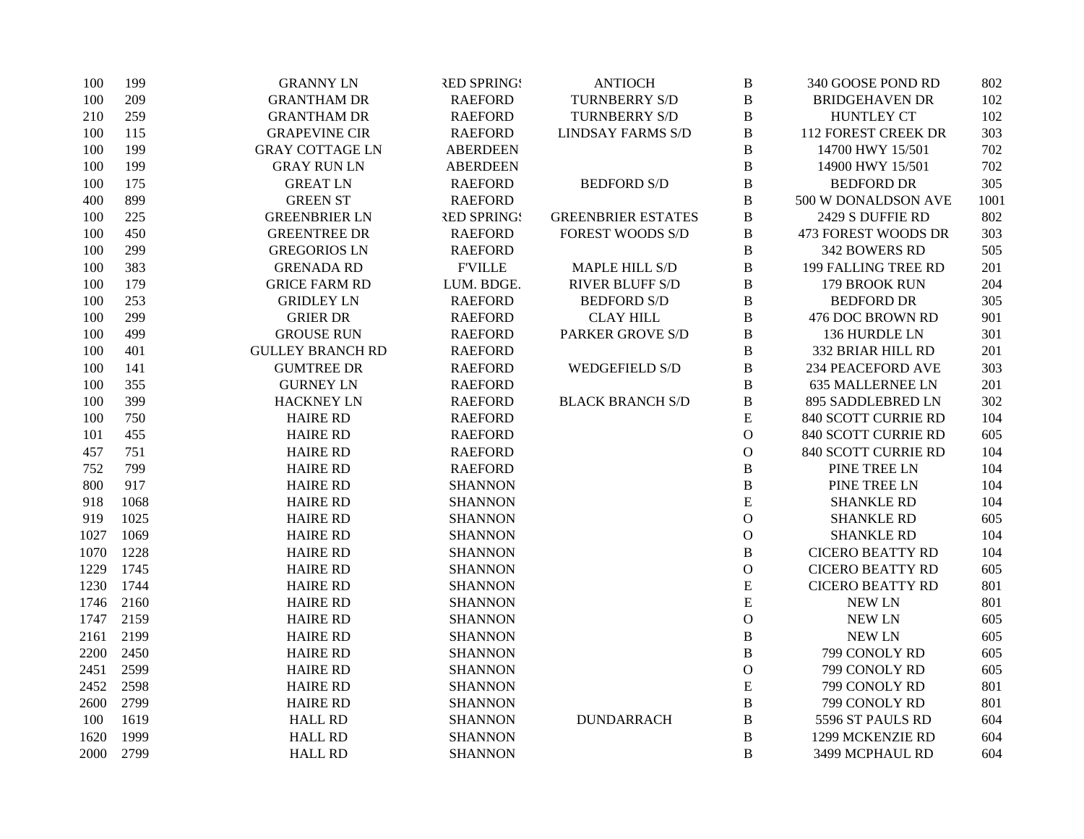| 100  | 199  | <b>GRANNY LN</b>        | <b>RED SPRINGS</b> | <b>ANTIOCH</b>            | $\, {\bf B}$  | 340 GOOSE POND RD          | 802  |
|------|------|-------------------------|--------------------|---------------------------|---------------|----------------------------|------|
| 100  | 209  | <b>GRANTHAM DR</b>      | <b>RAEFORD</b>     | TURNBERRY S/D             | $\, {\bf B}$  | <b>BRIDGEHAVEN DR</b>      | 102  |
| 210  | 259  | <b>GRANTHAM DR</b>      | <b>RAEFORD</b>     | TURNBERRY S/D             | B             | <b>HUNTLEY CT</b>          | 102  |
| 100  | 115  | <b>GRAPEVINE CIR</b>    | <b>RAEFORD</b>     | <b>LINDSAY FARMS S/D</b>  | $\, {\bf B}$  | <b>112 FOREST CREEK DR</b> | 303  |
| 100  | 199  | <b>GRAY COTTAGE LN</b>  | <b>ABERDEEN</b>    |                           | $\bf{B}$      | 14700 HWY 15/501           | 702  |
| 100  | 199  | <b>GRAY RUN LN</b>      | <b>ABERDEEN</b>    |                           | $\, {\bf B}$  | 14900 HWY 15/501           | 702  |
| 100  | 175  | <b>GREAT LN</b>         | <b>RAEFORD</b>     | <b>BEDFORD S/D</b>        | $\bf{B}$      | <b>BEDFORD DR</b>          | 305  |
| 400  | 899  | <b>GREEN ST</b>         | <b>RAEFORD</b>     |                           | $\bf{B}$      | 500 W DONALDSON AVE        | 1001 |
| 100  | 225  | <b>GREENBRIER LN</b>    | <b>RED SPRINGS</b> | <b>GREENBRIER ESTATES</b> | B             | 2429 S DUFFIE RD           | 802  |
| 100  | 450  | <b>GREENTREE DR</b>     | <b>RAEFORD</b>     | <b>FOREST WOODS S/D</b>   | B             | 473 FOREST WOODS DR        | 303  |
| 100  | 299  | <b>GREGORIOS LN</b>     | <b>RAEFORD</b>     |                           | $\, {\bf B}$  | 342 BOWERS RD              | 505  |
| 100  | 383  | <b>GRENADA RD</b>       | <b>F'VILLE</b>     | <b>MAPLE HILL S/D</b>     | $\, {\bf B}$  | 199 FALLING TREE RD        | 201  |
| 100  | 179  | <b>GRICE FARM RD</b>    | LUM. BDGE.         | <b>RIVER BLUFF S/D</b>    | $\, {\bf B}$  | 179 BROOK RUN              | 204  |
| 100  | 253  | <b>GRIDLEY LN</b>       | <b>RAEFORD</b>     | <b>BEDFORD S/D</b>        | $\, {\bf B}$  | <b>BEDFORD DR</b>          | 305  |
| 100  | 299  | <b>GRIER DR</b>         | <b>RAEFORD</b>     | <b>CLAY HILL</b>          | $\, {\bf B}$  | 476 DOC BROWN RD           | 901  |
| 100  | 499  | <b>GROUSE RUN</b>       | <b>RAEFORD</b>     | <b>PARKER GROVE S/D</b>   | $\, {\bf B}$  | 136 HURDLE LN              | 301  |
| 100  | 401  | <b>GULLEY BRANCH RD</b> | <b>RAEFORD</b>     |                           | $\, {\bf B}$  | 332 BRIAR HILL RD          | 201  |
| 100  | 141  | <b>GUMTREE DR</b>       | <b>RAEFORD</b>     | <b>WEDGEFIELD S/D</b>     | $\, {\bf B}$  | 234 PEACEFORD AVE          | 303  |
| 100  | 355  | <b>GURNEY LN</b>        | <b>RAEFORD</b>     |                           | $\, {\bf B}$  | <b>635 MALLERNEE LN</b>    | 201  |
| 100  | 399  | <b>HACKNEY LN</b>       | <b>RAEFORD</b>     | <b>BLACK BRANCH S/D</b>   | $\, {\bf B}$  | 895 SADDLEBRED LN          | 302  |
| 100  | 750  | <b>HAIRE RD</b>         | <b>RAEFORD</b>     |                           | ${\bf E}$     | 840 SCOTT CURRIE RD        | 104  |
| 101  | 455  | <b>HAIRE RD</b>         | <b>RAEFORD</b>     |                           | $\mathbf O$   | 840 SCOTT CURRIE RD        | 605  |
| 457  | 751  | <b>HAIRE RD</b>         | <b>RAEFORD</b>     |                           | $\mathcal{O}$ | 840 SCOTT CURRIE RD        | 104  |
| 752  | 799  | <b>HAIRE RD</b>         | <b>RAEFORD</b>     |                           | $\, {\bf B}$  | PINE TREE LN               | 104  |
| 800  | 917  | <b>HAIRE RD</b>         | <b>SHANNON</b>     |                           | $\, {\bf B}$  | PINE TREE LN               | 104  |
| 918  | 1068 | <b>HAIRE RD</b>         | <b>SHANNON</b>     |                           | ${\bf E}$     | <b>SHANKLE RD</b>          | 104  |
| 919  | 1025 | <b>HAIRE RD</b>         | <b>SHANNON</b>     |                           | $\mathbf{O}$  | <b>SHANKLE RD</b>          | 605  |
| 1027 | 1069 | <b>HAIRE RD</b>         | <b>SHANNON</b>     |                           | $\mathbf{O}$  | <b>SHANKLE RD</b>          | 104  |
| 1070 | 1228 | <b>HAIRE RD</b>         | <b>SHANNON</b>     |                           | $\, {\bf B}$  | <b>CICERO BEATTY RD</b>    | 104  |
| 1229 | 1745 | <b>HAIRE RD</b>         | <b>SHANNON</b>     |                           | $\mathbf 0$   | <b>CICERO BEATTY RD</b>    | 605  |
| 1230 | 1744 | <b>HAIRE RD</b>         | <b>SHANNON</b>     |                           | ${\bf E}$     | <b>CICERO BEATTY RD</b>    | 801  |
| 1746 | 2160 | <b>HAIRE RD</b>         | <b>SHANNON</b>     |                           | ${\bf E}$     | <b>NEW LN</b>              | 801  |
| 1747 | 2159 | <b>HAIRE RD</b>         | <b>SHANNON</b>     |                           | $\mathcal{O}$ | <b>NEW LN</b>              | 605  |
| 2161 | 2199 | <b>HAIRE RD</b>         | <b>SHANNON</b>     |                           | $\bf{B}$      | <b>NEW LN</b>              | 605  |
| 2200 | 2450 | <b>HAIRE RD</b>         | <b>SHANNON</b>     |                           | $\bf{B}$      | 799 CONOLY RD              | 605  |
| 2451 | 2599 | <b>HAIRE RD</b>         | <b>SHANNON</b>     |                           | $\mathcal{O}$ | 799 CONOLY RD              | 605  |
| 2452 | 2598 | <b>HAIRE RD</b>         | <b>SHANNON</b>     |                           | ${\bf E}$     | 799 CONOLY RD              | 801  |
| 2600 | 2799 | <b>HAIRE RD</b>         | <b>SHANNON</b>     |                           | $\, {\bf B}$  | 799 CONOLY RD              | 801  |
| 100  | 1619 | <b>HALL RD</b>          | <b>SHANNON</b>     | <b>DUNDARRACH</b>         | $\bf{B}$      | 5596 ST PAULS RD           | 604  |
| 1620 | 1999 | <b>HALL RD</b>          | <b>SHANNON</b>     |                           | $\bf{B}$      | 1299 MCKENZIE RD           | 604  |
| 2000 | 2799 | <b>HALL RD</b>          | <b>SHANNON</b>     |                           | B             | 3499 MCPHAUL RD            | 604  |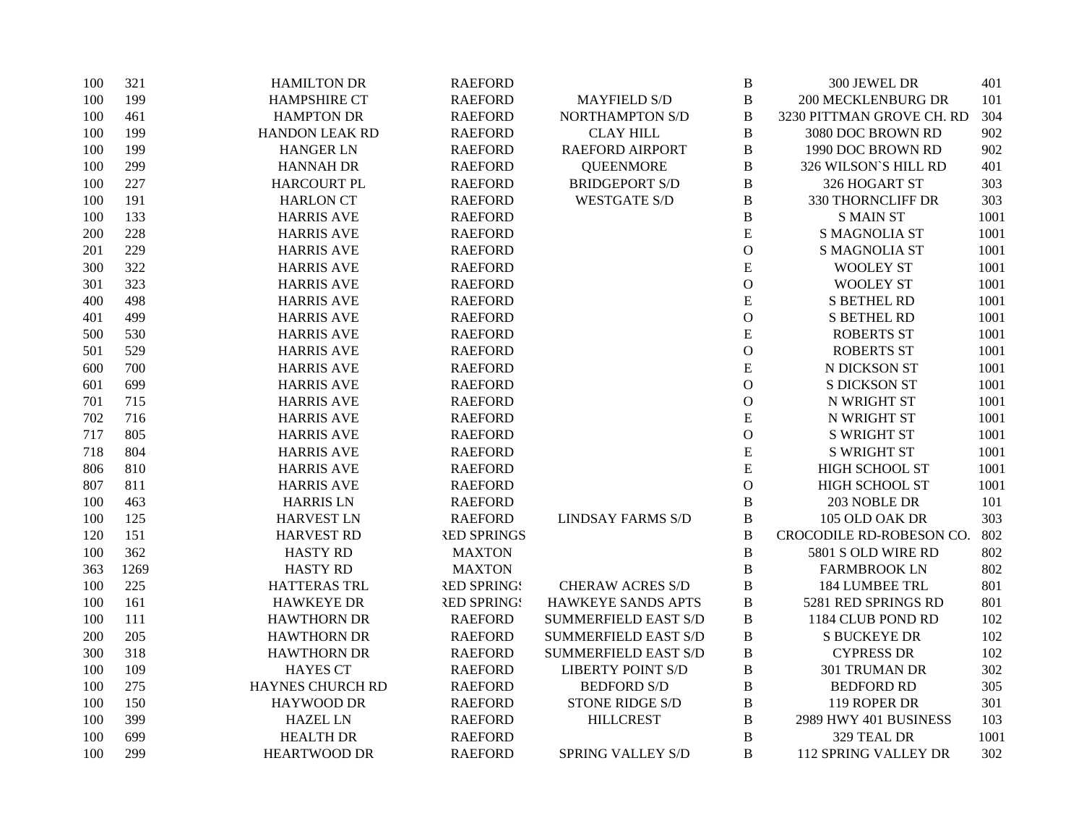| 100 | 321  | <b>HAMILTON DR</b>      | <b>RAEFORD</b>     |                             | $\, {\bf B}$  | 300 JEWEL DR                | 401  |
|-----|------|-------------------------|--------------------|-----------------------------|---------------|-----------------------------|------|
| 100 | 199  | <b>HAMPSHIRE CT</b>     | <b>RAEFORD</b>     | <b>MAYFIELD S/D</b>         | $\, {\bf B}$  | <b>200 MECKLENBURG DR</b>   | 101  |
| 100 | 461  | <b>HAMPTON DR</b>       | <b>RAEFORD</b>     | <b>NORTHAMPTON S/D</b>      | $\, {\bf B}$  | 3230 PITTMAN GROVE CH. RD   | 304  |
| 100 | 199  | <b>HANDON LEAK RD</b>   | <b>RAEFORD</b>     | <b>CLAY HILL</b>            | $\, {\bf B}$  | 3080 DOC BROWN RD           | 902  |
| 100 | 199  | <b>HANGER LN</b>        | <b>RAEFORD</b>     | RAEFORD AIRPORT             | $\, {\bf B}$  | 1990 DOC BROWN RD           | 902  |
| 100 | 299  | <b>HANNAH DR</b>        | <b>RAEFORD</b>     | <b>QUEENMORE</b>            | $\, {\bf B}$  | 326 WILSON'S HILL RD        | 401  |
| 100 | 227  | <b>HARCOURT PL</b>      | <b>RAEFORD</b>     | <b>BRIDGEPORT S/D</b>       | $\, {\bf B}$  | 326 HOGART ST               | 303  |
| 100 | 191  | <b>HARLON CT</b>        | <b>RAEFORD</b>     | <b>WESTGATE S/D</b>         | $\bf{B}$      | 330 THORNCLIFF DR           | 303  |
| 100 | 133  | <b>HARRIS AVE</b>       | <b>RAEFORD</b>     |                             | $\, {\bf B}$  | <b>S MAIN ST</b>            | 1001 |
| 200 | 228  | <b>HARRIS AVE</b>       | <b>RAEFORD</b>     |                             | E             | <b>S MAGNOLIA ST</b>        | 1001 |
| 201 | 229  | <b>HARRIS AVE</b>       | <b>RAEFORD</b>     |                             | $\mathcal{O}$ | <b>S MAGNOLIA ST</b>        | 1001 |
| 300 | 322  | <b>HARRIS AVE</b>       | <b>RAEFORD</b>     |                             | E             | <b>WOOLEY ST</b>            | 1001 |
| 301 | 323  | <b>HARRIS AVE</b>       | <b>RAEFORD</b>     |                             | $\mathbf{O}$  | <b>WOOLEY ST</b>            | 1001 |
| 400 | 498  | <b>HARRIS AVE</b>       | <b>RAEFORD</b>     |                             | E             | <b>S BETHEL RD</b>          | 1001 |
| 401 | 499  | <b>HARRIS AVE</b>       | <b>RAEFORD</b>     |                             | $\mathcal{O}$ | <b>S BETHEL RD</b>          | 1001 |
| 500 | 530  | <b>HARRIS AVE</b>       | <b>RAEFORD</b>     |                             | E             | <b>ROBERTS ST</b>           | 1001 |
| 501 | 529  | <b>HARRIS AVE</b>       | <b>RAEFORD</b>     |                             | $\mathbf{O}$  | <b>ROBERTS ST</b>           | 1001 |
| 600 | 700  | <b>HARRIS AVE</b>       | <b>RAEFORD</b>     |                             | E             | N DICKSON ST                | 1001 |
| 601 | 699  | <b>HARRIS AVE</b>       | <b>RAEFORD</b>     |                             | $\mathbf{O}$  | <b>S DICKSON ST</b>         | 1001 |
| 701 | 715  | <b>HARRIS AVE</b>       | <b>RAEFORD</b>     |                             | $\mathbf{O}$  | N WRIGHT ST                 | 1001 |
| 702 | 716  | <b>HARRIS AVE</b>       | <b>RAEFORD</b>     |                             | E             | N WRIGHT ST                 | 1001 |
| 717 | 805  | <b>HARRIS AVE</b>       | <b>RAEFORD</b>     |                             | $\mathbf{O}$  | <b>S WRIGHT ST</b>          | 1001 |
| 718 | 804  | <b>HARRIS AVE</b>       | <b>RAEFORD</b>     |                             | E             | <b>S WRIGHT ST</b>          | 1001 |
| 806 | 810  | <b>HARRIS AVE</b>       | <b>RAEFORD</b>     |                             | E             | HIGH SCHOOL ST              | 1001 |
| 807 | 811  | <b>HARRIS AVE</b>       | <b>RAEFORD</b>     |                             | $\mathbf{O}$  | <b>HIGH SCHOOL ST</b>       | 1001 |
| 100 | 463  | <b>HARRIS LN</b>        | <b>RAEFORD</b>     |                             | $\, {\bf B}$  | 203 NOBLE DR                | 101  |
| 100 | 125  | <b>HARVEST LN</b>       | <b>RAEFORD</b>     | <b>LINDSAY FARMS S/D</b>    | $\, {\bf B}$  | 105 OLD OAK DR              | 303  |
| 120 | 151  | <b>HARVEST RD</b>       | <b>RED SPRINGS</b> |                             | $\bf{B}$      | CROCODILE RD-ROBESON CO.    | 802  |
| 100 | 362  | <b>HASTY RD</b>         | <b>MAXTON</b>      |                             | $\, {\bf B}$  | 5801 S OLD WIRE RD          | 802  |
| 363 | 1269 | <b>HASTY RD</b>         | <b>MAXTON</b>      |                             | $\, {\bf B}$  | <b>FARMBROOK LN</b>         | 802  |
| 100 | 225  | <b>HATTERAS TRL</b>     | <b>RED SPRING!</b> | <b>CHERAW ACRES S/D</b>     | $\bf{B}$      | 184 LUMBEE TRL              | 801  |
| 100 | 161  | <b>HAWKEYE DR</b>       | <b>RED SPRING!</b> | HAWKEYE SANDS APTS          | B             | 5281 RED SPRINGS RD         | 801  |
| 100 | 111  | <b>HAWTHORN DR</b>      | <b>RAEFORD</b>     | <b>SUMMERFIELD EAST S/D</b> | B             | 1184 CLUB POND RD           | 102  |
| 200 | 205  | <b>HAWTHORN DR</b>      | <b>RAEFORD</b>     | <b>SUMMERFIELD EAST S/D</b> | B             | <b>S BUCKEYE DR</b>         | 102  |
| 300 | 318  | <b>HAWTHORN DR</b>      | <b>RAEFORD</b>     | <b>SUMMERFIELD EAST S/D</b> | $\, {\bf B}$  | <b>CYPRESS DR</b>           | 102  |
| 100 | 109  | <b>HAYES CT</b>         | <b>RAEFORD</b>     | <b>LIBERTY POINT S/D</b>    | $\, {\bf B}$  | 301 TRUMAN DR               | 302  |
| 100 | 275  | <b>HAYNES CHURCH RD</b> | <b>RAEFORD</b>     | <b>BEDFORD S/D</b>          | B             | <b>BEDFORD RD</b>           | 305  |
| 100 | 150  | HAYWOOD DR              | <b>RAEFORD</b>     | STONE RIDGE S/D             | $\, {\bf B}$  | 119 ROPER DR                | 301  |
| 100 | 399  | <b>HAZEL LN</b>         | <b>RAEFORD</b>     | <b>HILLCREST</b>            | $\, {\bf B}$  | 2989 HWY 401 BUSINESS       | 103  |
| 100 | 699  | <b>HEALTH DR</b>        | <b>RAEFORD</b>     |                             | $\, {\bf B}$  | 329 TEAL DR                 | 1001 |
| 100 | 299  | <b>HEARTWOOD DR</b>     | <b>RAEFORD</b>     | SPRING VALLEY S/D           | B             | <b>112 SPRING VALLEY DR</b> | 302  |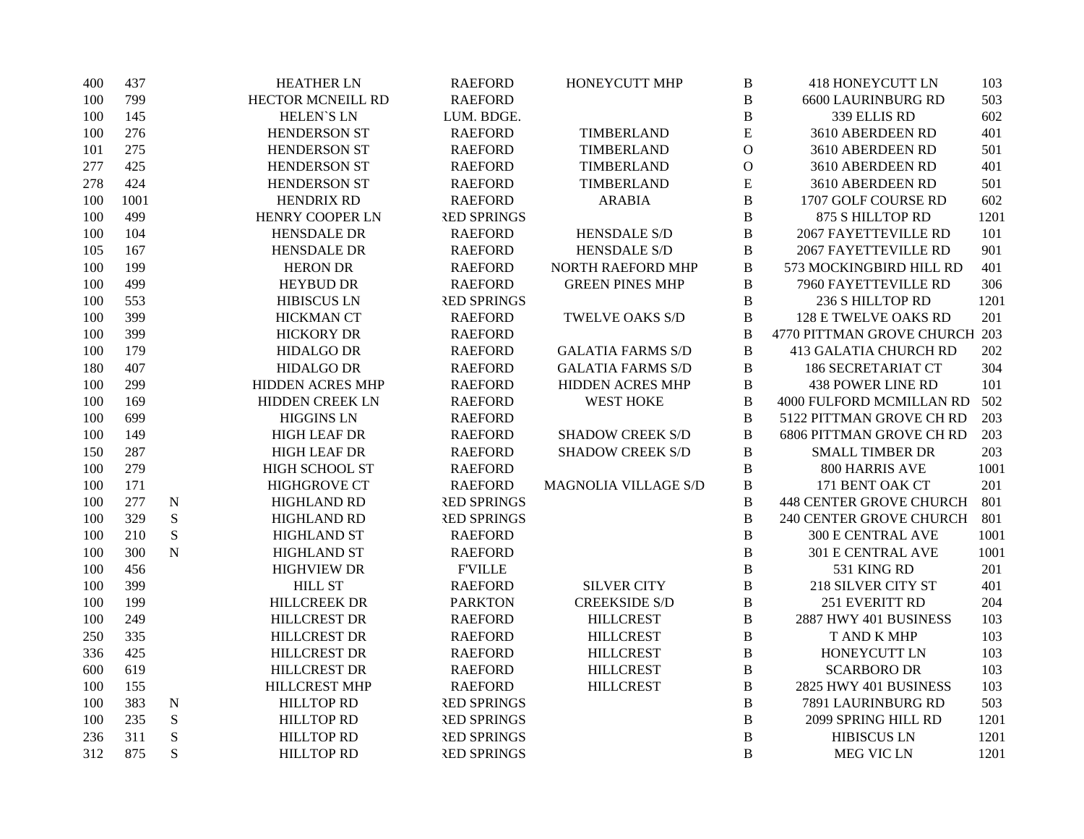| 400 | 437  |             | <b>HEATHER LN</b>       | <b>RAEFORD</b>     | HONEYCUTT MHP            | B            | <b>418 HONEYCUTT LN</b>         | 103  |
|-----|------|-------------|-------------------------|--------------------|--------------------------|--------------|---------------------------------|------|
| 100 | 799  |             | HECTOR MCNEILL RD       | <b>RAEFORD</b>     |                          | B            | <b>6600 LAURINBURG RD</b>       | 503  |
| 100 | 145  |             | <b>HELEN'S LN</b>       | LUM. BDGE.         |                          | B            | 339 ELLIS RD                    | 602  |
| 100 | 276  |             | <b>HENDERSON ST</b>     | <b>RAEFORD</b>     | TIMBERLAND               | E            | 3610 ABERDEEN RD                | 401  |
| 101 | 275  |             | HENDERSON ST            | <b>RAEFORD</b>     | TIMBERLAND               | $\mathbf{O}$ | 3610 ABERDEEN RD                | 501  |
| 277 | 425  |             | <b>HENDERSON ST</b>     | <b>RAEFORD</b>     | TIMBERLAND               | $\mathbf{O}$ | 3610 ABERDEEN RD                | 401  |
| 278 | 424  |             | <b>HENDERSON ST</b>     | <b>RAEFORD</b>     | TIMBERLAND               | E            | 3610 ABERDEEN RD                | 501  |
| 100 | 1001 |             | <b>HENDRIX RD</b>       | <b>RAEFORD</b>     | <b>ARABIA</b>            | $\bf{B}$     | 1707 GOLF COURSE RD             | 602  |
| 100 | 499  |             | HENRY COOPER LN         | <b>RED SPRINGS</b> |                          | B            | 875 S HILLTOP RD                | 1201 |
| 100 | 104  |             | <b>HENSDALE DR</b>      | <b>RAEFORD</b>     | <b>HENSDALE S/D</b>      | $\bf{B}$     | <b>2067 FAYETTEVILLE RD</b>     | 101  |
| 105 | 167  |             | <b>HENSDALE DR</b>      | <b>RAEFORD</b>     | <b>HENSDALE S/D</b>      | B            | <b>2067 FAYETTEVILLE RD</b>     | 901  |
| 100 | 199  |             | <b>HERON DR</b>         | <b>RAEFORD</b>     | NORTH RAEFORD MHP        | $\bf{B}$     | 573 MOCKINGBIRD HILL RD         | 401  |
| 100 | 499  |             | <b>HEYBUD DR</b>        | <b>RAEFORD</b>     | <b>GREEN PINES MHP</b>   | $\, {\bf B}$ | 7960 FAYETTEVILLE RD            | 306  |
| 100 | 553  |             | <b>HIBISCUS LN</b>      | <b>RED SPRINGS</b> |                          | B            | 236 S HILLTOP RD                | 1201 |
| 100 | 399  |             | <b>HICKMAN CT</b>       | <b>RAEFORD</b>     | <b>TWELVE OAKS S/D</b>   | B            | 128 E TWELVE OAKS RD            | 201  |
| 100 | 399  |             | <b>HICKORY DR</b>       | <b>RAEFORD</b>     |                          | $\bf{B}$     | 4770 PITTMAN GROVE CHURCH 203   |      |
| 100 | 179  |             | <b>HIDALGO DR</b>       | <b>RAEFORD</b>     | <b>GALATIA FARMS S/D</b> | $\, {\bf B}$ | <b>413 GALATIA CHURCH RD</b>    | 202  |
| 180 | 407  |             | <b>HIDALGO DR</b>       | <b>RAEFORD</b>     | <b>GALATIA FARMS S/D</b> | B            | <b>186 SECRETARIAT CT</b>       | 304  |
| 100 | 299  |             | <b>HIDDEN ACRES MHP</b> | <b>RAEFORD</b>     | <b>HIDDEN ACRES MHP</b>  | B            | <b>438 POWER LINE RD</b>        | 101  |
| 100 | 169  |             | HIDDEN CREEK LN         | <b>RAEFORD</b>     | <b>WEST HOKE</b>         | B            | 4000 FULFORD MCMILLAN RD        | 502  |
| 100 | 699  |             | <b>HIGGINS LN</b>       | <b>RAEFORD</b>     |                          | $\bf{B}$     | 5122 PITTMAN GROVE CH RD        | 203  |
| 100 | 149  |             | <b>HIGH LEAF DR</b>     | <b>RAEFORD</b>     | <b>SHADOW CREEK S/D</b>  | $\bf{B}$     | <b>6806 PITTMAN GROVE CH RD</b> | 203  |
| 150 | 287  |             | <b>HIGH LEAF DR</b>     | <b>RAEFORD</b>     | <b>SHADOW CREEK S/D</b>  | $\bf{B}$     | <b>SMALL TIMBER DR</b>          | 203  |
| 100 | 279  |             | HIGH SCHOOL ST          | <b>RAEFORD</b>     |                          | B            | 800 HARRIS AVE                  | 1001 |
| 100 | 171  |             | <b>HIGHGROVE CT</b>     | <b>RAEFORD</b>     | MAGNOLIA VILLAGE S/D     | B            | 171 BENT OAK CT                 | 201  |
| 100 | 277  | $\mathbf N$ | <b>HIGHLAND RD</b>      | <b>RED SPRINGS</b> |                          | $\, {\bf B}$ | <b>448 CENTER GROVE CHURCH</b>  | 801  |
| 100 | 329  | ${\bf S}$   | <b>HIGHLAND RD</b>      | <b>RED SPRINGS</b> |                          | $\, {\bf B}$ | 240 CENTER GROVE CHURCH         | 801  |
| 100 | 210  | ${\bf S}$   | HIGHLAND ST             | <b>RAEFORD</b>     |                          | $\bf{B}$     | <b>300 E CENTRAL AVE</b>        | 1001 |
| 100 | 300  | $\mathbf N$ | <b>HIGHLAND ST</b>      | <b>RAEFORD</b>     |                          | $\bf{B}$     | <b>301 E CENTRAL AVE</b>        | 1001 |
| 100 | 456  |             | <b>HIGHVIEW DR</b>      | <b>F'VILLE</b>     |                          | $\bf{B}$     | 531 KING RD                     | 201  |
| 100 | 399  |             | <b>HILL ST</b>          | <b>RAEFORD</b>     | <b>SILVER CITY</b>       | $\bf{B}$     | 218 SILVER CITY ST              | 401  |
| 100 | 199  |             | <b>HILLCREEK DR</b>     | <b>PARKTON</b>     | <b>CREEKSIDE S/D</b>     | B            | 251 EVERITT RD                  | 204  |
| 100 | 249  |             | <b>HILLCREST DR</b>     | <b>RAEFORD</b>     | <b>HILLCREST</b>         | B            | 2887 HWY 401 BUSINESS           | 103  |
| 250 | 335  |             | <b>HILLCREST DR</b>     | <b>RAEFORD</b>     | <b>HILLCREST</b>         | $\bf{B}$     | T AND K MHP                     | 103  |
| 336 | 425  |             | <b>HILLCREST DR</b>     | <b>RAEFORD</b>     | <b>HILLCREST</b>         | $\, {\bf B}$ | HONEYCUTT LN                    | 103  |
| 600 | 619  |             | <b>HILLCREST DR</b>     | <b>RAEFORD</b>     | <b>HILLCREST</b>         | B            | <b>SCARBORO DR</b>              | 103  |
| 100 | 155  |             | <b>HILLCREST MHP</b>    | <b>RAEFORD</b>     | <b>HILLCREST</b>         | B            | 2825 HWY 401 BUSINESS           | 103  |
| 100 | 383  | $\mathbf N$ | <b>HILLTOP RD</b>       | <b>RED SPRINGS</b> |                          | B            | 7891 LAURINBURG RD              | 503  |
| 100 | 235  | ${\bf S}$   | <b>HILLTOP RD</b>       | <b>RED SPRINGS</b> |                          | B            | 2099 SPRING HILL RD             | 1201 |
| 236 | 311  | ${\bf S}$   | <b>HILLTOP RD</b>       | <b>RED SPRINGS</b> |                          | $\bf{B}$     | <b>HIBISCUS LN</b>              | 1201 |
| 312 | 875  | S           | <b>HILLTOP RD</b>       | <b>RED SPRINGS</b> |                          | B            | <b>MEG VIC LN</b>               | 1201 |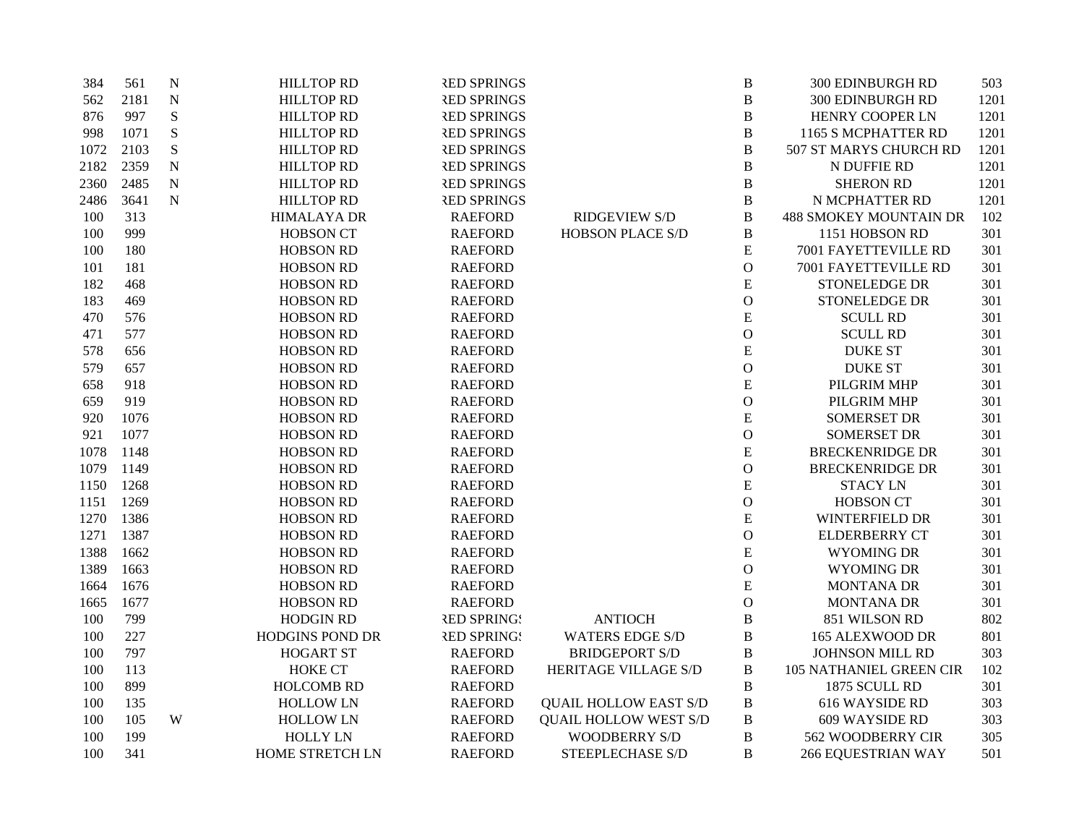| 384  | 561  | $\mathbf N$ | <b>HILLTOP RD</b>      | <b>RED SPRINGS</b> |                              | $\bf{B}$     | 300 EDINBURGH RD               | 503  |
|------|------|-------------|------------------------|--------------------|------------------------------|--------------|--------------------------------|------|
| 562  | 2181 | $\mathbf N$ | <b>HILLTOP RD</b>      | <b>RED SPRINGS</b> |                              | $\, {\bf B}$ | 300 EDINBURGH RD               | 1201 |
| 876  | 997  | S           | <b>HILLTOP RD</b>      | <b>RED SPRINGS</b> |                              | $\, {\bf B}$ | HENRY COOPER LN                | 1201 |
| 998  | 1071 | S           | <b>HILLTOP RD</b>      | <b>RED SPRINGS</b> |                              | $\, {\bf B}$ | 1165 S MCPHATTER RD            | 1201 |
| 1072 | 2103 | S           | <b>HILLTOP RD</b>      | <b>RED SPRINGS</b> |                              | B            | 507 ST MARYS CHURCH RD         | 1201 |
| 2182 | 2359 | $\mathbf N$ | <b>HILLTOP RD</b>      | <b>RED SPRINGS</b> |                              | B            | N DUFFIE RD                    | 1201 |
| 2360 | 2485 | $\mathbf N$ | <b>HILLTOP RD</b>      | <b>RED SPRINGS</b> |                              | B            | <b>SHERON RD</b>               | 1201 |
| 2486 | 3641 | $\mathbf N$ | <b>HILLTOP RD</b>      | <b>RED SPRINGS</b> |                              | $\, {\bf B}$ | N MCPHATTER RD                 | 1201 |
| 100  | 313  |             | <b>HIMALAYA DR</b>     | <b>RAEFORD</b>     | <b>RIDGEVIEW S/D</b>         | B            | <b>488 SMOKEY MOUNTAIN DR</b>  | 102  |
| 100  | 999  |             | <b>HOBSON CT</b>       | <b>RAEFORD</b>     | HOBSON PLACE S/D             | $\, {\bf B}$ | 1151 HOBSON RD                 | 301  |
| 100  | 180  |             | <b>HOBSON RD</b>       | <b>RAEFORD</b>     |                              | ${\bf E}$    | 7001 FAYETTEVILLE RD           | 301  |
| 101  | 181  |             | <b>HOBSON RD</b>       | <b>RAEFORD</b>     |                              | $\mathbf O$  | 7001 FAYETTEVILLE RD           | 301  |
| 182  | 468  |             | <b>HOBSON RD</b>       | <b>RAEFORD</b>     |                              | ${\bf E}$    | STONELEDGE DR                  | 301  |
| 183  | 469  |             | <b>HOBSON RD</b>       | <b>RAEFORD</b>     |                              | $\mathcal O$ | <b>STONELEDGE DR</b>           | 301  |
| 470  | 576  |             | <b>HOBSON RD</b>       | <b>RAEFORD</b>     |                              | ${\bf E}$    | <b>SCULL RD</b>                | 301  |
| 471  | 577  |             | <b>HOBSON RD</b>       | <b>RAEFORD</b>     |                              | $\mathcal O$ | <b>SCULL RD</b>                | 301  |
| 578  | 656  |             | <b>HOBSON RD</b>       | <b>RAEFORD</b>     |                              | ${\bf E}$    | <b>DUKE ST</b>                 | 301  |
| 579  | 657  |             | <b>HOBSON RD</b>       | <b>RAEFORD</b>     |                              | $\mathcal O$ | <b>DUKE ST</b>                 | 301  |
| 658  | 918  |             | <b>HOBSON RD</b>       | <b>RAEFORD</b>     |                              | ${\bf E}$    | PILGRIM MHP                    | 301  |
| 659  | 919  |             | <b>HOBSON RD</b>       | <b>RAEFORD</b>     |                              | $\mathbf O$  | PILGRIM MHP                    | 301  |
| 920  | 1076 |             | <b>HOBSON RD</b>       | <b>RAEFORD</b>     |                              | ${\bf E}$    | <b>SOMERSET DR</b>             | 301  |
| 921  | 1077 |             | <b>HOBSON RD</b>       | <b>RAEFORD</b>     |                              | $\mathbf{O}$ | <b>SOMERSET DR</b>             | 301  |
| 1078 | 1148 |             | <b>HOBSON RD</b>       | <b>RAEFORD</b>     |                              | ${\bf E}$    | <b>BRECKENRIDGE DR</b>         | 301  |
| 1079 | 1149 |             | <b>HOBSON RD</b>       | <b>RAEFORD</b>     |                              | $\mathcal O$ | <b>BRECKENRIDGE DR</b>         | 301  |
| 1150 | 1268 |             | <b>HOBSON RD</b>       | <b>RAEFORD</b>     |                              | ${\bf E}$    | <b>STACY LN</b>                | 301  |
| 1151 | 1269 |             | <b>HOBSON RD</b>       | <b>RAEFORD</b>     |                              | $\mathbf O$  | <b>HOBSON CT</b>               | 301  |
| 1270 | 1386 |             | <b>HOBSON RD</b>       | <b>RAEFORD</b>     |                              | ${\bf E}$    | WINTERFIELD DR                 | 301  |
| 1271 | 1387 |             | <b>HOBSON RD</b>       | <b>RAEFORD</b>     |                              | $\mathbf O$  | <b>ELDERBERRY CT</b>           | 301  |
| 1388 | 1662 |             | <b>HOBSON RD</b>       | <b>RAEFORD</b>     |                              | ${\bf E}$    | WYOMING DR                     | 301  |
| 1389 | 1663 |             | <b>HOBSON RD</b>       | <b>RAEFORD</b>     |                              | $\mathcal O$ | <b>WYOMING DR</b>              | 301  |
| 1664 | 1676 |             | <b>HOBSON RD</b>       | <b>RAEFORD</b>     |                              | ${\bf E}$    | <b>MONTANA DR</b>              | 301  |
| 1665 | 1677 |             | <b>HOBSON RD</b>       | <b>RAEFORD</b>     |                              | $\mathbf O$  | <b>MONTANA DR</b>              | 301  |
| 100  | 799  |             | <b>HODGIN RD</b>       | <b>RED SPRING!</b> | <b>ANTIOCH</b>               | $\, {\bf B}$ | 851 WILSON RD                  | 802  |
| 100  | 227  |             | <b>HODGINS POND DR</b> | <b>RED SPRING!</b> | <b>WATERS EDGE S/D</b>       | B            | <b>165 ALEXWOOD DR</b>         | 801  |
| 100  | 797  |             | <b>HOGART ST</b>       | <b>RAEFORD</b>     | <b>BRIDGEPORT S/D</b>        | $\, {\bf B}$ | JOHNSON MILL RD                | 303  |
| 100  | 113  |             | <b>HOKE CT</b>         | <b>RAEFORD</b>     | HERITAGE VILLAGE S/D         | $\, {\bf B}$ | <b>105 NATHANIEL GREEN CIR</b> | 102  |
| 100  | 899  |             | <b>HOLCOMB RD</b>      | <b>RAEFORD</b>     |                              | $\bf{B}$     | 1875 SCULL RD                  | 301  |
| 100  | 135  |             | <b>HOLLOW LN</b>       | <b>RAEFORD</b>     | <b>QUAIL HOLLOW EAST S/D</b> | B            | 616 WAYSIDE RD                 | 303  |
| 100  | 105  | W           | <b>HOLLOW LN</b>       | <b>RAEFORD</b>     | <b>QUAIL HOLLOW WEST S/D</b> | B            | 609 WAYSIDE RD                 | 303  |
| 100  | 199  |             | <b>HOLLY LN</b>        | <b>RAEFORD</b>     | <b>WOODBERRY S/D</b>         | B            | 562 WOODBERRY CIR              | 305  |
| 100  | 341  |             | HOME STRETCH LN        | <b>RAEFORD</b>     | STEEPLECHASE S/D             | B            | <b>266 EQUESTRIAN WAY</b>      | 501  |
|      |      |             |                        |                    |                              |              |                                |      |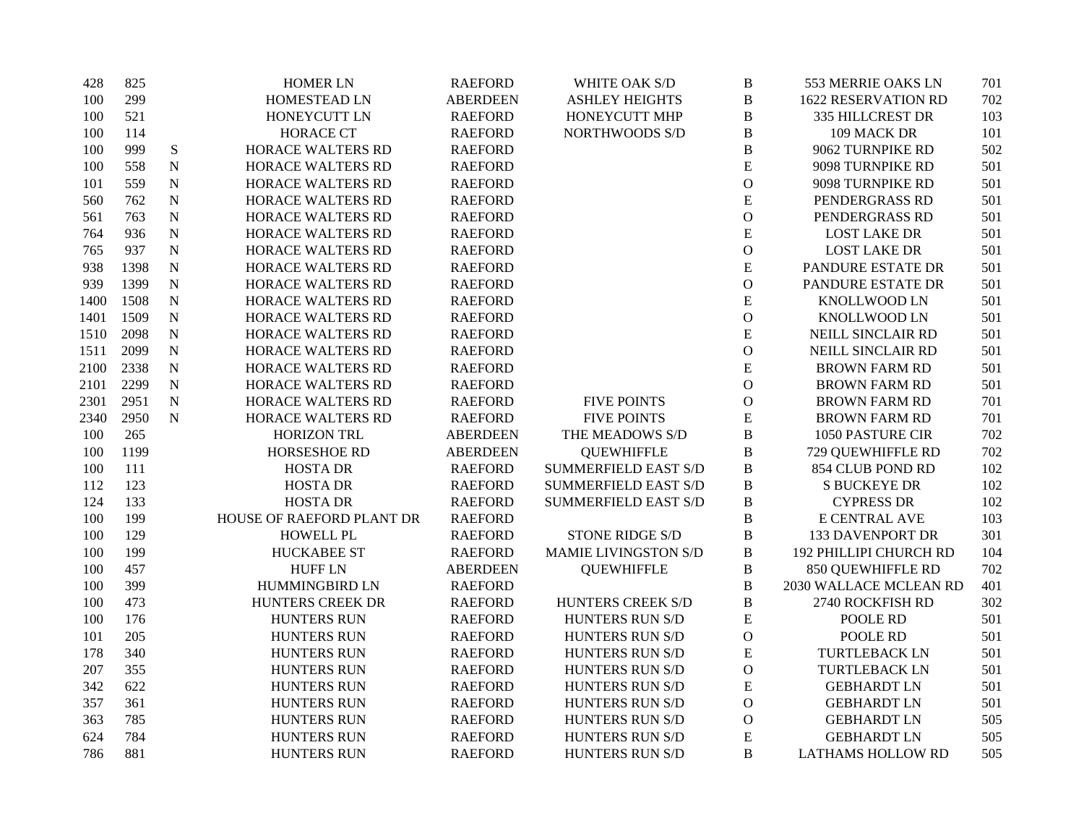| 428  | 825  |           | <b>HOMER LN</b>           | <b>RAEFORD</b>  | WHITE OAK S/D               | $\, {\bf B}$  | 553 MERRIE OAKS LN         | 701 |
|------|------|-----------|---------------------------|-----------------|-----------------------------|---------------|----------------------------|-----|
| 100  | 299  |           | HOMESTEAD LN              | <b>ABERDEEN</b> | <b>ASHLEY HEIGHTS</b>       | $\, {\bf B}$  | <b>1622 RESERVATION RD</b> | 702 |
| 100  | 521  |           | HONEYCUTT LN              | <b>RAEFORD</b>  | HONEYCUTT MHP               | B             | 335 HILLCREST DR           | 103 |
| 100  | 114  |           | <b>HORACE CT</b>          | <b>RAEFORD</b>  | NORTHWOODS S/D              | $\, {\bf B}$  | 109 MACK DR                | 101 |
| 100  | 999  | ${\bf S}$ | HORACE WALTERS RD         | <b>RAEFORD</b>  |                             | $\, {\bf B}$  | 9062 TURNPIKE RD           | 502 |
| 100  | 558  | ${\bf N}$ | HORACE WALTERS RD         | <b>RAEFORD</b>  |                             | ${\bf E}$     | 9098 TURNPIKE RD           | 501 |
| 101  | 559  | ${\bf N}$ | HORACE WALTERS RD         | <b>RAEFORD</b>  |                             | $\mathcal{O}$ | 9098 TURNPIKE RD           | 501 |
| 560  | 762  | ${\bf N}$ | HORACE WALTERS RD         | <b>RAEFORD</b>  |                             | ${\bf E}$     | PENDERGRASS RD             | 501 |
| 561  | 763  | ${\bf N}$ | <b>HORACE WALTERS RD</b>  | <b>RAEFORD</b>  |                             | $\mathbf{O}$  | PENDERGRASS RD             | 501 |
| 764  | 936  | ${\bf N}$ | HORACE WALTERS RD         | <b>RAEFORD</b>  |                             | ${\bf E}$     | <b>LOST LAKE DR</b>        | 501 |
| 765  | 937  | ${\bf N}$ | HORACE WALTERS RD         | <b>RAEFORD</b>  |                             | $\mathbf{O}$  | <b>LOST LAKE DR</b>        | 501 |
| 938  | 1398 | ${\bf N}$ | HORACE WALTERS RD         | <b>RAEFORD</b>  |                             | ${\bf E}$     | PANDURE ESTATE DR          | 501 |
| 939  | 1399 | ${\bf N}$ | HORACE WALTERS RD         | <b>RAEFORD</b>  |                             | $\mathcal O$  | PANDURE ESTATE DR          | 501 |
| 1400 | 1508 | ${\bf N}$ | HORACE WALTERS RD         | <b>RAEFORD</b>  |                             | ${\bf E}$     | <b>KNOLLWOOD LN</b>        | 501 |
| 1401 | 1509 | ${\bf N}$ | HORACE WALTERS RD         | <b>RAEFORD</b>  |                             | $\mathcal O$  | KNOLLWOOD LN               | 501 |
| 1510 | 2098 | ${\bf N}$ | HORACE WALTERS RD         | <b>RAEFORD</b>  |                             | E             | NEILL SINCLAIR RD          | 501 |
| 1511 | 2099 | ${\bf N}$ | HORACE WALTERS RD         | <b>RAEFORD</b>  |                             | $\mathcal O$  | NEILL SINCLAIR RD          | 501 |
| 2100 | 2338 | ${\bf N}$ | HORACE WALTERS RD         | <b>RAEFORD</b>  |                             | ${\bf E}$     | <b>BROWN FARM RD</b>       | 501 |
| 2101 | 2299 | ${\bf N}$ | HORACE WALTERS RD         | <b>RAEFORD</b>  |                             | $\mathbf O$   | <b>BROWN FARM RD</b>       | 501 |
| 2301 | 2951 | ${\bf N}$ | HORACE WALTERS RD         | <b>RAEFORD</b>  | <b>FIVE POINTS</b>          | $\mathcal{O}$ | <b>BROWN FARM RD</b>       | 701 |
| 2340 | 2950 | ${\bf N}$ | HORACE WALTERS RD         | <b>RAEFORD</b>  | <b>FIVE POINTS</b>          | ${\bf E}$     | <b>BROWN FARM RD</b>       | 701 |
| 100  | 265  |           | <b>HORIZON TRL</b>        | <b>ABERDEEN</b> | THE MEADOWS S/D             | $\, {\bf B}$  | 1050 PASTURE CIR           | 702 |
| 100  | 1199 |           | HORSESHOE RD              | <b>ABERDEEN</b> | <b>QUEWHIFFLE</b>           | $\, {\bf B}$  | 729 QUEWHIFFLE RD          | 702 |
| 100  | 111  |           | <b>HOSTA DR</b>           | <b>RAEFORD</b>  | SUMMERFIELD EAST S/D        | $\, {\bf B}$  | 854 CLUB POND RD           | 102 |
| 112  | 123  |           | <b>HOSTA DR</b>           | <b>RAEFORD</b>  | <b>SUMMERFIELD EAST S/D</b> | $\, {\bf B}$  | <b>S BUCKEYE DR</b>        | 102 |
| 124  | 133  |           | <b>HOSTA DR</b>           | <b>RAEFORD</b>  | SUMMERFIELD EAST S/D        | $\, {\bf B}$  | <b>CYPRESS DR</b>          | 102 |
| 100  | 199  |           | HOUSE OF RAEFORD PLANT DR | <b>RAEFORD</b>  |                             | $\, {\bf B}$  | E CENTRAL AVE              | 103 |
| 100  | 129  |           | <b>HOWELL PL</b>          | <b>RAEFORD</b>  | <b>STONE RIDGE S/D</b>      | $\, {\bf B}$  | <b>133 DAVENPORT DR</b>    | 301 |
| 100  | 199  |           | <b>HUCKABEE ST</b>        | <b>RAEFORD</b>  | <b>MAMIE LIVINGSTON S/D</b> | $\, {\bf B}$  | 192 PHILLIPI CHURCH RD     | 104 |
| 100  | 457  |           | <b>HUFF LN</b>            | <b>ABERDEEN</b> | <b>QUEWHIFFLE</b>           | $\, {\bf B}$  | 850 QUEWHIFFLE RD          | 702 |
| 100  | 399  |           | HUMMINGBIRD LN            | <b>RAEFORD</b>  |                             | $\, {\bf B}$  | 2030 WALLACE MCLEAN RD     | 401 |
| 100  | 473  |           | HUNTERS CREEK DR          | <b>RAEFORD</b>  | HUNTERS CREEK S/D           | $\bf{B}$      | 2740 ROCKFISH RD           | 302 |
| 100  | 176  |           | HUNTERS RUN               | <b>RAEFORD</b>  | HUNTERS RUN S/D             | ${\bf E}$     | POOLE RD                   | 501 |
| 101  | 205  |           | <b>HUNTERS RUN</b>        | <b>RAEFORD</b>  | HUNTERS RUN S/D             | $\mathbf O$   | POOLE RD                   | 501 |
| 178  | 340  |           | <b>HUNTERS RUN</b>        | <b>RAEFORD</b>  | HUNTERS RUN S/D             | ${\bf E}$     | <b>TURTLEBACK LN</b>       | 501 |
| 207  | 355  |           | HUNTERS RUN               | <b>RAEFORD</b>  | HUNTERS RUN S/D             | $\mathcal O$  | <b>TURTLEBACK LN</b>       | 501 |
| 342  | 622  |           | <b>HUNTERS RUN</b>        | <b>RAEFORD</b>  | HUNTERS RUN S/D             | ${\bf E}$     | <b>GEBHARDT LN</b>         | 501 |
| 357  | 361  |           | <b>HUNTERS RUN</b>        | <b>RAEFORD</b>  | HUNTERS RUN S/D             | $\mathcal{O}$ | <b>GEBHARDT LN</b>         | 501 |
| 363  | 785  |           | <b>HUNTERS RUN</b>        | <b>RAEFORD</b>  | HUNTERS RUN S/D             | $\mathcal O$  | <b>GEBHARDT LN</b>         | 505 |
| 624  | 784  |           | <b>HUNTERS RUN</b>        | <b>RAEFORD</b>  | HUNTERS RUN S/D             | ${\bf E}$     | <b>GEBHARDT LN</b>         | 505 |
| 786  | 881  |           | <b>HUNTERS RUN</b>        | <b>RAEFORD</b>  | <b>HUNTERS RUN S/D</b>      | B             | <b>LATHAMS HOLLOW RD</b>   | 505 |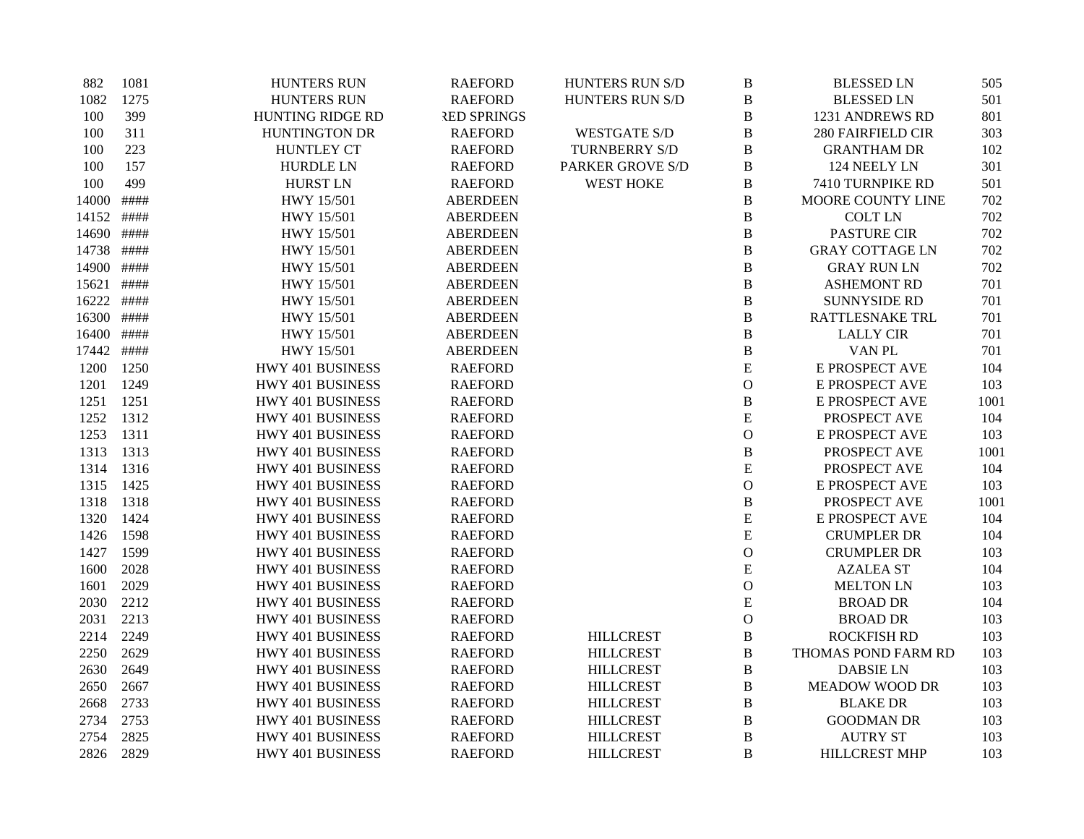| 882   | 1081 | <b>HUNTERS RUN</b>      | <b>RAEFORD</b>     | HUNTERS RUN S/D         | B             | <b>BLESSED LN</b>      | 505  |
|-------|------|-------------------------|--------------------|-------------------------|---------------|------------------------|------|
| 1082  | 1275 | <b>HUNTERS RUN</b>      | <b>RAEFORD</b>     | HUNTERS RUN S/D         | B             | <b>BLESSED LN</b>      | 501  |
| 100   | 399  | <b>HUNTING RIDGE RD</b> | <b>RED SPRINGS</b> |                         | B             | 1231 ANDREWS RD        | 801  |
| 100   | 311  | HUNTINGTON DR           | <b>RAEFORD</b>     | <b>WESTGATE S/D</b>     | B             | 280 FAIRFIELD CIR      | 303  |
| 100   | 223  | <b>HUNTLEY CT</b>       | <b>RAEFORD</b>     | TURNBERRY S/D           | $\, {\bf B}$  | <b>GRANTHAM DR</b>     | 102  |
| 100   | 157  | <b>HURDLE LN</b>        | <b>RAEFORD</b>     | <b>PARKER GROVE S/D</b> | $\, {\bf B}$  | 124 NEELY LN           | 301  |
| 100   | 499  | <b>HURST LN</b>         | <b>RAEFORD</b>     | <b>WEST HOKE</b>        | B             | 7410 TURNPIKE RD       | 501  |
| 14000 | #### | HWY 15/501              | <b>ABERDEEN</b>    |                         | B             | MOORE COUNTY LINE      | 702  |
| 14152 | #### | HWY 15/501              | <b>ABERDEEN</b>    |                         | B             | <b>COLT LN</b>         | 702  |
| 14690 | #### | HWY 15/501              | <b>ABERDEEN</b>    |                         | $\, {\bf B}$  | <b>PASTURE CIR</b>     | 702  |
| 14738 | #### | HWY 15/501              | <b>ABERDEEN</b>    |                         | $\, {\bf B}$  | <b>GRAY COTTAGE LN</b> | 702  |
| 14900 | #### | HWY 15/501              | <b>ABERDEEN</b>    |                         | $\, {\bf B}$  | <b>GRAY RUN LN</b>     | 702  |
| 15621 | #### | HWY 15/501              | <b>ABERDEEN</b>    |                         | $\bf{B}$      | <b>ASHEMONT RD</b>     | 701  |
| 16222 | #### | HWY 15/501              | <b>ABERDEEN</b>    |                         | $\, {\bf B}$  | <b>SUNNYSIDE RD</b>    | 701  |
| 16300 | #### | HWY 15/501              | <b>ABERDEEN</b>    |                         | $\, {\bf B}$  | RATTLESNAKE TRL        | 701  |
| 16400 | #### | HWY 15/501              | <b>ABERDEEN</b>    |                         | $\, {\bf B}$  | <b>LALLY CIR</b>       | 701  |
| 17442 | #### | HWY 15/501              | <b>ABERDEEN</b>    |                         | $\, {\bf B}$  | VAN PL                 | 701  |
| 1200  | 1250 | HWY 401 BUSINESS        | <b>RAEFORD</b>     |                         | ${\bf E}$     | E PROSPECT AVE         | 104  |
| 1201  | 1249 | HWY 401 BUSINESS        | <b>RAEFORD</b>     |                         | $\mathbf{O}$  | E PROSPECT AVE         | 103  |
| 1251  | 1251 | HWY 401 BUSINESS        | <b>RAEFORD</b>     |                         | $\, {\bf B}$  | <b>E PROSPECT AVE</b>  | 1001 |
| 1252  | 1312 | HWY 401 BUSINESS        | <b>RAEFORD</b>     |                         | ${\bf E}$     | PROSPECT AVE           | 104  |
| 1253  | 1311 | HWY 401 BUSINESS        | <b>RAEFORD</b>     |                         | $\mathbf{O}$  | E PROSPECT AVE         | 103  |
| 1313  | 1313 | HWY 401 BUSINESS        | <b>RAEFORD</b>     |                         | $\, {\bf B}$  | PROSPECT AVE           | 1001 |
| 1314  | 1316 | HWY 401 BUSINESS        | <b>RAEFORD</b>     |                         | ${\bf E}$     | PROSPECT AVE           | 104  |
| 1315  | 1425 | HWY 401 BUSINESS        | <b>RAEFORD</b>     |                         | $\mathbf{O}$  | E PROSPECT AVE         | 103  |
| 1318  | 1318 | HWY 401 BUSINESS        | <b>RAEFORD</b>     |                         | B             | PROSPECT AVE           | 1001 |
| 1320  | 1424 | HWY 401 BUSINESS        | <b>RAEFORD</b>     |                         | ${\bf E}$     | E PROSPECT AVE         | 104  |
| 1426  | 1598 | HWY 401 BUSINESS        | <b>RAEFORD</b>     |                         | ${\bf E}$     | <b>CRUMPLER DR</b>     | 104  |
| 1427  | 1599 | HWY 401 BUSINESS        | <b>RAEFORD</b>     |                         | $\mathcal{O}$ | <b>CRUMPLER DR</b>     | 103  |
| 1600  | 2028 | HWY 401 BUSINESS        | <b>RAEFORD</b>     |                         | ${\bf E}$     | <b>AZALEA ST</b>       | 104  |
| 1601  | 2029 | HWY 401 BUSINESS        | <b>RAEFORD</b>     |                         | $\mathbf{O}$  | <b>MELTON LN</b>       | 103  |
| 2030  | 2212 | HWY 401 BUSINESS        | <b>RAEFORD</b>     |                         | ${\bf E}$     | <b>BROAD DR</b>        | 104  |
| 2031  | 2213 | HWY 401 BUSINESS        | <b>RAEFORD</b>     |                         | $\mathcal{O}$ | <b>BROAD DR</b>        | 103  |
| 2214  | 2249 | HWY 401 BUSINESS        | <b>RAEFORD</b>     | <b>HILLCREST</b>        | B             | <b>ROCKFISH RD</b>     | 103  |
| 2250  | 2629 | HWY 401 BUSINESS        | <b>RAEFORD</b>     | <b>HILLCREST</b>        | $\, {\bf B}$  | THOMAS POND FARM RD    | 103  |
| 2630  | 2649 | HWY 401 BUSINESS        | <b>RAEFORD</b>     | <b>HILLCREST</b>        | $\, {\bf B}$  | <b>DABSIE LN</b>       | 103  |
| 2650  | 2667 | HWY 401 BUSINESS        | <b>RAEFORD</b>     | <b>HILLCREST</b>        | $\, {\bf B}$  | <b>MEADOW WOOD DR</b>  | 103  |
| 2668  | 2733 | HWY 401 BUSINESS        | <b>RAEFORD</b>     | <b>HILLCREST</b>        | $\, {\bf B}$  | <b>BLAKE DR</b>        | 103  |
| 2734  | 2753 | HWY 401 BUSINESS        | <b>RAEFORD</b>     | <b>HILLCREST</b>        | B             | <b>GOODMAN DR</b>      | 103  |
| 2754  | 2825 | HWY 401 BUSINESS        | <b>RAEFORD</b>     | <b>HILLCREST</b>        | $\, {\bf B}$  | <b>AUTRY ST</b>        | 103  |
| 2826  | 2829 | HWY 401 BUSINESS        | <b>RAEFORD</b>     | <b>HILLCREST</b>        | B             | <b>HILLCREST MHP</b>   | 103  |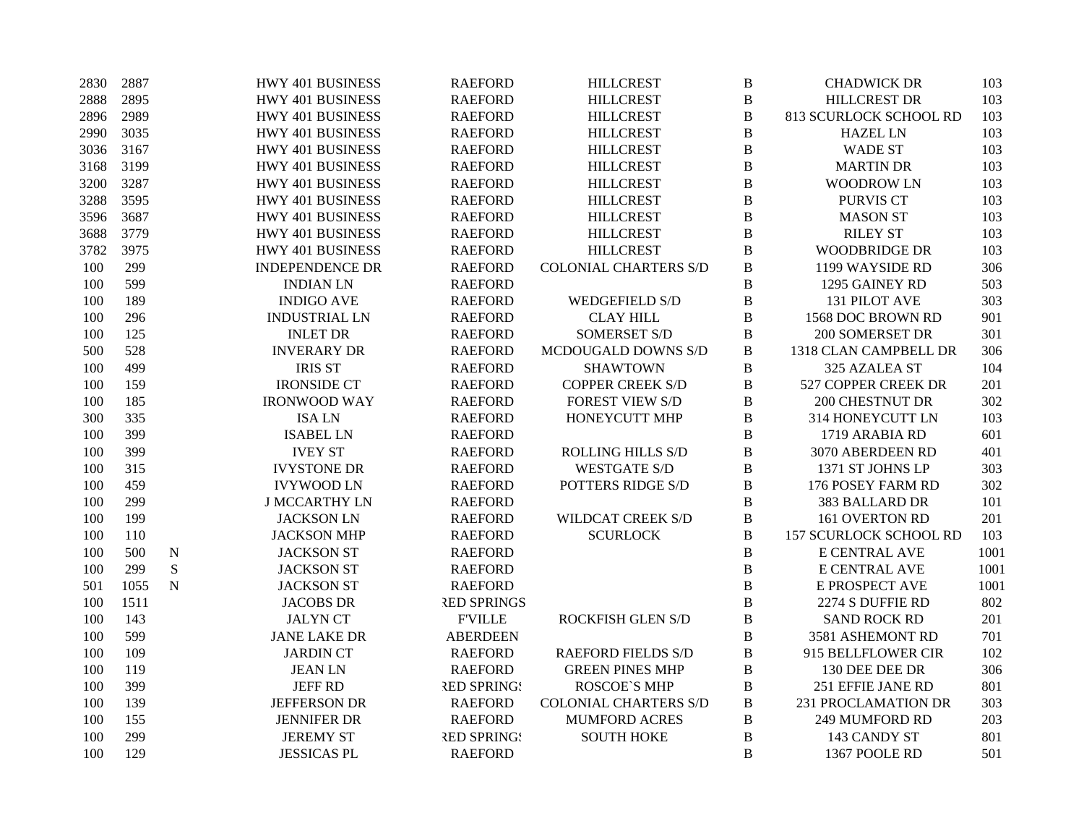| 2830 | 2887 |             | HWY 401 BUSINESS       | <b>RAEFORD</b>     | <b>HILLCREST</b>             | $\bf{B}$       | <b>CHADWICK DR</b>            | 103  |
|------|------|-------------|------------------------|--------------------|------------------------------|----------------|-------------------------------|------|
| 2888 | 2895 |             | HWY 401 BUSINESS       | <b>RAEFORD</b>     | <b>HILLCREST</b>             | $\, {\bf B}$   | <b>HILLCREST DR</b>           | 103  |
| 2896 | 2989 |             | HWY 401 BUSINESS       | <b>RAEFORD</b>     | <b>HILLCREST</b>             | B              | 813 SCURLOCK SCHOOL RD        | 103  |
| 2990 | 3035 |             | HWY 401 BUSINESS       | <b>RAEFORD</b>     | <b>HILLCREST</b>             | $\bf{B}$       | <b>HAZEL LN</b>               | 103  |
| 3036 | 3167 |             | HWY 401 BUSINESS       | <b>RAEFORD</b>     | <b>HILLCREST</b>             | $\, {\bf B}$   | <b>WADE ST</b>                | 103  |
| 3168 | 3199 |             | HWY 401 BUSINESS       | <b>RAEFORD</b>     | <b>HILLCREST</b>             | $\, {\bf B}$   | <b>MARTIN DR</b>              | 103  |
| 3200 | 3287 |             | HWY 401 BUSINESS       | <b>RAEFORD</b>     | <b>HILLCREST</b>             | $\bf{B}$       | <b>WOODROW LN</b>             | 103  |
| 3288 | 3595 |             | HWY 401 BUSINESS       | <b>RAEFORD</b>     | <b>HILLCREST</b>             | $\, {\bf B}$   | <b>PURVIS CT</b>              | 103  |
| 3596 | 3687 |             | HWY 401 BUSINESS       | <b>RAEFORD</b>     | <b>HILLCREST</b>             | $\bf{B}$       | <b>MASON ST</b>               | 103  |
| 3688 | 3779 |             | HWY 401 BUSINESS       | <b>RAEFORD</b>     | <b>HILLCREST</b>             | $\bf{B}$       | <b>RILEY ST</b>               | 103  |
| 3782 | 3975 |             | HWY 401 BUSINESS       | <b>RAEFORD</b>     | <b>HILLCREST</b>             | $\overline{B}$ | <b>WOODBRIDGE DR</b>          | 103  |
| 100  | 299  |             | <b>INDEPENDENCE DR</b> | <b>RAEFORD</b>     | <b>COLONIAL CHARTERS S/D</b> | $\, {\bf B}$   | 1199 WAYSIDE RD               | 306  |
| 100  | 599  |             | <b>INDIAN LN</b>       | <b>RAEFORD</b>     |                              | $\, {\bf B}$   | 1295 GAINEY RD                | 503  |
| 100  | 189  |             | <b>INDIGO AVE</b>      | <b>RAEFORD</b>     | <b>WEDGEFIELD S/D</b>        | $\, {\bf B}$   | <b>131 PILOT AVE</b>          | 303  |
| 100  | 296  |             | <b>INDUSTRIAL LN</b>   | <b>RAEFORD</b>     | <b>CLAY HILL</b>             | $\bf{B}$       | 1568 DOC BROWN RD             | 901  |
| 100  | 125  |             | <b>INLET DR</b>        | <b>RAEFORD</b>     | <b>SOMERSET S/D</b>          | $\, {\bf B}$   | 200 SOMERSET DR               | 301  |
| 500  | 528  |             | <b>INVERARY DR</b>     | <b>RAEFORD</b>     | MCDOUGALD DOWNS S/D          | $\, {\bf B}$   | 1318 CLAN CAMPBELL DR         | 306  |
| 100  | 499  |             | <b>IRIS ST</b>         | <b>RAEFORD</b>     | <b>SHAWTOWN</b>              | $\, {\bf B}$   | 325 AZALEA ST                 | 104  |
| 100  | 159  |             | <b>IRONSIDE CT</b>     | <b>RAEFORD</b>     | <b>COPPER CREEK S/D</b>      | $\bf{B}$       | 527 COPPER CREEK DR           | 201  |
| 100  | 185  |             | <b>IRONWOOD WAY</b>    | <b>RAEFORD</b>     | <b>FOREST VIEW S/D</b>       | $\bf{B}$       | <b>200 CHESTNUT DR</b>        | 302  |
| 300  | 335  |             | <b>ISALN</b>           | <b>RAEFORD</b>     | HONEYCUTT MHP                | $\, {\bf B}$   | 314 HONEYCUTT LN              | 103  |
| 100  | 399  |             | <b>ISABEL LN</b>       | <b>RAEFORD</b>     |                              | $\bf{B}$       | 1719 ARABIA RD                | 601  |
| 100  | 399  |             | <b>IVEY ST</b>         | <b>RAEFORD</b>     | ROLLING HILLS S/D            | $\bf{B}$       | 3070 ABERDEEN RD              | 401  |
| 100  | 315  |             | <b>IVYSTONE DR</b>     | <b>RAEFORD</b>     | <b>WESTGATE S/D</b>          | $\, {\bf B}$   | 1371 ST JOHNS LP              | 303  |
| 100  | 459  |             | <b>IVYWOOD LN</b>      | <b>RAEFORD</b>     | POTTERS RIDGE S/D            | $\, {\bf B}$   | 176 POSEY FARM RD             | 302  |
| 100  | 299  |             | <b>J MCCARTHY LN</b>   | <b>RAEFORD</b>     |                              | $\, {\bf B}$   | 383 BALLARD DR                | 101  |
| 100  | 199  |             | <b>JACKSON LN</b>      | <b>RAEFORD</b>     | WILDCAT CREEK S/D            | $\, {\bf B}$   | 161 OVERTON RD                | 201  |
| 100  | 110  |             | <b>JACKSON MHP</b>     | <b>RAEFORD</b>     | <b>SCURLOCK</b>              | $\, {\bf B}$   | <b>157 SCURLOCK SCHOOL RD</b> | 103  |
| 100  | 500  | $\mathbf N$ | <b>JACKSON ST</b>      | <b>RAEFORD</b>     |                              | $\, {\bf B}$   | E CENTRAL AVE                 | 1001 |
| 100  | 299  | ${\bf S}$   | <b>JACKSON ST</b>      | <b>RAEFORD</b>     |                              | $\, {\bf B}$   | E CENTRAL AVE                 | 1001 |
| 501  | 1055 | $\mathbf N$ | <b>JACKSON ST</b>      | <b>RAEFORD</b>     |                              | $\bf{B}$       | E PROSPECT AVE                | 1001 |
| 100  | 1511 |             | <b>JACOBS DR</b>       | <b>RED SPRINGS</b> |                              | $\bf{B}$       | 2274 S DUFFIE RD              | 802  |
| 100  | 143  |             | <b>JALYN CT</b>        | <b>F'VILLE</b>     | ROCKFISH GLEN S/D            | $\bf{B}$       | <b>SAND ROCK RD</b>           | 201  |
| 100  | 599  |             | <b>JANE LAKE DR</b>    | <b>ABERDEEN</b>    |                              | $\bf{B}$       | 3581 ASHEMONT RD              | 701  |
| 100  | 109  |             | <b>JARDIN CT</b>       | <b>RAEFORD</b>     | <b>RAEFORD FIELDS S/D</b>    | $\, {\bf B}$   | 915 BELLFLOWER CIR            | 102  |
| 100  | 119  |             | <b>JEAN LN</b>         | <b>RAEFORD</b>     | <b>GREEN PINES MHP</b>       | $\, {\bf B}$   | 130 DEE DEE DR                | 306  |
| 100  | 399  |             | <b>JEFF RD</b>         | <b>RED SPRINGS</b> | <b>ROSCOE'S MHP</b>          | $\, {\bf B}$   | 251 EFFIE JANE RD             | 801  |
| 100  | 139  |             | <b>JEFFERSON DR</b>    | <b>RAEFORD</b>     | <b>COLONIAL CHARTERS S/D</b> | $\, {\bf B}$   | 231 PROCLAMATION DR           | 303  |
| 100  | 155  |             | <b>JENNIFER DR</b>     | <b>RAEFORD</b>     | <b>MUMFORD ACRES</b>         | B              | 249 MUMFORD RD                | 203  |
| 100  | 299  |             | <b>JEREMY ST</b>       | <b>RED SPRINGS</b> | <b>SOUTH HOKE</b>            | $\bf{B}$       | 143 CANDY ST                  | 801  |
| 100  | 129  |             | <b>JESSICAS PL</b>     | <b>RAEFORD</b>     |                              | $\overline{B}$ | 1367 POOLE RD                 | 501  |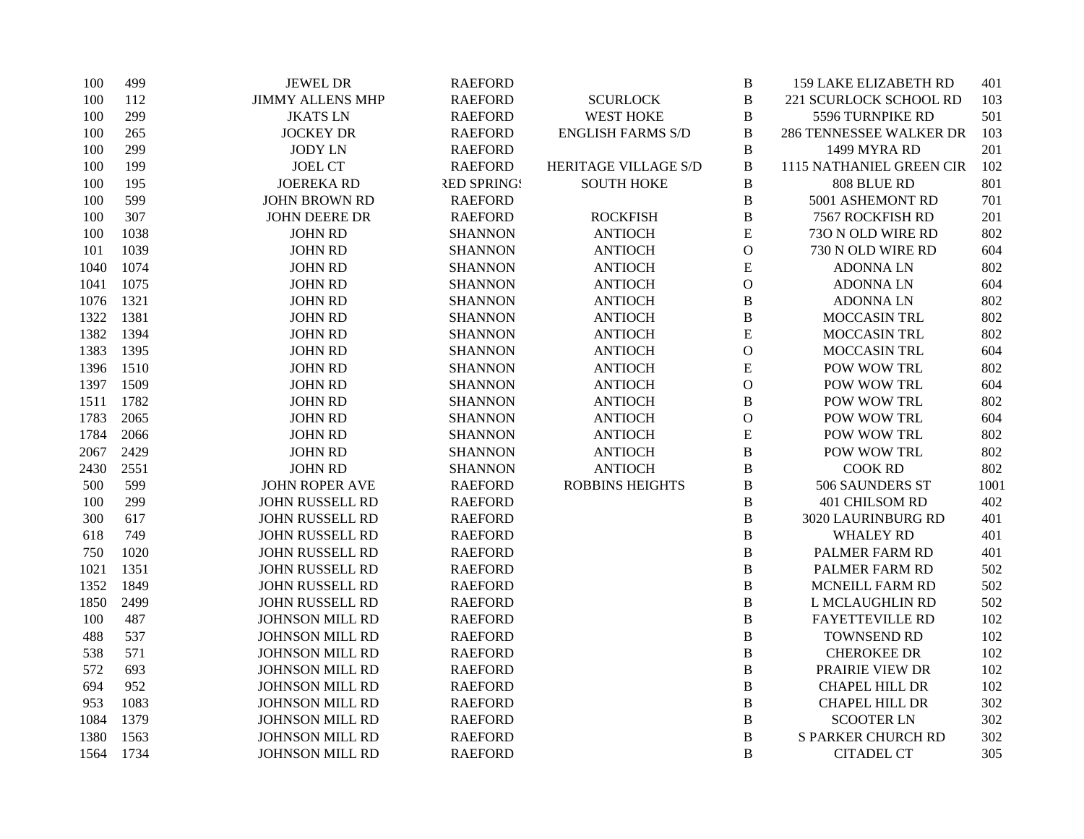| 100  | 499  | <b>JEWEL DR</b>         | <b>RAEFORD</b>     |                          | $\bf{B}$       | <b>159 LAKE ELIZABETH RD</b> | 401  |
|------|------|-------------------------|--------------------|--------------------------|----------------|------------------------------|------|
| 100  | 112  | <b>JIMMY ALLENS MHP</b> | <b>RAEFORD</b>     | <b>SCURLOCK</b>          | $\, {\bf B}$   | 221 SCURLOCK SCHOOL RD       | 103  |
| 100  | 299  | <b>JKATSLN</b>          | <b>RAEFORD</b>     | <b>WEST HOKE</b>         | $\, {\bf B}$   | 5596 TURNPIKE RD             | 501  |
| 100  | 265  | <b>JOCKEY DR</b>        | <b>RAEFORD</b>     | <b>ENGLISH FARMS S/D</b> | $\, {\bf B}$   | 286 TENNESSEE WALKER DR      | 103  |
| 100  | 299  | <b>JODY LN</b>          | <b>RAEFORD</b>     |                          | $\, {\bf B}$   | 1499 MYRA RD                 | 201  |
| 100  | 199  | <b>JOEL CT</b>          | <b>RAEFORD</b>     | HERITAGE VILLAGE S/D     | $\, {\bf B}$   | 1115 NATHANIEL GREEN CIR     | 102  |
| 100  | 195  | <b>JOEREKA RD</b>       | <b>RED SPRING!</b> | <b>SOUTH HOKE</b>        | B              | 808 BLUE RD                  | 801  |
| 100  | 599  | <b>JOHN BROWN RD</b>    | <b>RAEFORD</b>     |                          | $\, {\bf B}$   | 5001 ASHEMONT RD             | 701  |
| 100  | 307  | <b>JOHN DEERE DR</b>    | <b>RAEFORD</b>     | <b>ROCKFISH</b>          | $\, {\bf B}$   | 7567 ROCKFISH RD             | 201  |
| 100  | 1038 | <b>JOHN RD</b>          | <b>SHANNON</b>     | <b>ANTIOCH</b>           | ${\bf E}$      | 730 N OLD WIRE RD            | 802  |
| 101  | 1039 | <b>JOHN RD</b>          | <b>SHANNON</b>     | <b>ANTIOCH</b>           | $\mathbf O$    | 730 N OLD WIRE RD            | 604  |
| 1040 | 1074 | <b>JOHN RD</b>          | <b>SHANNON</b>     | <b>ANTIOCH</b>           | ${\bf E}$      | <b>ADONNALN</b>              | 802  |
| 1041 | 1075 | <b>JOHN RD</b>          | <b>SHANNON</b>     | <b>ANTIOCH</b>           | $\mathbf{O}$   | <b>ADONNALN</b>              | 604  |
| 1076 | 1321 | <b>JOHN RD</b>          | <b>SHANNON</b>     | <b>ANTIOCH</b>           | $\, {\bf B}$   | <b>ADONNALN</b>              | 802  |
| 1322 | 1381 | <b>JOHN RD</b>          | <b>SHANNON</b>     | <b>ANTIOCH</b>           | $\, {\bf B}$   | MOCCASIN TRL                 | 802  |
| 1382 | 1394 | <b>JOHN RD</b>          | <b>SHANNON</b>     | <b>ANTIOCH</b>           | ${\bf E}$      | MOCCASIN TRL                 | 802  |
| 1383 | 1395 | <b>JOHN RD</b>          | <b>SHANNON</b>     | <b>ANTIOCH</b>           | ${\bf O}$      | MOCCASIN TRL                 | 604  |
| 1396 | 1510 | <b>JOHN RD</b>          | <b>SHANNON</b>     | <b>ANTIOCH</b>           | ${\bf E}$      | POW WOW TRL                  | 802  |
| 1397 | 1509 | <b>JOHN RD</b>          | <b>SHANNON</b>     | <b>ANTIOCH</b>           | $\mathbf{O}$   | POW WOW TRL                  | 604  |
| 1511 | 1782 | <b>JOHN RD</b>          | <b>SHANNON</b>     | <b>ANTIOCH</b>           | B              | POW WOW TRL                  | 802  |
| 1783 | 2065 | <b>JOHN RD</b>          | <b>SHANNON</b>     | <b>ANTIOCH</b>           | $\mathbf{O}$   | POW WOW TRL                  | 604  |
| 1784 | 2066 | <b>JOHN RD</b>          | <b>SHANNON</b>     | <b>ANTIOCH</b>           | E              | POW WOW TRL                  | 802  |
| 2067 | 2429 | <b>JOHN RD</b>          | <b>SHANNON</b>     | <b>ANTIOCH</b>           | $\, {\bf B}$   | POW WOW TRL                  | 802  |
| 2430 | 2551 | <b>JOHN RD</b>          | <b>SHANNON</b>     | <b>ANTIOCH</b>           | $\bf{B}$       | <b>COOK RD</b>               | 802  |
| 500  | 599  | <b>JOHN ROPER AVE</b>   | <b>RAEFORD</b>     | <b>ROBBINS HEIGHTS</b>   | $\bf{B}$       | 506 SAUNDERS ST              | 1001 |
| 100  | 299  | <b>JOHN RUSSELL RD</b>  | <b>RAEFORD</b>     |                          | $\bf{B}$       | 401 CHILSOM RD               | 402  |
| 300  | 617  | JOHN RUSSELL RD         | <b>RAEFORD</b>     |                          | B              | 3020 LAURINBURG RD           | 401  |
| 618  | 749  | JOHN RUSSELL RD         | <b>RAEFORD</b>     |                          | $\bf{B}$       | WHALEY RD                    | 401  |
| 750  | 1020 | JOHN RUSSELL RD         | <b>RAEFORD</b>     |                          | $\, {\bf B}$   | PALMER FARM RD               | 401  |
| 1021 | 1351 | <b>JOHN RUSSELL RD</b>  | <b>RAEFORD</b>     |                          | $\bf{B}$       | PALMER FARM RD               | 502  |
| 1352 | 1849 | JOHN RUSSELL RD         | <b>RAEFORD</b>     |                          | $\bf{B}$       | MCNEILL FARM RD              | 502  |
| 1850 | 2499 | JOHN RUSSELL RD         | <b>RAEFORD</b>     |                          | $\bf{B}$       | L MCLAUGHLIN RD              | 502  |
| 100  | 487  | <b>JOHNSON MILL RD</b>  | <b>RAEFORD</b>     |                          | $\bf{B}$       | <b>FAYETTEVILLE RD</b>       | 102  |
| 488  | 537  | <b>JOHNSON MILL RD</b>  | <b>RAEFORD</b>     |                          | $\, {\bf B}$   | TOWNSEND RD                  | 102  |
| 538  | 571  | <b>JOHNSON MILL RD</b>  | <b>RAEFORD</b>     |                          | $\, {\bf B}$   | <b>CHEROKEE DR</b>           | 102  |
| 572  | 693  | <b>JOHNSON MILL RD</b>  | <b>RAEFORD</b>     |                          | $\, {\bf B}$   | PRAIRIE VIEW DR              | 102  |
| 694  | 952  | <b>JOHNSON MILL RD</b>  | <b>RAEFORD</b>     |                          | $\bf{B}$       | <b>CHAPEL HILL DR</b>        | 102  |
| 953  | 1083 | <b>JOHNSON MILL RD</b>  | <b>RAEFORD</b>     |                          | $\, {\bf B}$   | <b>CHAPEL HILL DR</b>        | 302  |
| 1084 | 1379 | JOHNSON MILL RD         | <b>RAEFORD</b>     |                          | $\, {\bf B}$   | <b>SCOOTER LN</b>            | 302  |
| 1380 | 1563 | <b>JOHNSON MILL RD</b>  | <b>RAEFORD</b>     |                          | B              | <b>S PARKER CHURCH RD</b>    | 302  |
| 1564 | 1734 | <b>JOHNSON MILL RD</b>  | <b>RAEFORD</b>     |                          | $\overline{B}$ | <b>CITADEL CT</b>            | 305  |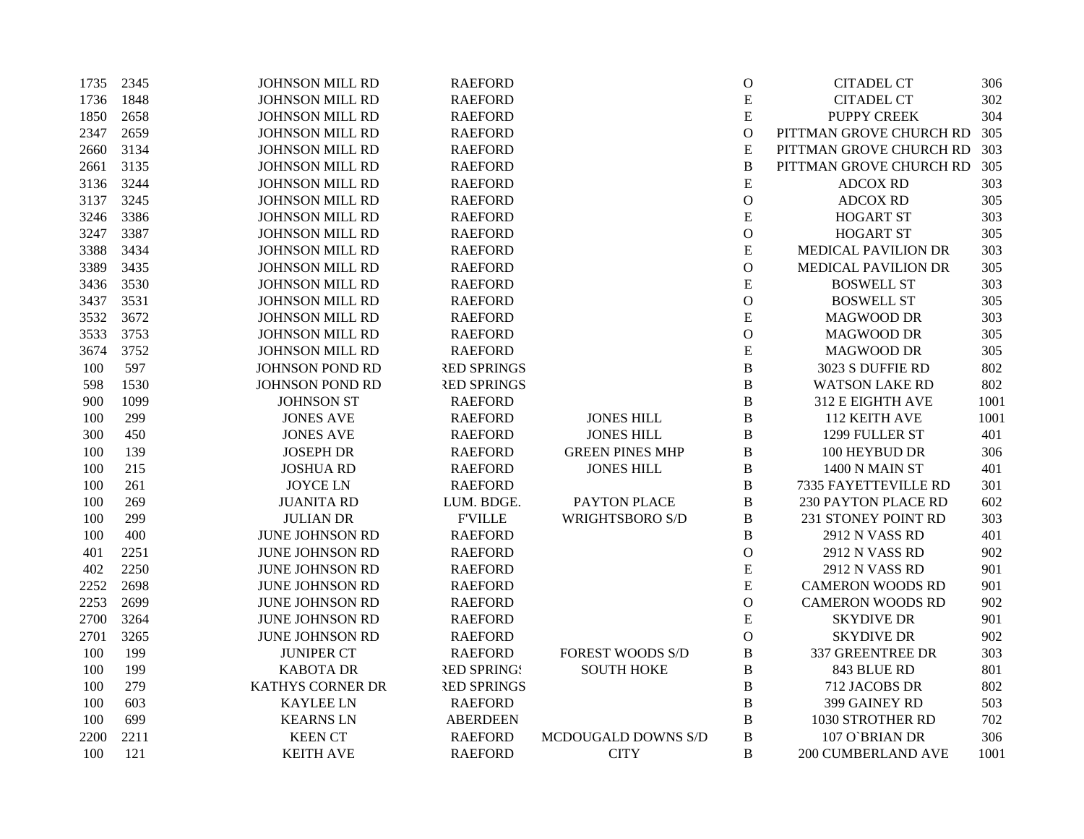| 1735 | 2345 | <b>JOHNSON MILL RD</b>  | <b>RAEFORD</b>     |                         | $\mathcal{O}$ | <b>CITADEL CT</b>          | 306  |
|------|------|-------------------------|--------------------|-------------------------|---------------|----------------------------|------|
| 1736 | 1848 | <b>JOHNSON MILL RD</b>  | <b>RAEFORD</b>     |                         | ${\bf E}$     | <b>CITADEL CT</b>          | 302  |
| 1850 | 2658 | <b>JOHNSON MILL RD</b>  | <b>RAEFORD</b>     |                         | ${\bf E}$     | <b>PUPPY CREEK</b>         | 304  |
| 2347 | 2659 | <b>JOHNSON MILL RD</b>  | <b>RAEFORD</b>     |                         | $\mathbf O$   | PITTMAN GROVE CHURCH RD    | 305  |
| 2660 | 3134 | JOHNSON MILL RD         | <b>RAEFORD</b>     |                         | ${\bf E}$     | PITTMAN GROVE CHURCH RD    | 303  |
| 2661 | 3135 | <b>JOHNSON MILL RD</b>  | <b>RAEFORD</b>     |                         | $\, {\bf B}$  | PITTMAN GROVE CHURCH RD    | 305  |
| 3136 | 3244 | <b>JOHNSON MILL RD</b>  | <b>RAEFORD</b>     |                         | ${\bf E}$     | <b>ADCOX RD</b>            | 303  |
| 3137 | 3245 | JOHNSON MILL RD         | <b>RAEFORD</b>     |                         | $\mathbf{O}$  | <b>ADCOX RD</b>            | 305  |
| 3246 | 3386 | JOHNSON MILL RD         | <b>RAEFORD</b>     |                         | ${\bf E}$     | <b>HOGART ST</b>           | 303  |
| 3247 | 3387 | <b>JOHNSON MILL RD</b>  | <b>RAEFORD</b>     |                         | $\mathbf{O}$  | <b>HOGART ST</b>           | 305  |
| 3388 | 3434 | JOHNSON MILL RD         | <b>RAEFORD</b>     |                         | ${\bf E}$     | MEDICAL PAVILION DR        | 303  |
| 3389 | 3435 | <b>JOHNSON MILL RD</b>  | <b>RAEFORD</b>     |                         | $\mathbf{O}$  | MEDICAL PAVILION DR        | 305  |
| 3436 | 3530 | <b>JOHNSON MILL RD</b>  | <b>RAEFORD</b>     |                         | ${\bf E}$     | <b>BOSWELL ST</b>          | 303  |
| 3437 | 3531 | <b>JOHNSON MILL RD</b>  | <b>RAEFORD</b>     |                         | $\mathcal{O}$ | <b>BOSWELL ST</b>          | 305  |
| 3532 | 3672 | <b>JOHNSON MILL RD</b>  | <b>RAEFORD</b>     |                         | ${\bf E}$     | <b>MAGWOOD DR</b>          | 303  |
| 3533 | 3753 | <b>JOHNSON MILL RD</b>  | <b>RAEFORD</b>     |                         | $\mathbf{O}$  | <b>MAGWOOD DR</b>          | 305  |
| 3674 | 3752 | JOHNSON MILL RD         | <b>RAEFORD</b>     |                         | ${\bf E}$     | MAGWOOD DR                 | 305  |
| 100  | 597  | JOHNSON POND RD         | <b>RED SPRINGS</b> |                         | B             | 3023 S DUFFIE RD           | 802  |
| 598  | 1530 | <b>JOHNSON POND RD</b>  | <b>RED SPRINGS</b> |                         | $\, {\bf B}$  | <b>WATSON LAKE RD</b>      | 802  |
| 900  | 1099 | <b>JOHNSON ST</b>       | <b>RAEFORD</b>     |                         | B             | 312 E EIGHTH AVE           | 1001 |
| 100  | 299  | <b>JONES AVE</b>        | <b>RAEFORD</b>     | <b>JONES HILL</b>       | B             | 112 KEITH AVE              | 1001 |
| 300  | 450  | <b>JONES AVE</b>        | <b>RAEFORD</b>     | <b>JONES HILL</b>       | $\, {\bf B}$  | 1299 FULLER ST             | 401  |
| 100  | 139  | <b>JOSEPH DR</b>        | <b>RAEFORD</b>     | <b>GREEN PINES MHP</b>  | B             | 100 HEYBUD DR              | 306  |
| 100  | 215  | <b>JOSHUA RD</b>        | <b>RAEFORD</b>     | <b>JONES HILL</b>       | $\, {\bf B}$  | 1400 N MAIN ST             | 401  |
| 100  | 261  | <b>JOYCE LN</b>         | <b>RAEFORD</b>     |                         | B             | 7335 FAYETTEVILLE RD       | 301  |
| 100  | 269  | <b>JUANITA RD</b>       | LUM. BDGE.         | PAYTON PLACE            | B             | <b>230 PAYTON PLACE RD</b> | 602  |
| 100  | 299  | <b>JULIAN DR</b>        | <b>F'VILLE</b>     | WRIGHTSBORO S/D         | B             | 231 STONEY POINT RD        | 303  |
| 100  | 400  | <b>JUNE JOHNSON RD</b>  | <b>RAEFORD</b>     |                         | $\, {\bf B}$  | 2912 N VASS RD             | 401  |
| 401  | 2251 | JUNE JOHNSON RD         | <b>RAEFORD</b>     |                         | $\mathbf{O}$  | 2912 N VASS RD             | 902  |
| 402  | 2250 | <b>JUNE JOHNSON RD</b>  | <b>RAEFORD</b>     |                         | ${\bf E}$     | 2912 N VASS RD             | 901  |
| 2252 | 2698 | <b>JUNE JOHNSON RD</b>  | <b>RAEFORD</b>     |                         | ${\bf E}$     | <b>CAMERON WOODS RD</b>    | 901  |
| 2253 | 2699 | JUNE JOHNSON RD         | <b>RAEFORD</b>     |                         | $\mathcal{O}$ | <b>CAMERON WOODS RD</b>    | 902  |
| 2700 | 3264 | <b>JUNE JOHNSON RD</b>  | <b>RAEFORD</b>     |                         | ${\bf E}$     | <b>SKYDIVE DR</b>          | 901  |
| 2701 | 3265 | <b>JUNE JOHNSON RD</b>  | <b>RAEFORD</b>     |                         | $\mathbf{O}$  | <b>SKYDIVE DR</b>          | 902  |
| 100  | 199  | <b>JUNIPER CT</b>       | <b>RAEFORD</b>     | <b>FOREST WOODS S/D</b> | B             | 337 GREENTREE DR           | 303  |
| 100  | 199  | <b>KABOTA DR</b>        | <b>RED SPRING!</b> | <b>SOUTH HOKE</b>       | B             | 843 BLUE RD                | 801  |
| 100  | 279  | <b>KATHYS CORNER DR</b> | <b>RED SPRINGS</b> |                         | $\, {\bf B}$  | 712 JACOBS DR              | 802  |
| 100  | 603  | <b>KAYLEE LN</b>        | <b>RAEFORD</b>     |                         | B             | 399 GAINEY RD              | 503  |
| 100  | 699  | <b>KEARNS LN</b>        | <b>ABERDEEN</b>    |                         | B             | 1030 STROTHER RD           | 702  |
| 2200 | 2211 | <b>KEEN CT</b>          | <b>RAEFORD</b>     | MCDOUGALD DOWNS S/D     | $\, {\bf B}$  | 107 O`BRIAN DR             | 306  |
| 100  | 121  | <b>KEITH AVE</b>        | <b>RAEFORD</b>     | <b>CITY</b>             | B             | 200 CUMBERLAND AVE         | 1001 |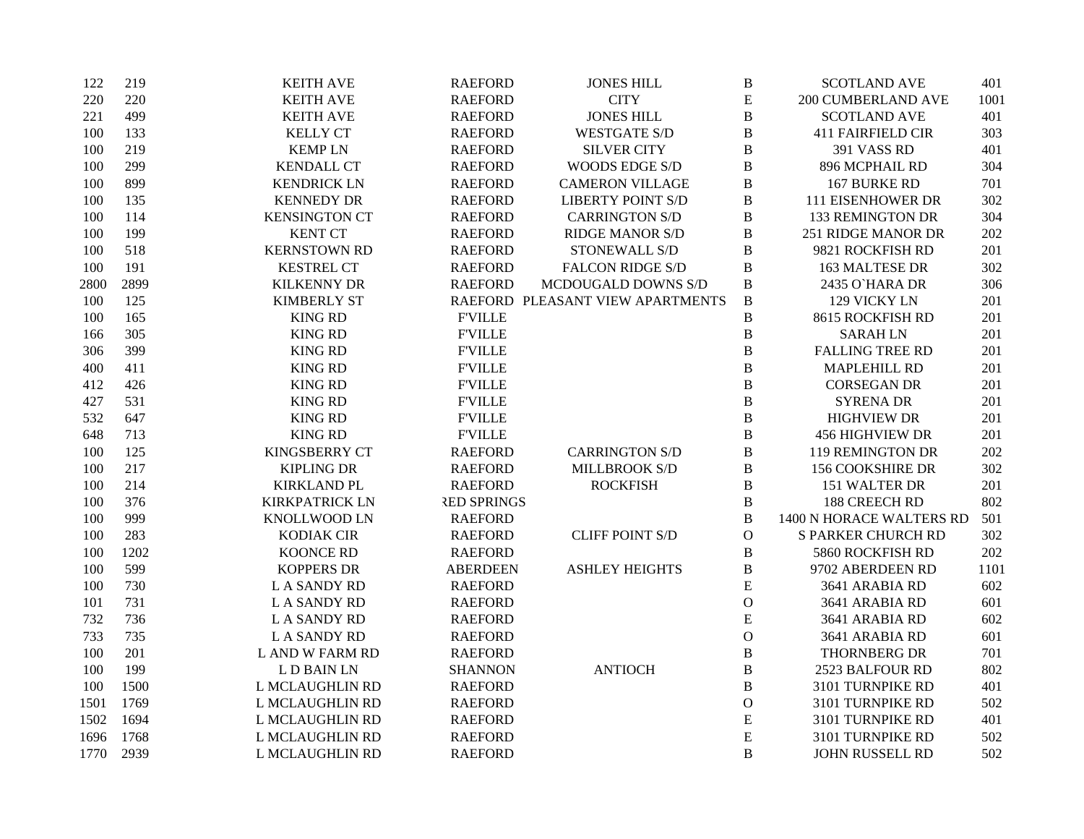| 122  | 219  | <b>KEITH AVE</b>      | <b>RAEFORD</b>     | <b>JONES HILL</b>                | $\, {\bf B}$  | <b>SCOTLAND AVE</b>       | 401  |
|------|------|-----------------------|--------------------|----------------------------------|---------------|---------------------------|------|
| 220  | 220  | <b>KEITH AVE</b>      | <b>RAEFORD</b>     | <b>CITY</b>                      | E             | 200 CUMBERLAND AVE        | 1001 |
| 221  | 499  | <b>KEITH AVE</b>      | <b>RAEFORD</b>     | <b>JONES HILL</b>                | $\bf{B}$      | <b>SCOTLAND AVE</b>       | 401  |
| 100  | 133  | <b>KELLY CT</b>       | <b>RAEFORD</b>     | <b>WESTGATE S/D</b>              | $\, {\bf B}$  | <b>411 FAIRFIELD CIR</b>  | 303  |
| 100  | 219  | <b>KEMPLN</b>         | <b>RAEFORD</b>     | <b>SILVER CITY</b>               | $\, {\bf B}$  | 391 VASS RD               | 401  |
| 100  | 299  | <b>KENDALL CT</b>     | <b>RAEFORD</b>     | WOODS EDGE S/D                   | $\, {\bf B}$  | 896 MCPHAIL RD            | 304  |
| 100  | 899  | <b>KENDRICK LN</b>    | <b>RAEFORD</b>     | <b>CAMERON VILLAGE</b>           | $\bf{B}$      | 167 BURKE RD              | 701  |
| 100  | 135  | <b>KENNEDY DR</b>     | <b>RAEFORD</b>     | <b>LIBERTY POINT S/D</b>         | $\bf{B}$      | 111 EISENHOWER DR         | 302  |
| 100  | 114  | <b>KENSINGTON CT</b>  | <b>RAEFORD</b>     | <b>CARRINGTON S/D</b>            | $\, {\bf B}$  | <b>133 REMINGTON DR</b>   | 304  |
| 100  | 199  | <b>KENT CT</b>        | <b>RAEFORD</b>     | <b>RIDGE MANOR S/D</b>           | $\bf{B}$      | 251 RIDGE MANOR DR        | 202  |
| 100  | 518  | <b>KERNSTOWN RD</b>   | <b>RAEFORD</b>     | STONEWALL S/D                    | $\, {\bf B}$  | 9821 ROCKFISH RD          | 201  |
| 100  | 191  | <b>KESTREL CT</b>     | <b>RAEFORD</b>     | <b>FALCON RIDGE S/D</b>          | $\, {\bf B}$  | <b>163 MALTESE DR</b>     | 302  |
| 2800 | 2899 | <b>KILKENNY DR</b>    | <b>RAEFORD</b>     | MCDOUGALD DOWNS S/D              | $\, {\bf B}$  | 2435 O'HARA DR            | 306  |
| 100  | 125  | <b>KIMBERLY ST</b>    |                    | RAEFORD PLEASANT VIEW APARTMENTS | $\, {\bf B}$  | 129 VICKY LN              | 201  |
| 100  | 165  | <b>KING RD</b>        | <b>F'VILLE</b>     |                                  | $\, {\bf B}$  | 8615 ROCKFISH RD          | 201  |
| 166  | 305  | <b>KING RD</b>        | <b>FVILLE</b>      |                                  | $\, {\bf B}$  | <b>SARAHLN</b>            | 201  |
| 306  | 399  | <b>KING RD</b>        | <b>F'VILLE</b>     |                                  | $\, {\bf B}$  | <b>FALLING TREE RD</b>    | 201  |
| 400  | 411  | <b>KING RD</b>        | <b>F'VILLE</b>     |                                  | $\, {\bf B}$  | <b>MAPLEHILL RD</b>       | 201  |
| 412  | 426  | <b>KING RD</b>        | <b>FVILLE</b>      |                                  | $\bf{B}$      | <b>CORSEGAN DR</b>        | 201  |
| 427  | 531  | <b>KING RD</b>        | <b>F'VILLE</b>     |                                  | $\bf{B}$      | <b>SYRENA DR</b>          | 201  |
| 532  | 647  | <b>KING RD</b>        | <b>F'VILLE</b>     |                                  | $\, {\bf B}$  | <b>HIGHVIEW DR</b>        | 201  |
| 648  | 713  | <b>KING RD</b>        | <b>FVILLE</b>      |                                  | $\, {\bf B}$  | <b>456 HIGHVIEW DR</b>    | 201  |
| 100  | 125  | KINGSBERRY CT         | <b>RAEFORD</b>     | <b>CARRINGTON S/D</b>            | $\, {\bf B}$  | 119 REMINGTON DR          | 202  |
| 100  | 217  | <b>KIPLING DR</b>     | <b>RAEFORD</b>     | MILLBROOK S/D                    | $\, {\bf B}$  | 156 COOKSHIRE DR          | 302  |
| 100  | 214  | <b>KIRKLAND PL</b>    | <b>RAEFORD</b>     | <b>ROCKFISH</b>                  | $\, {\bf B}$  | 151 WALTER DR             | 201  |
| 100  | 376  | <b>KIRKPATRICK LN</b> | <b>RED SPRINGS</b> |                                  | $\, {\bf B}$  | 188 CREECH RD             | 802  |
| 100  | 999  | KNOLLWOOD LN          | <b>RAEFORD</b>     |                                  | $\, {\bf B}$  | 1400 N HORACE WALTERS RD  | 501  |
| 100  | 283  | KODIAK CIR            | <b>RAEFORD</b>     | <b>CLIFF POINT S/D</b>           | ${\bf O}$     | <b>S PARKER CHURCH RD</b> | 302  |
| 100  | 1202 | <b>KOONCE RD</b>      | <b>RAEFORD</b>     |                                  | $\, {\bf B}$  | 5860 ROCKFISH RD          | 202  |
| 100  | 599  | <b>KOPPERS DR</b>     | <b>ABERDEEN</b>    | <b>ASHLEY HEIGHTS</b>            | $\, {\bf B}$  | 9702 ABERDEEN RD          | 1101 |
| 100  | 730  | <b>LA SANDY RD</b>    | <b>RAEFORD</b>     |                                  | E             | 3641 ARABIA RD            | 602  |
| 101  | 731  | <b>LA SANDY RD</b>    | <b>RAEFORD</b>     |                                  | $\mathcal{O}$ | 3641 ARABIA RD            | 601  |
| 732  | 736  | <b>LA SANDY RD</b>    | <b>RAEFORD</b>     |                                  | E             | 3641 ARABIA RD            | 602  |
| 733  | 735  | <b>LA SANDY RD</b>    | <b>RAEFORD</b>     |                                  | $\mathcal{O}$ | 3641 ARABIA RD            | 601  |
| 100  | 201  | L AND W FARM RD       | <b>RAEFORD</b>     |                                  | $\, {\bf B}$  | <b>THORNBERG DR</b>       | 701  |
| 100  | 199  | L D BAIN LN           | <b>SHANNON</b>     | <b>ANTIOCH</b>                   | $\, {\bf B}$  | 2523 BALFOUR RD           | 802  |
| 100  | 1500 | L MCLAUGHLIN RD       | <b>RAEFORD</b>     |                                  | $\, {\bf B}$  | 3101 TURNPIKE RD          | 401  |
| 1501 | 1769 | L MCLAUGHLIN RD       | <b>RAEFORD</b>     |                                  | $\mathbf O$   | 3101 TURNPIKE RD          | 502  |
| 1502 | 1694 | L MCLAUGHLIN RD       | <b>RAEFORD</b>     |                                  | ${\bf E}$     | 3101 TURNPIKE RD          | 401  |
| 1696 | 1768 | L MCLAUGHLIN RD       | <b>RAEFORD</b>     |                                  | $\mathbf E$   | 3101 TURNPIKE RD          | 502  |
| 1770 | 2939 | L MCLAUGHLIN RD       | <b>RAEFORD</b>     |                                  | B             | JOHN RUSSELL RD           | 502  |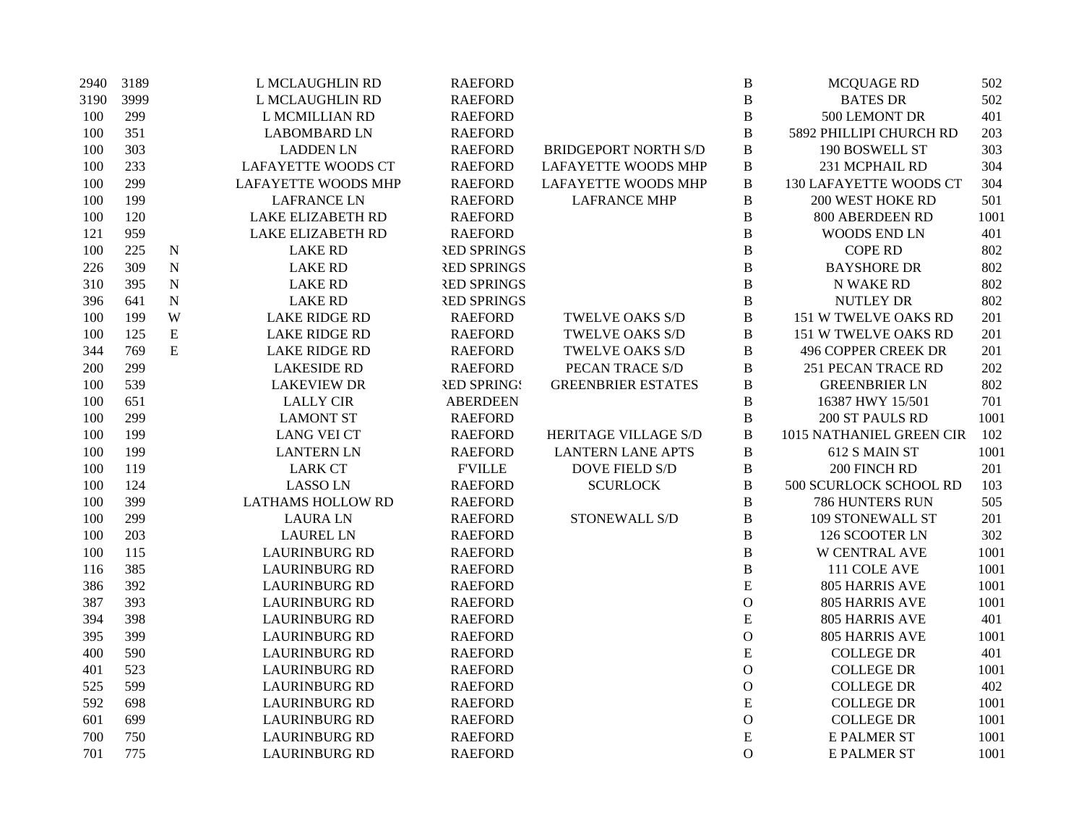| 2940 | 3189 |             | L MCLAUGHLIN RD            | <b>RAEFORD</b>     |                             | $\, {\bf B}$   | <b>MCQUAGE RD</b>          | 502  |
|------|------|-------------|----------------------------|--------------------|-----------------------------|----------------|----------------------------|------|
| 3190 | 3999 |             | L MCLAUGHLIN RD            | <b>RAEFORD</b>     |                             | $\bf{B}$       | <b>BATES DR</b>            | 502  |
| 100  | 299  |             | L MCMILLIAN RD             | <b>RAEFORD</b>     |                             | $\bf{B}$       | 500 LEMONT DR              | 401  |
| 100  | 351  |             | <b>LABOMBARD LN</b>        | <b>RAEFORD</b>     |                             | $\, {\bf B}$   | 5892 PHILLIPI CHURCH RD    | 203  |
| 100  | 303  |             | <b>LADDEN LN</b>           | <b>RAEFORD</b>     | <b>BRIDGEPORT NORTH S/D</b> | $\, {\bf B}$   | 190 BOSWELL ST             | 303  |
| 100  | 233  |             | <b>LAFAYETTE WOODS CT</b>  | <b>RAEFORD</b>     | <b>LAFAYETTE WOODS MHP</b>  | $\, {\bf B}$   | 231 MCPHAIL RD             | 304  |
| 100  | 299  |             | <b>LAFAYETTE WOODS MHP</b> | <b>RAEFORD</b>     | <b>LAFAYETTE WOODS MHP</b>  | $\, {\bf B}$   | 130 LAFAYETTE WOODS CT     | 304  |
| 100  | 199  |             | <b>LAFRANCE LN</b>         | <b>RAEFORD</b>     | <b>LAFRANCE MHP</b>         | B              | <b>200 WEST HOKE RD</b>    | 501  |
| 100  | 120  |             | <b>LAKE ELIZABETH RD</b>   | <b>RAEFORD</b>     |                             | $\, {\bf B}$   | 800 ABERDEEN RD            | 1001 |
| 121  | 959  |             | <b>LAKE ELIZABETH RD</b>   | <b>RAEFORD</b>     |                             | $\bf{B}$       | <b>WOODS END LN</b>        | 401  |
| 100  | 225  | $\mathbf N$ | <b>LAKE RD</b>             | <b>RED SPRINGS</b> |                             | $\, {\bf B}$   | <b>COPE RD</b>             | 802  |
| 226  | 309  | $\mathbf N$ | <b>LAKE RD</b>             | <b>RED SPRINGS</b> |                             | $\bf{B}$       | <b>BAYSHORE DR</b>         | 802  |
| 310  | 395  | ${\bf N}$   | <b>LAKE RD</b>             | <b>RED SPRINGS</b> |                             | B              | <b>N WAKE RD</b>           | 802  |
| 396  | 641  | ${\bf N}$   | <b>LAKE RD</b>             | <b>RED SPRINGS</b> |                             | $\, {\bf B}$   | <b>NUTLEY DR</b>           | 802  |
| 100  | 199  | W           | <b>LAKE RIDGE RD</b>       | <b>RAEFORD</b>     | <b>TWELVE OAKS S/D</b>      | $\, {\bf B}$   | 151 W TWELVE OAKS RD       | 201  |
| 100  | 125  | ${\bf E}$   | <b>LAKE RIDGE RD</b>       | <b>RAEFORD</b>     | TWELVE OAKS S/D             | $\, {\bf B}$   | 151 W TWELVE OAKS RD       | 201  |
| 344  | 769  | ${\bf E}$   | <b>LAKE RIDGE RD</b>       | <b>RAEFORD</b>     | <b>TWELVE OAKS S/D</b>      | $\, {\bf B}$   | <b>496 COPPER CREEK DR</b> | 201  |
| 200  | 299  |             | <b>LAKESIDE RD</b>         | <b>RAEFORD</b>     | PECAN TRACE S/D             | B              | <b>251 PECAN TRACE RD</b>  | 202  |
| 100  | 539  |             | <b>LAKEVIEW DR</b>         | <b>RED SPRING!</b> | <b>GREENBRIER ESTATES</b>   | $\bf{B}$       | <b>GREENBRIER LN</b>       | 802  |
| 100  | 651  |             | <b>LALLY CIR</b>           | <b>ABERDEEN</b>    |                             | $\, {\bf B}$   | 16387 HWY 15/501           | 701  |
| 100  | 299  |             | <b>LAMONT ST</b>           | <b>RAEFORD</b>     |                             | $\, {\bf B}$   | 200 ST PAULS RD            | 1001 |
| 100  | 199  |             | <b>LANG VEI CT</b>         | <b>RAEFORD</b>     | HERITAGE VILLAGE S/D        | $\bf{B}$       | 1015 NATHANIEL GREEN CIR   | 102  |
| 100  | 199  |             | <b>LANTERN LN</b>          | <b>RAEFORD</b>     | <b>LANTERN LANE APTS</b>    | $\, {\bf B}$   | 612 S MAIN ST              | 1001 |
| 100  | 119  |             | <b>LARK CT</b>             | <b>F'VILLE</b>     | <b>DOVE FIELD S/D</b>       | $\, {\bf B}$   | 200 FINCH RD               | 201  |
| 100  | 124  |             | <b>LASSOLN</b>             | <b>RAEFORD</b>     | <b>SCURLOCK</b>             | $\, {\bf B}$   | 500 SCURLOCK SCHOOL RD     | 103  |
| 100  | 399  |             | <b>LATHAMS HOLLOW RD</b>   | <b>RAEFORD</b>     |                             | $\, {\bf B}$   | <b>786 HUNTERS RUN</b>     | 505  |
| 100  | 299  |             | <b>LAURA LN</b>            | <b>RAEFORD</b>     | STONEWALL S/D               | B              | 109 STONEWALL ST           | 201  |
| 100  | 203  |             | <b>LAUREL LN</b>           | <b>RAEFORD</b>     |                             | $\, {\bf B}$   | 126 SCOOTER LN             | 302  |
| 100  | 115  |             | <b>LAURINBURG RD</b>       | <b>RAEFORD</b>     |                             | $\, {\bf B}$   | <b>W CENTRAL AVE</b>       | 1001 |
| 116  | 385  |             | <b>LAURINBURG RD</b>       | <b>RAEFORD</b>     |                             | $\bf{B}$       | 111 COLE AVE               | 1001 |
| 386  | 392  |             | <b>LAURINBURG RD</b>       | <b>RAEFORD</b>     |                             | E              | <b>805 HARRIS AVE</b>      | 1001 |
| 387  | 393  |             | <b>LAURINBURG RD</b>       | <b>RAEFORD</b>     |                             | $\mathbf{O}$   | <b>805 HARRIS AVE</b>      | 1001 |
| 394  | 398  |             | <b>LAURINBURG RD</b>       | <b>RAEFORD</b>     |                             | E              | <b>805 HARRIS AVE</b>      | 401  |
| 395  | 399  |             | <b>LAURINBURG RD</b>       | <b>RAEFORD</b>     |                             | $\overline{O}$ | <b>805 HARRIS AVE</b>      | 1001 |
| 400  | 590  |             | <b>LAURINBURG RD</b>       | <b>RAEFORD</b>     |                             | E              | <b>COLLEGE DR</b>          | 401  |
| 401  | 523  |             | <b>LAURINBURG RD</b>       | <b>RAEFORD</b>     |                             | $\mathbf O$    | <b>COLLEGE DR</b>          | 1001 |
| 525  | 599  |             | <b>LAURINBURG RD</b>       | <b>RAEFORD</b>     |                             | $\mathcal{O}$  | <b>COLLEGE DR</b>          | 402  |
| 592  | 698  |             | <b>LAURINBURG RD</b>       | <b>RAEFORD</b>     |                             | ${\bf E}$      | <b>COLLEGE DR</b>          | 1001 |
| 601  | 699  |             | <b>LAURINBURG RD</b>       | <b>RAEFORD</b>     |                             | $\mathcal{O}$  | <b>COLLEGE DR</b>          | 1001 |
| 700  | 750  |             | <b>LAURINBURG RD</b>       | <b>RAEFORD</b>     |                             | ${\bf E}$      | <b>E PALMER ST</b>         | 1001 |
| 701  | 775  |             | <b>LAURINBURG RD</b>       | <b>RAEFORD</b>     |                             | $\mathbf{O}$   | <b>E PALMER ST</b>         | 1001 |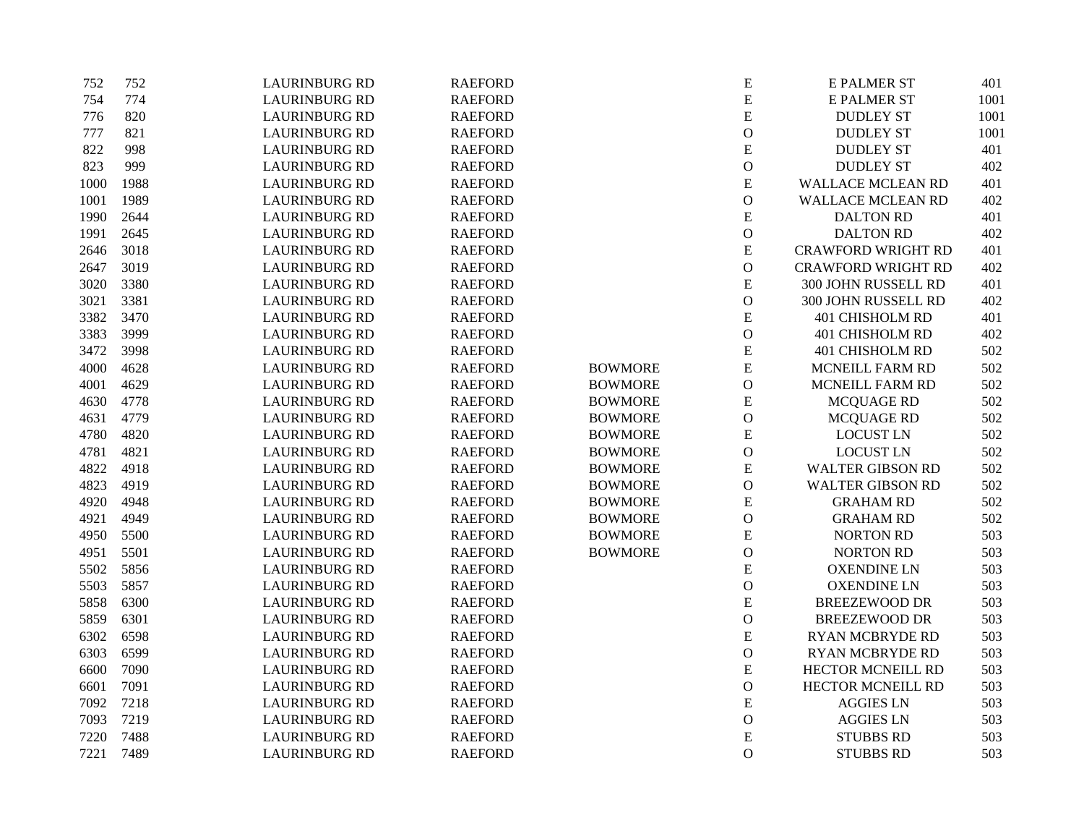| 752  | 752  | <b>LAURINBURG RD</b> | <b>RAEFORD</b> |                | ${\bf E}$     | <b>E PALMER ST</b>        | 401  |
|------|------|----------------------|----------------|----------------|---------------|---------------------------|------|
| 754  | 774  | <b>LAURINBURG RD</b> | <b>RAEFORD</b> |                | E             | <b>E PALMER ST</b>        | 1001 |
| 776  | 820  | <b>LAURINBURG RD</b> | <b>RAEFORD</b> |                | E             | <b>DUDLEY ST</b>          | 1001 |
| 777  | 821  | <b>LAURINBURG RD</b> | <b>RAEFORD</b> |                | $\mathbf O$   | <b>DUDLEY ST</b>          | 1001 |
| 822  | 998  | <b>LAURINBURG RD</b> | <b>RAEFORD</b> |                | ${\bf E}$     | <b>DUDLEY ST</b>          | 401  |
| 823  | 999  | <b>LAURINBURG RD</b> | <b>RAEFORD</b> |                | $\mathcal O$  | <b>DUDLEY ST</b>          | 402  |
| 1000 | 1988 | <b>LAURINBURG RD</b> | <b>RAEFORD</b> |                | E             | <b>WALLACE MCLEAN RD</b>  | 401  |
| 1001 | 1989 | <b>LAURINBURG RD</b> | <b>RAEFORD</b> |                | $\mathbf{O}$  | WALLACE MCLEAN RD         | 402  |
| 1990 | 2644 | <b>LAURINBURG RD</b> | <b>RAEFORD</b> |                | E             | <b>DALTON RD</b>          | 401  |
| 1991 | 2645 | <b>LAURINBURG RD</b> | <b>RAEFORD</b> |                | $\mathbf O$   | <b>DALTON RD</b>          | 402  |
| 2646 | 3018 | <b>LAURINBURG RD</b> | <b>RAEFORD</b> |                | ${\bf E}$     | <b>CRAWFORD WRIGHT RD</b> | 401  |
| 2647 | 3019 | <b>LAURINBURG RD</b> | <b>RAEFORD</b> |                | $\mathcal{O}$ | <b>CRAWFORD WRIGHT RD</b> | 402  |
| 3020 | 3380 | <b>LAURINBURG RD</b> | <b>RAEFORD</b> |                | ${\bf E}$     | 300 JOHN RUSSELL RD       | 401  |
| 3021 | 3381 | <b>LAURINBURG RD</b> | <b>RAEFORD</b> |                | $\mathcal O$  | 300 JOHN RUSSELL RD       | 402  |
| 3382 | 3470 | <b>LAURINBURG RD</b> | <b>RAEFORD</b> |                | ${\bf E}$     | 401 CHISHOLM RD           | 401  |
| 3383 | 3999 | <b>LAURINBURG RD</b> | <b>RAEFORD</b> |                | $\mathbf{O}$  | 401 CHISHOLM RD           | 402  |
| 3472 | 3998 | <b>LAURINBURG RD</b> | <b>RAEFORD</b> |                | ${\bf E}$     | 401 CHISHOLM RD           | 502  |
| 4000 | 4628 | <b>LAURINBURG RD</b> | <b>RAEFORD</b> | <b>BOWMORE</b> | ${\bf E}$     | MCNEILL FARM RD           | 502  |
| 4001 | 4629 | <b>LAURINBURG RD</b> | <b>RAEFORD</b> | <b>BOWMORE</b> | $\mathbf O$   | MCNEILL FARM RD           | 502  |
| 4630 | 4778 | <b>LAURINBURG RD</b> | <b>RAEFORD</b> | <b>BOWMORE</b> | ${\bf E}$     | MCQUAGE RD                | 502  |
| 4631 | 4779 | <b>LAURINBURG RD</b> | <b>RAEFORD</b> | <b>BOWMORE</b> | $\mathcal O$  | <b>MCQUAGE RD</b>         | 502  |
| 4780 | 4820 | <b>LAURINBURG RD</b> | <b>RAEFORD</b> | <b>BOWMORE</b> | ${\bf E}$     | <b>LOCUST LN</b>          | 502  |
| 4781 | 4821 | <b>LAURINBURG RD</b> | <b>RAEFORD</b> | <b>BOWMORE</b> | $\mathcal{O}$ | <b>LOCUST LN</b>          | 502  |
| 4822 | 4918 | <b>LAURINBURG RD</b> | <b>RAEFORD</b> | <b>BOWMORE</b> | E             | <b>WALTER GIBSON RD</b>   | 502  |
| 4823 | 4919 | <b>LAURINBURG RD</b> | <b>RAEFORD</b> | <b>BOWMORE</b> | $\mathcal O$  | <b>WALTER GIBSON RD</b>   | 502  |
| 4920 | 4948 | <b>LAURINBURG RD</b> | <b>RAEFORD</b> | <b>BOWMORE</b> | E             | <b>GRAHAM RD</b>          | 502  |
| 4921 | 4949 | <b>LAURINBURG RD</b> | <b>RAEFORD</b> | <b>BOWMORE</b> | $\mathcal{O}$ | <b>GRAHAM RD</b>          | 502  |
| 4950 | 5500 | <b>LAURINBURG RD</b> | <b>RAEFORD</b> | <b>BOWMORE</b> | ${\bf E}$     | <b>NORTON RD</b>          | 503  |
| 4951 | 5501 | <b>LAURINBURG RD</b> | <b>RAEFORD</b> | <b>BOWMORE</b> | $\mathcal{O}$ | NORTON RD                 | 503  |
| 5502 | 5856 | <b>LAURINBURG RD</b> | <b>RAEFORD</b> |                | ${\bf E}$     | <b>OXENDINE LN</b>        | 503  |
| 5503 | 5857 | <b>LAURINBURG RD</b> | <b>RAEFORD</b> |                | $\mathbf{O}$  | <b>OXENDINE LN</b>        | 503  |
| 5858 | 6300 | <b>LAURINBURG RD</b> | <b>RAEFORD</b> |                | $\mathbf E$   | <b>BREEZEWOOD DR</b>      | 503  |
| 5859 | 6301 | <b>LAURINBURG RD</b> | <b>RAEFORD</b> |                | $\mathcal O$  | <b>BREEZEWOOD DR</b>      | 503  |
| 6302 | 6598 | <b>LAURINBURG RD</b> | <b>RAEFORD</b> |                | ${\bf E}$     | <b>RYAN MCBRYDE RD</b>    | 503  |
| 6303 | 6599 | <b>LAURINBURG RD</b> | <b>RAEFORD</b> |                | ${\rm O}$     | <b>RYAN MCBRYDE RD</b>    | 503  |
| 6600 | 7090 | <b>LAURINBURG RD</b> | <b>RAEFORD</b> |                | ${\bf E}$     | HECTOR MCNEILL RD         | 503  |
| 6601 | 7091 | <b>LAURINBURG RD</b> | <b>RAEFORD</b> |                | $\mathcal O$  | HECTOR MCNEILL RD         | 503  |
| 7092 | 7218 | <b>LAURINBURG RD</b> | <b>RAEFORD</b> |                | ${\bf E}$     | <b>AGGIES LN</b>          | 503  |
| 7093 | 7219 | <b>LAURINBURG RD</b> | <b>RAEFORD</b> |                | $\mathbf{O}$  | <b>AGGIES LN</b>          | 503  |
| 7220 | 7488 | <b>LAURINBURG RD</b> | <b>RAEFORD</b> |                | E             | <b>STUBBS RD</b>          | 503  |
| 7221 | 7489 | <b>LAURINBURG RD</b> | <b>RAEFORD</b> |                | $\mathbf{O}$  | <b>STUBBS RD</b>          | 503  |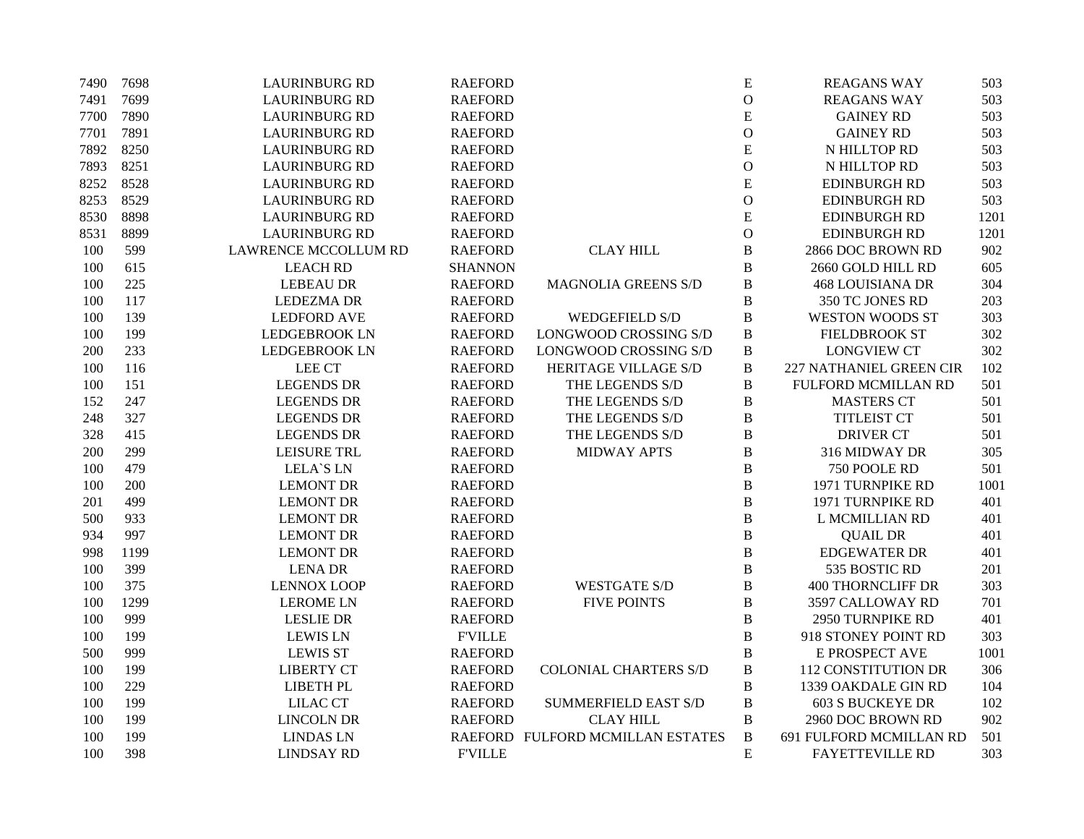| 7490 | 7698 | <b>LAURINBURG RD</b>        | <b>RAEFORD</b> |                                  | ${\bf E}$     | <b>REAGANS WAY</b>       | 503  |
|------|------|-----------------------------|----------------|----------------------------------|---------------|--------------------------|------|
| 7491 | 7699 | <b>LAURINBURG RD</b>        | <b>RAEFORD</b> |                                  | $\mathcal{O}$ | <b>REAGANS WAY</b>       | 503  |
| 7700 | 7890 | <b>LAURINBURG RD</b>        | <b>RAEFORD</b> |                                  | ${\bf E}$     | <b>GAINEY RD</b>         | 503  |
| 7701 | 7891 | <b>LAURINBURG RD</b>        | <b>RAEFORD</b> |                                  | $\mathcal{O}$ | <b>GAINEY RD</b>         | 503  |
| 7892 | 8250 | <b>LAURINBURG RD</b>        | <b>RAEFORD</b> |                                  | ${\bf E}$     | N HILLTOP RD             | 503  |
| 7893 | 8251 | <b>LAURINBURG RD</b>        | <b>RAEFORD</b> |                                  | $\mathbf{O}$  | N HILLTOP RD             | 503  |
| 8252 | 8528 | <b>LAURINBURG RD</b>        | <b>RAEFORD</b> |                                  | ${\bf E}$     | <b>EDINBURGH RD</b>      | 503  |
| 8253 | 8529 | <b>LAURINBURG RD</b>        | <b>RAEFORD</b> |                                  | $\mathbf{O}$  | <b>EDINBURGH RD</b>      | 503  |
| 8530 | 8898 | <b>LAURINBURG RD</b>        | <b>RAEFORD</b> |                                  | ${\bf E}$     | <b>EDINBURGH RD</b>      | 1201 |
| 8531 | 8899 | <b>LAURINBURG RD</b>        | <b>RAEFORD</b> |                                  | $\mathcal{O}$ | <b>EDINBURGH RD</b>      | 1201 |
| 100  | 599  | <b>LAWRENCE MCCOLLUM RD</b> | <b>RAEFORD</b> | <b>CLAY HILL</b>                 | B             | 2866 DOC BROWN RD        | 902  |
| 100  | 615  | <b>LEACH RD</b>             | <b>SHANNON</b> |                                  | B             | 2660 GOLD HILL RD        | 605  |
| 100  | 225  | <b>LEBEAU DR</b>            | <b>RAEFORD</b> | MAGNOLIA GREENS S/D              | B             | <b>468 LOUISIANA DR</b>  | 304  |
| 100  | 117  | <b>LEDEZMA DR</b>           | <b>RAEFORD</b> |                                  | B             | 350 TC JONES RD          | 203  |
| 100  | 139  | <b>LEDFORD AVE</b>          | <b>RAEFORD</b> | <b>WEDGEFIELD S/D</b>            | B             | <b>WESTON WOODS ST</b>   | 303  |
| 100  | 199  | <b>LEDGEBROOK LN</b>        | <b>RAEFORD</b> | LONGWOOD CROSSING S/D            | $\, {\bf B}$  | <b>FIELDBROOK ST</b>     | 302  |
| 200  | 233  | <b>LEDGEBROOK LN</b>        | <b>RAEFORD</b> | LONGWOOD CROSSING S/D            | $\, {\bf B}$  | <b>LONGVIEW CT</b>       | 302  |
| 100  | 116  | LEE CT                      | <b>RAEFORD</b> | HERITAGE VILLAGE S/D             | B             | 227 NATHANIEL GREEN CIR  | 102  |
| 100  | 151  | <b>LEGENDS DR</b>           | <b>RAEFORD</b> | THE LEGENDS S/D                  | $\, {\bf B}$  | FULFORD MCMILLAN RD      | 501  |
| 152  | 247  | <b>LEGENDS DR</b>           | <b>RAEFORD</b> | THE LEGENDS S/D                  | B             | <b>MASTERS CT</b>        | 501  |
| 248  | 327  | <b>LEGENDS DR</b>           | <b>RAEFORD</b> | THE LEGENDS S/D                  | B             | <b>TITLEIST CT</b>       | 501  |
| 328  | 415  | <b>LEGENDS DR</b>           | <b>RAEFORD</b> | THE LEGENDS S/D                  | $\, {\bf B}$  | <b>DRIVER CT</b>         | 501  |
| 200  | 299  | LEISURE TRL                 | <b>RAEFORD</b> | <b>MIDWAY APTS</b>               | B             | 316 MIDWAY DR            | 305  |
| 100  | 479  | <b>LELA'S LN</b>            | <b>RAEFORD</b> |                                  | B             | 750 POOLE RD             | 501  |
| 100  | 200  | <b>LEMONT DR</b>            | <b>RAEFORD</b> |                                  | $\, {\bf B}$  | 1971 TURNPIKE RD         | 1001 |
| 201  | 499  | <b>LEMONT DR</b>            | <b>RAEFORD</b> |                                  | B             | 1971 TURNPIKE RD         | 401  |
| 500  | 933  | <b>LEMONT DR</b>            | <b>RAEFORD</b> |                                  | $\, {\bf B}$  | L MCMILLIAN RD           | 401  |
| 934  | 997  | <b>LEMONT DR</b>            | <b>RAEFORD</b> |                                  | $\, {\bf B}$  | <b>QUAIL DR</b>          | 401  |
| 998  | 1199 | <b>LEMONT DR</b>            | <b>RAEFORD</b> |                                  | $\, {\bf B}$  | <b>EDGEWATER DR</b>      | 401  |
| 100  | 399  | <b>LENA DR</b>              | <b>RAEFORD</b> |                                  | $\, {\bf B}$  | 535 BOSTIC RD            | 201  |
| 100  | 375  | <b>LENNOX LOOP</b>          | <b>RAEFORD</b> | <b>WESTGATE S/D</b>              | $\, {\bf B}$  | <b>400 THORNCLIFF DR</b> | 303  |
| 100  | 1299 | <b>LEROME LN</b>            | <b>RAEFORD</b> | <b>FIVE POINTS</b>               | $\, {\bf B}$  | 3597 CALLOWAY RD         | 701  |
| 100  | 999  | <b>LESLIE DR</b>            | <b>RAEFORD</b> |                                  | $\, {\bf B}$  | 2950 TURNPIKE RD         | 401  |
| 100  | 199  | <b>LEWIS LN</b>             | <b>FVILLE</b>  |                                  | $\, {\bf B}$  | 918 STONEY POINT RD      | 303  |
| 500  | 999  | <b>LEWIS ST</b>             | <b>RAEFORD</b> |                                  | B             | E PROSPECT AVE           | 1001 |
| 100  | 199  | <b>LIBERTY CT</b>           | <b>RAEFORD</b> | <b>COLONIAL CHARTERS S/D</b>     | $\, {\bf B}$  | 112 CONSTITUTION DR      | 306  |
| 100  | 229  | <b>LIBETH PL</b>            | <b>RAEFORD</b> |                                  | $\, {\bf B}$  | 1339 OAKDALE GIN RD      | 104  |
| 100  | 199  | <b>LILAC CT</b>             | <b>RAEFORD</b> | <b>SUMMERFIELD EAST S/D</b>      | $\, {\bf B}$  | <b>603 S BUCKEYE DR</b>  | 102  |
| 100  | 199  | <b>LINCOLN DR</b>           | <b>RAEFORD</b> | <b>CLAY HILL</b>                 | $\, {\bf B}$  | 2960 DOC BROWN RD        | 902  |
| 100  | 199  | <b>LINDAS LN</b>            |                | RAEFORD FULFORD MCMILLAN ESTATES | $\, {\bf B}$  | 691 FULFORD MCMILLAN RD  | 501  |
| 100  | 398  | <b>LINDSAY RD</b>           | <b>F'VILLE</b> |                                  | ${\bf E}$     | <b>FAYETTEVILLE RD</b>   | 303  |
|      |      |                             |                |                                  |               |                          |      |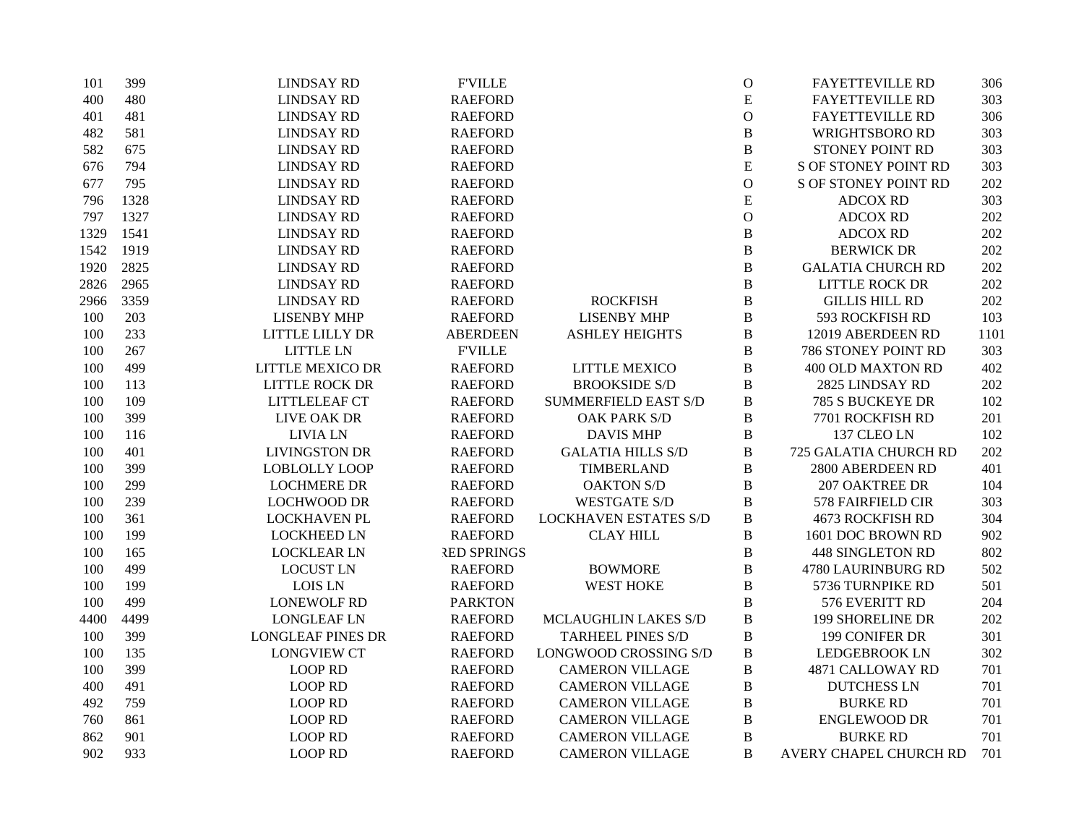| 101  | 399  | <b>LINDSAY RD</b>        | <b>F'VILLE</b>     |                              | $\mathcal{O}$ | <b>FAYETTEVILLE RD</b>      | 306  |
|------|------|--------------------------|--------------------|------------------------------|---------------|-----------------------------|------|
| 400  | 480  | <b>LINDSAY RD</b>        | <b>RAEFORD</b>     |                              | ${\bf E}$     | <b>FAYETTEVILLE RD</b>      | 303  |
| 401  | 481  | <b>LINDSAY RD</b>        | <b>RAEFORD</b>     |                              | $\mathbf{O}$  | <b>FAYETTEVILLE RD</b>      | 306  |
| 482  | 581  | <b>LINDSAY RD</b>        | <b>RAEFORD</b>     |                              | $\bf{B}$      | <b>WRIGHTSBORO RD</b>       | 303  |
| 582  | 675  | <b>LINDSAY RD</b>        | <b>RAEFORD</b>     |                              | $\, {\bf B}$  | STONEY POINT RD             | 303  |
| 676  | 794  | <b>LINDSAY RD</b>        | <b>RAEFORD</b>     |                              | ${\bf E}$     | <b>S OF STONEY POINT RD</b> | 303  |
| 677  | 795  | <b>LINDSAY RD</b>        | <b>RAEFORD</b>     |                              | $\mathbf{O}$  | <b>S OF STONEY POINT RD</b> | 202  |
| 796  | 1328 | <b>LINDSAY RD</b>        | <b>RAEFORD</b>     |                              | ${\bf E}$     | <b>ADCOX RD</b>             | 303  |
| 797  | 1327 | <b>LINDSAY RD</b>        | <b>RAEFORD</b>     |                              | $\mathbf O$   | <b>ADCOX RD</b>             | 202  |
| 1329 | 1541 | <b>LINDSAY RD</b>        | <b>RAEFORD</b>     |                              | $\, {\bf B}$  | <b>ADCOX RD</b>             | 202  |
| 1542 | 1919 | <b>LINDSAY RD</b>        | <b>RAEFORD</b>     |                              | $\bf{B}$      | <b>BERWICK DR</b>           | 202  |
| 1920 | 2825 | <b>LINDSAY RD</b>        | <b>RAEFORD</b>     |                              | $\, {\bf B}$  | <b>GALATIA CHURCH RD</b>    | 202  |
| 2826 | 2965 | <b>LINDSAY RD</b>        | <b>RAEFORD</b>     |                              | $\bf{B}$      | <b>LITTLE ROCK DR</b>       | 202  |
| 2966 | 3359 | <b>LINDSAY RD</b>        | <b>RAEFORD</b>     | <b>ROCKFISH</b>              | $\bf{B}$      | <b>GILLIS HILL RD</b>       | 202  |
| 100  | 203  | <b>LISENBY MHP</b>       | <b>RAEFORD</b>     | <b>LISENBY MHP</b>           | $\bf{B}$      | 593 ROCKFISH RD             | 103  |
| 100  | 233  | LITTLE LILLY DR          | <b>ABERDEEN</b>    | <b>ASHLEY HEIGHTS</b>        | $\, {\bf B}$  | 12019 ABERDEEN RD           | 1101 |
| 100  | 267  | <b>LITTLE LN</b>         | <b>FVILLE</b>      |                              | $\bf{B}$      | 786 STONEY POINT RD         | 303  |
| 100  | 499  | <b>LITTLE MEXICO DR</b>  | <b>RAEFORD</b>     | LITTLE MEXICO                | $\bf{B}$      | 400 OLD MAXTON RD           | 402  |
| 100  | 113  | LITTLE ROCK DR           | <b>RAEFORD</b>     | <b>BROOKSIDE S/D</b>         | $\bf{B}$      | 2825 LINDSAY RD             | 202  |
| 100  | 109  | LITTLELEAF CT            | <b>RAEFORD</b>     | <b>SUMMERFIELD EAST S/D</b>  | $\bf{B}$      | 785 S BUCKEYE DR            | 102  |
| 100  | 399  | LIVE OAK DR              | <b>RAEFORD</b>     | <b>OAK PARK S/D</b>          | $\bf{B}$      | 7701 ROCKFISH RD            | 201  |
| 100  | 116  | <b>LIVIA LN</b>          | <b>RAEFORD</b>     | <b>DAVIS MHP</b>             | $\, {\bf B}$  | 137 CLEO LN                 | 102  |
| 100  | 401  | <b>LIVINGSTON DR</b>     | <b>RAEFORD</b>     | <b>GALATIA HILLS S/D</b>     | $\, {\bf B}$  | 725 GALATIA CHURCH RD       | 202  |
| 100  | 399  | <b>LOBLOLLY LOOP</b>     | <b>RAEFORD</b>     | TIMBERLAND                   | $\, {\bf B}$  | 2800 ABERDEEN RD            | 401  |
| 100  | 299  | <b>LOCHMERE DR</b>       | <b>RAEFORD</b>     | <b>OAKTON S/D</b>            | $\bf{B}$      | <b>207 OAKTREE DR</b>       | 104  |
| 100  | 239  | <b>LOCHWOOD DR</b>       | <b>RAEFORD</b>     | <b>WESTGATE S/D</b>          | $\, {\bf B}$  | 578 FAIRFIELD CIR           | 303  |
| 100  | 361  | <b>LOCKHAVEN PL</b>      | <b>RAEFORD</b>     | <b>LOCKHAVEN ESTATES S/D</b> | $\, {\bf B}$  | <b>4673 ROCKFISH RD</b>     | 304  |
| 100  | 199  | <b>LOCKHEED LN</b>       | <b>RAEFORD</b>     | <b>CLAY HILL</b>             | $\, {\bf B}$  | 1601 DOC BROWN RD           | 902  |
| 100  | 165  | <b>LOCKLEAR LN</b>       | <b>RED SPRINGS</b> |                              | $\, {\bf B}$  | <b>448 SINGLETON RD</b>     | 802  |
| 100  | 499  | <b>LOCUST LN</b>         | <b>RAEFORD</b>     | <b>BOWMORE</b>               | $\, {\bf B}$  | 4780 LAURINBURG RD          | 502  |
| 100  | 199  | <b>LOIS LN</b>           | <b>RAEFORD</b>     | <b>WEST HOKE</b>             | $\bf{B}$      | 5736 TURNPIKE RD            | 501  |
| 100  | 499  | <b>LONEWOLF RD</b>       | <b>PARKTON</b>     |                              | $\bf{B}$      | 576 EVERITT RD              | 204  |
| 4400 | 4499 | <b>LONGLEAF LN</b>       | <b>RAEFORD</b>     | MCLAUGHLIN LAKES S/D         | $\bf{B}$      | <b>199 SHORELINE DR</b>     | 202  |
| 100  | 399  | <b>LONGLEAF PINES DR</b> | <b>RAEFORD</b>     | <b>TARHEEL PINES S/D</b>     | $\bf{B}$      | 199 CONIFER DR              | 301  |
| 100  | 135  | <b>LONGVIEW CT</b>       | <b>RAEFORD</b>     | LONGWOOD CROSSING S/D        | $\, {\bf B}$  | <b>LEDGEBROOK LN</b>        | 302  |
| 100  | 399  | <b>LOOP RD</b>           | <b>RAEFORD</b>     | <b>CAMERON VILLAGE</b>       | $\, {\bf B}$  | 4871 CALLOWAY RD            | 701  |
| 400  | 491  | <b>LOOP RD</b>           | <b>RAEFORD</b>     | <b>CAMERON VILLAGE</b>       | $\bf{B}$      | <b>DUTCHESS LN</b>          | 701  |
| 492  | 759  | <b>LOOP RD</b>           | <b>RAEFORD</b>     | <b>CAMERON VILLAGE</b>       | $\, {\bf B}$  | <b>BURKE RD</b>             | 701  |
| 760  | 861  | <b>LOOP RD</b>           | <b>RAEFORD</b>     | <b>CAMERON VILLAGE</b>       | $\, {\bf B}$  | <b>ENGLEWOOD DR</b>         | 701  |
| 862  | 901  | <b>LOOP RD</b>           | <b>RAEFORD</b>     | <b>CAMERON VILLAGE</b>       | $\bf{B}$      | <b>BURKE RD</b>             | 701  |
| 902  | 933  | <b>LOOP RD</b>           | <b>RAEFORD</b>     | <b>CAMERON VILLAGE</b>       | B             | AVERY CHAPEL CHURCH RD      | 701  |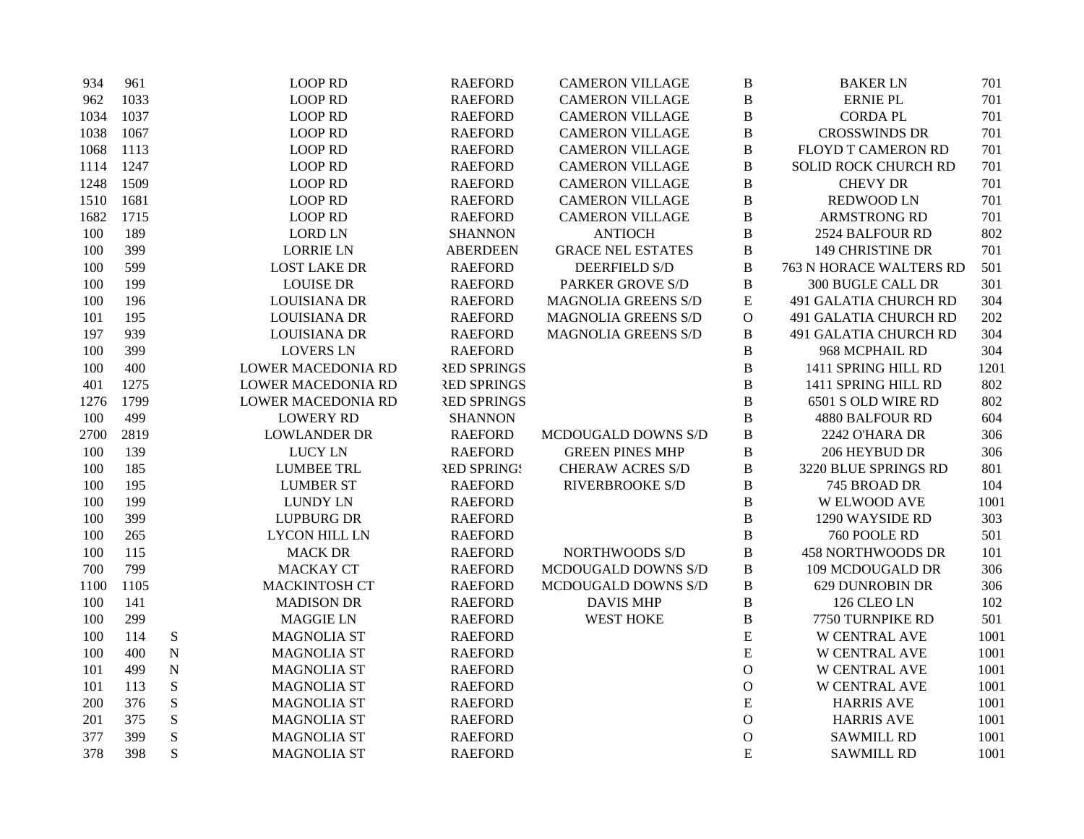| 934  | 961  |           | <b>LOOP RD</b>            | <b>RAEFORD</b>     | <b>CAMERON VILLAGE</b>   | $\bf{B}$     | <b>BAKER LN</b>                | 701  |
|------|------|-----------|---------------------------|--------------------|--------------------------|--------------|--------------------------------|------|
| 962  | 1033 |           | <b>LOOP RD</b>            | <b>RAEFORD</b>     | <b>CAMERON VILLAGE</b>   | $\bf{B}$     | <b>ERNIE PL</b>                | 701  |
| 1034 | 1037 |           | <b>LOOP RD</b>            | <b>RAEFORD</b>     | <b>CAMERON VILLAGE</b>   | $\bf{B}$     | <b>CORDA PL</b>                | 701  |
| 1038 | 1067 |           | <b>LOOP RD</b>            | <b>RAEFORD</b>     | <b>CAMERON VILLAGE</b>   | $\bf{B}$     | <b>CROSSWINDS DR</b>           | 701  |
| 1068 | 1113 |           | <b>LOOP RD</b>            | <b>RAEFORD</b>     | <b>CAMERON VILLAGE</b>   | $\bf{B}$     | FLOYD T CAMERON RD             | 701  |
| 1114 | 1247 |           | <b>LOOP RD</b>            | <b>RAEFORD</b>     | <b>CAMERON VILLAGE</b>   | $\, {\bf B}$ | SOLID ROCK CHURCH RD           | 701  |
| 1248 | 1509 |           | <b>LOOP RD</b>            | <b>RAEFORD</b>     | <b>CAMERON VILLAGE</b>   | $\bf{B}$     | <b>CHEVY DR</b>                | 701  |
| 1510 | 1681 |           | <b>LOOP RD</b>            | <b>RAEFORD</b>     | <b>CAMERON VILLAGE</b>   | $\bf{B}$     | <b>REDWOOD LN</b>              | 701  |
| 1682 | 1715 |           | <b>LOOP RD</b>            | <b>RAEFORD</b>     | <b>CAMERON VILLAGE</b>   | $\, {\bf B}$ | <b>ARMSTRONG RD</b>            | 701  |
| 100  | 189  |           | <b>LORD LN</b>            | <b>SHANNON</b>     | <b>ANTIOCH</b>           | $\bf{B}$     | 2524 BALFOUR RD                | 802  |
| 100  | 399  |           | <b>LORRIE LN</b>          | <b>ABERDEEN</b>    | <b>GRACE NEL ESTATES</b> | $\, {\bf B}$ | <b>149 CHRISTINE DR</b>        | 701  |
| 100  | 599  |           | <b>LOST LAKE DR</b>       | <b>RAEFORD</b>     | <b>DEERFIELD S/D</b>     | $\bf{B}$     | <b>763 N HORACE WALTERS RD</b> | 501  |
| 100  | 199  |           | <b>LOUISE DR</b>          | <b>RAEFORD</b>     | <b>PARKER GROVE S/D</b>  | $\, {\bf B}$ | <b>300 BUGLE CALL DR</b>       | 301  |
| 100  | 196  |           | <b>LOUISIANA DR</b>       | <b>RAEFORD</b>     | MAGNOLIA GREENS S/D      | ${\bf E}$    | <b>491 GALATIA CHURCH RD</b>   | 304  |
| 101  | 195  |           | <b>LOUISIANA DR</b>       | <b>RAEFORD</b>     | MAGNOLIA GREENS S/D      | $\mathbf{O}$ | 491 GALATIA CHURCH RD          | 202  |
| 197  | 939  |           | LOUISIANA DR              | <b>RAEFORD</b>     | MAGNOLIA GREENS S/D      | $\, {\bf B}$ | 491 GALATIA CHURCH RD          | 304  |
| 100  | 399  |           | <b>LOVERS LN</b>          | <b>RAEFORD</b>     |                          | $\bf{B}$     | 968 MCPHAIL RD                 | 304  |
| 100  | 400  |           | <b>LOWER MACEDONIA RD</b> | <b>RED SPRINGS</b> |                          | $\, {\bf B}$ | 1411 SPRING HILL RD            | 1201 |
| 401  | 1275 |           | <b>LOWER MACEDONIA RD</b> | <b>RED SPRINGS</b> |                          | $\bf{B}$     | 1411 SPRING HILL RD            | 802  |
| 1276 | 1799 |           | <b>LOWER MACEDONIA RD</b> | <b>RED SPRINGS</b> |                          | $\bf{B}$     | 6501 S OLD WIRE RD             | 802  |
| 100  | 499  |           | <b>LOWERY RD</b>          | <b>SHANNON</b>     |                          | $\bf{B}$     | <b>4880 BALFOUR RD</b>         | 604  |
| 2700 | 2819 |           | <b>LOWLANDER DR</b>       | <b>RAEFORD</b>     | MCDOUGALD DOWNS S/D      | $\, {\bf B}$ | 2242 O'HARA DR                 | 306  |
| 100  | 139  |           | <b>LUCY LN</b>            | <b>RAEFORD</b>     | <b>GREEN PINES MHP</b>   | $\, {\bf B}$ | 206 HEYBUD DR                  | 306  |
| 100  | 185  |           | <b>LUMBEE TRL</b>         | <b>RED SPRING!</b> | <b>CHERAW ACRES S/D</b>  | $\, {\bf B}$ | 3220 BLUE SPRINGS RD           | 801  |
| 100  | 195  |           | <b>LUMBER ST</b>          | <b>RAEFORD</b>     | <b>RIVERBROOKE S/D</b>   | $\bf{B}$     | 745 BROAD DR                   | 104  |
| 100  | 199  |           | <b>LUNDY LN</b>           | <b>RAEFORD</b>     |                          | $\bf{B}$     | W ELWOOD AVE                   | 1001 |
| 100  | 399  |           | <b>LUPBURG DR</b>         | <b>RAEFORD</b>     |                          | $\bf{B}$     | 1290 WAYSIDE RD                | 303  |
| 100  | 265  |           | <b>LYCON HILL LN</b>      | <b>RAEFORD</b>     |                          | $\bf{B}$     | 760 POOLE RD                   | 501  |
| 100  | 115  |           | <b>MACK DR</b>            | <b>RAEFORD</b>     | NORTHWOODS S/D           | $\bf{B}$     | <b>458 NORTHWOODS DR</b>       | 101  |
| 700  | 799  |           | <b>MACKAY CT</b>          | <b>RAEFORD</b>     | MCDOUGALD DOWNS S/D      | $\bf{B}$     | 109 MCDOUGALD DR               | 306  |
| 1100 | 1105 |           | <b>MACKINTOSH CT</b>      | <b>RAEFORD</b>     | MCDOUGALD DOWNS S/D      | $\bf{B}$     | 629 DUNROBIN DR                | 306  |
| 100  | 141  |           | <b>MADISON DR</b>         | <b>RAEFORD</b>     | <b>DAVIS MHP</b>         | $\bf{B}$     | 126 CLEO LN                    | 102  |
| 100  | 299  |           | <b>MAGGIE LN</b>          | <b>RAEFORD</b>     | <b>WEST HOKE</b>         | $\bf{B}$     | 7750 TURNPIKE RD               | 501  |
| 100  | 114  | ${\bf S}$ | <b>MAGNOLIA ST</b>        | <b>RAEFORD</b>     |                          | ${\bf E}$    | <b>W CENTRAL AVE</b>           | 1001 |
| 100  | 400  | ${\bf N}$ | <b>MAGNOLIA ST</b>        | <b>RAEFORD</b>     |                          | ${\bf E}$    | <b>W CENTRAL AVE</b>           | 1001 |
| 101  | 499  | ${\bf N}$ | <b>MAGNOLIA ST</b>        | <b>RAEFORD</b>     |                          | $\mathbf{O}$ | <b>W CENTRAL AVE</b>           | 1001 |
| 101  | 113  | ${\bf S}$ | <b>MAGNOLIA ST</b>        | <b>RAEFORD</b>     |                          | $\mathbf{O}$ | <b>W CENTRAL AVE</b>           | 1001 |
| 200  | 376  | ${\bf S}$ | <b>MAGNOLIA ST</b>        | <b>RAEFORD</b>     |                          | ${\bf E}$    | <b>HARRIS AVE</b>              | 1001 |
| 201  | 375  | ${\bf S}$ | <b>MAGNOLIA ST</b>        | <b>RAEFORD</b>     |                          | $\mathbf{O}$ | <b>HARRIS AVE</b>              | 1001 |
| 377  | 399  | ${\bf S}$ | <b>MAGNOLIA ST</b>        | <b>RAEFORD</b>     |                          | $\mathbf{O}$ | <b>SAWMILL RD</b>              | 1001 |
| 378  | 398  | S         | <b>MAGNOLIA ST</b>        | <b>RAEFORD</b>     |                          | E            | <b>SAWMILL RD</b>              | 1001 |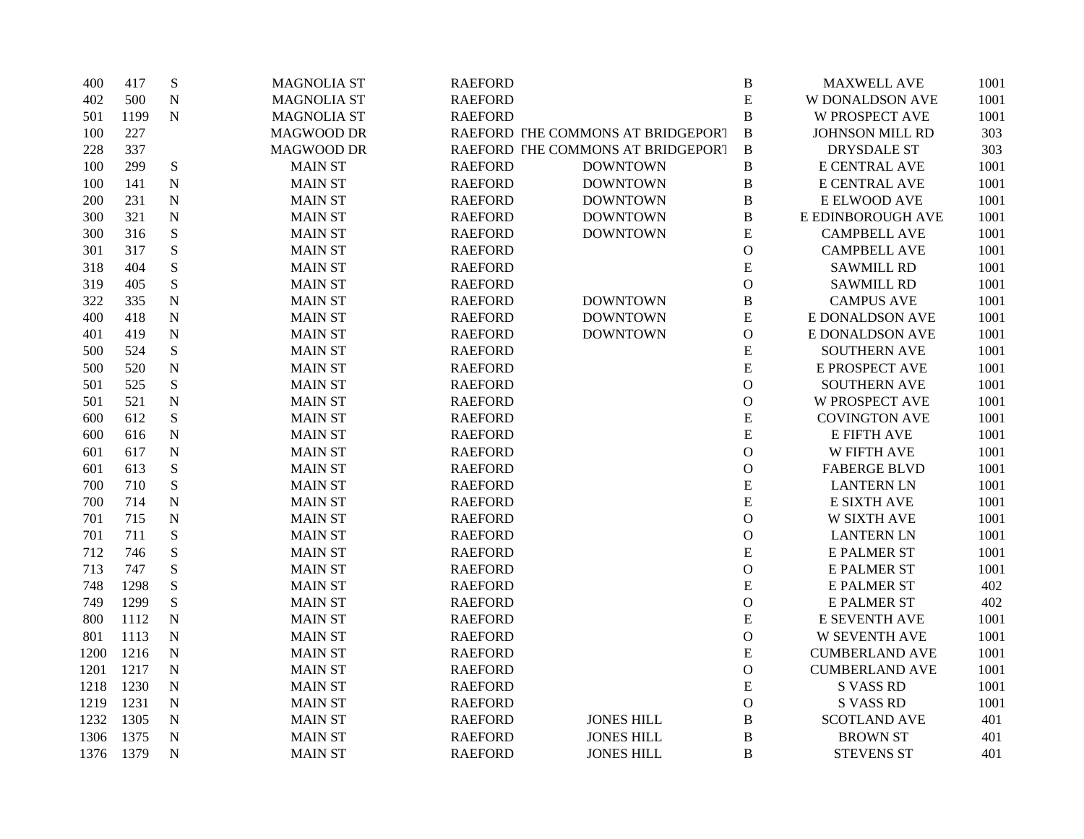| 400  | 417  | ${\bf S}$   | <b>MAGNOLIA ST</b> | <b>RAEFORD</b> |                                   | $\, {\bf B}$  | <b>MAXWELL AVE</b>     | 1001 |
|------|------|-------------|--------------------|----------------|-----------------------------------|---------------|------------------------|------|
| 402  | 500  | $\mathbf N$ | <b>MAGNOLIA ST</b> | <b>RAEFORD</b> |                                   | ${\bf E}$     | <b>W DONALDSON AVE</b> | 1001 |
| 501  | 1199 | ${\bf N}$   | <b>MAGNOLIA ST</b> | <b>RAEFORD</b> |                                   | $\, {\bf B}$  | <b>W PROSPECT AVE</b>  | 1001 |
| 100  | 227  |             | MAGWOOD DR         |                | RAEFORD THE COMMONS AT BRIDGEPORT | $\, {\bf B}$  | JOHNSON MILL RD        | 303  |
| 228  | 337  |             | MAGWOOD DR         |                | RAEFORD THE COMMONS AT BRIDGEPORT | $\, {\bf B}$  | <b>DRYSDALE ST</b>     | 303  |
| 100  | 299  | ${\bf S}$   | <b>MAIN ST</b>     | <b>RAEFORD</b> | <b>DOWNTOWN</b>                   | $\, {\bf B}$  | E CENTRAL AVE          | 1001 |
| 100  | 141  | ${\bf N}$   | <b>MAIN ST</b>     | <b>RAEFORD</b> | <b>DOWNTOWN</b>                   | $\, {\bf B}$  | E CENTRAL AVE          | 1001 |
| 200  | 231  | $\mathbf N$ | <b>MAIN ST</b>     | <b>RAEFORD</b> | <b>DOWNTOWN</b>                   | $\, {\bf B}$  | E ELWOOD AVE           | 1001 |
| 300  | 321  | ${\bf N}$   | <b>MAIN ST</b>     | <b>RAEFORD</b> | <b>DOWNTOWN</b>                   | $\, {\bf B}$  | E EDINBOROUGH AVE      | 1001 |
| 300  | 316  | ${\bf S}$   | <b>MAIN ST</b>     | <b>RAEFORD</b> | <b>DOWNTOWN</b>                   | ${\bf E}$     | <b>CAMPBELL AVE</b>    | 1001 |
| 301  | 317  | ${\bf S}$   | <b>MAIN ST</b>     | <b>RAEFORD</b> |                                   | $\mathbf{O}$  | <b>CAMPBELL AVE</b>    | 1001 |
| 318  | 404  | S           | <b>MAIN ST</b>     | <b>RAEFORD</b> |                                   | ${\bf E}$     | <b>SAWMILL RD</b>      | 1001 |
| 319  | 405  | ${\bf S}$   | <b>MAIN ST</b>     | <b>RAEFORD</b> |                                   | $\mathcal{O}$ | <b>SAWMILL RD</b>      | 1001 |
| 322  | 335  | $\mathbf N$ | <b>MAIN ST</b>     | <b>RAEFORD</b> | <b>DOWNTOWN</b>                   | $\, {\bf B}$  | <b>CAMPUS AVE</b>      | 1001 |
| 400  | 418  | ${\bf N}$   | <b>MAIN ST</b>     | <b>RAEFORD</b> | <b>DOWNTOWN</b>                   | ${\bf E}$     | E DONALDSON AVE        | 1001 |
| 401  | 419  | ${\bf N}$   | <b>MAIN ST</b>     | <b>RAEFORD</b> | <b>DOWNTOWN</b>                   | $\mathcal{O}$ | E DONALDSON AVE        | 1001 |
| 500  | 524  | ${\bf S}$   | <b>MAIN ST</b>     | <b>RAEFORD</b> |                                   | ${\bf E}$     | <b>SOUTHERN AVE</b>    | 1001 |
| 500  | 520  | ${\bf N}$   | <b>MAIN ST</b>     | <b>RAEFORD</b> |                                   | ${\bf E}$     | E PROSPECT AVE         | 1001 |
| 501  | 525  | S           | <b>MAIN ST</b>     | <b>RAEFORD</b> |                                   | $\mathbf{O}$  | <b>SOUTHERN AVE</b>    | 1001 |
| 501  | 521  | $\mathbf N$ | <b>MAIN ST</b>     | <b>RAEFORD</b> |                                   | $\mathcal{O}$ | <b>W PROSPECT AVE</b>  | 1001 |
| 600  | 612  | ${\bf S}$   | <b>MAIN ST</b>     | <b>RAEFORD</b> |                                   | ${\bf E}$     | <b>COVINGTON AVE</b>   | 1001 |
| 600  | 616  | ${\bf N}$   | <b>MAIN ST</b>     | <b>RAEFORD</b> |                                   | ${\bf E}$     | <b>E FIFTH AVE</b>     | 1001 |
| 601  | 617  | $\mathbf N$ | <b>MAIN ST</b>     | <b>RAEFORD</b> |                                   | $\mathbf{O}$  | W FIFTH AVE            | 1001 |
| 601  | 613  | ${\bf S}$   | <b>MAIN ST</b>     | <b>RAEFORD</b> |                                   | $\mathcal{O}$ | <b>FABERGE BLVD</b>    | 1001 |
| 700  | 710  | ${\bf S}$   | <b>MAIN ST</b>     | <b>RAEFORD</b> |                                   | ${\bf E}$     | <b>LANTERN LN</b>      | 1001 |
| 700  | 714  | $\mathbf N$ | <b>MAIN ST</b>     | <b>RAEFORD</b> |                                   | ${\bf E}$     | E SIXTH AVE            | 1001 |
| 701  | 715  | ${\bf N}$   | <b>MAIN ST</b>     | <b>RAEFORD</b> |                                   | $\mathbf{O}$  | <b>W SIXTH AVE</b>     | 1001 |
| 701  | 711  | ${\bf S}$   | <b>MAIN ST</b>     | <b>RAEFORD</b> |                                   | $\mathbf{O}$  | <b>LANTERN LN</b>      | 1001 |
| 712  | 746  | S           | <b>MAIN ST</b>     | <b>RAEFORD</b> |                                   | ${\bf E}$     | <b>E PALMER ST</b>     | 1001 |
| 713  | 747  | S           | <b>MAIN ST</b>     | <b>RAEFORD</b> |                                   | $\mathbf{O}$  | <b>E PALMER ST</b>     | 1001 |
| 748  | 1298 | ${\bf S}$   | <b>MAIN ST</b>     | <b>RAEFORD</b> |                                   | ${\bf E}$     | <b>E PALMER ST</b>     | 402  |
| 749  | 1299 | S           | <b>MAIN ST</b>     | <b>RAEFORD</b> |                                   | $\mathbf{O}$  | <b>E PALMER ST</b>     | 402  |
| 800  | 1112 | ${\bf N}$   | <b>MAIN ST</b>     | <b>RAEFORD</b> |                                   | ${\bf E}$     | E SEVENTH AVE          | 1001 |
| 801  | 1113 | ${\bf N}$   | <b>MAIN ST</b>     | <b>RAEFORD</b> |                                   | $\mathbf{O}$  | <b>W SEVENTH AVE</b>   | 1001 |
| 1200 | 1216 | ${\bf N}$   | <b>MAIN ST</b>     | <b>RAEFORD</b> |                                   | ${\bf E}$     | <b>CUMBERLAND AVE</b>  | 1001 |
| 1201 | 1217 | ${\bf N}$   | <b>MAIN ST</b>     | <b>RAEFORD</b> |                                   | $\mathcal{O}$ | <b>CUMBERLAND AVE</b>  | 1001 |
| 1218 | 1230 | $\mathbf N$ | <b>MAIN ST</b>     | <b>RAEFORD</b> |                                   | ${\bf E}$     | <b>S VASS RD</b>       | 1001 |
| 1219 | 1231 | $\mathbf N$ | <b>MAIN ST</b>     | <b>RAEFORD</b> |                                   | $\mathcal{O}$ | <b>S VASS RD</b>       | 1001 |
| 1232 | 1305 | $\mathbf N$ | <b>MAIN ST</b>     | <b>RAEFORD</b> | <b>JONES HILL</b>                 | $\, {\bf B}$  | <b>SCOTLAND AVE</b>    | 401  |
| 1306 | 1375 | N           | <b>MAIN ST</b>     | <b>RAEFORD</b> | <b>JONES HILL</b>                 | $\, {\bf B}$  | <b>BROWN ST</b>        | 401  |
| 1376 | 1379 | $\mathbf N$ | <b>MAIN ST</b>     | <b>RAEFORD</b> | <b>JONES HILL</b>                 | B             | <b>STEVENS ST</b>      | 401  |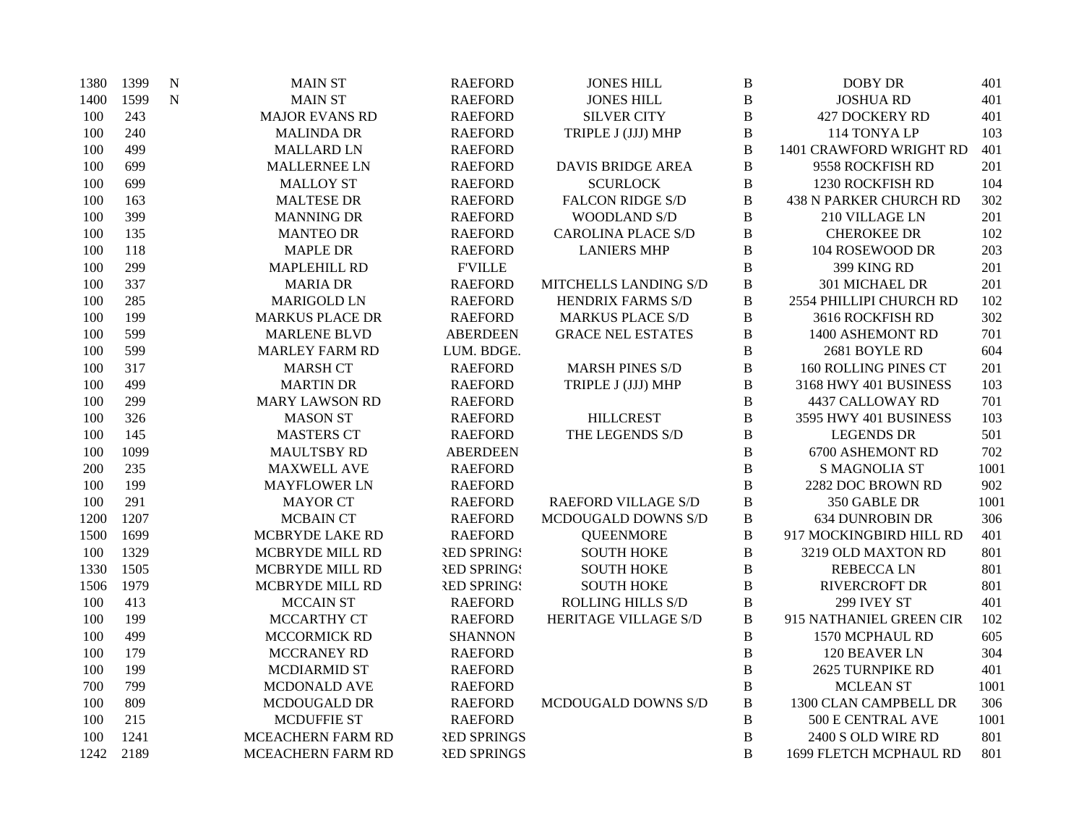| 1380 | 1399 | N         | <b>MAIN ST</b>         | <b>RAEFORD</b>     | <b>JONES HILL</b>          | $\, {\bf B}$ | <b>DOBY DR</b>                | 401  |
|------|------|-----------|------------------------|--------------------|----------------------------|--------------|-------------------------------|------|
| 1400 | 1599 | ${\bf N}$ | <b>MAIN ST</b>         | <b>RAEFORD</b>     | <b>JONES HILL</b>          | $\, {\bf B}$ | <b>JOSHUA RD</b>              | 401  |
| 100  | 243  |           | <b>MAJOR EVANS RD</b>  | <b>RAEFORD</b>     | <b>SILVER CITY</b>         | B            | <b>427 DOCKERY RD</b>         | 401  |
| 100  | 240  |           | <b>MALINDA DR</b>      | <b>RAEFORD</b>     | TRIPLE J (JJJ) MHP         | $\, {\bf B}$ | 114 TONYA LP                  | 103  |
| 100  | 499  |           | <b>MALLARD LN</b>      | <b>RAEFORD</b>     |                            | $\bf{B}$     | 1401 CRAWFORD WRIGHT RD       | 401  |
| 100  | 699  |           | <b>MALLERNEE LN</b>    | <b>RAEFORD</b>     | <b>DAVIS BRIDGE AREA</b>   | $\, {\bf B}$ | 9558 ROCKFISH RD              | 201  |
| 100  | 699  |           | <b>MALLOY ST</b>       | <b>RAEFORD</b>     | <b>SCURLOCK</b>            | B            | 1230 ROCKFISH RD              | 104  |
| 100  | 163  |           | <b>MALTESE DR</b>      | <b>RAEFORD</b>     | <b>FALCON RIDGE S/D</b>    | B            | <b>438 N PARKER CHURCH RD</b> | 302  |
| 100  | 399  |           | <b>MANNING DR</b>      | <b>RAEFORD</b>     | <b>WOODLAND S/D</b>        | B            | 210 VILLAGE LN                | 201  |
| 100  | 135  |           | <b>MANTEO DR</b>       | <b>RAEFORD</b>     | <b>CAROLINA PLACE S/D</b>  | B            | <b>CHEROKEE DR</b>            | 102  |
| 100  | 118  |           | <b>MAPLE DR</b>        | <b>RAEFORD</b>     | <b>LANIERS MHP</b>         | $\bf{B}$     | 104 ROSEWOOD DR               | 203  |
| 100  | 299  |           | <b>MAPLEHILL RD</b>    | <b>FVILLE</b>      |                            | B            | 399 KING RD                   | 201  |
| 100  | 337  |           | <b>MARIA DR</b>        | <b>RAEFORD</b>     | MITCHELLS LANDING S/D      | B            | 301 MICHAEL DR                | 201  |
| 100  | 285  |           | <b>MARIGOLD LN</b>     | <b>RAEFORD</b>     | <b>HENDRIX FARMS S/D</b>   | $\, {\bf B}$ | 2554 PHILLIPI CHURCH RD       | 102  |
| 100  | 199  |           | <b>MARKUS PLACE DR</b> | <b>RAEFORD</b>     | <b>MARKUS PLACE S/D</b>    | B            | 3616 ROCKFISH RD              | 302  |
| 100  | 599  |           | <b>MARLENE BLVD</b>    | <b>ABERDEEN</b>    | <b>GRACE NEL ESTATES</b>   | B            | 1400 ASHEMONT RD              | 701  |
| 100  | 599  |           | <b>MARLEY FARM RD</b>  | LUM. BDGE.         |                            | $\, {\bf B}$ | 2681 BOYLE RD                 | 604  |
| 100  | 317  |           | <b>MARSH CT</b>        | <b>RAEFORD</b>     | <b>MARSH PINES S/D</b>     | B            | 160 ROLLING PINES CT          | 201  |
| 100  | 499  |           | <b>MARTIN DR</b>       | <b>RAEFORD</b>     | TRIPLE J (JJJ) MHP         | B            | 3168 HWY 401 BUSINESS         | 103  |
| 100  | 299  |           | <b>MARY LAWSON RD</b>  | <b>RAEFORD</b>     |                            | B            | 4437 CALLOWAY RD              | 701  |
| 100  | 326  |           | <b>MASON ST</b>        | <b>RAEFORD</b>     | <b>HILLCREST</b>           | $\, {\bf B}$ | 3595 HWY 401 BUSINESS         | 103  |
| 100  | 145  |           | <b>MASTERS CT</b>      | <b>RAEFORD</b>     | THE LEGENDS S/D            | B            | <b>LEGENDS DR</b>             | 501  |
| 100  | 1099 |           | MAULTSBY RD            | <b>ABERDEEN</b>    |                            | $\bf{B}$     | 6700 ASHEMONT RD              | 702  |
| 200  | 235  |           | <b>MAXWELL AVE</b>     | <b>RAEFORD</b>     |                            | $\, {\bf B}$ | <b>S MAGNOLIA ST</b>          | 1001 |
| 100  | 199  |           | <b>MAYFLOWER LN</b>    | <b>RAEFORD</b>     |                            | B            | 2282 DOC BROWN RD             | 902  |
| 100  | 291  |           | <b>MAYOR CT</b>        | <b>RAEFORD</b>     | <b>RAEFORD VILLAGE S/D</b> | B            | 350 GABLE DR                  | 1001 |
| 1200 | 1207 |           | <b>MCBAIN CT</b>       | <b>RAEFORD</b>     | MCDOUGALD DOWNS S/D        | $\, {\bf B}$ | <b>634 DUNROBIN DR</b>        | 306  |
| 1500 | 1699 |           | MCBRYDE LAKE RD        | <b>RAEFORD</b>     | <b>QUEENMORE</b>           | B            | 917 MOCKINGBIRD HILL RD       | 401  |
| 100  | 1329 |           | MCBRYDE MILL RD        | <b>RED SPRING!</b> | <b>SOUTH HOKE</b>          | $\bf{B}$     | 3219 OLD MAXTON RD            | 801  |
| 1330 | 1505 |           | <b>MCBRYDE MILL RD</b> | <b>RED SPRING!</b> | <b>SOUTH HOKE</b>          | $\, {\bf B}$ | <b>REBECCALN</b>              | 801  |
| 1506 | 1979 |           | MCBRYDE MILL RD        | <b>RED SPRING!</b> | <b>SOUTH HOKE</b>          | B            | <b>RIVERCROFT DR</b>          | 801  |
| 100  | 413  |           | <b>MCCAIN ST</b>       | <b>RAEFORD</b>     | <b>ROLLING HILLS S/D</b>   | B            | 299 IVEY ST                   | 401  |
| 100  | 199  |           | <b>MCCARTHY CT</b>     | <b>RAEFORD</b>     | HERITAGE VILLAGE S/D       | $\bf{B}$     | 915 NATHANIEL GREEN CIR       | 102  |
| 100  | 499  |           | <b>MCCORMICK RD</b>    | <b>SHANNON</b>     |                            | $\bf{B}$     | 1570 MCPHAUL RD               | 605  |
| 100  | 179  |           | <b>MCCRANEY RD</b>     | <b>RAEFORD</b>     |                            | $\, {\bf B}$ | 120 BEAVER LN                 | 304  |
| 100  | 199  |           | MCDIARMID ST           | <b>RAEFORD</b>     |                            | B            | 2625 TURNPIKE RD              | 401  |
| 700  | 799  |           | <b>MCDONALD AVE</b>    | <b>RAEFORD</b>     |                            | $\, {\bf B}$ | <b>MCLEAN ST</b>              | 1001 |
| 100  | 809  |           | MCDOUGALD DR           | <b>RAEFORD</b>     | MCDOUGALD DOWNS S/D        | $\, {\bf B}$ | 1300 CLAN CAMPBELL DR         | 306  |
| 100  | 215  |           | <b>MCDUFFIE ST</b>     | <b>RAEFORD</b>     |                            | B            | 500 E CENTRAL AVE             | 1001 |
| 100  | 1241 |           | MCEACHERN FARM RD      | <b>RED SPRINGS</b> |                            | $\bf{B}$     | 2400 S OLD WIRE RD            | 801  |
| 1242 | 2189 |           | MCEACHERN FARM RD      | <b>RED SPRINGS</b> |                            | B            | 1699 FLETCH MCPHAUL RD        | 801  |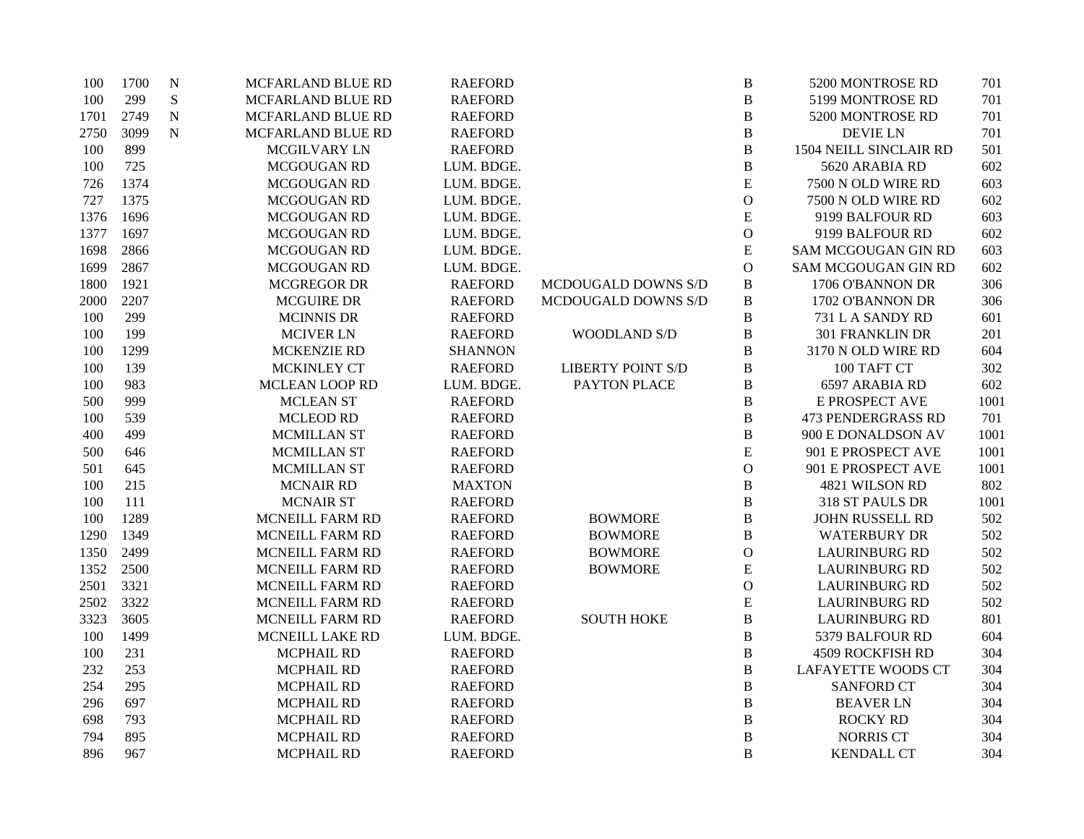| 100  | 1700 | ${\bf N}$ | MCFARLAND BLUE RD      | <b>RAEFORD</b> |                          | $\bf{B}$       | 5200 MONTROSE RD           | 701  |
|------|------|-----------|------------------------|----------------|--------------------------|----------------|----------------------------|------|
| 100  | 299  | ${\bf S}$ | MCFARLAND BLUE RD      | <b>RAEFORD</b> |                          | B              | 5199 MONTROSE RD           | 701  |
| 1701 | 2749 | ${\bf N}$ | MCFARLAND BLUE RD      | <b>RAEFORD</b> |                          | $\, {\bf B}$   | 5200 MONTROSE RD           | 701  |
| 2750 | 3099 | ${\bf N}$ | MCFARLAND BLUE RD      | <b>RAEFORD</b> |                          | $\, {\bf B}$   | <b>DEVIE LN</b>            | 701  |
| 100  | 899  |           | MCGILVARY LN           | <b>RAEFORD</b> |                          | $\, {\bf B}$   | 1504 NEILL SINCLAIR RD     | 501  |
| 100  | 725  |           | MCGOUGAN RD            | LUM. BDGE.     |                          | $\, {\bf B}$   | 5620 ARABIA RD             | 602  |
| 726  | 1374 |           | MCGOUGAN RD            | LUM. BDGE.     |                          | ${\bf E}$      | 7500 N OLD WIRE RD         | 603  |
| 727  | 1375 |           | MCGOUGAN RD            | LUM. BDGE.     |                          | $\mathcal{O}$  | 7500 N OLD WIRE RD         | 602  |
| 1376 | 1696 |           | MCGOUGAN RD            | LUM. BDGE.     |                          | E              | 9199 BALFOUR RD            | 603  |
| 1377 | 1697 |           | MCGOUGAN RD            | LUM. BDGE.     |                          | $\mathbf{O}$   | 9199 BALFOUR RD            | 602  |
| 1698 | 2866 |           | MCGOUGAN RD            | LUM. BDGE.     |                          | E              | SAM MCGOUGAN GIN RD        | 603  |
| 1699 | 2867 |           | MCGOUGAN RD            | LUM. BDGE.     |                          | $\mathbf{O}$   | <b>SAM MCGOUGAN GIN RD</b> | 602  |
| 1800 | 1921 |           | <b>MCGREGOR DR</b>     | <b>RAEFORD</b> | MCDOUGALD DOWNS S/D      | $\, {\bf B}$   | 1706 O'BANNON DR           | 306  |
| 2000 | 2207 |           | <b>MCGUIRE DR</b>      | <b>RAEFORD</b> | MCDOUGALD DOWNS S/D      | $\, {\bf B}$   | 1702 O'BANNON DR           | 306  |
| 100  | 299  |           | <b>MCINNIS DR</b>      | <b>RAEFORD</b> |                          | $\, {\bf B}$   | 731 L A SANDY RD           | 601  |
| 100  | 199  |           | <b>MCIVER LN</b>       | <b>RAEFORD</b> | WOODLAND S/D             | $\, {\bf B}$   | <b>301 FRANKLIN DR</b>     | 201  |
| 100  | 1299 |           | <b>MCKENZIE RD</b>     | <b>SHANNON</b> |                          | $\, {\bf B}$   | 3170 N OLD WIRE RD         | 604  |
| 100  | 139  |           | MCKINLEY CT            | <b>RAEFORD</b> | <b>LIBERTY POINT S/D</b> | $\, {\bf B}$   | 100 TAFT CT                | 302  |
| 100  | 983  |           | <b>MCLEAN LOOP RD</b>  | LUM. BDGE.     | PAYTON PLACE             | $\, {\bf B}$   | 6597 ARABIA RD             | 602  |
| 500  | 999  |           | <b>MCLEAN ST</b>       | <b>RAEFORD</b> |                          | $\, {\bf B}$   | E PROSPECT AVE             | 1001 |
| 100  | 539  |           | <b>MCLEOD RD</b>       | <b>RAEFORD</b> |                          | $\, {\bf B}$   | <b>473 PENDERGRASS RD</b>  | 701  |
| 400  | 499  |           | <b>MCMILLAN ST</b>     | <b>RAEFORD</b> |                          | $\, {\bf B}$   | 900 E DONALDSON AV         | 1001 |
| 500  | 646  |           | MCMILLAN ST            | <b>RAEFORD</b> |                          | E              | 901 E PROSPECT AVE         | 1001 |
| 501  | 645  |           | MCMILLAN ST            | <b>RAEFORD</b> |                          | $\mathcal{O}$  | 901 E PROSPECT AVE         | 1001 |
| 100  | 215  |           | <b>MCNAIR RD</b>       | <b>MAXTON</b>  |                          | $\, {\bf B}$   | 4821 WILSON RD             | 802  |
| 100  | 111  |           | <b>MCNAIR ST</b>       | <b>RAEFORD</b> |                          | $\, {\bf B}$   | 318 ST PAULS DR            | 1001 |
| 100  | 1289 |           | MCNEILL FARM RD        | <b>RAEFORD</b> | <b>BOWMORE</b>           | $\, {\bf B}$   | <b>JOHN RUSSELL RD</b>     | 502  |
| 1290 | 1349 |           | MCNEILL FARM RD        | <b>RAEFORD</b> | <b>BOWMORE</b>           | $\, {\bf B}$   | <b>WATERBURY DR</b>        | 502  |
| 1350 | 2499 |           | MCNEILL FARM RD        | <b>RAEFORD</b> | <b>BOWMORE</b>           | $\mathbf{O}$   | <b>LAURINBURG RD</b>       | 502  |
| 1352 | 2500 |           | MCNEILL FARM RD        | <b>RAEFORD</b> | <b>BOWMORE</b>           | E              | <b>LAURINBURG RD</b>       | 502  |
| 2501 | 3321 |           | MCNEILL FARM RD        | <b>RAEFORD</b> |                          | $\mathbf{O}$   | <b>LAURINBURG RD</b>       | 502  |
| 2502 | 3322 |           | MCNEILL FARM RD        | <b>RAEFORD</b> |                          | E              | <b>LAURINBURG RD</b>       | 502  |
| 3323 | 3605 |           | <b>MCNEILL FARM RD</b> | <b>RAEFORD</b> | <b>SOUTH HOKE</b>        | B              | <b>LAURINBURG RD</b>       | 801  |
| 100  | 1499 |           | MCNEILL LAKE RD        | LUM. BDGE.     |                          | $\, {\bf B}$   | 5379 BALFOUR RD            | 604  |
| 100  | 231  |           | <b>MCPHAIL RD</b>      | <b>RAEFORD</b> |                          | $\, {\bf B}$   | <b>4509 ROCKFISH RD</b>    | 304  |
| 232  | 253  |           | <b>MCPHAIL RD</b>      | <b>RAEFORD</b> |                          | $\, {\bf B}$   | <b>LAFAYETTE WOODS CT</b>  | 304  |
| 254  | 295  |           | <b>MCPHAIL RD</b>      | <b>RAEFORD</b> |                          | $\, {\bf B}$   | <b>SANFORD CT</b>          | 304  |
| 296  | 697  |           | <b>MCPHAIL RD</b>      | <b>RAEFORD</b> |                          | $\, {\bf B}$   | <b>BEAVER LN</b>           | 304  |
| 698  | 793  |           | <b>MCPHAIL RD</b>      | <b>RAEFORD</b> |                          | $\bf{B}$       | <b>ROCKY RD</b>            | 304  |
| 794  | 895  |           | MCPHAIL RD             | <b>RAEFORD</b> |                          | $\bf{B}$       | NORRIS CT                  | 304  |
| 896  | 967  |           | <b>MCPHAIL RD</b>      | <b>RAEFORD</b> |                          | $\overline{B}$ | <b>KENDALL CT</b>          | 304  |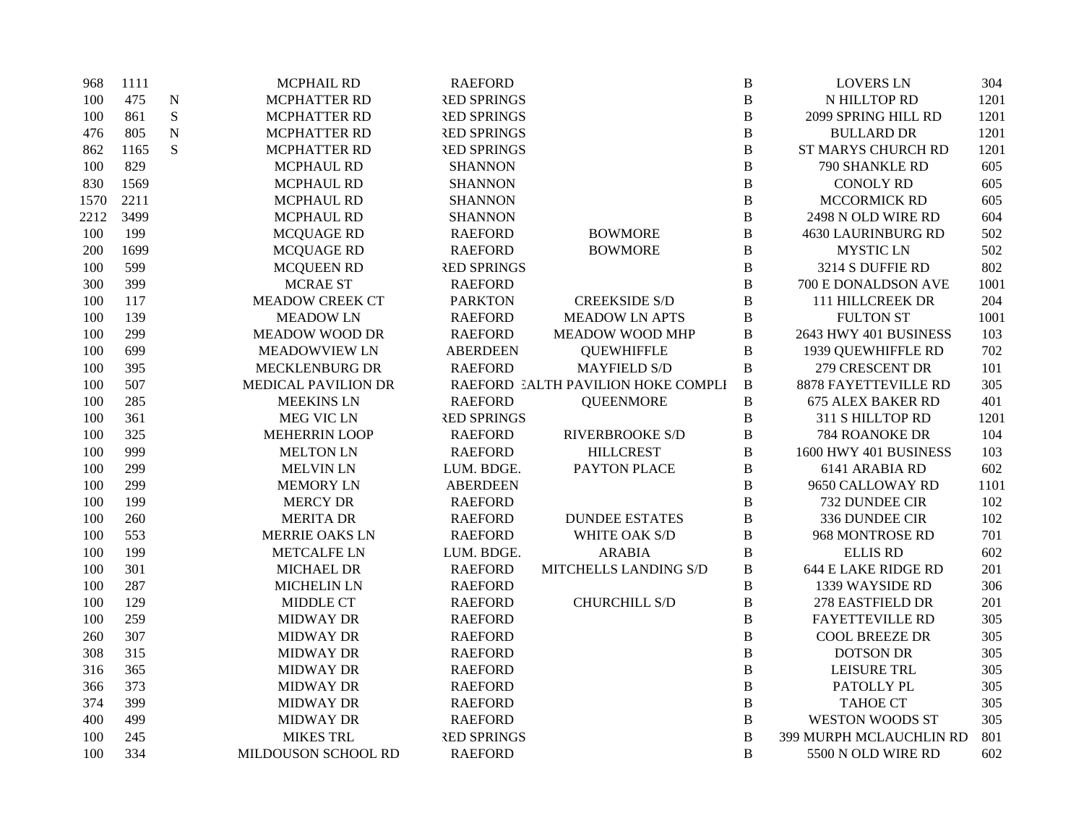| 968  | 1111 |             | <b>MCPHAIL RD</b>      | <b>RAEFORD</b>     |                                    | $\, {\bf B}$ | <b>LOVERS LN</b>           | 304  |
|------|------|-------------|------------------------|--------------------|------------------------------------|--------------|----------------------------|------|
| 100  | 475  | $\mathbf N$ | MCPHATTER RD           | <b>RED SPRINGS</b> |                                    | $\, {\bf B}$ | N HILLTOP RD               | 1201 |
| 100  | 861  | ${\bf S}$   | <b>MCPHATTER RD</b>    | <b>RED SPRINGS</b> |                                    | B            | 2099 SPRING HILL RD        | 1201 |
| 476  | 805  | $\mathbf N$ | <b>MCPHATTER RD</b>    | <b>RED SPRINGS</b> |                                    | $\, {\bf B}$ | <b>BULLARD DR</b>          | 1201 |
| 862  | 1165 | S           | MCPHATTER RD           | <b>RED SPRINGS</b> |                                    | $\, {\bf B}$ | ST MARYS CHURCH RD         | 1201 |
| 100  | 829  |             | MCPHAUL RD             | <b>SHANNON</b>     |                                    | $\, {\bf B}$ | 790 SHANKLE RD             | 605  |
| 830  | 1569 |             | MCPHAUL RD             | <b>SHANNON</b>     |                                    | $\, {\bf B}$ | <b>CONOLY RD</b>           | 605  |
| 1570 | 2211 |             | MCPHAUL RD             | <b>SHANNON</b>     |                                    | $\, {\bf B}$ | MCCORMICK RD               | 605  |
| 2212 | 3499 |             | MCPHAUL RD             | <b>SHANNON</b>     |                                    | $\, {\bf B}$ | 2498 N OLD WIRE RD         | 604  |
| 100  | 199  |             | <b>MCQUAGE RD</b>      | <b>RAEFORD</b>     | <b>BOWMORE</b>                     | $\, {\bf B}$ | <b>4630 LAURINBURG RD</b>  | 502  |
| 200  | 1699 |             | <b>MCQUAGE RD</b>      | <b>RAEFORD</b>     | <b>BOWMORE</b>                     | B            | <b>MYSTIC LN</b>           | 502  |
| 100  | 599  |             | <b>MCQUEEN RD</b>      | <b>RED SPRINGS</b> |                                    | B            | 3214 S DUFFIE RD           | 802  |
| 300  | 399  |             | <b>MCRAE ST</b>        | <b>RAEFORD</b>     |                                    | $\, {\bf B}$ | 700 E DONALDSON AVE        | 1001 |
| 100  | 117  |             | <b>MEADOW CREEK CT</b> | <b>PARKTON</b>     | <b>CREEKSIDE S/D</b>               | B            | 111 HILLCREEK DR           | 204  |
| 100  | 139  |             | <b>MEADOWLN</b>        | <b>RAEFORD</b>     | <b>MEADOW LN APTS</b>              | B            | <b>FULTON ST</b>           | 1001 |
| 100  | 299  |             | <b>MEADOW WOOD DR</b>  | <b>RAEFORD</b>     | MEADOW WOOD MHP                    | $\, {\bf B}$ | 2643 HWY 401 BUSINESS      | 103  |
| 100  | 699  |             | <b>MEADOWVIEW LN</b>   | <b>ABERDEEN</b>    | <b>QUEWHIFFLE</b>                  | B            | 1939 QUEWHIFFLE RD         | 702  |
| 100  | 395  |             | MECKLENBURG DR         | <b>RAEFORD</b>     | <b>MAYFIELD S/D</b>                | $\, {\bf B}$ | 279 CRESCENT DR            | 101  |
| 100  | 507  |             | MEDICAL PAVILION DR    |                    | RAEFORD EALTH PAVILION HOKE COMPLI | $\, {\bf B}$ | 8878 FAYETTEVILLE RD       | 305  |
| 100  | 285  |             | <b>MEEKINS LN</b>      | <b>RAEFORD</b>     | <b>QUEENMORE</b>                   | $\, {\bf B}$ | <b>675 ALEX BAKER RD</b>   | 401  |
| 100  | 361  |             | <b>MEG VIC LN</b>      | <b>RED SPRINGS</b> |                                    | B            | 311 S HILLTOP RD           | 1201 |
| 100  | 325  |             | <b>MEHERRIN LOOP</b>   | <b>RAEFORD</b>     | <b>RIVERBROOKE S/D</b>             | B            | 784 ROANOKE DR             | 104  |
| 100  | 999  |             | <b>MELTON LN</b>       | <b>RAEFORD</b>     | <b>HILLCREST</b>                   | $\, {\bf B}$ | 1600 HWY 401 BUSINESS      | 103  |
| 100  | 299  |             | <b>MELVIN LN</b>       | LUM. BDGE.         | PAYTON PLACE                       | B            | 6141 ARABIA RD             | 602  |
| 100  | 299  |             | <b>MEMORY LN</b>       | <b>ABERDEEN</b>    |                                    | $\, {\bf B}$ | 9650 CALLOWAY RD           | 1101 |
| 100  | 199  |             | <b>MERCY DR</b>        | <b>RAEFORD</b>     |                                    | B            | 732 DUNDEE CIR             | 102  |
| 100  | 260  |             | <b>MERITA DR</b>       | <b>RAEFORD</b>     | <b>DUNDEE ESTATES</b>              | $\, {\bf B}$ | 336 DUNDEE CIR             | 102  |
| 100  | 553  |             | <b>MERRIE OAKS LN</b>  | <b>RAEFORD</b>     | WHITE OAK S/D                      | $\, {\bf B}$ | 968 MONTROSE RD            | 701  |
| 100  | 199  |             | <b>METCALFE LN</b>     | LUM. BDGE.         | <b>ARABIA</b>                      | $\, {\bf B}$ | <b>ELLIS RD</b>            | 602  |
| 100  | 301  |             | <b>MICHAEL DR</b>      | <b>RAEFORD</b>     | MITCHELLS LANDING S/D              | B            | <b>644 E LAKE RIDGE RD</b> | 201  |
| 100  | 287  |             | <b>MICHELIN LN</b>     | <b>RAEFORD</b>     |                                    | B            | 1339 WAYSIDE RD            | 306  |
| 100  | 129  |             | MIDDLE CT              | <b>RAEFORD</b>     | <b>CHURCHILL S/D</b>               | B            | 278 EASTFIELD DR           | 201  |
| 100  | 259  |             | <b>MIDWAY DR</b>       | <b>RAEFORD</b>     |                                    | B            | <b>FAYETTEVILLE RD</b>     | 305  |
| 260  | 307  |             | <b>MIDWAY DR</b>       | <b>RAEFORD</b>     |                                    | $\, {\bf B}$ | <b>COOL BREEZE DR</b>      | 305  |
| 308  | 315  |             | <b>MIDWAY DR</b>       | <b>RAEFORD</b>     |                                    | $\, {\bf B}$ | <b>DOTSON DR</b>           | 305  |
| 316  | 365  |             | <b>MIDWAY DR</b>       | <b>RAEFORD</b>     |                                    | $\, {\bf B}$ | LEISURE TRL                | 305  |
| 366  | 373  |             | <b>MIDWAY DR</b>       | <b>RAEFORD</b>     |                                    | B            | PATOLLY PL                 | 305  |
| 374  | 399  |             | <b>MIDWAY DR</b>       | <b>RAEFORD</b>     |                                    | $\, {\bf B}$ | <b>TAHOE CT</b>            | 305  |
| 400  | 499  |             | <b>MIDWAY DR</b>       | <b>RAEFORD</b>     |                                    | B            | <b>WESTON WOODS ST</b>     | 305  |
| 100  | 245  |             | <b>MIKES TRL</b>       | <b>RED SPRINGS</b> |                                    | $\, {\bf B}$ | 399 MURPH MCLAUCHLIN RD    | 801  |
| 100  | 334  |             | MILDOUSON SCHOOL RD    | <b>RAEFORD</b>     |                                    | B            | 5500 N OLD WIRE RD         | 602  |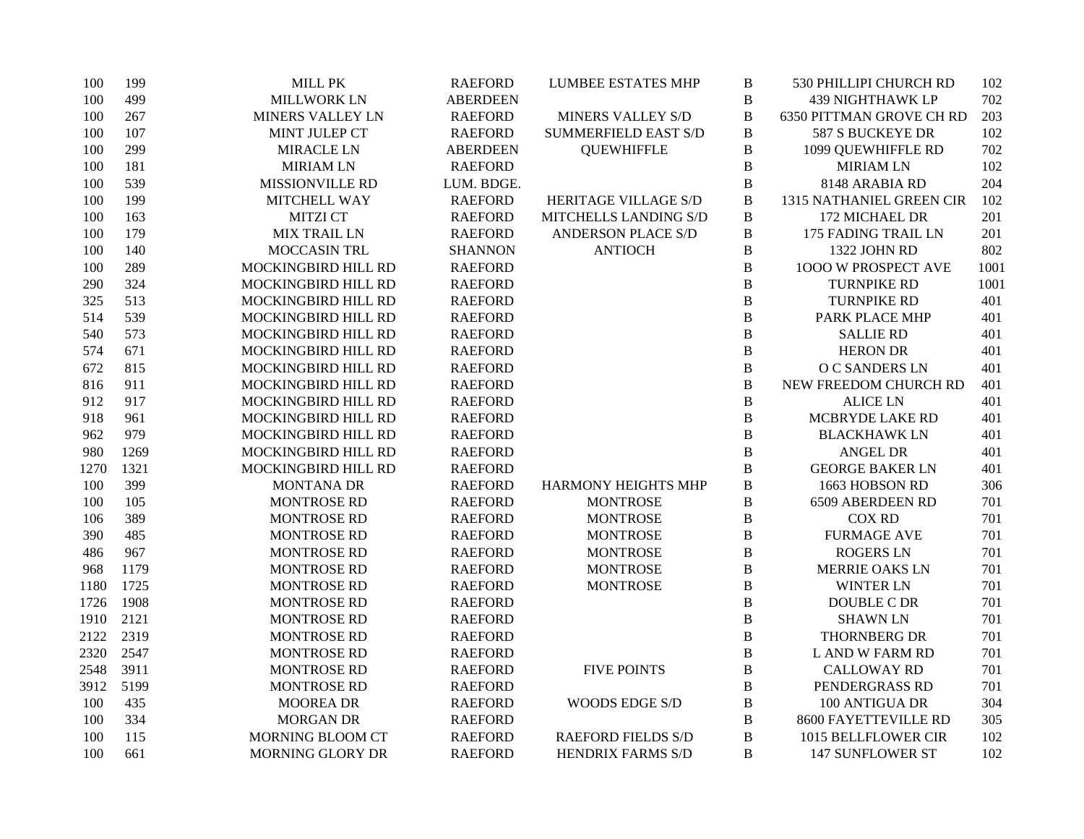| 100  | 199  | MILL PK                 | <b>RAEFORD</b>  | <b>LUMBEE ESTATES MHP</b>   | $\, {\bf B}$   | 530 PHILLIPI CHURCH RD      | 102  |
|------|------|-------------------------|-----------------|-----------------------------|----------------|-----------------------------|------|
| 100  | 499  | MILLWORK LN             | <b>ABERDEEN</b> |                             | $\, {\bf B}$   | <b>439 NIGHTHAWK LP</b>     | 702  |
| 100  | 267  | <b>MINERS VALLEY LN</b> | <b>RAEFORD</b>  | MINERS VALLEY S/D           | $\bf{B}$       | 6350 PITTMAN GROVE CH RD    | 203  |
| 100  | 107  | MINT JULEP CT           | <b>RAEFORD</b>  | <b>SUMMERFIELD EAST S/D</b> | $\, {\bf B}$   | 587 S BUCKEYE DR            | 102  |
| 100  | 299  | MIRACLE LN              | <b>ABERDEEN</b> | <b>QUEWHIFFLE</b>           | $\, {\bf B}$   | 1099 QUEWHIFFLE RD          | 702  |
| 100  | 181  | <b>MIRIAM LN</b>        | <b>RAEFORD</b>  |                             | $\, {\bf B}$   | <b>MIRIAM LN</b>            | 102  |
| 100  | 539  | MISSIONVILLE RD         | LUM. BDGE.      |                             | $\bf{B}$       | 8148 ARABIA RD              | 204  |
| 100  | 199  | MITCHELL WAY            | <b>RAEFORD</b>  | HERITAGE VILLAGE S/D        | $\bf{B}$       | 1315 NATHANIEL GREEN CIR    | 102  |
| 100  | 163  | <b>MITZI CT</b>         | <b>RAEFORD</b>  | MITCHELLS LANDING S/D       | $\, {\bf B}$   | 172 MICHAEL DR              | 201  |
| 100  | 179  | <b>MIX TRAIL LN</b>     | <b>RAEFORD</b>  | <b>ANDERSON PLACE S/D</b>   | $\, {\bf B}$   | 175 FADING TRAIL LN         | 201  |
| 100  | 140  | MOCCASIN TRL            | <b>SHANNON</b>  | <b>ANTIOCH</b>              | $\, {\bf B}$   | 1322 JOHN RD                | 802  |
| 100  | 289  | MOCKINGBIRD HILL RD     | <b>RAEFORD</b>  |                             | $\, {\bf B}$   | 1000 W PROSPECT AVE         | 1001 |
| 290  | 324  | MOCKINGBIRD HILL RD     | <b>RAEFORD</b>  |                             | $\bf{B}$       | <b>TURNPIKE RD</b>          | 1001 |
| 325  | 513  | MOCKINGBIRD HILL RD     | <b>RAEFORD</b>  |                             | $\bf{B}$       | <b>TURNPIKE RD</b>          | 401  |
| 514  | 539  | MOCKINGBIRD HILL RD     | <b>RAEFORD</b>  |                             | $\, {\bf B}$   | PARK PLACE MHP              | 401  |
| 540  | 573  | MOCKINGBIRD HILL RD     | <b>RAEFORD</b>  |                             | $\, {\bf B}$   | <b>SALLIE RD</b>            | 401  |
| 574  | 671  | MOCKINGBIRD HILL RD     | <b>RAEFORD</b>  |                             | $\, {\bf B}$   | <b>HERON DR</b>             | 401  |
| 672  | 815  | MOCKINGBIRD HILL RD     | <b>RAEFORD</b>  |                             | $\, {\bf B}$   | O C SANDERS LN              | 401  |
| 816  | 911  | MOCKINGBIRD HILL RD     | <b>RAEFORD</b>  |                             | $\bf{B}$       | NEW FREEDOM CHURCH RD       | 401  |
| 912  | 917  | MOCKINGBIRD HILL RD     | <b>RAEFORD</b>  |                             | $\bf{B}$       | <b>ALICE LN</b>             | 401  |
| 918  | 961  | MOCKINGBIRD HILL RD     | <b>RAEFORD</b>  |                             | $\, {\bf B}$   | MCBRYDE LAKE RD             | 401  |
| 962  | 979  | MOCKINGBIRD HILL RD     | <b>RAEFORD</b>  |                             | $\, {\bf B}$   | <b>BLACKHAWK LN</b>         | 401  |
| 980  | 1269 | MOCKINGBIRD HILL RD     | <b>RAEFORD</b>  |                             | $\bf{B}$       | <b>ANGEL DR</b>             | 401  |
| 1270 | 1321 | MOCKINGBIRD HILL RD     | <b>RAEFORD</b>  |                             | $\, {\bf B}$   | <b>GEORGE BAKER LN</b>      | 401  |
| 100  | 399  | <b>MONTANA DR</b>       | <b>RAEFORD</b>  | <b>HARMONY HEIGHTS MHP</b>  | $\bf{B}$       | 1663 HOBSON RD              | 306  |
| 100  | 105  | <b>MONTROSE RD</b>      | <b>RAEFORD</b>  | <b>MONTROSE</b>             | $\, {\bf B}$   | 6509 ABERDEEN RD            | 701  |
| 106  | 389  | <b>MONTROSE RD</b>      | <b>RAEFORD</b>  | <b>MONTROSE</b>             | $\bf{B}$       | <b>COX RD</b>               | 701  |
| 390  | 485  | <b>MONTROSE RD</b>      | <b>RAEFORD</b>  | <b>MONTROSE</b>             | $\, {\bf B}$   | <b>FURMAGE AVE</b>          | 701  |
| 486  | 967  | <b>MONTROSE RD</b>      | <b>RAEFORD</b>  | <b>MONTROSE</b>             | $\, {\bf B}$   | <b>ROGERS LN</b>            | 701  |
| 968  | 1179 | <b>MONTROSE RD</b>      | <b>RAEFORD</b>  | <b>MONTROSE</b>             | $\bf{B}$       | <b>MERRIE OAKS LN</b>       | 701  |
| 1180 | 1725 | <b>MONTROSE RD</b>      | <b>RAEFORD</b>  | <b>MONTROSE</b>             | $\bf{B}$       | <b>WINTER LN</b>            | 701  |
| 1726 | 1908 | <b>MONTROSE RD</b>      | <b>RAEFORD</b>  |                             | $\bf{B}$       | <b>DOUBLE C DR</b>          | 701  |
| 1910 | 2121 | <b>MONTROSE RD</b>      | <b>RAEFORD</b>  |                             | $\bf{B}$       | <b>SHAWN LN</b>             | 701  |
| 2122 | 2319 | <b>MONTROSE RD</b>      | <b>RAEFORD</b>  |                             | $\overline{B}$ | THORNBERG DR                | 701  |
| 2320 | 2547 | <b>MONTROSE RD</b>      | <b>RAEFORD</b>  |                             | $\, {\bf B}$   | L AND W FARM RD             | 701  |
| 2548 | 3911 | <b>MONTROSE RD</b>      | <b>RAEFORD</b>  | <b>FIVE POINTS</b>          | $\, {\bf B}$   | <b>CALLOWAY RD</b>          | 701  |
| 3912 | 5199 | <b>MONTROSE RD</b>      | <b>RAEFORD</b>  |                             | $\bf{B}$       | PENDERGRASS RD              | 701  |
| 100  | 435  | <b>MOOREA DR</b>        | <b>RAEFORD</b>  | WOODS EDGE S/D              | $\, {\bf B}$   | 100 ANTIGUA DR              | 304  |
| 100  | 334  | <b>MORGAN DR</b>        | <b>RAEFORD</b>  |                             | $\bf{B}$       | <b>8600 FAYETTEVILLE RD</b> | 305  |
| 100  | 115  | MORNING BLOOM CT        | <b>RAEFORD</b>  | <b>RAEFORD FIELDS S/D</b>   | $\bf{B}$       | 1015 BELLFLOWER CIR         | 102  |
| 100  | 661  | MORNING GLORY DR        | <b>RAEFORD</b>  | HENDRIX FARMS S/D           | B              | <b>147 SUNFLOWER ST</b>     | 102  |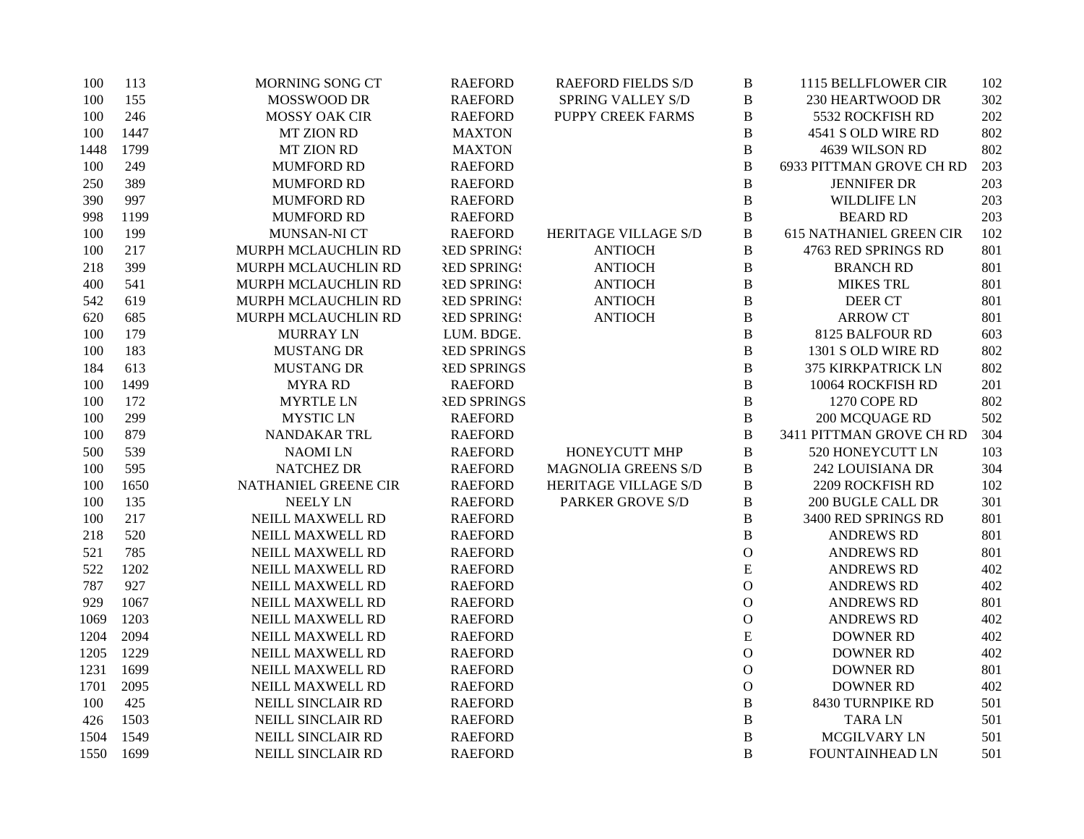| 100  | 113  | MORNING SONG CT      | <b>RAEFORD</b>     | <b>RAEFORD FIELDS S/D</b>  | $\, {\bf B}$   | 1115 BELLFLOWER CIR            | 102 |
|------|------|----------------------|--------------------|----------------------------|----------------|--------------------------------|-----|
| 100  | 155  | MOSSWOOD DR          | <b>RAEFORD</b>     | <b>SPRING VALLEY S/D</b>   | $\, {\bf B}$   | 230 HEARTWOOD DR               | 302 |
| 100  | 246  | <b>MOSSY OAK CIR</b> | <b>RAEFORD</b>     | PUPPY CREEK FARMS          | B              | 5532 ROCKFISH RD               | 202 |
| 100  | 1447 | <b>MT ZION RD</b>    | <b>MAXTON</b>      |                            | $\, {\bf B}$   | 4541 S OLD WIRE RD             | 802 |
| 1448 | 1799 | <b>MT ZION RD</b>    | <b>MAXTON</b>      |                            | $\, {\bf B}$   | 4639 WILSON RD                 | 802 |
| 100  | 249  | <b>MUMFORD RD</b>    | <b>RAEFORD</b>     |                            | $\, {\bf B}$   | 6933 PITTMAN GROVE CH RD       | 203 |
| 250  | 389  | <b>MUMFORD RD</b>    | <b>RAEFORD</b>     |                            | $\bf{B}$       | <b>JENNIFER DR</b>             | 203 |
| 390  | 997  | <b>MUMFORD RD</b>    | <b>RAEFORD</b>     |                            | $\, {\bf B}$   | <b>WILDLIFE LN</b>             | 203 |
| 998  | 1199 | <b>MUMFORD RD</b>    | <b>RAEFORD</b>     |                            | $\, {\bf B}$   | <b>BEARD RD</b>                | 203 |
| 100  | 199  | MUNSAN-NI CT         | <b>RAEFORD</b>     | HERITAGE VILLAGE S/D       | $\, {\bf B}$   | <b>615 NATHANIEL GREEN CIR</b> | 102 |
| 100  | 217  | MURPH MCLAUCHLIN RD  | <b>RED SPRING!</b> | <b>ANTIOCH</b>             | $\bf{B}$       | 4763 RED SPRINGS RD            | 801 |
| 218  | 399  | MURPH MCLAUCHLIN RD  | <b>RED SPRING!</b> | <b>ANTIOCH</b>             | $\, {\bf B}$   | <b>BRANCH RD</b>               | 801 |
| 400  | 541  | MURPH MCLAUCHLIN RD  | <b>RED SPRINGS</b> | <b>ANTIOCH</b>             | $\, {\bf B}$   | <b>MIKES TRL</b>               | 801 |
| 542  | 619  | MURPH MCLAUCHLIN RD  | <b>RED SPRING!</b> | <b>ANTIOCH</b>             | $\, {\bf B}$   | <b>DEER CT</b>                 | 801 |
| 620  | 685  | MURPH MCLAUCHLIN RD  | <b>RED SPRING!</b> | <b>ANTIOCH</b>             | $\, {\bf B}$   | <b>ARROW CT</b>                | 801 |
| 100  | 179  | <b>MURRAY LN</b>     | LUM. BDGE.         |                            | $\, {\bf B}$   | 8125 BALFOUR RD                | 603 |
| 100  | 183  | <b>MUSTANG DR</b>    | <b>RED SPRINGS</b> |                            | $\, {\bf B}$   | 1301 S OLD WIRE RD             | 802 |
| 184  | 613  | <b>MUSTANG DR</b>    | <b>RED SPRINGS</b> |                            | $\, {\bf B}$   | 375 KIRKPATRICK LN             | 802 |
| 100  | 1499 | <b>MYRA RD</b>       | <b>RAEFORD</b>     |                            | $\, {\bf B}$   | 10064 ROCKFISH RD              | 201 |
| 100  | 172  | <b>MYRTLE LN</b>     | <b>RED SPRINGS</b> |                            | $\, {\bf B}$   | 1270 COPE RD                   | 802 |
| 100  | 299  | <b>MYSTIC LN</b>     | <b>RAEFORD</b>     |                            | $\, {\bf B}$   | 200 MCQUAGE RD                 | 502 |
| 100  | 879  | NANDAKAR TRL         | <b>RAEFORD</b>     |                            | $\, {\bf B}$   | 3411 PITTMAN GROVE CH RD       | 304 |
| 500  | 539  | <b>NAOMILN</b>       | <b>RAEFORD</b>     | HONEYCUTT MHP              | $\, {\bf B}$   | 520 HONEYCUTT LN               | 103 |
| 100  | 595  | <b>NATCHEZ DR</b>    | <b>RAEFORD</b>     | <b>MAGNOLIA GREENS S/D</b> | $\, {\bf B}$   | 242 LOUISIANA DR               | 304 |
| 100  | 1650 | NATHANIEL GREENE CIR | <b>RAEFORD</b>     | HERITAGE VILLAGE S/D       | $\, {\bf B}$   | 2209 ROCKFISH RD               | 102 |
| 100  | 135  | <b>NEELY LN</b>      | <b>RAEFORD</b>     | PARKER GROVE S/D           | $\, {\bf B}$   | 200 BUGLE CALL DR              | 301 |
| 100  | 217  | NEILL MAXWELL RD     | <b>RAEFORD</b>     |                            | $\, {\bf B}$   | 3400 RED SPRINGS RD            | 801 |
| 218  | 520  | NEILL MAXWELL RD     | <b>RAEFORD</b>     |                            | $\, {\bf B}$   | <b>ANDREWS RD</b>              | 801 |
| 521  | 785  | NEILL MAXWELL RD     | <b>RAEFORD</b>     |                            | $\mathbf{O}$   | <b>ANDREWS RD</b>              | 801 |
| 522  | 1202 | NEILL MAXWELL RD     | <b>RAEFORD</b>     |                            | ${\bf E}$      | <b>ANDREWS RD</b>              | 402 |
| 787  | 927  | NEILL MAXWELL RD     | <b>RAEFORD</b>     |                            | $\mathbf O$    | <b>ANDREWS RD</b>              | 402 |
| 929  | 1067 | NEILL MAXWELL RD     | <b>RAEFORD</b>     |                            | $\mathbf{O}$   | <b>ANDREWS RD</b>              | 801 |
| 1069 | 1203 | NEILL MAXWELL RD     | <b>RAEFORD</b>     |                            | $\mathbf{O}$   | <b>ANDREWS RD</b>              | 402 |
| 1204 | 2094 | NEILL MAXWELL RD     | <b>RAEFORD</b>     |                            | ${\bf E}$      | <b>DOWNER RD</b>               | 402 |
| 1205 | 1229 | NEILL MAXWELL RD     | <b>RAEFORD</b>     |                            | $\overline{O}$ | <b>DOWNER RD</b>               | 402 |
| 1231 | 1699 | NEILL MAXWELL RD     | <b>RAEFORD</b>     |                            | $\mathbf{O}$   | <b>DOWNER RD</b>               | 801 |
| 1701 | 2095 | NEILL MAXWELL RD     | <b>RAEFORD</b>     |                            | $\mathbf{O}$   | <b>DOWNER RD</b>               | 402 |
| 100  | 425  | NEILL SINCLAIR RD    | <b>RAEFORD</b>     |                            | $\, {\bf B}$   | 8430 TURNPIKE RD               | 501 |
| 426  | 1503 | NEILL SINCLAIR RD    | <b>RAEFORD</b>     |                            | $\, {\bf B}$   | <b>TARALN</b>                  | 501 |
| 1504 | 1549 | NEILL SINCLAIR RD    | <b>RAEFORD</b>     |                            | $\bf{B}$       | MCGILVARY LN                   | 501 |
| 1550 | 1699 | NEILL SINCLAIR RD    | <b>RAEFORD</b>     |                            | B              | <b>FOUNTAINHEAD LN</b>         | 501 |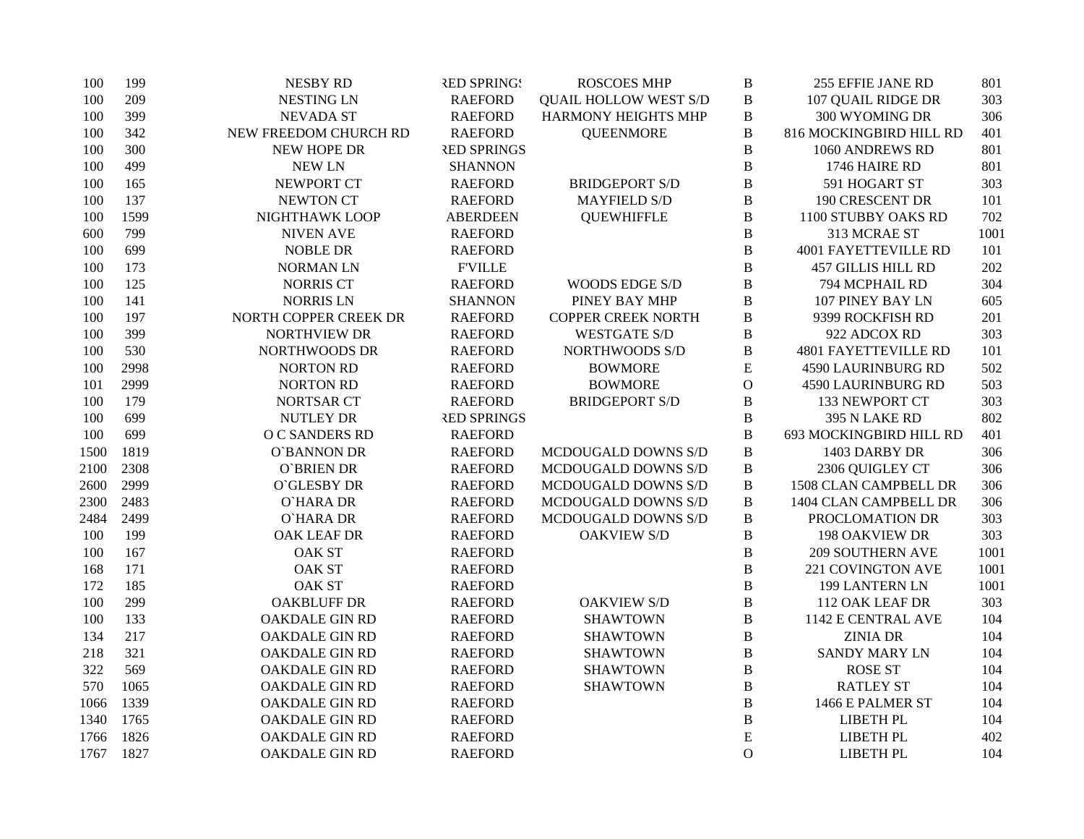| 100  | 199  | <b>NESBY RD</b>       | <b>RED SPRING!</b> | <b>ROSCOES MHP</b>           | $\, {\bf B}$   | 255 EFFIE JANE RD           | 801  |
|------|------|-----------------------|--------------------|------------------------------|----------------|-----------------------------|------|
| 100  | 209  | <b>NESTING LN</b>     | <b>RAEFORD</b>     | <b>QUAIL HOLLOW WEST S/D</b> | B              | 107 QUAIL RIDGE DR          | 303  |
| 100  | 399  | <b>NEVADA ST</b>      | <b>RAEFORD</b>     | HARMONY HEIGHTS MHP          | $\, {\bf B}$   | 300 WYOMING DR              | 306  |
| 100  | 342  | NEW FREEDOM CHURCH RD | <b>RAEFORD</b>     | <b>QUEENMORE</b>             | $\bf{B}$       | 816 MOCKINGBIRD HILL RD     | 401  |
| 100  | 300  | NEW HOPE DR           | <b>RED SPRINGS</b> |                              | $\, {\bf B}$   | 1060 ANDREWS RD             | 801  |
| 100  | 499  | <b>NEW LN</b>         | <b>SHANNON</b>     |                              | $\bf{B}$       | 1746 HAIRE RD               | 801  |
| 100  | 165  | NEWPORT CT            | <b>RAEFORD</b>     | <b>BRIDGEPORT S/D</b>        | B              | 591 HOGART ST               | 303  |
| 100  | 137  | <b>NEWTON CT</b>      | <b>RAEFORD</b>     | <b>MAYFIELD S/D</b>          | B              | 190 CRESCENT DR             | 101  |
| 100  | 1599 | NIGHTHAWK LOOP        | <b>ABERDEEN</b>    | <b>QUEWHIFFLE</b>            | $\, {\bf B}$   | 1100 STUBBY OAKS RD         | 702  |
| 600  | 799  | <b>NIVEN AVE</b>      | <b>RAEFORD</b>     |                              | B              | 313 MCRAE ST                | 1001 |
| 100  | 699  | <b>NOBLE DR</b>       | <b>RAEFORD</b>     |                              | $\bf{B}$       | <b>4001 FAYETTEVILLE RD</b> | 101  |
| 100  | 173  | <b>NORMAN LN</b>      | <b>F'VILLE</b>     |                              | $\, {\bf B}$   | <b>457 GILLIS HILL RD</b>   | 202  |
| 100  | 125  | <b>NORRIS CT</b>      | <b>RAEFORD</b>     | WOODS EDGE S/D               | $\bf{B}$       | 794 MCPHAIL RD              | 304  |
| 100  | 141  | <b>NORRIS LN</b>      | <b>SHANNON</b>     | PINEY BAY MHP                | B              | 107 PINEY BAY LN            | 605  |
| 100  | 197  | NORTH COPPER CREEK DR | <b>RAEFORD</b>     | <b>COPPER CREEK NORTH</b>    | B              | 9399 ROCKFISH RD            | 201  |
| 100  | 399  | <b>NORTHVIEW DR</b>   | <b>RAEFORD</b>     | <b>WESTGATE S/D</b>          | $\, {\bf B}$   | 922 ADCOX RD                | 303  |
| 100  | 530  | NORTHWOODS DR         | <b>RAEFORD</b>     | NORTHWOODS S/D               | $\, {\bf B}$   | <b>4801 FAYETTEVILLE RD</b> | 101  |
| 100  | 2998 | <b>NORTON RD</b>      | <b>RAEFORD</b>     | <b>BOWMORE</b>               | ${\bf E}$      | <b>4590 LAURINBURG RD</b>   | 502  |
| 101  | 2999 | <b>NORTON RD</b>      | <b>RAEFORD</b>     | <b>BOWMORE</b>               | $\overline{O}$ | <b>4590 LAURINBURG RD</b>   | 503  |
| 100  | 179  | <b>NORTSAR CT</b>     | <b>RAEFORD</b>     | <b>BRIDGEPORT S/D</b>        | $\, {\bf B}$   | 133 NEWPORT CT              | 303  |
| 100  | 699  | <b>NUTLEY DR</b>      | <b>RED SPRINGS</b> |                              | B              | 395 N LAKE RD               | 802  |
| 100  | 699  | O C SANDERS RD        | <b>RAEFORD</b>     |                              | $\bf{B}$       | 693 MOCKINGBIRD HILL RD     | 401  |
| 1500 | 1819 | O`BANNON DR           | <b>RAEFORD</b>     | MCDOUGALD DOWNS S/D          | $\, {\bf B}$   | 1403 DARBY DR               | 306  |
| 2100 | 2308 | <b>O`BRIEN DR</b>     | <b>RAEFORD</b>     | MCDOUGALD DOWNS S/D          | $\, {\bf B}$   | 2306 QUIGLEY CT             | 306  |
| 2600 | 2999 | O'GLESBY DR           | <b>RAEFORD</b>     | MCDOUGALD DOWNS S/D          | $\, {\bf B}$   | 1508 CLAN CAMPBELL DR       | 306  |
| 2300 | 2483 | <b>O'HARA DR</b>      | <b>RAEFORD</b>     | MCDOUGALD DOWNS S/D          | $\, {\bf B}$   | 1404 CLAN CAMPBELL DR       | 306  |
| 2484 | 2499 | O`HARA DR             | <b>RAEFORD</b>     | MCDOUGALD DOWNS S/D          | B              | PROCLOMATION DR             | 303  |
| 100  | 199  | OAK LEAF DR           | <b>RAEFORD</b>     | <b>OAKVIEW S/D</b>           | $\bf{B}$       | 198 OAKVIEW DR              | 303  |
| 100  | 167  | <b>OAK ST</b>         | <b>RAEFORD</b>     |                              | $\, {\bf B}$   | <b>209 SOUTHERN AVE</b>     | 1001 |
| 168  | 171  | <b>OAK ST</b>         | <b>RAEFORD</b>     |                              | B              | 221 COVINGTON AVE           | 1001 |
| 172  | 185  | <b>OAK ST</b>         | <b>RAEFORD</b>     |                              | B              | 199 LANTERN LN              | 1001 |
| 100  | 299  | <b>OAKBLUFF DR</b>    | <b>RAEFORD</b>     | <b>OAKVIEW S/D</b>           | B              | 112 OAK LEAF DR             | 303  |
| 100  | 133  | <b>OAKDALE GIN RD</b> | <b>RAEFORD</b>     | <b>SHAWTOWN</b>              | B              | 1142 E CENTRAL AVE          | 104  |
| 134  | 217  | <b>OAKDALE GIN RD</b> | <b>RAEFORD</b>     | <b>SHAWTOWN</b>              | $\, {\bf B}$   | <b>ZINIA DR</b>             | 104  |
| 218  | 321  | <b>OAKDALE GIN RD</b> | <b>RAEFORD</b>     | <b>SHAWTOWN</b>              | $\, {\bf B}$   | <b>SANDY MARY LN</b>        | 104  |
| 322  | 569  | <b>OAKDALE GIN RD</b> | <b>RAEFORD</b>     | <b>SHAWTOWN</b>              | $\, {\bf B}$   | <b>ROSE ST</b>              | 104  |
| 570  | 1065 | <b>OAKDALE GIN RD</b> | <b>RAEFORD</b>     | <b>SHAWTOWN</b>              | $\, {\bf B}$   | <b>RATLEY ST</b>            | 104  |
| 1066 | 1339 | <b>OAKDALE GIN RD</b> | <b>RAEFORD</b>     |                              | $\, {\bf B}$   | 1466 E PALMER ST            | 104  |
| 1340 | 1765 | <b>OAKDALE GIN RD</b> | <b>RAEFORD</b>     |                              | B              | LIBETH PL                   | 104  |
| 1766 | 1826 | OAKDALE GIN RD        | <b>RAEFORD</b>     |                              | E              | LIBETH PL                   | 402  |
| 1767 | 1827 | <b>OAKDALE GIN RD</b> | <b>RAEFORD</b>     |                              | $\mathbf{O}$   | <b>LIBETH PL</b>            | 104  |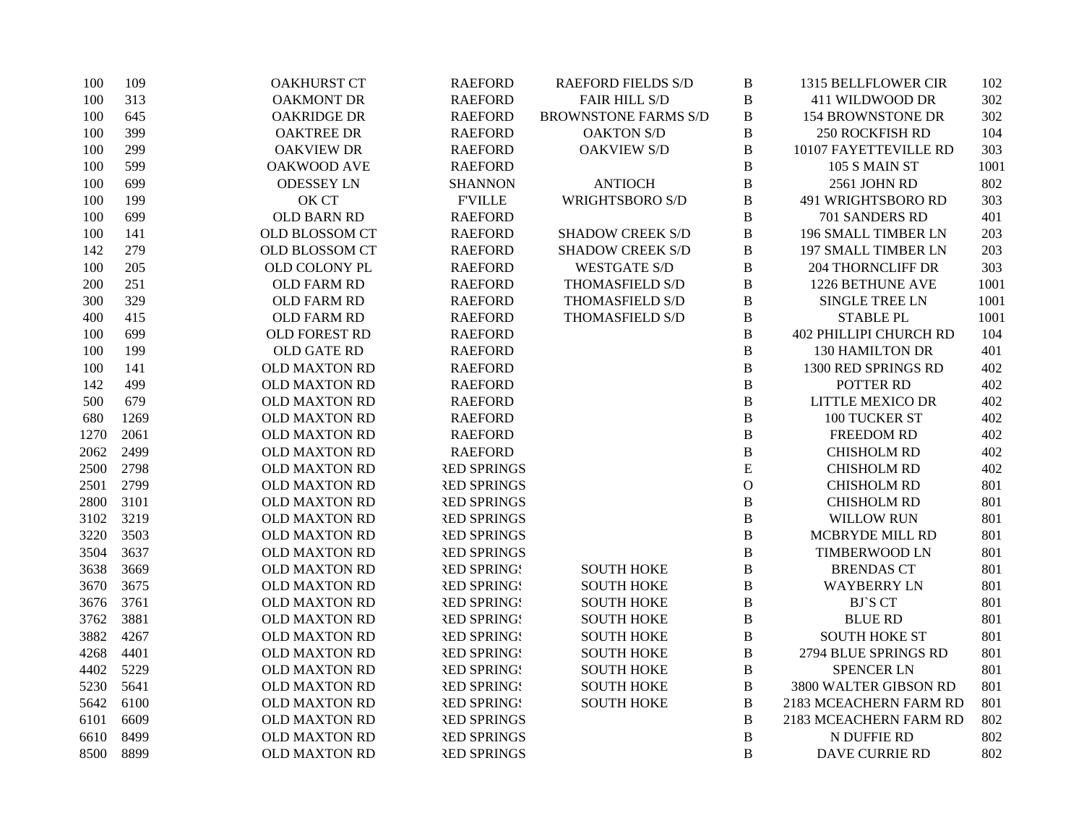| 100  | 109  | <b>OAKHURST CT</b>   | <b>RAEFORD</b>     | <b>RAEFORD FIELDS S/D</b>   | $\, {\bf B}$   | 1315 BELLFLOWER CIR           | 102  |
|------|------|----------------------|--------------------|-----------------------------|----------------|-------------------------------|------|
| 100  | 313  | OAKMONT DR           | <b>RAEFORD</b>     | <b>FAIR HILL S/D</b>        | $\, {\bf B}$   | 411 WILDWOOD DR               | 302  |
| 100  | 645  | <b>OAKRIDGE DR</b>   | <b>RAEFORD</b>     | <b>BROWNSTONE FARMS S/D</b> | B              | <b>154 BROWNSTONE DR</b>      | 302  |
| 100  | 399  | <b>OAKTREE DR</b>    | <b>RAEFORD</b>     | <b>OAKTON S/D</b>           | $\, {\bf B}$   | <b>250 ROCKFISH RD</b>        | 104  |
| 100  | 299  | <b>OAKVIEW DR</b>    | <b>RAEFORD</b>     | <b>OAKVIEW S/D</b>          | $\, {\bf B}$   | 10107 FAYETTEVILLE RD         | 303  |
| 100  | 599  | <b>OAKWOOD AVE</b>   | <b>RAEFORD</b>     |                             | $\, {\bf B}$   | 105 S MAIN ST                 | 1001 |
| 100  | 699  | <b>ODESSEY LN</b>    | <b>SHANNON</b>     | <b>ANTIOCH</b>              | $\bf{B}$       | 2561 JOHN RD                  | 802  |
| 100  | 199  | OK CT                | <b>FVILLE</b>      | <b>WRIGHTSBORO S/D</b>      | B              | 491 WRIGHTSBORO RD            | 303  |
| 100  | 699  | <b>OLD BARN RD</b>   | <b>RAEFORD</b>     |                             | B              | 701 SANDERS RD                | 401  |
| 100  | 141  | OLD BLOSSOM CT       | <b>RAEFORD</b>     | <b>SHADOW CREEK S/D</b>     | $\, {\bf B}$   | 196 SMALL TIMBER LN           | 203  |
| 142  | 279  | OLD BLOSSOM CT       | <b>RAEFORD</b>     | <b>SHADOW CREEK S/D</b>     | $\, {\bf B}$   | 197 SMALL TIMBER LN           | 203  |
| 100  | 205  | OLD COLONY PL        | <b>RAEFORD</b>     | <b>WESTGATE S/D</b>         | $\, {\bf B}$   | <b>204 THORNCLIFF DR</b>      | 303  |
| 200  | 251  | <b>OLD FARM RD</b>   | <b>RAEFORD</b>     | THOMASFIELD S/D             | $\, {\bf B}$   | 1226 BETHUNE AVE              | 1001 |
| 300  | 329  | OLD FARM RD          | <b>RAEFORD</b>     | THOMASFIELD S/D             | $\, {\bf B}$   | SINGLE TREE LN                | 1001 |
| 400  | 415  | OLD FARM RD          | <b>RAEFORD</b>     | THOMASFIELD S/D             | $\, {\bf B}$   | <b>STABLE PL</b>              | 1001 |
| 100  | 699  | <b>OLD FOREST RD</b> | <b>RAEFORD</b>     |                             | $\, {\bf B}$   | <b>402 PHILLIPI CHURCH RD</b> | 104  |
| 100  | 199  | OLD GATE RD          | <b>RAEFORD</b>     |                             | $\bf{B}$       | 130 HAMILTON DR               | 401  |
| 100  | 141  | <b>OLD MAXTON RD</b> | <b>RAEFORD</b>     |                             | $\, {\bf B}$   | 1300 RED SPRINGS RD           | 402  |
| 142  | 499  | <b>OLD MAXTON RD</b> | <b>RAEFORD</b>     |                             | $\, {\bf B}$   | POTTER RD                     | 402  |
| 500  | 679  | <b>OLD MAXTON RD</b> | <b>RAEFORD</b>     |                             | $\, {\bf B}$   | <b>LITTLE MEXICO DR</b>       | 402  |
| 680  | 1269 | OLD MAXTON RD        | <b>RAEFORD</b>     |                             | $\, {\bf B}$   | 100 TUCKER ST                 | 402  |
| 1270 | 2061 | <b>OLD MAXTON RD</b> | <b>RAEFORD</b>     |                             | $\, {\bf B}$   | <b>FREEDOM RD</b>             | 402  |
| 2062 | 2499 | <b>OLD MAXTON RD</b> | <b>RAEFORD</b>     |                             | $\, {\bf B}$   | <b>CHISHOLM RD</b>            | 402  |
| 2500 | 2798 | <b>OLD MAXTON RD</b> | <b>RED SPRINGS</b> |                             | ${\bf E}$      | <b>CHISHOLM RD</b>            | 402  |
| 2501 | 2799 | <b>OLD MAXTON RD</b> | <b>RED SPRINGS</b> |                             | $\mathbf O$    | <b>CHISHOLM RD</b>            | 801  |
| 2800 | 3101 | <b>OLD MAXTON RD</b> | <b>RED SPRINGS</b> |                             | $\, {\bf B}$   | <b>CHISHOLM RD</b>            | 801  |
| 3102 | 3219 | OLD MAXTON RD        | <b>RED SPRINGS</b> |                             | $\, {\bf B}$   | <b>WILLOW RUN</b>             | 801  |
| 3220 | 3503 | <b>OLD MAXTON RD</b> | <b>RED SPRINGS</b> |                             | $\, {\bf B}$   | MCBRYDE MILL RD               | 801  |
| 3504 | 3637 | <b>OLD MAXTON RD</b> | <b>RED SPRINGS</b> |                             | $\, {\bf B}$   | <b>TIMBERWOOD LN</b>          | 801  |
| 3638 | 3669 | OLD MAXTON RD        | <b>RED SPRING!</b> | <b>SOUTH HOKE</b>           | $\, {\bf B}$   | <b>BRENDAS CT</b>             | 801  |
| 3670 | 3675 | <b>OLD MAXTON RD</b> | <b>RED SPRING!</b> | <b>SOUTH HOKE</b>           | B              | <b>WAYBERRY LN</b>            | 801  |
| 3676 | 3761 | <b>OLD MAXTON RD</b> | <b>RED SPRING!</b> | <b>SOUTH HOKE</b>           | B              | <b>BJSCT</b>                  | 801  |
| 3762 | 3881 | OLD MAXTON RD        | <b>RED SPRING!</b> | <b>SOUTH HOKE</b>           | $\, {\bf B}$   | <b>BLUE RD</b>                | 801  |
| 3882 | 4267 | <b>OLD MAXTON RD</b> | <b>RED SPRING!</b> | <b>SOUTH HOKE</b>           | $\, {\bf B}$   | <b>SOUTH HOKE ST</b>          | 801  |
| 4268 | 4401 | <b>OLD MAXTON RD</b> | <b>RED SPRING!</b> | <b>SOUTH HOKE</b>           | $\, {\bf B}$   | 2794 BLUE SPRINGS RD          | 801  |
| 4402 | 5229 | <b>OLD MAXTON RD</b> | <b>RED SPRING!</b> | <b>SOUTH HOKE</b>           | $\, {\bf B}$   | <b>SPENCER LN</b>             | 801  |
| 5230 | 5641 | <b>OLD MAXTON RD</b> | <b>RED SPRING!</b> | <b>SOUTH HOKE</b>           | $\, {\bf B}$   | 3800 WALTER GIBSON RD         | 801  |
| 5642 | 6100 | <b>OLD MAXTON RD</b> | <b>RED SPRING!</b> | <b>SOUTH HOKE</b>           | $\, {\bf B}$   | 2183 MCEACHERN FARM RD        | 801  |
| 6101 | 6609 | <b>OLD MAXTON RD</b> | <b>RED SPRINGS</b> |                             | $\bf{B}$       | 2183 MCEACHERN FARM RD        | 802  |
| 6610 | 8499 | <b>OLD MAXTON RD</b> | <b>RED SPRINGS</b> |                             | $\bf{B}$       | N DUFFIE RD                   | 802  |
| 8500 | 8899 | <b>OLD MAXTON RD</b> | <b>RED SPRINGS</b> |                             | $\overline{B}$ | <b>DAVE CURRIE RD</b>         | 802  |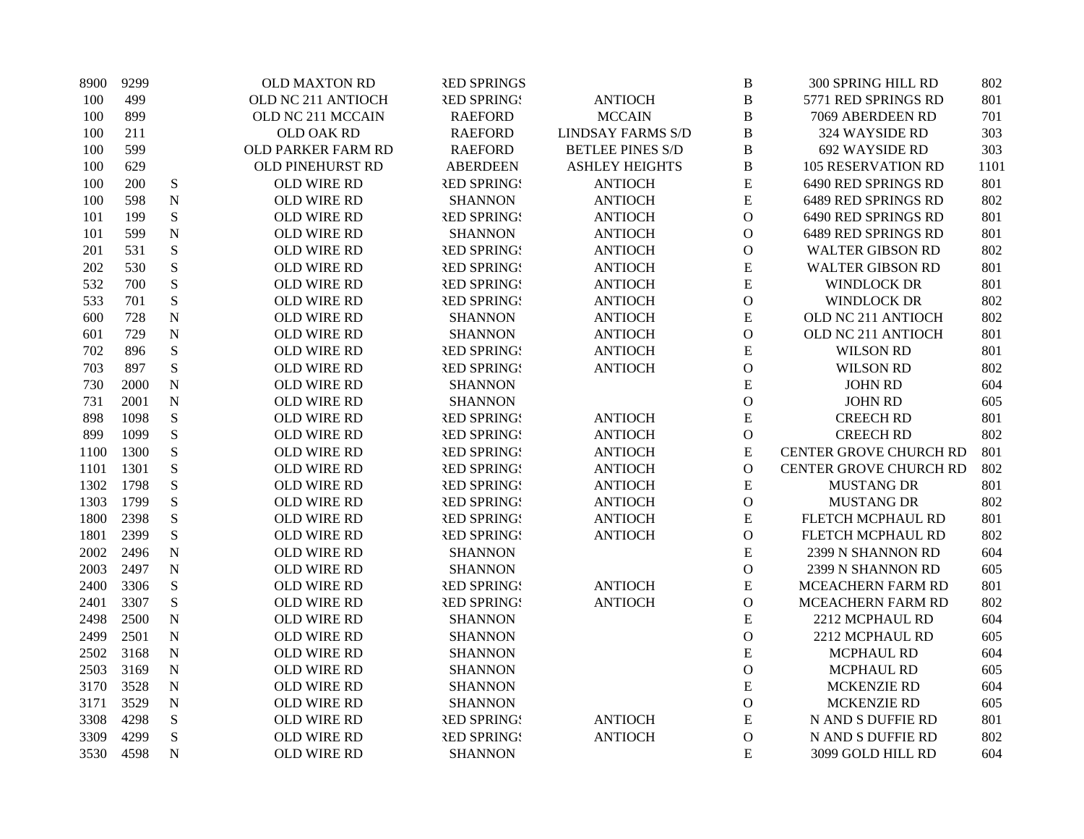| 8900 | 9299 |                | OLD MAXTON RD           | <b>RED SPRINGS</b> |                          | B              | 300 SPRING HILL RD            | 802  |
|------|------|----------------|-------------------------|--------------------|--------------------------|----------------|-------------------------------|------|
| 100  | 499  |                | OLD NC 211 ANTIOCH      | <b>RED SPRINGS</b> | <b>ANTIOCH</b>           | $\bf{B}$       | 5771 RED SPRINGS RD           | 801  |
| 100  | 899  |                | OLD NC 211 MCCAIN       | <b>RAEFORD</b>     | <b>MCCAIN</b>            | $\bf{B}$       | 7069 ABERDEEN RD              | 701  |
| 100  | 211  |                | OLD OAK RD              | <b>RAEFORD</b>     | <b>LINDSAY FARMS S/D</b> | $\bf{B}$       | 324 WAYSIDE RD                | 303  |
| 100  | 599  |                | OLD PARKER FARM RD      | <b>RAEFORD</b>     | <b>BETLEE PINES S/D</b>  | $\bf{B}$       | 692 WAYSIDE RD                | 303  |
| 100  | 629  |                | <b>OLD PINEHURST RD</b> | <b>ABERDEEN</b>    | <b>ASHLEY HEIGHTS</b>    | $\bf{B}$       | <b>105 RESERVATION RD</b>     | 1101 |
| 100  | 200  | ${\bf S}$      | OLD WIRE RD             | <b>RED SPRING!</b> | <b>ANTIOCH</b>           | E              | 6490 RED SPRINGS RD           | 801  |
| 100  | 598  | ${\bf N}$      | OLD WIRE RD             | <b>SHANNON</b>     | <b>ANTIOCH</b>           | E              | 6489 RED SPRINGS RD           | 802  |
| 101  | 199  | ${\bf S}$      | OLD WIRE RD             | <b>RED SPRING!</b> | <b>ANTIOCH</b>           | $\mathbf O$    | 6490 RED SPRINGS RD           | 801  |
| 101  | 599  | ${\bf N}$      | OLD WIRE RD             | <b>SHANNON</b>     | <b>ANTIOCH</b>           | ${\mathcal O}$ | 6489 RED SPRINGS RD           | 801  |
| 201  | 531  | ${\bf S}$      | OLD WIRE RD             | <b>RED SPRINGS</b> | <b>ANTIOCH</b>           | ${\mathcal O}$ | <b>WALTER GIBSON RD</b>       | 802  |
| 202  | 530  | ${\bf S}$      | OLD WIRE RD             | <b>RED SPRING!</b> | <b>ANTIOCH</b>           | ${\bf E}$      | <b>WALTER GIBSON RD</b>       | 801  |
| 532  | 700  | ${\bf S}$      | OLD WIRE RD             | <b>RED SPRINGS</b> | <b>ANTIOCH</b>           | E              | <b>WINDLOCK DR</b>            | 801  |
| 533  | 701  | ${\bf S}$      | OLD WIRE RD             | <b>RED SPRINGS</b> | <b>ANTIOCH</b>           | $\mathcal O$   | <b>WINDLOCK DR</b>            | 802  |
| 600  | 728  | ${\bf N}$      | OLD WIRE RD             | <b>SHANNON</b>     | <b>ANTIOCH</b>           | ${\bf E}$      | OLD NC 211 ANTIOCH            | 802  |
| 601  | 729  | ${\bf N}$      | OLD WIRE RD             | <b>SHANNON</b>     | <b>ANTIOCH</b>           | $\mathbf O$    | OLD NC 211 ANTIOCH            | 801  |
| 702  | 896  | $\mathbf S$    | OLD WIRE RD             | <b>RED SPRINGS</b> | <b>ANTIOCH</b>           | ${\bf E}$      | <b>WILSON RD</b>              | 801  |
| 703  | 897  | ${\bf S}$      | OLD WIRE RD             | <b>RED SPRING!</b> | <b>ANTIOCH</b>           | $\mathbf{O}$   | <b>WILSON RD</b>              | 802  |
| 730  | 2000 | ${\bf N}$      | OLD WIRE RD             | <b>SHANNON</b>     |                          | E              | <b>JOHN RD</b>                | 604  |
| 731  | 2001 | ${\bf N}$      | OLD WIRE RD             | <b>SHANNON</b>     |                          | $\mathbf{O}$   | <b>JOHN RD</b>                | 605  |
| 898  | 1098 | S              | OLD WIRE RD             | <b>RED SPRING!</b> | <b>ANTIOCH</b>           | ${\bf E}$      | <b>CREECH RD</b>              | 801  |
| 899  | 1099 | S              | OLD WIRE RD             | <b>RED SPRING!</b> | <b>ANTIOCH</b>           | $\mathbf O$    | <b>CREECH RD</b>              | 802  |
| 1100 | 1300 | S              | OLD WIRE RD             | <b>RED SPRINGS</b> | <b>ANTIOCH</b>           | ${\bf E}$      | <b>CENTER GROVE CHURCH RD</b> | 801  |
| 1101 | 1301 | S              | OLD WIRE RD             | <b>RED SPRING!</b> | <b>ANTIOCH</b>           | $\mathcal{O}$  | CENTER GROVE CHURCH RD        | 802  |
| 1302 | 1798 | S              | OLD WIRE RD             | <b>RED SPRINGS</b> | <b>ANTIOCH</b>           | E              | <b>MUSTANG DR</b>             | 801  |
| 1303 | 1799 | ${\bf S}$      | OLD WIRE RD             | <b>RED SPRING!</b> | <b>ANTIOCH</b>           | $\mathcal O$   | <b>MUSTANG DR</b>             | 802  |
| 1800 | 2398 | S              | OLD WIRE RD             | <b>RED SPRING!</b> | <b>ANTIOCH</b>           | ${\bf E}$      | FLETCH MCPHAUL RD             | 801  |
| 1801 | 2399 | S              | OLD WIRE RD             | <b>RED SPRING!</b> | <b>ANTIOCH</b>           | $\mathcal O$   | FLETCH MCPHAUL RD             | 802  |
| 2002 | 2496 | ${\bf N}$      | OLD WIRE RD             | <b>SHANNON</b>     |                          | E              | 2399 N SHANNON RD             | 604  |
| 2003 | 2497 | ${\bf N}$      | OLD WIRE RD             | <b>SHANNON</b>     |                          | $\mathbf{O}$   | 2399 N SHANNON RD             | 605  |
| 2400 | 3306 | ${\bf S}$      | OLD WIRE RD             | <b>RED SPRINGS</b> | <b>ANTIOCH</b>           | E              | MCEACHERN FARM RD             | 801  |
| 2401 | 3307 | ${\bf S}$      | OLD WIRE RD             | <b>RED SPRINGS</b> | <b>ANTIOCH</b>           | $\mathbf{O}$   | MCEACHERN FARM RD             | 802  |
| 2498 | 2500 | ${\bf N}$      | OLD WIRE RD             | <b>SHANNON</b>     |                          | E              | 2212 MCPHAUL RD               | 604  |
| 2499 | 2501 | $\mathbf N$    | OLD WIRE RD             | <b>SHANNON</b>     |                          | $\mathcal O$   | 2212 MCPHAUL RD               | 605  |
| 2502 | 3168 | $\mathbf N$    | OLD WIRE RD             | <b>SHANNON</b>     |                          | ${\bf E}$      | MCPHAUL RD                    | 604  |
| 2503 | 3169 | ${\bf N}$      | OLD WIRE RD             | <b>SHANNON</b>     |                          | $\mathbf{O}$   | MCPHAUL RD                    | 605  |
| 3170 | 3528 | ${\bf N}$      | OLD WIRE RD             | <b>SHANNON</b>     |                          | E              | <b>MCKENZIE RD</b>            | 604  |
| 3171 | 3529 | ${\bf N}$      | OLD WIRE RD             | <b>SHANNON</b>     |                          | $\mathbf{O}$   | <b>MCKENZIE RD</b>            | 605  |
| 3308 | 4298 | ${\bf S}$      | OLD WIRE RD             | <b>RED SPRINGS</b> | <b>ANTIOCH</b>           | ${\bf E}$      | N AND S DUFFIE RD             | 801  |
| 3309 | 4299 | S              | OLD WIRE RD             | <b>RED SPRING!</b> | <b>ANTIOCH</b>           | ${\bf O}$      | N AND S DUFFIE RD             | 802  |
| 3530 | 4598 | $\overline{N}$ | OLD WIRE RD             | <b>SHANNON</b>     |                          | E              | 3099 GOLD HILL RD             | 604  |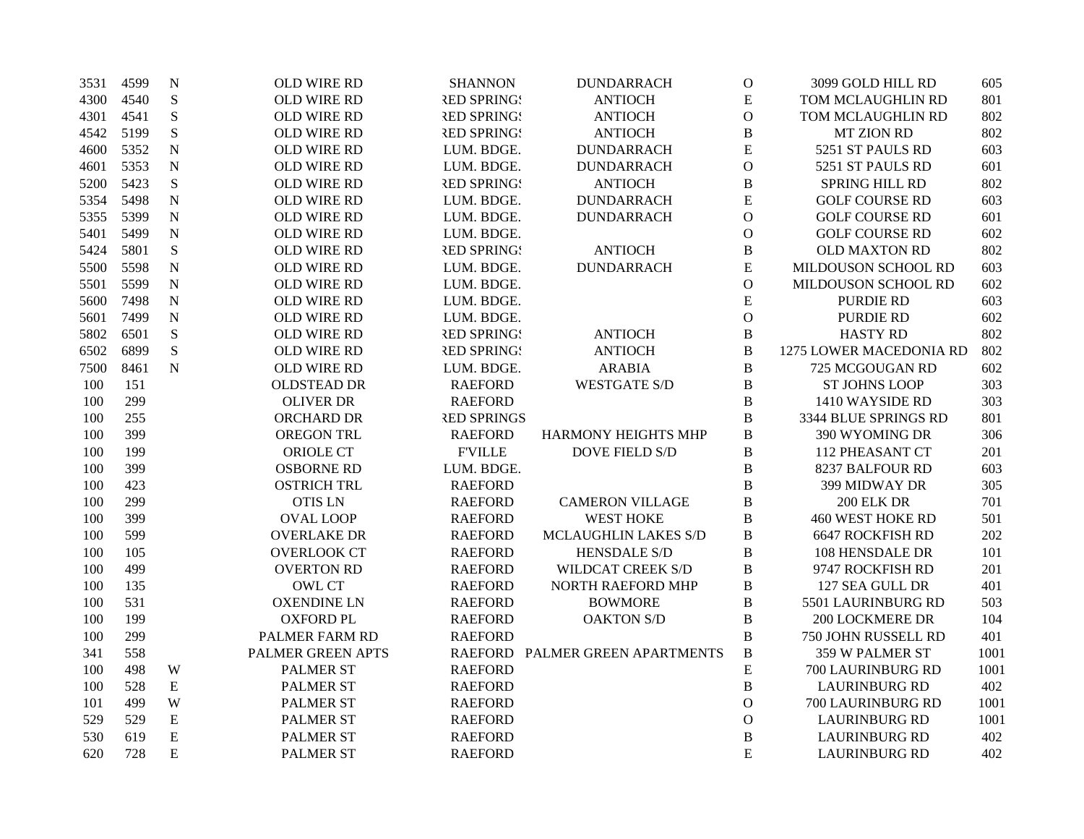| 3531 | 4599 | $\mathbf N$ | OLD WIRE RD        | <b>SHANNON</b>     | <b>DUNDARRACH</b>               | $\mathbf O$    | 3099 GOLD HILL RD       | 605  |
|------|------|-------------|--------------------|--------------------|---------------------------------|----------------|-------------------------|------|
| 4300 | 4540 | ${\bf S}$   | OLD WIRE RD        | <b>RED SPRINGS</b> | <b>ANTIOCH</b>                  | ${\bf E}$      | TOM MCLAUGHLIN RD       | 801  |
| 4301 | 4541 | ${\bf S}$   | OLD WIRE RD        | <b>RED SPRINGS</b> | <b>ANTIOCH</b>                  | $\mathbf O$    | TOM MCLAUGHLIN RD       | 802  |
| 4542 | 5199 | $\mathbf S$ | OLD WIRE RD        | <b>RED SPRINGS</b> | <b>ANTIOCH</b>                  | $\, {\bf B}$   | <b>MT ZION RD</b>       | 802  |
| 4600 | 5352 | ${\bf N}$   | OLD WIRE RD        | LUM. BDGE.         | <b>DUNDARRACH</b>               | $\overline{E}$ | 5251 ST PAULS RD        | 603  |
| 4601 | 5353 | $\mathbf N$ | OLD WIRE RD        | LUM. BDGE.         | <b>DUNDARRACH</b>               | $\mathbf O$    | 5251 ST PAULS RD        | 601  |
| 5200 | 5423 | $\mathbf S$ | OLD WIRE RD        | <b>RED SPRINGS</b> | <b>ANTIOCH</b>                  | $\, {\bf B}$   | SPRING HILL RD          | 802  |
| 5354 | 5498 | $\mathbf N$ | OLD WIRE RD        | LUM. BDGE.         | <b>DUNDARRACH</b>               | E              | <b>GOLF COURSE RD</b>   | 603  |
| 5355 | 5399 | ${\bf N}$   | OLD WIRE RD        | LUM. BDGE.         | <b>DUNDARRACH</b>               | $\mathbf O$    | <b>GOLF COURSE RD</b>   | 601  |
| 5401 | 5499 | N           | OLD WIRE RD        | LUM. BDGE.         |                                 | $\mathbf O$    | <b>GOLF COURSE RD</b>   | 602  |
| 5424 | 5801 | $\mathbf S$ | OLD WIRE RD        | <b>RED SPRINGS</b> | <b>ANTIOCH</b>                  | $\, {\bf B}$   | <b>OLD MAXTON RD</b>    | 802  |
| 5500 | 5598 | $\mathbf N$ | OLD WIRE RD        | LUM. BDGE.         | <b>DUNDARRACH</b>               | ${\bf E}$      | MILDOUSON SCHOOL RD     | 603  |
| 5501 | 5599 | $\mathbf N$ | OLD WIRE RD        | LUM. BDGE.         |                                 | $\mathbf O$    | MILDOUSON SCHOOL RD     | 602  |
| 5600 | 7498 | $\mathbf N$ | <b>OLD WIRE RD</b> | LUM. BDGE.         |                                 | E              | <b>PURDIE RD</b>        | 603  |
| 5601 | 7499 | ${\bf N}$   | OLD WIRE RD        | LUM. BDGE.         |                                 | $\mathbf{O}$   | PURDIE RD               | 602  |
| 5802 | 6501 | $\mathbf S$ | OLD WIRE RD        | <b>RED SPRINGS</b> | <b>ANTIOCH</b>                  | $\, {\bf B}$   | <b>HASTY RD</b>         | 802  |
| 6502 | 6899 | S           | OLD WIRE RD        | <b>RED SPRINGS</b> | <b>ANTIOCH</b>                  | $\, {\bf B}$   | 1275 LOWER MACEDONIA RD | 802  |
| 7500 | 8461 | $\mathbf N$ | OLD WIRE RD        | LUM. BDGE.         | <b>ARABIA</b>                   | $\, {\bf B}$   | 725 MCGOUGAN RD         | 602  |
| 100  | 151  |             | <b>OLDSTEAD DR</b> | <b>RAEFORD</b>     | <b>WESTGATE S/D</b>             | $\bf{B}$       | <b>ST JOHNS LOOP</b>    | 303  |
| 100  | 299  |             | <b>OLIVER DR</b>   | <b>RAEFORD</b>     |                                 | $\, {\bf B}$   | 1410 WAYSIDE RD         | 303  |
| 100  | 255  |             | ORCHARD DR         | <b>RED SPRINGS</b> |                                 | $\, {\bf B}$   | 3344 BLUE SPRINGS RD    | 801  |
| 100  | 399  |             | <b>OREGON TRL</b>  | <b>RAEFORD</b>     | HARMONY HEIGHTS MHP             | $\bf{B}$       | 390 WYOMING DR          | 306  |
| 100  | 199  |             | <b>ORIOLE CT</b>   | <b>F'VILLE</b>     | <b>DOVE FIELD S/D</b>           | $\, {\bf B}$   | 112 PHEASANT CT         | 201  |
| 100  | 399  |             | <b>OSBORNE RD</b>  | LUM. BDGE.         |                                 | $\, {\bf B}$   | 8237 BALFOUR RD         | 603  |
| 100  | 423  |             | <b>OSTRICH TRL</b> | <b>RAEFORD</b>     |                                 | $\, {\bf B}$   | 399 MIDWAY DR           | 305  |
| 100  | 299  |             | <b>OTIS LN</b>     | <b>RAEFORD</b>     | <b>CAMERON VILLAGE</b>          | $\, {\bf B}$   | 200 ELK DR              | 701  |
| 100  | 399  |             | <b>OVAL LOOP</b>   | <b>RAEFORD</b>     | <b>WEST HOKE</b>                | $\, {\bf B}$   | <b>460 WEST HOKE RD</b> | 501  |
| 100  | 599  |             | <b>OVERLAKE DR</b> | <b>RAEFORD</b>     | MCLAUGHLIN LAKES S/D            | $\bf{B}$       | <b>6647 ROCKFISH RD</b> | 202  |
| 100  | 105  |             | <b>OVERLOOK CT</b> | <b>RAEFORD</b>     | <b>HENSDALE S/D</b>             | $\, {\bf B}$   | 108 HENSDALE DR         | 101  |
| 100  | 499  |             | <b>OVERTON RD</b>  | <b>RAEFORD</b>     | WILDCAT CREEK S/D               | $\, {\bf B}$   | 9747 ROCKFISH RD        | 201  |
| 100  | 135  |             | <b>OWL CT</b>      | <b>RAEFORD</b>     | NORTH RAEFORD MHP               | $\bf{B}$       | 127 SEA GULL DR         | 401  |
| 100  | 531  |             | <b>OXENDINE LN</b> | <b>RAEFORD</b>     | <b>BOWMORE</b>                  | $\, {\bf B}$   | 5501 LAURINBURG RD      | 503  |
| 100  | 199  |             | <b>OXFORD PL</b>   | <b>RAEFORD</b>     | <b>OAKTON S/D</b>               | $\, {\bf B}$   | <b>200 LOCKMERE DR</b>  | 104  |
| 100  | 299  |             | PALMER FARM RD     | <b>RAEFORD</b>     |                                 | $\, {\bf B}$   | 750 JOHN RUSSELL RD     | 401  |
| 341  | 558  |             | PALMER GREEN APTS  |                    | RAEFORD PALMER GREEN APARTMENTS | $\, {\bf B}$   | 359 W PALMER ST         | 1001 |
| 100  | 498  | W           | <b>PALMER ST</b>   | <b>RAEFORD</b>     |                                 | ${\bf E}$      | 700 LAURINBURG RD       | 1001 |
| 100  | 528  | ${\bf E}$   | <b>PALMER ST</b>   | <b>RAEFORD</b>     |                                 | $\, {\bf B}$   | <b>LAURINBURG RD</b>    | 402  |
| 101  | 499  | W           | <b>PALMER ST</b>   | <b>RAEFORD</b>     |                                 | $\mathbf O$    | 700 LAURINBURG RD       | 1001 |
| 529  | 529  | ${\bf E}$   | <b>PALMER ST</b>   | <b>RAEFORD</b>     |                                 | $\mathbf{O}$   | <b>LAURINBURG RD</b>    | 1001 |
| 530  | 619  | E           | <b>PALMER ST</b>   | <b>RAEFORD</b>     |                                 | $\overline{B}$ | <b>LAURINBURG RD</b>    | 402  |
| 620  | 728  | E           | <b>PALMER ST</b>   | <b>RAEFORD</b>     |                                 | E              | <b>LAURINBURG RD</b>    | 402  |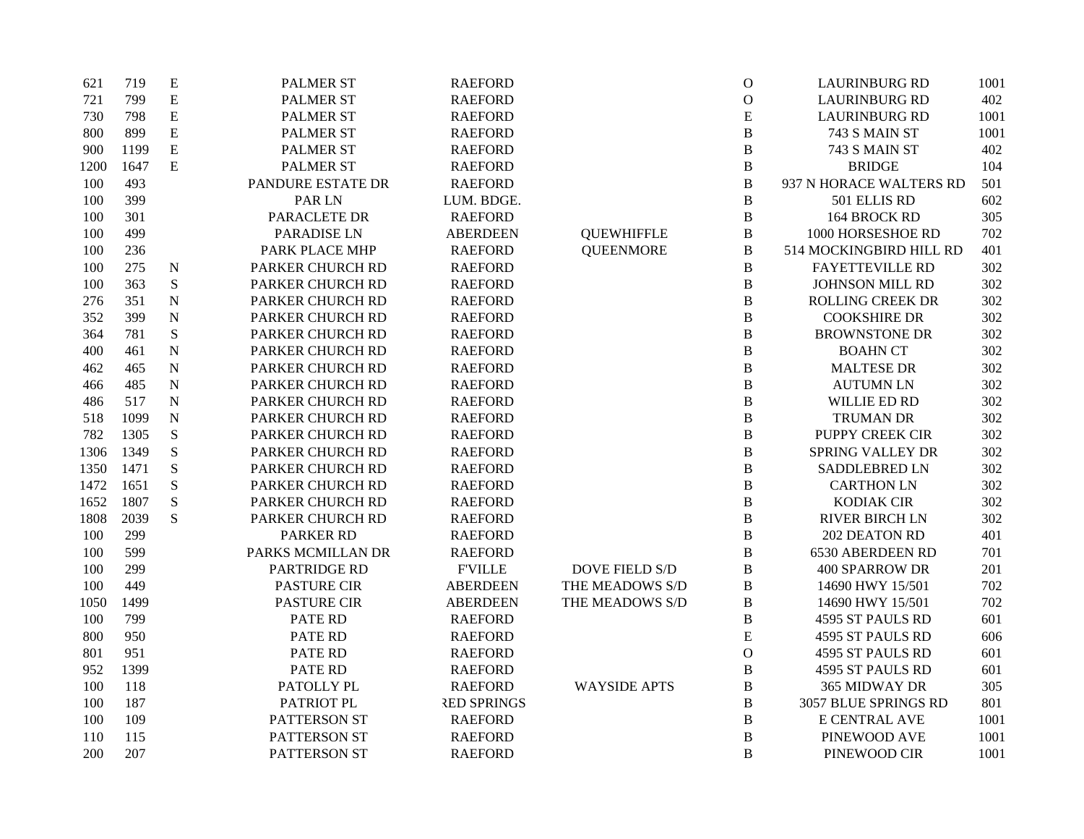| 621  | 719  | ${\bf E}$   | <b>PALMER ST</b>    | <b>RAEFORD</b>     |                       | $\mathbf{O}$   | <b>LAURINBURG RD</b>    | 1001 |
|------|------|-------------|---------------------|--------------------|-----------------------|----------------|-------------------------|------|
| 721  | 799  | ${\bf E}$   | <b>PALMER ST</b>    | <b>RAEFORD</b>     |                       | $\mathcal{O}$  | <b>LAURINBURG RD</b>    | 402  |
| 730  | 798  | ${\bf E}$   | PALMER ST           | <b>RAEFORD</b>     |                       | ${\bf E}$      | <b>LAURINBURG RD</b>    | 1001 |
| 800  | 899  | ${\bf E}$   | PALMER ST           | <b>RAEFORD</b>     |                       | $\, {\bf B}$   | 743 S MAIN ST           | 1001 |
| 900  | 1199 | ${\bf E}$   | <b>PALMER ST</b>    | <b>RAEFORD</b>     |                       | $\, {\bf B}$   | 743 S MAIN ST           | 402  |
| 1200 | 1647 | E           | PALMER ST           | <b>RAEFORD</b>     |                       | $\, {\bf B}$   | <b>BRIDGE</b>           | 104  |
| 100  | 493  |             | PANDURE ESTATE DR   | <b>RAEFORD</b>     |                       | $\, {\bf B}$   | 937 N HORACE WALTERS RD | 501  |
| 100  | 399  |             | PAR LN              | LUM. BDGE.         |                       | $\, {\bf B}$   | 501 ELLIS RD            | 602  |
| 100  | 301  |             | PARACLETE DR        | <b>RAEFORD</b>     |                       | $\, {\bf B}$   | 164 BROCK RD            | 305  |
| 100  | 499  |             | PARADISE LN         | <b>ABERDEEN</b>    | <b>QUEWHIFFLE</b>     | $\, {\bf B}$   | 1000 HORSESHOE RD       | 702  |
| 100  | 236  |             | PARK PLACE MHP      | <b>RAEFORD</b>     | <b>QUEENMORE</b>      | $\, {\bf B}$   | 514 MOCKINGBIRD HILL RD | 401  |
| 100  | 275  | $\mathbf N$ | PARKER CHURCH RD    | <b>RAEFORD</b>     |                       | $\, {\bf B}$   | <b>FAYETTEVILLE RD</b>  | 302  |
| 100  | 363  | ${\bf S}$   | PARKER CHURCH RD    | <b>RAEFORD</b>     |                       | $\, {\bf B}$   | JOHNSON MILL RD         | 302  |
| 276  | 351  | $\mathbf N$ | PARKER CHURCH RD    | <b>RAEFORD</b>     |                       | $\, {\bf B}$   | <b>ROLLING CREEK DR</b> | 302  |
| 352  | 399  | ${\bf N}$   | PARKER CHURCH RD    | <b>RAEFORD</b>     |                       | $\, {\bf B}$   | <b>COOKSHIRE DR</b>     | 302  |
| 364  | 781  | ${\bf S}$   | PARKER CHURCH RD    | <b>RAEFORD</b>     |                       | $\, {\bf B}$   | <b>BROWNSTONE DR</b>    | 302  |
| 400  | 461  | $\mathbf N$ | PARKER CHURCH RD    | <b>RAEFORD</b>     |                       | $\, {\bf B}$   | <b>BOAHN CT</b>         | 302  |
| 462  | 465  | $\mathbf N$ | PARKER CHURCH RD    | <b>RAEFORD</b>     |                       | $\, {\bf B}$   | <b>MALTESE DR</b>       | 302  |
| 466  | 485  | ${\bf N}$   | PARKER CHURCH RD    | <b>RAEFORD</b>     |                       | $\, {\bf B}$   | <b>AUTUMN LN</b>        | 302  |
| 486  | 517  | ${\bf N}$   | PARKER CHURCH RD    | <b>RAEFORD</b>     |                       | $\, {\bf B}$   | WILLIE ED RD            | 302  |
| 518  | 1099 | $\mathbf N$ | PARKER CHURCH RD    | <b>RAEFORD</b>     |                       | $\, {\bf B}$   | <b>TRUMAN DR</b>        | 302  |
| 782  | 1305 | ${\bf S}$   | PARKER CHURCH RD    | <b>RAEFORD</b>     |                       | $\, {\bf B}$   | PUPPY CREEK CIR         | 302  |
| 1306 | 1349 | S           | PARKER CHURCH RD    | <b>RAEFORD</b>     |                       | $\, {\bf B}$   | <b>SPRING VALLEY DR</b> | 302  |
| 1350 | 1471 | S           | PARKER CHURCH RD    | <b>RAEFORD</b>     |                       | $\, {\bf B}$   | SADDLEBRED LN           | 302  |
| 1472 | 1651 | S           | PARKER CHURCH RD    | <b>RAEFORD</b>     |                       | $\, {\bf B}$   | <b>CARTHON LN</b>       | 302  |
| 1652 | 1807 | ${\bf S}$   | PARKER CHURCH RD    | <b>RAEFORD</b>     |                       | $\, {\bf B}$   | <b>KODIAK CIR</b>       | 302  |
| 1808 | 2039 | S           | PARKER CHURCH RD    | <b>RAEFORD</b>     |                       | $\, {\bf B}$   | RIVER BIRCH LN          | 302  |
| 100  | 299  |             | <b>PARKER RD</b>    | <b>RAEFORD</b>     |                       | $\, {\bf B}$   | 202 DEATON RD           | 401  |
| 100  | 599  |             | PARKS MCMILLAN DR   | <b>RAEFORD</b>     |                       | $\, {\bf B}$   | 6530 ABERDEEN RD        | 701  |
| 100  | 299  |             | <b>PARTRIDGE RD</b> | <b>F'VILLE</b>     | <b>DOVE FIELD S/D</b> | $\, {\bf B}$   | <b>400 SPARROW DR</b>   | 201  |
| 100  | 449  |             | <b>PASTURE CIR</b>  | <b>ABERDEEN</b>    | THE MEADOWS S/D       | $\, {\bf B}$   | 14690 HWY 15/501        | 702  |
| 1050 | 1499 |             | PASTURE CIR         | <b>ABERDEEN</b>    | THE MEADOWS S/D       | $\, {\bf B}$   | 14690 HWY 15/501        | 702  |
| 100  | 799  |             | PATE RD             | <b>RAEFORD</b>     |                       | $\, {\bf B}$   | 4595 ST PAULS RD        | 601  |
| 800  | 950  |             | <b>PATE RD</b>      | <b>RAEFORD</b>     |                       | E              | 4595 ST PAULS RD        | 606  |
| 801  | 951  |             | PATE RD             | <b>RAEFORD</b>     |                       | $\overline{O}$ | 4595 ST PAULS RD        | 601  |
| 952  | 1399 |             | <b>PATE RD</b>      | <b>RAEFORD</b>     |                       | $\, {\bf B}$   | 4595 ST PAULS RD        | 601  |
| 100  | 118  |             | PATOLLY PL          | <b>RAEFORD</b>     | <b>WAYSIDE APTS</b>   | $\, {\bf B}$   | 365 MIDWAY DR           | 305  |
| 100  | 187  |             | PATRIOT PL          | <b>RED SPRINGS</b> |                       | $\, {\bf B}$   | 3057 BLUE SPRINGS RD    | 801  |
| 100  | 109  |             | PATTERSON ST        | <b>RAEFORD</b>     |                       | $\, {\bf B}$   | E CENTRAL AVE           | 1001 |
| 110  | 115  |             | PATTERSON ST        | <b>RAEFORD</b>     |                       | $\, {\bf B}$   | PINEWOOD AVE            | 1001 |
| 200  | 207  |             | PATTERSON ST        | <b>RAEFORD</b>     |                       | B              | PINEWOOD CIR            | 1001 |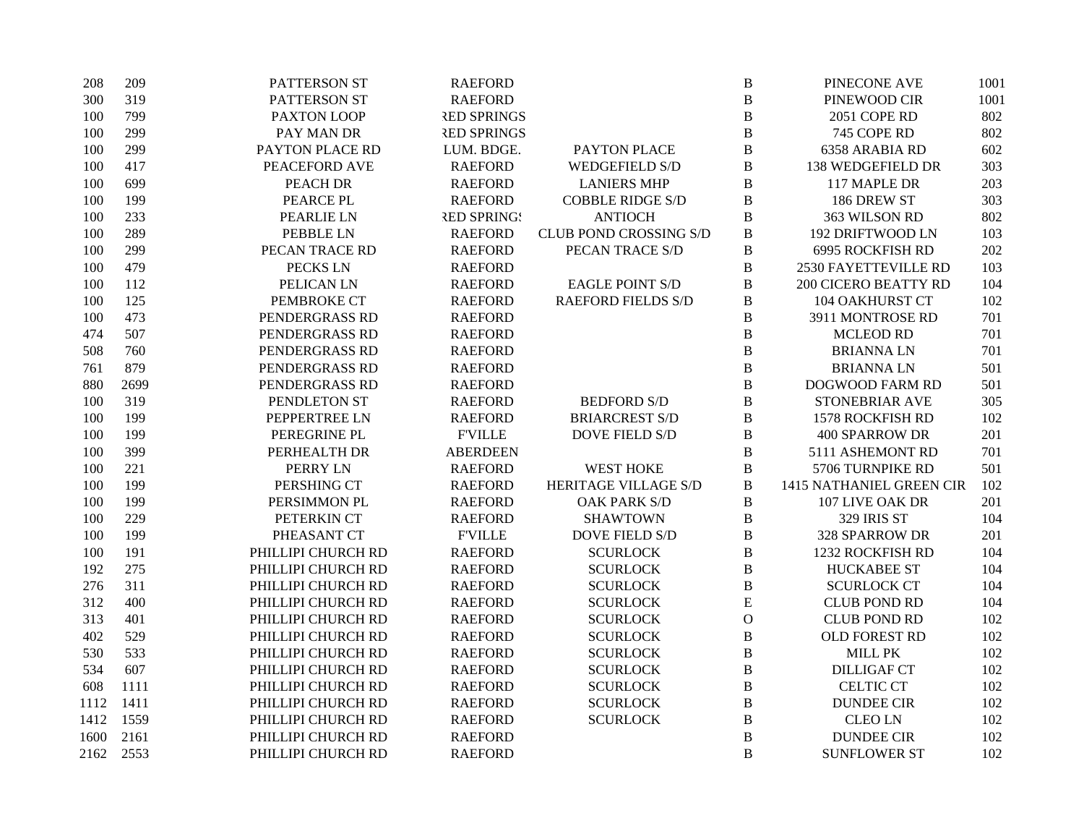| 208  | 209  | PATTERSON ST       | <b>RAEFORD</b>     |                               | $\bf{B}$       | PINECONE AVE                | 1001 |
|------|------|--------------------|--------------------|-------------------------------|----------------|-----------------------------|------|
| 300  | 319  | PATTERSON ST       | <b>RAEFORD</b>     |                               | $\, {\bf B}$   | PINEWOOD CIR                | 1001 |
| 100  | 799  | PAXTON LOOP        | <b>RED SPRINGS</b> |                               | $\, {\bf B}$   | 2051 COPE RD                | 802  |
| 100  | 299  | PAY MAN DR         | <b>RED SPRINGS</b> |                               | $\, {\bf B}$   | 745 COPE RD                 | 802  |
| 100  | 299  | PAYTON PLACE RD    | LUM. BDGE.         | PAYTON PLACE                  | $\, {\bf B}$   | 6358 ARABIA RD              | 602  |
| 100  | 417  | PEACEFORD AVE      | <b>RAEFORD</b>     | <b>WEDGEFIELD S/D</b>         | $\, {\bf B}$   | 138 WEDGEFIELD DR           | 303  |
| 100  | 699  | PEACH DR           | <b>RAEFORD</b>     | <b>LANIERS MHP</b>            | $\bf{B}$       | 117 MAPLE DR                | 203  |
| 100  | 199  | PEARCE PL          | <b>RAEFORD</b>     | <b>COBBLE RIDGE S/D</b>       | $\, {\bf B}$   | 186 DREW ST                 | 303  |
| 100  | 233  | PEARLIE LN         | <b>RED SPRINGS</b> | <b>ANTIOCH</b>                | $\bf{B}$       | 363 WILSON RD               | 802  |
| 100  | 289  | PEBBLE LN          | <b>RAEFORD</b>     | <b>CLUB POND CROSSING S/D</b> | $\, {\bf B}$   | 192 DRIFTWOOD LN            | 103  |
| 100  | 299  | PECAN TRACE RD     | <b>RAEFORD</b>     | PECAN TRACE S/D               | $\, {\bf B}$   | 6995 ROCKFISH RD            | 202  |
| 100  | 479  | PECKS LN           | <b>RAEFORD</b>     |                               | $\, {\bf B}$   | 2530 FAYETTEVILLE RD        | 103  |
| 100  | 112  | PELICAN LN         | <b>RAEFORD</b>     | <b>EAGLE POINT S/D</b>        | $\bf{B}$       | <b>200 CICERO BEATTY RD</b> | 104  |
| 100  | 125  | PEMBROKE CT        | <b>RAEFORD</b>     | <b>RAEFORD FIELDS S/D</b>     | $\bf{B}$       | 104 OAKHURST CT             | 102  |
| 100  | 473  | PENDERGRASS RD     | <b>RAEFORD</b>     |                               | $\, {\bf B}$   | 3911 MONTROSE RD            | 701  |
| 474  | 507  | PENDERGRASS RD     | <b>RAEFORD</b>     |                               | $\, {\bf B}$   | <b>MCLEOD RD</b>            | 701  |
| 508  | 760  | PENDERGRASS RD     | <b>RAEFORD</b>     |                               | $\, {\bf B}$   | <b>BRIANNALN</b>            | 701  |
| 761  | 879  | PENDERGRASS RD     | <b>RAEFORD</b>     |                               | $\, {\bf B}$   | <b>BRIANNALN</b>            | 501  |
| 880  | 2699 | PENDERGRASS RD     | <b>RAEFORD</b>     |                               | $\bf{B}$       | <b>DOGWOOD FARM RD</b>      | 501  |
| 100  | 319  | PENDLETON ST       | <b>RAEFORD</b>     | <b>BEDFORD S/D</b>            | $\bf{B}$       | STONEBRIAR AVE              | 305  |
| 100  | 199  | PEPPERTREE LN      | <b>RAEFORD</b>     | <b>BRIARCREST S/D</b>         | $\bf{B}$       | 1578 ROCKFISH RD            | 102  |
| 100  | 199  | PEREGRINE PL       | <b>FVILLE</b>      | <b>DOVE FIELD S/D</b>         | $\, {\bf B}$   | <b>400 SPARROW DR</b>       | 201  |
| 100  | 399  | PERHEALTH DR       | <b>ABERDEEN</b>    |                               | $\, {\bf B}$   | 5111 ASHEMONT RD            | 701  |
| 100  | 221  | PERRY LN           | <b>RAEFORD</b>     | <b>WEST HOKE</b>              | $\, {\bf B}$   | 5706 TURNPIKE RD            | 501  |
| 100  | 199  | PERSHING CT        | <b>RAEFORD</b>     | HERITAGE VILLAGE S/D          | $\bf{B}$       | 1415 NATHANIEL GREEN CIR    | 102  |
| 100  | 199  | PERSIMMON PL       | <b>RAEFORD</b>     | <b>OAK PARK S/D</b>           | $\, {\bf B}$   | 107 LIVE OAK DR             | 201  |
| 100  | 229  | PETERKIN CT        | <b>RAEFORD</b>     | <b>SHAWTOWN</b>               | $\, {\bf B}$   | 329 IRIS ST                 | 104  |
| 100  | 199  | PHEASANT CT        | <b>FVILLE</b>      | <b>DOVE FIELD S/D</b>         | $\, {\bf B}$   | 328 SPARROW DR              | 201  |
| 100  | 191  | PHILLIPI CHURCH RD | <b>RAEFORD</b>     | <b>SCURLOCK</b>               | $\, {\bf B}$   | 1232 ROCKFISH RD            | 104  |
| 192  | 275  | PHILLIPI CHURCH RD | <b>RAEFORD</b>     | <b>SCURLOCK</b>               | $\, {\bf B}$   | <b>HUCKABEE ST</b>          | 104  |
| 276  | 311  | PHILLIPI CHURCH RD | <b>RAEFORD</b>     | <b>SCURLOCK</b>               | $\bf{B}$       | <b>SCURLOCK CT</b>          | 104  |
| 312  | 400  | PHILLIPI CHURCH RD | <b>RAEFORD</b>     | <b>SCURLOCK</b>               | ${\bf E}$      | <b>CLUB POND RD</b>         | 104  |
| 313  | 401  | PHILLIPI CHURCH RD | <b>RAEFORD</b>     | <b>SCURLOCK</b>               | $\mathbf{O}$   | <b>CLUB POND RD</b>         | 102  |
| 402  | 529  | PHILLIPI CHURCH RD | <b>RAEFORD</b>     | <b>SCURLOCK</b>               | $\, {\bf B}$   | OLD FOREST RD               | 102  |
| 530  | 533  | PHILLIPI CHURCH RD | <b>RAEFORD</b>     | <b>SCURLOCK</b>               | $\, {\bf B}$   | MILL PK                     | 102  |
| 534  | 607  | PHILLIPI CHURCH RD | <b>RAEFORD</b>     | <b>SCURLOCK</b>               | $\, {\bf B}$   | <b>DILLIGAF CT</b>          | 102  |
| 608  | 1111 | PHILLIPI CHURCH RD | <b>RAEFORD</b>     | <b>SCURLOCK</b>               | $\, {\bf B}$   | <b>CELTIC CT</b>            | 102  |
| 1112 | 1411 | PHILLIPI CHURCH RD | <b>RAEFORD</b>     | <b>SCURLOCK</b>               | $\, {\bf B}$   | <b>DUNDEE CIR</b>           | 102  |
| 1412 | 1559 | PHILLIPI CHURCH RD | <b>RAEFORD</b>     | <b>SCURLOCK</b>               | $\, {\bf B}$   | <b>CLEOLN</b>               | 102  |
| 1600 | 2161 | PHILLIPI CHURCH RD | <b>RAEFORD</b>     |                               | $\, {\bf B}$   | <b>DUNDEE CIR</b>           | 102  |
| 2162 | 2553 | PHILLIPI CHURCH RD | <b>RAEFORD</b>     |                               | $\overline{B}$ | <b>SUNFLOWER ST</b>         | 102  |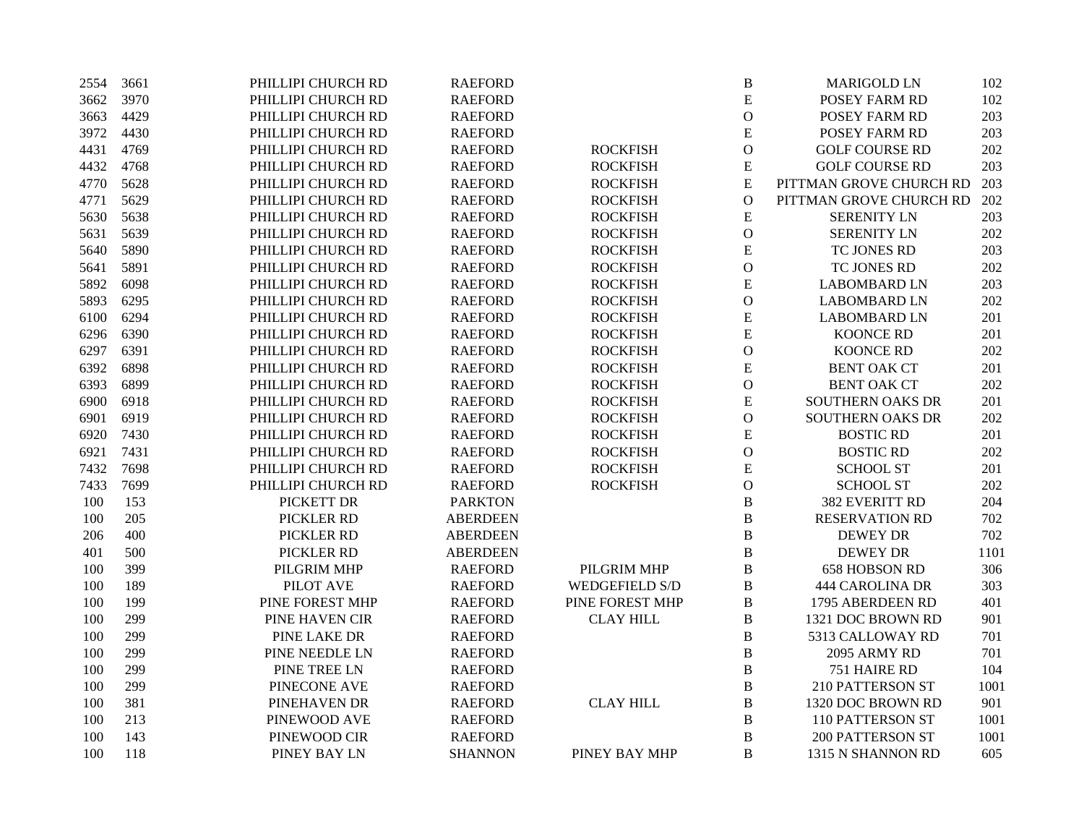| 2554 | 3661 | PHILLIPI CHURCH RD | <b>RAEFORD</b>  |                       | B              | <b>MARIGOLD LN</b>      | 102  |
|------|------|--------------------|-----------------|-----------------------|----------------|-------------------------|------|
| 3662 | 3970 | PHILLIPI CHURCH RD | <b>RAEFORD</b>  |                       | ${\bf E}$      | POSEY FARM RD           | 102  |
| 3663 | 4429 | PHILLIPI CHURCH RD | <b>RAEFORD</b>  |                       | $\mathcal{O}$  | POSEY FARM RD           | 203  |
| 3972 | 4430 | PHILLIPI CHURCH RD | <b>RAEFORD</b>  |                       | E              | POSEY FARM RD           | 203  |
| 4431 | 4769 | PHILLIPI CHURCH RD | <b>RAEFORD</b>  | <b>ROCKFISH</b>       | $\mathcal O$   | <b>GOLF COURSE RD</b>   | 202  |
| 4432 | 4768 | PHILLIPI CHURCH RD | <b>RAEFORD</b>  | <b>ROCKFISH</b>       | ${\bf E}$      | <b>GOLF COURSE RD</b>   | 203  |
| 4770 | 5628 | PHILLIPI CHURCH RD | <b>RAEFORD</b>  | <b>ROCKFISH</b>       | ${\bf E}$      | PITTMAN GROVE CHURCH RD | 203  |
| 4771 | 5629 | PHILLIPI CHURCH RD | <b>RAEFORD</b>  | <b>ROCKFISH</b>       | $\overline{O}$ | PITTMAN GROVE CHURCH RD | 202  |
| 5630 | 5638 | PHILLIPI CHURCH RD | <b>RAEFORD</b>  | <b>ROCKFISH</b>       | ${\bf E}$      | <b>SERENITY LN</b>      | 203  |
| 5631 | 5639 | PHILLIPI CHURCH RD | <b>RAEFORD</b>  | <b>ROCKFISH</b>       | $\overline{O}$ | <b>SERENITY LN</b>      | 202  |
| 5640 | 5890 | PHILLIPI CHURCH RD | <b>RAEFORD</b>  | <b>ROCKFISH</b>       | ${\bf E}$      | TC JONES RD             | 203  |
| 5641 | 5891 | PHILLIPI CHURCH RD | <b>RAEFORD</b>  | <b>ROCKFISH</b>       | $\mathbf{O}$   | TC JONES RD             | 202  |
| 5892 | 6098 | PHILLIPI CHURCH RD | <b>RAEFORD</b>  | <b>ROCKFISH</b>       | ${\bf E}$      | <b>LABOMBARD LN</b>     | 203  |
| 5893 | 6295 | PHILLIPI CHURCH RD | <b>RAEFORD</b>  | <b>ROCKFISH</b>       | $\mathbf{O}$   | <b>LABOMBARD LN</b>     | 202  |
| 6100 | 6294 | PHILLIPI CHURCH RD | <b>RAEFORD</b>  | <b>ROCKFISH</b>       | ${\bf E}$      | <b>LABOMBARD LN</b>     | 201  |
| 6296 | 6390 | PHILLIPI CHURCH RD | <b>RAEFORD</b>  | <b>ROCKFISH</b>       | E              | <b>KOONCE RD</b>        | 201  |
| 6297 | 6391 | PHILLIPI CHURCH RD | <b>RAEFORD</b>  | <b>ROCKFISH</b>       | $\mathcal O$   | KOONCE RD               | 202  |
| 6392 | 6898 | PHILLIPI CHURCH RD | <b>RAEFORD</b>  | <b>ROCKFISH</b>       | ${\bf E}$      | <b>BENT OAK CT</b>      | 201  |
| 6393 | 6899 | PHILLIPI CHURCH RD | <b>RAEFORD</b>  | <b>ROCKFISH</b>       | $\mathbf{O}$   | <b>BENT OAK CT</b>      | 202  |
| 6900 | 6918 | PHILLIPI CHURCH RD | <b>RAEFORD</b>  | <b>ROCKFISH</b>       | ${\bf E}$      | SOUTHERN OAKS DR        | 201  |
| 6901 | 6919 | PHILLIPI CHURCH RD | <b>RAEFORD</b>  | <b>ROCKFISH</b>       | $\mathcal{O}$  | SOUTHERN OAKS DR        | 202  |
| 6920 | 7430 | PHILLIPI CHURCH RD | <b>RAEFORD</b>  | <b>ROCKFISH</b>       | ${\bf E}$      | <b>BOSTIC RD</b>        | 201  |
| 6921 | 7431 | PHILLIPI CHURCH RD | <b>RAEFORD</b>  | <b>ROCKFISH</b>       | $\mathbf{O}$   | <b>BOSTIC RD</b>        | 202  |
| 7432 | 7698 | PHILLIPI CHURCH RD | <b>RAEFORD</b>  | <b>ROCKFISH</b>       | ${\bf E}$      | <b>SCHOOL ST</b>        | 201  |
| 7433 | 7699 | PHILLIPI CHURCH RD | <b>RAEFORD</b>  | <b>ROCKFISH</b>       | $\mathbf{O}$   | <b>SCHOOL ST</b>        | 202  |
| 100  | 153  | PICKETT DR         | <b>PARKTON</b>  |                       | $\, {\bf B}$   | 382 EVERITT RD          | 204  |
| 100  | 205  | PICKLER RD         | <b>ABERDEEN</b> |                       | $\, {\bf B}$   | <b>RESERVATION RD</b>   | 702  |
| 206  | 400  | PICKLER RD         | <b>ABERDEEN</b> |                       | $\, {\bf B}$   | <b>DEWEY DR</b>         | 702  |
| 401  | 500  | PICKLER RD         | <b>ABERDEEN</b> |                       | $\, {\bf B}$   | <b>DEWEY DR</b>         | 1101 |
| 100  | 399  | PILGRIM MHP        | <b>RAEFORD</b>  | PILGRIM MHP           | $\, {\bf B}$   | 658 HOBSON RD           | 306  |
| 100  | 189  | PILOT AVE          | <b>RAEFORD</b>  | <b>WEDGEFIELD S/D</b> | $\, {\bf B}$   | <b>444 CAROLINA DR</b>  | 303  |
| 100  | 199  | PINE FOREST MHP    | <b>RAEFORD</b>  | PINE FOREST MHP       | $\, {\bf B}$   | 1795 ABERDEEN RD        | 401  |
| 100  | 299  | PINE HAVEN CIR     | <b>RAEFORD</b>  | <b>CLAY HILL</b>      | $\, {\bf B}$   | 1321 DOC BROWN RD       | 901  |
| 100  | 299  | PINE LAKE DR       | <b>RAEFORD</b>  |                       | $\, {\bf B}$   | 5313 CALLOWAY RD        | 701  |
| 100  | 299  | PINE NEEDLE LN     | <b>RAEFORD</b>  |                       | $\, {\bf B}$   | 2095 ARMY RD            | 701  |
| 100  | 299  | PINE TREE LN       | <b>RAEFORD</b>  |                       | $\, {\bf B}$   | 751 HAIRE RD            | 104  |
| 100  | 299  | PINECONE AVE       | <b>RAEFORD</b>  |                       | $\, {\bf B}$   | 210 PATTERSON ST        | 1001 |
| 100  | 381  | PINEHAVEN DR       | <b>RAEFORD</b>  | <b>CLAY HILL</b>      | $\, {\bf B}$   | 1320 DOC BROWN RD       | 901  |
| 100  | 213  | PINEWOOD AVE       | <b>RAEFORD</b>  |                       | $\, {\bf B}$   | 110 PATTERSON ST        | 1001 |
| 100  | 143  | PINEWOOD CIR       | <b>RAEFORD</b>  |                       | $\, {\bf B}$   | <b>200 PATTERSON ST</b> | 1001 |
| 100  | 118  | PINEY BAY LN       | <b>SHANNON</b>  | PINEY BAY MHP         | B              | 1315 N SHANNON RD       | 605  |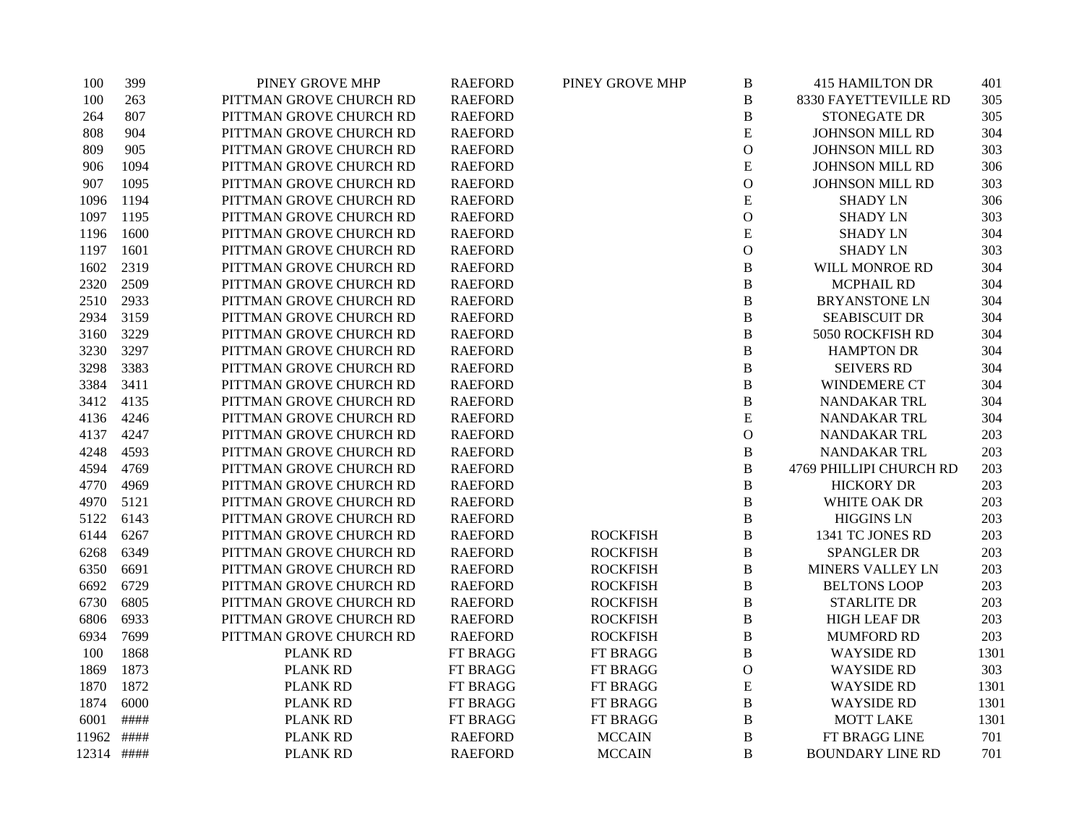| 100        | 399  | PINEY GROVE MHP         | <b>RAEFORD</b> | PINEY GROVE MHP | $\, {\bf B}$   | <b>415 HAMILTON DR</b>  | 401  |
|------------|------|-------------------------|----------------|-----------------|----------------|-------------------------|------|
| 100        | 263  | PITTMAN GROVE CHURCH RD | <b>RAEFORD</b> |                 | $\, {\bf B}$   | 8330 FAYETTEVILLE RD    | 305  |
| 264        | 807  | PITTMAN GROVE CHURCH RD | <b>RAEFORD</b> |                 | $\, {\bf B}$   | <b>STONEGATE DR</b>     | 305  |
| 808        | 904  | PITTMAN GROVE CHURCH RD | <b>RAEFORD</b> |                 | ${\bf E}$      | <b>JOHNSON MILL RD</b>  | 304  |
| 809        | 905  | PITTMAN GROVE CHURCH RD | <b>RAEFORD</b> |                 | $\overline{O}$ | <b>JOHNSON MILL RD</b>  | 303  |
| 906        | 1094 | PITTMAN GROVE CHURCH RD | <b>RAEFORD</b> |                 | ${\bf E}$      | <b>JOHNSON MILL RD</b>  | 306  |
| 907        | 1095 | PITTMAN GROVE CHURCH RD | <b>RAEFORD</b> |                 | $\mathbf O$    | <b>JOHNSON MILL RD</b>  | 303  |
| 1096       | 1194 | PITTMAN GROVE CHURCH RD | <b>RAEFORD</b> |                 | ${\bf E}$      | <b>SHADY LN</b>         | 306  |
| 1097       | 1195 | PITTMAN GROVE CHURCH RD | <b>RAEFORD</b> |                 | $\mathbf O$    | <b>SHADY LN</b>         | 303  |
| 1196       | 1600 | PITTMAN GROVE CHURCH RD | <b>RAEFORD</b> |                 | ${\bf E}$      | <b>SHADY LN</b>         | 304  |
| 1197       | 1601 | PITTMAN GROVE CHURCH RD | <b>RAEFORD</b> |                 | $\mathbf O$    | <b>SHADY LN</b>         | 303  |
| 1602       | 2319 | PITTMAN GROVE CHURCH RD | <b>RAEFORD</b> |                 | $\, {\bf B}$   | WILL MONROE RD          | 304  |
| 2320       | 2509 | PITTMAN GROVE CHURCH RD | <b>RAEFORD</b> |                 | $\bf{B}$       | <b>MCPHAIL RD</b>       | 304  |
| 2510       | 2933 | PITTMAN GROVE CHURCH RD | <b>RAEFORD</b> |                 | $\, {\bf B}$   | <b>BRYANSTONE LN</b>    | 304  |
| 2934       | 3159 | PITTMAN GROVE CHURCH RD | <b>RAEFORD</b> |                 | $\, {\bf B}$   | <b>SEABISCUIT DR</b>    | 304  |
| 3160       | 3229 | PITTMAN GROVE CHURCH RD | <b>RAEFORD</b> |                 | $\, {\bf B}$   | 5050 ROCKFISH RD        | 304  |
| 3230       | 3297 | PITTMAN GROVE CHURCH RD | <b>RAEFORD</b> |                 | $\, {\bf B}$   | <b>HAMPTON DR</b>       | 304  |
| 3298       | 3383 | PITTMAN GROVE CHURCH RD | <b>RAEFORD</b> |                 | $\, {\bf B}$   | <b>SEIVERS RD</b>       | 304  |
| 3384       | 3411 | PITTMAN GROVE CHURCH RD | <b>RAEFORD</b> |                 | $\, {\bf B}$   | WINDEMERE CT            | 304  |
| 3412       | 4135 | PITTMAN GROVE CHURCH RD | <b>RAEFORD</b> |                 | $\, {\bf B}$   | NANDAKAR TRL            | 304  |
| 4136       | 4246 | PITTMAN GROVE CHURCH RD | <b>RAEFORD</b> |                 | ${\bf E}$      | NANDAKAR TRL            | 304  |
| 4137       | 4247 | PITTMAN GROVE CHURCH RD | <b>RAEFORD</b> |                 | $\mathbf O$    | NANDAKAR TRL            | 203  |
| 4248       | 4593 | PITTMAN GROVE CHURCH RD | <b>RAEFORD</b> |                 | $\, {\bf B}$   | NANDAKAR TRL            | 203  |
| 4594       | 4769 | PITTMAN GROVE CHURCH RD | <b>RAEFORD</b> |                 | $\, {\bf B}$   | 4769 PHILLIPI CHURCH RD | 203  |
| 4770       | 4969 | PITTMAN GROVE CHURCH RD | <b>RAEFORD</b> |                 | $\, {\bf B}$   | <b>HICKORY DR</b>       | 203  |
| 4970       | 5121 | PITTMAN GROVE CHURCH RD | <b>RAEFORD</b> |                 | $\, {\bf B}$   | WHITE OAK DR            | 203  |
| 5122       | 6143 | PITTMAN GROVE CHURCH RD | <b>RAEFORD</b> |                 | B              | <b>HIGGINS LN</b>       | 203  |
| 6144       | 6267 | PITTMAN GROVE CHURCH RD | <b>RAEFORD</b> | <b>ROCKFISH</b> | $\, {\bf B}$   | 1341 TC JONES RD        | 203  |
| 6268       | 6349 | PITTMAN GROVE CHURCH RD | <b>RAEFORD</b> | <b>ROCKFISH</b> | $\, {\bf B}$   | <b>SPANGLER DR</b>      | 203  |
| 6350       | 6691 | PITTMAN GROVE CHURCH RD | <b>RAEFORD</b> | <b>ROCKFISH</b> | B              | MINERS VALLEY LN        | 203  |
| 6692       | 6729 | PITTMAN GROVE CHURCH RD | <b>RAEFORD</b> | <b>ROCKFISH</b> | $\bf{B}$       | <b>BELTONS LOOP</b>     | 203  |
| 6730       | 6805 | PITTMAN GROVE CHURCH RD | <b>RAEFORD</b> | <b>ROCKFISH</b> | $\, {\bf B}$   | <b>STARLITE DR</b>      | 203  |
| 6806       | 6933 | PITTMAN GROVE CHURCH RD | <b>RAEFORD</b> | <b>ROCKFISH</b> | $\bf{B}$       | <b>HIGH LEAF DR</b>     | 203  |
| 6934       | 7699 | PITTMAN GROVE CHURCH RD | <b>RAEFORD</b> | <b>ROCKFISH</b> | $\, {\bf B}$   | <b>MUMFORD RD</b>       | 203  |
| 100        | 1868 | <b>PLANK RD</b>         | FT BRAGG       | FT BRAGG        | $\, {\bf B}$   | <b>WAYSIDE RD</b>       | 1301 |
| 1869       | 1873 | <b>PLANK RD</b>         | FT BRAGG       | FT BRAGG        | $\mathbf{O}$   | <b>WAYSIDE RD</b>       | 303  |
| 1870       | 1872 | PLANK RD                | FT BRAGG       | FT BRAGG        | ${\bf E}$      | <b>WAYSIDE RD</b>       | 1301 |
| 1874       | 6000 | <b>PLANK RD</b>         | FT BRAGG       | FT BRAGG        | $\, {\bf B}$   | <b>WAYSIDE RD</b>       | 1301 |
| 6001       | #### | <b>PLANK RD</b>         | FT BRAGG       | FT BRAGG        | $\, {\bf B}$   | <b>MOTT LAKE</b>        | 1301 |
| 11962      | #### | PLANK RD                | <b>RAEFORD</b> | <b>MCCAIN</b>   | $\, {\bf B}$   | FT BRAGG LINE           | 701  |
| 12314 #### |      | <b>PLANK RD</b>         | <b>RAEFORD</b> | <b>MCCAIN</b>   | B              | <b>BOUNDARY LINE RD</b> | 701  |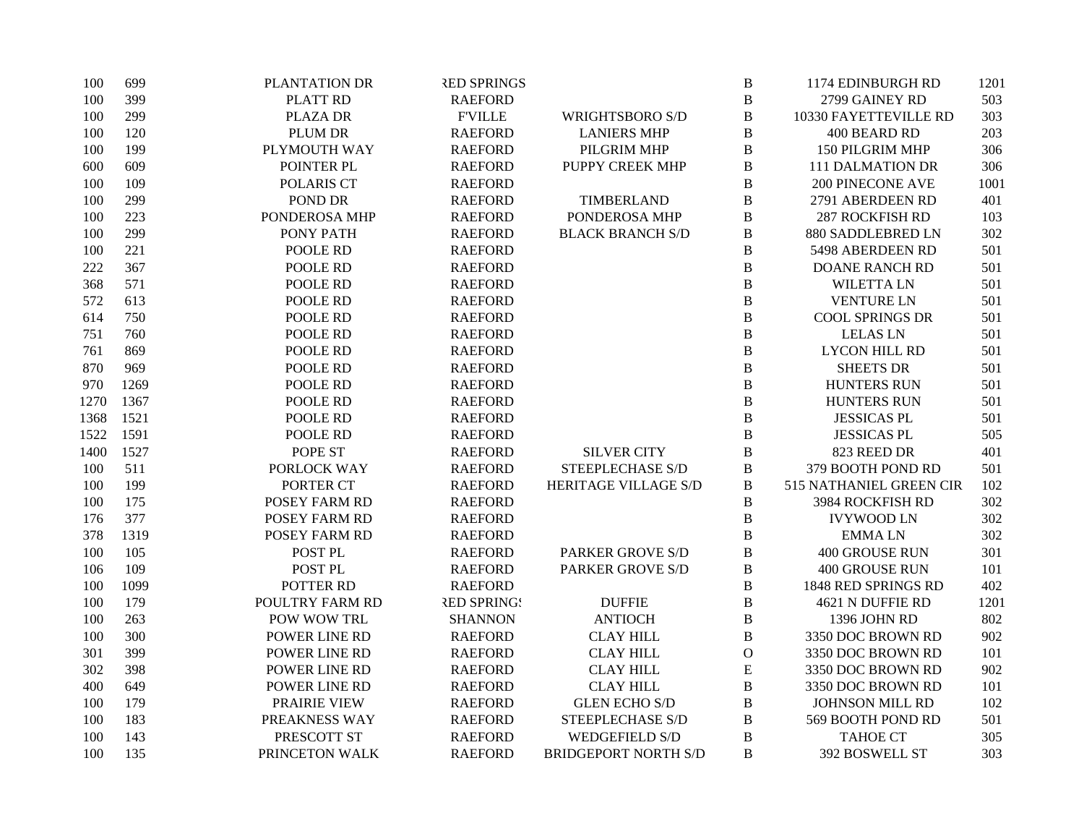| 100  | 699  | PLANTATION DR      | <b>RED SPRINGS</b> |                             | B              | 1174 EDINBURGH RD       | 1201 |
|------|------|--------------------|--------------------|-----------------------------|----------------|-------------------------|------|
| 100  | 399  | PLATT RD           | <b>RAEFORD</b>     |                             | $\, {\bf B}$   | 2799 GAINEY RD          | 503  |
| 100  | 299  | <b>PLAZA DR</b>    | <b>F'VILLE</b>     | <b>WRIGHTSBORO S/D</b>      | $\, {\bf B}$   | 10330 FAYETTEVILLE RD   | 303  |
| 100  | 120  | PLUM DR            | <b>RAEFORD</b>     | <b>LANIERS MHP</b>          | $\, {\bf B}$   | 400 BEARD RD            | 203  |
| 100  | 199  | PLYMOUTH WAY       | <b>RAEFORD</b>     | PILGRIM MHP                 | $\, {\bf B}$   | 150 PILGRIM MHP         | 306  |
| 600  | 609  | POINTER PL         | <b>RAEFORD</b>     | PUPPY CREEK MHP             | $\, {\bf B}$   | <b>111 DALMATION DR</b> | 306  |
| 100  | 109  | POLARIS CT         | <b>RAEFORD</b>     |                             | $\, {\bf B}$   | <b>200 PINECONE AVE</b> | 1001 |
| 100  | 299  | POND DR            | <b>RAEFORD</b>     | TIMBERLAND                  | $\, {\bf B}$   | 2791 ABERDEEN RD        | 401  |
| 100  | 223  | PONDEROSA MHP      | <b>RAEFORD</b>     | PONDEROSA MHP               | $\, {\bf B}$   | <b>287 ROCKFISH RD</b>  | 103  |
| 100  | 299  | PONY PATH          | <b>RAEFORD</b>     | <b>BLACK BRANCH S/D</b>     | $\, {\bf B}$   | 880 SADDLEBRED LN       | 302  |
| 100  | 221  | POOLE RD           | <b>RAEFORD</b>     |                             | $\, {\bf B}$   | 5498 ABERDEEN RD        | 501  |
| 222  | 367  | POOLE RD           | <b>RAEFORD</b>     |                             | $\, {\bf B}$   | <b>DOANE RANCH RD</b>   | 501  |
| 368  | 571  | POOLE RD           | <b>RAEFORD</b>     |                             | $\, {\bf B}$   | <b>WILETTA LN</b>       | 501  |
| 572  | 613  | POOLE RD           | <b>RAEFORD</b>     |                             | $\, {\bf B}$   | <b>VENTURE LN</b>       | 501  |
| 614  | 750  | POOLE RD           | <b>RAEFORD</b>     |                             | $\, {\bf B}$   | <b>COOL SPRINGS DR</b>  | 501  |
| 751  | 760  | POOLE RD           | <b>RAEFORD</b>     |                             | $\, {\bf B}$   | <b>LELAS LN</b>         | 501  |
| 761  | 869  | POOLE RD           | <b>RAEFORD</b>     |                             | $\, {\bf B}$   | <b>LYCON HILL RD</b>    | 501  |
| 870  | 969  | POOLE RD           | <b>RAEFORD</b>     |                             | $\, {\bf B}$   | <b>SHEETS DR</b>        | 501  |
| 970  | 1269 | POOLE RD           | <b>RAEFORD</b>     |                             | $\, {\bf B}$   | <b>HUNTERS RUN</b>      | 501  |
| 1270 | 1367 | POOLE RD           | <b>RAEFORD</b>     |                             | $\, {\bf B}$   | <b>HUNTERS RUN</b>      | 501  |
| 1368 | 1521 | POOLE RD           | <b>RAEFORD</b>     |                             | $\, {\bf B}$   | <b>JESSICAS PL</b>      | 501  |
| 1522 | 1591 | POOLE RD           | <b>RAEFORD</b>     |                             | $\bf{B}$       | <b>JESSICAS PL</b>      | 505  |
| 1400 | 1527 | POPE ST            | <b>RAEFORD</b>     | <b>SILVER CITY</b>          | $\, {\bf B}$   | 823 REED DR             | 401  |
| 100  | 511  | PORLOCK WAY        | <b>RAEFORD</b>     | <b>STEEPLECHASE S/D</b>     | $\, {\bf B}$   | 379 BOOTH POND RD       | 501  |
| 100  | 199  | PORTER CT          | <b>RAEFORD</b>     | HERITAGE VILLAGE S/D        | $\, {\bf B}$   | 515 NATHANIEL GREEN CIR | 102  |
| 100  | 175  | POSEY FARM RD      | <b>RAEFORD</b>     |                             | $\, {\bf B}$   | 3984 ROCKFISH RD        | 302  |
| 176  | 377  | POSEY FARM RD      | <b>RAEFORD</b>     |                             | $\, {\bf B}$   | <b>IVYWOOD LN</b>       | 302  |
| 378  | 1319 | POSEY FARM RD      | <b>RAEFORD</b>     |                             | $\, {\bf B}$   | <b>EMMALN</b>           | 302  |
| 100  | 105  | POST <sub>PL</sub> | <b>RAEFORD</b>     | <b>PARKER GROVE S/D</b>     | $\, {\bf B}$   | <b>400 GROUSE RUN</b>   | 301  |
| 106  | 109  | POST PL            | <b>RAEFORD</b>     | <b>PARKER GROVE S/D</b>     | $\, {\bf B}$   | 400 GROUSE RUN          | 101  |
| 100  | 1099 | POTTER RD          | <b>RAEFORD</b>     |                             | $\, {\bf B}$   | 1848 RED SPRINGS RD     | 402  |
| 100  | 179  | POULTRY FARM RD    | <b>RED SPRING!</b> | <b>DUFFIE</b>               | $\, {\bf B}$   | 4621 N DUFFIE RD        | 1201 |
| 100  | 263  | POW WOW TRL        | <b>SHANNON</b>     | <b>ANTIOCH</b>              | $\, {\bf B}$   | 1396 JOHN RD            | 802  |
| 100  | 300  | POWER LINE RD      | <b>RAEFORD</b>     | <b>CLAY HILL</b>            | $\, {\bf B}$   | 3350 DOC BROWN RD       | 902  |
| 301  | 399  | POWER LINE RD      | <b>RAEFORD</b>     | <b>CLAY HILL</b>            | ${\mathcal O}$ | 3350 DOC BROWN RD       | 101  |
| 302  | 398  | POWER LINE RD      | <b>RAEFORD</b>     | <b>CLAY HILL</b>            | ${\bf E}$      | 3350 DOC BROWN RD       | 902  |
| 400  | 649  | POWER LINE RD      | <b>RAEFORD</b>     | <b>CLAY HILL</b>            | $\, {\bf B}$   | 3350 DOC BROWN RD       | 101  |
| 100  | 179  | PRAIRIE VIEW       | <b>RAEFORD</b>     | <b>GLEN ECHO S/D</b>        | $\, {\bf B}$   | JOHNSON MILL RD         | 102  |
| 100  | 183  | PREAKNESS WAY      | <b>RAEFORD</b>     | STEEPLECHASE S/D            | B              | 569 BOOTH POND RD       | 501  |
| 100  | 143  | PRESCOTT ST        | <b>RAEFORD</b>     | <b>WEDGEFIELD S/D</b>       | $\, {\bf B}$   | <b>TAHOE CT</b>         | 305  |
| 100  | 135  | PRINCETON WALK     | <b>RAEFORD</b>     | <b>BRIDGEPORT NORTH S/D</b> | B              | 392 BOSWELL ST          | 303  |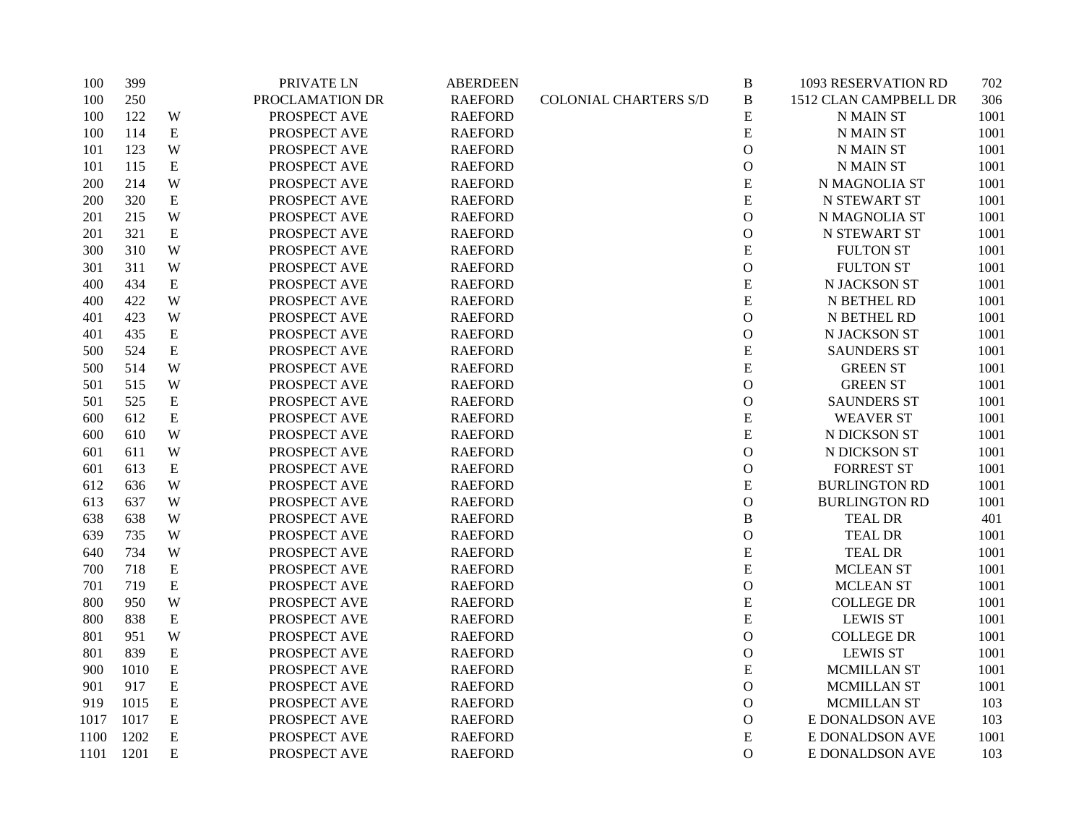| 100  | 399  |             | PRIVATE LN      | <b>ABERDEEN</b> |                              | $\, {\bf B}$  | 1093 RESERVATION RD   | 702  |
|------|------|-------------|-----------------|-----------------|------------------------------|---------------|-----------------------|------|
| 100  | 250  |             | PROCLAMATION DR | <b>RAEFORD</b>  | <b>COLONIAL CHARTERS S/D</b> | $\, {\bf B}$  | 1512 CLAN CAMPBELL DR | 306  |
| 100  | 122  | W           | PROSPECT AVE    | <b>RAEFORD</b>  |                              | E             | <b>N MAIN ST</b>      | 1001 |
| 100  | 114  | ${\bf E}$   | PROSPECT AVE    | <b>RAEFORD</b>  |                              | ${\bf E}$     | <b>N MAIN ST</b>      | 1001 |
| 101  | 123  | W           | PROSPECT AVE    | <b>RAEFORD</b>  |                              | ${\bf O}$     | N MAIN ST             | 1001 |
| 101  | 115  | ${\bf E}$   | PROSPECT AVE    | <b>RAEFORD</b>  |                              | $\mathbf O$   | <b>N MAIN ST</b>      | 1001 |
| 200  | 214  | W           | PROSPECT AVE    | <b>RAEFORD</b>  |                              | ${\bf E}$     | N MAGNOLIA ST         | 1001 |
| 200  | 320  | ${\bf E}$   | PROSPECT AVE    | <b>RAEFORD</b>  |                              | ${\bf E}$     | <b>N STEWART ST</b>   | 1001 |
| 201  | 215  | W           | PROSPECT AVE    | <b>RAEFORD</b>  |                              | $\mathbf O$   | N MAGNOLIA ST         | 1001 |
| 201  | 321  | E           | PROSPECT AVE    | <b>RAEFORD</b>  |                              | $\mathbf O$   | N STEWART ST          | 1001 |
| 300  | 310  | W           | PROSPECT AVE    | <b>RAEFORD</b>  |                              | ${\bf E}$     | <b>FULTON ST</b>      | 1001 |
| 301  | 311  | W           | PROSPECT AVE    | <b>RAEFORD</b>  |                              | ${\bf O}$     | <b>FULTON ST</b>      | 1001 |
| 400  | 434  | ${\bf E}$   | PROSPECT AVE    | <b>RAEFORD</b>  |                              | ${\bf E}$     | N JACKSON ST          | 1001 |
| 400  | 422  | W           | PROSPECT AVE    | <b>RAEFORD</b>  |                              | ${\bf E}$     | N BETHEL RD           | 1001 |
| 401  | 423  | W           | PROSPECT AVE    | <b>RAEFORD</b>  |                              | $\mathbf O$   | N BETHEL RD           | 1001 |
| 401  | 435  | ${\bf E}$   | PROSPECT AVE    | <b>RAEFORD</b>  |                              | $\mathbf O$   | N JACKSON ST          | 1001 |
| 500  | 524  | ${\bf E}$   | PROSPECT AVE    | <b>RAEFORD</b>  |                              | ${\bf E}$     | <b>SAUNDERS ST</b>    | 1001 |
| 500  | 514  | W           | PROSPECT AVE    | <b>RAEFORD</b>  |                              | ${\bf E}$     | <b>GREEN ST</b>       | 1001 |
| 501  | 515  | W           | PROSPECT AVE    | <b>RAEFORD</b>  |                              | $\mathcal{O}$ | <b>GREEN ST</b>       | 1001 |
| 501  | 525  | ${\bf E}$   | PROSPECT AVE    | <b>RAEFORD</b>  |                              | $\mathbf O$   | <b>SAUNDERS ST</b>    | 1001 |
| 600  | 612  | $\mathbf E$ | PROSPECT AVE    | <b>RAEFORD</b>  |                              | $\mathbf E$   | <b>WEAVER ST</b>      | 1001 |
| 600  | 610  | W           | PROSPECT AVE    | <b>RAEFORD</b>  |                              | ${\bf E}$     | N DICKSON ST          | 1001 |
| 601  | 611  | W           | PROSPECT AVE    | <b>RAEFORD</b>  |                              | $\mathbf O$   | N DICKSON ST          | 1001 |
| 601  | 613  | ${\bf E}$   | PROSPECT AVE    | <b>RAEFORD</b>  |                              | $\mathbf O$   | <b>FORREST ST</b>     | 1001 |
| 612  | 636  | W           | PROSPECT AVE    | <b>RAEFORD</b>  |                              | ${\bf E}$     | <b>BURLINGTON RD</b>  | 1001 |
| 613  | 637  | W           | PROSPECT AVE    | <b>RAEFORD</b>  |                              | $\mathbf O$   | <b>BURLINGTON RD</b>  | 1001 |
| 638  | 638  | W           | PROSPECT AVE    | <b>RAEFORD</b>  |                              | $\, {\bf B}$  | <b>TEAL DR</b>        | 401  |
| 639  | 735  | W           | PROSPECT AVE    | <b>RAEFORD</b>  |                              | ${\bf O}$     | <b>TEAL DR</b>        | 1001 |
| 640  | 734  | W           | PROSPECT AVE    | <b>RAEFORD</b>  |                              | ${\bf E}$     | <b>TEAL DR</b>        | 1001 |
| 700  | 718  | ${\bf E}$   | PROSPECT AVE    | <b>RAEFORD</b>  |                              | ${\bf E}$     | <b>MCLEAN ST</b>      | 1001 |
| 701  | 719  | ${\bf E}$   | PROSPECT AVE    | <b>RAEFORD</b>  |                              | ${\bf O}$     | <b>MCLEAN ST</b>      | 1001 |
| 800  | 950  | W           | PROSPECT AVE    | <b>RAEFORD</b>  |                              | ${\bf E}$     | <b>COLLEGE DR</b>     | 1001 |
| 800  | 838  | E           | PROSPECT AVE    | <b>RAEFORD</b>  |                              | ${\bf E}$     | <b>LEWIS ST</b>       | 1001 |
| 801  | 951  | W           | PROSPECT AVE    | <b>RAEFORD</b>  |                              | ${\bf O}$     | <b>COLLEGE DR</b>     | 1001 |
| 801  | 839  | ${\bf E}$   | PROSPECT AVE    | <b>RAEFORD</b>  |                              | $\mathbf O$   | <b>LEWIS ST</b>       | 1001 |
| 900  | 1010 | ${\bf E}$   | PROSPECT AVE    | <b>RAEFORD</b>  |                              | ${\bf E}$     | MCMILLAN ST           | 1001 |
| 901  | 917  | ${\bf E}$   | PROSPECT AVE    | <b>RAEFORD</b>  |                              | $\mathbf O$   | MCMILLAN ST           | 1001 |
| 919  | 1015 | E           | PROSPECT AVE    | <b>RAEFORD</b>  |                              | $\mathbf O$   | <b>MCMILLAN ST</b>    | 103  |
| 1017 | 1017 | ${\bf E}$   | PROSPECT AVE    | <b>RAEFORD</b>  |                              | $\mathbf O$   | E DONALDSON AVE       | 103  |
| 1100 | 1202 | ${\bf E}$   | PROSPECT AVE    | <b>RAEFORD</b>  |                              | ${\bf E}$     | E DONALDSON AVE       | 1001 |
| 1101 | 1201 | E           | PROSPECT AVE    | <b>RAEFORD</b>  |                              | $\mathbf{O}$  | E DONALDSON AVE       | 103  |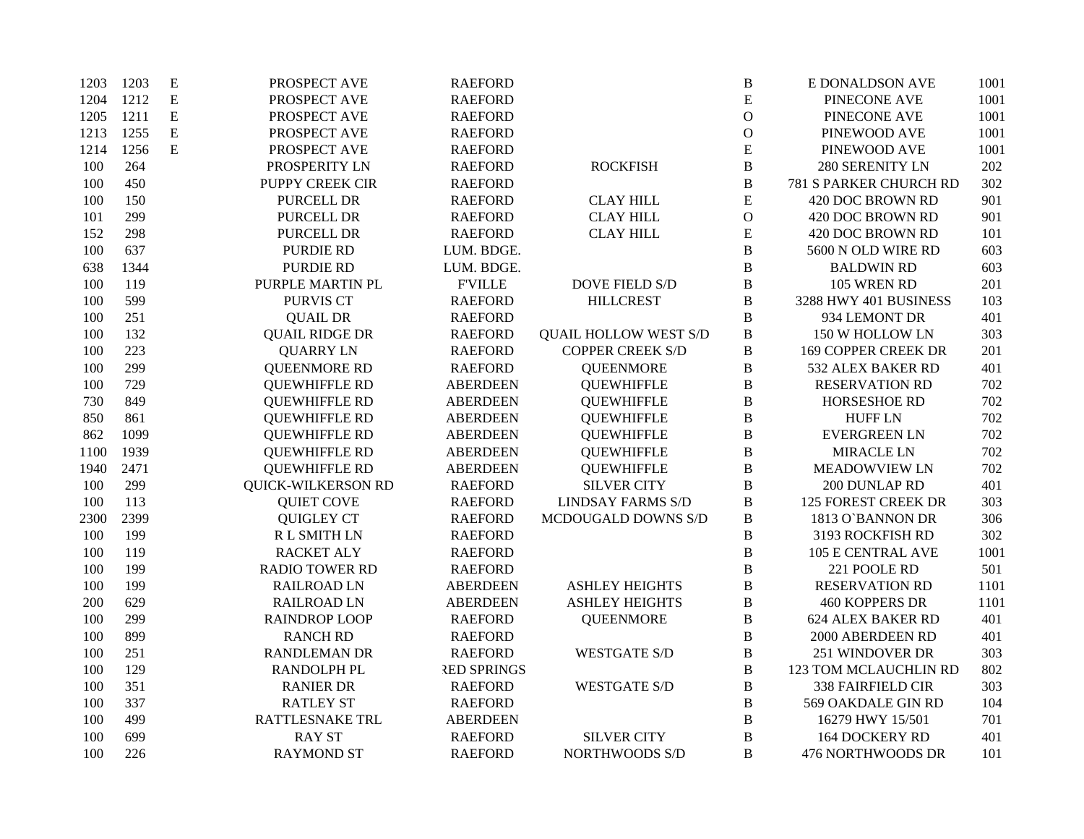| 1203 | 1203 | E         | PROSPECT AVE              | <b>RAEFORD</b>     |                              | B            | E DONALDSON AVE            | 1001 |
|------|------|-----------|---------------------------|--------------------|------------------------------|--------------|----------------------------|------|
| 1204 | 1212 | ${\bf E}$ | PROSPECT AVE              | <b>RAEFORD</b>     |                              | ${\bf E}$    | PINECONE AVE               | 1001 |
| 1205 | 1211 | ${\bf E}$ | PROSPECT AVE              | <b>RAEFORD</b>     |                              | $\mathbf O$  | PINECONE AVE               | 1001 |
| 1213 | 1255 | ${\bf E}$ | PROSPECT AVE              | <b>RAEFORD</b>     |                              | $\mathbf O$  | PINEWOOD AVE               | 1001 |
| 1214 | 1256 | ${\bf E}$ | PROSPECT AVE              | <b>RAEFORD</b>     |                              | ${\bf E}$    | PINEWOOD AVE               | 1001 |
| 100  | 264  |           | PROSPERITY LN             | <b>RAEFORD</b>     | <b>ROCKFISH</b>              | $\, {\bf B}$ | 280 SERENITY LN            | 202  |
| 100  | 450  |           | PUPPY CREEK CIR           | <b>RAEFORD</b>     |                              | $\, {\bf B}$ | 781 S PARKER CHURCH RD     | 302  |
| 100  | 150  |           | PURCELL DR                | <b>RAEFORD</b>     | <b>CLAY HILL</b>             | ${\bf E}$    | 420 DOC BROWN RD           | 901  |
| 101  | 299  |           | PURCELL DR                | <b>RAEFORD</b>     | <b>CLAY HILL</b>             | $\mathbf O$  | 420 DOC BROWN RD           | 901  |
| 152  | 298  |           | PURCELL DR                | <b>RAEFORD</b>     | <b>CLAY HILL</b>             | ${\bf E}$    | 420 DOC BROWN RD           | 101  |
| 100  | 637  |           | <b>PURDIE RD</b>          | LUM. BDGE.         |                              | $\, {\bf B}$ | 5600 N OLD WIRE RD         | 603  |
| 638  | 1344 |           | <b>PURDIE RD</b>          | LUM. BDGE.         |                              | $\bf{B}$     | <b>BALDWIN RD</b>          | 603  |
| 100  | 119  |           | PURPLE MARTIN PL          | <b>FVILLE</b>      | <b>DOVE FIELD S/D</b>        | $\, {\bf B}$ | 105 WREN RD                | 201  |
| 100  | 599  |           | <b>PURVIS CT</b>          | <b>RAEFORD</b>     | <b>HILLCREST</b>             | $\bf{B}$     | 3288 HWY 401 BUSINESS      | 103  |
| 100  | 251  |           | <b>QUAIL DR</b>           | <b>RAEFORD</b>     |                              | $\bf{B}$     | 934 LEMONT DR              | 401  |
| 100  | 132  |           | <b>QUAIL RIDGE DR</b>     | <b>RAEFORD</b>     | <b>QUAIL HOLLOW WEST S/D</b> | $\, {\bf B}$ | 150 W HOLLOW LN            | 303  |
| 100  | 223  |           | <b>QUARRY LN</b>          | <b>RAEFORD</b>     | <b>COPPER CREEK S/D</b>      | $\, {\bf B}$ | <b>169 COPPER CREEK DR</b> | 201  |
| 100  | 299  |           | <b>QUEENMORE RD</b>       | <b>RAEFORD</b>     | <b>QUEENMORE</b>             | $\, {\bf B}$ | 532 ALEX BAKER RD          | 401  |
| 100  | 729  |           | <b>QUEWHIFFLE RD</b>      | <b>ABERDEEN</b>    | <b>QUEWHIFFLE</b>            | $\, {\bf B}$ | <b>RESERVATION RD</b>      | 702  |
| 730  | 849  |           | <b>QUEWHIFFLE RD</b>      | <b>ABERDEEN</b>    | <b>QUEWHIFFLE</b>            | $\bf{B}$     | HORSESHOE RD               | 702  |
| 850  | 861  |           | <b>QUEWHIFFLE RD</b>      | <b>ABERDEEN</b>    | <b>QUEWHIFFLE</b>            | $\, {\bf B}$ | <b>HUFF LN</b>             | 702  |
| 862  | 1099 |           | <b>QUEWHIFFLE RD</b>      | <b>ABERDEEN</b>    | <b>QUEWHIFFLE</b>            | $\, {\bf B}$ | <b>EVERGREEN LN</b>        | 702  |
| 1100 | 1939 |           | <b>QUEWHIFFLE RD</b>      | <b>ABERDEEN</b>    | <b>QUEWHIFFLE</b>            | $\, {\bf B}$ | <b>MIRACLE LN</b>          | 702  |
| 1940 | 2471 |           | <b>QUEWHIFFLE RD</b>      | <b>ABERDEEN</b>    | <b>QUEWHIFFLE</b>            | $\, {\bf B}$ | <b>MEADOWVIEW LN</b>       | 702  |
| 100  | 299  |           | <b>QUICK-WILKERSON RD</b> | <b>RAEFORD</b>     | <b>SILVER CITY</b>           | $\, {\bf B}$ | 200 DUNLAP RD              | 401  |
| 100  | 113  |           | <b>QUIET COVE</b>         | <b>RAEFORD</b>     | <b>LINDSAY FARMS S/D</b>     | $\, {\bf B}$ | <b>125 FOREST CREEK DR</b> | 303  |
| 2300 | 2399 |           | <b>QUIGLEY CT</b>         | <b>RAEFORD</b>     | MCDOUGALD DOWNS S/D          | $\, {\bf B}$ | 1813 O'BANNON DR           | 306  |
| 100  | 199  |           | R L SMITH LN              | <b>RAEFORD</b>     |                              | $\, {\bf B}$ | 3193 ROCKFISH RD           | 302  |
| 100  | 119  |           | <b>RACKET ALY</b>         | <b>RAEFORD</b>     |                              | $\, {\bf B}$ | <b>105 E CENTRAL AVE</b>   | 1001 |
| 100  | 199  |           | <b>RADIO TOWER RD</b>     | <b>RAEFORD</b>     |                              | $\, {\bf B}$ | 221 POOLE RD               | 501  |
| 100  | 199  |           | <b>RAILROAD LN</b>        | <b>ABERDEEN</b>    | <b>ASHLEY HEIGHTS</b>        | $\bf{B}$     | <b>RESERVATION RD</b>      | 1101 |
| 200  | 629  |           | <b>RAILROAD LN</b>        | <b>ABERDEEN</b>    | <b>ASHLEY HEIGHTS</b>        | B            | <b>460 KOPPERS DR</b>      | 1101 |
| 100  | 299  |           | <b>RAINDROP LOOP</b>      | <b>RAEFORD</b>     | <b>QUEENMORE</b>             | $\, {\bf B}$ | <b>624 ALEX BAKER RD</b>   | 401  |
| 100  | 899  |           | <b>RANCH RD</b>           | <b>RAEFORD</b>     |                              | $\bf{B}$     | 2000 ABERDEEN RD           | 401  |
| 100  | 251  |           | <b>RANDLEMAN DR</b>       | <b>RAEFORD</b>     | <b>WESTGATE S/D</b>          | $\, {\bf B}$ | 251 WINDOVER DR            | 303  |
| 100  | 129  |           | RANDOLPH PL               | <b>RED SPRINGS</b> |                              | $\, {\bf B}$ | 123 TOM MCLAUCHLIN RD      | 802  |
| 100  | 351  |           | <b>RANIER DR</b>          | <b>RAEFORD</b>     | <b>WESTGATE S/D</b>          | $\bf{B}$     | <b>338 FAIRFIELD CIR</b>   | 303  |
| 100  | 337  |           | <b>RATLEY ST</b>          | <b>RAEFORD</b>     |                              | $\, {\bf B}$ | 569 OAKDALE GIN RD         | 104  |
| 100  | 499  |           | RATTLESNAKE TRL           | <b>ABERDEEN</b>    |                              | $\, {\bf B}$ | 16279 HWY 15/501           | 701  |
| 100  | 699  |           | <b>RAY ST</b>             | <b>RAEFORD</b>     | <b>SILVER CITY</b>           | $\bf{B}$     | <b>164 DOCKERY RD</b>      | 401  |
| 100  | 226  |           | <b>RAYMOND ST</b>         | <b>RAEFORD</b>     | NORTHWOODS S/D               | B            | 476 NORTHWOODS DR          | 101  |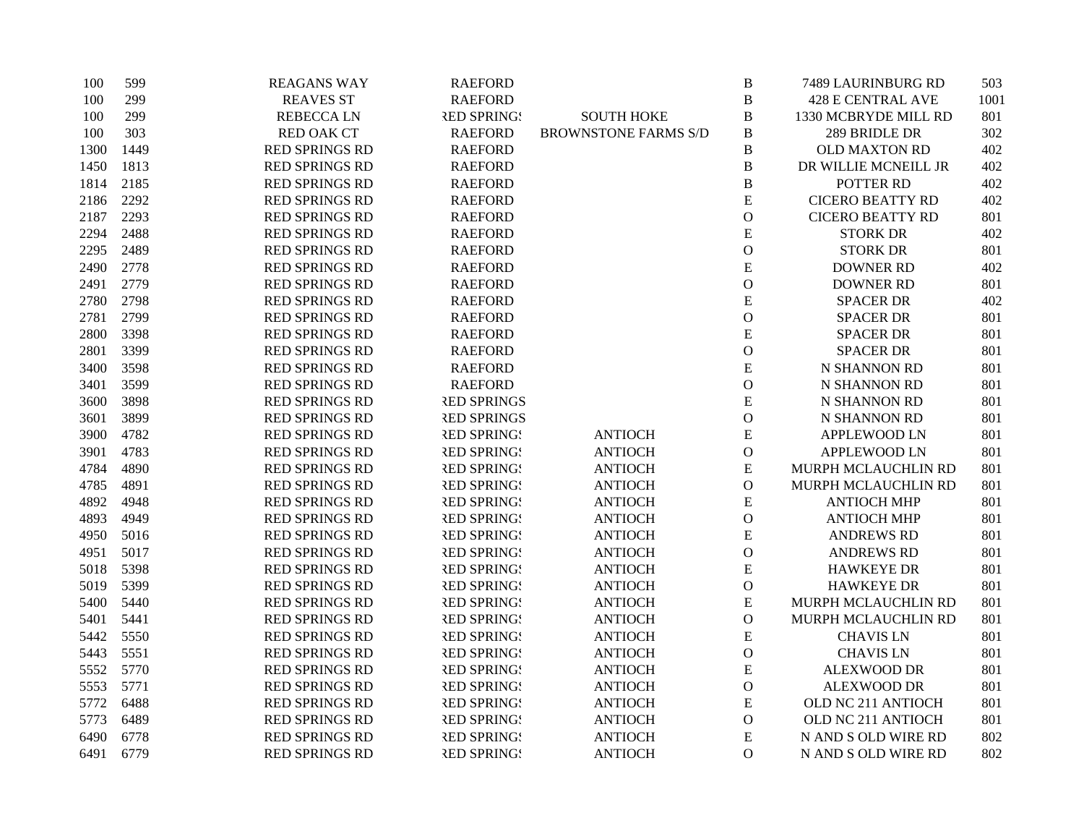| 100  | 599  | <b>REAGANS WAY</b>    | <b>RAEFORD</b>     |                             | $\, {\bf B}$  | 7489 LAURINBURG RD       | 503  |
|------|------|-----------------------|--------------------|-----------------------------|---------------|--------------------------|------|
| 100  | 299  | <b>REAVES ST</b>      | <b>RAEFORD</b>     |                             | $\, {\bf B}$  | <b>428 E CENTRAL AVE</b> | 1001 |
| 100  | 299  | <b>REBECCALN</b>      | <b>RED SPRING!</b> | <b>SOUTH HOKE</b>           | B             | 1330 MCBRYDE MILL RD     | 801  |
| 100  | 303  | <b>RED OAK CT</b>     | <b>RAEFORD</b>     | <b>BROWNSTONE FARMS S/D</b> | $\, {\bf B}$  | 289 BRIDLE DR            | 302  |
| 1300 | 1449 | RED SPRINGS RD        | <b>RAEFORD</b>     |                             | $\, {\bf B}$  | OLD MAXTON RD            | 402  |
| 1450 | 1813 | RED SPRINGS RD        | <b>RAEFORD</b>     |                             | $\, {\bf B}$  | DR WILLIE MCNEILL JR     | 402  |
| 1814 | 2185 | RED SPRINGS RD        | <b>RAEFORD</b>     |                             | $\mathbf B$   | POTTER RD                | 402  |
| 2186 | 2292 | RED SPRINGS RD        | <b>RAEFORD</b>     |                             | ${\bf E}$     | <b>CICERO BEATTY RD</b>  | 402  |
| 2187 | 2293 | RED SPRINGS RD        | <b>RAEFORD</b>     |                             | $\mathbf O$   | <b>CICERO BEATTY RD</b>  | 801  |
| 2294 | 2488 | RED SPRINGS RD        | <b>RAEFORD</b>     |                             | ${\bf E}$     | <b>STORK DR</b>          | 402  |
| 2295 | 2489 | RED SPRINGS RD        | <b>RAEFORD</b>     |                             | $\mathcal O$  | <b>STORK DR</b>          | 801  |
| 2490 | 2778 | <b>RED SPRINGS RD</b> | <b>RAEFORD</b>     |                             | ${\bf E}$     | <b>DOWNER RD</b>         | 402  |
| 2491 | 2779 | RED SPRINGS RD        | <b>RAEFORD</b>     |                             | $\mathcal O$  | <b>DOWNER RD</b>         | 801  |
| 2780 | 2798 | <b>RED SPRINGS RD</b> | <b>RAEFORD</b>     |                             | E             | <b>SPACER DR</b>         | 402  |
| 2781 | 2799 | RED SPRINGS RD        | <b>RAEFORD</b>     |                             | $\mathbf O$   | <b>SPACER DR</b>         | 801  |
| 2800 | 3398 | RED SPRINGS RD        | <b>RAEFORD</b>     |                             | ${\bf E}$     | <b>SPACER DR</b>         | 801  |
| 2801 | 3399 | RED SPRINGS RD        | <b>RAEFORD</b>     |                             | $\mathcal{O}$ | <b>SPACER DR</b>         | 801  |
| 3400 | 3598 | RED SPRINGS RD        | <b>RAEFORD</b>     |                             | ${\bf E}$     | N SHANNON RD             | 801  |
| 3401 | 3599 | <b>RED SPRINGS RD</b> | <b>RAEFORD</b>     |                             | $\mathcal O$  | N SHANNON RD             | 801  |
| 3600 | 3898 | RED SPRINGS RD        | <b>RED SPRINGS</b> |                             | E             | N SHANNON RD             | 801  |
| 3601 | 3899 | RED SPRINGS RD        | <b>RED SPRINGS</b> |                             | $\mathbf O$   | N SHANNON RD             | 801  |
| 3900 | 4782 | <b>RED SPRINGS RD</b> | <b>RED SPRING!</b> | <b>ANTIOCH</b>              | ${\bf E}$     | <b>APPLEWOOD LN</b>      | 801  |
| 3901 | 4783 | RED SPRINGS RD        | <b>RED SPRING!</b> | <b>ANTIOCH</b>              | $\mathbf O$   | APPLEWOOD LN             | 801  |
| 4784 | 4890 | RED SPRINGS RD        | <b>RED SPRING!</b> | <b>ANTIOCH</b>              | ${\bf E}$     | MURPH MCLAUCHLIN RD      | 801  |
| 4785 | 4891 | <b>RED SPRINGS RD</b> | <b>RED SPRING!</b> | <b>ANTIOCH</b>              | $\mathbf O$   | MURPH MCLAUCHLIN RD      | 801  |
| 4892 | 4948 | <b>RED SPRINGS RD</b> | <b>RED SPRING!</b> | <b>ANTIOCH</b>              | E             | <b>ANTIOCH MHP</b>       | 801  |
| 4893 | 4949 | RED SPRINGS RD        | <b>RED SPRING!</b> | <b>ANTIOCH</b>              | $\mathbf O$   | <b>ANTIOCH MHP</b>       | 801  |
| 4950 | 5016 | RED SPRINGS RD        | <b>RED SPRING!</b> | <b>ANTIOCH</b>              | ${\bf E}$     | <b>ANDREWS RD</b>        | 801  |
| 4951 | 5017 | <b>RED SPRINGS RD</b> | <b>RED SPRING!</b> | <b>ANTIOCH</b>              | $\mathbf O$   | <b>ANDREWS RD</b>        | 801  |
| 5018 | 5398 | RED SPRINGS RD        | <b>RED SPRING!</b> | <b>ANTIOCH</b>              | ${\bf E}$     | <b>HAWKEYE DR</b>        | 801  |
| 5019 | 5399 | RED SPRINGS RD        | <b>RED SPRING!</b> | <b>ANTIOCH</b>              | $\mathcal{O}$ | <b>HAWKEYE DR</b>        | 801  |
| 5400 | 5440 | <b>RED SPRINGS RD</b> | <b>RED SPRING!</b> | <b>ANTIOCH</b>              | E             | MURPH MCLAUCHLIN RD      | 801  |
| 5401 | 5441 | RED SPRINGS RD        | <b>RED SPRING!</b> | <b>ANTIOCH</b>              | $\mathbf O$   | MURPH MCLAUCHLIN RD      | 801  |
| 5442 | 5550 | <b>RED SPRINGS RD</b> | <b>RED SPRING!</b> | <b>ANTIOCH</b>              | ${\bf E}$     | <b>CHAVIS LN</b>         | 801  |
| 5443 | 5551 | <b>RED SPRINGS RD</b> | <b>RED SPRING!</b> | <b>ANTIOCH</b>              | $\mathcal{O}$ | <b>CHAVIS LN</b>         | 801  |
| 5552 | 5770 | RED SPRINGS RD        | <b>RED SPRING!</b> | <b>ANTIOCH</b>              | ${\bf E}$     | <b>ALEXWOOD DR</b>       | 801  |
| 5553 | 5771 | <b>RED SPRINGS RD</b> | <b>RED SPRING!</b> | <b>ANTIOCH</b>              | $\mathcal O$  | <b>ALEXWOOD DR</b>       | 801  |
| 5772 | 6488 | <b>RED SPRINGS RD</b> | <b>RED SPRING!</b> | <b>ANTIOCH</b>              | ${\bf E}$     | OLD NC 211 ANTIOCH       | 801  |
| 5773 | 6489 | RED SPRINGS RD        | <b>RED SPRING!</b> | <b>ANTIOCH</b>              | $\mathcal O$  | OLD NC 211 ANTIOCH       | 801  |
| 6490 | 6778 | RED SPRINGS RD        | <b>RED SPRING!</b> | <b>ANTIOCH</b>              | ${\bf E}$     | N AND S OLD WIRE RD      | 802  |
| 6491 | 6779 | <b>RED SPRINGS RD</b> | <b>RED SPRING!</b> | <b>ANTIOCH</b>              | $\Omega$      | N AND S OLD WIRE RD      | 802  |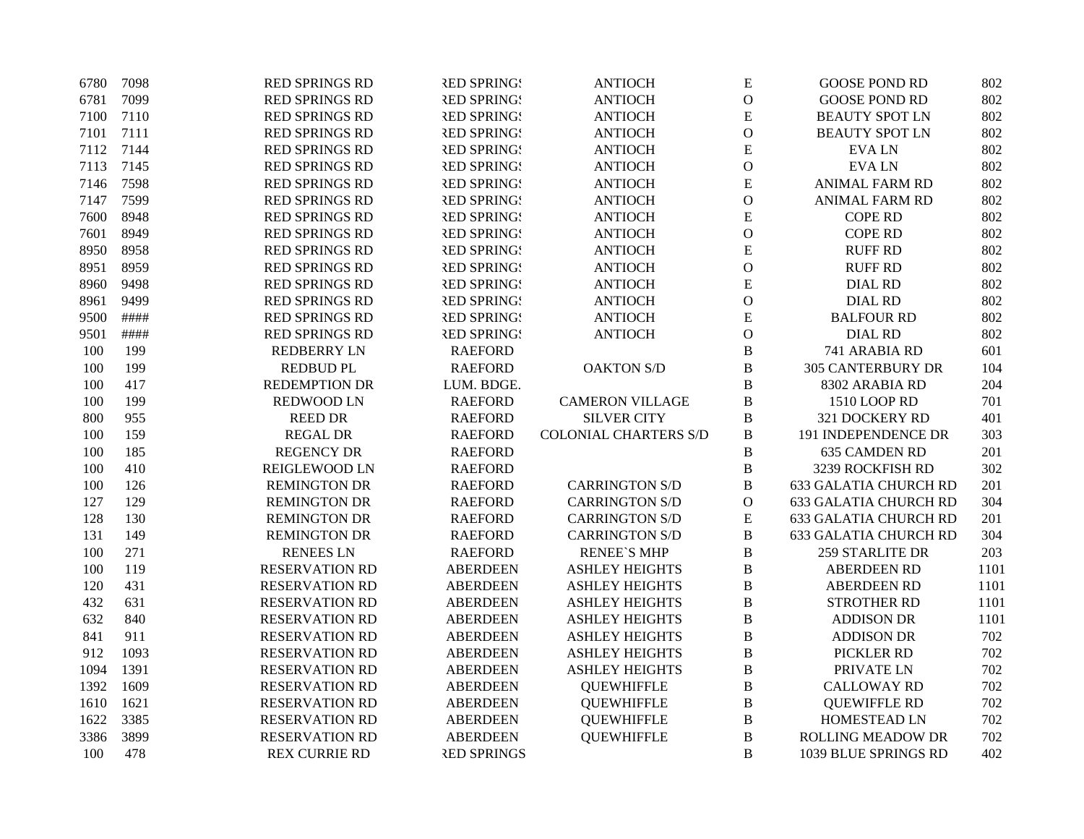| 6780 | 7098 | RED SPRINGS RD        | <b>RED SPRING!</b> | <b>ANTIOCH</b>               | ${\bf E}$     | <b>GOOSE POND RD</b>         | 802  |
|------|------|-----------------------|--------------------|------------------------------|---------------|------------------------------|------|
| 6781 | 7099 | <b>RED SPRINGS RD</b> | <b>RED SPRING!</b> | <b>ANTIOCH</b>               | $\mathbf{O}$  | <b>GOOSE POND RD</b>         | 802  |
| 7100 | 7110 | RED SPRINGS RD        | <b>RED SPRING!</b> | <b>ANTIOCH</b>               | ${\bf E}$     | <b>BEAUTY SPOT LN</b>        | 802  |
| 7101 | 7111 | <b>RED SPRINGS RD</b> | <b>RED SPRING!</b> | <b>ANTIOCH</b>               | $\mathbf{O}$  | <b>BEAUTY SPOT LN</b>        | 802  |
| 7112 | 7144 | RED SPRINGS RD        | <b>RED SPRING!</b> | <b>ANTIOCH</b>               | ${\bf E}$     | <b>EVALN</b>                 | 802  |
| 7113 | 7145 | RED SPRINGS RD        | <b>RED SPRING!</b> | <b>ANTIOCH</b>               | $\mathbf{O}$  | <b>EVALN</b>                 | 802  |
| 7146 | 7598 | RED SPRINGS RD        | <b>RED SPRING!</b> | <b>ANTIOCH</b>               | E             | <b>ANIMAL FARM RD</b>        | 802  |
| 7147 | 7599 | <b>RED SPRINGS RD</b> | <b>RED SPRING!</b> | <b>ANTIOCH</b>               | $\mathbf{O}$  | <b>ANIMAL FARM RD</b>        | 802  |
| 7600 | 8948 | <b>RED SPRINGS RD</b> | <b>RED SPRING!</b> | <b>ANTIOCH</b>               | ${\bf E}$     | <b>COPE RD</b>               | 802  |
| 7601 | 8949 | <b>RED SPRINGS RD</b> | <b>RED SPRING!</b> | <b>ANTIOCH</b>               | $\mathcal{O}$ | <b>COPE RD</b>               | 802  |
| 8950 | 8958 | RED SPRINGS RD        | <b>RED SPRING!</b> | <b>ANTIOCH</b>               | ${\bf E}$     | <b>RUFF RD</b>               | 802  |
| 8951 | 8959 | <b>RED SPRINGS RD</b> | <b>RED SPRING!</b> | <b>ANTIOCH</b>               | $\mathbf{O}$  | <b>RUFF RD</b>               | 802  |
| 8960 | 9498 | <b>RED SPRINGS RD</b> | <b>RED SPRING!</b> | <b>ANTIOCH</b>               | ${\bf E}$     | <b>DIAL RD</b>               | 802  |
| 8961 | 9499 | <b>RED SPRINGS RD</b> | <b>RED SPRING!</b> | <b>ANTIOCH</b>               | $\mathbf{O}$  | <b>DIAL RD</b>               | 802  |
| 9500 | #### | RED SPRINGS RD        | <b>RED SPRING!</b> | <b>ANTIOCH</b>               | ${\bf E}$     | <b>BALFOUR RD</b>            | 802  |
| 9501 | #### | <b>RED SPRINGS RD</b> | <b>RED SPRING!</b> | <b>ANTIOCH</b>               | $\mathbf{O}$  | <b>DIAL RD</b>               | 802  |
| 100  | 199  | <b>REDBERRY LN</b>    | <b>RAEFORD</b>     |                              | $\bf{B}$      | 741 ARABIA RD                | 601  |
| 100  | 199  | <b>REDBUD PL</b>      | <b>RAEFORD</b>     | <b>OAKTON S/D</b>            | $\bf{B}$      | <b>305 CANTERBURY DR</b>     | 104  |
| 100  | 417  | <b>REDEMPTION DR</b>  | LUM. BDGE.         |                              | $\bf{B}$      | 8302 ARABIA RD               | 204  |
| 100  | 199  | <b>REDWOOD LN</b>     | <b>RAEFORD</b>     | <b>CAMERON VILLAGE</b>       | B             | 1510 LOOP RD                 | 701  |
| 800  | 955  | <b>REED DR</b>        | <b>RAEFORD</b>     | <b>SILVER CITY</b>           | $\, {\bf B}$  | 321 DOCKERY RD               | 401  |
| 100  | 159  | <b>REGAL DR</b>       | <b>RAEFORD</b>     | <b>COLONIAL CHARTERS S/D</b> | $\, {\bf B}$  | 191 INDEPENDENCE DR          | 303  |
| 100  | 185  | <b>REGENCY DR</b>     | <b>RAEFORD</b>     |                              | $\, {\bf B}$  | <b>635 CAMDEN RD</b>         | 201  |
| 100  | 410  | REIGLEWOOD LN         | <b>RAEFORD</b>     |                              | $\, {\bf B}$  | 3239 ROCKFISH RD             | 302  |
| 100  | 126  | <b>REMINGTON DR</b>   | <b>RAEFORD</b>     | <b>CARRINGTON S/D</b>        | $\bf{B}$      | <b>633 GALATIA CHURCH RD</b> | 201  |
| 127  | 129  | <b>REMINGTON DR</b>   | <b>RAEFORD</b>     | <b>CARRINGTON S/D</b>        | $\mathbf{O}$  | <b>633 GALATIA CHURCH RD</b> | 304  |
| 128  | 130  | <b>REMINGTON DR</b>   | <b>RAEFORD</b>     | <b>CARRINGTON S/D</b>        | ${\bf E}$     | <b>633 GALATIA CHURCH RD</b> | 201  |
| 131  | 149  | <b>REMINGTON DR</b>   | <b>RAEFORD</b>     | <b>CARRINGTON S/D</b>        | $\, {\bf B}$  | <b>633 GALATIA CHURCH RD</b> | 304  |
| 100  | 271  | <b>RENEES LN</b>      | <b>RAEFORD</b>     | <b>RENEE'S MHP</b>           | $\, {\bf B}$  | 259 STARLITE DR              | 203  |
| 100  | 119  | <b>RESERVATION RD</b> | <b>ABERDEEN</b>    | <b>ASHLEY HEIGHTS</b>        | $\bf{B}$      | <b>ABERDEEN RD</b>           | 1101 |
| 120  | 431  | <b>RESERVATION RD</b> | <b>ABERDEEN</b>    | <b>ASHLEY HEIGHTS</b>        | $\bf{B}$      | <b>ABERDEEN RD</b>           | 1101 |
| 432  | 631  | <b>RESERVATION RD</b> | <b>ABERDEEN</b>    | <b>ASHLEY HEIGHTS</b>        | $\bf{B}$      | <b>STROTHER RD</b>           | 1101 |
| 632  | 840  | <b>RESERVATION RD</b> | <b>ABERDEEN</b>    | <b>ASHLEY HEIGHTS</b>        | $\bf{B}$      | <b>ADDISON DR</b>            | 1101 |
| 841  | 911  | <b>RESERVATION RD</b> | <b>ABERDEEN</b>    | <b>ASHLEY HEIGHTS</b>        | $\, {\bf B}$  | <b>ADDISON DR</b>            | 702  |
| 912  | 1093 | <b>RESERVATION RD</b> | <b>ABERDEEN</b>    | <b>ASHLEY HEIGHTS</b>        | $\, {\bf B}$  | PICKLER RD                   | 702  |
| 1094 | 1391 | <b>RESERVATION RD</b> | <b>ABERDEEN</b>    | <b>ASHLEY HEIGHTS</b>        | $\, {\bf B}$  | PRIVATE LN                   | 702  |
| 1392 | 1609 | <b>RESERVATION RD</b> | <b>ABERDEEN</b>    | <b>QUEWHIFFLE</b>            | $\bf{B}$      | <b>CALLOWAY RD</b>           | 702  |
| 1610 | 1621 | <b>RESERVATION RD</b> | <b>ABERDEEN</b>    | <b>QUEWHIFFLE</b>            | $\bf{B}$      | <b>QUEWIFFLE RD</b>          | 702  |
| 1622 | 3385 | <b>RESERVATION RD</b> | <b>ABERDEEN</b>    | <b>QUEWHIFFLE</b>            | $\bf{B}$      | HOMESTEAD LN                 | 702  |
| 3386 | 3899 | <b>RESERVATION RD</b> | <b>ABERDEEN</b>    | <b>QUEWHIFFLE</b>            | $\, {\bf B}$  | <b>ROLLING MEADOW DR</b>     | 702  |
| 100  | 478  | <b>REX CURRIE RD</b>  | <b>RED SPRINGS</b> |                              | B             | 1039 BLUE SPRINGS RD         | 402  |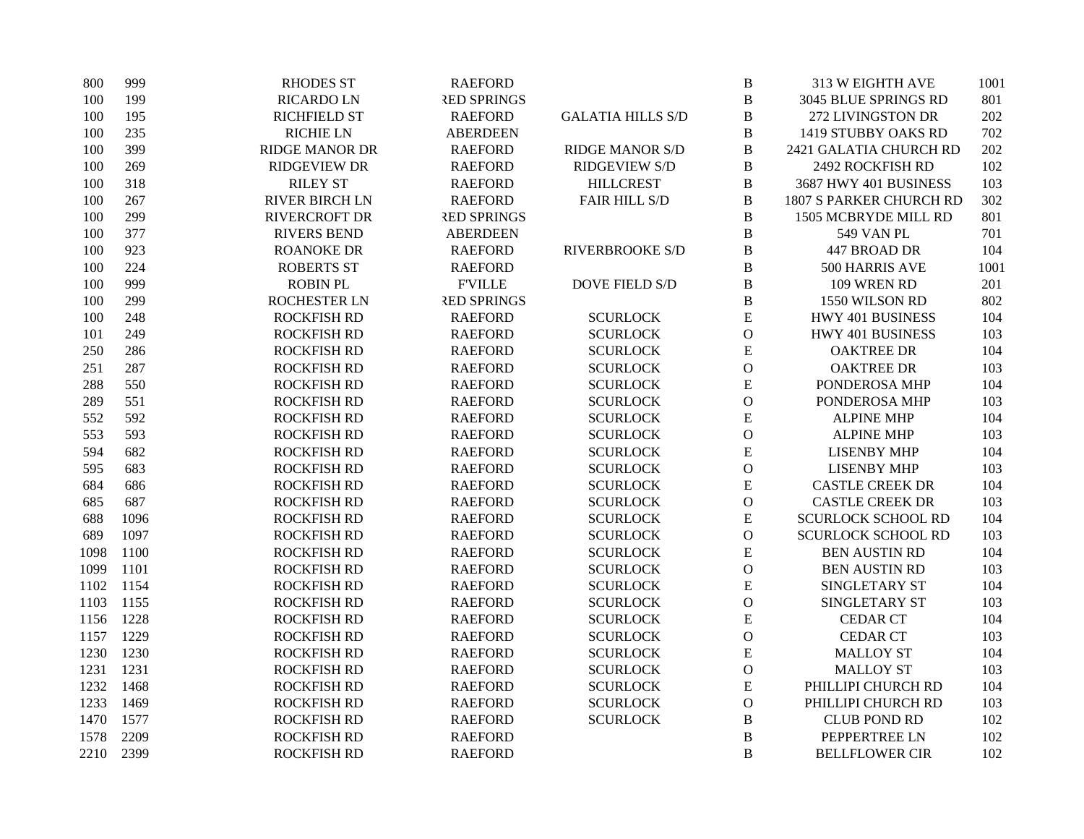| 800  | 999  | <b>RHODES ST</b>      | <b>RAEFORD</b>     |                          | $\, {\bf B}$   | 313 W EIGHTH AVE               | 1001 |
|------|------|-----------------------|--------------------|--------------------------|----------------|--------------------------------|------|
| 100  | 199  | <b>RICARDO LN</b>     | <b>RED SPRINGS</b> |                          | $\bf{B}$       | 3045 BLUE SPRINGS RD           | 801  |
| 100  | 195  | <b>RICHFIELD ST</b>   | <b>RAEFORD</b>     | <b>GALATIA HILLS S/D</b> | $\bf{B}$       | 272 LIVINGSTON DR              | 202  |
| 100  | 235  | <b>RICHIE LN</b>      | <b>ABERDEEN</b>    |                          | $\, {\bf B}$   | 1419 STUBBY OAKS RD            | 702  |
| 100  | 399  | <b>RIDGE MANOR DR</b> | <b>RAEFORD</b>     | <b>RIDGE MANOR S/D</b>   | $\bf{B}$       | 2421 GALATIA CHURCH RD         | 202  |
| 100  | 269  | <b>RIDGEVIEW DR</b>   | <b>RAEFORD</b>     | <b>RIDGEVIEW S/D</b>     | $\bf{B}$       | 2492 ROCKFISH RD               | 102  |
| 100  | 318  | <b>RILEY ST</b>       | <b>RAEFORD</b>     | <b>HILLCREST</b>         | $\bf{B}$       | 3687 HWY 401 BUSINESS          | 103  |
| 100  | 267  | <b>RIVER BIRCH LN</b> | <b>RAEFORD</b>     | FAIR HILL S/D            | $\, {\bf B}$   | <b>1807 S PARKER CHURCH RD</b> | 302  |
| 100  | 299  | <b>RIVERCROFT DR</b>  | <b>RED SPRINGS</b> |                          | $\bf{B}$       | 1505 MCBRYDE MILL RD           | 801  |
| 100  | 377  | <b>RIVERS BEND</b>    | <b>ABERDEEN</b>    |                          | $\bf{B}$       | <b>549 VAN PL</b>              | 701  |
| 100  | 923  | <b>ROANOKE DR</b>     | <b>RAEFORD</b>     | <b>RIVERBROOKE S/D</b>   | $\, {\bf B}$   | 447 BROAD DR                   | 104  |
| 100  | 224  | <b>ROBERTS ST</b>     | <b>RAEFORD</b>     |                          | $\, {\bf B}$   | 500 HARRIS AVE                 | 1001 |
| 100  | 999  | <b>ROBIN PL</b>       | <b>F'VILLE</b>     | <b>DOVE FIELD S/D</b>    | $\bf{B}$       | 109 WREN RD                    | 201  |
| 100  | 299  | ROCHESTER LN          | <b>RED SPRINGS</b> |                          | $\, {\bf B}$   | 1550 WILSON RD                 | 802  |
| 100  | 248  | <b>ROCKFISH RD</b>    | <b>RAEFORD</b>     | <b>SCURLOCK</b>          | ${\bf E}$      | HWY 401 BUSINESS               | 104  |
| 101  | 249  | <b>ROCKFISH RD</b>    | <b>RAEFORD</b>     | <b>SCURLOCK</b>          | $\mathbf O$    | HWY 401 BUSINESS               | 103  |
| 250  | 286  | <b>ROCKFISH RD</b>    | <b>RAEFORD</b>     | <b>SCURLOCK</b>          | ${\bf E}$      | <b>OAKTREE DR</b>              | 104  |
| 251  | 287  | <b>ROCKFISH RD</b>    | <b>RAEFORD</b>     | <b>SCURLOCK</b>          | ${\bf O}$      | <b>OAKTREE DR</b>              | 103  |
| 288  | 550  | <b>ROCKFISH RD</b>    | <b>RAEFORD</b>     | <b>SCURLOCK</b>          | ${\bf E}$      | PONDEROSA MHP                  | 104  |
| 289  | 551  | <b>ROCKFISH RD</b>    | <b>RAEFORD</b>     | <b>SCURLOCK</b>          | $\mathcal{O}$  | PONDEROSA MHP                  | 103  |
| 552  | 592  | <b>ROCKFISH RD</b>    | <b>RAEFORD</b>     | <b>SCURLOCK</b>          | ${\bf E}$      | <b>ALPINE MHP</b>              | 104  |
| 553  | 593  | <b>ROCKFISH RD</b>    | <b>RAEFORD</b>     | <b>SCURLOCK</b>          | ${\bf O}$      | <b>ALPINE MHP</b>              | 103  |
| 594  | 682  | <b>ROCKFISH RD</b>    | <b>RAEFORD</b>     | <b>SCURLOCK</b>          | ${\bf E}$      | <b>LISENBY MHP</b>             | 104  |
| 595  | 683  | <b>ROCKFISH RD</b>    | <b>RAEFORD</b>     | <b>SCURLOCK</b>          | $\mathcal O$   | <b>LISENBY MHP</b>             | 103  |
| 684  | 686  | <b>ROCKFISH RD</b>    | <b>RAEFORD</b>     | <b>SCURLOCK</b>          | E              | <b>CASTLE CREEK DR</b>         | 104  |
| 685  | 687  | <b>ROCKFISH RD</b>    | <b>RAEFORD</b>     | <b>SCURLOCK</b>          | $\mathbf O$    | <b>CASTLE CREEK DR</b>         | 103  |
| 688  | 1096 | <b>ROCKFISH RD</b>    | <b>RAEFORD</b>     | <b>SCURLOCK</b>          | ${\bf E}$      | <b>SCURLOCK SCHOOL RD</b>      | 104  |
| 689  | 1097 | <b>ROCKFISH RD</b>    | <b>RAEFORD</b>     | <b>SCURLOCK</b>          | ${\bf O}$      | <b>SCURLOCK SCHOOL RD</b>      | 103  |
| 1098 | 1100 | <b>ROCKFISH RD</b>    | <b>RAEFORD</b>     | <b>SCURLOCK</b>          | ${\bf E}$      | <b>BEN AUSTIN RD</b>           | 104  |
| 1099 | 1101 | <b>ROCKFISH RD</b>    | <b>RAEFORD</b>     | <b>SCURLOCK</b>          | $\mathcal O$   | <b>BEN AUSTIN RD</b>           | 103  |
| 1102 | 1154 | <b>ROCKFISH RD</b>    | <b>RAEFORD</b>     | <b>SCURLOCK</b>          | E              | SINGLETARY ST                  | 104  |
| 1103 | 1155 | <b>ROCKFISH RD</b>    | <b>RAEFORD</b>     | <b>SCURLOCK</b>          | $\mathbf{O}$   | SINGLETARY ST                  | 103  |
| 1156 | 1228 | <b>ROCKFISH RD</b>    | <b>RAEFORD</b>     | <b>SCURLOCK</b>          | ${\bf E}$      | <b>CEDAR CT</b>                | 104  |
| 1157 | 1229 | <b>ROCKFISH RD</b>    | <b>RAEFORD</b>     | <b>SCURLOCK</b>          | $\mathbf O$    | <b>CEDAR CT</b>                | 103  |
| 1230 | 1230 | <b>ROCKFISH RD</b>    | <b>RAEFORD</b>     | <b>SCURLOCK</b>          | ${\bf E}$      | <b>MALLOY ST</b>               | 104  |
| 1231 | 1231 | <b>ROCKFISH RD</b>    | <b>RAEFORD</b>     | <b>SCURLOCK</b>          | ${\rm O}$      | <b>MALLOY ST</b>               | 103  |
| 1232 | 1468 | <b>ROCKFISH RD</b>    | <b>RAEFORD</b>     | <b>SCURLOCK</b>          | ${\bf E}$      | PHILLIPI CHURCH RD             | 104  |
| 1233 | 1469 | <b>ROCKFISH RD</b>    | <b>RAEFORD</b>     | <b>SCURLOCK</b>          | ${\bf O}$      | PHILLIPI CHURCH RD             | 103  |
| 1470 | 1577 | <b>ROCKFISH RD</b>    | <b>RAEFORD</b>     | <b>SCURLOCK</b>          | $\, {\bf B}$   | <b>CLUB POND RD</b>            | 102  |
| 1578 | 2209 | <b>ROCKFISH RD</b>    | <b>RAEFORD</b>     |                          | $\overline{B}$ | PEPPERTREE LN                  | 102  |
| 2210 | 2399 | <b>ROCKFISH RD</b>    | <b>RAEFORD</b>     |                          | $\overline{B}$ | <b>BELLFLOWER CIR</b>          | 102  |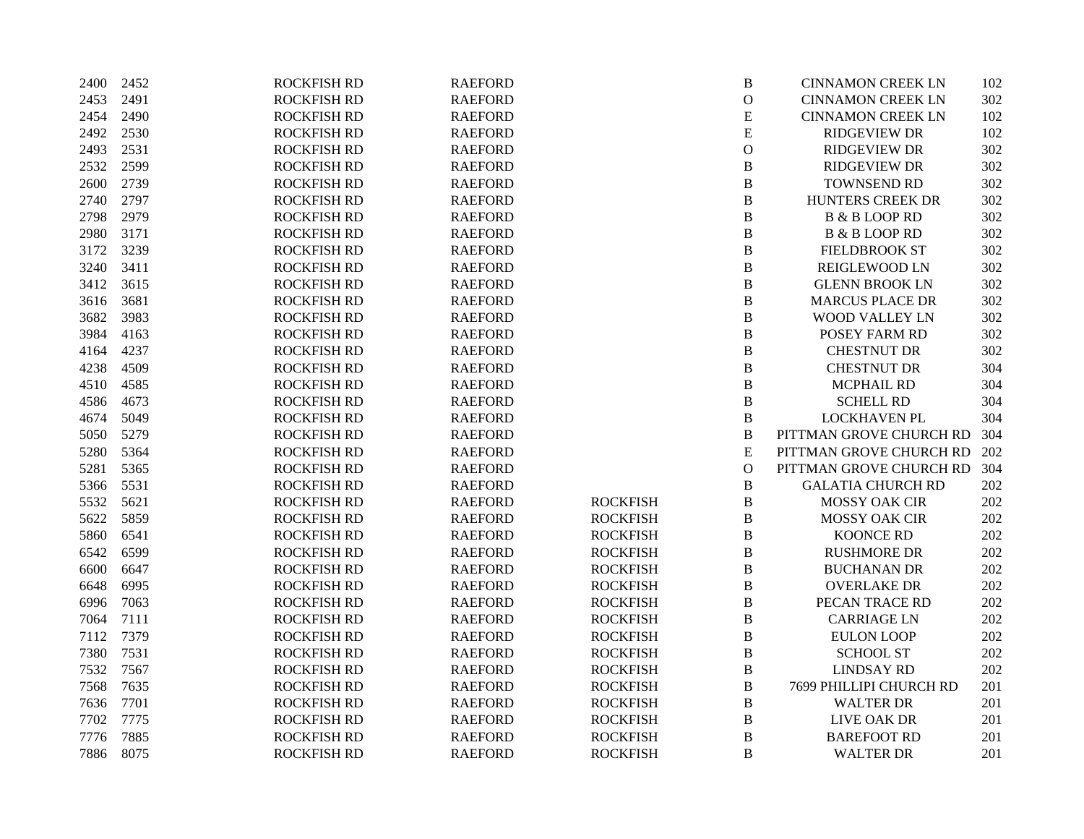| 2400 | 2452 | <b>ROCKFISH RD</b> | <b>RAEFORD</b> |                 | $\, {\bf B}$   | <b>CINNAMON CREEK LN</b> | 102 |
|------|------|--------------------|----------------|-----------------|----------------|--------------------------|-----|
| 2453 | 2491 | <b>ROCKFISH RD</b> | <b>RAEFORD</b> |                 | $\mathbf{O}$   | <b>CINNAMON CREEK LN</b> | 302 |
| 2454 | 2490 | <b>ROCKFISH RD</b> | <b>RAEFORD</b> |                 | ${\bf E}$      | <b>CINNAMON CREEK LN</b> | 102 |
| 2492 | 2530 | <b>ROCKFISH RD</b> | <b>RAEFORD</b> |                 | ${\bf E}$      | <b>RIDGEVIEW DR</b>      | 102 |
| 2493 | 2531 | <b>ROCKFISH RD</b> | <b>RAEFORD</b> |                 | ${\mathcal O}$ | <b>RIDGEVIEW DR</b>      | 302 |
| 2532 | 2599 | <b>ROCKFISH RD</b> | <b>RAEFORD</b> |                 | $\, {\bf B}$   | <b>RIDGEVIEW DR</b>      | 302 |
| 2600 | 2739 | <b>ROCKFISH RD</b> | <b>RAEFORD</b> |                 | $\, {\bf B}$   | TOWNSEND RD              | 302 |
| 2740 | 2797 | <b>ROCKFISH RD</b> | <b>RAEFORD</b> |                 | $\bf{B}$       | HUNTERS CREEK DR         | 302 |
| 2798 | 2979 | <b>ROCKFISH RD</b> | <b>RAEFORD</b> |                 | $\bf{B}$       | <b>B &amp; B LOOP RD</b> | 302 |
| 2980 | 3171 | <b>ROCKFISH RD</b> | <b>RAEFORD</b> |                 | $\, {\bf B}$   | <b>B &amp; B LOOP RD</b> | 302 |
| 3172 | 3239 | <b>ROCKFISH RD</b> | <b>RAEFORD</b> |                 | $\, {\bf B}$   | <b>FIELDBROOK ST</b>     | 302 |
| 3240 | 3411 | <b>ROCKFISH RD</b> | <b>RAEFORD</b> |                 | $\, {\bf B}$   | <b>REIGLEWOOD LN</b>     | 302 |
| 3412 | 3615 | <b>ROCKFISH RD</b> | <b>RAEFORD</b> |                 | $\, {\bf B}$   | <b>GLENN BROOK LN</b>    | 302 |
| 3616 | 3681 | <b>ROCKFISH RD</b> | <b>RAEFORD</b> |                 | $\, {\bf B}$   | <b>MARCUS PLACE DR</b>   | 302 |
| 3682 | 3983 | <b>ROCKFISH RD</b> | <b>RAEFORD</b> |                 | $\, {\bf B}$   | WOOD VALLEY LN           | 302 |
| 3984 | 4163 | <b>ROCKFISH RD</b> | <b>RAEFORD</b> |                 | $\, {\bf B}$   | POSEY FARM RD            | 302 |
| 4164 | 4237 | <b>ROCKFISH RD</b> | <b>RAEFORD</b> |                 | $\, {\bf B}$   | CHESTNUT DR              | 302 |
| 4238 | 4509 | <b>ROCKFISH RD</b> | <b>RAEFORD</b> |                 | $\, {\bf B}$   | CHESTNUT DR              | 304 |
| 4510 | 4585 | <b>ROCKFISH RD</b> | <b>RAEFORD</b> |                 | $\bf{B}$       | <b>MCPHAIL RD</b>        | 304 |
| 4586 | 4673 | <b>ROCKFISH RD</b> | <b>RAEFORD</b> |                 | $\bf{B}$       | <b>SCHELL RD</b>         | 304 |
| 4674 | 5049 | <b>ROCKFISH RD</b> | <b>RAEFORD</b> |                 | $\, {\bf B}$   | <b>LOCKHAVEN PL</b>      | 304 |
| 5050 | 5279 | <b>ROCKFISH RD</b> | <b>RAEFORD</b> |                 | $\overline{B}$ | PITTMAN GROVE CHURCH RD  | 304 |
| 5280 | 5364 | <b>ROCKFISH RD</b> | <b>RAEFORD</b> |                 | ${\bf E}$      | PITTMAN GROVE CHURCH RD  | 202 |
| 5281 | 5365 | <b>ROCKFISH RD</b> | <b>RAEFORD</b> |                 | $\mathbf{O}$   | PITTMAN GROVE CHURCH RD  | 304 |
| 5366 | 5531 | <b>ROCKFISH RD</b> | <b>RAEFORD</b> |                 | $\, {\bf B}$   | <b>GALATIA CHURCH RD</b> | 202 |
| 5532 | 5621 | <b>ROCKFISH RD</b> | <b>RAEFORD</b> | <b>ROCKFISH</b> | $\, {\bf B}$   | <b>MOSSY OAK CIR</b>     | 202 |
| 5622 | 5859 | <b>ROCKFISH RD</b> | <b>RAEFORD</b> | <b>ROCKFISH</b> | $\, {\bf B}$   | MOSSY OAK CIR            | 202 |
| 5860 | 6541 | <b>ROCKFISH RD</b> | <b>RAEFORD</b> | <b>ROCKFISH</b> | $\, {\bf B}$   | <b>KOONCE RD</b>         | 202 |
| 6542 | 6599 | <b>ROCKFISH RD</b> | <b>RAEFORD</b> | <b>ROCKFISH</b> | $\, {\bf B}$   | <b>RUSHMORE DR</b>       | 202 |
| 6600 | 6647 | <b>ROCKFISH RD</b> | <b>RAEFORD</b> | <b>ROCKFISH</b> | $\, {\bf B}$   | <b>BUCHANAN DR</b>       | 202 |
| 6648 | 6995 | <b>ROCKFISH RD</b> | <b>RAEFORD</b> | <b>ROCKFISH</b> | $\bf{B}$       | <b>OVERLAKE DR</b>       | 202 |
| 6996 | 7063 | <b>ROCKFISH RD</b> | <b>RAEFORD</b> | <b>ROCKFISH</b> | $\, {\bf B}$   | PECAN TRACE RD           | 202 |
| 7064 | 7111 | <b>ROCKFISH RD</b> | <b>RAEFORD</b> | <b>ROCKFISH</b> | $\, {\bf B}$   | <b>CARRIAGE LN</b>       | 202 |
| 7112 | 7379 | <b>ROCKFISH RD</b> | <b>RAEFORD</b> | <b>ROCKFISH</b> | $\, {\bf B}$   | <b>EULON LOOP</b>        | 202 |
| 7380 | 7531 | <b>ROCKFISH RD</b> | <b>RAEFORD</b> | <b>ROCKFISH</b> | $\, {\bf B}$   | <b>SCHOOL ST</b>         | 202 |
| 7532 | 7567 | <b>ROCKFISH RD</b> | <b>RAEFORD</b> | <b>ROCKFISH</b> | $\, {\bf B}$   | <b>LINDSAY RD</b>        | 202 |
| 7568 | 7635 | <b>ROCKFISH RD</b> | <b>RAEFORD</b> | <b>ROCKFISH</b> | $\, {\bf B}$   | 7699 PHILLIPI CHURCH RD  | 201 |
| 7636 | 7701 | <b>ROCKFISH RD</b> | <b>RAEFORD</b> | <b>ROCKFISH</b> | $\, {\bf B}$   | <b>WALTER DR</b>         | 201 |
| 7702 | 7775 | <b>ROCKFISH RD</b> | <b>RAEFORD</b> | <b>ROCKFISH</b> | $\, {\bf B}$   | LIVE OAK DR              | 201 |
| 7776 | 7885 | <b>ROCKFISH RD</b> | <b>RAEFORD</b> | <b>ROCKFISH</b> | $\, {\bf B}$   | <b>BAREFOOT RD</b>       | 201 |
| 7886 | 8075 | <b>ROCKFISH RD</b> | <b>RAEFORD</b> | <b>ROCKFISH</b> | B              | <b>WALTER DR</b>         | 201 |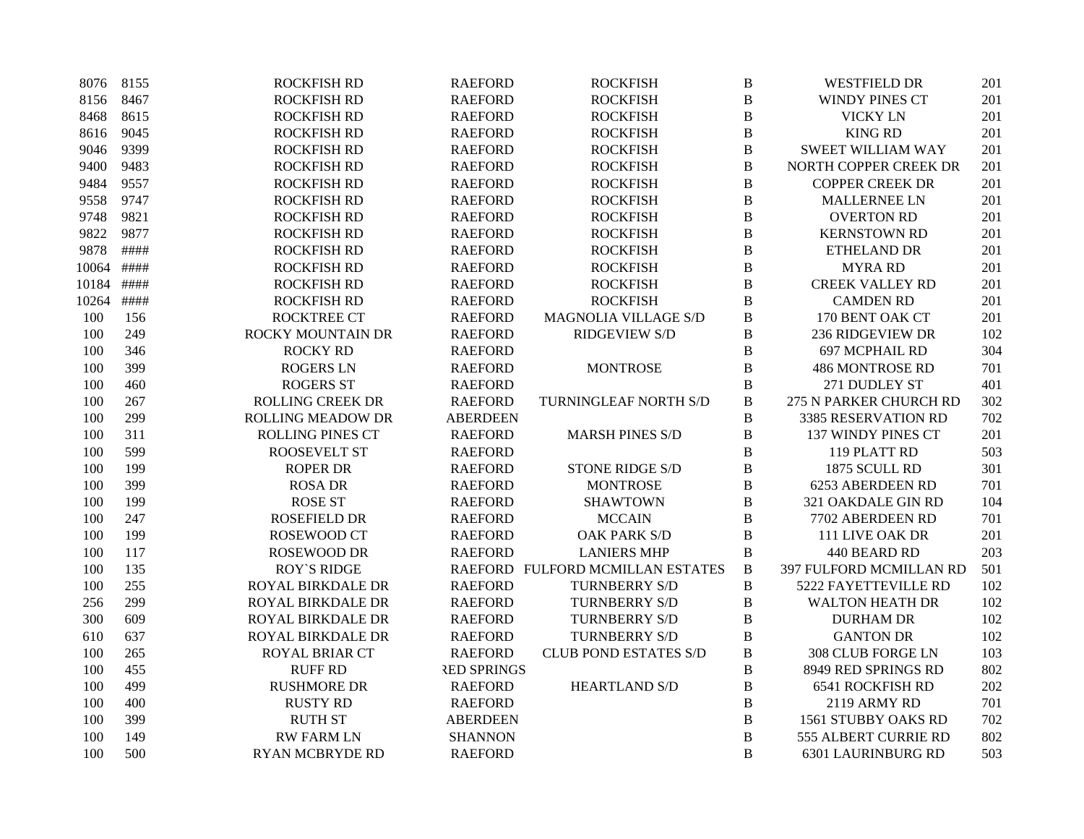| 8076  | 8155 | <b>ROCKFISH RD</b>       | <b>RAEFORD</b>     | <b>ROCKFISH</b>                  | $\, {\bf B}$ | <b>WESTFIELD DR</b>      | 201 |
|-------|------|--------------------------|--------------------|----------------------------------|--------------|--------------------------|-----|
| 8156  | 8467 | <b>ROCKFISH RD</b>       | <b>RAEFORD</b>     | <b>ROCKFISH</b>                  | $\bf{B}$     | WINDY PINES CT           | 201 |
| 8468  | 8615 | <b>ROCKFISH RD</b>       | <b>RAEFORD</b>     | <b>ROCKFISH</b>                  | $\bf{B}$     | <b>VICKY LN</b>          | 201 |
| 8616  | 9045 | <b>ROCKFISH RD</b>       | <b>RAEFORD</b>     | <b>ROCKFISH</b>                  | $\, {\bf B}$ | <b>KING RD</b>           | 201 |
| 9046  | 9399 | <b>ROCKFISH RD</b>       | <b>RAEFORD</b>     | <b>ROCKFISH</b>                  | $\, {\bf B}$ | <b>SWEET WILLIAM WAY</b> | 201 |
| 9400  | 9483 | <b>ROCKFISH RD</b>       | <b>RAEFORD</b>     | <b>ROCKFISH</b>                  | $\, {\bf B}$ | NORTH COPPER CREEK DR    | 201 |
| 9484  | 9557 | <b>ROCKFISH RD</b>       | <b>RAEFORD</b>     | <b>ROCKFISH</b>                  | $\bf{B}$     | <b>COPPER CREEK DR</b>   | 201 |
| 9558  | 9747 | <b>ROCKFISH RD</b>       | <b>RAEFORD</b>     | <b>ROCKFISH</b>                  | $\, {\bf B}$ | <b>MALLERNEE LN</b>      | 201 |
| 9748  | 9821 | <b>ROCKFISH RD</b>       | <b>RAEFORD</b>     | <b>ROCKFISH</b>                  | B            | <b>OVERTON RD</b>        | 201 |
| 9822  | 9877 | <b>ROCKFISH RD</b>       | <b>RAEFORD</b>     | <b>ROCKFISH</b>                  | $\, {\bf B}$ | <b>KERNSTOWN RD</b>      | 201 |
| 9878  | #### | <b>ROCKFISH RD</b>       | <b>RAEFORD</b>     | <b>ROCKFISH</b>                  | B            | ETHELAND DR              | 201 |
| 10064 | #### | <b>ROCKFISH RD</b>       | <b>RAEFORD</b>     | <b>ROCKFISH</b>                  | $\, {\bf B}$ | <b>MYRA RD</b>           | 201 |
| 10184 | #### | <b>ROCKFISH RD</b>       | <b>RAEFORD</b>     | <b>ROCKFISH</b>                  | $\, {\bf B}$ | <b>CREEK VALLEY RD</b>   | 201 |
| 10264 | #### | <b>ROCKFISH RD</b>       | <b>RAEFORD</b>     | <b>ROCKFISH</b>                  | B            | <b>CAMDEN RD</b>         | 201 |
| 100   | 156  | <b>ROCKTREE CT</b>       | <b>RAEFORD</b>     | MAGNOLIA VILLAGE S/D             | $\, {\bf B}$ | 170 BENT OAK CT          | 201 |
| 100   | 249  | <b>ROCKY MOUNTAIN DR</b> | <b>RAEFORD</b>     | <b>RIDGEVIEW S/D</b>             | $\, {\bf B}$ | <b>236 RIDGEVIEW DR</b>  | 102 |
| 100   | 346  | <b>ROCKY RD</b>          | <b>RAEFORD</b>     |                                  | $\, {\bf B}$ | 697 MCPHAIL RD           | 304 |
| 100   | 399  | <b>ROGERS LN</b>         | <b>RAEFORD</b>     | <b>MONTROSE</b>                  | $\, {\bf B}$ | <b>486 MONTROSE RD</b>   | 701 |
| 100   | 460  | <b>ROGERS ST</b>         | <b>RAEFORD</b>     |                                  | $\, {\bf B}$ | 271 DUDLEY ST            | 401 |
| 100   | 267  | <b>ROLLING CREEK DR</b>  | <b>RAEFORD</b>     | TURNINGLEAF NORTH S/D            | B            | 275 N PARKER CHURCH RD   | 302 |
| 100   | 299  | <b>ROLLING MEADOW DR</b> | <b>ABERDEEN</b>    |                                  | B            | 3385 RESERVATION RD      | 702 |
| 100   | 311  | <b>ROLLING PINES CT</b>  | <b>RAEFORD</b>     | <b>MARSH PINES S/D</b>           | $\, {\bf B}$ | 137 WINDY PINES CT       | 201 |
| 100   | 599  | <b>ROOSEVELT ST</b>      | <b>RAEFORD</b>     |                                  | B            | 119 PLATT RD             | 503 |
| 100   | 199  | <b>ROPER DR</b>          | <b>RAEFORD</b>     | <b>STONE RIDGE S/D</b>           | $\, {\bf B}$ | 1875 SCULL RD            | 301 |
| 100   | 399  | <b>ROSA DR</b>           | <b>RAEFORD</b>     | <b>MONTROSE</b>                  | $\, {\bf B}$ | 6253 ABERDEEN RD         | 701 |
| 100   | 199  | <b>ROSE ST</b>           | <b>RAEFORD</b>     | <b>SHAWTOWN</b>                  | B            | 321 OAKDALE GIN RD       | 104 |
| 100   | 247  | <b>ROSEFIELD DR</b>      | <b>RAEFORD</b>     | <b>MCCAIN</b>                    | $\, {\bf B}$ | 7702 ABERDEEN RD         | 701 |
| 100   | 199  | ROSEWOOD CT              | <b>RAEFORD</b>     | <b>OAK PARK S/D</b>              | $\, {\bf B}$ | 111 LIVE OAK DR          | 201 |
| 100   | 117  | <b>ROSEWOOD DR</b>       | <b>RAEFORD</b>     | <b>LANIERS MHP</b>               | $\, {\bf B}$ | 440 BEARD RD             | 203 |
| 100   | 135  | <b>ROY'S RIDGE</b>       |                    | RAEFORD FULFORD MCMILLAN ESTATES | $\, {\bf B}$ | 397 FULFORD MCMILLAN RD  | 501 |
| 100   | 255  | ROYAL BIRKDALE DR        | <b>RAEFORD</b>     | TURNBERRY S/D                    | $\bf{B}$     | 5222 FAYETTEVILLE RD     | 102 |
| 256   | 299  | ROYAL BIRKDALE DR        | <b>RAEFORD</b>     | <b>TURNBERRY S/D</b>             | B            | <b>WALTON HEATH DR</b>   | 102 |
| 300   | 609  | ROYAL BIRKDALE DR        | <b>RAEFORD</b>     | TURNBERRY S/D                    | $\, {\bf B}$ | <b>DURHAM DR</b>         | 102 |
| 610   | 637  | ROYAL BIRKDALE DR        | <b>RAEFORD</b>     | TURNBERRY S/D                    | $\, {\bf B}$ | <b>GANTON DR</b>         | 102 |
| 100   | 265  | ROYAL BRIAR CT           | <b>RAEFORD</b>     | <b>CLUB POND ESTATES S/D</b>     | $\, {\bf B}$ | 308 CLUB FORGE LN        | 103 |
| 100   | 455  | <b>RUFF RD</b>           | <b>RED SPRINGS</b> |                                  | $\, {\bf B}$ | 8949 RED SPRINGS RD      | 802 |
| 100   | 499  | <b>RUSHMORE DR</b>       | <b>RAEFORD</b>     | <b>HEARTLAND S/D</b>             | B            | <b>6541 ROCKFISH RD</b>  | 202 |
| 100   | 400  | <b>RUSTY RD</b>          | <b>RAEFORD</b>     |                                  | B            | 2119 ARMY RD             | 701 |
| 100   | 399  | <b>RUTH ST</b>           | <b>ABERDEEN</b>    |                                  | $\, {\bf B}$ | 1561 STUBBY OAKS RD      | 702 |
| 100   | 149  | <b>RW FARM LN</b>        | <b>SHANNON</b>     |                                  | $\, {\bf B}$ | 555 ALBERT CURRIE RD     | 802 |
| 100   | 500  | <b>RYAN MCBRYDE RD</b>   | <b>RAEFORD</b>     |                                  | B            | 6301 LAURINBURG RD       | 503 |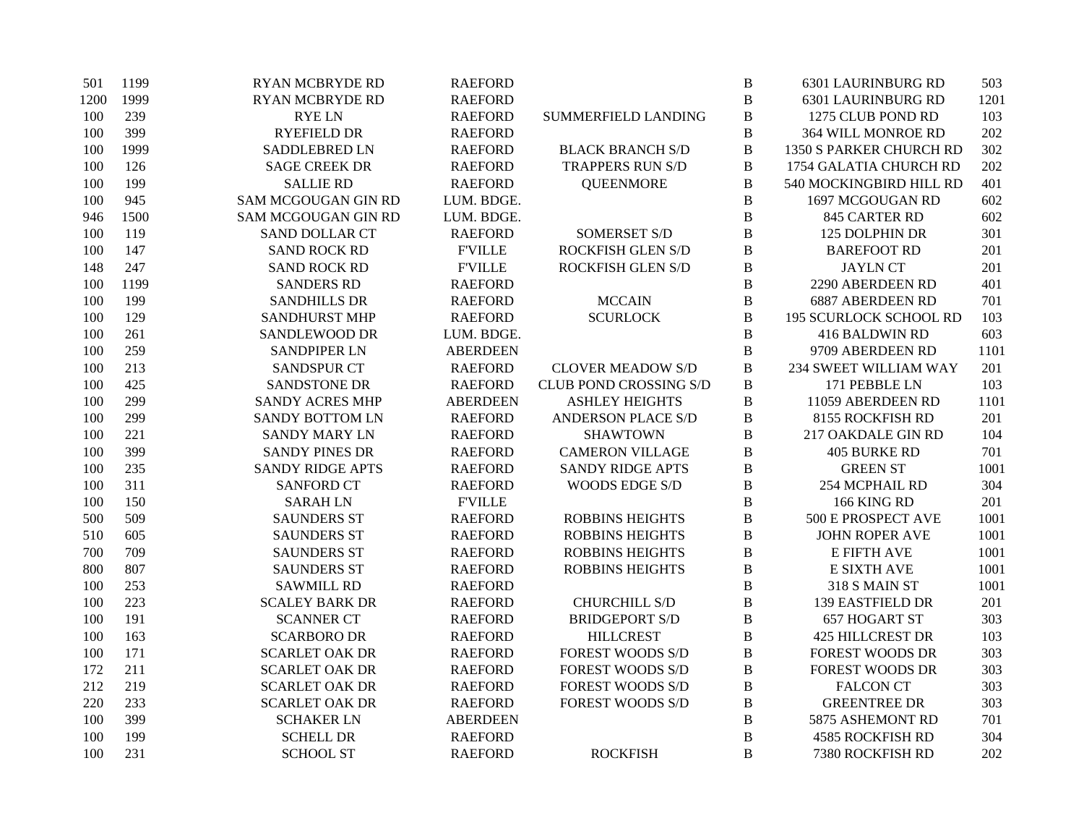| 501  | 1199 | <b>RYAN MCBRYDE RD</b>  | <b>RAEFORD</b>  |                               | $\, {\bf B}$ | <b>6301 LAURINBURG RD</b>     | 503  |
|------|------|-------------------------|-----------------|-------------------------------|--------------|-------------------------------|------|
| 1200 | 1999 | <b>RYAN MCBRYDE RD</b>  | <b>RAEFORD</b>  |                               | $\, {\bf B}$ | <b>6301 LAURINBURG RD</b>     | 1201 |
| 100  | 239  | <b>RYELN</b>            | <b>RAEFORD</b>  | SUMMERFIELD LANDING           | B            | 1275 CLUB POND RD             | 103  |
| 100  | 399  | <b>RYEFIELD DR</b>      | <b>RAEFORD</b>  |                               | $\bf{B}$     | 364 WILL MONROE RD            | 202  |
| 100  | 1999 | SADDLEBRED LN           | <b>RAEFORD</b>  | <b>BLACK BRANCH S/D</b>       | $\, {\bf B}$ | 1350 S PARKER CHURCH RD       | 302  |
| 100  | 126  | <b>SAGE CREEK DR</b>    | <b>RAEFORD</b>  | <b>TRAPPERS RUN S/D</b>       | B            | 1754 GALATIA CHURCH RD        | 202  |
| 100  | 199  | <b>SALLIE RD</b>        | <b>RAEFORD</b>  | <b>QUEENMORE</b>              | $\bf{B}$     | 540 MOCKINGBIRD HILL RD       | 401  |
| 100  | 945  | SAM MCGOUGAN GIN RD     | LUM. BDGE.      |                               | $\, {\bf B}$ | 1697 MCGOUGAN RD              | 602  |
| 946  | 1500 | SAM MCGOUGAN GIN RD     | LUM. BDGE.      |                               | B            | 845 CARTER RD                 | 602  |
| 100  | 119  | <b>SAND DOLLAR CT</b>   | <b>RAEFORD</b>  | <b>SOMERSET S/D</b>           | $\bf{B}$     | 125 DOLPHIN DR                | 301  |
| 100  | 147  | <b>SAND ROCK RD</b>     | <b>F'VILLE</b>  | ROCKFISH GLEN S/D             | $\, {\bf B}$ | <b>BAREFOOT RD</b>            | 201  |
| 148  | 247  | <b>SAND ROCK RD</b>     | <b>FVILLE</b>   | ROCKFISH GLEN S/D             | B            | <b>JAYLN CT</b>               | 201  |
| 100  | 1199 | <b>SANDERS RD</b>       | <b>RAEFORD</b>  |                               | $\bf{B}$     | 2290 ABERDEEN RD              | 401  |
| 100  | 199  | <b>SANDHILLS DR</b>     | <b>RAEFORD</b>  | <b>MCCAIN</b>                 | $\, {\bf B}$ | <b>6887 ABERDEEN RD</b>       | 701  |
| 100  | 129  | <b>SANDHURST MHP</b>    | <b>RAEFORD</b>  | <b>SCURLOCK</b>               | $\, {\bf B}$ | <b>195 SCURLOCK SCHOOL RD</b> | 103  |
| 100  | 261  | SANDLEWOOD DR           | LUM. BDGE.      |                               | $\bf{B}$     | 416 BALDWIN RD                | 603  |
| 100  | 259  | <b>SANDPIPER LN</b>     | <b>ABERDEEN</b> |                               | $\, {\bf B}$ | 9709 ABERDEEN RD              | 1101 |
| 100  | 213  | <b>SANDSPUR CT</b>      | <b>RAEFORD</b>  | <b>CLOVER MEADOW S/D</b>      | $\, {\bf B}$ | 234 SWEET WILLIAM WAY         | 201  |
| 100  | 425  | SANDSTONE DR            | <b>RAEFORD</b>  | <b>CLUB POND CROSSING S/D</b> | $\mathbf B$  | 171 PEBBLE LN                 | 103  |
| 100  | 299  | <b>SANDY ACRES MHP</b>  | <b>ABERDEEN</b> | <b>ASHLEY HEIGHTS</b>         | $\, {\bf B}$ | 11059 ABERDEEN RD             | 1101 |
| 100  | 299  | <b>SANDY BOTTOM LN</b>  | <b>RAEFORD</b>  | <b>ANDERSON PLACE S/D</b>     | B            | 8155 ROCKFISH RD              | 201  |
| 100  | 221  | <b>SANDY MARY LN</b>    | <b>RAEFORD</b>  | <b>SHAWTOWN</b>               | B            | 217 OAKDALE GIN RD            | 104  |
| 100  | 399  | <b>SANDY PINES DR</b>   | <b>RAEFORD</b>  | <b>CAMERON VILLAGE</b>        | $\, {\bf B}$ | <b>405 BURKE RD</b>           | 701  |
| 100  | 235  | <b>SANDY RIDGE APTS</b> | <b>RAEFORD</b>  | <b>SANDY RIDGE APTS</b>       | $\, {\bf B}$ | <b>GREEN ST</b>               | 1001 |
| 100  | 311  | <b>SANFORD CT</b>       | <b>RAEFORD</b>  | WOODS EDGE S/D                | B            | 254 MCPHAIL RD                | 304  |
| 100  | 150  | <b>SARAH LN</b>         | <b>F'VILLE</b>  |                               | $\, {\bf B}$ | 166 KING RD                   | 201  |
| 500  | 509  | <b>SAUNDERS ST</b>      | <b>RAEFORD</b>  | <b>ROBBINS HEIGHTS</b>        | $\, {\bf B}$ | 500 E PROSPECT AVE            | 1001 |
| 510  | 605  | <b>SAUNDERS ST</b>      | <b>RAEFORD</b>  | <b>ROBBINS HEIGHTS</b>        | B            | <b>JOHN ROPER AVE</b>         | 1001 |
| 700  | 709  | <b>SAUNDERS ST</b>      | <b>RAEFORD</b>  | <b>ROBBINS HEIGHTS</b>        | $\, {\bf B}$ | E FIFTH AVE                   | 1001 |
| 800  | 807  | <b>SAUNDERS ST</b>      | <b>RAEFORD</b>  | <b>ROBBINS HEIGHTS</b>        | $\, {\bf B}$ | <b>E SIXTH AVE</b>            | 1001 |
| 100  | 253  | <b>SAWMILL RD</b>       | <b>RAEFORD</b>  |                               | $\, {\bf B}$ | 318 S MAIN ST                 | 1001 |
| 100  | 223  | <b>SCALEY BARK DR</b>   | <b>RAEFORD</b>  | <b>CHURCHILL S/D</b>          | $\bf{B}$     | <b>139 EASTFIELD DR</b>       | 201  |
| 100  | 191  | <b>SCANNER CT</b>       | <b>RAEFORD</b>  | <b>BRIDGEPORT S/D</b>         | $\, {\bf B}$ | 657 HOGART ST                 | 303  |
| 100  | 163  | <b>SCARBORO DR</b>      | <b>RAEFORD</b>  | <b>HILLCREST</b>              | B            | <b>425 HILLCREST DR</b>       | 103  |
| 100  | 171  | <b>SCARLET OAK DR</b>   | <b>RAEFORD</b>  | <b>FOREST WOODS S/D</b>       | $\, {\bf B}$ | <b>FOREST WOODS DR</b>        | 303  |
| 172  | 211  | <b>SCARLET OAK DR</b>   | <b>RAEFORD</b>  | <b>FOREST WOODS S/D</b>       | $\, {\bf B}$ | <b>FOREST WOODS DR</b>        | 303  |
| 212  | 219  | <b>SCARLET OAK DR</b>   | <b>RAEFORD</b>  | <b>FOREST WOODS S/D</b>       | B            | <b>FALCON CT</b>              | 303  |
| 220  | 233  | <b>SCARLET OAK DR</b>   | <b>RAEFORD</b>  | <b>FOREST WOODS S/D</b>       | B            | <b>GREENTREE DR</b>           | 303  |
| 100  | 399  | <b>SCHAKER LN</b>       | <b>ABERDEEN</b> |                               | B            | 5875 ASHEMONT RD              | 701  |
| 100  | 199  | <b>SCHELL DR</b>        | <b>RAEFORD</b>  |                               | $\, {\bf B}$ | <b>4585 ROCKFISH RD</b>       | 304  |
| 100  | 231  | <b>SCHOOL ST</b>        | <b>RAEFORD</b>  | <b>ROCKFISH</b>               | B            | 7380 ROCKFISH RD              | 202  |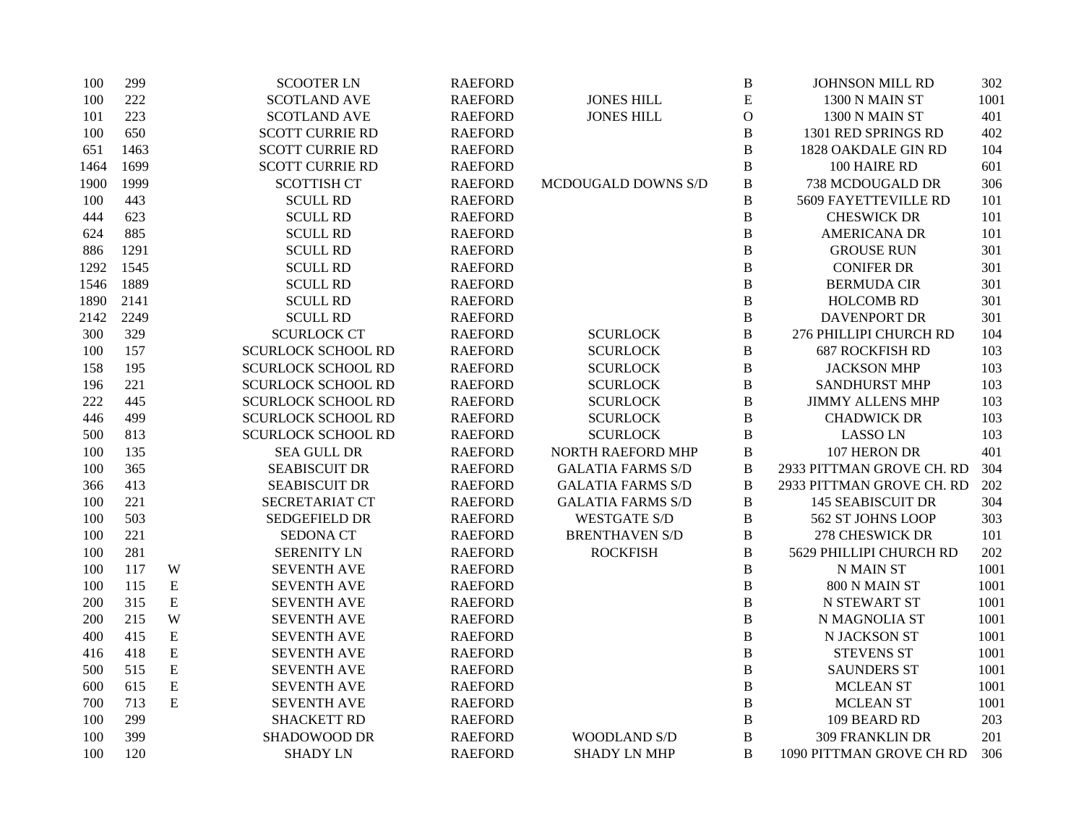| 100  | 299  |             | <b>SCOOTER LN</b>         | <b>RAEFORD</b> |                            | $\, {\bf B}$ | <b>JOHNSON MILL RD</b>    | 302  |
|------|------|-------------|---------------------------|----------------|----------------------------|--------------|---------------------------|------|
| 100  | 222  |             | <b>SCOTLAND AVE</b>       | <b>RAEFORD</b> | <b>JONES HILL</b>          | E            | 1300 N MAIN ST            | 1001 |
| 101  | 223  |             | <b>SCOTLAND AVE</b>       | <b>RAEFORD</b> | <b>JONES HILL</b>          | $\mathbf{O}$ | 1300 N MAIN ST            | 401  |
| 100  | 650  |             | <b>SCOTT CURRIE RD</b>    | <b>RAEFORD</b> |                            | $\, {\bf B}$ | 1301 RED SPRINGS RD       | 402  |
| 651  | 1463 |             | <b>SCOTT CURRIE RD</b>    | <b>RAEFORD</b> |                            | $\bf{B}$     | 1828 OAKDALE GIN RD       | 104  |
| 1464 | 1699 |             | <b>SCOTT CURRIE RD</b>    | <b>RAEFORD</b> |                            | $\bf{B}$     | 100 HAIRE RD              | 601  |
| 1900 | 1999 |             | <b>SCOTTISH CT</b>        | <b>RAEFORD</b> | <b>MCDOUGALD DOWNS S/D</b> | $\, {\bf B}$ | 738 MCDOUGALD DR          | 306  |
| 100  | 443  |             | <b>SCULL RD</b>           | <b>RAEFORD</b> |                            | $\, {\bf B}$ | 5609 FAYETTEVILLE RD      | 101  |
| 444  | 623  |             | <b>SCULL RD</b>           | <b>RAEFORD</b> |                            | B            | <b>CHESWICK DR</b>        | 101  |
| 624  | 885  |             | <b>SCULL RD</b>           | <b>RAEFORD</b> |                            | $\, {\bf B}$ | <b>AMERICANA DR</b>       | 101  |
| 886  | 1291 |             | <b>SCULL RD</b>           | <b>RAEFORD</b> |                            | $\, {\bf B}$ | <b>GROUSE RUN</b>         | 301  |
| 1292 | 1545 |             | <b>SCULL RD</b>           | <b>RAEFORD</b> |                            | $\, {\bf B}$ | <b>CONIFER DR</b>         | 301  |
| 1546 | 1889 |             | <b>SCULL RD</b>           | <b>RAEFORD</b> |                            | $\, {\bf B}$ | <b>BERMUDA CIR</b>        | 301  |
| 1890 | 2141 |             | <b>SCULL RD</b>           | <b>RAEFORD</b> |                            | $\, {\bf B}$ | <b>HOLCOMB RD</b>         | 301  |
| 2142 | 2249 |             | <b>SCULL RD</b>           | <b>RAEFORD</b> |                            | $\, {\bf B}$ | <b>DAVENPORT DR</b>       | 301  |
| 300  | 329  |             | <b>SCURLOCK CT</b>        | <b>RAEFORD</b> | <b>SCURLOCK</b>            | $\, {\bf B}$ | 276 PHILLIPI CHURCH RD    | 104  |
| 100  | 157  |             | <b>SCURLOCK SCHOOL RD</b> | <b>RAEFORD</b> | <b>SCURLOCK</b>            | $\, {\bf B}$ | <b>687 ROCKFISH RD</b>    | 103  |
| 158  | 195  |             | <b>SCURLOCK SCHOOL RD</b> | <b>RAEFORD</b> | <b>SCURLOCK</b>            | $\, {\bf B}$ | <b>JACKSON MHP</b>        | 103  |
| 196  | 221  |             | <b>SCURLOCK SCHOOL RD</b> | <b>RAEFORD</b> | <b>SCURLOCK</b>            | $\, {\bf B}$ | <b>SANDHURST MHP</b>      | 103  |
| 222  | 445  |             | <b>SCURLOCK SCHOOL RD</b> | <b>RAEFORD</b> | <b>SCURLOCK</b>            | B            | <b>JIMMY ALLENS MHP</b>   | 103  |
| 446  | 499  |             | <b>SCURLOCK SCHOOL RD</b> | <b>RAEFORD</b> | <b>SCURLOCK</b>            | B            | <b>CHADWICK DR</b>        | 103  |
| 500  | 813  |             | <b>SCURLOCK SCHOOL RD</b> | <b>RAEFORD</b> | <b>SCURLOCK</b>            | $\, {\bf B}$ | <b>LASSO LN</b>           | 103  |
| 100  | 135  |             | <b>SEA GULL DR</b>        | <b>RAEFORD</b> | NORTH RAEFORD MHP          | $\, {\bf B}$ | 107 HERON DR              | 401  |
| 100  | 365  |             | <b>SEABISCUIT DR</b>      | <b>RAEFORD</b> | <b>GALATIA FARMS S/D</b>   | $\, {\bf B}$ | 2933 PITTMAN GROVE CH. RD | 304  |
| 366  | 413  |             | <b>SEABISCUIT DR</b>      | <b>RAEFORD</b> | <b>GALATIA FARMS S/D</b>   | $\, {\bf B}$ | 2933 PITTMAN GROVE CH. RD | 202  |
| 100  | 221  |             | <b>SECRETARIAT CT</b>     | <b>RAEFORD</b> | <b>GALATIA FARMS S/D</b>   | $\, {\bf B}$ | <b>145 SEABISCUIT DR</b>  | 304  |
| 100  | 503  |             | SEDGEFIELD DR             | <b>RAEFORD</b> | <b>WESTGATE S/D</b>        | $\, {\bf B}$ | 562 ST JOHNS LOOP         | 303  |
| 100  | 221  |             | <b>SEDONA CT</b>          | <b>RAEFORD</b> | <b>BRENTHAVEN S/D</b>      | $\, {\bf B}$ | <b>278 CHESWICK DR</b>    | 101  |
| 100  | 281  |             | <b>SERENITY LN</b>        | <b>RAEFORD</b> | <b>ROCKFISH</b>            | $\, {\bf B}$ | 5629 PHILLIPI CHURCH RD   | 202  |
| 100  | 117  | W           | <b>SEVENTH AVE</b>        | <b>RAEFORD</b> |                            | B            | <b>N MAIN ST</b>          | 1001 |
| 100  | 115  | ${\bf E}$   | <b>SEVENTH AVE</b>        | <b>RAEFORD</b> |                            | $\, {\bf B}$ | 800 N MAIN ST             | 1001 |
| 200  | 315  | $\mathbf E$ | <b>SEVENTH AVE</b>        | <b>RAEFORD</b> |                            | $\, {\bf B}$ | <b>N STEWART ST</b>       | 1001 |
| 200  | 215  | W           | <b>SEVENTH AVE</b>        | <b>RAEFORD</b> |                            | $\, {\bf B}$ | N MAGNOLIA ST             | 1001 |
| 400  | 415  | ${\bf E}$   | <b>SEVENTH AVE</b>        | <b>RAEFORD</b> |                            | $\, {\bf B}$ | N JACKSON ST              | 1001 |
| 416  | 418  | ${\bf E}$   | <b>SEVENTH AVE</b>        | <b>RAEFORD</b> |                            | $\, {\bf B}$ | <b>STEVENS ST</b>         | 1001 |
| 500  | 515  | $\mathbf E$ | <b>SEVENTH AVE</b>        | <b>RAEFORD</b> |                            | $\, {\bf B}$ | <b>SAUNDERS ST</b>        | 1001 |
| 600  | 615  | ${\bf E}$   | <b>SEVENTH AVE</b>        | <b>RAEFORD</b> |                            | B            | <b>MCLEAN ST</b>          | 1001 |
| 700  | 713  | ${\bf E}$   | <b>SEVENTH AVE</b>        | <b>RAEFORD</b> |                            | $\, {\bf B}$ | <b>MCLEAN ST</b>          | 1001 |
| 100  | 299  |             | <b>SHACKETT RD</b>        | <b>RAEFORD</b> |                            | $\, {\bf B}$ | 109 BEARD RD              | 203  |
| 100  | 399  |             | SHADOWOOD DR              | <b>RAEFORD</b> | <b>WOODLAND S/D</b>        | $\, {\bf B}$ | 309 FRANKLIN DR           | 201  |
| 100  | 120  |             | <b>SHADY LN</b>           | <b>RAEFORD</b> | <b>SHADY LN MHP</b>        | B            | 1090 PITTMAN GROVE CH RD  | 306  |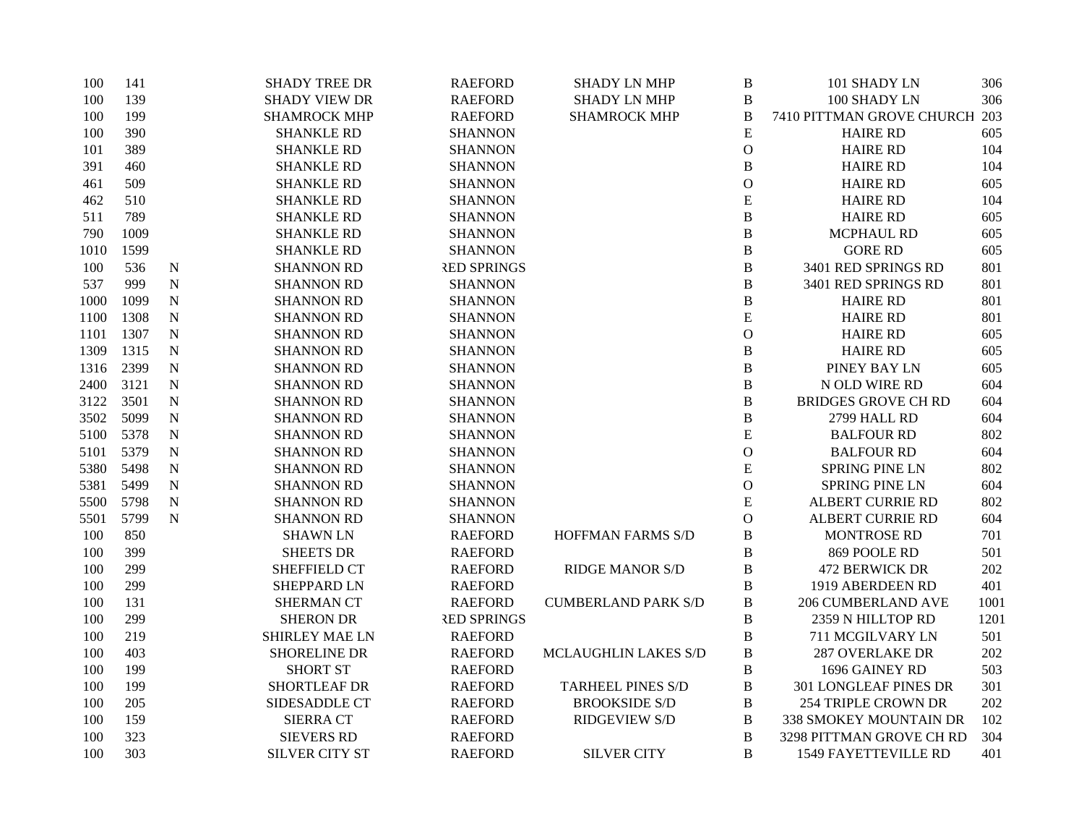| 100  | 141  |             | <b>SHADY TREE DR</b>  | <b>RAEFORD</b>     | <b>SHADY LN MHP</b>        | B             | 101 SHADY LN                 | 306  |
|------|------|-------------|-----------------------|--------------------|----------------------------|---------------|------------------------------|------|
| 100  | 139  |             | <b>SHADY VIEW DR</b>  | <b>RAEFORD</b>     | <b>SHADY LN MHP</b>        | $\, {\bf B}$  | 100 SHADY LN                 | 306  |
| 100  | 199  |             | <b>SHAMROCK MHP</b>   | <b>RAEFORD</b>     | <b>SHAMROCK MHP</b>        | $\, {\bf B}$  | 7410 PITTMAN GROVE CHURCH    | 203  |
| 100  | 390  |             | <b>SHANKLE RD</b>     | <b>SHANNON</b>     |                            | ${\bf E}$     | <b>HAIRE RD</b>              | 605  |
| 101  | 389  |             | <b>SHANKLE RD</b>     | <b>SHANNON</b>     |                            | $\mathcal{O}$ | <b>HAIRE RD</b>              | 104  |
| 391  | 460  |             | <b>SHANKLE RD</b>     | <b>SHANNON</b>     |                            | $\, {\bf B}$  | <b>HAIRE RD</b>              | 104  |
| 461  | 509  |             | <b>SHANKLE RD</b>     | <b>SHANNON</b>     |                            | $\mathcal{O}$ | <b>HAIRE RD</b>              | 605  |
| 462  | 510  |             | <b>SHANKLE RD</b>     | <b>SHANNON</b>     |                            | ${\bf E}$     | <b>HAIRE RD</b>              | 104  |
| 511  | 789  |             | <b>SHANKLE RD</b>     | <b>SHANNON</b>     |                            | $\, {\bf B}$  | <b>HAIRE RD</b>              | 605  |
| 790  | 1009 |             | <b>SHANKLE RD</b>     | <b>SHANNON</b>     |                            | $\, {\bf B}$  | <b>MCPHAUL RD</b>            | 605  |
| 1010 | 1599 |             | <b>SHANKLE RD</b>     | <b>SHANNON</b>     |                            | $\, {\bf B}$  | <b>GORE RD</b>               | 605  |
| 100  | 536  | ${\bf N}$   | <b>SHANNON RD</b>     | <b>RED SPRINGS</b> |                            | $\, {\bf B}$  | 3401 RED SPRINGS RD          | 801  |
| 537  | 999  | $\mathbf N$ | <b>SHANNON RD</b>     | <b>SHANNON</b>     |                            | $\, {\bf B}$  | 3401 RED SPRINGS RD          | 801  |
| 1000 | 1099 | $\mathbf N$ | <b>SHANNON RD</b>     | <b>SHANNON</b>     |                            | $\, {\bf B}$  | <b>HAIRE RD</b>              | 801  |
| 1100 | 1308 | ${\bf N}$   | <b>SHANNON RD</b>     | <b>SHANNON</b>     |                            | ${\bf E}$     | <b>HAIRE RD</b>              | 801  |
| 1101 | 1307 | ${\bf N}$   | <b>SHANNON RD</b>     | <b>SHANNON</b>     |                            | $\mathcal O$  | <b>HAIRE RD</b>              | 605  |
| 1309 | 1315 | $\mathbf N$ | <b>SHANNON RD</b>     | <b>SHANNON</b>     |                            | $\, {\bf B}$  | <b>HAIRE RD</b>              | 605  |
| 1316 | 2399 | ${\bf N}$   | <b>SHANNON RD</b>     | <b>SHANNON</b>     |                            | B             | PINEY BAY LN                 | 605  |
| 2400 | 3121 | $\mathbf N$ | <b>SHANNON RD</b>     | <b>SHANNON</b>     |                            | $\, {\bf B}$  | N OLD WIRE RD                | 604  |
| 3122 | 3501 | $\mathbf N$ | <b>SHANNON RD</b>     | <b>SHANNON</b>     |                            | B             | <b>BRIDGES GROVE CH RD</b>   | 604  |
| 3502 | 5099 | ${\bf N}$   | <b>SHANNON RD</b>     | <b>SHANNON</b>     |                            | B             | 2799 HALL RD                 | 604  |
| 5100 | 5378 | ${\bf N}$   | <b>SHANNON RD</b>     | <b>SHANNON</b>     |                            | ${\bf E}$     | <b>BALFOUR RD</b>            | 802  |
| 5101 | 5379 | ${\bf N}$   | <b>SHANNON RD</b>     | <b>SHANNON</b>     |                            | $\mathbf{O}$  | <b>BALFOUR RD</b>            | 604  |
| 5380 | 5498 | ${\bf N}$   | <b>SHANNON RD</b>     | <b>SHANNON</b>     |                            | ${\bf E}$     | <b>SPRING PINE LN</b>        | 802  |
| 5381 | 5499 | ${\bf N}$   | <b>SHANNON RD</b>     | <b>SHANNON</b>     |                            | $\mathbf{O}$  | <b>SPRING PINE LN</b>        | 604  |
| 5500 | 5798 | ${\bf N}$   | <b>SHANNON RD</b>     | <b>SHANNON</b>     |                            | ${\bf E}$     | ALBERT CURRIE RD             | 802  |
| 5501 | 5799 | ${\bf N}$   | <b>SHANNON RD</b>     | <b>SHANNON</b>     |                            | $\mathbf{O}$  | <b>ALBERT CURRIE RD</b>      | 604  |
| 100  | 850  |             | <b>SHAWN LN</b>       | <b>RAEFORD</b>     | <b>HOFFMAN FARMS S/D</b>   | B             | <b>MONTROSE RD</b>           | 701  |
| 100  | 399  |             | <b>SHEETS DR</b>      | <b>RAEFORD</b>     |                            | $\, {\bf B}$  | 869 POOLE RD                 | 501  |
| 100  | 299  |             | <b>SHEFFIELD CT</b>   | <b>RAEFORD</b>     | <b>RIDGE MANOR S/D</b>     | B             | <b>472 BERWICK DR</b>        | 202  |
| 100  | 299  |             | <b>SHEPPARD LN</b>    | <b>RAEFORD</b>     |                            | B             | 1919 ABERDEEN RD             | 401  |
| 100  | 131  |             | <b>SHERMAN CT</b>     | <b>RAEFORD</b>     | <b>CUMBERLAND PARK S/D</b> | B             | <b>206 CUMBERLAND AVE</b>    | 1001 |
| 100  | 299  |             | <b>SHERON DR</b>      | <b>RED SPRINGS</b> |                            | B             | 2359 N HILLTOP RD            | 1201 |
| 100  | 219  |             | <b>SHIRLEY MAE LN</b> | <b>RAEFORD</b>     |                            | $\, {\bf B}$  | 711 MCGILVARY LN             | 501  |
| 100  | 403  |             | <b>SHORELINE DR</b>   | <b>RAEFORD</b>     | MCLAUGHLIN LAKES S/D       | $\, {\bf B}$  | <b>287 OVERLAKE DR</b>       | 202  |
| 100  | 199  |             | <b>SHORT ST</b>       | <b>RAEFORD</b>     |                            | $\, {\bf B}$  | 1696 GAINEY RD               | 503  |
| 100  | 199  |             | <b>SHORTLEAF DR</b>   | <b>RAEFORD</b>     | <b>TARHEEL PINES S/D</b>   | B             | <b>301 LONGLEAF PINES DR</b> | 301  |
| 100  | 205  |             | SIDESADDLE CT         | <b>RAEFORD</b>     | <b>BROOKSIDE S/D</b>       | B             | 254 TRIPLE CROWN DR          | 202  |
| 100  | 159  |             | <b>SIERRA CT</b>      | <b>RAEFORD</b>     | <b>RIDGEVIEW S/D</b>       | B             | 338 SMOKEY MOUNTAIN DR       | 102  |
| 100  | 323  |             | <b>SIEVERS RD</b>     | <b>RAEFORD</b>     |                            | $\, {\bf B}$  | 3298 PITTMAN GROVE CH RD     | 304  |
| 100  | 303  |             | <b>SILVER CITY ST</b> | <b>RAEFORD</b>     | <b>SILVER CITY</b>         | B             | <b>1549 FAYETTEVILLE RD</b>  | 401  |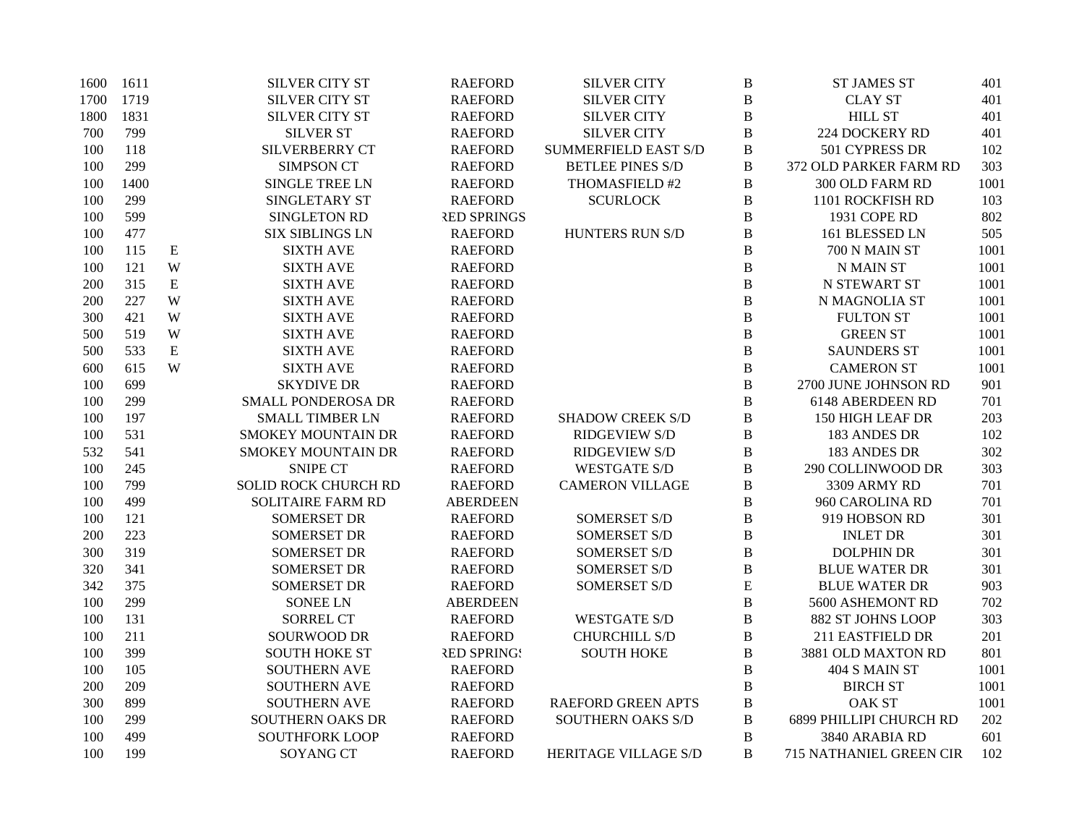| 1600 | 1611 |           | <b>SILVER CITY ST</b>     | <b>RAEFORD</b>     | <b>SILVER CITY</b>          | $\, {\bf B}$   | <b>ST JAMES ST</b>      | 401  |
|------|------|-----------|---------------------------|--------------------|-----------------------------|----------------|-------------------------|------|
| 1700 | 1719 |           | <b>SILVER CITY ST</b>     | <b>RAEFORD</b>     | <b>SILVER CITY</b>          | $\, {\bf B}$   | <b>CLAY ST</b>          | 401  |
| 1800 | 1831 |           | <b>SILVER CITY ST</b>     | <b>RAEFORD</b>     | <b>SILVER CITY</b>          | $\, {\bf B}$   | <b>HILL ST</b>          | 401  |
| 700  | 799  |           | <b>SILVER ST</b>          | <b>RAEFORD</b>     | <b>SILVER CITY</b>          | $\, {\bf B}$   | 224 DOCKERY RD          | 401  |
| 100  | 118  |           | <b>SILVERBERRY CT</b>     | <b>RAEFORD</b>     | <b>SUMMERFIELD EAST S/D</b> | $\, {\bf B}$   | 501 CYPRESS DR          | 102  |
| 100  | 299  |           | <b>SIMPSON CT</b>         | <b>RAEFORD</b>     | <b>BETLEE PINES S/D</b>     | B              | 372 OLD PARKER FARM RD  | 303  |
| 100  | 1400 |           | SINGLE TREE LN            | <b>RAEFORD</b>     | THOMASFIELD #2              | $\bf{B}$       | 300 OLD FARM RD         | 1001 |
| 100  | 299  |           | SINGLETARY ST             | <b>RAEFORD</b>     | <b>SCURLOCK</b>             | $\, {\bf B}$   | 1101 ROCKFISH RD        | 103  |
| 100  | 599  |           | SINGLETON RD              | <b>RED SPRINGS</b> |                             | B              | 1931 COPE RD            | 802  |
| 100  | 477  |           | <b>SIX SIBLINGS LN</b>    | <b>RAEFORD</b>     | HUNTERS RUN S/D             | $\bf{B}$       | 161 BLESSED LN          | 505  |
| 100  | 115  | E         | <b>SIXTH AVE</b>          | <b>RAEFORD</b>     |                             | $\overline{B}$ | 700 N MAIN ST           | 1001 |
| 100  | 121  | W         | <b>SIXTH AVE</b>          | <b>RAEFORD</b>     |                             | $\bf{B}$       | <b>N MAIN ST</b>        | 1001 |
| 200  | 315  | ${\bf E}$ | <b>SIXTH AVE</b>          | <b>RAEFORD</b>     |                             | $\bf{B}$       | N STEWART ST            | 1001 |
| 200  | 227  | W         | <b>SIXTH AVE</b>          | <b>RAEFORD</b>     |                             | $\, {\bf B}$   | N MAGNOLIA ST           | 1001 |
| 300  | 421  | W         | <b>SIXTH AVE</b>          | <b>RAEFORD</b>     |                             | $\, {\bf B}$   | <b>FULTON ST</b>        | 1001 |
| 500  | 519  | W         | <b>SIXTH AVE</b>          | <b>RAEFORD</b>     |                             | $\overline{B}$ | <b>GREEN ST</b>         | 1001 |
| 500  | 533  | ${\bf E}$ | <b>SIXTH AVE</b>          | <b>RAEFORD</b>     |                             | $\, {\bf B}$   | <b>SAUNDERS ST</b>      | 1001 |
| 600  | 615  | W         | <b>SIXTH AVE</b>          | <b>RAEFORD</b>     |                             | $\, {\bf B}$   | <b>CAMERON ST</b>       | 1001 |
| 100  | 699  |           | <b>SKYDIVE DR</b>         | <b>RAEFORD</b>     |                             | $\bf{B}$       | 2700 JUNE JOHNSON RD    | 901  |
| 100  | 299  |           | SMALL PONDEROSA DR        | <b>RAEFORD</b>     |                             | $\bf{B}$       | 6148 ABERDEEN RD        | 701  |
| 100  | 197  |           | <b>SMALL TIMBER LN</b>    | <b>RAEFORD</b>     | <b>SHADOW CREEK S/D</b>     | B              | 150 HIGH LEAF DR        | 203  |
| 100  | 531  |           | <b>SMOKEY MOUNTAIN DR</b> | <b>RAEFORD</b>     | <b>RIDGEVIEW S/D</b>        | B              | 183 ANDES DR            | 102  |
| 532  | 541  |           | <b>SMOKEY MOUNTAIN DR</b> | <b>RAEFORD</b>     | <b>RIDGEVIEW S/D</b>        | $\, {\bf B}$   | 183 ANDES DR            | 302  |
| 100  | 245  |           | <b>SNIPE CT</b>           | <b>RAEFORD</b>     | <b>WESTGATE S/D</b>         | $\, {\bf B}$   | 290 COLLINWOOD DR       | 303  |
| 100  | 799  |           | SOLID ROCK CHURCH RD      | <b>RAEFORD</b>     | <b>CAMERON VILLAGE</b>      | $\bf{B}$       | 3309 ARMY RD            | 701  |
| 100  | 499  |           | <b>SOLITAIRE FARM RD</b>  | <b>ABERDEEN</b>    |                             | $\, {\bf B}$   | 960 CAROLINA RD         | 701  |
| 100  | 121  |           | <b>SOMERSET DR</b>        | <b>RAEFORD</b>     | SOMERSET S/D                | $\, {\bf B}$   | 919 HOBSON RD           | 301  |
| 200  | 223  |           | <b>SOMERSET DR</b>        | <b>RAEFORD</b>     | <b>SOMERSET S/D</b>         | $\bf{B}$       | <b>INLET DR</b>         | 301  |
| 300  | 319  |           | <b>SOMERSET DR</b>        | <b>RAEFORD</b>     | <b>SOMERSET S/D</b>         | $\, {\bf B}$   | <b>DOLPHIN DR</b>       | 301  |
| 320  | 341  |           | <b>SOMERSET DR</b>        | <b>RAEFORD</b>     | SOMERSET S/D                | $\, {\bf B}$   | <b>BLUE WATER DR</b>    | 301  |
| 342  | 375  |           | <b>SOMERSET DR</b>        | <b>RAEFORD</b>     | <b>SOMERSET S/D</b>         | $\overline{E}$ | <b>BLUE WATER DR</b>    | 903  |
| 100  | 299  |           | <b>SONEE LN</b>           | <b>ABERDEEN</b>    |                             | $\bf{B}$       | 5600 ASHEMONT RD        | 702  |
| 100  | 131  |           | <b>SORREL CT</b>          | <b>RAEFORD</b>     | <b>WESTGATE S/D</b>         | $\bf{B}$       | 882 ST JOHNS LOOP       | 303  |
| 100  | 211  |           | <b>SOURWOOD DR</b>        | <b>RAEFORD</b>     | <b>CHURCHILL S/D</b>        | $\, {\bf B}$   | 211 EASTFIELD DR        | 201  |
| 100  | 399  |           | <b>SOUTH HOKE ST</b>      | <b>RED SPRING!</b> | <b>SOUTH HOKE</b>           | $\, {\bf B}$   | 3881 OLD MAXTON RD      | 801  |
| 100  | 105  |           | <b>SOUTHERN AVE</b>       | <b>RAEFORD</b>     |                             | $\, {\bf B}$   | 404 S MAIN ST           | 1001 |
| 200  | 209  |           | <b>SOUTHERN AVE</b>       | <b>RAEFORD</b>     |                             | B              | <b>BIRCH ST</b>         | 1001 |
| 300  | 899  |           | <b>SOUTHERN AVE</b>       | <b>RAEFORD</b>     | <b>RAEFORD GREEN APTS</b>   | B              | <b>OAK ST</b>           | 1001 |
| 100  | 299  |           | SOUTHERN OAKS DR          | <b>RAEFORD</b>     | <b>SOUTHERN OAKS S/D</b>    | $\, {\bf B}$   | 6899 PHILLIPI CHURCH RD | 202  |
| 100  | 499  |           | <b>SOUTHFORK LOOP</b>     | <b>RAEFORD</b>     |                             | $\bf{B}$       | 3840 ARABIA RD          | 601  |
| 100  | 199  |           | <b>SOYANG CT</b>          | <b>RAEFORD</b>     | HERITAGE VILLAGE S/D        | B              | 715 NATHANIEL GREEN CIR | 102  |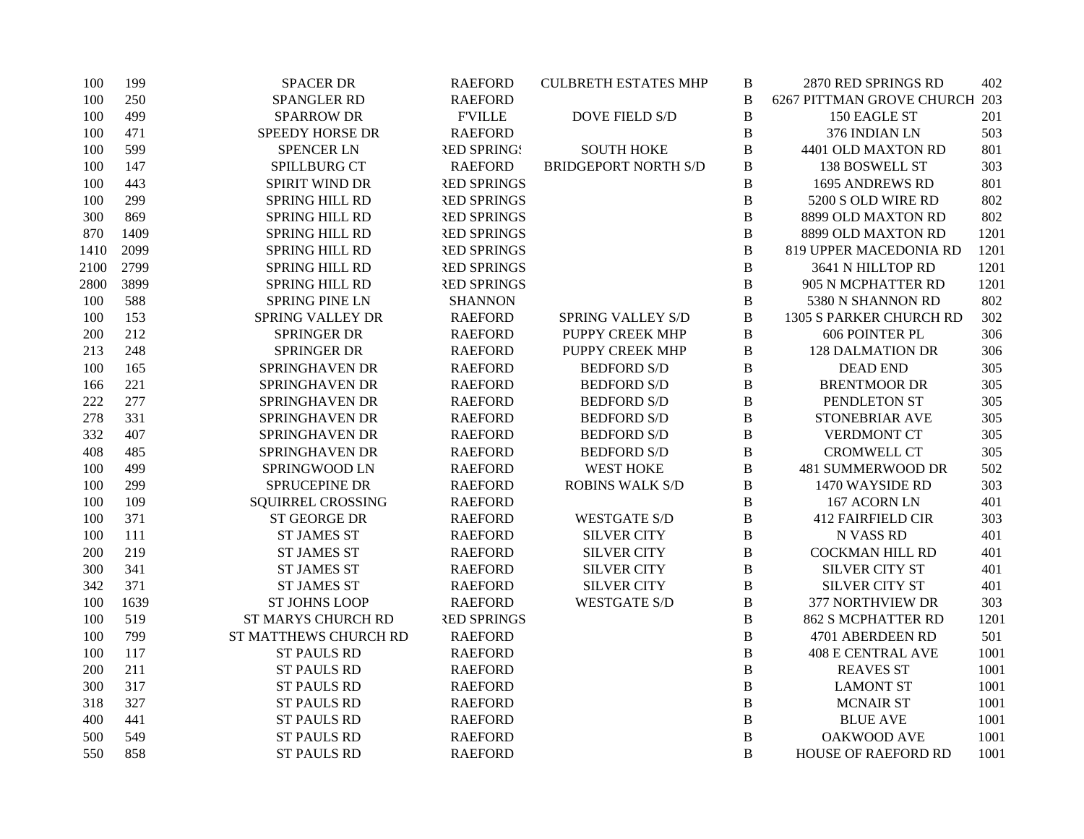| 100  | 199  | <b>SPACER DR</b>          | <b>RAEFORD</b>     | <b>CULBRETH ESTATES MHP</b> | B            | 2870 RED SPRINGS RD           | 402  |
|------|------|---------------------------|--------------------|-----------------------------|--------------|-------------------------------|------|
| 100  | 250  | SPANGLER RD               | <b>RAEFORD</b>     |                             | $\, {\bf B}$ | 6267 PITTMAN GROVE CHURCH 203 |      |
| 100  | 499  | <b>SPARROW DR</b>         | <b>F'VILLE</b>     | <b>DOVE FIELD S/D</b>       | $\, {\bf B}$ | 150 EAGLE ST                  | 201  |
| 100  | 471  | SPEEDY HORSE DR           | <b>RAEFORD</b>     |                             | $\, {\bf B}$ | 376 INDIAN LN                 | 503  |
| 100  | 599  | <b>SPENCER LN</b>         | <b>RED SPRING!</b> | <b>SOUTH HOKE</b>           | $\, {\bf B}$ | 4401 OLD MAXTON RD            | 801  |
| 100  | 147  | SPILLBURG CT              | <b>RAEFORD</b>     | <b>BRIDGEPORT NORTH S/D</b> | B            | 138 BOSWELL ST                | 303  |
| 100  | 443  | SPIRIT WIND DR            | <b>RED SPRINGS</b> |                             | B            | 1695 ANDREWS RD               | 801  |
| 100  | 299  | SPRING HILL RD            | <b>RED SPRINGS</b> |                             | $\, {\bf B}$ | 5200 S OLD WIRE RD            | 802  |
| 300  | 869  | SPRING HILL RD            | <b>RED SPRINGS</b> |                             | B            | 8899 OLD MAXTON RD            | 802  |
| 870  | 1409 | SPRING HILL RD            | <b>RED SPRINGS</b> |                             | $\, {\bf B}$ | 8899 OLD MAXTON RD            | 1201 |
| 1410 | 2099 | SPRING HILL RD            | <b>RED SPRINGS</b> |                             | $\, {\bf B}$ | 819 UPPER MACEDONIA RD        | 1201 |
| 2100 | 2799 | <b>SPRING HILL RD</b>     | <b>RED SPRINGS</b> |                             | $\, {\bf B}$ | 3641 N HILLTOP RD             | 1201 |
| 2800 | 3899 | SPRING HILL RD            | <b>RED SPRINGS</b> |                             | B            | 905 N MCPHATTER RD            | 1201 |
| 100  | 588  | <b>SPRING PINE LN</b>     | <b>SHANNON</b>     |                             | $\, {\bf B}$ | 5380 N SHANNON RD             | 802  |
| 100  | 153  | <b>SPRING VALLEY DR</b>   | <b>RAEFORD</b>     | <b>SPRING VALLEY S/D</b>    | $\, {\bf B}$ | 1305 S PARKER CHURCH RD       | 302  |
| 200  | 212  | <b>SPRINGER DR</b>        | <b>RAEFORD</b>     | PUPPY CREEK MHP             | B            | 606 POINTER PL                | 306  |
| 213  | 248  | <b>SPRINGER DR</b>        | <b>RAEFORD</b>     | PUPPY CREEK MHP             | $\, {\bf B}$ | <b>128 DALMATION DR</b>       | 306  |
| 100  | 165  | SPRINGHAVEN DR            | <b>RAEFORD</b>     | <b>BEDFORD S/D</b>          | $\, {\bf B}$ | <b>DEAD END</b>               | 305  |
| 166  | 221  | SPRINGHAVEN DR            | <b>RAEFORD</b>     | <b>BEDFORD S/D</b>          | B            | <b>BRENTMOOR DR</b>           | 305  |
| 222  | 277  | SPRINGHAVEN DR            | <b>RAEFORD</b>     | <b>BEDFORD S/D</b>          | $\, {\bf B}$ | PENDLETON ST                  | 305  |
| 278  | 331  | SPRINGHAVEN DR            | <b>RAEFORD</b>     | <b>BEDFORD S/D</b>          | $\, {\bf B}$ | STONEBRIAR AVE                | 305  |
| 332  | 407  | SPRINGHAVEN DR            | <b>RAEFORD</b>     | <b>BEDFORD S/D</b>          | B            | <b>VERDMONT CT</b>            | 305  |
| 408  | 485  | SPRINGHAVEN DR            | <b>RAEFORD</b>     | <b>BEDFORD S/D</b>          | $\, {\bf B}$ | <b>CROMWELL CT</b>            | 305  |
| 100  | 499  | SPRINGWOOD LN             | <b>RAEFORD</b>     | <b>WEST HOKE</b>            | $\, {\bf B}$ | 481 SUMMERWOOD DR             | 502  |
| 100  | 299  | SPRUCEPINE DR             | <b>RAEFORD</b>     | <b>ROBINS WALK S/D</b>      | B            | 1470 WAYSIDE RD               | 303  |
| 100  | 109  | SQUIRREL CROSSING         | <b>RAEFORD</b>     |                             | $\, {\bf B}$ | 167 ACORN LN                  | 401  |
| 100  | 371  | ST GEORGE DR              | <b>RAEFORD</b>     | <b>WESTGATE S/D</b>         | $\, {\bf B}$ | <b>412 FAIRFIELD CIR</b>      | 303  |
| 100  | 111  | <b>ST JAMES ST</b>        | <b>RAEFORD</b>     | <b>SILVER CITY</b>          | $\, {\bf B}$ | N VASS RD                     | 401  |
| 200  | 219  | <b>ST JAMES ST</b>        | <b>RAEFORD</b>     | <b>SILVER CITY</b>          | $\, {\bf B}$ | <b>COCKMAN HILL RD</b>        | 401  |
| 300  | 341  | <b>ST JAMES ST</b>        | <b>RAEFORD</b>     | <b>SILVER CITY</b>          | $\, {\bf B}$ | <b>SILVER CITY ST</b>         | 401  |
| 342  | 371  | <b>ST JAMES ST</b>        | <b>RAEFORD</b>     | <b>SILVER CITY</b>          | B            | <b>SILVER CITY ST</b>         | 401  |
| 100  | 1639 | <b>ST JOHNS LOOP</b>      | <b>RAEFORD</b>     | <b>WESTGATE S/D</b>         | $\, {\bf B}$ | 377 NORTHVIEW DR              | 303  |
| 100  | 519  | <b>ST MARYS CHURCH RD</b> | <b>RED SPRINGS</b> |                             | B            | <b>862 S MCPHATTER RD</b>     | 1201 |
| 100  | 799  | ST MATTHEWS CHURCH RD     | <b>RAEFORD</b>     |                             | B            | 4701 ABERDEEN RD              | 501  |
| 100  | 117  | <b>ST PAULS RD</b>        | <b>RAEFORD</b>     |                             | $\, {\bf B}$ | <b>408 E CENTRAL AVE</b>      | 1001 |
| 200  | 211  | <b>ST PAULS RD</b>        | <b>RAEFORD</b>     |                             | $\, {\bf B}$ | <b>REAVES ST</b>              | 1001 |
| 300  | 317  | <b>ST PAULS RD</b>        | <b>RAEFORD</b>     |                             | $\, {\bf B}$ | <b>LAMONT ST</b>              | 1001 |
| 318  | 327  | <b>ST PAULS RD</b>        | <b>RAEFORD</b>     |                             | $\, {\bf B}$ | <b>MCNAIR ST</b>              | 1001 |
| 400  | 441  | <b>ST PAULS RD</b>        | <b>RAEFORD</b>     |                             | $\, {\bf B}$ | <b>BLUE AVE</b>               | 1001 |
| 500  | 549  | <b>ST PAULS RD</b>        | <b>RAEFORD</b>     |                             | $\, {\bf B}$ | OAKWOOD AVE                   | 1001 |
| 550  | 858  | <b>ST PAULS RD</b>        | <b>RAEFORD</b>     |                             | B            | HOUSE OF RAEFORD RD           | 1001 |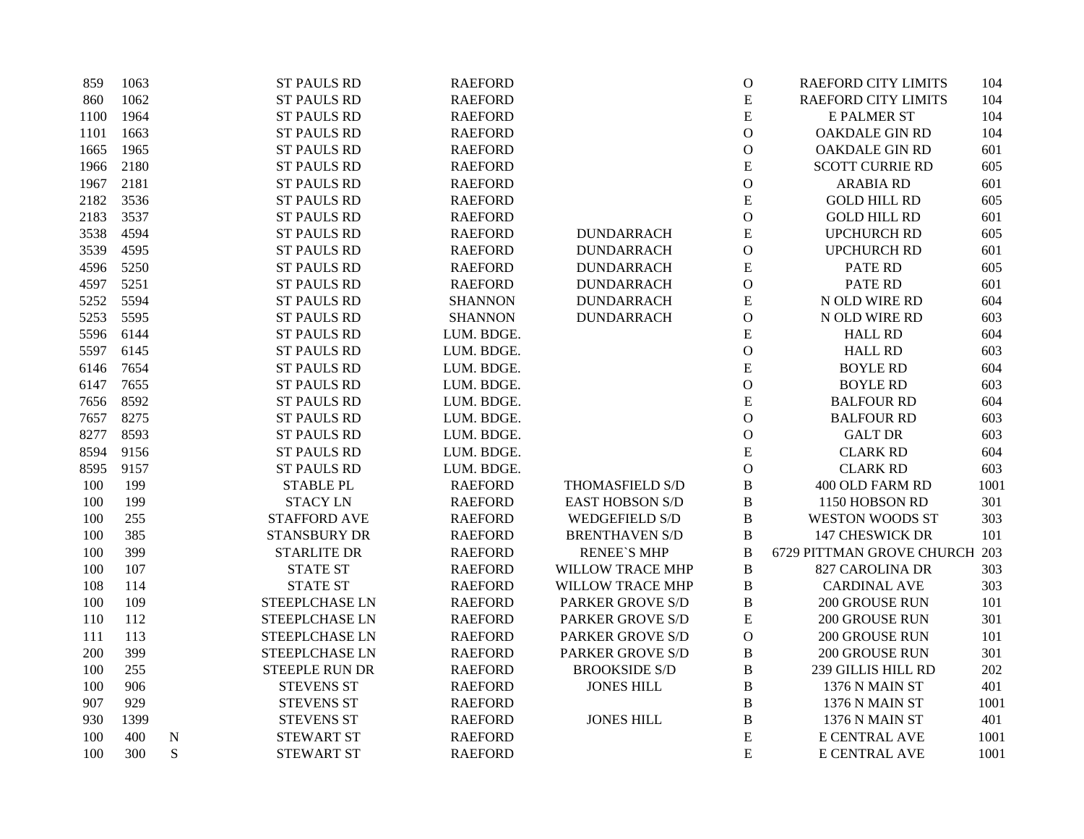| 859  | 1063 |             | <b>ST PAULS RD</b>    | <b>RAEFORD</b> |                         | $\mathbf O$   | <b>RAEFORD CITY LIMITS</b>    | 104  |
|------|------|-------------|-----------------------|----------------|-------------------------|---------------|-------------------------------|------|
| 860  | 1062 |             | <b>ST PAULS RD</b>    | <b>RAEFORD</b> |                         | E             | <b>RAEFORD CITY LIMITS</b>    | 104  |
| 1100 | 1964 |             | <b>ST PAULS RD</b>    | <b>RAEFORD</b> |                         | ${\bf E}$     | <b>E PALMER ST</b>            | 104  |
| 1101 | 1663 |             | <b>ST PAULS RD</b>    | <b>RAEFORD</b> |                         | $\mathcal O$  | <b>OAKDALE GIN RD</b>         | 104  |
| 1665 | 1965 |             | <b>ST PAULS RD</b>    | <b>RAEFORD</b> |                         | $\mathbf O$   | OAKDALE GIN RD                | 601  |
| 1966 | 2180 |             | <b>ST PAULS RD</b>    | <b>RAEFORD</b> |                         | ${\bf E}$     | <b>SCOTT CURRIE RD</b>        | 605  |
| 1967 | 2181 |             | <b>ST PAULS RD</b>    | <b>RAEFORD</b> |                         | $\mathbf{O}$  | <b>ARABIA RD</b>              | 601  |
| 2182 | 3536 |             | <b>ST PAULS RD</b>    | <b>RAEFORD</b> |                         | E             | <b>GOLD HILL RD</b>           | 605  |
| 2183 | 3537 |             | <b>ST PAULS RD</b>    | <b>RAEFORD</b> |                         | $\mathbf{O}$  | <b>GOLD HILL RD</b>           | 601  |
| 3538 | 4594 |             | <b>ST PAULS RD</b>    | <b>RAEFORD</b> | <b>DUNDARRACH</b>       | ${\bf E}$     | <b>UPCHURCH RD</b>            | 605  |
| 3539 | 4595 |             | <b>ST PAULS RD</b>    | <b>RAEFORD</b> | <b>DUNDARRACH</b>       | $\mathcal{O}$ | <b>UPCHURCH RD</b>            | 601  |
| 4596 | 5250 |             | <b>ST PAULS RD</b>    | <b>RAEFORD</b> | <b>DUNDARRACH</b>       | ${\bf E}$     | <b>PATE RD</b>                | 605  |
| 4597 | 5251 |             | <b>ST PAULS RD</b>    | <b>RAEFORD</b> | <b>DUNDARRACH</b>       | $\mathbf{O}$  | <b>PATE RD</b>                | 601  |
| 5252 | 5594 |             | <b>ST PAULS RD</b>    | <b>SHANNON</b> | <b>DUNDARRACH</b>       | ${\bf E}$     | N OLD WIRE RD                 | 604  |
| 5253 | 5595 |             | <b>ST PAULS RD</b>    | <b>SHANNON</b> | <b>DUNDARRACH</b>       | $\mathbf{O}$  | N OLD WIRE RD                 | 603  |
| 5596 | 6144 |             | <b>ST PAULS RD</b>    | LUM. BDGE.     |                         | ${\bf E}$     | <b>HALL RD</b>                | 604  |
| 5597 | 6145 |             | <b>ST PAULS RD</b>    | LUM. BDGE.     |                         | $\mathbf{O}$  | <b>HALL RD</b>                | 603  |
| 6146 | 7654 |             | <b>ST PAULS RD</b>    | LUM. BDGE.     |                         | ${\bf E}$     | <b>BOYLE RD</b>               | 604  |
| 6147 | 7655 |             | <b>ST PAULS RD</b>    | LUM. BDGE.     |                         | $\mathbf{O}$  | <b>BOYLE RD</b>               | 603  |
| 7656 | 8592 |             | <b>ST PAULS RD</b>    | LUM. BDGE.     |                         | E             | <b>BALFOUR RD</b>             | 604  |
| 7657 | 8275 |             | <b>ST PAULS RD</b>    | LUM. BDGE.     |                         | $\mathbf{O}$  | <b>BALFOUR RD</b>             | 603  |
| 8277 | 8593 |             | <b>ST PAULS RD</b>    | LUM. BDGE.     |                         | $\mathbf{O}$  | <b>GALT DR</b>                | 603  |
| 8594 | 9156 |             | <b>ST PAULS RD</b>    | LUM. BDGE.     |                         | E             | <b>CLARK RD</b>               | 604  |
| 8595 | 9157 |             | <b>ST PAULS RD</b>    | LUM. BDGE.     |                         | $\mathbf O$   | <b>CLARK RD</b>               | 603  |
| 100  | 199  |             | <b>STABLE PL</b>      | <b>RAEFORD</b> | THOMASFIELD S/D         | $\, {\bf B}$  | 400 OLD FARM RD               | 1001 |
| 100  | 199  |             | <b>STACY LN</b>       | <b>RAEFORD</b> | <b>EAST HOBSON S/D</b>  | $\, {\bf B}$  | 1150 HOBSON RD                | 301  |
| 100  | 255  |             | <b>STAFFORD AVE</b>   | <b>RAEFORD</b> | <b>WEDGEFIELD S/D</b>   | $\, {\bf B}$  | <b>WESTON WOODS ST</b>        | 303  |
| 100  | 385  |             | <b>STANSBURY DR</b>   | <b>RAEFORD</b> | <b>BRENTHAVEN S/D</b>   | $\, {\bf B}$  | <b>147 CHESWICK DR</b>        | 101  |
| 100  | 399  |             | <b>STARLITE DR</b>    | <b>RAEFORD</b> | <b>RENEE'S MHP</b>      | $\, {\bf B}$  | 6729 PITTMAN GROVE CHURCH 203 |      |
| 100  | 107  |             | <b>STATE ST</b>       | <b>RAEFORD</b> | WILLOW TRACE MHP        | $\, {\bf B}$  | 827 CAROLINA DR               | 303  |
| 108  | 114  |             | <b>STATE ST</b>       | <b>RAEFORD</b> | <b>WILLOW TRACE MHP</b> | $\, {\bf B}$  | <b>CARDINAL AVE</b>           | 303  |
| 100  | 109  |             | STEEPLCHASE LN        | <b>RAEFORD</b> | PARKER GROVE S/D        | $\, {\bf B}$  | 200 GROUSE RUN                | 101  |
| 110  | 112  |             | STEEPLCHASE LN        | <b>RAEFORD</b> | PARKER GROVE S/D        | E             | 200 GROUSE RUN                | 301  |
| 111  | 113  |             | <b>STEEPLCHASE LN</b> | <b>RAEFORD</b> | <b>PARKER GROVE S/D</b> | $\mathcal{O}$ | 200 GROUSE RUN                | 101  |
| 200  | 399  |             | STEEPLCHASE LN        | <b>RAEFORD</b> | PARKER GROVE S/D        | $\, {\bf B}$  | 200 GROUSE RUN                | 301  |
| 100  | 255  |             | <b>STEEPLE RUN DR</b> | <b>RAEFORD</b> | <b>BROOKSIDE S/D</b>    | B             | 239 GILLIS HILL RD            | 202  |
| 100  | 906  |             | <b>STEVENS ST</b>     | <b>RAEFORD</b> | <b>JONES HILL</b>       | $\, {\bf B}$  | 1376 N MAIN ST                | 401  |
| 907  | 929  |             | <b>STEVENS ST</b>     | <b>RAEFORD</b> |                         | $\, {\bf B}$  | 1376 N MAIN ST                | 1001 |
| 930  | 1399 |             | <b>STEVENS ST</b>     | <b>RAEFORD</b> | <b>JONES HILL</b>       | $\bf{B}$      | 1376 N MAIN ST                | 401  |
| 100  | 400  | $\mathbf N$ | <b>STEWART ST</b>     | <b>RAEFORD</b> |                         | $\mathbf E$   | E CENTRAL AVE                 | 1001 |
| 100  | 300  | S           | <b>STEWART ST</b>     | <b>RAEFORD</b> |                         | E             | E CENTRAL AVE                 | 1001 |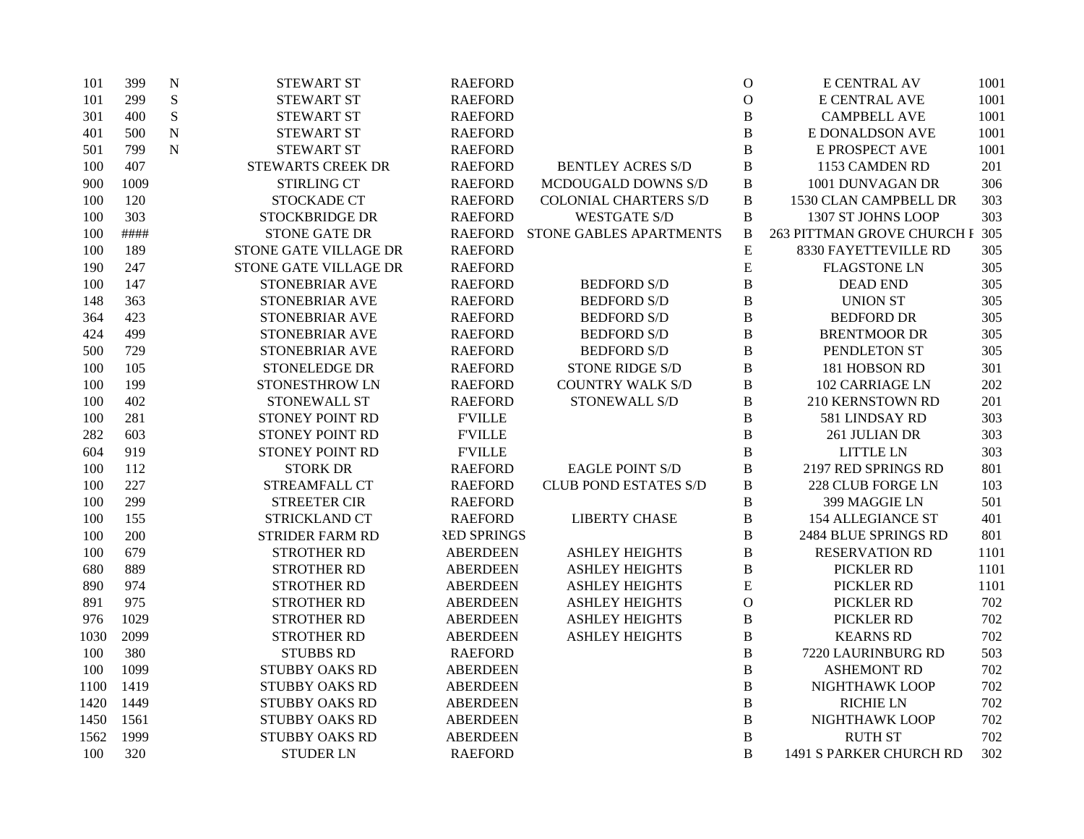| 101  | 399  | $\mathbf N$ | <b>STEWART ST</b>        | <b>RAEFORD</b>     |                                 | $\mathbf O$  | <b>E CENTRAL AV</b>        | 1001 |
|------|------|-------------|--------------------------|--------------------|---------------------------------|--------------|----------------------------|------|
| 101  | 299  | ${\bf S}$   | <b>STEWART ST</b>        | <b>RAEFORD</b>     |                                 | $\mathbf{O}$ | <b>E CENTRAL AVE</b>       | 1001 |
| 301  | 400  | ${\bf S}$   | <b>STEWART ST</b>        | <b>RAEFORD</b>     |                                 | $\, {\bf B}$ | <b>CAMPBELL AVE</b>        | 1001 |
| 401  | 500  | $\mathbf N$ | <b>STEWART ST</b>        | <b>RAEFORD</b>     |                                 | $\, {\bf B}$ | E DONALDSON AVE            | 1001 |
| 501  | 799  | ${\bf N}$   | <b>STEWART ST</b>        | <b>RAEFORD</b>     |                                 | $\, {\bf B}$ | E PROSPECT AVE             | 1001 |
| 100  | 407  |             | <b>STEWARTS CREEK DR</b> | <b>RAEFORD</b>     | <b>BENTLEY ACRES S/D</b>        | $\, {\bf B}$ | 1153 CAMDEN RD             | 201  |
| 900  | 1009 |             | <b>STIRLING CT</b>       | <b>RAEFORD</b>     | MCDOUGALD DOWNS S/D             | $\, {\bf B}$ | 1001 DUNVAGAN DR           | 306  |
| 100  | 120  |             | STOCKADE CT              | <b>RAEFORD</b>     | <b>COLONIAL CHARTERS S/D</b>    | $\, {\bf B}$ | 1530 CLAN CAMPBELL DR      | 303  |
| 100  | 303  |             | <b>STOCKBRIDGE DR</b>    | <b>RAEFORD</b>     | <b>WESTGATE S/D</b>             | $\, {\bf B}$ | 1307 ST JOHNS LOOP         | 303  |
| 100  | #### |             | <b>STONE GATE DR</b>     |                    | RAEFORD STONE GABLES APARTMENTS | B            | 263 PITTMAN GROVE CHURCH F | 305  |
| 100  | 189  |             | STONE GATE VILLAGE DR    | <b>RAEFORD</b>     |                                 | ${\bf E}$    | 8330 FAYETTEVILLE RD       | 305  |
| 190  | 247  |             | STONE GATE VILLAGE DR    | <b>RAEFORD</b>     |                                 | ${\bf E}$    | <b>FLAGSTONE LN</b>        | 305  |
| 100  | 147  |             | STONEBRIAR AVE           | <b>RAEFORD</b>     | <b>BEDFORD S/D</b>              | $\, {\bf B}$ | <b>DEAD END</b>            | 305  |
| 148  | 363  |             | STONEBRIAR AVE           | <b>RAEFORD</b>     | <b>BEDFORD S/D</b>              | $\, {\bf B}$ | <b>UNION ST</b>            | 305  |
| 364  | 423  |             | STONEBRIAR AVE           | <b>RAEFORD</b>     | <b>BEDFORD S/D</b>              | $\, {\bf B}$ | <b>BEDFORD DR</b>          | 305  |
| 424  | 499  |             | STONEBRIAR AVE           | <b>RAEFORD</b>     | <b>BEDFORD S/D</b>              | $\, {\bf B}$ | <b>BRENTMOOR DR</b>        | 305  |
| 500  | 729  |             | STONEBRIAR AVE           | <b>RAEFORD</b>     | <b>BEDFORD S/D</b>              | $\, {\bf B}$ | PENDLETON ST               | 305  |
| 100  | 105  |             | STONELEDGE DR            | <b>RAEFORD</b>     | <b>STONE RIDGE S/D</b>          | $\, {\bf B}$ | 181 HOBSON RD              | 301  |
| 100  | 199  |             | STONESTHROW LN           | <b>RAEFORD</b>     | <b>COUNTRY WALK S/D</b>         | B            | <b>102 CARRIAGE LN</b>     | 202  |
| 100  | 402  |             | STONEWALL ST             | <b>RAEFORD</b>     | STONEWALL S/D                   | B            | 210 KERNSTOWN RD           | 201  |
| 100  | 281  |             | STONEY POINT RD          | <b>F'VILLE</b>     |                                 | $\, {\bf B}$ | 581 LINDSAY RD             | 303  |
| 282  | 603  |             | STONEY POINT RD          | <b>F'VILLE</b>     |                                 | $\, {\bf B}$ | 261 JULIAN DR              | 303  |
| 604  | 919  |             | STONEY POINT RD          | <b>FVILLE</b>      |                                 | $\, {\bf B}$ | LITTLE LN                  | 303  |
| 100  | 112  |             | <b>STORK DR</b>          | <b>RAEFORD</b>     | <b>EAGLE POINT S/D</b>          | B            | 2197 RED SPRINGS RD        | 801  |
| 100  | 227  |             | STREAMFALL CT            | <b>RAEFORD</b>     | <b>CLUB POND ESTATES S/D</b>    | B            | <b>228 CLUB FORGE LN</b>   | 103  |
| 100  | 299  |             | <b>STREETER CIR</b>      | <b>RAEFORD</b>     |                                 | B            | 399 MAGGIE LN              | 501  |
| 100  | 155  |             | STRICKLAND CT            | <b>RAEFORD</b>     | <b>LIBERTY CHASE</b>            | $\, {\bf B}$ | <b>154 ALLEGIANCE ST</b>   | 401  |
| 100  | 200  |             | <b>STRIDER FARM RD</b>   | <b>RED SPRINGS</b> |                                 | $\, {\bf B}$ | 2484 BLUE SPRINGS RD       | 801  |
| 100  | 679  |             | <b>STROTHER RD</b>       | <b>ABERDEEN</b>    | <b>ASHLEY HEIGHTS</b>           | $\, {\bf B}$ | <b>RESERVATION RD</b>      | 1101 |
| 680  | 889  |             | <b>STROTHER RD</b>       | <b>ABERDEEN</b>    | <b>ASHLEY HEIGHTS</b>           | $\, {\bf B}$ | PICKLER RD                 | 1101 |
| 890  | 974  |             | <b>STROTHER RD</b>       | <b>ABERDEEN</b>    | <b>ASHLEY HEIGHTS</b>           | ${\bf E}$    | PICKLER RD                 | 1101 |
| 891  | 975  |             | <b>STROTHER RD</b>       | <b>ABERDEEN</b>    | <b>ASHLEY HEIGHTS</b>           | $\mathbf O$  | PICKLER RD                 | 702  |
| 976  | 1029 |             | <b>STROTHER RD</b>       | <b>ABERDEEN</b>    | <b>ASHLEY HEIGHTS</b>           | B            | PICKLER RD                 | 702  |
| 1030 | 2099 |             | <b>STROTHER RD</b>       | <b>ABERDEEN</b>    | <b>ASHLEY HEIGHTS</b>           | $\, {\bf B}$ | <b>KEARNS RD</b>           | 702  |
| 100  | 380  |             | <b>STUBBS RD</b>         | <b>RAEFORD</b>     |                                 | $\, {\bf B}$ | 7220 LAURINBURG RD         | 503  |
| 100  | 1099 |             | <b>STUBBY OAKS RD</b>    | <b>ABERDEEN</b>    |                                 | $\, {\bf B}$ | <b>ASHEMONT RD</b>         | 702  |
| 1100 | 1419 |             | <b>STUBBY OAKS RD</b>    | <b>ABERDEEN</b>    |                                 | $\, {\bf B}$ | NIGHTHAWK LOOP             | 702  |
| 1420 | 1449 |             | <b>STUBBY OAKS RD</b>    | <b>ABERDEEN</b>    |                                 | $\, {\bf B}$ | <b>RICHIE LN</b>           | 702  |
| 1450 | 1561 |             | <b>STUBBY OAKS RD</b>    | <b>ABERDEEN</b>    |                                 | $\, {\bf B}$ | NIGHTHAWK LOOP             | 702  |
| 1562 | 1999 |             | <b>STUBBY OAKS RD</b>    | <b>ABERDEEN</b>    |                                 | $\, {\bf B}$ | <b>RUTH ST</b>             | 702  |
| 100  | 320  |             | <b>STUDER LN</b>         | <b>RAEFORD</b>     |                                 | B            | 1491 S PARKER CHURCH RD    | 302  |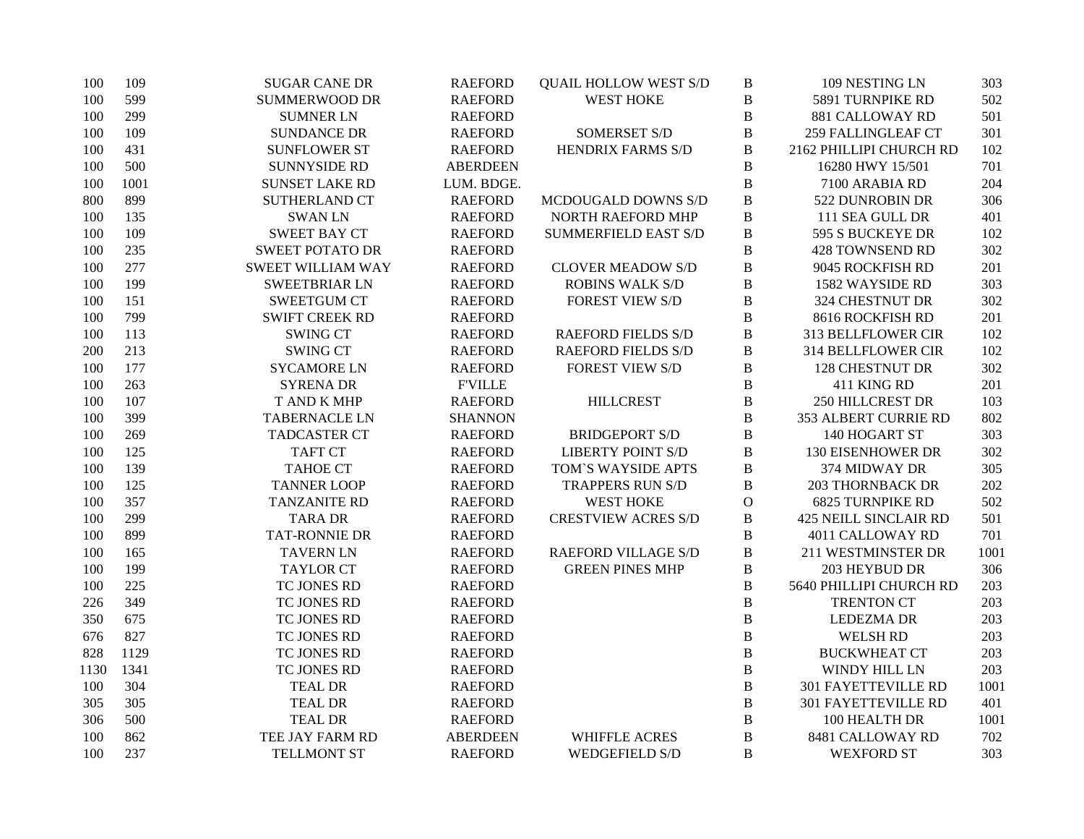| 100  | 109  | <b>SUGAR CANE DR</b>     | <b>RAEFORD</b>  | <b>QUAIL HOLLOW WEST S/D</b> | $\, {\bf B}$   | 109 NESTING LN               | 303  |
|------|------|--------------------------|-----------------|------------------------------|----------------|------------------------------|------|
| 100  | 599  | <b>SUMMERWOOD DR</b>     | <b>RAEFORD</b>  | <b>WEST HOKE</b>             | $\, {\bf B}$   | 5891 TURNPIKE RD             | 502  |
| 100  | 299  | <b>SUMNER LN</b>         | <b>RAEFORD</b>  |                              | $\, {\bf B}$   | <b>881 CALLOWAY RD</b>       | 501  |
| 100  | 109  | <b>SUNDANCE DR</b>       | <b>RAEFORD</b>  | <b>SOMERSET S/D</b>          | $\, {\bf B}$   | <b>259 FALLINGLEAF CT</b>    | 301  |
| 100  | 431  | <b>SUNFLOWER ST</b>      | <b>RAEFORD</b>  | <b>HENDRIX FARMS S/D</b>     | $\, {\bf B}$   | 2162 PHILLIPI CHURCH RD      | 102  |
| 100  | 500  | <b>SUNNYSIDE RD</b>      | <b>ABERDEEN</b> |                              | $\, {\bf B}$   | 16280 HWY 15/501             | 701  |
| 100  | 1001 | <b>SUNSET LAKE RD</b>    | LUM. BDGE.      |                              | $\, {\bf B}$   | 7100 ARABIA RD               | 204  |
| 800  | 899  | <b>SUTHERLAND CT</b>     | <b>RAEFORD</b>  | MCDOUGALD DOWNS S/D          | $\, {\bf B}$   | 522 DUNROBIN DR              | 306  |
| 100  | 135  | <b>SWANLN</b>            | <b>RAEFORD</b>  | <b>NORTH RAEFORD MHP</b>     | $\, {\bf B}$   | 111 SEA GULL DR              | 401  |
| 100  | 109  | <b>SWEET BAY CT</b>      | <b>RAEFORD</b>  | <b>SUMMERFIELD EAST S/D</b>  | $\, {\bf B}$   | 595 S BUCKEYE DR             | 102  |
| 100  | 235  | <b>SWEET POTATO DR</b>   | <b>RAEFORD</b>  |                              | $\, {\bf B}$   | <b>428 TOWNSEND RD</b>       | 302  |
| 100  | 277  | <b>SWEET WILLIAM WAY</b> | <b>RAEFORD</b>  | <b>CLOVER MEADOW S/D</b>     | $\, {\bf B}$   | 9045 ROCKFISH RD             | 201  |
| 100  | 199  | <b>SWEETBRIAR LN</b>     | <b>RAEFORD</b>  | <b>ROBINS WALK S/D</b>       | $\, {\bf B}$   | 1582 WAYSIDE RD              | 303  |
| 100  | 151  | <b>SWEETGUM CT</b>       | <b>RAEFORD</b>  | <b>FOREST VIEW S/D</b>       | $\, {\bf B}$   | 324 CHESTNUT DR              | 302  |
| 100  | 799  | <b>SWIFT CREEK RD</b>    | <b>RAEFORD</b>  |                              | $\, {\bf B}$   | 8616 ROCKFISH RD             | 201  |
| 100  | 113  | <b>SWING CT</b>          | <b>RAEFORD</b>  | <b>RAEFORD FIELDS S/D</b>    | $\, {\bf B}$   | 313 BELLFLOWER CIR           | 102  |
| 200  | 213  | <b>SWING CT</b>          | <b>RAEFORD</b>  | <b>RAEFORD FIELDS S/D</b>    | $\, {\bf B}$   | 314 BELLFLOWER CIR           | 102  |
| 100  | 177  | <b>SYCAMORE LN</b>       | <b>RAEFORD</b>  | <b>FOREST VIEW S/D</b>       | $\, {\bf B}$   | <b>128 CHESTNUT DR</b>       | 302  |
| 100  | 263  | <b>SYRENA DR</b>         | <b>F'VILLE</b>  |                              | $\, {\bf B}$   | 411 KING RD                  | 201  |
| 100  | 107  | T AND K MHP              | <b>RAEFORD</b>  | <b>HILLCREST</b>             | $\, {\bf B}$   | <b>250 HILLCREST DR</b>      | 103  |
| 100  | 399  | <b>TABERNACLE LN</b>     | <b>SHANNON</b>  |                              | $\, {\bf B}$   | 353 ALBERT CURRIE RD         | 802  |
| 100  | 269  | <b>TADCASTER CT</b>      | <b>RAEFORD</b>  | <b>BRIDGEPORT S/D</b>        | $\bf{B}$       | 140 HOGART ST                | 303  |
| 100  | 125  | <b>TAFT CT</b>           | <b>RAEFORD</b>  | <b>LIBERTY POINT S/D</b>     | $\, {\bf B}$   | <b>130 EISENHOWER DR</b>     | 302  |
| 100  | 139  | <b>TAHOE CT</b>          | <b>RAEFORD</b>  | TOM'S WAYSIDE APTS           | $\, {\bf B}$   | 374 MIDWAY DR                | 305  |
| 100  | 125  | <b>TANNER LOOP</b>       | <b>RAEFORD</b>  | <b>TRAPPERS RUN S/D</b>      | $\, {\bf B}$   | <b>203 THORNBACK DR</b>      | 202  |
| 100  | 357  | <b>TANZANITE RD</b>      | <b>RAEFORD</b>  | <b>WEST HOKE</b>             | $\mathcal O$   | <b>6825 TURNPIKE RD</b>      | 502  |
| 100  | 299  | <b>TARA DR</b>           | <b>RAEFORD</b>  | <b>CRESTVIEW ACRES S/D</b>   | $\, {\bf B}$   | <b>425 NEILL SINCLAIR RD</b> | 501  |
| 100  | 899  | <b>TAT-RONNIE DR</b>     | <b>RAEFORD</b>  |                              | $\, {\bf B}$   | 4011 CALLOWAY RD             | 701  |
| 100  | 165  | <b>TAVERN LN</b>         | <b>RAEFORD</b>  | <b>RAEFORD VILLAGE S/D</b>   | $\, {\bf B}$   | 211 WESTMINSTER DR           | 1001 |
| 100  | 199  | <b>TAYLOR CT</b>         | <b>RAEFORD</b>  | <b>GREEN PINES MHP</b>       | $\, {\bf B}$   | 203 HEYBUD DR                | 306  |
| 100  | 225  | TC JONES RD              | <b>RAEFORD</b>  |                              | $\bf{B}$       | 5640 PHILLIPI CHURCH RD      | 203  |
| 226  | 349  | TC JONES RD              | <b>RAEFORD</b>  |                              | $\, {\bf B}$   | <b>TRENTON CT</b>            | 203  |
| 350  | 675  | TC JONES RD              | <b>RAEFORD</b>  |                              | $\, {\bf B}$   | <b>LEDEZMA DR</b>            | 203  |
| 676  | 827  | TC JONES RD              | <b>RAEFORD</b>  |                              | $\, {\bf B}$   | <b>WELSH RD</b>              | 203  |
| 828  | 1129 | TC JONES RD              | <b>RAEFORD</b>  |                              | $\, {\bf B}$   | <b>BUCKWHEAT CT</b>          | 203  |
| 1130 | 1341 | TC JONES RD              | <b>RAEFORD</b>  |                              | $\, {\bf B}$   | WINDY HILL LN                | 203  |
| 100  | 304  | <b>TEAL DR</b>           | <b>RAEFORD</b>  |                              | $\, {\bf B}$   | 301 FAYETTEVILLE RD          | 1001 |
| 305  | 305  | <b>TEAL DR</b>           | <b>RAEFORD</b>  |                              | $\, {\bf B}$   | 301 FAYETTEVILLE RD          | 401  |
| 306  | 500  | <b>TEAL DR</b>           | <b>RAEFORD</b>  |                              | $\, {\bf B}$   | 100 HEALTH DR                | 1001 |
| 100  | 862  | TEE JAY FARM RD          | <b>ABERDEEN</b> | <b>WHIFFLE ACRES</b>         | $\bf{B}$       | 8481 CALLOWAY RD             | 702  |
| 100  | 237  | <b>TELLMONT ST</b>       | <b>RAEFORD</b>  | <b>WEDGEFIELD S/D</b>        | $\overline{B}$ | <b>WEXFORD ST</b>            | 303  |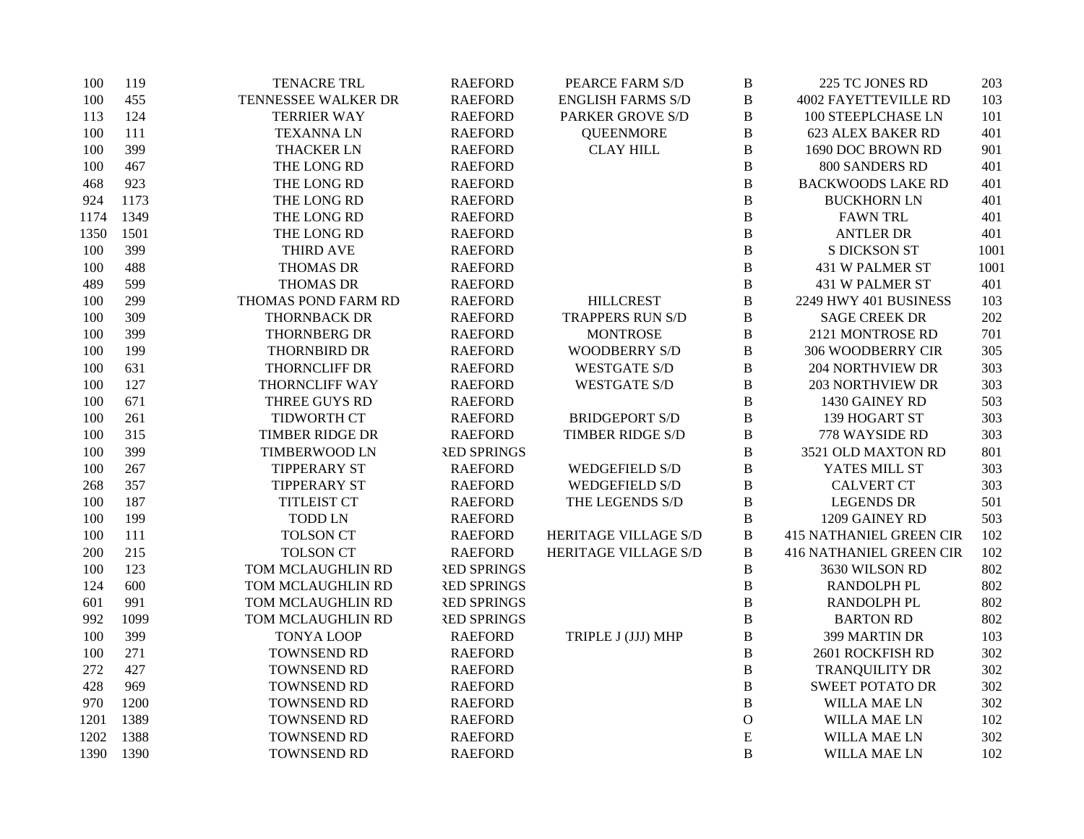| 100  | 119  | <b>TENACRE TRL</b>     | <b>RAEFORD</b>     | PEARCE FARM S/D          | $\, {\bf B}$   | 225 TC JONES RD                | 203  |
|------|------|------------------------|--------------------|--------------------------|----------------|--------------------------------|------|
| 100  | 455  | TENNESSEE WALKER DR    | <b>RAEFORD</b>     | <b>ENGLISH FARMS S/D</b> | $\, {\bf B}$   | <b>4002 FAYETTEVILLE RD</b>    | 103  |
| 113  | 124  | <b>TERRIER WAY</b>     | <b>RAEFORD</b>     | <b>PARKER GROVE S/D</b>  | $\, {\bf B}$   | 100 STEEPLCHASE LN             | 101  |
| 100  | 111  | <b>TEXANNALN</b>       | <b>RAEFORD</b>     | <b>QUEENMORE</b>         | $\, {\bf B}$   | <b>623 ALEX BAKER RD</b>       | 401  |
| 100  | 399  | <b>THACKER LN</b>      | <b>RAEFORD</b>     | <b>CLAY HILL</b>         | $\, {\bf B}$   | 1690 DOC BROWN RD              | 901  |
| 100  | 467  | THE LONG RD            | <b>RAEFORD</b>     |                          | $\, {\bf B}$   | 800 SANDERS RD                 | 401  |
| 468  | 923  | THE LONG RD            | <b>RAEFORD</b>     |                          | $\, {\bf B}$   | <b>BACKWOODS LAKE RD</b>       | 401  |
| 924  | 1173 | THE LONG RD            | <b>RAEFORD</b>     |                          | $\, {\bf B}$   | <b>BUCKHORN LN</b>             | 401  |
| 1174 | 1349 | THE LONG RD            | <b>RAEFORD</b>     |                          | $\, {\bf B}$   | <b>FAWN TRL</b>                | 401  |
| 1350 | 1501 | THE LONG RD            | <b>RAEFORD</b>     |                          | $\overline{B}$ | <b>ANTLER DR</b>               | 401  |
| 100  | 399  | <b>THIRD AVE</b>       | <b>RAEFORD</b>     |                          | $\bf{B}$       | <b>S DICKSON ST</b>            | 1001 |
| 100  | 488  | <b>THOMAS DR</b>       | <b>RAEFORD</b>     |                          | $\, {\bf B}$   | 431 W PALMER ST                | 1001 |
| 489  | 599  | <b>THOMAS DR</b>       | <b>RAEFORD</b>     |                          | $\, {\bf B}$   | 431 W PALMER ST                | 401  |
| 100  | 299  | THOMAS POND FARM RD    | <b>RAEFORD</b>     | <b>HILLCREST</b>         | $\, {\bf B}$   | 2249 HWY 401 BUSINESS          | 103  |
| 100  | 309  | <b>THORNBACK DR</b>    | <b>RAEFORD</b>     | <b>TRAPPERS RUN S/D</b>  | $\, {\bf B}$   | <b>SAGE CREEK DR</b>           | 202  |
| 100  | 399  | THORNBERG DR           | <b>RAEFORD</b>     | <b>MONTROSE</b>          | $\, {\bf B}$   | 2121 MONTROSE RD               | 701  |
| 100  | 199  | <b>THORNBIRD DR</b>    | <b>RAEFORD</b>     | <b>WOODBERRY S/D</b>     | $\, {\bf B}$   | 306 WOODBERRY CIR              | 305  |
| 100  | 631  | THORNCLIFF DR          | <b>RAEFORD</b>     | <b>WESTGATE S/D</b>      | $\, {\bf B}$   | <b>204 NORTHVIEW DR</b>        | 303  |
| 100  | 127  | THORNCLIFF WAY         | <b>RAEFORD</b>     | <b>WESTGATE S/D</b>      | $\, {\bf B}$   | <b>203 NORTHVIEW DR</b>        | 303  |
| 100  | 671  | THREE GUYS RD          | <b>RAEFORD</b>     |                          | $\, {\bf B}$   | 1430 GAINEY RD                 | 503  |
| 100  | 261  | TIDWORTH CT            | <b>RAEFORD</b>     | <b>BRIDGEPORT S/D</b>    | $\, {\bf B}$   | 139 HOGART ST                  | 303  |
| 100  | 315  | <b>TIMBER RIDGE DR</b> | <b>RAEFORD</b>     | <b>TIMBER RIDGE S/D</b>  | $\, {\bf B}$   | 778 WAYSIDE RD                 | 303  |
| 100  | 399  | <b>TIMBERWOOD LN</b>   | <b>RED SPRINGS</b> |                          | $\, {\bf B}$   | 3521 OLD MAXTON RD             | 801  |
| 100  | 267  | <b>TIPPERARY ST</b>    | <b>RAEFORD</b>     | <b>WEDGEFIELD S/D</b>    | $\, {\bf B}$   | YATES MILL ST                  | 303  |
| 268  | 357  | <b>TIPPERARY ST</b>    | <b>RAEFORD</b>     | <b>WEDGEFIELD S/D</b>    | $\, {\bf B}$   | <b>CALVERT CT</b>              | 303  |
| 100  | 187  | <b>TITLEIST CT</b>     | <b>RAEFORD</b>     | THE LEGENDS S/D          | $\, {\bf B}$   | <b>LEGENDS DR</b>              | 501  |
| 100  | 199  | <b>TODD LN</b>         | <b>RAEFORD</b>     |                          | $\, {\bf B}$   | 1209 GAINEY RD                 | 503  |
| 100  | 111  | <b>TOLSON CT</b>       | <b>RAEFORD</b>     | HERITAGE VILLAGE S/D     | $\, {\bf B}$   | <b>415 NATHANIEL GREEN CIR</b> | 102  |
| 200  | 215  | <b>TOLSON CT</b>       | <b>RAEFORD</b>     | HERITAGE VILLAGE S/D     | $\, {\bf B}$   | <b>416 NATHANIEL GREEN CIR</b> | 102  |
| 100  | 123  | TOM MCLAUGHLIN RD      | <b>RED SPRINGS</b> |                          | $\, {\bf B}$   | 3630 WILSON RD                 | 802  |
| 124  | 600  | TOM MCLAUGHLIN RD      | <b>RED SPRINGS</b> |                          | $\, {\bf B}$   | RANDOLPH PL                    | 802  |
| 601  | 991  | TOM MCLAUGHLIN RD      | <b>RED SPRINGS</b> |                          | $\, {\bf B}$   | <b>RANDOLPH PL</b>             | 802  |
| 992  | 1099 | TOM MCLAUGHLIN RD      | <b>RED SPRINGS</b> |                          | $\bf{B}$       | <b>BARTON RD</b>               | 802  |
| 100  | 399  | <b>TONYA LOOP</b>      | <b>RAEFORD</b>     | TRIPLE J (JJJ) MHP       | $\, {\bf B}$   | 399 MARTIN DR                  | 103  |
| 100  | 271  | TOWNSEND RD            | <b>RAEFORD</b>     |                          | $\, {\bf B}$   | 2601 ROCKFISH RD               | 302  |
| 272  | 427  | TOWNSEND RD            | <b>RAEFORD</b>     |                          | $\, {\bf B}$   | TRANQUILITY DR                 | 302  |
| 428  | 969  | TOWNSEND RD            | <b>RAEFORD</b>     |                          | $\, {\bf B}$   | <b>SWEET POTATO DR</b>         | 302  |
| 970  | 1200 | TOWNSEND RD            | <b>RAEFORD</b>     |                          | $\, {\bf B}$   | <b>WILLA MAE LN</b>            | 302  |
| 1201 | 1389 | TOWNSEND RD            | <b>RAEFORD</b>     |                          | $\mathcal O$   | <b>WILLA MAE LN</b>            | 102  |
| 1202 | 1388 | TOWNSEND RD            | <b>RAEFORD</b>     |                          | ${\bf E}$      | WILLA MAE LN                   | 302  |
| 1390 | 1390 | TOWNSEND RD            | <b>RAEFORD</b>     |                          | $\overline{B}$ | WILLA MAE LN                   | 102  |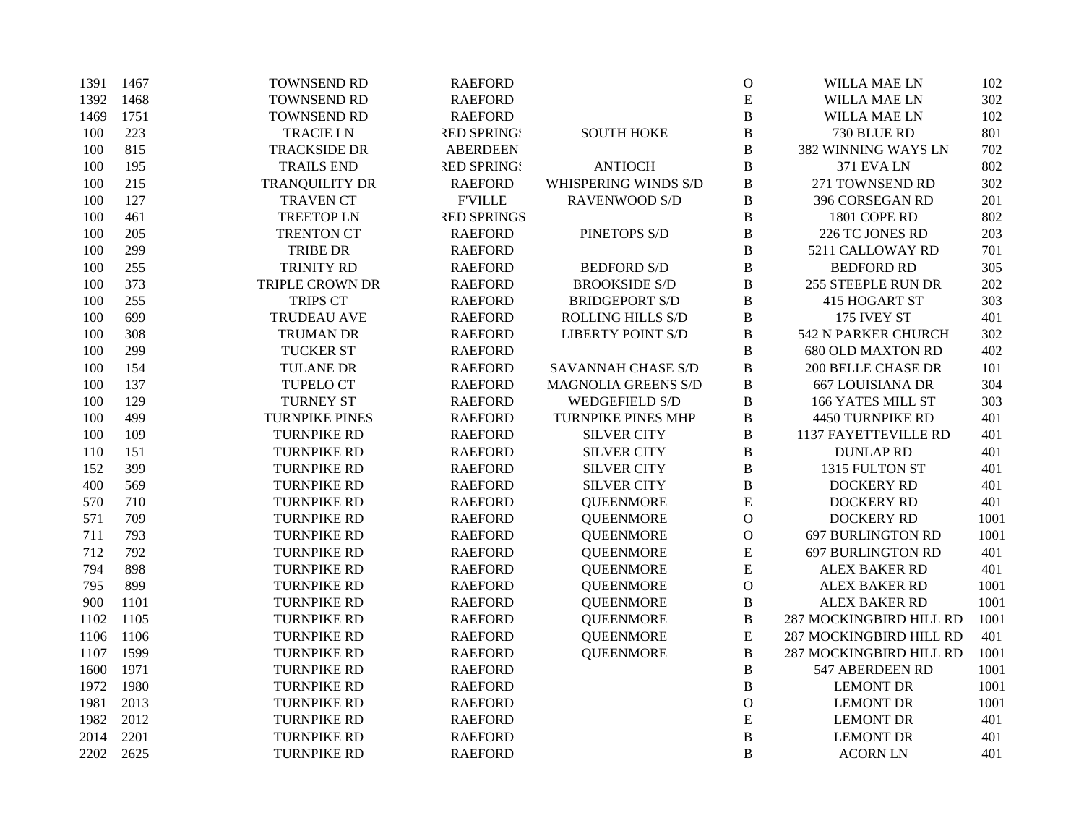| 1391 | 1467 | TOWNSEND RD            | <b>RAEFORD</b>     |                           | $\mathbf O$    | WILLA MAE LN             | 102  |
|------|------|------------------------|--------------------|---------------------------|----------------|--------------------------|------|
| 1392 | 1468 | TOWNSEND RD            | <b>RAEFORD</b>     |                           | E              | WILLA MAE LN             | 302  |
| 1469 | 1751 | TOWNSEND RD            | <b>RAEFORD</b>     |                           | $\, {\bf B}$   | <b>WILLA MAE LN</b>      | 102  |
| 100  | 223  | <b>TRACIE LN</b>       | <b>RED SPRINGS</b> | <b>SOUTH HOKE</b>         | $\, {\bf B}$   | 730 BLUE RD              | 801  |
| 100  | 815  | <b>TRACKSIDE DR</b>    | <b>ABERDEEN</b>    |                           | $\, {\bf B}$   | 382 WINNING WAYS LN      | 702  |
| 100  | 195  | <b>TRAILS END</b>      | <b>RED SPRINGS</b> | <b>ANTIOCH</b>            | $\bf{B}$       | <b>371 EVA LN</b>        | 802  |
| 100  | 215  | TRANQUILITY DR         | <b>RAEFORD</b>     | WHISPERING WINDS S/D      | $\bf{B}$       | 271 TOWNSEND RD          | 302  |
| 100  | 127  | <b>TRAVEN CT</b>       | <b>F'VILLE</b>     | <b>RAVENWOOD S/D</b>      | $\, {\bf B}$   | 396 CORSEGAN RD          | 201  |
| 100  | 461  | <b>TREETOP LN</b>      | <b>RED SPRINGS</b> |                           | $\, {\bf B}$   | 1801 COPE RD             | 802  |
| 100  | 205  | <b>TRENTON CT</b>      | <b>RAEFORD</b>     | PINETOPS S/D              | $\, {\bf B}$   | 226 TC JONES RD          | 203  |
| 100  | 299  | <b>TRIBE DR</b>        | <b>RAEFORD</b>     |                           | $\, {\bf B}$   | 5211 CALLOWAY RD         | 701  |
| 100  | 255  | <b>TRINITY RD</b>      | <b>RAEFORD</b>     | <b>BEDFORD S/D</b>        | $\, {\bf B}$   | <b>BEDFORD RD</b>        | 305  |
| 100  | 373  | <b>TRIPLE CROWN DR</b> | <b>RAEFORD</b>     | <b>BROOKSIDE S/D</b>      | $\, {\bf B}$   | 255 STEEPLE RUN DR       | 202  |
| 100  | 255  | <b>TRIPS CT</b>        | <b>RAEFORD</b>     | <b>BRIDGEPORT S/D</b>     | $\, {\bf B}$   | 415 HOGART ST            | 303  |
| 100  | 699  | <b>TRUDEAU AVE</b>     | <b>RAEFORD</b>     | ROLLING HILLS S/D         | $\, {\bf B}$   | 175 IVEY ST              | 401  |
| 100  | 308  | <b>TRUMAN DR</b>       | <b>RAEFORD</b>     | <b>LIBERTY POINT S/D</b>  | $\, {\bf B}$   | 542 N PARKER CHURCH      | 302  |
| 100  | 299  | <b>TUCKER ST</b>       | <b>RAEFORD</b>     |                           | $\, {\bf B}$   | <b>680 OLD MAXTON RD</b> | 402  |
| 100  | 154  | <b>TULANE DR</b>       | <b>RAEFORD</b>     | SAVANNAH CHASE S/D        | $\, {\bf B}$   | 200 BELLE CHASE DR       | 101  |
| 100  | 137  | TUPELO CT              | <b>RAEFORD</b>     | MAGNOLIA GREENS S/D       | $\bf{B}$       | <b>667 LOUISIANA DR</b>  | 304  |
| 100  | 129  | <b>TURNEY ST</b>       | <b>RAEFORD</b>     | <b>WEDGEFIELD S/D</b>     | $\, {\bf B}$   | 166 YATES MILL ST        | 303  |
| 100  | 499  | <b>TURNPIKE PINES</b>  | <b>RAEFORD</b>     | <b>TURNPIKE PINES MHP</b> | $\, {\bf B}$   | 4450 TURNPIKE RD         | 401  |
| 100  | 109  | <b>TURNPIKE RD</b>     | <b>RAEFORD</b>     | <b>SILVER CITY</b>        | $\, {\bf B}$   | 1137 FAYETTEVILLE RD     | 401  |
| 110  | 151  | <b>TURNPIKE RD</b>     | <b>RAEFORD</b>     | <b>SILVER CITY</b>        | $\, {\bf B}$   | <b>DUNLAP RD</b>         | 401  |
| 152  | 399  | <b>TURNPIKE RD</b>     | <b>RAEFORD</b>     | <b>SILVER CITY</b>        | $\, {\bf B}$   | 1315 FULTON ST           | 401  |
| 400  | 569  | <b>TURNPIKE RD</b>     | <b>RAEFORD</b>     | <b>SILVER CITY</b>        | $\bf{B}$       | <b>DOCKERY RD</b>        | 401  |
| 570  | 710  | <b>TURNPIKE RD</b>     | <b>RAEFORD</b>     | <b>QUEENMORE</b>          | ${\bf E}$      | <b>DOCKERY RD</b>        | 401  |
| 571  | 709  | <b>TURNPIKE RD</b>     | <b>RAEFORD</b>     | <b>QUEENMORE</b>          | $\mathbf{O}$   | <b>DOCKERY RD</b>        | 1001 |
| 711  | 793  | <b>TURNPIKE RD</b>     | <b>RAEFORD</b>     | <b>QUEENMORE</b>          | $\mathbf O$    | <b>697 BURLINGTON RD</b> | 1001 |
| 712  | 792  | <b>TURNPIKE RD</b>     | <b>RAEFORD</b>     | <b>QUEENMORE</b>          | ${\bf E}$      | <b>697 BURLINGTON RD</b> | 401  |
| 794  | 898  | <b>TURNPIKE RD</b>     | <b>RAEFORD</b>     | <b>QUEENMORE</b>          | ${\bf E}$      | <b>ALEX BAKER RD</b>     | 401  |
| 795  | 899  | <b>TURNPIKE RD</b>     | <b>RAEFORD</b>     | <b>QUEENMORE</b>          | $\mathbf O$    | <b>ALEX BAKER RD</b>     | 1001 |
| 900  | 1101 | <b>TURNPIKE RD</b>     | <b>RAEFORD</b>     | <b>QUEENMORE</b>          | $\, {\bf B}$   | <b>ALEX BAKER RD</b>     | 1001 |
| 1102 | 1105 | <b>TURNPIKE RD</b>     | <b>RAEFORD</b>     | <b>QUEENMORE</b>          | $\, {\bf B}$   | 287 MOCKINGBIRD HILL RD  | 1001 |
| 1106 | 1106 | <b>TURNPIKE RD</b>     | <b>RAEFORD</b>     | <b>QUEENMORE</b>          | ${\bf E}$      | 287 MOCKINGBIRD HILL RD  | 401  |
| 1107 | 1599 | <b>TURNPIKE RD</b>     | <b>RAEFORD</b>     | <b>QUEENMORE</b>          | $\, {\bf B}$   | 287 MOCKINGBIRD HILL RD  | 1001 |
| 1600 | 1971 | <b>TURNPIKE RD</b>     | <b>RAEFORD</b>     |                           | $\, {\bf B}$   | 547 ABERDEEN RD          | 1001 |
| 1972 | 1980 | <b>TURNPIKE RD</b>     | <b>RAEFORD</b>     |                           | $\, {\bf B}$   | <b>LEMONT DR</b>         | 1001 |
| 1981 | 2013 | <b>TURNPIKE RD</b>     | <b>RAEFORD</b>     |                           | $\mathbf{O}$   | <b>LEMONT DR</b>         | 1001 |
| 1982 | 2012 | <b>TURNPIKE RD</b>     | <b>RAEFORD</b>     |                           | ${\bf E}$      | <b>LEMONT DR</b>         | 401  |
| 2014 | 2201 | <b>TURNPIKE RD</b>     | <b>RAEFORD</b>     |                           | $\, {\bf B}$   | <b>LEMONT DR</b>         | 401  |
| 2202 | 2625 | <b>TURNPIKE RD</b>     | <b>RAEFORD</b>     |                           | $\overline{B}$ | <b>ACORN LN</b>          | 401  |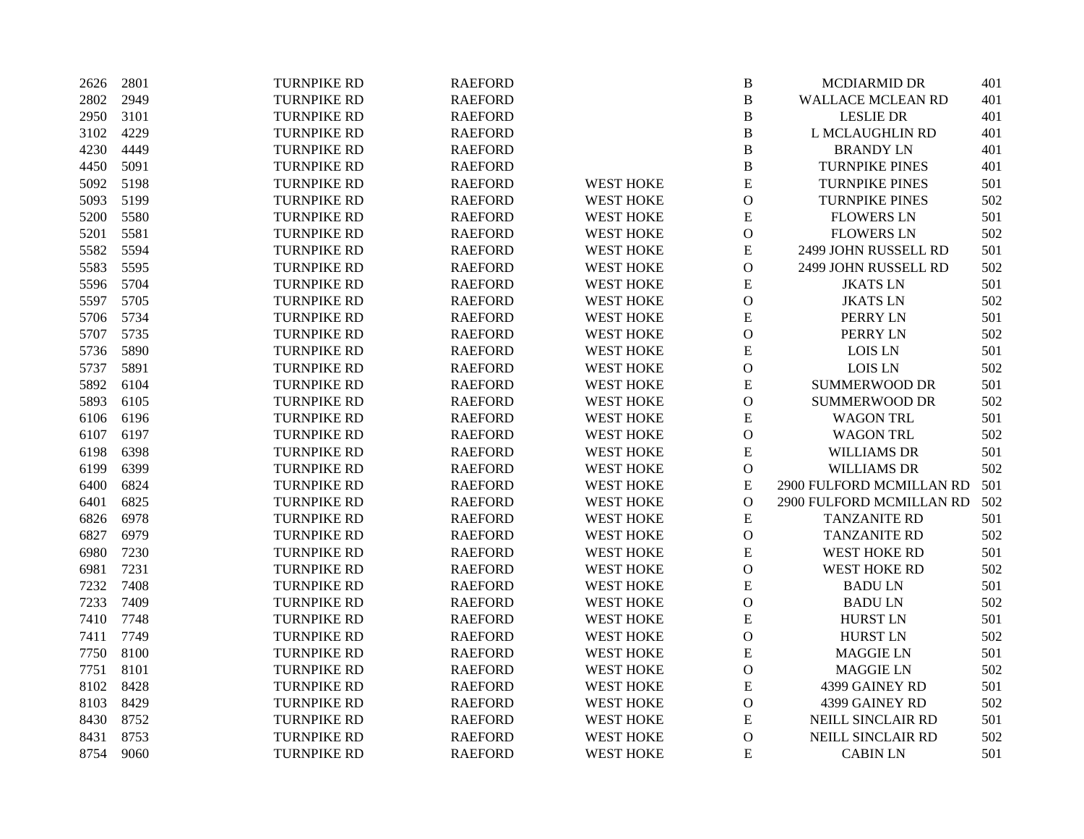| 2626 | 2801 | <b>TURNPIKE RD</b> | <b>RAEFORD</b> |                  | $\, {\bf B}$   | MCDIARMID DR             | 401 |
|------|------|--------------------|----------------|------------------|----------------|--------------------------|-----|
| 2802 | 2949 | <b>TURNPIKE RD</b> | <b>RAEFORD</b> |                  | $\, {\bf B}$   | <b>WALLACE MCLEAN RD</b> | 401 |
| 2950 | 3101 | <b>TURNPIKE RD</b> | <b>RAEFORD</b> |                  | $\, {\bf B}$   | <b>LESLIE DR</b>         | 401 |
| 3102 | 4229 | <b>TURNPIKE RD</b> | <b>RAEFORD</b> |                  | $\, {\bf B}$   | L MCLAUGHLIN RD          | 401 |
| 4230 | 4449 | <b>TURNPIKE RD</b> | <b>RAEFORD</b> |                  | $\, {\bf B}$   | <b>BRANDY LN</b>         | 401 |
| 4450 | 5091 | TURNPIKE RD        | <b>RAEFORD</b> |                  | $\, {\bf B}$   | <b>TURNPIKE PINES</b>    | 401 |
| 5092 | 5198 | TURNPIKE RD        | <b>RAEFORD</b> | <b>WEST HOKE</b> | ${\bf E}$      | <b>TURNPIKE PINES</b>    | 501 |
| 5093 | 5199 | <b>TURNPIKE RD</b> | <b>RAEFORD</b> | <b>WEST HOKE</b> | $\mathbf{O}$   | <b>TURNPIKE PINES</b>    | 502 |
| 5200 | 5580 | <b>TURNPIKE RD</b> | <b>RAEFORD</b> | <b>WEST HOKE</b> | ${\bf E}$      | <b>FLOWERS LN</b>        | 501 |
| 5201 | 5581 | <b>TURNPIKE RD</b> | <b>RAEFORD</b> | <b>WEST HOKE</b> | $\mathcal{O}$  | <b>FLOWERS LN</b>        | 502 |
| 5582 | 5594 | <b>TURNPIKE RD</b> | <b>RAEFORD</b> | <b>WEST HOKE</b> | ${\bf E}$      | 2499 JOHN RUSSELL RD     | 501 |
| 5583 | 5595 | <b>TURNPIKE RD</b> | <b>RAEFORD</b> | <b>WEST HOKE</b> | $\mathbf O$    | 2499 JOHN RUSSELL RD     | 502 |
| 5596 | 5704 | <b>TURNPIKE RD</b> | <b>RAEFORD</b> | <b>WEST HOKE</b> | ${\bf E}$      | <b>JKATSLN</b>           | 501 |
| 5597 | 5705 | <b>TURNPIKE RD</b> | <b>RAEFORD</b> | <b>WEST HOKE</b> | $\mathbf{O}$   | <b>JKATSLN</b>           | 502 |
| 5706 | 5734 | <b>TURNPIKE RD</b> | <b>RAEFORD</b> | <b>WEST HOKE</b> | ${\bf E}$      | PERRY LN                 | 501 |
| 5707 | 5735 | <b>TURNPIKE RD</b> | <b>RAEFORD</b> | <b>WEST HOKE</b> | $\overline{O}$ | PERRY LN                 | 502 |
| 5736 | 5890 | <b>TURNPIKE RD</b> | <b>RAEFORD</b> | <b>WEST HOKE</b> | ${\bf E}$      | LOIS LN                  | 501 |
| 5737 | 5891 | <b>TURNPIKE RD</b> | <b>RAEFORD</b> | <b>WEST HOKE</b> | $\mathcal O$   | <b>LOIS LN</b>           | 502 |
| 5892 | 6104 | <b>TURNPIKE RD</b> | <b>RAEFORD</b> | <b>WEST HOKE</b> | ${\bf E}$      | <b>SUMMERWOOD DR</b>     | 501 |
| 5893 | 6105 | <b>TURNPIKE RD</b> | <b>RAEFORD</b> | <b>WEST HOKE</b> | $\mathcal{O}$  | <b>SUMMERWOOD DR</b>     | 502 |
| 6106 | 6196 | <b>TURNPIKE RD</b> | <b>RAEFORD</b> | <b>WEST HOKE</b> | ${\bf E}$      | <b>WAGON TRL</b>         | 501 |
| 6107 | 6197 | TURNPIKE RD        | <b>RAEFORD</b> | <b>WEST HOKE</b> | $\mathcal O$   | <b>WAGON TRL</b>         | 502 |
| 6198 | 6398 | <b>TURNPIKE RD</b> | <b>RAEFORD</b> | <b>WEST HOKE</b> | ${\bf E}$      | <b>WILLIAMS DR</b>       | 501 |
| 6199 | 6399 | TURNPIKE RD        | <b>RAEFORD</b> | <b>WEST HOKE</b> | ${\mathcal O}$ | <b>WILLIAMS DR</b>       | 502 |
| 6400 | 6824 | <b>TURNPIKE RD</b> | <b>RAEFORD</b> | <b>WEST HOKE</b> | ${\bf E}$      | 2900 FULFORD MCMILLAN RD | 501 |
| 6401 | 6825 | <b>TURNPIKE RD</b> | <b>RAEFORD</b> | <b>WEST HOKE</b> | $\mathbf O$    | 2900 FULFORD MCMILLAN RD | 502 |
| 6826 | 6978 | TURNPIKE RD        | <b>RAEFORD</b> | <b>WEST HOKE</b> | ${\bf E}$      | TANZANITE RD             | 501 |
| 6827 | 6979 | <b>TURNPIKE RD</b> | <b>RAEFORD</b> | <b>WEST HOKE</b> | $\mathcal O$   | <b>TANZANITE RD</b>      | 502 |
| 6980 | 7230 | <b>TURNPIKE RD</b> | <b>RAEFORD</b> | <b>WEST HOKE</b> | ${\bf E}$      | <b>WEST HOKE RD</b>      | 501 |
| 6981 | 7231 | <b>TURNPIKE RD</b> | <b>RAEFORD</b> | <b>WEST HOKE</b> | $\mathcal O$   | <b>WEST HOKE RD</b>      | 502 |
| 7232 | 7408 | <b>TURNPIKE RD</b> | <b>RAEFORD</b> | <b>WEST HOKE</b> | ${\bf E}$      | <b>BADULN</b>            | 501 |
| 7233 | 7409 | <b>TURNPIKE RD</b> | <b>RAEFORD</b> | <b>WEST HOKE</b> | $\mathbf{O}$   | <b>BADULN</b>            | 502 |
| 7410 | 7748 | <b>TURNPIKE RD</b> | <b>RAEFORD</b> | <b>WEST HOKE</b> | ${\bf E}$      | <b>HURST LN</b>          | 501 |
| 7411 | 7749 | <b>TURNPIKE RD</b> | <b>RAEFORD</b> | <b>WEST HOKE</b> | $\overline{O}$ | <b>HURST LN</b>          | 502 |
| 7750 | 8100 | <b>TURNPIKE RD</b> | <b>RAEFORD</b> | <b>WEST HOKE</b> | ${\bf E}$      | <b>MAGGIE LN</b>         | 501 |
| 7751 | 8101 | <b>TURNPIKE RD</b> | <b>RAEFORD</b> | <b>WEST HOKE</b> | $\mathcal O$   | <b>MAGGIE LN</b>         | 502 |
| 8102 | 8428 | <b>TURNPIKE RD</b> | <b>RAEFORD</b> | <b>WEST HOKE</b> | ${\bf E}$      | 4399 GAINEY RD           | 501 |
| 8103 | 8429 | <b>TURNPIKE RD</b> | <b>RAEFORD</b> | <b>WEST HOKE</b> | $\mathcal{O}$  | 4399 GAINEY RD           | 502 |
| 8430 | 8752 | <b>TURNPIKE RD</b> | <b>RAEFORD</b> | <b>WEST HOKE</b> | ${\bf E}$      | NEILL SINCLAIR RD        | 501 |
| 8431 | 8753 | <b>TURNPIKE RD</b> | <b>RAEFORD</b> | <b>WEST HOKE</b> | $\mathcal{O}$  | NEILL SINCLAIR RD        | 502 |
| 8754 | 9060 | <b>TURNPIKE RD</b> | <b>RAEFORD</b> | <b>WEST HOKE</b> | ${\bf E}$      | <b>CABIN LN</b>          | 501 |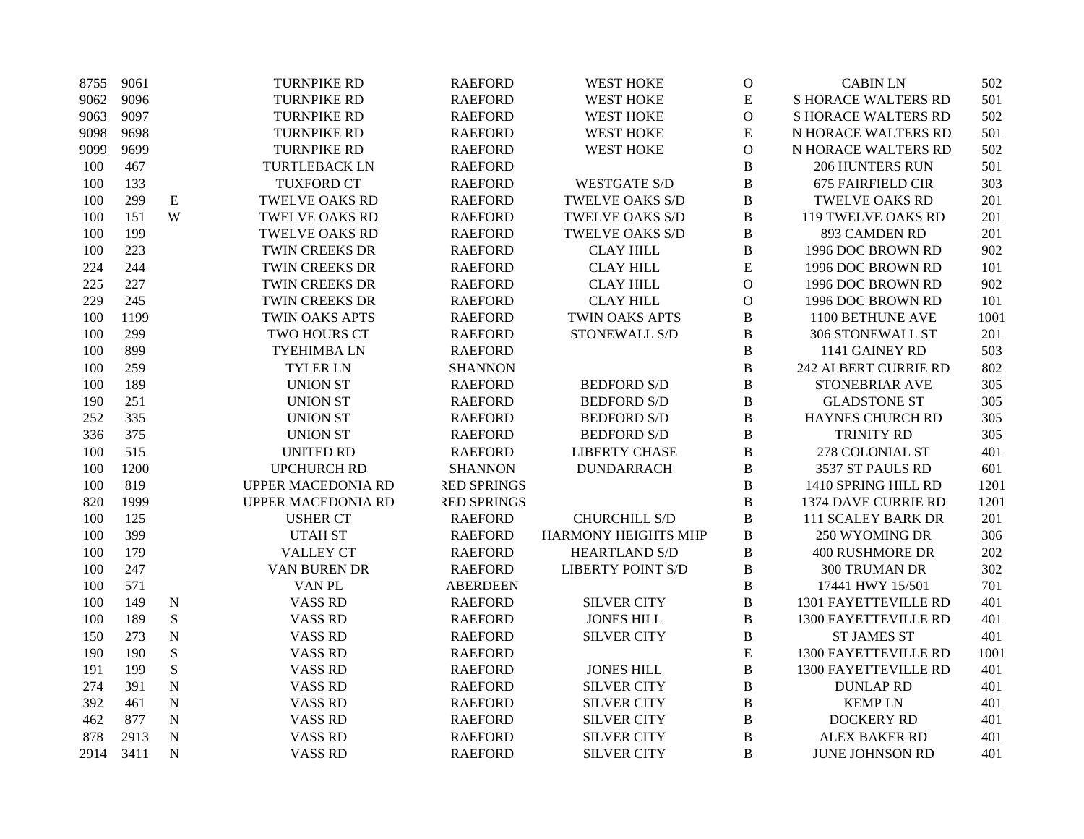| 8755 | 9061 |             | <b>TURNPIKE RD</b>        | <b>RAEFORD</b>     | <b>WEST HOKE</b>           | $\mathbf 0$   | <b>CABIN LN</b>             | 502  |
|------|------|-------------|---------------------------|--------------------|----------------------------|---------------|-----------------------------|------|
| 9062 | 9096 |             | <b>TURNPIKE RD</b>        | <b>RAEFORD</b>     | <b>WEST HOKE</b>           | E             | <b>S HORACE WALTERS RD</b>  | 501  |
| 9063 | 9097 |             | <b>TURNPIKE RD</b>        | <b>RAEFORD</b>     | <b>WEST HOKE</b>           | $\mathbf{O}$  | <b>S HORACE WALTERS RD</b>  | 502  |
| 9098 | 9698 |             | <b>TURNPIKE RD</b>        | <b>RAEFORD</b>     | <b>WEST HOKE</b>           | E             | N HORACE WALTERS RD         | 501  |
| 9099 | 9699 |             | <b>TURNPIKE RD</b>        | <b>RAEFORD</b>     | <b>WEST HOKE</b>           | $\mathcal O$  | N HORACE WALTERS RD         | 502  |
| 100  | 467  |             | <b>TURTLEBACK LN</b>      | <b>RAEFORD</b>     |                            | B             | <b>206 HUNTERS RUN</b>      | 501  |
| 100  | 133  |             | <b>TUXFORD CT</b>         | <b>RAEFORD</b>     | <b>WESTGATE S/D</b>        | B             | <b>675 FAIRFIELD CIR</b>    | 303  |
| 100  | 299  | ${\bf E}$   | <b>TWELVE OAKS RD</b>     | <b>RAEFORD</b>     | <b>TWELVE OAKS S/D</b>     | B             | <b>TWELVE OAKS RD</b>       | 201  |
| 100  | 151  | W           | <b>TWELVE OAKS RD</b>     | <b>RAEFORD</b>     | <b>TWELVE OAKS S/D</b>     | B             | <b>119 TWELVE OAKS RD</b>   | 201  |
| 100  | 199  |             | <b>TWELVE OAKS RD</b>     | <b>RAEFORD</b>     | <b>TWELVE OAKS S/D</b>     | B             | 893 CAMDEN RD               | 201  |
| 100  | 223  |             | <b>TWIN CREEKS DR</b>     | <b>RAEFORD</b>     | <b>CLAY HILL</b>           | B             | 1996 DOC BROWN RD           | 902  |
| 224  | 244  |             | <b>TWIN CREEKS DR</b>     | <b>RAEFORD</b>     | <b>CLAY HILL</b>           | E             | 1996 DOC BROWN RD           | 101  |
| 225  | 227  |             | <b>TWIN CREEKS DR</b>     | <b>RAEFORD</b>     | <b>CLAY HILL</b>           | $\mathcal{O}$ | 1996 DOC BROWN RD           | 902  |
| 229  | 245  |             | <b>TWIN CREEKS DR</b>     | <b>RAEFORD</b>     | <b>CLAY HILL</b>           | $\mathbf{O}$  | 1996 DOC BROWN RD           | 101  |
| 100  | 1199 |             | TWIN OAKS APTS            | <b>RAEFORD</b>     | TWIN OAKS APTS             | $\, {\bf B}$  | 1100 BETHUNE AVE            | 1001 |
| 100  | 299  |             | TWO HOURS CT              | <b>RAEFORD</b>     | STONEWALL S/D              | $\, {\bf B}$  | 306 STONEWALL ST            | 201  |
| 100  | 899  |             | <b>TYEHIMBALN</b>         | <b>RAEFORD</b>     |                            | $\, {\bf B}$  | 1141 GAINEY RD              | 503  |
| 100  | 259  |             | <b>TYLER LN</b>           | <b>SHANNON</b>     |                            | $\, {\bf B}$  | <b>242 ALBERT CURRIE RD</b> | 802  |
| 100  | 189  |             | <b>UNION ST</b>           | <b>RAEFORD</b>     | <b>BEDFORD S/D</b>         | B             | STONEBRIAR AVE              | 305  |
| 190  | 251  |             | <b>UNION ST</b>           | <b>RAEFORD</b>     | <b>BEDFORD S/D</b>         | B             | <b>GLADSTONE ST</b>         | 305  |
| 252  | 335  |             | <b>UNION ST</b>           | <b>RAEFORD</b>     | <b>BEDFORD S/D</b>         | $\, {\bf B}$  | <b>HAYNES CHURCH RD</b>     | 305  |
| 336  | 375  |             | <b>UNION ST</b>           | <b>RAEFORD</b>     | <b>BEDFORD S/D</b>         | B             | TRINITY RD                  | 305  |
| 100  | 515  |             | <b>UNITED RD</b>          | <b>RAEFORD</b>     | <b>LIBERTY CHASE</b>       | B             | 278 COLONIAL ST             | 401  |
| 100  | 1200 |             | <b>UPCHURCH RD</b>        | <b>SHANNON</b>     | <b>DUNDARRACH</b>          | $\, {\bf B}$  | 3537 ST PAULS RD            | 601  |
| 100  | 819  |             | <b>UPPER MACEDONIA RD</b> | <b>RED SPRINGS</b> |                            | $\, {\bf B}$  | 1410 SPRING HILL RD         | 1201 |
| 820  | 1999 |             | <b>UPPER MACEDONIA RD</b> | <b>RED SPRINGS</b> |                            | $\, {\bf B}$  | 1374 DAVE CURRIE RD         | 1201 |
| 100  | 125  |             | <b>USHER CT</b>           | <b>RAEFORD</b>     | <b>CHURCHILL S/D</b>       | B             | <b>111 SCALEY BARK DR</b>   | 201  |
| 100  | 399  |             | <b>UTAH ST</b>            | <b>RAEFORD</b>     | <b>HARMONY HEIGHTS MHP</b> | B             | 250 WYOMING DR              | 306  |
| 100  | 179  |             | <b>VALLEY CT</b>          | <b>RAEFORD</b>     | <b>HEARTLAND S/D</b>       | B             | <b>400 RUSHMORE DR</b>      | 202  |
| 100  | 247  |             | VAN BUREN DR              | <b>RAEFORD</b>     | <b>LIBERTY POINT S/D</b>   | $\, {\bf B}$  | 300 TRUMAN DR               | 302  |
| 100  | 571  |             | VAN PL                    | <b>ABERDEEN</b>    |                            | B             | 17441 HWY 15/501            | 701  |
| 100  | 149  | N           | <b>VASS RD</b>            | <b>RAEFORD</b>     | <b>SILVER CITY</b>         | B             | 1301 FAYETTEVILLE RD        | 401  |
| 100  | 189  | ${\bf S}$   | <b>VASS RD</b>            | <b>RAEFORD</b>     | <b>JONES HILL</b>          | B             | 1300 FAYETTEVILLE RD        | 401  |
| 150  | 273  | $\mathbf N$ | <b>VASS RD</b>            | <b>RAEFORD</b>     | <b>SILVER CITY</b>         | B             | <b>ST JAMES ST</b>          | 401  |
| 190  | 190  | ${\bf S}$   | <b>VASS RD</b>            | <b>RAEFORD</b>     |                            | ${\bf E}$     | 1300 FAYETTEVILLE RD        | 1001 |
| 191  | 199  | ${\bf S}$   | <b>VASS RD</b>            | <b>RAEFORD</b>     | <b>JONES HILL</b>          | $\, {\bf B}$  | 1300 FAYETTEVILLE RD        | 401  |
| 274  | 391  | $\mathbf N$ | <b>VASS RD</b>            | <b>RAEFORD</b>     | <b>SILVER CITY</b>         | B             | <b>DUNLAP RD</b>            | 401  |
| 392  | 461  | $\mathbf N$ | <b>VASS RD</b>            | <b>RAEFORD</b>     | <b>SILVER CITY</b>         | B             | <b>KEMPLN</b>               | 401  |
| 462  | 877  | ${\bf N}$   | <b>VASS RD</b>            | <b>RAEFORD</b>     | <b>SILVER CITY</b>         | $\, {\bf B}$  | <b>DOCKERY RD</b>           | 401  |
| 878  | 2913 | ${\bf N}$   | <b>VASS RD</b>            | <b>RAEFORD</b>     | <b>SILVER CITY</b>         | $\, {\bf B}$  | ALEX BAKER RD               | 401  |
| 2914 | 3411 | $\mathbf N$ | <b>VASS RD</b>            | <b>RAEFORD</b>     | <b>SILVER CITY</b>         | B             | <b>JUNE JOHNSON RD</b>      | 401  |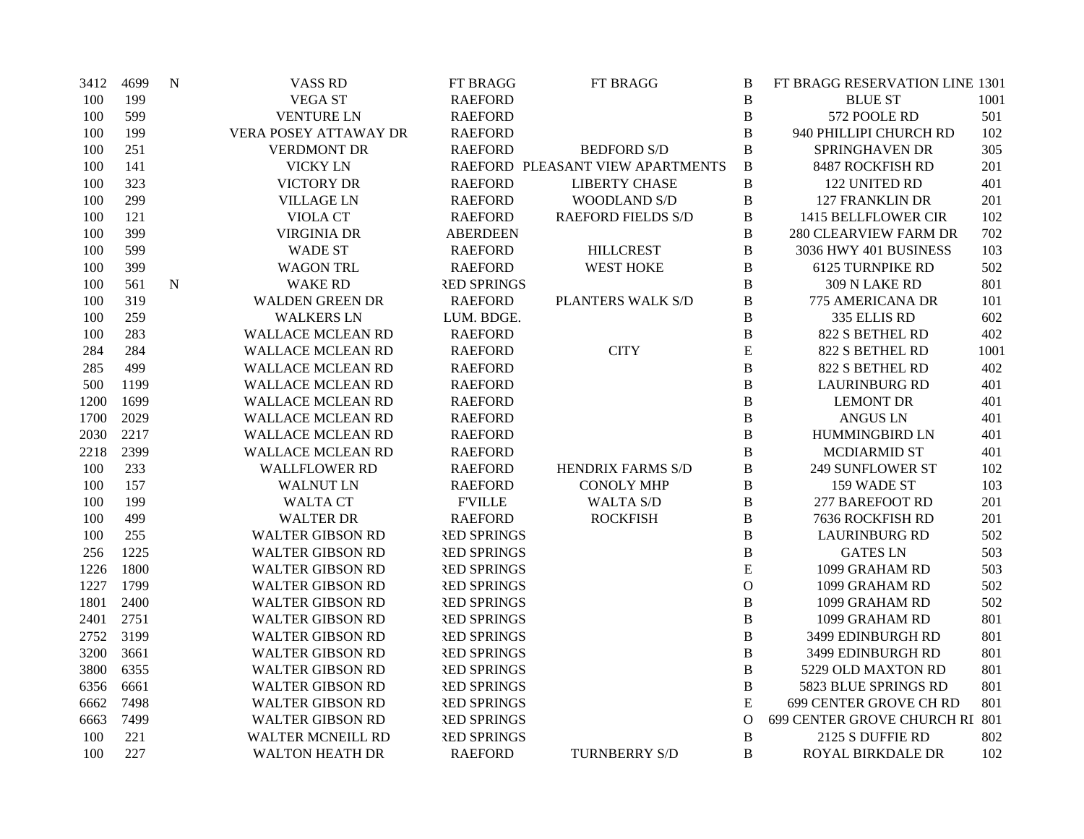| 3412 | 4699 | $\mathbf N$ | <b>VASS RD</b>           | FT BRAGG           | FT BRAGG                         | B                | FT BRAGG RESERVATION LINE 1301 |      |
|------|------|-------------|--------------------------|--------------------|----------------------------------|------------------|--------------------------------|------|
| 100  | 199  |             | <b>VEGA ST</b>           | <b>RAEFORD</b>     |                                  | $\bf{B}$         | <b>BLUE ST</b>                 | 1001 |
| 100  | 599  |             | <b>VENTURE LN</b>        | <b>RAEFORD</b>     |                                  | B                | 572 POOLE RD                   | 501  |
| 100  | 199  |             | VERA POSEY ATTAWAY DR    | <b>RAEFORD</b>     |                                  | $\bf{B}$         | 940 PHILLIPI CHURCH RD         | 102  |
| 100  | 251  |             | <b>VERDMONT DR</b>       | <b>RAEFORD</b>     | <b>BEDFORD S/D</b>               | $\overline{B}$   | SPRINGHAVEN DR                 | 305  |
| 100  | 141  |             | <b>VICKY LN</b>          |                    | RAEFORD PLEASANT VIEW APARTMENTS | B                | 8487 ROCKFISH RD               | 201  |
| 100  | 323  |             | <b>VICTORY DR</b>        | <b>RAEFORD</b>     | <b>LIBERTY CHASE</b>             | $\, {\bf B}$     | 122 UNITED RD                  | 401  |
| 100  | 299  |             | <b>VILLAGE LN</b>        | <b>RAEFORD</b>     | WOODLAND S/D                     | $\, {\bf B}$     | 127 FRANKLIN DR                | 201  |
| 100  | 121  |             | <b>VIOLA CT</b>          | <b>RAEFORD</b>     | <b>RAEFORD FIELDS S/D</b>        | B                | 1415 BELLFLOWER CIR            | 102  |
| 100  | 399  |             | <b>VIRGINIA DR</b>       | <b>ABERDEEN</b>    |                                  | $\boldsymbol{B}$ | 280 CLEARVIEW FARM DR          | 702  |
| 100  | 599  |             | <b>WADE ST</b>           | <b>RAEFORD</b>     | <b>HILLCREST</b>                 | $\bf{B}$         | 3036 HWY 401 BUSINESS          | 103  |
| 100  | 399  |             | <b>WAGON TRL</b>         | <b>RAEFORD</b>     | <b>WEST HOKE</b>                 | B                | <b>6125 TURNPIKE RD</b>        | 502  |
| 100  | 561  | ${\bf N}$   | <b>WAKE RD</b>           | <b>RED SPRINGS</b> |                                  | B                | 309 N LAKE RD                  | 801  |
| 100  | 319  |             | <b>WALDEN GREEN DR</b>   | <b>RAEFORD</b>     | PLANTERS WALK S/D                | $\, {\bf B}$     | 775 AMERICANA DR               | 101  |
| 100  | 259  |             | <b>WALKERS LN</b>        | LUM. BDGE.         |                                  | $\, {\bf B}$     | 335 ELLIS RD                   | 602  |
| 100  | 283  |             | <b>WALLACE MCLEAN RD</b> | <b>RAEFORD</b>     |                                  | B                | 822 S BETHEL RD                | 402  |
| 284  | 284  |             | <b>WALLACE MCLEAN RD</b> | <b>RAEFORD</b>     | <b>CITY</b>                      | E                | 822 S BETHEL RD                | 1001 |
| 285  | 499  |             | <b>WALLACE MCLEAN RD</b> | <b>RAEFORD</b>     |                                  | $\bf{B}$         | 822 S BETHEL RD                | 402  |
| 500  | 1199 |             | <b>WALLACE MCLEAN RD</b> | <b>RAEFORD</b>     |                                  | $\boldsymbol{B}$ | <b>LAURINBURG RD</b>           | 401  |
| 1200 | 1699 |             | <b>WALLACE MCLEAN RD</b> | <b>RAEFORD</b>     |                                  | $\bf{B}$         | <b>LEMONT DR</b>               | 401  |
| 1700 | 2029 |             | <b>WALLACE MCLEAN RD</b> | <b>RAEFORD</b>     |                                  | B                | <b>ANGUS LN</b>                | 401  |
| 2030 | 2217 |             | <b>WALLACE MCLEAN RD</b> | <b>RAEFORD</b>     |                                  | B                | HUMMINGBIRD LN                 | 401  |
| 2218 | 2399 |             | <b>WALLACE MCLEAN RD</b> | <b>RAEFORD</b>     |                                  | $\bf{B}$         | <b>MCDIARMID ST</b>            | 401  |
| 100  | 233  |             | <b>WALLFLOWER RD</b>     | <b>RAEFORD</b>     | <b>HENDRIX FARMS S/D</b>         | B                | <b>249 SUNFLOWER ST</b>        | 102  |
| 100  | 157  |             | <b>WALNUT LN</b>         | <b>RAEFORD</b>     | <b>CONOLY MHP</b>                | B                | 159 WADE ST                    | 103  |
| 100  | 199  |             | <b>WALTA CT</b>          | <b>F'VILLE</b>     | <b>WALTA S/D</b>                 | B                | <b>277 BAREFOOT RD</b>         | 201  |
| 100  | 499  |             | <b>WALTER DR</b>         | <b>RAEFORD</b>     | <b>ROCKFISH</b>                  | $\, {\bf B}$     | 7636 ROCKFISH RD               | 201  |
| 100  | 255  |             | <b>WALTER GIBSON RD</b>  | <b>RED SPRINGS</b> |                                  | B                | <b>LAURINBURG RD</b>           | 502  |
| 256  | 1225 |             | <b>WALTER GIBSON RD</b>  | <b>RED SPRINGS</b> |                                  | $\, {\bf B}$     | <b>GATES LN</b>                | 503  |
| 1226 | 1800 |             | <b>WALTER GIBSON RD</b>  | <b>RED SPRINGS</b> |                                  | E                | 1099 GRAHAM RD                 | 503  |
| 1227 | 1799 |             | <b>WALTER GIBSON RD</b>  | <b>RED SPRINGS</b> |                                  | $\mathcal{O}$    | 1099 GRAHAM RD                 | 502  |
| 1801 | 2400 |             | <b>WALTER GIBSON RD</b>  | <b>RED SPRINGS</b> |                                  | B                | 1099 GRAHAM RD                 | 502  |
| 2401 | 2751 |             | <b>WALTER GIBSON RD</b>  | <b>RED SPRINGS</b> |                                  | $\, {\bf B}$     | 1099 GRAHAM RD                 | 801  |
| 2752 | 3199 |             | <b>WALTER GIBSON RD</b>  | <b>RED SPRINGS</b> |                                  | B                | 3499 EDINBURGH RD              | 801  |
| 3200 | 3661 |             | <b>WALTER GIBSON RD</b>  | <b>RED SPRINGS</b> |                                  | $\, {\bf B}$     | 3499 EDINBURGH RD              | 801  |
| 3800 | 6355 |             | <b>WALTER GIBSON RD</b>  | <b>RED SPRINGS</b> |                                  | $\, {\bf B}$     | 5229 OLD MAXTON RD             | 801  |
| 6356 | 6661 |             | <b>WALTER GIBSON RD</b>  | <b>RED SPRINGS</b> |                                  | B                | 5823 BLUE SPRINGS RD           | 801  |
| 6662 | 7498 |             | <b>WALTER GIBSON RD</b>  | <b>RED SPRINGS</b> |                                  | E                | 699 CENTER GROVE CH RD         | 801  |
| 6663 | 7499 |             | <b>WALTER GIBSON RD</b>  | <b>RED SPRINGS</b> |                                  | $\overline{O}$   | 699 CENTER GROVE CHURCH RI 801 |      |
| 100  | 221  |             | <b>WALTER MCNEILL RD</b> | <b>RED SPRINGS</b> |                                  | $\, {\bf B}$     | 2125 S DUFFIE RD               | 802  |
| 100  | 227  |             | <b>WALTON HEATH DR</b>   | <b>RAEFORD</b>     | <b>TURNBERRY S/D</b>             | B                | ROYAL BIRKDALE DR              | 102  |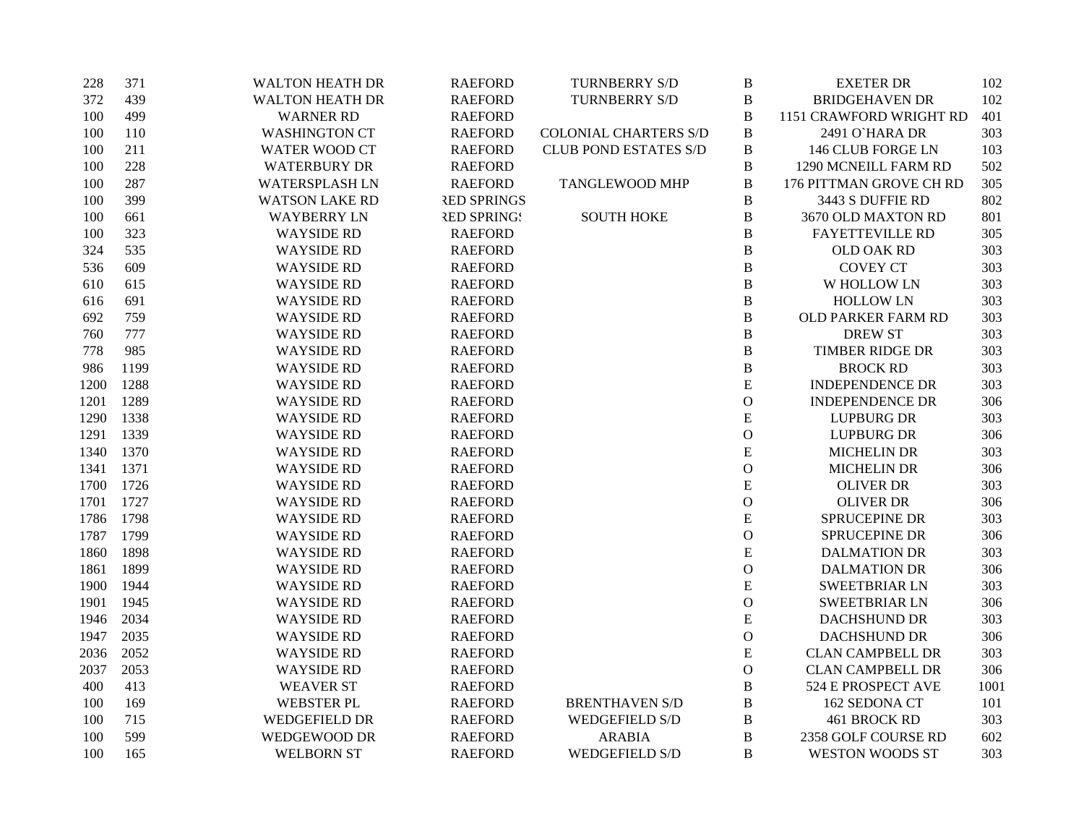| 228  | 371  | <b>WALTON HEATH DR</b> | <b>RAEFORD</b>     | <b>TURNBERRY S/D</b>         | $\, {\bf B}$  | <b>EXETER DR</b>        | 102  |
|------|------|------------------------|--------------------|------------------------------|---------------|-------------------------|------|
| 372  | 439  | <b>WALTON HEATH DR</b> | <b>RAEFORD</b>     | TURNBERRY S/D                | $\, {\bf B}$  | <b>BRIDGEHAVEN DR</b>   | 102  |
| 100  | 499  | <b>WARNER RD</b>       | <b>RAEFORD</b>     |                              | $\, {\bf B}$  | 1151 CRAWFORD WRIGHT RD | 401  |
| 100  | 110  | <b>WASHINGTON CT</b>   | <b>RAEFORD</b>     | <b>COLONIAL CHARTERS S/D</b> | $\, {\bf B}$  | 2491 O'HARA DR          | 303  |
| 100  | 211  | <b>WATER WOOD CT</b>   | <b>RAEFORD</b>     | <b>CLUB POND ESTATES S/D</b> | $\bf{B}$      | 146 CLUB FORGE LN       | 103  |
| 100  | 228  | <b>WATERBURY DR</b>    | <b>RAEFORD</b>     |                              | $\, {\bf B}$  | 1290 MCNEILL FARM RD    | 502  |
| 100  | 287  | <b>WATERSPLASH LN</b>  | <b>RAEFORD</b>     | TANGLEWOOD MHP               | $\bf{B}$      | 176 PITTMAN GROVE CH RD | 305  |
| 100  | 399  | <b>WATSON LAKE RD</b>  | <b>RED SPRINGS</b> |                              | $\bf{B}$      | 3443 S DUFFIE RD        | 802  |
| 100  | 661  | <b>WAYBERRY LN</b>     | <b>RED SPRING!</b> | <b>SOUTH HOKE</b>            | $\, {\bf B}$  | 3670 OLD MAXTON RD      | 801  |
| 100  | 323  | <b>WAYSIDE RD</b>      | <b>RAEFORD</b>     |                              | $\bf{B}$      | <b>FAYETTEVILLE RD</b>  | 305  |
| 324  | 535  | <b>WAYSIDE RD</b>      | <b>RAEFORD</b>     |                              | $\, {\bf B}$  | OLD OAK RD              | 303  |
| 536  | 609  | <b>WAYSIDE RD</b>      | <b>RAEFORD</b>     |                              | $\bf{B}$      | <b>COVEY CT</b>         | 303  |
| 610  | 615  | <b>WAYSIDE RD</b>      | <b>RAEFORD</b>     |                              | $\bf{B}$      | W HOLLOW LN             | 303  |
| 616  | 691  | <b>WAYSIDE RD</b>      | <b>RAEFORD</b>     |                              | $\, {\bf B}$  | <b>HOLLOW LN</b>        | 303  |
| 692  | 759  | <b>WAYSIDE RD</b>      | <b>RAEFORD</b>     |                              | $\, {\bf B}$  | OLD PARKER FARM RD      | 303  |
| 760  | 777  | <b>WAYSIDE RD</b>      | <b>RAEFORD</b>     |                              | $\, {\bf B}$  | <b>DREW ST</b>          | 303  |
| 778  | 985  | <b>WAYSIDE RD</b>      | <b>RAEFORD</b>     |                              | $\, {\bf B}$  | <b>TIMBER RIDGE DR</b>  | 303  |
| 986  | 1199 | <b>WAYSIDE RD</b>      | <b>RAEFORD</b>     |                              | $\, {\bf B}$  | <b>BROCK RD</b>         | 303  |
| 1200 | 1288 | <b>WAYSIDE RD</b>      | <b>RAEFORD</b>     |                              | E             | <b>INDEPENDENCE DR</b>  | 303  |
| 1201 | 1289 | <b>WAYSIDE RD</b>      | <b>RAEFORD</b>     |                              | $\mathbf O$   | <b>INDEPENDENCE DR</b>  | 306  |
| 1290 | 1338 | <b>WAYSIDE RD</b>      | <b>RAEFORD</b>     |                              | ${\bf E}$     | <b>LUPBURG DR</b>       | 303  |
| 1291 | 1339 | <b>WAYSIDE RD</b>      | <b>RAEFORD</b>     |                              | ${\cal O}$    | <b>LUPBURG DR</b>       | 306  |
| 1340 | 1370 | <b>WAYSIDE RD</b>      | <b>RAEFORD</b>     |                              | E             | <b>MICHELIN DR</b>      | 303  |
| 1341 | 1371 | <b>WAYSIDE RD</b>      | <b>RAEFORD</b>     |                              | $\mathbf O$   | <b>MICHELIN DR</b>      | 306  |
| 1700 | 1726 | <b>WAYSIDE RD</b>      | <b>RAEFORD</b>     |                              | E             | <b>OLIVER DR</b>        | 303  |
| 1701 | 1727 | <b>WAYSIDE RD</b>      | <b>RAEFORD</b>     |                              | $\mathcal{O}$ | <b>OLIVER DR</b>        | 306  |
| 1786 | 1798 | <b>WAYSIDE RD</b>      | <b>RAEFORD</b>     |                              | ${\bf E}$     | SPRUCEPINE DR           | 303  |
| 1787 | 1799 | <b>WAYSIDE RD</b>      | <b>RAEFORD</b>     |                              | $\mathbf O$   | SPRUCEPINE DR           | 306  |
| 1860 | 1898 | <b>WAYSIDE RD</b>      | <b>RAEFORD</b>     |                              | ${\bf E}$     | <b>DALMATION DR</b>     | 303  |
| 1861 | 1899 | <b>WAYSIDE RD</b>      | <b>RAEFORD</b>     |                              | $\mathcal O$  | <b>DALMATION DR</b>     | 306  |
| 1900 | 1944 | <b>WAYSIDE RD</b>      | <b>RAEFORD</b>     |                              | E             | <b>SWEETBRIAR LN</b>    | 303  |
| 1901 | 1945 | <b>WAYSIDE RD</b>      | <b>RAEFORD</b>     |                              | $\mathcal{O}$ | <b>SWEETBRIAR LN</b>    | 306  |
| 1946 | 2034 | <b>WAYSIDE RD</b>      | <b>RAEFORD</b>     |                              | ${\bf E}$     | DACHSHUND DR            | 303  |
| 1947 | 2035 | <b>WAYSIDE RD</b>      | <b>RAEFORD</b>     |                              | $\mathbf O$   | <b>DACHSHUND DR</b>     | 306  |
| 2036 | 2052 | <b>WAYSIDE RD</b>      | <b>RAEFORD</b>     |                              | ${\bf E}$     | <b>CLAN CAMPBELL DR</b> | 303  |
| 2037 | 2053 | <b>WAYSIDE RD</b>      | <b>RAEFORD</b>     |                              | $\mathcal O$  | <b>CLAN CAMPBELL DR</b> | 306  |
| 400  | 413  | <b>WEAVER ST</b>       | <b>RAEFORD</b>     |                              | $\, {\bf B}$  | 524 E PROSPECT AVE      | 1001 |
| 100  | 169  | <b>WEBSTER PL</b>      | <b>RAEFORD</b>     | <b>BRENTHAVEN S/D</b>        | $\, {\bf B}$  | 162 SEDONA CT           | 101  |
| 100  | 715  | WEDGEFIELD DR          | <b>RAEFORD</b>     | <b>WEDGEFIELD S/D</b>        | $\bf{B}$      | 461 BROCK RD            | 303  |
| 100  | 599  | WEDGEWOOD DR           | <b>RAEFORD</b>     | <b>ARABIA</b>                | $\bf{B}$      | 2358 GOLF COURSE RD     | 602  |
| 100  | 165  | <b>WELBORN ST</b>      | <b>RAEFORD</b>     | <b>WEDGEFIELD S/D</b>        | B             | <b>WESTON WOODS ST</b>  | 303  |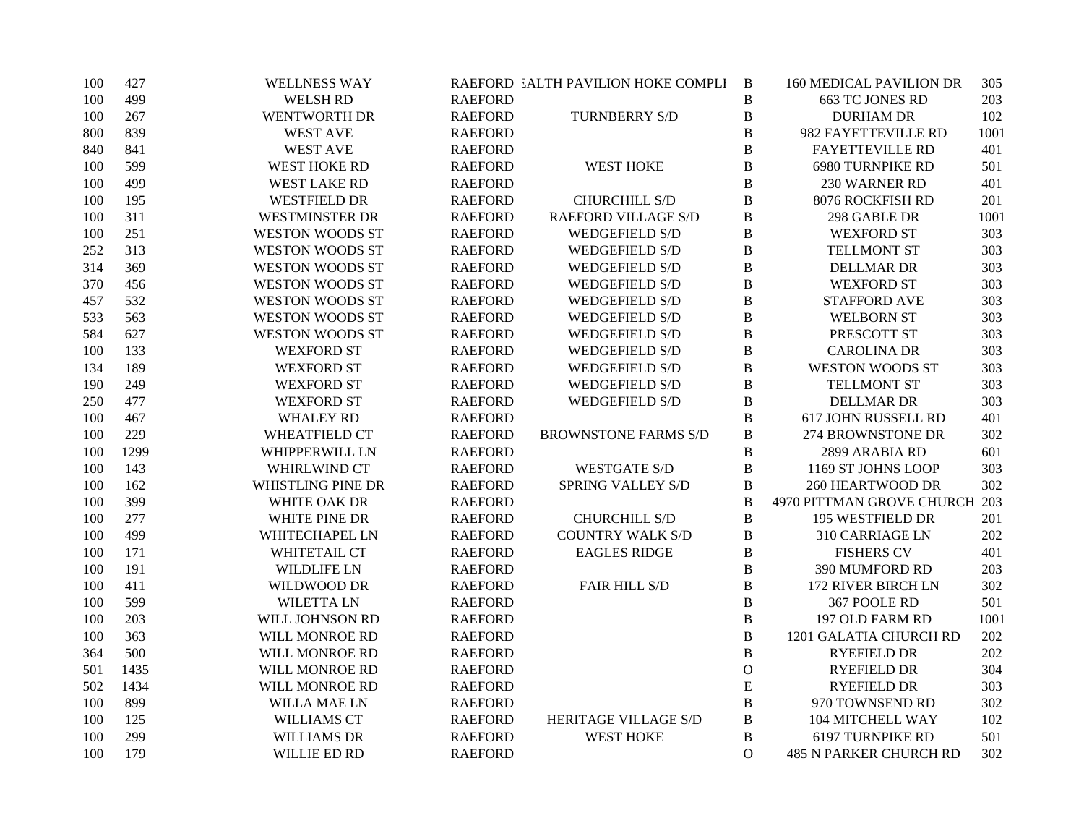| 100 | 427  | <b>WELLNESS WAY</b>                      | RAEFORD EALTH PAVILION HOKE COMPLI | $\mathbf B$  | <b>160 MEDICAL PAVILION DR</b> | 305  |
|-----|------|------------------------------------------|------------------------------------|--------------|--------------------------------|------|
| 100 | 499  | WELSH RD<br><b>RAEFORD</b>               |                                    | $\, {\bf B}$ | <b>663 TC JONES RD</b>         | 203  |
| 100 | 267  | <b>WENTWORTH DR</b><br><b>RAEFORD</b>    | <b>TURNBERRY S/D</b>               | $\, {\bf B}$ | <b>DURHAM DR</b>               | 102  |
| 800 | 839  | <b>WEST AVE</b><br><b>RAEFORD</b>        |                                    | B            | 982 FAYETTEVILLE RD            | 1001 |
| 840 | 841  | <b>WEST AVE</b><br><b>RAEFORD</b>        |                                    | $\, {\bf B}$ | <b>FAYETTEVILLE RD</b>         | 401  |
| 100 | 599  | <b>WEST HOKE RD</b><br><b>RAEFORD</b>    | <b>WEST HOKE</b>                   | $\, {\bf B}$ | <b>6980 TURNPIKE RD</b>        | 501  |
| 100 | 499  | <b>WEST LAKE RD</b><br><b>RAEFORD</b>    |                                    | B            | 230 WARNER RD                  | 401  |
| 100 | 195  | <b>WESTFIELD DR</b><br><b>RAEFORD</b>    | <b>CHURCHILL S/D</b>               | $\, {\bf B}$ | 8076 ROCKFISH RD               | 201  |
| 100 | 311  | <b>WESTMINSTER DR</b><br><b>RAEFORD</b>  | <b>RAEFORD VILLAGE S/D</b>         | $\, {\bf B}$ | 298 GABLE DR                   | 1001 |
| 100 | 251  | <b>WESTON WOODS ST</b><br><b>RAEFORD</b> | <b>WEDGEFIELD S/D</b>              | B            | <b>WEXFORD ST</b>              | 303  |
| 252 | 313  | <b>WESTON WOODS ST</b><br><b>RAEFORD</b> | <b>WEDGEFIELD S/D</b>              | $\, {\bf B}$ | <b>TELLMONT ST</b>             | 303  |
| 314 | 369  | <b>WESTON WOODS ST</b><br><b>RAEFORD</b> | <b>WEDGEFIELD S/D</b>              | $\, {\bf B}$ | <b>DELLMAR DR</b>              | 303  |
| 370 | 456  | <b>WESTON WOODS ST</b><br><b>RAEFORD</b> | <b>WEDGEFIELD S/D</b>              | $\, {\bf B}$ | <b>WEXFORD ST</b>              | 303  |
| 457 | 532  | <b>WESTON WOODS ST</b><br><b>RAEFORD</b> | <b>WEDGEFIELD S/D</b>              | $\, {\bf B}$ | <b>STAFFORD AVE</b>            | 303  |
| 533 | 563  | <b>WESTON WOODS ST</b><br><b>RAEFORD</b> | <b>WEDGEFIELD S/D</b>              | $\, {\bf B}$ | <b>WELBORN ST</b>              | 303  |
| 584 | 627  | <b>WESTON WOODS ST</b><br><b>RAEFORD</b> | WEDGEFIELD S/D                     | $\, {\bf B}$ | PRESCOTT ST                    | 303  |
| 100 | 133  | <b>WEXFORD ST</b><br><b>RAEFORD</b>      | <b>WEDGEFIELD S/D</b>              | $\, {\bf B}$ | <b>CAROLINA DR</b>             | 303  |
| 134 | 189  | <b>WEXFORD ST</b><br><b>RAEFORD</b>      | <b>WEDGEFIELD S/D</b>              | B            | <b>WESTON WOODS ST</b>         | 303  |
| 190 | 249  | <b>WEXFORD ST</b><br><b>RAEFORD</b>      | <b>WEDGEFIELD S/D</b>              | $\, {\bf B}$ | <b>TELLMONT ST</b>             | 303  |
| 250 | 477  | <b>WEXFORD ST</b><br><b>RAEFORD</b>      | <b>WEDGEFIELD S/D</b>              | B            | <b>DELLMAR DR</b>              | 303  |
| 100 | 467  | <b>RAEFORD</b><br><b>WHALEY RD</b>       |                                    | B            | 617 JOHN RUSSELL RD            | 401  |
| 100 | 229  | <b>WHEATFIELD CT</b><br><b>RAEFORD</b>   | <b>BROWNSTONE FARMS S/D</b>        | $\, {\bf B}$ | 274 BROWNSTONE DR              | 302  |
| 100 | 1299 | WHIPPERWILL LN<br><b>RAEFORD</b>         |                                    | $\, {\bf B}$ | 2899 ARABIA RD                 | 601  |
| 100 | 143  | WHIRLWIND CT<br><b>RAEFORD</b>           | <b>WESTGATE S/D</b>                | B            | 1169 ST JOHNS LOOP             | 303  |
| 100 | 162  | WHISTLING PINE DR<br><b>RAEFORD</b>      | <b>SPRING VALLEY S/D</b>           | B            | <b>260 HEARTWOOD DR</b>        | 302  |
| 100 | 399  | WHITE OAK DR<br><b>RAEFORD</b>           |                                    | $\bf{B}$     | 4970 PITTMAN GROVE CHURCH 203  |      |
| 100 | 277  | WHITE PINE DR<br><b>RAEFORD</b>          | <b>CHURCHILL S/D</b>               | $\, {\bf B}$ | 195 WESTFIELD DR               | 201  |
| 100 | 499  | WHITECHAPEL LN<br><b>RAEFORD</b>         | <b>COUNTRY WALK S/D</b>            | $\, {\bf B}$ | 310 CARRIAGE LN                | 202  |
| 100 | 171  | WHITETAIL CT<br><b>RAEFORD</b>           | <b>EAGLES RIDGE</b>                | $\, {\bf B}$ | <b>FISHERS CV</b>              | 401  |
| 100 | 191  | <b>WILDLIFE LN</b><br><b>RAEFORD</b>     |                                    | B            | 390 MUMFORD RD                 | 203  |
| 100 | 411  | WILDWOOD DR<br><b>RAEFORD</b>            | <b>FAIR HILL S/D</b>               | B            | 172 RIVER BIRCH LN             | 302  |
| 100 | 599  | <b>WILETTA LN</b><br><b>RAEFORD</b>      |                                    | $\, {\bf B}$ | 367 POOLE RD                   | 501  |
| 100 | 203  | WILL JOHNSON RD<br><b>RAEFORD</b>        |                                    | $\, {\bf B}$ | 197 OLD FARM RD                | 1001 |
| 100 | 363  | <b>RAEFORD</b><br>WILL MONROE RD         |                                    | $\, {\bf B}$ | 1201 GALATIA CHURCH RD         | 202  |
| 364 | 500  | WILL MONROE RD<br><b>RAEFORD</b>         |                                    | $\, {\bf B}$ | <b>RYEFIELD DR</b>             | 202  |
| 501 | 1435 | WILL MONROE RD<br><b>RAEFORD</b>         |                                    | $\mathbf{O}$ | <b>RYEFIELD DR</b>             | 304  |
| 502 | 1434 | WILL MONROE RD<br><b>RAEFORD</b>         |                                    | E            | <b>RYEFIELD DR</b>             | 303  |
| 100 | 899  | <b>WILLA MAE LN</b><br><b>RAEFORD</b>    |                                    | $\, {\bf B}$ | 970 TOWNSEND RD                | 302  |
| 100 | 125  | WILLIAMS CT<br><b>RAEFORD</b>            | HERITAGE VILLAGE S/D               | $\, {\bf B}$ | 104 MITCHELL WAY               | 102  |
| 100 | 299  | <b>WILLIAMS DR</b><br><b>RAEFORD</b>     | <b>WEST HOKE</b>                   | B            | 6197 TURNPIKE RD               | 501  |
| 100 | 179  | WILLIE ED RD<br><b>RAEFORD</b>           |                                    | $\Omega$     | <b>485 N PARKER CHURCH RD</b>  | 302  |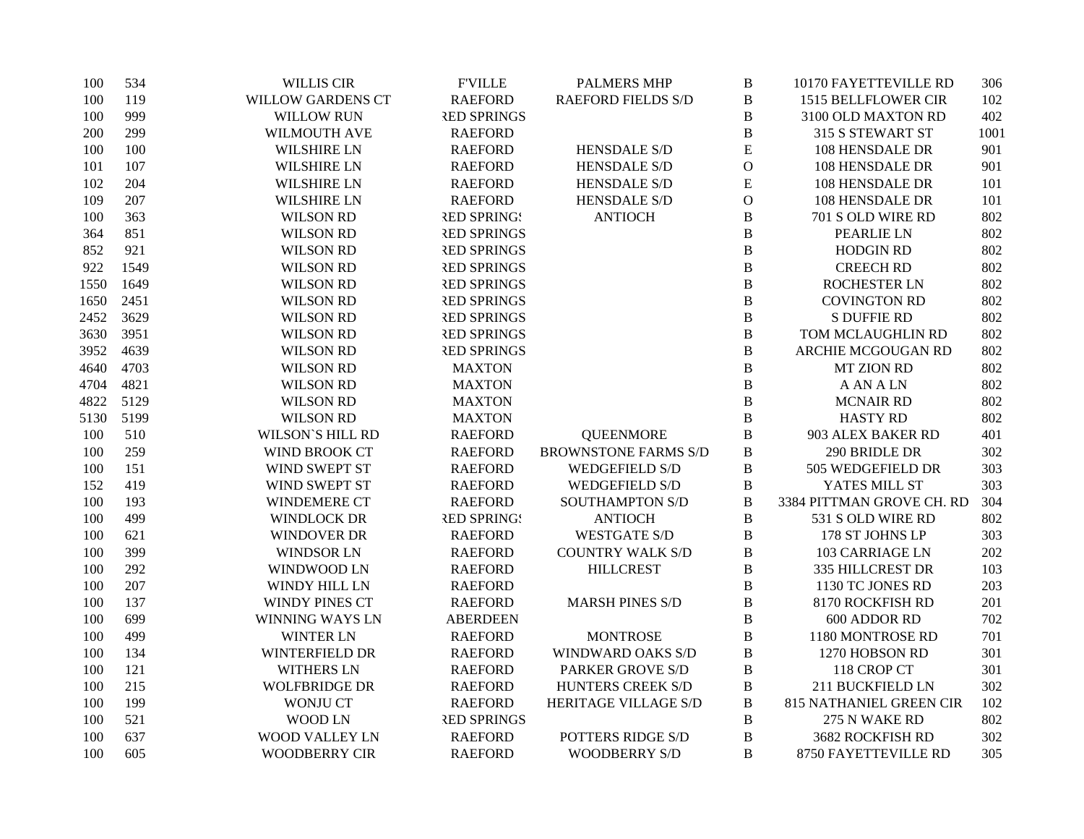| 100  | 534  | <b>WILLIS CIR</b>        | <b>F'VILLE</b>     | <b>PALMERS MHP</b>          | $\, {\bf B}$ | 10170 FAYETTEVILLE RD          | 306  |
|------|------|--------------------------|--------------------|-----------------------------|--------------|--------------------------------|------|
| 100  | 119  | <b>WILLOW GARDENS CT</b> | <b>RAEFORD</b>     | <b>RAEFORD FIELDS S/D</b>   | $\, {\bf B}$ | 1515 BELLFLOWER CIR            | 102  |
| 100  | 999  | <b>WILLOW RUN</b>        | <b>RED SPRINGS</b> |                             | $\, {\bf B}$ | 3100 OLD MAXTON RD             | 402  |
| 200  | 299  | WILMOUTH AVE             | <b>RAEFORD</b>     |                             | $\bf{B}$     | 315 S STEWART ST               | 1001 |
| 100  | 100  | <b>WILSHIRE LN</b>       | <b>RAEFORD</b>     | HENSDALE S/D                | E            | 108 HENSDALE DR                | 901  |
| 101  | 107  | <b>WILSHIRE LN</b>       | <b>RAEFORD</b>     | <b>HENSDALE S/D</b>         | $\mathbf{O}$ | 108 HENSDALE DR                | 901  |
| 102  | 204  | <b>WILSHIRE LN</b>       | <b>RAEFORD</b>     | HENSDALE S/D                | E            | 108 HENSDALE DR                | 101  |
| 109  | 207  | <b>WILSHIRE LN</b>       | <b>RAEFORD</b>     | <b>HENSDALE S/D</b>         | $\mathbf O$  | 108 HENSDALE DR                | 101  |
| 100  | 363  | <b>WILSON RD</b>         | <b>RED SPRING!</b> | <b>ANTIOCH</b>              | $\bf{B}$     | 701 S OLD WIRE RD              | 802  |
| 364  | 851  | <b>WILSON RD</b>         | <b>RED SPRINGS</b> |                             | $\, {\bf B}$ | PEARLIE LN                     | 802  |
| 852  | 921  | <b>WILSON RD</b>         | <b>RED SPRINGS</b> |                             | $\bf{B}$     | <b>HODGIN RD</b>               | 802  |
| 922  | 1549 | <b>WILSON RD</b>         | <b>RED SPRINGS</b> |                             | $\, {\bf B}$ | <b>CREECH RD</b>               | 802  |
| 1550 | 1649 | <b>WILSON RD</b>         | <b>RED SPRINGS</b> |                             | $\bf{B}$     | ROCHESTER LN                   | 802  |
| 1650 | 2451 | <b>WILSON RD</b>         | <b>RED SPRINGS</b> |                             | $\, {\bf B}$ | <b>COVINGTON RD</b>            | 802  |
| 2452 | 3629 | <b>WILSON RD</b>         | <b>RED SPRINGS</b> |                             | B            | <b>S DUFFIE RD</b>             | 802  |
| 3630 | 3951 | <b>WILSON RD</b>         | <b>RED SPRINGS</b> |                             | $\bf{B}$     | TOM MCLAUGHLIN RD              | 802  |
| 3952 | 4639 | <b>WILSON RD</b>         | <b>RED SPRINGS</b> |                             | $\, {\bf B}$ | ARCHIE MCGOUGAN RD             | 802  |
| 4640 | 4703 | <b>WILSON RD</b>         | <b>MAXTON</b>      |                             | $\, {\bf B}$ | <b>MT ZION RD</b>              | 802  |
| 4704 | 4821 | <b>WILSON RD</b>         | <b>MAXTON</b>      |                             | $\, {\bf B}$ | <b>A AN A LN</b>               | 802  |
| 4822 | 5129 | <b>WILSON RD</b>         | <b>MAXTON</b>      |                             | $\bf{B}$     | <b>MCNAIR RD</b>               | 802  |
| 5130 | 5199 | <b>WILSON RD</b>         | <b>MAXTON</b>      |                             | $\, {\bf B}$ | <b>HASTY RD</b>                | 802  |
| 100  | 510  | <b>WILSON'S HILL RD</b>  | <b>RAEFORD</b>     | <b>QUEENMORE</b>            | B            | 903 ALEX BAKER RD              | 401  |
| 100  | 259  | WIND BROOK CT            | <b>RAEFORD</b>     | <b>BROWNSTONE FARMS S/D</b> | B            | 290 BRIDLE DR                  | 302  |
| 100  | 151  | WIND SWEPT ST            | <b>RAEFORD</b>     | <b>WEDGEFIELD S/D</b>       | B            | 505 WEDGEFIELD DR              | 303  |
| 152  | 419  | WIND SWEPT ST            | <b>RAEFORD</b>     | <b>WEDGEFIELD S/D</b>       | $\, {\bf B}$ | YATES MILL ST                  | 303  |
| 100  | 193  | <b>WINDEMERE CT</b>      | <b>RAEFORD</b>     | <b>SOUTHAMPTON S/D</b>      | $\, {\bf B}$ | 3384 PITTMAN GROVE CH. RD      | 304  |
| 100  | 499  | <b>WINDLOCK DR</b>       | <b>RED SPRING!</b> | <b>ANTIOCH</b>              | $\, {\bf B}$ | 531 S OLD WIRE RD              | 802  |
| 100  | 621  | <b>WINDOVER DR</b>       | <b>RAEFORD</b>     | <b>WESTGATE S/D</b>         | $\bf{B}$     | 178 ST JOHNS LP                | 303  |
| 100  | 399  | <b>WINDSOR LN</b>        | <b>RAEFORD</b>     | <b>COUNTRY WALK S/D</b>     | $\bf{B}$     | 103 CARRIAGE LN                | 202  |
| 100  | 292  | WINDWOOD LN              | <b>RAEFORD</b>     | <b>HILLCREST</b>            | $\bf{B}$     | 335 HILLCREST DR               | 103  |
| 100  | 207  | WINDY HILL LN            | <b>RAEFORD</b>     |                             | $\bf{B}$     | 1130 TC JONES RD               | 203  |
| 100  | 137  | <b>WINDY PINES CT</b>    | <b>RAEFORD</b>     | <b>MARSH PINES S/D</b>      | $\, {\bf B}$ | 8170 ROCKFISH RD               | 201  |
| 100  | 699  | WINNING WAYS LN          | <b>ABERDEEN</b>    |                             | B            | 600 ADDOR RD                   | 702  |
| 100  | 499  | <b>WINTER LN</b>         | <b>RAEFORD</b>     | <b>MONTROSE</b>             | $\mathbf B$  | 1180 MONTROSE RD               | 701  |
| 100  | 134  | WINTERFIELD DR           | <b>RAEFORD</b>     | WINDWARD OAKS S/D           | $\, {\bf B}$ | 1270 HOBSON RD                 | 301  |
| 100  | 121  | <b>WITHERS LN</b>        | <b>RAEFORD</b>     | PARKER GROVE S/D            | $\, {\bf B}$ | 118 CROP CT                    | 301  |
| 100  | 215  | <b>WOLFBRIDGE DR</b>     | <b>RAEFORD</b>     | HUNTERS CREEK S/D           | $\, {\bf B}$ | 211 BUCKFIELD LN               | 302  |
| 100  | 199  | <b>WONJU CT</b>          | <b>RAEFORD</b>     | HERITAGE VILLAGE S/D        | $\bf{B}$     | <b>815 NATHANIEL GREEN CIR</b> | 102  |
| 100  | 521  | <b>WOOD LN</b>           | <b>RED SPRINGS</b> |                             | B            | 275 N WAKE RD                  | 802  |
| 100  | 637  | WOOD VALLEY LN           | <b>RAEFORD</b>     | POTTERS RIDGE S/D           | B            | 3682 ROCKFISH RD               | 302  |
| 100  | 605  | <b>WOODBERRY CIR</b>     | <b>RAEFORD</b>     | <b>WOODBERRY S/D</b>        | B            | 8750 FAYETTEVILLE RD           | 305  |